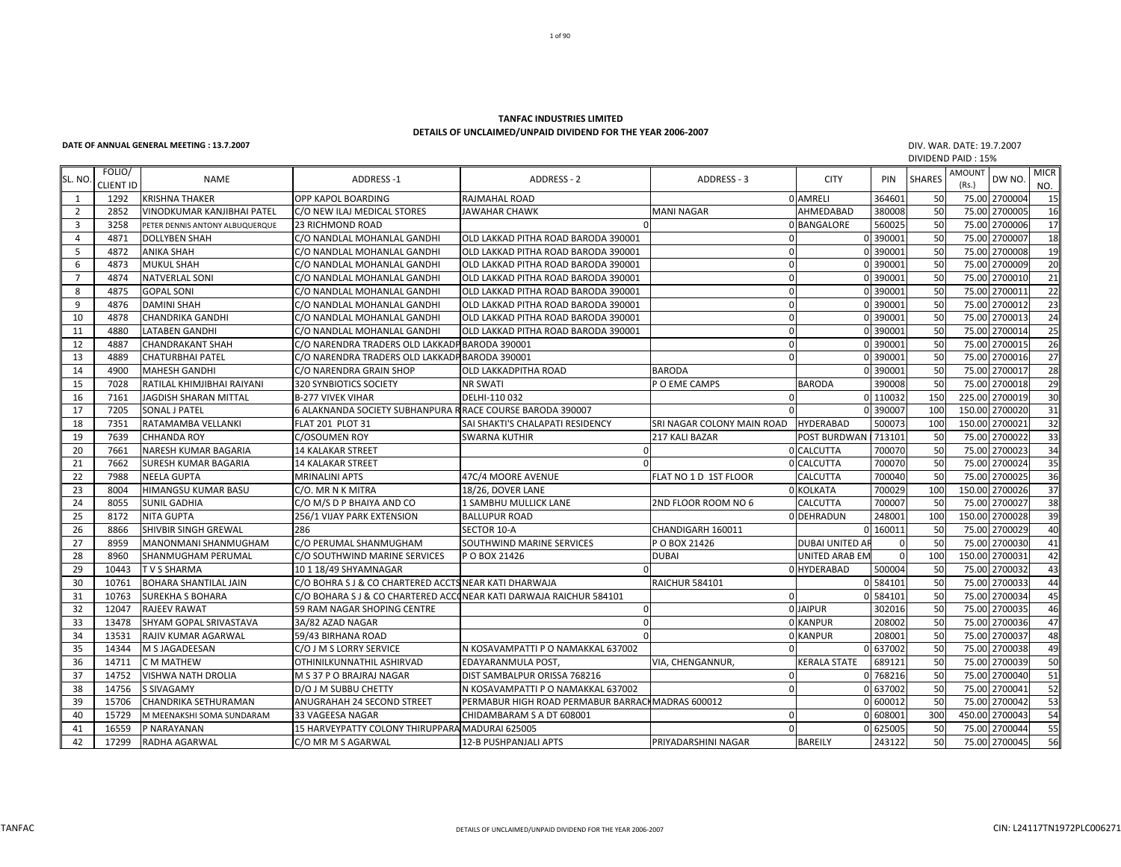## **TANFAC INDUSTRIES LIMITEDDETAILS OF UNCLAIMED/UNPAID DIVIDEND FOR THE YEAR 2006‐2007**

## **DATE OF ANNUAL GENERAL MEETING: 13.7.2007** DIV.

 WAR. DATE: 19.7.2007 DIVIDEND PAID : 15%

| SL. NO         | FOLIO/<br><b>CLIENT ID</b> | <b>NAME</b>                       | <b>ADDRESS-1</b>                                                   | <b>ADDRESS - 2</b>                                | ADDRESS - 3                | <b>CITY</b>      | PIN      | <b>SHARES</b> | <b>AMOUNT</b><br>(Rs.) | DW NO.         | <b>MICR</b><br>NO. |
|----------------|----------------------------|-----------------------------------|--------------------------------------------------------------------|---------------------------------------------------|----------------------------|------------------|----------|---------------|------------------------|----------------|--------------------|
| 1              | 1292                       | <b>KRISHNA THAKER</b>             | OPP KAPOL BOARDING                                                 | RAJMAHAL ROAD                                     |                            | 0 AMRELI         | 364601   | 50            |                        | 75.00 2700004  | 15                 |
| $\overline{2}$ | 2852                       | <b>VINODKUMAR KANJIBHAI PATEL</b> | C/O NEW ILAJ MEDICAL STORES                                        | JAWAHAR CHAWK                                     | <b>MANI NAGAR</b>          | AHMEDABAD        | 380008   | 50            |                        | 75.00 2700005  | 16                 |
| $\overline{3}$ | 3258                       | PETER DENNIS ANTONY ALBUQUERQUE   | <b>23 RICHMOND ROAD</b>                                            |                                                   |                            | 0 BANGALORE      | 560025   | 50            | 75.00                  | 2700006        | 17                 |
| $\overline{4}$ | 4871                       | <b>DOLLYBEN SHAH</b>              | C/O NANDLAL MOHANLAL GANDHI                                        | OLD LAKKAD PITHA ROAD BARODA 390001               |                            |                  | 0 390001 | 50            | 75.00                  | 2700007        | 18                 |
| 5              | 4872                       | <b>ANIKA SHAH</b>                 | C/O NANDLAL MOHANLAL GANDHI                                        | OLD LAKKAD PITHA ROAD BARODA 390001               | $\Omega$                   |                  | 0 390001 | 50            |                        | 75.00 2700008  | 19                 |
| 6              | 4873                       | <b>MUKUL SHAH</b>                 | C/O NANDLAL MOHANLAL GANDHI                                        | OLD LAKKAD PITHA ROAD BARODA 390001               |                            |                  | 0 390001 | 50            |                        | 75.00 2700009  | 20                 |
| $\overline{7}$ | 4874                       | <b>NATVERLAL SONI</b>             | C/O NANDLAL MOHANLAL GANDHI                                        | OLD LAKKAD PITHA ROAD BARODA 390001               | $\Omega$                   |                  | 0 390001 | 50            | 75.00                  | 2700010        | 21                 |
| 8              | 4875                       | <b>GOPAL SONI</b>                 | C/O NANDLAL MOHANLAL GANDHI                                        | OLD LAKKAD PITHA ROAD BARODA 390001               | $\Omega$                   |                  | 0 390001 | 50            | 75.00                  | 2700011        | 22                 |
| 9              | 4876                       | <b>DAMINI SHAH</b>                | C/O NANDLAL MOHANLAL GANDHI                                        | OLD LAKKAD PITHA ROAD BARODA 390001               | $\Omega$                   |                  | 0 390001 | 50            | 75.00                  | 2700012        | 23                 |
| 10             | 4878                       | <b>CHANDRIKA GANDHI</b>           | C/O NANDLAL MOHANLAL GANDHI                                        | OLD LAKKAD PITHA ROAD BARODA 390001               | $\Omega$                   |                  | 0 390001 | 50            | 75.00                  | 2700013        | 24                 |
| 11             | 4880                       | <b>LATABEN GANDHI</b>             | C/O NANDLAL MOHANLAL GANDHI                                        | OLD LAKKAD PITHA ROAD BARODA 390001               | $\Omega$                   |                  | 0 390001 | 50            | 75.00                  | 2700014        | 25                 |
| 12             | 4887                       | <b>CHANDRAKANT SHAH</b>           | C/O NARENDRA TRADERS OLD LAKKADP BARODA 390001                     |                                                   |                            |                  | 0 39000  | 50            |                        | 75.00 2700015  | 26                 |
| 13             | 4889                       | <b>CHATURBHAI PATEL</b>           | C/O NARENDRA TRADERS OLD LAKKADP BARODA 390001                     |                                                   |                            |                  | 0 390001 | 50            | 75.00                  | 2700016        | 27                 |
| 14             | 4900                       | <b>MAHESH GANDHI</b>              | C/O NARENDRA GRAIN SHOP                                            | <b>OLD LAKKADPITHA ROAD</b>                       | <b>BARODA</b>              |                  | 0 390001 | 50            | 75.00                  | 2700017        | 28                 |
| 15             | 7028                       | RATILAL KHIMJIBHAI RAIYANI        | 320 SYNBIOTICS SOCIETY                                             | <b>NR SWATI</b>                                   | P O EME CAMPS              | <b>BARODA</b>    | 390008   | 50            |                        | 75.00 2700018  | 29                 |
| 16             | 7161                       | <b>JAGDISH SHARAN MITTAL</b>      | <b>B-277 VIVEK VIHAR</b>                                           | DELHI-110 032                                     | $\Omega$                   |                  | 0 110032 | 150           |                        | 225.00 2700019 | 30                 |
| 17             | 7205                       | <b>SONAL J PATEL</b>              | 6 ALAKNANDA SOCIETY SUBHANPURA R RACE COURSE BARODA 390007         |                                                   |                            |                  | 0 39000  | 100           | 150.00                 | 2700020        | 31                 |
| 18             | 7351                       | RATAMAMBA VELLANKI                | <b>FLAT 201 PLOT 31</b>                                            | SAI SHAKTI'S CHALAPATI RESIDENCY                  | SRI NAGAR COLONY MAIN ROAD | <b>HYDERABAD</b> | 500073   | 100           | 150.00                 | 2700021        | 32                 |
| 19             | 7639                       | <b>CHHANDA ROY</b>                | <b>C/OSOUMEN ROY</b>                                               | SWARNA KUTHIR                                     | 217 KALI BAZAR             | POST BURDWAN     | 713101   | 50            | 75.00                  | 2700022        | 33                 |
| 20             | 7661                       | NARESH KUMAR BAGARIA              | <b>14 KALAKAR STREET</b>                                           |                                                   |                            | 0 CALCUTTA       | 700070   | 50            | 75.00                  | 2700023        | 34                 |
| 21             | 7662                       | <b>SURESH KUMAR BAGARIA</b>       | <b>14 KALAKAR STREET</b>                                           |                                                   |                            | 0 CALCUTTA       | 700070   | 50            |                        | 75.00 2700024  | 35                 |
| 22             | 7988                       | <b>NEELA GUPTA</b>                | <b>MRINALINI APTS</b>                                              | 47C/4 MOORE AVENUE                                | FLAT NO 1 D 1ST FLOOR      | CALCUTTA         | 700040   | 50            | 75.00                  | 2700025        | 36                 |
| 23             | 8004                       | HIMANGSU KUMAR BASU               | C/O. MR N K MITRA                                                  | 18/26. DOVER LANE                                 |                            | 0 KOLKATA        | 700029   | 100           | 150.00                 | 2700026        | 37                 |
| 24             | 8055                       | <b>SUNIL GADHIA</b>               | C/O M/S D P BHAIYA AND CO                                          | 1 SAMBHU MULLICK LANE                             | 2ND FLOOR ROOM NO 6        | <b>CALCUTTA</b>  | 700007   | 50            | 75.00                  | 2700027        | 38                 |
| 25             | 8172                       | <b>NITA GUPTA</b>                 | 256/1 VIJAY PARK EXTENSION                                         | <b>BALLUPUR ROAD</b>                              |                            | 0 DEHRADUN       | 248001   | 100           |                        | 150.00 2700028 | 39                 |
| 26             | 8866                       | <b>SHIVBIR SINGH GREWAL</b>       | 286                                                                | <b>SECTOR 10-A</b>                                | CHANDIGARH 160011          |                  | 0 160011 | 50            | 75.00                  | 2700029        | 40                 |
| 27             | 8959                       | <b>MANONMANI SHANMUGHAM</b>       | C/O PERUMAL SHANMUGHAM                                             | SOUTHWIND MARINE SERVICES                         | P O BOX 21426              | DUBAI UNITED A   |          | 50            | 75.00                  | 2700030        | 41                 |
| 28             | 8960                       | SHANMUGHAM PERUMAL                | C/O SOUTHWIND MARINE SERVICES                                      | P O BOX 21426                                     | <b>DUBAI</b>               | UNITED ARAB EM   |          | 100           |                        | 150.00 2700031 | 42                 |
| 29             | 10443                      | <b>TVS SHARMA</b>                 | 10 1 18/49 SHYAMNAGAR                                              |                                                   |                            | 0 HYDERABAD      | 500004   | 50            | 75.00                  | 2700032        | 43                 |
| 30             | 10761                      | <b>BOHARA SHANTILAL JAIN</b>      | C/O BOHRA S J & CO CHARTERED ACCT <b>S</b> NEAR KATI DHARWAJA      |                                                   | <b>RAICHUR 584101</b>      |                  | 0 584101 | 50            | 75.00                  | 2700033        | 44                 |
| 31             | 10763                      | <b>SUREKHA S BOHARA</b>           | C/O BOHARA S J & CO CHARTERED ACCONEAR KATI DARWAJA RAICHUR 584101 |                                                   | $\Omega$                   |                  | 0 584101 | 50            |                        | 75.00 2700034  | 45                 |
| 32             | 12047                      | <b>RAJEEV RAWAT</b>               | 59 RAM NAGAR SHOPING CENTRE                                        | $\cap$                                            |                            | 0 JAIPUR         | 302016   | 50            | 75.00                  | 2700035        | 46                 |
| 33             | 13478                      | SHYAM GOPAL SRIVASTAVA            | 3A/82 AZAD NAGAR                                                   |                                                   |                            | 0 KANPUR         | 208002   | 50            | 75.00                  | 2700036        | 47                 |
| 34             | 13531                      | RAJIV KUMAR AGARWAL               | 59/43 BIRHANA ROAD                                                 |                                                   |                            | 0 KANPUR         | 208001   | 50            |                        | 75.00 2700037  | 48                 |
| 35             | 14344                      | M S JAGADEESAN                    | C/O J M S LORRY SERVICE                                            | N KOSAVAMPATTI P O NAMAKKAL 637002                |                            |                  | 0 637002 | 50            | 75.00                  | 2700038        | 49                 |
| 36             | 14711                      | <b>C M MATHEW</b>                 | OTHINILKUNNATHIL ASHIRVAD                                          | EDAYARANMULA POST                                 | <b>VIA. CHENGANNUR.</b>    | KERALA STATE     | 689121   | 50            | 75.00                  | 2700039        | 50                 |
| 37             | 14752                      | <b>VISHWA NATH DROLIA</b>         | M S 37 P O BRAJRAJ NAGAR                                           | DIST SAMBALPUR ORISSA 768216                      | $\Omega$                   |                  | 0 768216 | 50            | 75.00                  | 2700040        | 51                 |
| 38             | 14756                      | <b>S SIVAGAMY</b>                 | D/O J M SUBBU CHETTY                                               | N KOSAVAMPATTI P O NAMAKKAL 637002                |                            |                  | 0 637002 | 50            |                        | 75.00 2700041  | 52                 |
| 39             | 15706                      | CHANDRIKA SETHURAMAN              | ANUGRAHAH 24 SECOND STREET                                         | PERMABUR HIGH ROAD PERMABUR BARRACI MADRAS 600012 |                            |                  | 0 600012 | 50            | 75.00                  | 2700042        | 53                 |
| 40             | 15729                      | M MEENAKSHI SOMA SUNDARAM         | 33 VAGEESA NAGAR                                                   | CHIDAMBARAM S A DT 608001                         |                            |                  | 0 60800  | 300           | 450.00                 | 2700043        | 54                 |
| 41             | 16559                      | P NARAYANAN                       | 15 HARVEYPATTY COLONY THIRUPPARA MADURAI 625005                    |                                                   | $\Omega$                   |                  | 625005   | 50            | 75.00                  | 2700044        | 55                 |
| 42             | 17299                      | <b>RADHA AGARWAL</b>              | C/O MR M S AGARWAL                                                 | <b>12-B PUSHPANJALI APTS</b>                      | PRIYADARSHINI NAGAR        | <b>BAREILY</b>   | 243122   | 50            |                        | 75.00 2700045  | 56                 |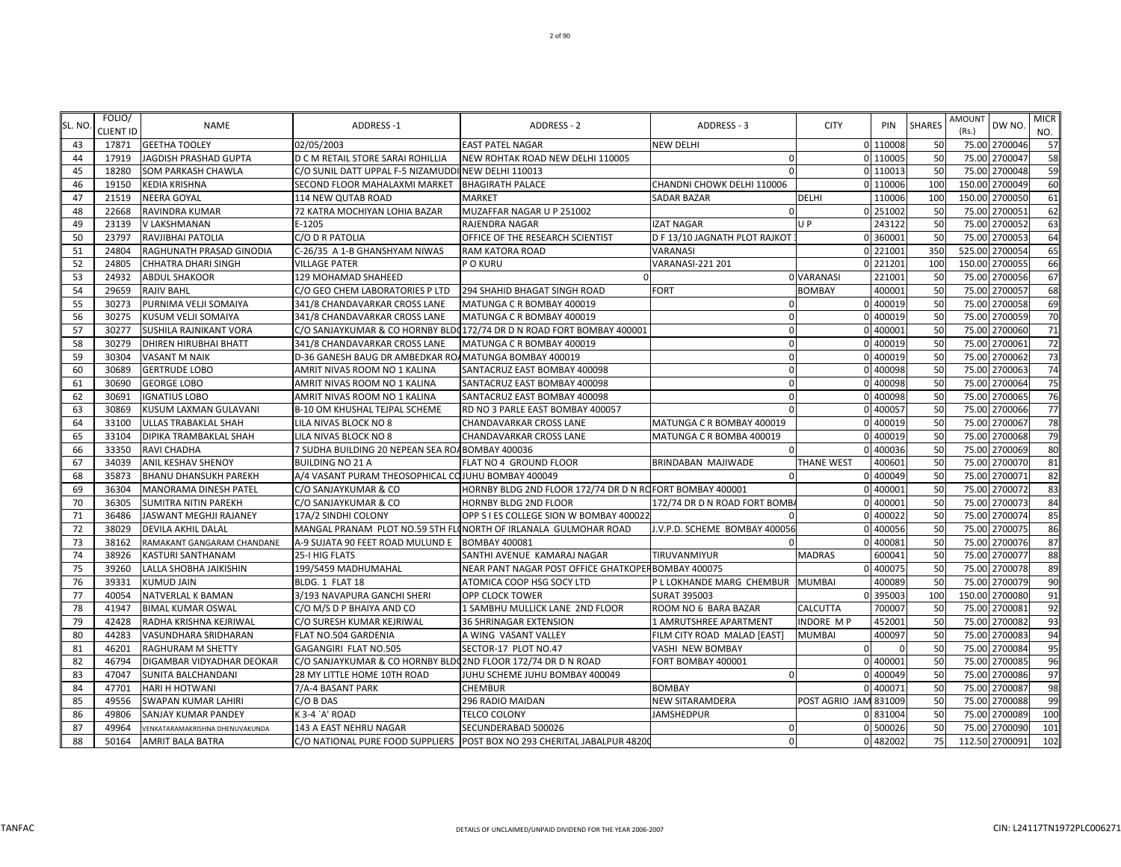| SL. NO | FOLIO/<br><b>CLIENT ID</b> | <b>NAME</b>                     | <b>ADDRESS-1</b>                                             | ADDRESS - 2                                                              | ADDRESS - 3                      | <b>CITY</b>       | PIN      | <b>SHARES</b> | <b>AMOUNT</b><br>(Rs.) | DW NO          | <b>MICR</b><br>NO. |
|--------|----------------------------|---------------------------------|--------------------------------------------------------------|--------------------------------------------------------------------------|----------------------------------|-------------------|----------|---------------|------------------------|----------------|--------------------|
| 43     | 17871                      | <b>GEETHA TOOLEY</b>            | 02/05/2003                                                   | <b>EAST PATEL NAGAR</b>                                                  | <b>NEW DELHI</b>                 |                   | 0 110008 | 50            |                        | 75.00 2700046  | 57                 |
| 44     | 17919                      | JAGDISH PRASHAD GUPTA           | D C M RETAIL STORE SARAI ROHILLIA                            | NEW ROHTAK ROAD NEW DELHI 110005                                         | $\Omega$                         |                   | 0 110005 | 50            |                        | 75.00 2700047  | 58                 |
| 45     | 18280                      | SOM PARKASH CHAWLA              | C/O SUNIL DATT UPPAL F-5 NIZAMUDDI NEW DELHI 110013          |                                                                          | $\Omega$                         |                   | 0 110013 | 50            |                        | 75.00 2700048  | 59                 |
| 46     | 19150                      | <b>KEDIA KRISHNA</b>            | SECOND FLOOR MAHALAXMI MARKET                                | <b>BHAGIRATH PALACE</b>                                                  | CHANDNI CHOWK DELHI 110006       |                   | 110006   | 100           | 150.00                 | 2700049        | 60                 |
| 47     | 21519                      | <b>NEERA GOYAL</b>              | 114 NEW QUTAB ROAD                                           | <b>MARKET</b>                                                            | <b>SADAR BAZAR</b>               | <b>DELHI</b>      | 110006   | 100           |                        | 150.00 2700050 | 61                 |
| 48     | 22668                      | RAVINDRA KUMAR                  | 72 KATRA MOCHIYAN LOHIA BAZAR                                | MUZAFFAR NAGAR U P 251002                                                | ∩                                |                   | 0 251002 | 50            |                        | 75.00 270005   | 62                 |
| 49     | 23139                      | V LAKSHMANAN                    | E-1205                                                       | <b>RAJENDRA NAGAR</b>                                                    | <b>IZAT NAGAR</b>                | U P               | 243122   | 50            |                        | 75.00 270005   | 63                 |
| 50     | 23797                      | RAVJIBHAI PATOLIA               | C/O D R PATOLIA                                              | OFFICE OF THE RESEARCH SCIENTIST                                         | D F 13/10 JAGNATH PLOT RAJKOT    |                   | 0 360001 | 50            |                        | 75.00 2700053  | 64                 |
| 51     | 24804                      | RAGHUNATH PRASAD GINODIA        | C-26/35 A 1-B GHANSHYAM NIWAS                                | <b>RAM KATORA ROAD</b>                                                   | <b>VARANASI</b>                  |                   | 0 221001 | 350           |                        | 525.00 2700054 | 65                 |
| 52     | 24805                      | CHHATRA DHARI SINGH             | <b>VILLAGE PATER</b>                                         | P O KURU                                                                 | VARANASI-221 201                 |                   | 0 221201 | 100           |                        | 150.00 2700055 | 66                 |
| 53     | 24932                      | <b>ABDUL SHAKOOR</b>            | 129 MOHAMAD SHAHEED                                          |                                                                          |                                  | 0 VARANASI        | 221001   | 50            |                        | 75.00 2700056  | 67                 |
| 54     | 29659                      | RAJIV BAHL                      | C/O GEO CHEM LABORATORIES P LTD                              | 294 SHAHID BHAGAT SINGH ROAD                                             | <b>FORT</b>                      | <b>BOMBAY</b>     | 400001   | 50            |                        | 75.00 2700057  | 68                 |
| 55     | 30273                      | PURNIMA VELJI SOMAIYA           | 341/8 CHANDAVARKAR CROSS LANE                                | MATUNGA C R BOMBAY 400019                                                | $\Omega$                         | $\Omega$          | 400019   | 50            |                        | 75.00 2700058  | 69                 |
| 56     | 30275                      | KUSUM VELJI SOMAIYA             | 341/8 CHANDAVARKAR CROSS LANE                                | MATUNGA C R BOMBAY 400019                                                | $\Omega$                         |                   | 0 400019 | 50            |                        | 75.00 2700059  | 70                 |
| 57     | 30277                      | SUSHILA RAJNIKANT VORA          |                                                              | C/O SANJAYKUMAR & CO HORNBY BLD(172/74 DR D N ROAD FORT BOMBAY 400001    | $\Omega$                         |                   | 400001   | 50            |                        | 75.00 2700060  | 71                 |
| 58     | 30279                      | <b>DHIREN HIRUBHAI BHATT</b>    | 341/8 CHANDAVARKAR CROSS LANE                                | MATUNGA C R BOMBAY 400019                                                | $\mathbf 0$                      | ŋ                 | 400019   | 50            |                        | 75.00 2700061  | 72                 |
| 59     | 30304                      | VASANT M NAIK                   | D-36 GANESH BAUG DR AMBEDKAR RO/MATUNGA BOMBAY 400019        |                                                                          | $\Omega$                         |                   | 400019   | 50            |                        | 75.00 2700062  | 73                 |
| 60     | 30689                      | <b>GERTRUDE LOBO</b>            | AMRIT NIVAS ROOM NO 1 KALINA                                 | SANTACRUZ EAST BOMBAY 400098                                             | $\Omega$                         |                   | 400098   | 50            |                        | 75.00 2700063  | 74                 |
| 61     | 30690                      | <b>GEORGE LOBO</b>              | AMRIT NIVAS ROOM NO 1 KALINA                                 | SANTACRUZ EAST BOMBAY 400098                                             | $\Omega$                         |                   | 400098   | 50            | 75.00                  | 2700064        | 75                 |
| 62     | 30691                      | <b>IGNATIUS LOBO</b>            | AMRIT NIVAS ROOM NO 1 KALINA                                 | SANTACRUZ EAST BOMBAY 400098                                             | $\Omega$                         |                   | 400098   | 50            |                        | 75.00 2700065  | 76                 |
| 63     | 30869                      | KUSUM LAXMAN GULAVANI           | B-10 OM KHUSHAL TEJPAL SCHEME                                | RD NO 3 PARLE EAST BOMBAY 400057                                         | $\Omega$                         | ŋ                 | 400057   | 50            |                        | 75.00 2700066  | 77                 |
| 64     | 33100                      | ULLAS TRABAKLAL SHAH            | LILA NIVAS BLOCK NO 8                                        | CHANDAVARKAR CROSS LANE                                                  | MATUNGA C R BOMBAY 400019        |                   | 400019   | 50            |                        | 75.00 2700067  | 78                 |
| 65     | 33104                      | DIPIKA TRAMBAKLAL SHAH          | LILA NIVAS BLOCK NO 8                                        | CHANDAVARKAR CROSS LANE                                                  | MATUNGA C R BOMBA 400019         |                   | 400019   | 50            |                        | 75.00 2700068  | 79                 |
| 66     | 33350                      | RAVI CHADHA                     | 7 SUDHA BUILDING 20 NEPEAN SEA ROABOMBAY 400036              |                                                                          | $\Omega$                         |                   | 400036   | 50            |                        | 75.00 2700069  | 80                 |
| 67     | 34039                      | <b>ANIL KESHAV SHENOY</b>       | <b>BUILDING NO 21 A</b>                                      | FLAT NO 4 GROUND FLOOR                                                   | BRINDABAN MAJIWADE               | <b>THANE WEST</b> | 400601   | 50            |                        | 75.00 2700070  | 81                 |
| 68     | 35873                      | <b>BHANU DHANSUKH PAREKH</b>    | A/4 VASANT PURAM THEOSOPHICAL COJUHU BOMBAY 400049           |                                                                          | ∩                                |                   | 0 400049 | 50            |                        | 75.00 2700071  | 82                 |
| 69     | 36304                      | <b>MANORAMA DINESH PATEL</b>    | C/O SANJAYKUMAR & CO                                         | HORNBY BLDG 2ND FLOOR 172/74 DR D N ROFORT BOMBAY 400001                 |                                  |                   | 400001   | 50            |                        | 75.00 2700072  | 83                 |
| 70     | 36305                      | <b>SUMITRA NITIN PAREKH</b>     | C/O SANJAYKUMAR & CO                                         | HORNBY BLDG 2ND FLOOR                                                    | 172/74 DR D N ROAD FORT BOMB     |                   | 400001   | 50            |                        | 75.00 2700073  | 84                 |
| 71     | 36486                      | JASWANT MEGHJI RAJANEY          | 17A/2 SINDHI COLONY                                          | OPP S I ES COLLEGE SION W BOMBAY 400022                                  |                                  |                   | 400022   | 50            |                        | 75.00 270007   | 85                 |
| 72     | 38029                      | <b>DEVILA AKHIL DALAL</b>       |                                                              | MANGAL PRANAM PLOT NO.59 5TH FLONORTH OF IRLANALA GULMOHAR ROAD          | J.V.P.D. SCHEME BOMBAY 400056    |                   | 400056   | 50            |                        | 75.00 2700075  | 86                 |
| 73     | 38162                      | RAMAKANT GANGARAM CHANDANE      | A-9 SUJATA 90 FEET ROAD MULUND E                             | <b>BOMBAY 400081</b>                                                     |                                  |                   | 400081   | 50            |                        | 75.00 2700076  | 87                 |
| 74     | 38926                      | KASTURI SANTHANAM               | 25-I HIG FLATS                                               | SANTHI AVENUE KAMARAJ NAGAR                                              | TIRUVANMIYUR                     | <b>MADRAS</b>     | 600041   | 50            |                        | 75.00 270007   | 88                 |
| 75     | 39260                      | LALLA SHOBHA JAIKISHIN          | 199/5459 MADHUMAHAL                                          | NEAR PANT NAGAR POST OFFICE GHATKOPER BOMBAY 400075                      |                                  |                   | 0 400075 | 50            |                        | 75.00 2700078  | 89                 |
| 76     | 39331                      | <b>KUMUD JAIN</b>               | BLDG. 1 FLAT 18                                              | ATOMICA COOP HSG SOCY LTD                                                | P L LOKHANDE MARG CHEMBUR MUMBAI |                   | 400089   | 50            |                        | 75.00 2700079  | 90                 |
| 77     | 40054                      | NATVERLAL K BAMAN               | 3/193 NAVAPURA GANCHI SHERI                                  | <b>OPP CLOCK TOWER</b>                                                   | <b>SURAT 395003</b>              |                   | 395003   | 100           |                        | 150.00 2700080 | 91                 |
| 78     | 41947                      | <b>BIMAL KUMAR OSWAL</b>        | C/O M/S D P BHAIYA AND CO                                    | 1 SAMBHU MULLICK LANE 2ND FLOOR                                          | ROOM NO 6 BARA BAZAR             | CALCUTTA          | 700007   | 50            |                        | 75.00 2700081  | 92                 |
| 79     | 42428                      | RADHA KRISHNA KEJRIWAL          | C/O SURESH KUMAR KEJRIWAL                                    | 36 SHRINAGAR EXTENSION                                                   | 1 AMRUTSHREE APARTMENT           | <b>INDORE MP</b>  | 452001   | 50            |                        | 75.00 2700082  | 93                 |
| 80     | 44283                      | VASUNDHARA SRIDHARAN            | FLAT NO.504 GARDENIA                                         | A WING VASANT VALLEY                                                     | FILM CITY ROAD MALAD [EAST]      | <b>MUMBAI</b>     | 400097   | 50            |                        | 75.00 270008   | 94                 |
| 81     | 46201                      | RAGHURAM M SHETTY               | GAGANGIRI FLAT NO.505                                        | SECTOR-17 PLOT NO.47                                                     | VASHI NEW BOMBAY                 |                   |          | 50            |                        | 75.00 2700084  | 95                 |
| 82     | 46794                      | DIGAMBAR VIDYADHAR DEOKAR       | C/O SANJAYKUMAR & CO HORNBY BLDQ2ND FLOOR 172/74 DR D N ROAD |                                                                          | FORT BOMBAY 400001               |                   | 0 400001 | 50            |                        | 75.00 2700085  | 96                 |
| 83     | 47047                      | SUNITA BALCHANDANI              | 28 MY LITTLE HOME 10TH ROAD                                  | JUHU SCHEME JUHU BOMBAY 400049                                           | $\Omega$                         |                   | 400049   | 50            |                        | 75.00 2700086  | 97                 |
| 84     | 47701                      | HARI H HOTWANI                  | 7/A-4 BASANT PARK                                            | <b>CHEMBUR</b>                                                           | <b>BOMBAY</b>                    |                   | 400071   | 50            |                        | 75.00 2700087  | 98                 |
| 85     | 49556                      | SWAPAN KUMAR LAHIRI             | C/O B DAS                                                    | 296 RADIO MAIDAN                                                         | NEW SITARAMDERA                  | POST AGRIO JAM    | 831009   | 50            | 75.00                  | 2700088        | 99                 |
| 86     | 49806                      | SANJAY KUMAR PANDEY             | K 3-4 `A' ROAD                                               | <b>TELCO COLONY</b>                                                      | JAMSHEDPUR                       |                   | 831004   | 50            |                        | 75.00 2700089  | 100                |
| 87     | 49964                      | VENKATARAMAKRISHNA DHENUVAKUNDA | 143 A EAST NEHRU NAGAR                                       | SECUNDERABAD 500026                                                      | 0                                |                   | 0 500026 | 50            |                        | 75.00 2700090  | 101                |
| 88     | 50164                      | AMRIT BALA BATRA                |                                                              | C/O NATIONAL PURE FOOD SUPPLIERS POST BOX NO 293 CHERITAL JABALPUR 48200 | $\overline{0}$                   |                   | 0 482002 | 75            |                        | 112.50 2700091 | 102                |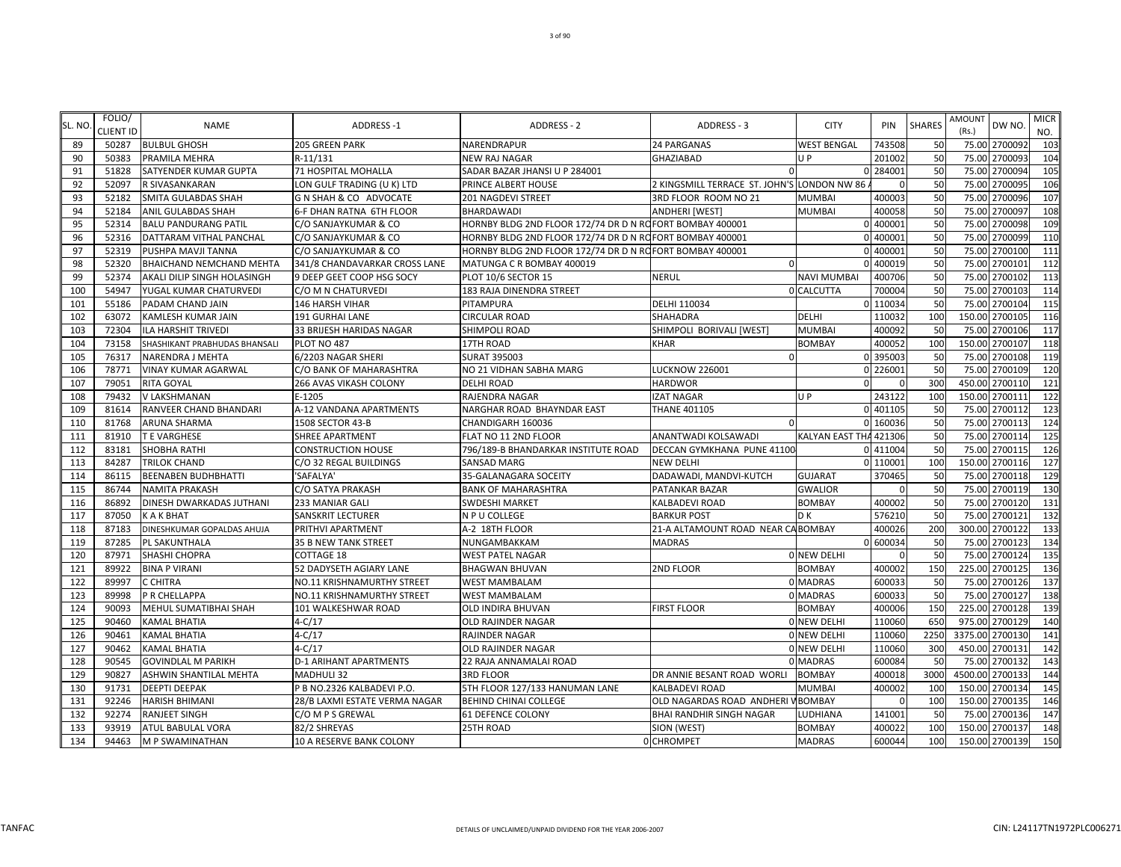| SL. NO | FOLIO/<br><b>CLIENT ID</b> | <b>NAME</b>                   | <b>ADDRESS-1</b>              | <b>ADDRESS - 2</b>                                       | <b>ADDRESS - 3</b>                          | <b>CITY</b>            | PIN      | <b>SHARES</b> | <b>AMOUNT</b><br>(Rs.) | DW NO.          | <b>MICR</b><br>NO. |
|--------|----------------------------|-------------------------------|-------------------------------|----------------------------------------------------------|---------------------------------------------|------------------------|----------|---------------|------------------------|-----------------|--------------------|
| 89     | 50287                      | <b>BULBUL GHOSH</b>           | <b>205 GREEN PARK</b>         | NARENDRAPUR                                              | <b>24 PARGANAS</b>                          | <b>WEST BENGAL</b>     | 743508   | 50            |                        | 75.00 2700092   | 103                |
| 90     | 50383                      | PRAMILA MEHRA                 | R-11/131                      | <b>NEW RAJ NAGAR</b>                                     | <b>GHAZIABAD</b>                            | $U$ P                  | 201002   | 50            | 75.00                  | 2700093         | 104                |
| 91     | 51828                      | SATYENDER KUMAR GUPTA         | 71 HOSPITAL MOHALLA           | SADAR BAZAR JHANSI U P 284001                            | $\Omega$                                    |                        | 0 284001 | 50            | 75.00                  | 2700094         | 105                |
| 92     | 52097                      | R SIVASANKARAN                | LON GULF TRADING (U K) LTD    | PRINCE ALBERT HOUSE                                      | 2 KINGSMILL TERRACE ST. JOHN'S LONDON NW 86 |                        |          | 50            | 75.00                  | 2700095         | 106                |
| 93     | 52182                      | SMITA GULABDAS SHAH           | G N SHAH & CO ADVOCATE        | 201 NAGDEVI STREET                                       | 3RD FLOOR ROOM NO 21                        | <b>MUMBAI</b>          | 400003   | 50            | 75.00                  | 2700096         | 107                |
| 94     | 52184                      | ANIL GULABDAS SHAH            | 6-F DHAN RATNA 6TH FLOOR      | <b>BHARDAWADI</b>                                        | <b>ANDHERI [WEST]</b>                       | <b>MUMBAI</b>          | 400058   | 50            | 75.00                  | 2700097         | 108                |
| 95     | 52314                      | <b>BALU PANDURANG PATIL</b>   | C/O SANJAYKUMAR & CO          | HORNBY BLDG 2ND FLOOR 172/74 DR D N ROFORT BOMBAY 400001 |                                             |                        | 0 400001 | 50            | 75.00                  | 2700098         | 10 <sub>S</sub>    |
| 96     | 52316                      | DATTARAM VITHAL PANCHAL       | C/O SANJAYKUMAR & CO          | HORNBY BLDG 2ND FLOOR 172/74 DR D N ROFORT BOMBAY 400001 |                                             |                        | 400001   | 50            |                        | 75.00 2700099   | 110                |
| 97     | 52319                      | PUSHPA MAVJI TANNA            | C/O SANJAYKUMAR & CO          | HORNBY BLDG 2ND FLOOR 172/74 DR D N ROFORT BOMBAY 400001 |                                             |                        | 0 400001 | 50            |                        | 75.00 2700100   | 111                |
| 98     | 52320                      | BHAICHAND NEMCHAND MEHTA      | 341/8 CHANDAVARKAR CROSS LANE | MATUNGA C R BOMBAY 400019                                | $\Omega$                                    |                        | 0 400019 | 50            |                        | 75.00 2700101   | 112                |
| 99     | 52374                      | AKALI DILIP SINGH HOLASINGH   | 9 DEEP GEET COOP HSG SOCY     | PLOT 10/6 SECTOR 15                                      | <b>NERUL</b>                                | <b>NAVI MUMBAI</b>     | 400706   | 50            | 75.00                  | 2700102         | 113                |
| 100    | 54947                      | YUGAL KUMAR CHATURVEDI        | C/O M N CHATURVEDI            | 183 RAJA DINENDRA STREET                                 |                                             | 0 CALCUTTA             | 700004   | 50            | 75.00                  | 2700103         | 114                |
| 101    | 55186                      | PADAM CHAND JAIN              | <b>146 HARSH VIHAR</b>        | PITAMPURA                                                | <b>DELHI 110034</b>                         |                        | 0 110034 | 50            | 75.00                  | 2700104         | 115                |
| 102    | 63072                      | KAMLESH KUMAR JAIN            | <b>191 GURHAI LANE</b>        | <b>CIRCULAR ROAD</b>                                     | <b>SHAHADRA</b>                             | <b>DELHI</b>           | 110032   | 100           | 150.00                 | 2700105         | 116                |
| 103    | 72304                      | <b>ILA HARSHIT TRIVEDI</b>    | 33 BRIJESH HARIDAS NAGAR      | SHIMPOLI ROAD                                            | SHIMPOLI BORIVALI [WEST]                    | <b>MUMBAI</b>          | 400092   | 50            | 75.00                  | 2700106         | 117                |
| 104    | 73158                      | SHASHIKANT PRABHUDAS BHANSALI | PLOT NO 487                   | 17TH ROAD                                                | <b>KHAR</b>                                 | <b>BOMBAY</b>          | 400052   | 100           |                        | 150.00 2700107  | 118                |
| 105    | 76317                      | NARENDRA J MEHTA              | 6/2203 NAGAR SHERI            | SURAT 395003                                             | $\Omega$                                    |                        | 0 395003 | 50            |                        | 75.00 2700108   | 119                |
| 106    | 78771                      | VINAY KUMAR AGARWAL           | C/O BANK OF MAHARASHTRA       | NO 21 VIDHAN SABHA MARG                                  | <b>LUCKNOW 226001</b>                       |                        | 0 226001 | 50            | 75.00                  | 2700109         | 120                |
| 107    | 79051                      | RITA GOYAL                    | 266 AVAS VIKASH COLONY        | <b>DELHI ROAD</b>                                        | <b>HARDWOR</b>                              | $\Omega$               |          | 300           |                        | 450.00 2700110  | 121                |
| 108    | 79432                      | V LAKSHMANAN                  | E-1205                        | RAJENDRA NAGAR                                           | <b>IZAT NAGAR</b>                           | U P                    | 243122   | 100           | 150.00                 | 2700111         | 122                |
| 109    | 81614                      | RANVEER CHAND BHANDARI        | A-12 VANDANA APARTMENTS       | NARGHAR ROAD BHAYNDAR EAST                               | <b>THANE 401105</b>                         |                        | 0 401105 | 50            | 75.00                  | 2700112         | 123                |
| 110    | 81768                      | <b>ARUNA SHARMA</b>           | 1508 SECTOR 43-B              | CHANDIGARH 160036                                        | $\Omega$                                    |                        | 0 160036 | 50            | 75.00                  | 2700113         | 124                |
| 111    | 81910                      | T E VARGHESE                  | <b>SHREE APARTMENT</b>        | FLAT NO 11 2ND FLOOR                                     | ANANTWADI KOLSAWADI                         | <b>KALYAN EAST THA</b> | 421306   | 50            | 75.00                  | 2700114         | 125                |
| 112    | 83181                      | SHOBHA RATHI                  | <b>CONSTRUCTION HOUSE</b>     | 796/189-B BHANDARKAR INSTITUTE ROAD                      | DECCAN GYMKHANA PUNE 41100                  |                        | 411004   | 50            |                        | 75.00 2700115   | 126                |
| 113    | 84287                      | TRILOK CHAND                  | C/O 32 REGAL BUILDINGS        | SANSAD MARG                                              | <b>NEW DELHI</b>                            |                        | 0 110001 | 100           |                        | 150.00 2700116  | 127                |
| 114    | 86115                      | <b>BEENABEN BUDHBHATTI</b>    | 'SAFALYA'                     | 35-GALANAGARA SOCEITY                                    | DADAWADI, MANDVI-KUTCH                      | <b>GUJARAT</b>         | 370465   | 50            |                        | 75.00 2700118   | 129                |
| 115    | 86744                      | <b>NAMITA PRAKASH</b>         | C/O SATYA PRAKASH             | <b>BANK OF MAHARASHTRA</b>                               | PATANKAR BAZAR                              | <b>GWALIOR</b>         |          | 50            | 75.00                  | 2700119         | 13 <sub>C</sub>    |
| 116    | 86892                      | DINESH DWARKADAS JUTHANI      | 233 MANIAR GALI               | SWDESHI MARKET                                           | KALBADEVI ROAD                              | <b>BOMBAY</b>          | 400002   | 50            | 75.00                  | 2700120         | 131                |
| 117    | 87050                      | <b>KAKBHAT</b>                | <b>SANSKRIT LECTURER</b>      | N P U COLLEGE                                            | <b>BARKUR POST</b>                          | D K                    | 576210   | 50            | 75.00                  | 2700121         | 132                |
| 118    | 87183                      | DINESHKUMAR GOPALDAS AHUJA    | PRITHVI APARTMENT             | A-2 18TH FLOOR                                           | 21-A ALTAMOUNT ROAD NEAR CABOMBAY           |                        | 400026   | 200           | 300.00                 | 2700122         | 133                |
| 119    | 87285                      | PL SAKUNTHALA                 | 35 B NEW TANK STREET          | NUNGAMBAKKAM                                             | <b>MADRAS</b>                               |                        | 0 600034 | 50            | 75.00                  | 2700123         | 134                |
| 120    | 87971                      | SHASHI CHOPRA                 | <b>COTTAGE 18</b>             | WEST PATEL NAGAR                                         |                                             | 0 NEW DELHI            |          | 50            | 75.00                  | 2700124         | 135                |
| 121    | 89922                      | <b>BINA P VIRANI</b>          | 52 DADYSETH AGIARY LANE       | BHAGWAN BHUVAN                                           | 2ND FLOOR                                   | <b>BOMBAY</b>          | 400002   | 150           |                        | 225.00 2700125  | 136                |
| 122    | 89997                      | C CHITRA                      | NO.11 KRISHNAMURTHY STREET    | <b>WEST MAMBALAM</b>                                     |                                             | 0 MADRAS               | 600033   | 50            |                        | 75.00 2700126   | 137                |
| 123    | 89998                      | P R CHELLAPPA                 | NO.11 KRISHNAMURTHY STREET    | <b>WEST MAMBALAM</b>                                     |                                             | 0 MADRAS               | 600033   | 50            |                        | 75.00 2700127   | 138                |
| 124    | 90093                      | MEHUL SUMATIBHAI SHAH         | 101 WALKESHWAR ROAD           | OLD INDIRA BHUVAN                                        | <b>FIRST FLOOR</b>                          | <b>BOMBAY</b>          | 400006   | 150           | 225.00                 | 2700128         | 139                |
| 125    | 90460                      | KAMAL BHATIA                  | $4-C/17$                      | OLD RAJINDER NAGAR                                       |                                             | 0 NEW DELHI            | 110060   | 650           |                        | 975.00 2700129  | 140                |
| 126    | 90461                      | KAMAL BHATIA                  | $4-C/17$                      | RAJINDER NAGAR                                           |                                             | 0 NEW DELHI            | 110060   | 2250          | 3375.00                | 2700130         | 141                |
| 127    | 90462                      | KAMAL BHATIA                  | $4 - C/17$                    | OLD RAJINDER NAGAR                                       |                                             | 0 NEW DELHI            | 110060   | 300           | 450.00                 | 2700131         | 142                |
| 128    | 90545                      | GOVINDLAL M PARIKH            | <b>D-1 ARIHANT APARTMENTS</b> | 22 RAJA ANNAMALAI ROAD                                   |                                             | 0 MADRAS               | 600084   | 50            | 75.00                  | 2700132         | 143                |
| 129    | 90827                      | ASHWIN SHANTILAL MEHTA        | <b>MADHULI 32</b>             | <b>3RD FLOOR</b>                                         | DR ANNIE BESANT ROAD WORLI                  | <b>BOMBAY</b>          | 400018   | 3000          |                        | 4500.00 2700133 | 144                |
| 130    | 91731                      | DEEPTI DEEPAK                 | P B NO.2326 KALBADEVI P.O.    | 5TH FLOOR 127/133 HANUMAN LANE                           | <b>KALBADEVI ROAD</b>                       | <b>MUMBAI</b>          | 400002   | 100           |                        | 150.00 2700134  | 145                |
| 131    | 92246                      | HARISH BHIMANI                | 28/B LAXMI ESTATE VERMA NAGAR | <b>BEHIND CHINAI COLLEGE</b>                             | OLD NAGARDAS ROAD ANDHERI V BOMBAY          |                        |          | 100           | 150.00                 | 2700135         | 146                |
| 132    | 92274                      | RANJEET SINGH                 | C/O M P S GREWAL              | 61 DEFENCE COLONY                                        | BHAI RANDHIR SINGH NAGAR                    | LUDHIANA               | 141001   | 50            | 75.00                  | 2700136         | 147                |
| 133    | 93919                      | ATUL BABULAL VORA             | 82/2 SHREYAS                  | 25TH ROAD                                                | SION (WEST)                                 | <b>BOMBAY</b>          | 400022   | 100           |                        | 150.00 2700137  | 148                |
| 134    | 94463                      | <b>M P SWAMINATHAN</b>        | 10 A RESERVE BANK COLONY      |                                                          | 0 CHROMPET                                  | <b>MADRAS</b>          | 600044   | 100           |                        | 150.00 2700139  | 150                |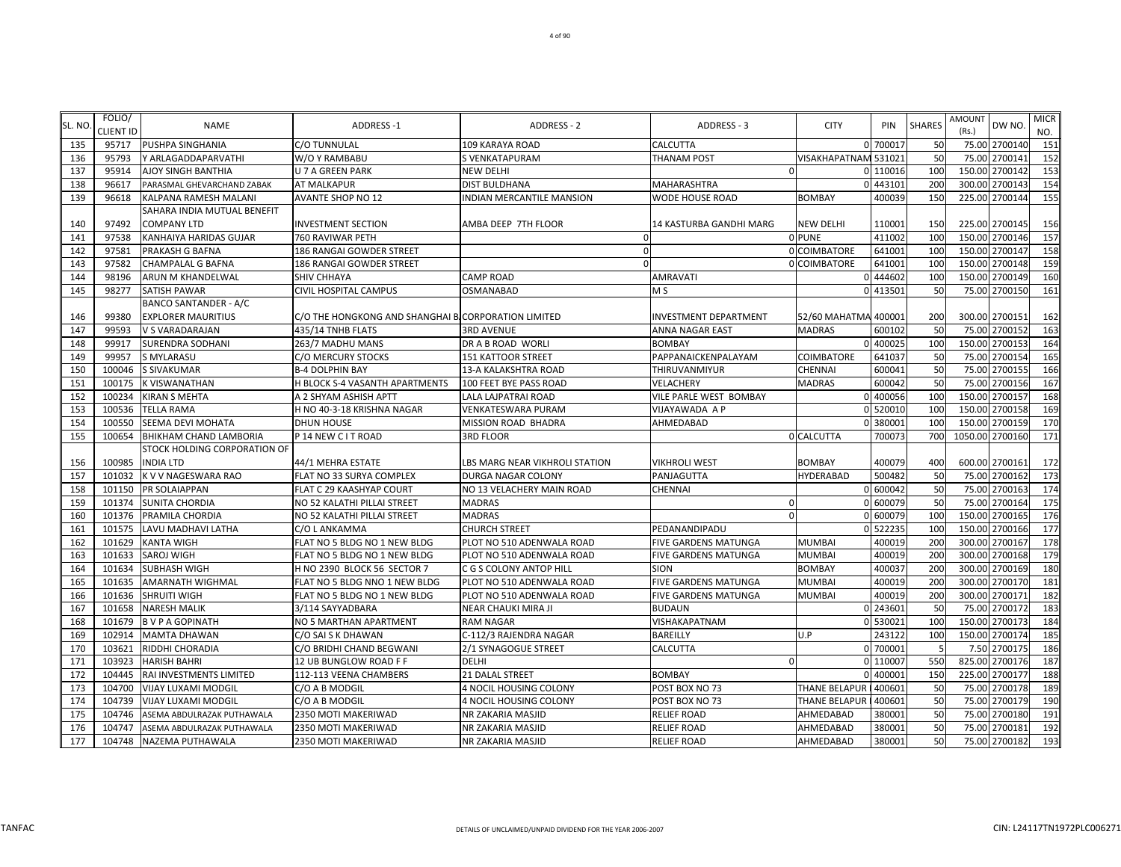| SL. NO | FOLIO/<br><b>CLIENT ID</b> | <b>NAME</b>                  | ADDRESS-1                                           | ADDRESS - 2                      | ADDRESS - 3                 | <b>CITY</b>          | PIN      | <b>SHARES</b> | AMOUNT<br>(Rs.) | DW NO.         | <b>MICR</b><br>NO. |
|--------|----------------------------|------------------------------|-----------------------------------------------------|----------------------------------|-----------------------------|----------------------|----------|---------------|-----------------|----------------|--------------------|
| 135    | 95717                      | PUSHPA SINGHANIA             | C/O TUNNULAL                                        | 109 KARAYA ROAD                  | <b>CALCUTTA</b>             |                      | 0 700017 | 50            |                 | 75.00 2700140  | 151                |
| 136    | 95793                      | Y ARLAGADDAPARVATHI          | W/O Y RAMBABU                                       | S VENKATAPURAM                   | <b>THANAM POST</b>          | VISAKHAPATNAN        | 1531021  | 50            | 75.00           | 2700141        | 152                |
| 137    | 95914                      | AJOY SINGH BANTHIA           | U 7 A GREEN PARK                                    | <b>NEW DELHI</b>                 |                             |                      | 110016   | 100           |                 | 150.00 2700142 | 153                |
| 138    | 96617                      | PARASMAL GHEVARCHAND ZABAK   | <b>AT MALKAPUR</b>                                  | DIST BULDHANA                    | MAHARASHTRA                 |                      | 443101   | 200           |                 | 300.00 2700143 | 154                |
| 139    | 96618                      | KALPANA RAMESH MALANI        | AVANTE SHOP NO 12                                   | <b>INDIAN MERCANTILE MANSION</b> | WODE HOUSE ROAD             | <b>BOMBAY</b>        | 400039   | 150           |                 | 225.00 2700144 | 155                |
|        |                            | SAHARA INDIA MUTUAL BENEFIT  |                                                     |                                  |                             |                      |          |               |                 |                |                    |
| 140    | 97492                      | <b>COMPANY LTD</b>           | <b>NVESTMENT SECTION</b>                            | AMBA DEEP 7TH FLOOR              | 14 KASTURBA GANDHI MARG     | NEW DELHI            | 110001   | 150           |                 | 225.00 2700145 | 156                |
| 141    | 97538                      | KANHAIYA HARIDAS GUJAR       | 760 RAVIWAR PETH                                    |                                  |                             | 0 PUNE               | 411002   | 100           |                 | 150.00 2700146 | 157                |
| 142    | 97581                      | PRAKASH G BAFNA              | 186 RANGAI GOWDER STREET                            | $\Omega$                         |                             | 0 COIMBATORE         | 641001   | 100           | 150.00          | 2700147        | 158                |
| 143    | 97582                      | <b>CHAMPALAL G BAFNA</b>     | 186 RANGAI GOWDER STREET                            |                                  |                             | 0 COIMBATORE         | 641001   | 100           | 150.00          | 2700148        | 159                |
| 144    | 98196                      | ARUN M KHANDELWAL            | SHIV CHHAYA                                         | CAMP ROAD                        | AMRAVATI                    |                      | 444602   | 100           | 150.00          | 2700149        | 160                |
| 145    | 98277                      | SATISH PAWAR                 | CIVIL HOSPITAL CAMPUS                               | OSMANABAD                        | M <sub>S</sub>              |                      | 413501   | 50            |                 | 75.00 2700150  | 161                |
|        |                            | <b>BANCO SANTANDER - A/C</b> |                                                     |                                  |                             |                      |          |               |                 |                |                    |
| 146    | 99380                      | <b>EXPLORER MAURITIUS</b>    | C/O THE HONGKONG AND SHANGHAI BLCORPORATION LIMITED |                                  | INVESTMENT DEPARTMENT       | 52/60 MAHATMA 400001 |          | 200           |                 | 300.00 2700151 | 162                |
| 147    | 99593                      | V S VARADARAJAN              | 435/14 TNHB FLATS                                   | <b>3RD AVENUE</b>                | ANNA NAGAR EAST             | <b>MADRAS</b>        | 600102   | 50            |                 | 75.00 2700152  | 163                |
| 148    | 99917                      | <b>SURENDRA SODHANI</b>      | 263/7 MADHU MANS                                    | DR A B ROAD WORLI                | <b>BOMBAY</b>               |                      | 400025   | 100           |                 | 150.00 2700153 | 164                |
| 149    | 99957                      | <b>S MYLARASU</b>            | C/O MERCURY STOCKS                                  | <b>151 KATTOOR STREET</b>        | PAPPANAICKENPALAYAM         | COIMBATORE           | 641037   | 50            |                 | 75.00 2700154  | 165                |
| 150    | 100046                     | <b>S SIVAKUMAR</b>           | <b>B-4 DOLPHIN BAY</b>                              | 13-A KALAKSHTRA ROAD             | THIRUVANMIYUR               | CHENNAI              | 600041   | 50            | 75.00           | 2700155        | 166                |
| 151    | 100175                     | K VISWANATHAN                | H BLOCK S-4 VASANTH APARTMENTS                      | 100 FEET BYE PASS ROAD           | VELACHERY                   | MADRAS               | 600042   | 50            | 75.00           | 2700156        | 167                |
| 152    | 100234                     | <b>KIRAN S MEHTA</b>         | A 2 SHYAM ASHISH APTT                               | LALA LAJPATRAI ROAD              | VILE PARLE WEST BOMBAY      |                      | 0 400056 | 100           |                 | 150.00 2700157 | 168                |
| 153    | 100536                     | <b>TELLA RAMA</b>            | H NO 40-3-18 KRISHNA NAGAR                          | <b>VENKATESWARA PURAM</b>        | VIJAYAWADA A P              |                      | 0 520010 | 100           |                 | 150.00 2700158 | 169                |
| 154    | 100550                     | SEEMA DEVI MOHATA            | <b>DHUN HOUSE</b>                                   | MISSION ROAD BHADRA              | AHMEDABAD                   |                      | 0 380001 | 100           | 150.00          | 2700159        | 170                |
| 155    | 100654                     | BHIKHAM CHAND LAMBORIA       | P 14 NEW C I T ROAD                                 | 3RD FLOOR                        |                             | 0 CALCUTTA           | 700073   | 700           | 1050.00         | 2700160        | 171                |
|        |                            | STOCK HOLDING CORPORATION OF |                                                     |                                  |                             |                      |          |               |                 |                |                    |
| 156    | 100985                     | <b>INDIA LTD</b>             | 44/1 MEHRA ESTATE                                   | LBS MARG NEAR VIKHROLI STATION   | <b>VIKHROLI WEST</b>        | <b>BOMBAY</b>        | 400079   | 400           |                 | 600.00 2700161 | 172                |
| 157    | 101032                     | K V V NAGESWARA RAO          | FLAT NO 33 SURYA COMPLEX                            | DURGA NAGAR COLONY               | PANJAGUTTA                  | HYDERABAD            | 500482   | 50            |                 | 75.00 2700162  | 173                |
| 158    | 101150                     | PR SOLAIAPPAN                | FLAT C 29 KAASHYAP COURT                            | NO 13 VELACHERY MAIN ROAD        | CHENNAI                     |                      | 600042   | 50            | 75.00           | 2700163        | 174                |
| 159    | 101374                     | <b>SUNITA CHORDIA</b>        | NO 52 KALATHI PILLAI STREET                         | <b>MADRAS</b>                    |                             |                      | 0 600079 | 50            |                 | 75.00 2700164  | 175                |
| 160    | 101376                     | PRAMILA CHORDIA              | NO 52 KALATHI PILLAI STREET                         | <b>MADRAS</b>                    | $\Omega$                    |                      | 0 600079 | 100           |                 | 150.00 2700165 | 176                |
| 161    | 101575                     | LAVU MADHAVI LATHA           | C/O L ANKAMMA                                       | CHURCH STREET                    | PEDANANDIPADU               |                      | 0 522235 | 100           |                 | 150.00 2700166 | 177                |
| 162    | 101629                     | <b>KANTA WIGH</b>            | FLAT NO 5 BLDG NO 1 NEW BLDG                        | PLOT NO 510 ADENWALA ROAD        | FIVE GARDENS MATUNGA        | <b>MUMBAI</b>        | 400019   | 200           | 300.00          | 2700167        | 178                |
| 163    | 101633                     | SAROJ WIGH                   | FLAT NO 5 BLDG NO 1 NEW BLDG                        | PLOT NO 510 ADENWALA ROAD        | FIVE GARDENS MATUNGA        | <b>MUMBAI</b>        | 400019   | 200           | 300.00          | 2700168        | 179                |
| 164    | 101634                     | <b>SUBHASH WIGH</b>          | H NO 2390 BLOCK 56 SECTOR 7                         | C G S COLONY ANTOP HILL          | SION                        | <b>BOMBAY</b>        | 400037   | 200           | 300.00          | 2700169        | 180                |
| 165    | 101635                     | AMARNATH WIGHMAL             | FLAT NO 5 BLDG NNO 1 NEW BLDG                       | PLOT NO 510 ADENWALA ROAD        | <b>FIVE GARDENS MATUNGA</b> | <b>MUMBAI</b>        | 400019   | 200           | 300.00          | 2700170        | 181                |
| 166    | 101636                     | <b>SHRUITI WIGH</b>          | FLAT NO 5 BLDG NO 1 NEW BLDG                        | PLOT NO 510 ADENWALA ROAD        | <b>FIVE GARDENS MATUNGA</b> | <b>MUMBAI</b>        | 400019   | 200           |                 | 300.00 2700171 | 182                |
| 167    | 101658                     | <b>NARESH MALIK</b>          | 3/114 SAYYADBARA                                    | NEAR CHAUKI MIRA JI              | <b>BUDAUN</b>               |                      | 243601   | 50            | 75.00           | 2700172        | 183                |
| 168    | 101679                     | <b>BVPAGOPINATH</b>          | NO 5 MARTHAN APARTMENT                              | RAM NAGAR                        | VISHAKAPATNAM               |                      | 0 530021 | 100           |                 | 150.00 2700173 | 184                |
| 169    | 102914                     | <b>MAMTA DHAWAN</b>          | C/O SAI S K DHAWAN                                  | C-112/3 RAJENDRA NAGAR           | BAREILLY                    | U.P                  | 243122   | 100           |                 | 150.00 2700174 | 185                |
| 170    | 103621                     | RIDDHI CHORADIA              | C/O BRIDHI CHAND BEGWANI                            | 2/1 SYNAGOGUE STREET             | CALCUTTA                    |                      | 0 700001 | 5             |                 | 7.50 2700175   | 186                |
| 171    | 103923                     | <b>HARISH BAHRI</b>          | 12 UB BUNGLOW ROAD F F                              | DELHI                            | $\Omega$                    |                      | 110007   | 550           | 825.00          | 2700176        | 187                |
| 172    | 104445                     | RAI INVESTMENTS LIMITED      | 112-113 VEENA CHAMBERS                              | 21 DALAL STREET                  | <b>BOMBAY</b>               |                      | 400001   | 150           |                 | 225.00 2700177 | 188                |
| 173    | 104700                     | VIJAY LUXAMI MODGIL          | C/O A B MODGIL                                      | 4 NOCIL HOUSING COLONY           | POST BOX NO 73              | THANE BELAPUR        | 400601   | 50            |                 | 75.00 2700178  | 189                |
| 174    | 104739                     | <b>VIJAY LUXAMI MODGIL</b>   | C/O A B MODGIL                                      | 4 NOCIL HOUSING COLONY           | POST BOX NO 73              | THANE BELAPUR        | 400601   | 50            | 75.00           | 2700179        | 190                |
| 175    | 104746                     | ASEMA ABDULRAZAK PUTHAWALA   | 2350 MOTI MAKERIWAD                                 | NR ZAKARIA MASJID                | <b>RELIEF ROAD</b>          | AHMEDABAD            | 380001   | 50            | 75.00           | 2700180        | 191                |
| 176    | 104747                     | ASEMA ABDULRAZAK PUTHAWALA   | 2350 MOTI MAKERIWAD                                 | NR ZAKARIA MASJID                | <b>RELIEF ROAD</b>          | AHMEDABAD            | 380001   | 50            |                 | 75.00 2700181  | 192                |
| 177    | 104748                     | NAZEMA PUTHAWALA             | 2350 MOTI MAKERIWAD                                 | NR ZAKARIA MASJID                | <b>RELIEF ROAD</b>          | AHMEDABAD            | 380001   | 50            |                 | 75.00 2700182  | 193                |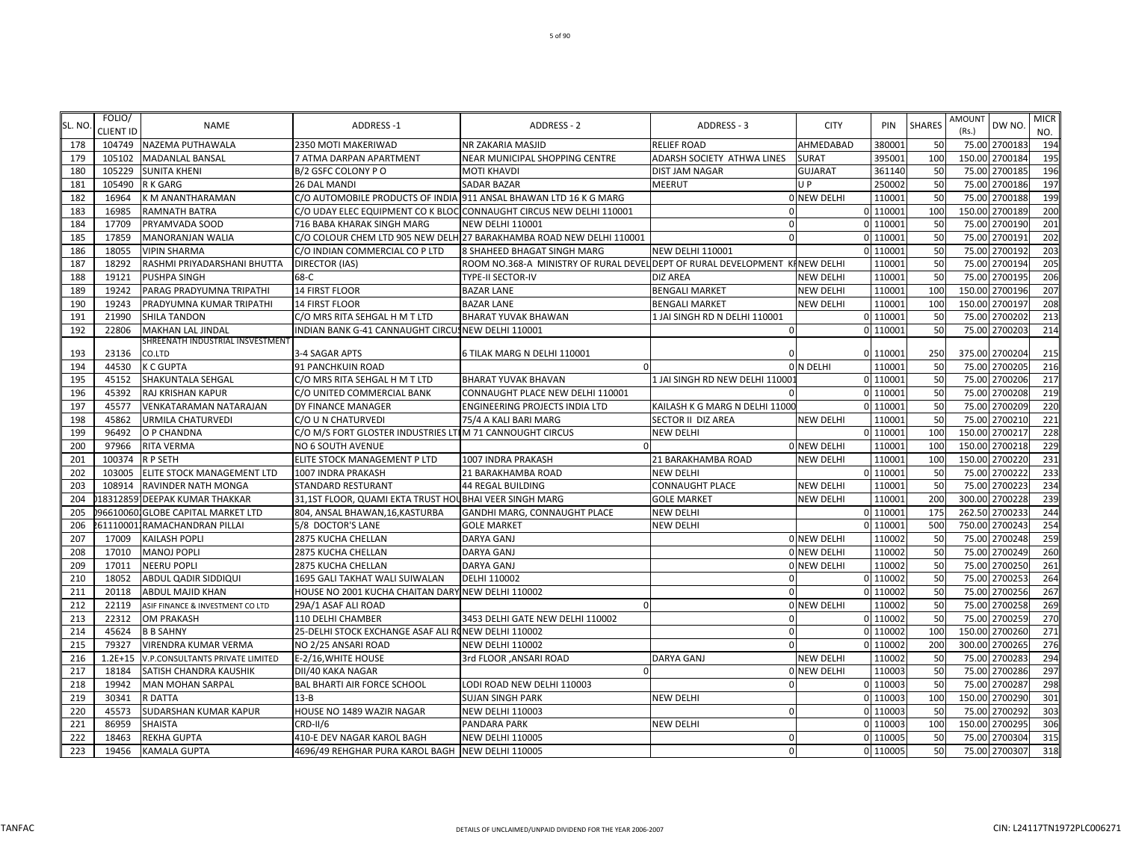| SL. NO | FOLIO/           | <b>NAME</b>                       | ADDRESS-1                                                | ADDRESS - 2                                                                 | ADDRESS - 3                     | <b>CITY</b>        | PIN      | <b>SHARES</b> | <b>AMOUNT</b> | DW NO.         | <b>MICR</b> |
|--------|------------------|-----------------------------------|----------------------------------------------------------|-----------------------------------------------------------------------------|---------------------------------|--------------------|----------|---------------|---------------|----------------|-------------|
|        | <b>CLIENT ID</b> |                                   |                                                          |                                                                             |                                 |                    |          |               | (Rs.)         |                | NO.         |
| 178    |                  | 104749 NAZEMA PUTHAWALA           | 2350 MOTI MAKERIWAD                                      | NR ZAKARIA MASJID                                                           | <b>RELIEF ROAD</b>              | AHMEDABAD          | 38000    | 50            |               | 75.00 2700183  | 194         |
| 179    | 105102           | <b>MADANLAL BANSAL</b>            | 7 ATMA DARPAN APARTMENT                                  | NEAR MUNICIPAL SHOPPING CENTRE                                              | ADARSH SOCIETY ATHWA LINES      | <b>SURAT</b>       | 395001   | 100           |               | 150.00 2700184 | 195         |
| 180    | 105229           | <b>SUNITA KHENI</b>               | B/2 GSFC COLONY PO                                       | <b>MOTI KHAVDI</b>                                                          | <b>DIST JAM NAGAR</b>           | <b>GUJARAT</b>     | 361140   | 50            | 75.00         | 2700185        | 196         |
| 181    | 105490           | R K GARG                          | 26 DAL MANDI                                             | <b>SADAR BAZAR</b>                                                          | <b>MEERUT</b>                   | UP                 | 250002   | 50            | 75.00         | 2700186        | 197         |
| 182    | 16964            | K M ANANTHARAMAN                  |                                                          | C/O AUTOMOBILE PRODUCTS OF INDIA 911 ANSAL BHAWAN LTD 16 K G MARG           |                                 | 0 NEW DELHI        | 11000    | 50            | 75.00         | 2700188        | 199         |
| 183    | 16985            | <b>RAMNATH BATRA</b>              |                                                          | C/O UDAY ELEC EQUIPMENT CO K BLOC CONNAUGHT CIRCUS NEW DELHI 110001         | $\Omega$                        |                    | 0 11000  | 100           | 150.00        | 2700189        | <b>200</b>  |
| 184    | 17709            | PRYAMVADA SOOD                    | 716 BABA KHARAK SINGH MARG                               | <b>NEW DELHI 110001</b>                                                     | $\mathbf{0}$                    |                    | 0 110001 | 50            | 75.00         | 2700190        | 201         |
| 185    | 17859            | <b>MANORANJAN WALIA</b>           |                                                          | C/O COLOUR CHEM LTD 905 NEW DELH 27 BARAKHAMBA ROAD NEW DELHI 110001        | $\Omega$                        |                    | 0 11000  | 50            | 75.00         | 2700191        | 202         |
| 186    | 18055            | <b>VIPIN SHARMA</b>               | C/O INDIAN COMMERCIAL CO P LTD                           | 8 SHAHEED BHAGAT SINGH MARG                                                 | <b>NEW DELHI 110001</b>         |                    | 0 11000  | 50            | 75.00         | 2700192        | 203         |
| 187    | 18292            | RASHMI PRIYADARSHANI BHUTTA       | <b>DIRECTOR (IAS)</b>                                    | ROOM NO.368-A MINISTRY OF RURAL DEVEL DEPT OF RURAL DEVELOPMENT KINEW DELHI |                                 |                    | 110001   | 50            | 75.00         | 2700194        | 205         |
| 188    | 19121            | <b>PUSHPA SINGH</b>               | 68-C                                                     | <b>TYPE-II SECTOR-IV</b>                                                    | <b>DIZ AREA</b>                 | <b>NEW DELHI</b>   | 110001   | 50            | 75.00         | 2700195        | 206         |
| 189    | 19242            | PARAG PRADYUMNA TRIPATHI          | 14 FIRST FLOOR                                           | <b>BAZAR LANE</b>                                                           | <b>BENGALI MARKET</b>           | <b>NEW DELHI</b>   | 110001   | 100           |               | 150.00 2700196 | 207         |
| 190    | 19243            | PRADYUMNA KUMAR TRIPATHI          | <b>14 FIRST FLOOR</b>                                    | <b>BAZAR LANE</b>                                                           | <b>BENGALI MARKET</b>           | <b>NEW DELHI</b>   | 110001   | 100           |               | 150.00 2700197 | 208         |
| 191    | 21990            | <b>SHILA TANDON</b>               | C/O MRS RITA SEHGAL H M T LTD                            | <b>BHARAT YUVAK BHAWAN</b>                                                  | 1 JAI SINGH RD N DELHI 110001   |                    | 0 110001 | 50            |               | 75.00 2700202  | 213         |
| 192    | 22806            | MAKHAN LAL JINDAL                 | INDIAN BANK G-41 CANNAUGHT CIRCUSNEW DELHI 110001        |                                                                             | $\mathbf{0}$                    |                    | 0 110001 | 50            |               | 75.00 2700203  | 214         |
|        |                  | SHREENATH INDUSTRIAL INSVESTMENT  |                                                          |                                                                             |                                 |                    |          |               |               |                |             |
| 193    | 23136            | CO.LTD                            | 3-4 SAGAR APTS                                           | 6 TILAK MARG N DELHI 110001                                                 | $\Omega$                        |                    | 0 110001 | 250           |               | 375.00 2700204 | 215         |
| 194    | 44530            | <b>K C GUPTA</b>                  | 91 PANCHKUIN ROAD                                        |                                                                             |                                 | OIN DELHI          | 11000    | 50            | 75.00         | 2700205        | 216         |
| 195    | 45152            | SHAKUNTALA SEHGAL                 | C/O MRS RITA SEHGAL H M T LTD                            | <b>BHARAT YUVAK BHAVAN</b>                                                  | 1 JAI SINGH RD NEW DELHI 11000: |                    | 0 11000  | 50            | 75.00         | 2700206        | 217         |
| 196    | 45392            | RAJ KRISHAN KAPUR                 | C/O UNITED COMMERCIAL BANK                               | CONNAUGHT PLACE NEW DELHI 110001                                            | $\Omega$                        |                    | 0 110001 | 50            | 75.00         | 2700208        | 219         |
| 197    | 45577            | <b>VENKATARAMAN NATARAJAN</b>     | DY FINANCE MANAGER                                       | ENGINEERING PROJECTS INDIA LTD                                              | KAILASH K G MARG N DELHI 11000  |                    | 0 110001 | 50            | 75.00         | 2700209        | 220         |
| 198    | 45862            | <b>URMILA CHATURVEDI</b>          | C/O U N CHATURVEDI                                       | 75/4 A KALI BARI MARG                                                       | SECTOR II DIZ AREA              | <b>NEW DELHI</b>   | 11000    | 50            | 75.00         | 2700210        | 221         |
| 199    | 96492            | O P CHANDNA                       | C/O M/S FORT GLOSTER INDUSTRIES LTIM 71 CANNOUGHT CIRCUS |                                                                             | <b>NEW DELHI</b>                |                    | 0 11000  | 100           | 150.00        | 2700217        | 228         |
| 200    | 97966            | RITA VERMA                        | NO 6 SOUTH AVENUE                                        |                                                                             |                                 | <b>ONEW DELHI</b>  | 11000    | 100           |               | 150.00 2700218 | 229         |
| 201    | 100374           | <b>RP SETH</b>                    | ELITE STOCK MANAGEMENT P LTD                             | 1007 INDRA PRAKASH                                                          | 21 BARAKHAMBA ROAD              | <b>NEW DELHI</b>   | 110001   | 100           |               | 150.00 2700220 | 231         |
| 202    | 103005           | ELITE STOCK MANAGEMENT LTD        | 1007 INDRA PRAKASH                                       | 21 BARAKHAMBA ROAD                                                          | <b>NEW DELHI</b>                |                    | 0 110001 | 50            |               | 75.00 2700222  | 233         |
| 203    | 108914           | RAVINDER NATH MONGA               | STANDARD RESTURANT                                       | <b>44 REGAL BUILDING</b>                                                    | <b>CONNAUGHT PLACE</b>          | <b>NEW DELHI</b>   | 110001   | 50            | 75.00         | 2700223        | 234         |
| 204    |                  | 18312859 DEEPAK KUMAR THAKKAR     | 31,1ST FLOOR, QUAMI EKTA TRUST HOUBHAI VEER SINGH MARG   |                                                                             | <b>GOLE MARKET</b>              | <b>NEW DELHI</b>   | 11000    | 200           |               | 300.00 2700228 | 239         |
| 205    |                  | 966100601GLOBE CAPITAL MARKET LTD | 804, ANSAL BHAWAN, 16, KASTURBA                          | GANDHI MARG, CONNAUGHT PLACE                                                | <b>NEW DELHI</b>                |                    | 0 11000  | 175           | 262.50        | 2700233        | 244         |
| 206    |                  | 611100011RAMACHANDRAN PILLAI      | 5/8 DOCTOR'S LANE                                        | <b>GOLE MARKET</b>                                                          | <b>NEW DELHI</b>                |                    | 0 11000  | 500           | 750.00        | 2700243        | 254         |
| 207    | 17009            | <b>KAILASH POPLI</b>              | 2875 KUCHA CHELLAN                                       | <b>DARYA GANJ</b>                                                           |                                 | 0 NEW DELHI        | 110002   | 50            | 75.00         | 2700248        | 259         |
| 208    | 17010            | <b>MANOJ POPLI</b>                | 2875 KUCHA CHELLAN                                       | <b>DARYA GANJ</b>                                                           |                                 | 0 NEW DELHI        | 110002   | 50            | 75.00         | 2700249        | 260         |
| 209    | 17011            | <b>NEERU POPLI</b>                | <b>2875 KUCHA CHELLAN</b>                                | <b>DARYA GANJ</b>                                                           |                                 | 0 NEW DELHI        | 110002   | 50            | 75.00         | 2700250        | 261         |
| 210    | 18052            | ABDUL QADIR SIDDIQUI              | 1695 GALI TAKHAT WALI SUIWALAN                           | DELHI 110002                                                                | $\mathbf{0}$                    |                    | 0 110002 | 50            | 75.00         | 2700253        | 264         |
| 211    | 20118            | <b>ABDUL MAJID KHAN</b>           | HOUSE NO 2001 KUCHA CHAITAN DARY NEW DELHI 110002        |                                                                             | $\Omega$                        |                    | 0 110002 | 50            |               | 75.00 2700256  | 267         |
| 212    | 22119            | ASIF FINANCE & INVESTMENT CO LTD  | 29A/1 ASAF ALI ROAD                                      |                                                                             |                                 | 0 NEW DELHI        | 110002   | 50            |               | 75.00 2700258  | 269         |
| 213    | 22312            | <b>OM PRAKASH</b>                 | 110 DELHI CHAMBER                                        | 3453 DELHI GATE NEW DELHI 110002                                            | $\Omega$                        |                    | 0 110002 | 50            |               | 75.00 2700259  | 270         |
| 214    | 45624            | <b>B B SAHNY</b>                  | 25-DELHI STOCK EXCHANGE ASAF ALI RONEW DELHI 110002      |                                                                             | $\Omega$                        |                    | 0 110002 | <b>100</b>    |               | 150.00 2700260 | 271         |
| 215    | 79327            | VIRENDRA KUMAR VERMA              | NO 2/25 ANSARI ROAD                                      | <b>NEW DELHI 110002</b>                                                     | $\Omega$                        |                    | 0 110002 | 200           |               | 300.00 2700265 | 276         |
| 216    | $1.2E + 15$      | V.P.CONSULTANTS PRIVATE LIMITED   | E-2/16, WHITE HOUSE                                      | 3rd FLOOR , ANSARI ROAD                                                     | <b>DARYA GANJ</b>               | <b>NEW DELHI</b>   | 110002   | 50            |               | 75.00 2700283  | 294         |
| 217    | 18184            | SATISH CHANDRA KAUSHIK            | DII/40 KAKA NAGAR                                        |                                                                             |                                 | <b>OINEW DELHI</b> | 110003   | 50            |               | 75.00 2700286  | 297         |
| 218    | 19942            | <b>MAN MOHAN SARPAL</b>           | <b>BAL BHARTI AIR FORCE SCHOOL</b>                       | LODI ROAD NEW DELHI 110003                                                  | $\mathbf{0}$                    |                    | 0 11000  | 50            | 75.00         | 2700287        | 298         |
| 219    | 30341            | R DATTA                           | $13 - B$                                                 | <b>SUJAN SINGH PARK</b>                                                     | <b>NEW DELHI</b>                |                    | 0 11000  | 100           |               | 150.00 2700290 | 301         |
| 220    | 45573            | SUDARSHAN KUMAR KAPUR             | HOUSE NO 1489 WAZIR NAGAR                                | <b>NEW DELHI 110003</b>                                                     | $\mathbf{0}$                    |                    | 0 11000  | 50            | 75.00         | 2700292        | 303         |
| 221    | 86959            | <b>SHAISTA</b>                    | <b>CRD-II/6</b>                                          | PANDARA PARK                                                                | <b>NEW DELHI</b>                |                    | 0 11000  | 100           | 150.00        | 2700295        | 306         |
| 222    | 18463            | <b>REKHA GUPTA</b>                | 410-E DEV NAGAR KAROL BAGH                               | <b>NEW DELHI 110005</b>                                                     | $\mathbf{0}$                    |                    | 0 110005 | 50            |               | 75.00 2700304  | 315         |
| 223    | 19456            | <b>KAMALA GUPTA</b>               | 4696/49 REHGHAR PURA KAROL BAGH NEW DELHI 110005         |                                                                             | $\Omega$                        |                    | 0 110005 | 50            |               | 75.00 2700307  | 318         |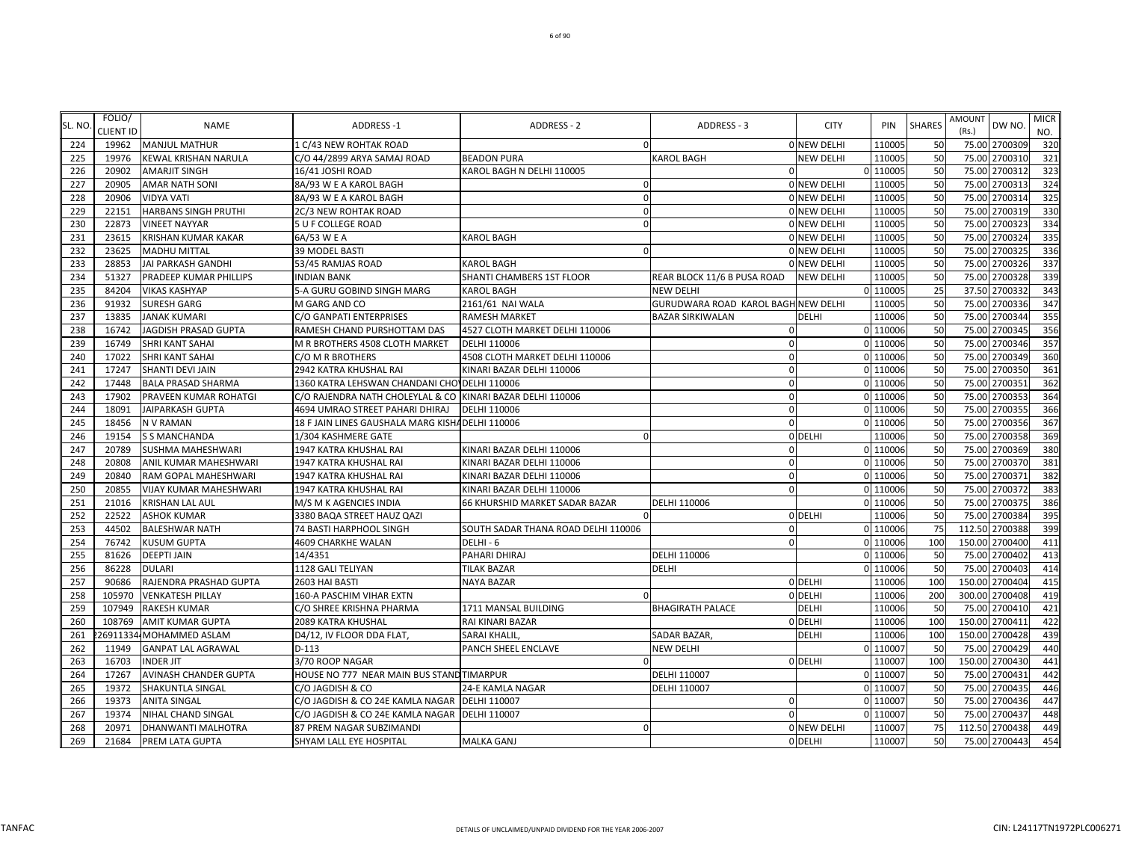| SL. NO | FOLIO/<br><b>CLIENT ID</b> | <b>NAME</b>                   | <b>ADDRESS-1</b>                                           | ADDRESS - 2                         | ADDRESS - 3                         | <b>CITY</b>      | PIN      | <b>SHARES</b> | <b>AMOUNT</b><br>DW NO.<br>(Rs.) | <b>MICR</b><br>NO. |
|--------|----------------------------|-------------------------------|------------------------------------------------------------|-------------------------------------|-------------------------------------|------------------|----------|---------------|----------------------------------|--------------------|
| 224    | 19962                      | <b>MANJUL MATHUR</b>          | 1 C/43 NEW ROHTAK ROAD                                     | $\Omega$                            |                                     | 0 NEW DELHI      | 110005   | 50            | 75.00 2700309                    | 320                |
| 225    | 19976                      | <b>KEWAL KRISHAN NARULA</b>   | C/O 44/2899 ARYA SAMAJ ROAD                                | <b>BEADON PURA</b>                  | <b>KAROL BAGH</b>                   | <b>NEW DELHI</b> | 110005   | 50            | 75.00 2700310                    | 321                |
| 226    | 20902                      | <b>AMARJIT SINGH</b>          | 16/41 JOSHI ROAD                                           | KAROL BAGH N DELHI 110005           |                                     |                  | 0 110005 | 50            | 75.00 2700312                    | 323                |
| 227    | 20905                      | <b>AMAR NATH SONI</b>         | 8A/93 W E A KAROL BAGH                                     | $\Omega$                            |                                     | 0 NEW DELHI      | 110005   | 50            | 2700313<br>75.00                 | 324                |
| 228    | 20906                      | <b>VIDYA VATI</b>             | 8A/93 W E A KAROL BAGH                                     | $\Omega$                            |                                     | ONEW DELHI       | 110005   | 50            | 2700314<br>75.00                 | 325                |
| 229    | 22151                      | <b>HARBANS SINGH PRUTHI</b>   | 2C/3 NEW ROHTAK ROAD                                       | $\Omega$                            |                                     | ONEW DELHI       | 110005   | 50            | 2700319<br>75.00                 | 330                |
| 230    | 22873                      | <b>VINEET NAYYAR</b>          | 5 U F COLLEGE ROAD                                         |                                     |                                     | 0 NEW DELHI      | 110005   | 50            | 75.00<br>2700323                 | 334                |
| 231    | 23615                      | KRISHAN KUMAR KAKAR           | 6A/53 W E A                                                | <b>KAROL BAGH</b>                   |                                     | 0 NEW DELHI      | 110005   | 50            | 75.00 2700324                    | 335                |
| 232    | 23625                      | <b>MADHU MITTAL</b>           | 39 MODEL BASTI                                             | $\Omega$                            |                                     | 0 NEW DELHI      | 110005   | 50            | 75.00 2700325                    | 336                |
| 233    | 28853                      | <b>JAI PARKASH GANDHI</b>     | 53/45 RAMJAS ROAD                                          | <b>KAROL BAGH</b>                   |                                     | 0 NEW DELHI      | 110005   | 50            | 75.00 2700326                    | 337                |
| 234    | 51327                      | PRADEEP KUMAR PHILLIPS        | <b>INDIAN BANK</b>                                         | SHANTI CHAMBERS 1ST FLOOR           | REAR BLOCK 11/6 B PUSA ROAD         | <b>NEW DELHI</b> | 110005   | 50            | 75.00<br>2700328                 | 339                |
| 235    | 84204                      | <b>VIKAS KASHYAP</b>          | 5-A GURU GOBIND SINGH MARG                                 | <b>KAROL BAGH</b>                   | NEW DELHI                           |                  | 0 110005 | 25            | 37.50 2700332                    | 343                |
| 236    | 91932                      | <b>SURESH GARG</b>            | M GARG AND CO                                              | 2161/61 NAI WALA                    | GURUDWARA ROAD KAROL BAGH NEW DELHI |                  | 110005   | 50            | 75.00<br>2700336                 | 347                |
| 237    | 13835                      | <b>JANAK KUMARI</b>           | C/O GANPATI ENTERPRISES                                    | RAMESH MARKET                       | <b>BAZAR SIRKIWALAN</b>             | DELHI            | 110006   | 50            | 75.00<br>2700344                 | 355                |
| 238    | 16742                      | JAGDISH PRASAD GUPTA          | RAMESH CHAND PURSHOTTAM DAS                                | 4527 CLOTH MARKET DELHI 110006      |                                     |                  | 0 110006 | 50            | 2700345<br>75.00                 | 356                |
| 239    | 16749                      | <b>SHRI KANT SAHAI</b>        | M R BROTHERS 4508 CLOTH MARKET                             | DELHI 110006                        | 0                                   |                  | 0 110006 | 50            | 75.00 2700346                    | 357                |
| 240    | 17022                      | SHRI KANT SAHAI               | C/O M R BROTHERS                                           | 4508 CLOTH MARKET DELHI 110006      | $\mathbf 0$                         |                  | 0 110006 | 50            | 75.00 2700349                    | 360                |
| 241    | 17247                      | <b>SHANTI DEVI JAIN</b>       | 2942 KATRA KHUSHAL RAI                                     | KINARI BAZAR DELHI 110006           | $\mathbf 0$                         |                  | 0 110006 | 50            | 75.00 2700350                    | 361                |
| 242    | 17448                      | <b>BALA PRASAD SHARMA</b>     | 1360 KATRA LEHSWAN CHANDANI CHO' DELHI 110006              |                                     | $\Omega$                            |                  | 0 110006 | 50            | 75.00<br>2700351                 | 362                |
| 243    | 17902                      | PRAVEEN KUMAR ROHATGI         | C/O RAJENDRA NATH CHOLEYLAL & CO KINARI BAZAR DELHI 110006 |                                     | $\Omega$                            |                  | 0 110006 | 50            | 2700353<br>75.00                 | 364                |
| 244    | 18091                      | <b>JAIPARKASH GUPTA</b>       | 4694 UMRAO STREET PAHARI DHIRAJ                            | DELHI 110006                        | $\Omega$                            |                  | 0 110006 | 50            | 75.00<br>2700355                 | 366                |
| 245    | 18456                      | <b>NV RAMAN</b>               | 18 F JAIN LINES GAUSHALA MARG KISHA DELHI 110006           |                                     | $\Omega$                            |                  | 0 110006 | 50            | 75.00<br>2700356                 | 367                |
| 246    | 19154                      | <b>S S MANCHANDA</b>          | 1/304 KASHMERE GATE                                        |                                     |                                     | 0 DELHI          | 110006   | 50            | 75.00<br>2700358                 | 369                |
| 247    | 20789                      | <b>SUSHMA MAHESHWARI</b>      | 1947 KATRA KHUSHAL RAI                                     | KINARI BAZAR DELHI 110006           | $\Omega$                            |                  | 0 110006 | 50            | 75.00 2700369                    | 380                |
| 248    | 20808                      | ANIL KUMAR MAHESHWARI         | 1947 KATRA KHUSHAL RAI                                     | KINARI BAZAR DELHI 110006           | $\Omega$                            |                  | 0 110006 | 50            | 75.00 2700370                    | 381                |
| 249    | 20840                      | RAM GOPAL MAHESHWARI          | 1947 KATRA KHUSHAL RAI                                     | KINARI BAZAR DELHI 110006           | $\Omega$                            |                  | 0 110006 | 50            | 75.00 2700371                    | 382                |
| 250    | 20855                      | <b>VIJAY KUMAR MAHESHWARI</b> | 1947 KATRA KHUSHAL RAI                                     | KINARI BAZAR DELHI 110006           | $\Omega$                            |                  | 0 110006 | 50            | 2700372<br>75.00                 | 383                |
| 251    | 21016                      | <b>KRISHAN LAL AUL</b>        | M/S M K AGENCIES INDIA                                     | 66 KHURSHID MARKET SADAR BAZAR      | DELHI 110006                        |                  | 0 110006 | 50            | 75.00<br>2700375                 | 386                |
| 252    | 22522                      | <b>ASHOK KUMAR</b>            | 3380 BAQA STREET HAUZ QAZI                                 |                                     |                                     | 0 DELHI          | 110006   | 50            | 75.00<br>2700384                 | 395                |
| 253    | 44502                      | <b>BALESHWAR NATH</b>         | 74 BASTI HARPHOOL SINGH                                    | SOUTH SADAR THANA ROAD DELHI 110006 | $\Omega$                            |                  | 0 110006 | 75            | 112.50<br>2700388                | 399                |
| 254    | 76742                      | <b>KUSUM GUPTA</b>            | 4609 CHARKHE WALAN                                         | DELHI-6                             |                                     |                  | 0 110006 | 100           | 2700400<br>150.00                | 411                |
| 255    | 81626                      | <b>DEEPTI JAIN</b>            | 14/4351                                                    | PAHARI DHIRAJ                       | DELHI 110006                        |                  | 0 110006 | 50            | 75.00 2700402                    | 413                |
| 256    | 86228                      | <b>DULARI</b>                 | 1128 GALI TELIYAN                                          | <b>TILAK BAZAR</b>                  | DELHI                               |                  | 0 110006 | 50            | 75.00 2700403                    | 414                |
| 257    | 90686                      | RAJENDRA PRASHAD GUPTA        | 2603 HAI BASTI                                             | <b>NAYA BAZAR</b>                   |                                     | 0 DELHI          | 110006   | 100           | 150.00 2700404                   | 415                |
| 258    | 105970                     | <b>VENKATESH PILLAY</b>       | 160-A PASCHIM VIHAR EXTN                                   |                                     |                                     | 0 DELHI          | 110006   | 200           | 300.00 2700408                   | 419                |
| 259    | 107949                     | <b>RAKESH KUMAR</b>           | C/O SHREE KRISHNA PHARMA                                   | 1711 MANSAL BUILDING                | <b>BHAGIRATH PALACE</b>             | <b>DELHI</b>     | 110006   | 50            | 2700410<br>75.00                 | 421                |
| 260    | 108769                     | <b>AMIT KUMAR GUPTA</b>       | 2089 KATRA KHUSHAL                                         | RAI KINARI BAZAR                    |                                     | 0 DELHI          | 110006   | 100           | 150.00 2700411                   | 422                |
| 261    |                            | 26911334 MOHAMMED ASLAM       | D4/12, IV FLOOR DDA FLAT,                                  | SARAI KHALIL,                       | SADAR BAZAR,                        | <b>DELHI</b>     | 110006   | 100           | 150.00 2700428                   | 439                |
| 262    | 11949                      | <b>GANPAT LAL AGRAWAL</b>     | $D-113$                                                    | PANCH SHEEL ENCLAVE                 | NEW DELHI                           |                  | 0 110007 | 50            | 75.00<br>2700429                 | 440                |
| 263    | 16703                      | <b>INDER JIT</b>              | 3/70 ROOP NAGAR                                            |                                     |                                     | 0 DELHI          | 110007   | 100           | 150.00 2700430                   | 441                |
| 264    | 17267                      | <b>AVINASH CHANDER GUPTA</b>  | HOUSE NO 777 NEAR MAIN BUS STAND TIMARPUR                  |                                     | DELHI 110007                        |                  | 0 110007 | 50            | 75.00<br>2700431                 | 442                |
| 265    | 19372                      | SHAKUNTLA SINGAL              | C/O JAGDISH & CO                                           | 24-E KAMLA NAGAR                    | DELHI 110007                        |                  | 0 110007 | 50            | 75.00 2700435                    | 446                |
| 266    | 19373                      | <b>ANITA SINGAL</b>           | C/O JAGDISH & CO 24E KAMLA NAGAR   DELHI 110007            |                                     | $\Omega$                            |                  | 0 110007 | 50            | 2700436<br>75.00                 | 447                |
| 267    | 19374                      | NIHAL CHAND SINGAL            | C/O JAGDISH & CO 24E KAMLA NAGAR   DELHI 110007            |                                     | $\Omega$                            |                  | 0 110007 | 50            | 75.00 2700437                    | 448                |
| 268    | 20971                      | <b>DHANWANTI MALHOTRA</b>     | 87 PREM NAGAR SUBZIMANDI                                   | $\Omega$                            |                                     | 0 NEW DELHI      | 110007   | 75            | 112.50 2700438                   | 449                |
| 269    |                            | 21684 PREM LATA GUPTA         | SHYAM LALL EYE HOSPITAL                                    | <b>MALKA GANJ</b>                   |                                     | 0 DELHI          | 110007   | 50            | 75.00 2700443                    | 454                |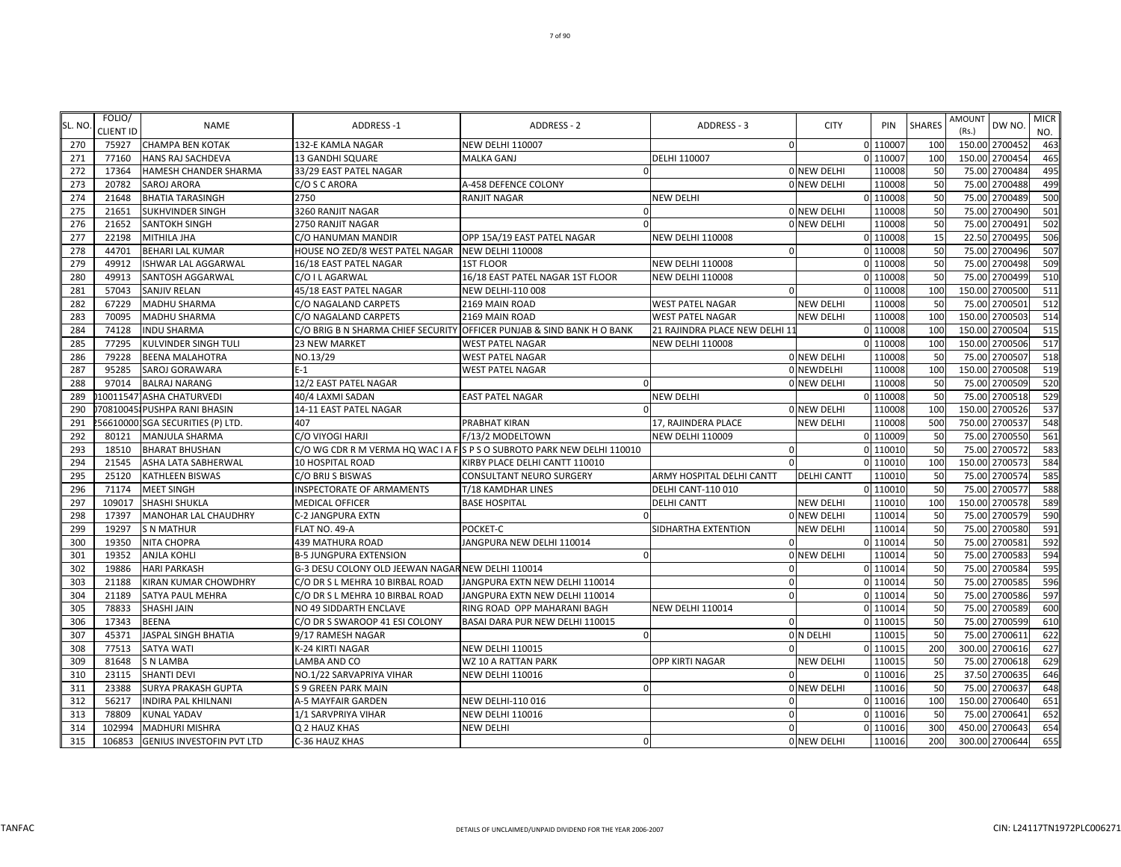| SL. NO     | FOLIO/<br><b>CLIENT ID</b> | <b>NAME</b>                                               | ADDRESS-1                                         | <b>ADDRESS - 2</b>                                                      | ADDRESS - 3                    | <b>CITY</b>        | PIN                | <b>SHARES</b> | AMOUNT<br>(Rs.) | DW NO.                           | <b>MICR</b><br>NO. |
|------------|----------------------------|-----------------------------------------------------------|---------------------------------------------------|-------------------------------------------------------------------------|--------------------------------|--------------------|--------------------|---------------|-----------------|----------------------------------|--------------------|
| 270        | 75927                      | <b>CHAMPA BEN KOTAK</b>                                   | 132-E KAMLA NAGAR                                 | <b>NEW DELHI 110007</b>                                                 | $\Omega$                       |                    | 0 110007           | <b>100</b>    |                 | 150.00 2700452                   | 463                |
| 271        | 77160                      | HANS RAJ SACHDEVA                                         | 13 GANDHI SQUARE                                  | <b>MALKA GANJ</b>                                                       | DELHI 110007                   |                    | 0 110007           | 100           | 150.00          | 2700454                          | 465                |
| 272        | 17364                      | HAMESH CHANDER SHARMA                                     | 33/29 EAST PATEL NAGAR                            |                                                                         |                                | 0 NEW DELHI        | 110008             | 50            |                 | 75.00 2700484                    | 495                |
| 273        | 20782                      | <b>SAROJ ARORA</b>                                        | C/O S C ARORA                                     | A-458 DEFENCE COLONY                                                    |                                | 0 NEW DELHI        | 110008             | 50            | 75.00           | 2700488                          | 499                |
| 274        | 21648                      | <b>BHATIA TARASINGH</b>                                   | 2750                                              | <b>RANJIT NAGAR</b>                                                     | NEW DELHI                      |                    | 0 110008           | 50            | 75.00           | 2700489                          | 500                |
| 275        | 21651                      | <b>SUKHVINDER SINGH</b>                                   | 3260 RANJIT NAGAR                                 |                                                                         |                                | <b>O NEW DELHI</b> | 110008             | 50            | 75.00           | 2700490                          | 501                |
| 276        | 21652                      | SANTOKH SINGH                                             | 2750 RANJIT NAGAR                                 |                                                                         |                                | <b>ONEW DELHI</b>  | 110008             | 50            | 75.00           | 2700491                          | 502                |
| 277        | 22198                      | MITHILA JHA                                               | C/O HANUMAN MANDIR                                | OPP 15A/19 EAST PATEL NAGAR                                             | <b>NEW DELHI 110008</b>        |                    | 0 110008           | 15            |                 | 22.50 2700495                    | 506                |
| 278        | 44701                      | <b>BEHARI LAL KUMAR</b>                                   | HOUSE NO ZED/8 WEST PATEL NAGAR                   | <b>NEW DELHI 110008</b>                                                 | <sup>n</sup>                   |                    | 0 110008           | 50            | 75.00           | 2700496                          | 507                |
| 279        | 49912                      | <b>ISHWAR LAL AGGARWAL</b>                                | 16/18 EAST PATEL NAGAR                            | <b>1ST FLOOR</b>                                                        | <b>NEW DELHI 110008</b>        |                    | 0 110008           | 50            |                 | 75.00 2700498                    | 509                |
| 280        | 49913                      | SANTOSH AGGARWAL                                          | C/O I L AGARWAL                                   | 16/18 EAST PATEL NAGAR 1ST FLOOR                                        | <b>NEW DELHI 110008</b>        |                    | 0 110008           | 50            | 75.00           | 2700499                          | 510                |
| 281        | 57043                      | <b>SANJIV RELAN</b>                                       | 45/18 EAST PATEL NAGAR                            | <b>NEW DELHI-110 008</b>                                                |                                |                    | 0 110008           | 100           |                 | 150.00 2700500                   | 511                |
| 282        | 67229                      | <b>MADHU SHARMA</b>                                       | C/O NAGALAND CARPETS                              | 2169 MAIN ROAD                                                          | <b>WEST PATEL NAGAR</b>        | <b>NEW DELHI</b>   | 110008             | 50            |                 | 75.00 2700501                    | 512                |
| 283        | 70095                      | <b>MADHU SHARMA</b>                                       | C/O NAGALAND CARPETS                              | 2169 MAIN ROAD                                                          | <b>WEST PATEL NAGAR</b>        | <b>NEW DELHI</b>   | 110008             | <b>100</b>    | 150.00          | 2700503                          | 514                |
| 284        | 74128                      | <b>INDU SHARMA</b>                                        |                                                   | C/O BRIG B N SHARMA CHIEF SECURITY OFFICER PUNJAB & SIND BANK H O BANK  | 21 RAJINDRA PLACE NEW DELHI 1: |                    | 0 110008           | 100           |                 | 150.00 2700504                   | 515                |
| 285        | 77295                      | KULVINDER SINGH TULI                                      | 23 NEW MARKET                                     | <b>WEST PATEL NAGAR</b>                                                 | <b>NEW DELHI 110008</b>        |                    | 0 110008           | 100           |                 | 150.00 2700506                   | 517                |
| 286        | 79228                      | <b>BEENA MALAHOTRA</b>                                    | NO.13/29                                          | <b>WEST PATEL NAGAR</b>                                                 |                                | 0 NEW DELHI        | 110008             | 50            | 75.00           | 2700507                          | 518                |
| 287        | 95285                      | SAROJ GORAWARA                                            | $E-1$                                             | <b>WEST PATEL NAGAR</b>                                                 |                                | 0 NEWDELHI         | 110008             | 100           | 150.00          | 2700508                          | 519                |
| 288        | 97014                      | <b>BALRAJ NARANG</b>                                      | 12/2 EAST PATEL NAGAR                             |                                                                         |                                | 0 NEW DELHI        | 110008             | 50            | 75.00           | 2700509                          | 520                |
| 289        |                            | 10011547 ASHA CHATURVEDI                                  | 40/4 LAXMI SADAN                                  | <b>EAST PATEL NAGAR</b>                                                 | <b>NEW DELHI</b>               |                    | 0 110008           | 50            | 75.00           | 2700518                          | 529                |
| 290        |                            | 708100451PUSHPA RANI BHASIN                               | 14-11 EAST PATEL NAGAR                            |                                                                         |                                | 0 NEW DELHI        | 110008             | 100           | 150.00          | 2700526                          | 537                |
| 291        |                            | 566100001SGA SECURITIES (P) LTD.                          | 407                                               | PRABHAT KIRAN                                                           | 17, RAJINDERA PLACE            | <b>NEW DELHI</b>   | 110008             | 500           | 750.00          | 2700537                          | 548                |
| 292        | 80121                      | <b>MANJULA SHARMA</b>                                     | C/O VIYOGI HARJI                                  | F/13/2 MODELTOWN                                                        | <b>NEW DELHI 110009</b>        |                    | 0 110009           | 50            | 75.00           | 2700550                          | 561                |
| 293        | 18510                      | <b>BHARAT BHUSHAN</b>                                     |                                                   | C/O WG CDR R M VERMA HQ WAC I A F S P S O SUBROTO PARK NEW DELHI 110010 | $\Omega$                       |                    | 0 110010           | 50            | 75.00           | 2700572                          | 583                |
| 294        | 21545                      | ASHA LATA SABHERWAL                                       | 10 HOSPITAL ROAD                                  | KIRBY PLACE DELHI CANTT 110010                                          |                                |                    | 0 110010           | 100           | 150.00          | 2700573                          | 584                |
| 295        | 25120                      | <b>KATHLEEN BISWAS</b>                                    | C/O BRIJ S BISWAS                                 | <b>CONSULTANT NEURO SURGERY</b>                                         | ARMY HOSPITAL DELHI CANTT      | <b>DELHI CANTT</b> | 110010             | 50            |                 | 75.00 2700574                    | 585                |
| 296        | 71174                      | <b>MEET SINGH</b>                                         | INSPECTORATE OF ARMAMENTS                         | T/18 KAMDHAR LINES                                                      | DELHI CANT-110 010             |                    | 0 110010           | 50            | 75.00           | 2700577                          | 588                |
| 297        | 109017                     | <b>SHASHI SHUKLA</b>                                      | MEDICAL OFFICER                                   | <b>BASE HOSPITAL</b>                                                    | <b>DELHI CANTT</b>             | <b>NEW DELHI</b>   | 110010             | 100           | 150.00          | 2700578                          | 589                |
| 298        | 17397                      | MANOHAR LAL CHAUDHRY                                      | C-2 JANGPURA EXTN                                 |                                                                         |                                | <b>O NEW DELHI</b> | 110014             | 50            | 75.00           | 2700579                          | 590                |
| 299        | 19297                      | <b>S N MATHUR</b>                                         | FLAT NO. 49-A                                     | POCKET-C                                                                | SIDHARTHA EXTENTION            | <b>NEW DELHI</b>   | 110014             | 50            | 75.00           | 2700580                          | 591                |
| 300        | 19350                      | <b>NITA CHOPRA</b>                                        | 439 MATHURA ROAD                                  | JANGPURA NEW DELHI 110014                                               |                                |                    | 0 110014           | 50            | 75.00           | 270058                           | 592                |
| 301        | 19352                      | <b>ANJLA KOHLI</b>                                        | <b>B-5 JUNGPURA EXTENSION</b>                     |                                                                         |                                | 0 NEW DELHI        | 110014             | 50            | 75.00           | 2700583                          | 594                |
| 302        | 19886                      | <b>HARI PARKASH</b>                                       | G-3 DESU COLONY OLD JEEWAN NAGAR NEW DELHI 110014 |                                                                         | $\Omega$                       |                    | 0 110014           | 50            |                 | 75.00 2700584                    | 595                |
| 303        | 21188                      | KIRAN KUMAR CHOWDHRY                                      | C/O DR S L MEHRA 10 BIRBAL ROAD                   | JANGPURA EXTN NEW DELHI 110014                                          | $\Omega$                       |                    | 0 110014           | 50            |                 | 75.00 2700585                    | 596                |
| 304        | 21189                      | SATYA PAUL MEHRA                                          | C/O DR S L MEHRA 10 BIRBAL ROAD                   | JANGPURA EXTN NEW DELHI 110014                                          | $\Omega$                       |                    | 0 110014           | 50            | 75.00           | 2700586                          | 597                |
| 305        | 78833                      | <b>SHASHI JAIN</b>                                        | NO 49 SIDDARTH ENCLAVE                            | RING ROAD OPP MAHARANI BAGH                                             | <b>NEW DELHI 110014</b>        |                    | 0 110014           | 50            | 75.00           | 2700589                          | 600                |
| 306        | 17343                      | <b>BEENA</b>                                              | C/O DR S SWAROOP 41 ESI COLONY                    | BASAI DARA PUR NEW DELHI 110015                                         | $\Omega$                       |                    | 0 110015           | 50            | 75.00           | 2700599                          | 610                |
| 307        | 45371                      | <b>JASPAL SINGH BHATIA</b>                                | 9/17 RAMESH NAGAR                                 | $\Omega$                                                                |                                | O N DELHI          | 110015             | 50            | 75.00           | 2700611                          | 622                |
| 308        | 77513                      | <b>SATYA WATI</b>                                         | K-24 KIRTI NAGAR                                  | <b>NEW DELHI 110015</b>                                                 |                                |                    | 0 110015           | 200           | 300.00          | 2700616                          | 627                |
| 309        | 81648                      | <b>S N LAMBA</b>                                          | LAMBA AND CO                                      | WZ 10 A RATTAN PARK                                                     | OPP KIRTI NAGAR                | <b>NEW DELHI</b>   | 110015             | 50            |                 | 75.00 2700618                    | 629                |
| 310        | 23115                      | <b>SHANTI DEVI</b>                                        | NO.1/22 SARVAPRIYA VIHAR                          | <b>NEW DELHI 110016</b>                                                 | $\Omega$                       |                    | 0 110016           | 25            |                 | 37.50 2700635                    | 646                |
| 311        | 23388                      | SURYA PRAKASH GUPTA                                       | <b>S 9 GREEN PARK MAIN</b>                        | $\Omega$                                                                |                                | <b>OINEW DELHI</b> | 110016             | 50            |                 | 75.00 2700637                    | 648                |
| 312        | 56217                      | INDIRA PAL KHILNANI                                       | A-5 MAYFAIR GARDEN                                | NEW DELHI-110 016                                                       | $\Omega$                       |                    | 0 110016           | 100           | 150.00          | 2700640                          | 651                |
| 313        | 78809                      | KUNAL YADAV                                               | 1/1 SARVPRIYA VIHAR                               | <b>NEW DELHI 110016</b>                                                 | $\Omega$                       |                    | 0 110016           | 50            | 75.00           | 2700641                          | 652                |
| 314<br>315 | 102994<br>106853           | <b>MADHURI MISHRA</b><br><b>GENIUS INVESTOFIN PVT LTD</b> | Q 2 HAUZ KHAS                                     | <b>NEW DELHI</b><br>$\Omega$                                            | $\Omega$                       |                    | 0 110016<br>110016 | 300<br>200    |                 | 450.00 2700643<br>300.00 2700644 | 654<br>655         |
|            |                            |                                                           | C-36 HAUZ KHAS                                    |                                                                         |                                | 0 NEW DELHI        |                    |               |                 |                                  |                    |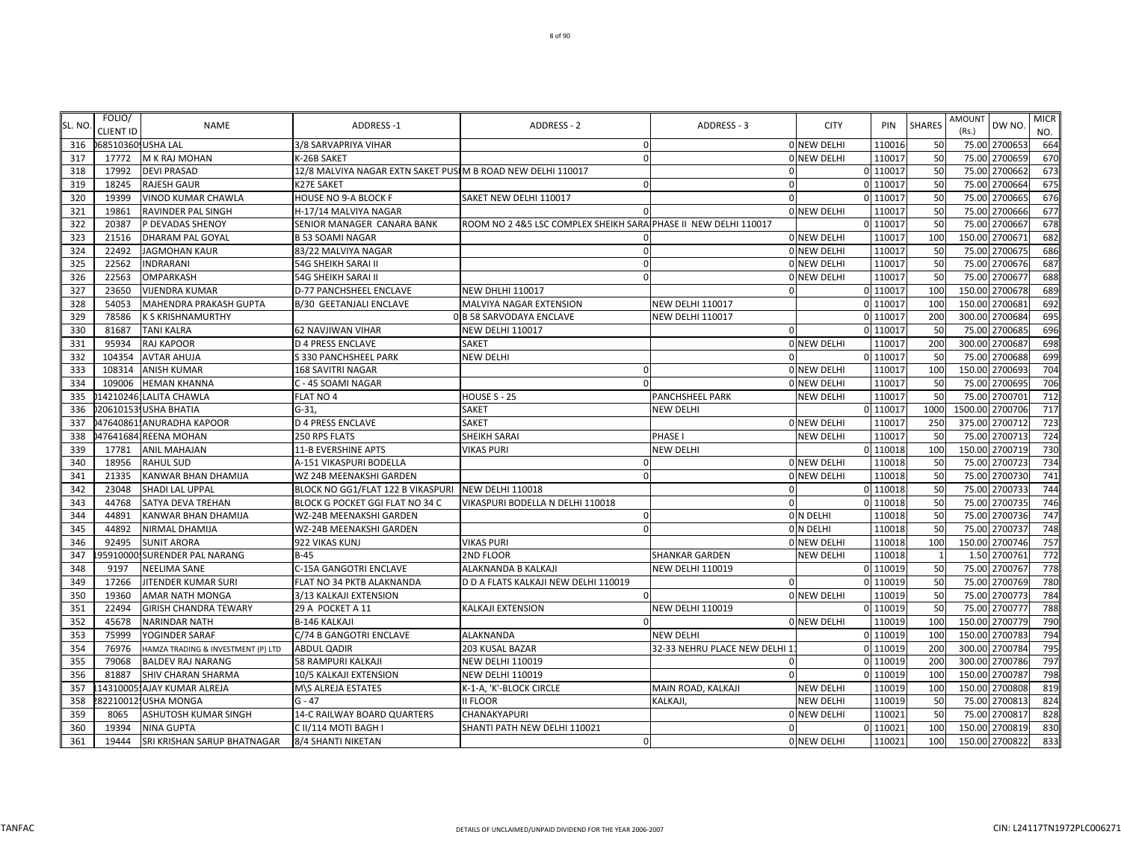| SL. NO | FOLIO/<br><b>CLIENT ID</b> | <b>NAME</b>                        | <b>ADDRESS-1</b>                                             | <b>ADDRESS - 2</b>                    | ADDRESS - 3                   | <b>CITY</b>        | PIN       | <b>SHARES</b> | <b>AMOUNT</b><br>DW NO.<br>(Rs.) | <b>MICR</b><br>NO. |
|--------|----------------------------|------------------------------------|--------------------------------------------------------------|---------------------------------------|-------------------------------|--------------------|-----------|---------------|----------------------------------|--------------------|
| 316    | 068510360 USHA LAL         |                                    | 3/8 SARVAPRIYA VIHAR                                         | $\Omega$                              |                               | 0 NEW DELHI        | 110016    | 50            | 75.00 2700653                    | 664                |
| 317    | 17772                      | <b>M K RAJ MOHAN</b>               | K-26B SAKET                                                  | $\Omega$                              |                               | <b>ONEW DELHI</b>  | 11001     | 50            | 2700659<br>75.00                 | 670                |
| 318    | 17992                      | <b>DEVI PRASAD</b>                 | 12/8 MALVIYA NAGAR EXTN SAKET PUSI M B ROAD NEW DELHI 110017 |                                       | $\Omega$                      |                    | $0$ 11001 | 50            | 2700662<br>75.00                 | 673                |
| 319    | 18245                      | <b>RAJESH GAUR</b>                 | <b>K27E SAKET</b>                                            | $\Omega$                              | $\Omega$                      |                    | $0$ 11001 | 50            | 2700664<br>75.00                 | 675                |
| 320    | 19399                      | VINOD KUMAR CHAWLA                 | HOUSE NO 9-A BLOCK F                                         | SAKET NEW DELHI 110017                | $\Omega$                      |                    | $0$ 11001 | 50            | 2700665<br>75.00                 | 676                |
| 321    | 19861                      | RAVINDER PAL SINGH                 | H-17/14 MALVIYA NAGAR                                        |                                       |                               | ONEW DELHI         | 11001     | 50            | 2700666<br>75.00                 | 677                |
| 322    | 20387                      | P DEVADAS SHENOY                   | SENIOR MANAGER CANARA BANK                                   | ROOM NO 2 4&5 LSC COMPLEX SHEIKH SARA | PHASE II NEW DELHI 110017     |                    | 0 11001   | 50            | 75.00<br>270066                  | 678                |
| 323    | 21516                      | DHARAM PAL GOYAL                   | <b>B 53 SOAMI NAGAR</b>                                      |                                       |                               | 0 NEW DELHI        | 11001     | 100           | 270067<br>150.00                 | 682                |
| 324    | 22492                      | <b>JAGMOHAN KAUR</b>               | 83/22 MALVIYA NAGAR                                          | $\Omega$                              |                               | 0 NEW DELHI        | 110017    | 50            | 75.00<br>2700675                 | 686                |
| 325    | 22562                      | <b>INDRARANI</b>                   | 54G SHEIKH SARAI II                                          | $\Omega$                              |                               | 0 NEW DELHI        | 110017    | 50            | 75.00 2700676                    | 687                |
| 326    | 22563                      | OMPARKASH                          | 54G SHEIKH SARAI II                                          | $\Omega$                              |                               | <b>ONEW DELHI</b>  | 110017    | 50            | 2700677<br>75.00                 | 688                |
| 327    | 23650                      | <b>VIJENDRA KUMAR</b>              | D-77 PANCHSHEEL ENCLAVE                                      | <b>NEW DHLHI 110017</b>               |                               |                    | 0 110017  | 100           | 150.00 2700678                   | 689                |
| 328    | 54053                      | MAHENDRA PRAKASH GUPTA             | <b>B/30 GEETANJALI ENCLAVE</b>                               | MALVIYA NAGAR EXTENSION               | <b>NEW DELHI 110017</b>       |                    | 0 110017  | 100           | 270068<br>150.00                 | 692                |
| 329    | 78586                      | <b>K S KRISHNAMURTHY</b>           |                                                              | 0 B 58 SARVODAYA ENCLAVE              | <b>NEW DELHI 110017</b>       |                    | $0$ 11001 | 200           | 300.00<br>2700684                | 695                |
| 330    | 81687                      | TANI KALRA                         | <b>62 NAVJIWAN VIHAR</b>                                     | <b>NEW DELHI 110017</b>               | $\Omega$                      |                    | 0 11001   | 50            | 270068<br>75.00                  | 696                |
| 331    | 95934                      | RAJ KAPOOR                         | <b>D 4 PRESS ENCLAVE</b>                                     | SAKET                                 |                               | 0 NEW DELHI        | 110017    | 200           | 300.00 2700687                   | 698                |
| 332    | 104354                     | <b>AVTAR AHUJA</b>                 | S 330 PANCHSHEEL PARK                                        | <b>NEW DELHI</b>                      | $\Omega$                      |                    | 0 11001   | 50            | 2700688<br>75.00                 | 699                |
| 333    | 108314                     | <b>ANISH KUMAR</b>                 | 168 SAVITRI NAGAR                                            | $\Omega$                              |                               | 0 NEW DELHI        | 110017    | 100           | 150.00<br>2700693                | 704                |
| 334    | 109006                     | <b>HEMAN KHANNA</b>                | C - 45 SOAMI NAGAR                                           | $\Omega$                              |                               | <b>0 NEW DELHI</b> | 110017    | 50            | 75.00<br>2700695                 | 706                |
| 335    |                            | 14210246; LALITA CHAWLA            | FLAT NO 4                                                    | HOUSE S - 25                          | PANCHSHEEL PARK               | <b>NEW DELHI</b>   | 110017    | 50            | 75.00<br>2700701                 | 712                |
| 336    |                            | 20610153 USHA BHATIA               | $G-31$                                                       | <b>SAKET</b>                          | <b>NEW DELHI</b>              |                    | 0 110017  | 1000          | 1500.00<br>2700706               | 717                |
| 337    |                            | 47640861. ANURADHA KAPOOR          | <b>D 4 PRESS ENCLAVE</b>                                     | <b>SAKET</b>                          |                               | <b>O NEW DELHI</b> | 11001     | <b>250</b>    | 2700712<br>375.00                | 723                |
| 338    |                            | 476416841REENA MOHAN               | 250 RPS FLATS                                                | <b>SHEIKH SARAI</b>                   | PHASE I                       | <b>NEW DELHI</b>   | 11001     | 50            | 75.00<br>2700713                 | 724                |
| 339    | 17781                      | <b>ANIL MAHAJAN</b>                | 11-B EVERSHINE APTS                                          | <b>VIKAS PURI</b>                     | NEW DELHI                     |                    | 0 110018  | 100           | 150.00<br>2700719                | 730                |
| 340    | 18956                      | <b>RAHUL SUD</b>                   | A-151 VIKASPURI BODELLA                                      | $\cap$                                |                               | <b>0 NEW DELHI</b> | 110018    | 50            | 2700723<br>75.00                 | 734                |
| 341    | 21335                      | KANWAR BHAN DHAMIJA                | WZ 24B MEENAKSHI GARDEN                                      | $\Omega$                              |                               | 0 NEW DELHI        | 110018    | 50            | 75.00 2700730                    | 741                |
| 342    | 23048                      | SHADI LAL UPPAL                    | BLOCK NO GG1/FLAT 122 B VIKASPURI NEW DELHI 110018           |                                       | $\Omega$                      |                    | 0 110018  | 50            | 75.00<br>2700733                 | 744                |
| 343    | 44768                      | SATYA DEVA TREHAN                  | BLOCK G POCKET GGI FLAT NO 34 C                              | VIKASPURI BODELLA N DELHI 110018      | $\mathbf 0$                   |                    | 0 110018  | 50            | 2700735<br>75.00                 | 746                |
| 344    | 44891                      | KANWAR BHAN DHAMIJA                | WZ-24B MEENAKSHI GARDEN                                      | $\Omega$                              |                               | 0 N DELHI          | 110018    | 50            | 2700736<br>75.00                 | 747                |
| 345    | 44892                      | NIRMAL DHAMIJA                     | WZ-24B MEENAKSHI GARDEN                                      | $\Omega$                              |                               | 0 N DELHI          | 110018    | 50            | 75.00<br>2700737                 | 748                |
| 346    | 92495                      | <b>SUNIT ARORA</b>                 | 922 VIKAS KUNJ                                               | <b>VIKAS PURI</b>                     |                               | 0 NEW DELHI        | 110018    | 100           | 150.00<br>2700746                | 757                |
| 347    | 95910000!                  | SURENDER PAL NARANG                | $B-45$                                                       | 2ND FLOOR                             | SHANKAR GARDEN                | <b>NEW DELHI</b>   | 110018    |               | 1.50<br>270076                   | 772                |
| 348    | 9197                       | NEELIMA SANE                       | C-15A GANGOTRI ENCLAVE                                       | ALAKNANDA B KALKAJI                   | <b>NEW DELHI 110019</b>       |                    | 0 110019  | 50            | 75.00 2700767                    | 778                |
| 349    | 17266                      | JITENDER KUMAR SURI                | FLAT NO 34 PKTB ALAKNANDA                                    | D D A FLATS KALKAJI NEW DELHI 110019  | $\Omega$                      |                    | 0 110019  | 50            | 75.00 2700769                    | 780                |
| 350    | 19360                      | AMAR NATH MONGA                    | 3/13 KALKAJI EXTENSION                                       | $\Omega$                              |                               | 0 NEW DELHI        | 110019    | 50            | 75.00 2700773                    | 784                |
| 351    | 22494                      | GIRISH CHANDRA TEWARY              | 29 A POCKET A 11                                             | KALKAJI EXTENSION                     | <b>NEW DELHI 110019</b>       |                    | 0 110019  | 50            | 2700777<br>75.00                 | 788                |
| 352    | 45678                      | NARINDAR NATH                      | <b>B-146 KALKAJI</b>                                         |                                       |                               | 0 NEW DELHI        | 110019    | 100           | 2700779<br>150.00                | 790                |
| 353    | 75999                      | YOGINDER SARAF                     | C/74 B GANGOTRI ENCLAVE                                      | <b>ALAKNANDA</b>                      | <b>NEW DELHI</b>              |                    | 0 110019  | 100           | 150.00<br>2700783                | 794                |
| 354    | 76976                      | HAMZA TRADING & INVESTMENT (P) LTD | <b>ABDUL QADIR</b>                                           | 203 KUSAL BAZAR                       | 32-33 NEHRU PLACE NEW DELHI 1 |                    | 0 110019  | 200           | 300.00<br>2700784                | 795                |
| 355    | 79068                      | BALDEV RAJ NARANG                  | 58 RAMPURI KALKAJI                                           | <b>NEW DELHI 110019</b>               |                               |                    | 0 110019  | 200           | 300.00<br>2700786                | 797                |
| 356    | 81887                      | SHIV CHARAN SHARMA                 | 10/5 KALKAJI EXTENSION                                       | <b>NEW DELHI 110019</b>               | $\Omega$                      |                    | 0 110019  | 100           | 150.00<br>2700787                | 798                |
| 357    |                            | 14310005. AJAY KUMAR ALREJA        | M\S ALREJA ESTATES                                           | K-1-A, 'K'-BLOCK CIRCLE               | MAIN ROAD, KALKAJI            | <b>NEW DELHI</b>   | 110019    | 100           | 150.00 2700808                   | 819                |
| 358    |                            | 82210012 USHA MONGA                | $G - 47$                                                     | II FLOOR                              | KALKAJI,                      | <b>NEW DELHI</b>   | 110019    | 50            | 2700813<br>75.00                 | 824                |
| 359    | 8065                       | ASHUTOSH KUMAR SINGH               | 14-C RAILWAY BOARD QUARTERS                                  | CHANAKYAPURI                          |                               | <b>0 NEW DELHI</b> | 11002     | 50            | 2700817<br>75.00                 | 828                |
| 360    | 19394                      | <b>NINA GUPTA</b>                  | C II/114 MOTI BAGH I                                         | SHANTI PATH NEW DELHI 110021          | 0                             |                    | 0 110021  | 100           | 150.00 2700819                   | 830                |
| 361    | 19444                      | SRI KRISHAN SARUP BHATNAGAR        | 8/4 SHANTI NIKETAN                                           | $\Omega$                              |                               | 0 NEW DELHI        | 110021    | 100           | 150.00 2700822                   | 833                |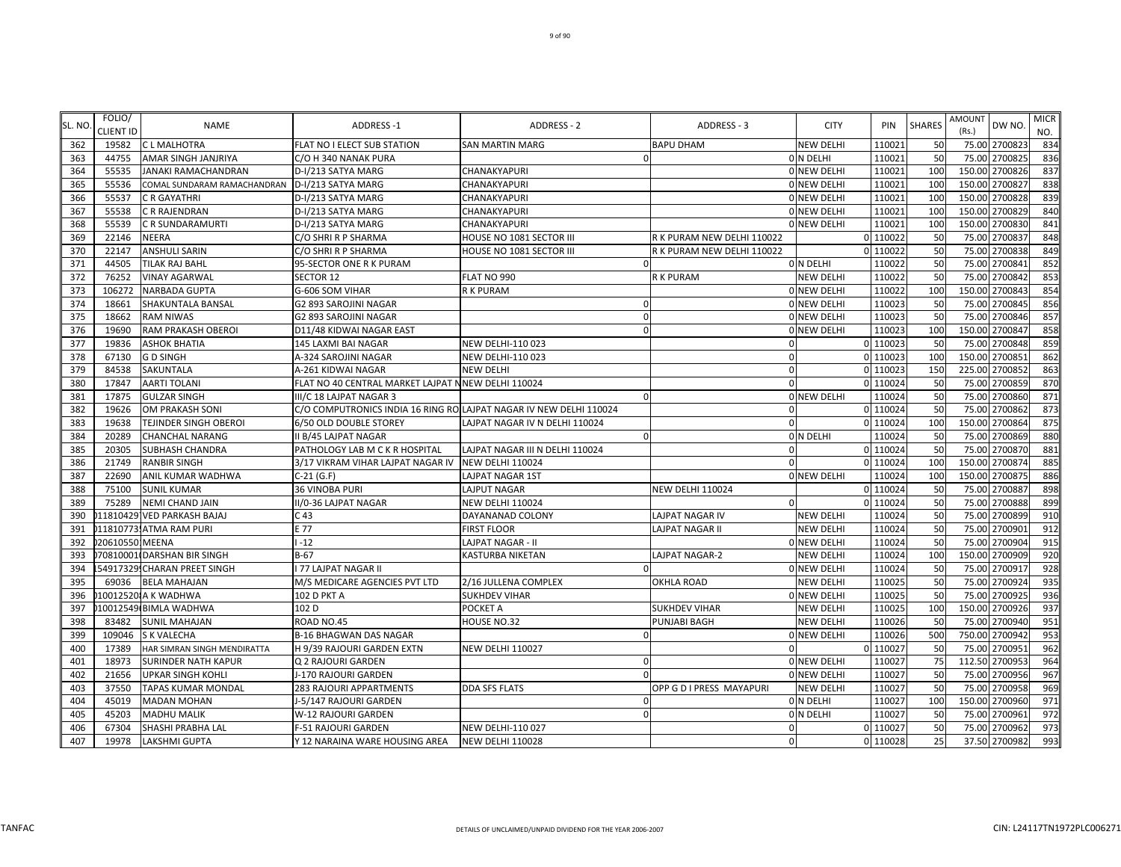| SL. NO | FOLIO/<br>CLIENT ID | <b>NAME</b>                  | <b>ADDRESS-1</b>                                                   | <b>ADDRESS - 2</b>              | ADDRESS - 3                | <b>CITY</b>        | PIN      | <b>SHARES</b> | AMOUNT<br>(Rs.) | DW NO.         | <b>MICR</b><br>NO. |
|--------|---------------------|------------------------------|--------------------------------------------------------------------|---------------------------------|----------------------------|--------------------|----------|---------------|-----------------|----------------|--------------------|
| 362    | 19582               | <b>CL MALHOTRA</b>           | FLAT NO I ELECT SUB STATION                                        | <b>SAN MARTIN MARG</b>          | <b>BAPU DHAM</b>           | <b>NEW DELHI</b>   | 110021   | 50            |                 | 75.00 2700823  | 834                |
| 363    | 44755               | AMAR SINGH JANJRIYA          | C/O H 340 NANAK PURA                                               |                                 |                            | 0 N DELHI          | 110021   | 50            |                 | 75.00 2700825  | 836                |
| 364    | 55535               | JANAKI RAMACHANDRAN          | D-I/213 SATYA MARG                                                 | CHANAKYAPURI                    |                            | 0 NEW DELHI        | 110021   | 100           |                 | 150.00 2700826 | 837                |
| 365    | 55536               | COMAL SUNDARAM RAMACHANDRAN  | D-I/213 SATYA MARG                                                 | CHANAKYAPURI                    |                            | ONEW DELHI         | 110021   | 100           |                 | 150.00 2700827 | 838                |
| 366    | 55537               | C R GAYATHRI                 | D-I/213 SATYA MARG                                                 | CHANAKYAPURI                    |                            | 0 NEW DELHI        | 110021   | 100           | 150.00          | 2700828        | 839                |
| 367    | 55538               | C R RAJENDRAN                | D-I/213 SATYA MARG                                                 | CHANAKYAPURI                    |                            | ONEW DELHI         | 110021   | 100           | 150.00          | 2700829        | 840                |
| 368    | 55539               | C R SUNDARAMURTI             | D-I/213 SATYA MARG                                                 | CHANAKYAPURI                    |                            | ONEW DELHI         | 110021   | 100           |                 | 150.00 270083  | 841                |
| 369    | 22146               | NEERA                        | C/O SHRI R P SHARMA                                                | HOUSE NO 1081 SECTOR III        | R K PURAM NEW DELHI 110022 |                    | 0 110022 | 50            |                 | 75.00 270083   | 848                |
| 370    | 22147               | <b>ANSHULI SARIN</b>         | C/O SHRI R P SHARMA                                                | HOUSE NO 1081 SECTOR III        | R K PURAM NEW DELHI 110022 |                    | 0 110022 | 50            | 75.00           | 2700838        | 849                |
| 371    | 44505               | <b>TILAK RAJ BAHL</b>        | 95-SECTOR ONE R K PURAM                                            | $\Omega$                        |                            | 0 N DELHI          | 110022   | 50            |                 | 75.00 2700841  | 852                |
| 372    | 76252               | <b>VINAY AGARWAL</b>         | <b>SECTOR 12</b>                                                   | FLAT NO 990                     | R K PURAM                  | <b>NEW DELHI</b>   | 110022   | 50            |                 | 75.00 2700842  | 853                |
| 373    | 106272              | NARBADA GUPTA                | G-606 SOM VIHAR                                                    | R K PURAM                       |                            | 0 NEW DELHI        | 110022   | 100           |                 | 150.00 2700843 | 854                |
| 374    | 18661               | SHAKUNTALA BANSAL            | G2 893 SAROJINI NAGAR                                              | $\Omega$                        |                            | 0 NEW DELHI        | 110023   | 50            | 75.00           | 2700845        | 856                |
| 375    | 18662               | <b>RAM NIWAS</b>             | G2 893 SAROJINI NAGAR                                              |                                 |                            | 0 NEW DELHI        | 110023   | 50            | 75.00           | 2700846        | 857                |
| 376    | 19690               | RAM PRAKASH OBEROI           | D11/48 KIDWAI NAGAR EAST                                           |                                 |                            | 0 NEW DELHI        | 110023   | 100           |                 | 150.00 270084  | 858                |
| 377    | 19836               | <b>ASHOK BHATIA</b>          | 145 LAXMI BAI NAGAR                                                | <b>NEW DELHI-110 023</b>        |                            |                    | 0 110023 | 50            | 75.00           | 2700848        | 859                |
| 378    | 67130               | <b>GD SINGH</b>              | A-324 SAROJINI NAGAR                                               | NEW DELHI-110 023               | 0                          |                    | 0 110023 | 100           |                 | 150.00 2700851 | 862                |
| 379    | 84538               | SAKUNTALA                    | A-261 KIDWAI NAGAR                                                 | <b>NEW DELHI</b>                | $\mathbf 0$                |                    | 0 110023 | 150           |                 | 225.00 270085  | 863                |
| 380    | 17847               | <b>AARTI TOLANI</b>          | FLAT NO 40 CENTRAL MARKET LAJPAT N NEW DELHI 110024                |                                 | $\mathbf 0$                |                    | 0 110024 | 50            |                 | 75.00 2700859  | 870                |
| 381    | 17875               | <b>GULZAR SINGH</b>          | III/C 18 LAJPAT NAGAR 3                                            |                                 |                            | 0 NEW DELHI        | 110024   | 50            | 75.00           | 2700860        | 871                |
| 382    | 19626               | OM PRAKASH SONI              | C/O COMPUTRONICS INDIA 16 RING RO LAJPAT NAGAR IV NEW DELHI 110024 |                                 | $\Omega$                   |                    | 0 110024 | 50            | 75.00           | 2700862        | 873                |
| 383    | 19638               | <b>TEJINDER SINGH OBEROI</b> | 6/50 OLD DOUBLE STOREY                                             | LAJPAT NAGAR IV N DELHI 110024  | $\overline{0}$             |                    | 0 110024 | 100           | 150.00          | 270086         | 875                |
| 384    | 20289               | <b>CHANCHAL NARANG</b>       | <b>II B/45 LAJPAT NAGAR</b>                                        | $\Omega$                        |                            | O N DELHI          | 110024   | 50            | 75.00           | 270086         | 880                |
| 385    | 20305               | <b>SUBHASH CHANDRA</b>       | PATHOLOGY LAB M C K R HOSPITAL                                     | LAJPAT NAGAR III N DELHI 110024 |                            |                    | 0 110024 | 50            |                 | 75.00 2700870  | 881                |
| 386    | 21749               | <b>RANBIR SINGH</b>          | 3/17 VIKRAM VIHAR LAJPAT NAGAR IV                                  | <b>NEW DELHI 110024</b>         | $\Omega$                   |                    | 0 110024 | 100           |                 | 150.00 270087  | 885                |
| 387    | 22690               | ANIL KUMAR WADHWA            | $C-21(G.F)$                                                        | LAJPAT NAGAR 1ST                |                            | 0 NEW DELHI        | 110024   | 100           |                 | 150.00 2700875 | 886                |
| 388    | 75100               | <b>SUNIL KUMAR</b>           | <b>36 VINOBA PURI</b>                                              | LAJPUT NAGAR                    | <b>NEW DELHI 110024</b>    |                    | 0 110024 | 50            |                 | 75.00 270088   | 898                |
| 389    | 75289               | <b>NEMI CHAND JAIN</b>       | II/0-36 LAJPAT NAGAR                                               | <b>NEW DELHI 110024</b>         |                            |                    | 0 110024 | 50            |                 | 75.00 2700888  | 899                |
| 390    |                     | 11810429 VED PARKASH BAJAJ   | C <sub>43</sub>                                                    | DAYANANAD COLONY                | LAJPAT NAGAR IV            | <b>NEW DELHI</b>   | 110024   | 50            | 75.00           | 2700899        | 910                |
| 391    |                     | 11810773. ATMA RAM PURI      | E 77                                                               | <b>FIRST FLOOR</b>              | LAJPAT NAGAR II            | <b>NEW DELHI</b>   | 110024   | 50            |                 | 75.00 270090   | 912                |
| 392    | 206105501MEENA      |                              | $-12$                                                              | <b>LAJPAT NAGAR - II</b>        |                            | ONEW DELHI         | 110024   | 50            |                 | 75.00 270090   | 915                |
| 393    |                     | 70810001 DARSHAN BIR SINGH   | $B-67$                                                             | <b>KASTURBA NIKETAN</b>         | LAJPAT NAGAR-2             | <b>NEW DELHI</b>   | 110024   | 100           | 150.00          | 270090         | 920                |
| 394    |                     | 54917329 CHARAN PREET SINGH  | I 77 LAJPAT NAGAR II                                               |                                 |                            | <b>0 NEW DELHI</b> | 110024   | 50            |                 | 75.00 270091   | 928                |
| 395    | 69036               | <b>BELA MAHAJAN</b>          | M/S MEDICARE AGENCIES PVT LTD                                      | 2/16 JULLENA COMPLEX            | <b>OKHLA ROAD</b>          | <b>NEW DELHI</b>   | 110025   | 50            |                 | 75.00 2700924  | 935                |
| 396    |                     | 10012520IA K WADHWA          | 102 D PKT A                                                        | <b>SUKHDEV VIHAR</b>            |                            | 0 NEW DELHI        | 110025   | 50            |                 | 75.00 2700925  | 936                |
| 397    |                     | 10012549 BIMLA WADHWA        | 102 D                                                              | POCKET A                        | <b>SUKHDEV VIHAR</b>       | <b>NEW DELHI</b>   | 110025   | 100           |                 | 150.00 2700926 | 937                |
| 398    | 83482               | <b>SUNIL MAHAJAN</b>         | ROAD NO.45                                                         | HOUSE NO.32                     | PUNJABI BAGH               | <b>NEW DELHI</b>   | 110026   | 50            |                 | 75.00 2700940  | 951                |
| 399    | 109046              | <b>S K VALECHA</b>           | <b>B-16 BHAGWAN DAS NAGAR</b>                                      | $\sqrt{ }$                      |                            | 0 NEW DELHI        | 110026   | 500           | 750.00          | 2700942        | 953                |
| 400    | 17389               | HAR SIMRAN SINGH MENDIRATTA  | H 9/39 RAJOURI GARDEN EXTN                                         | <b>NEW DELHI 110027</b>         |                            |                    | 0 110027 | 50            | 75.00           | 270095         | 962                |
| 401    | 18973               | <b>SURINDER NATH KAPUR</b>   | Q 2 RAJOURI GARDEN                                                 |                                 |                            | 0 NEW DELHI        | 110027   | 75            |                 | 112.50 270095  | 964                |
| 402    | 21656               | <b>UPKAR SINGH KOHLI</b>     | J-170 RAJOURI GARDEN                                               |                                 |                            | 0 NEW DELHI        | 110027   | 50            |                 | 75.00 2700956  | 967                |
| 403    | 37550               | TAPAS KUMAR MONDAL           | 283 RAJOURI APPARTMENTS                                            | <b>DDA SFS FLATS</b>            | OPP G D I PRESS MAYAPURI   | <b>NEW DELHI</b>   | 110027   | 50            |                 | 75.00 2700958  | 969                |
| 404    | 45019               | <b>MADAN MOHAN</b>           | J-5/147 RAJOURI GARDEN                                             | $\Omega$                        |                            | 0 N DELHI          | 110027   | 100           |                 | 150.00 2700960 | 971                |
| 405    | 45203               | <b>MADHU MALIK</b>           | W-12 RAJOURI GARDEN                                                | $\Omega$                        |                            | 0 N DELHI          | 110027   | 50            | 75.00           | 2700961        | 972                |
| 406    | 67304               | SHASHI PRABHA LAL            | F-51 RAJOURI GARDEN                                                | <b>NEW DELHI-110 027</b>        | $\mathbf 0$                |                    | 0 110027 | 50            |                 | 75.00 2700962  | 973                |
| 407    | 19978               | <b>LAKSHMI GUPTA</b>         | Y 12 NARAINA WARE HOUSING AREA NEW DELHI 110028                    |                                 | $\mathbf 0$                |                    | 0 110028 | 25            |                 | 37.50 2700982  | 993                |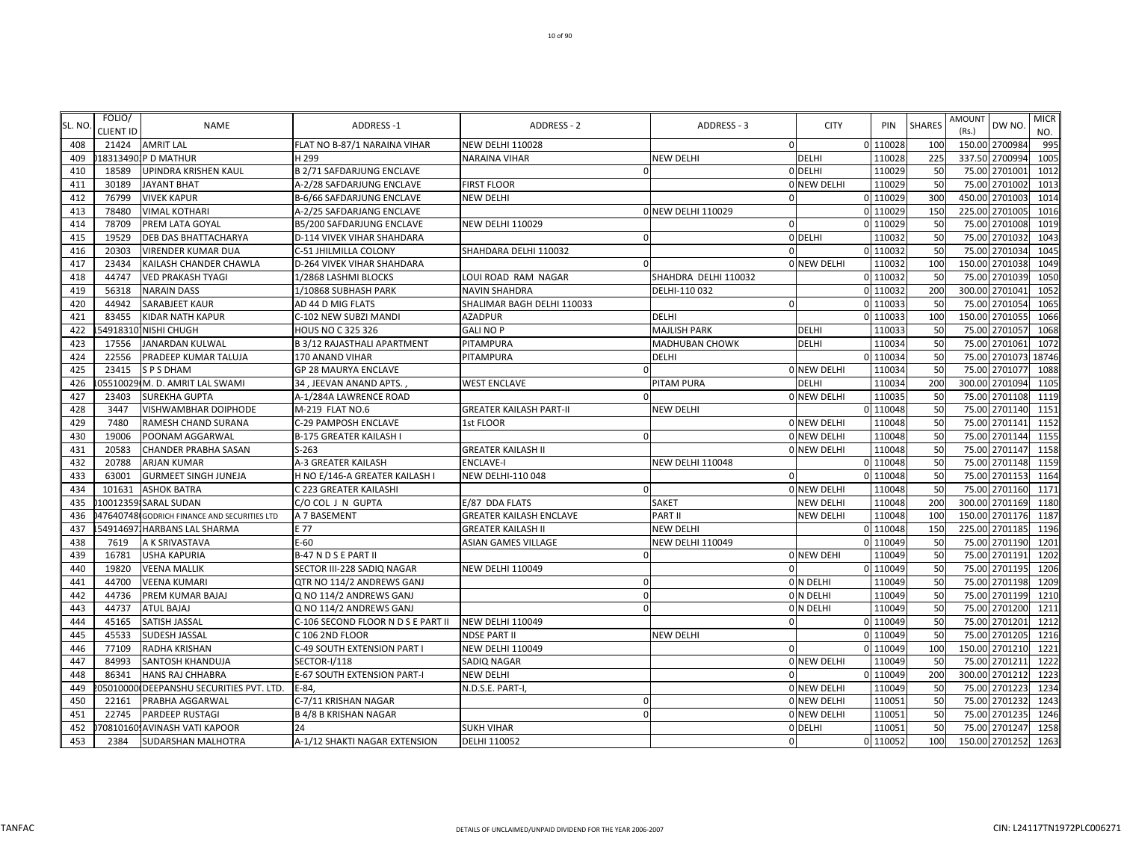|        | FOLIO/    |                                             |                                    |                                |                         |                    |          |                 | <b>AMOUNT</b> |                | <b>MICR</b> |
|--------|-----------|---------------------------------------------|------------------------------------|--------------------------------|-------------------------|--------------------|----------|-----------------|---------------|----------------|-------------|
| SL. NO | CLIENT ID | <b>NAME</b>                                 | <b>ADDRESS-1</b>                   | <b>ADDRESS - 2</b>             | ADDRESS - 3             | <b>CITY</b>        | PIN      | <b>SHARES</b>   | (Rs.)         | DW NO.         | NO.         |
| 408    | 21424     | <b>AMRIT LAL</b>                            | FLAT NO B-87/1 NARAINA VIHAR       | NEW DELHI 110028               | $\overline{0}$          |                    | 0 110028 | 100             |               | 150.00 2700984 | 995         |
| 409    |           | 183134901P D MATHUR                         | H <sub>299</sub>                   | <b>NARAINA VIHAR</b>           | <b>NEW DELHI</b>        | <b>DELHI</b>       | 110028   | 225             |               | 337.50 2700994 | 1005        |
| 410    | 18589     | UPINDRA KRISHEN KAUL                        | <b>B 2/71 SAFDARJUNG ENCLAVE</b>   |                                |                         | 0 DELHI            | 110029   | 50              |               | 75.00 2701001  | 1012        |
| 411    | 30189     | <b>JAYANT BHAT</b>                          | A-2/28 SAFDARJUNG ENCLAVE          | <b>FIRST FLOOR</b>             |                         | <b>O NEW DELHI</b> | 110029   | 50              | 75.00         | 2701002        | 1013        |
| 412    | 76799     | <b>VIVEK KAPUR</b>                          | B-6/66 SAFDARJUNG ENCLAVE          | <b>NEW DELHI</b>               | $\Omega$                |                    | 0 110029 | 30 <sub>C</sub> | 450.00        | 2701003        | 1014        |
| 413    | 78480     | <b>VIMAL KOTHARI</b>                        | A-2/25 SAFDARJANG ENCLAVE          |                                | 0 NEW DELHI 110029      |                    | 0 110029 | 150             |               | 225.00 2701005 | 1016        |
| 414    | 78709     | PREM LATA GOYAL                             | B5/200 SAFDARJUNG ENCLAVE          | <b>NEW DELHI 110029</b>        | $\Omega$                |                    | 0 110029 | 50              |               | 75.00 2701008  | 1019        |
| 415    | 19529     | DEB DAS BHATTACHARYA                        | D-114 VIVEK VIHAR SHAHDARA         | $\Omega$                       |                         | 0 DELHI            | 110032   | 50              |               | 75.00 2701032  | 1043        |
| 416    | 20303     | <b>VIRENDER KUMAR DUA</b>                   | C-51 JHILMILLA COLONY              | SHAHDARA DELHI 110032          |                         |                    | 0 110032 | 50              |               | 75.00 2701034  | 1045        |
| 417    | 23434     | KAILASH CHANDER CHAWLA                      | D-264 VIVEK VIHAR SHAHDARA         |                                |                         | <b>O NEW DELHI</b> | 110032   | 100             |               | 150.00 2701038 | 1049        |
| 418    | 44747     | <b>VED PRAKASH TYAGI</b>                    | 1/2868 LASHMI BLOCKS               | LOUI ROAD RAM NAGAR            | SHAHDRA DELHI 110032    |                    | 0 110032 | 50              | 75.00         | 2701039        | 1050        |
| 419    | 56318     | <b>NARAIN DASS</b>                          | 1/10868 SUBHASH PARK               | <b>NAVIN SHAHDRA</b>           | DELHI-110 032           |                    | 0 110032 | 200             |               | 300.00 2701041 | 1052        |
| 420    | 44942     | <b>SARABJEET KAUR</b>                       | AD 44 D MIG FLATS                  | SHALIMAR BAGH DELHI 110033     | $\Omega$                |                    | 0 110033 | 50              | 75.00         | 2701054        | 1065        |
| 421    | 83455     | KIDAR NATH KAPUR                            | C-102 NEW SUBZI MANDI              | <b>AZADPUR</b>                 | <b>DELHI</b>            |                    | 0 110033 | 100             | 150.00        | 2701055        | 1066        |
| 422    |           | 54918310 NISHI CHUGH                        | HOUS NO C 325 326                  | <b>GALI NO P</b>               | <b>MAJLISH PARK</b>     | <b>DELHI</b>       | 110033   | 50              |               | 75.00 2701057  | 1068        |
| 423    | 17556     | <b>JANARDAN KULWAL</b>                      | <b>B 3/12 RAJASTHALI APARTMENT</b> | PITAMPURA                      | MADHUBAN CHOWK          | <b>DELHI</b>       | 110034   | 50              |               | 75.00 2701061  | 1072        |
| 424    | 22556     | PRADEEP KUMAR TALUJA                        | 170 ANAND VIHAR                    | PITAMPURA                      | <b>DELHI</b>            |                    | 0 110034 | 50              |               | 75.00 2701073  | 18746       |
| 425    | 23415     | <b>SPS DHAM</b>                             | <b>GP 28 MAURYA ENCLAVE</b>        |                                |                         | 0 NEW DELHI        | 110034   | 50              | 75.00         | 2701077        | 1088        |
| 426    |           | 05510029(M. D. AMRIT LAL SWAMI              | 34, JEEVAN ANAND APTS.             | <b>WEST ENCLAVE</b>            | PITAM PURA              | <b>DELHI</b>       | 110034   | 200             |               | 300.00 2701094 | 1105        |
| 427    | 23403     | <b>SUREKHA GUPTA</b>                        | A-1/284A LAWRENCE ROAD             |                                |                         | 0 NEW DELHI        | 110035   | 50              | 75.00         | 2701108        | 1119        |
| 428    | 3447      | VISHWAMBHAR DOIPHODE                        | M-219 FLAT NO.6                    | <b>GREATER KAILASH PART-II</b> | <b>NEW DELHI</b>        |                    | 0 110048 | 50              | 75.00         | 2701140        | 1151        |
| 429    | 7480      | RAMESH CHAND SURANA                         | C-29 PAMPOSH ENCLAVE               | 1st FLOOR                      |                         | 0 NEW DELHI        | 110048   | 50              |               | 75.00 2701141  | 1152        |
| 430    | 19006     | POONAM AGGARWAL                             | <b>B-175 GREATER KAILASH I</b>     |                                |                         | 0 NEW DELHI        | 110048   | 50              |               | 75.00 2701144  | 1155        |
| 431    | 20583     | <b>CHANDER PRABHA SASAN</b>                 | $S-263$                            | <b>GREATER KAILASH II</b>      |                         | 0 NEW DELHI        | 110048   | 50              |               | 75.00 2701147  | 1158        |
| 432    | 20788     | <b>ARJAN KUMAR</b>                          | A-3 GREATER KAILASH                | <b>ENCLAVE-I</b>               | <b>NEW DELHI 110048</b> |                    | 0 110048 | 50              |               | 75.00 2701148  | 1159        |
| 433    | 63001     | <b>GURMEET SINGH JUNEJA</b>                 | H NO E/146-A GREATER KAILASH I     | <b>NEW DELHI-110 048</b>       | $\Omega$                |                    | 0 110048 | 50              |               | 75.00 2701153  | 1164        |
| 434    | 101631    | <b>ASHOK BATRA</b>                          | C 223 GREATER KAILASHI             |                                |                         | 0 NEW DELHI        | 110048   | 50              | 75.00         | 2701160        | 1171        |
| 435    |           | 10012359 SARAL SUDAN                        | C/O COL J N GUPTA                  | E/87 DDA FLATS                 | SAKET                   | <b>NEW DELHI</b>   | 110048   | 200             |               | 300.00 2701169 | 1180        |
| 436    |           | 47640748 GODRICH FINANCE AND SECURITIES LTD | A 7 BASEMENT                       | <b>GREATER KAILASH ENCLAVE</b> | PART II                 | <b>NEW DELHI</b>   | 110048   | 100             |               | 150.00 2701176 | 1187        |
| 437    |           | 549146971HARBANS LAL SHARMA                 | E 77                               | <b>GREATER KAILASH II</b>      | <b>NEW DELHI</b>        |                    | 0 110048 | 150             |               | 225.00 2701185 | 1196        |
| 438    | 7619      | A K SRIVASTAVA                              | E-60                               | ASIAN GAMES VILLAGE            | <b>NEW DELHI 110049</b> |                    | 0 110049 | 50              |               | 75.00 2701190  | 1201        |
| 439    | 16781     | <b>USHA KAPURIA</b>                         | B-47 N D S E PART II               |                                |                         | <b>ONEW DEHI</b>   | 110049   | 50              |               | 75.00 2701191  | 1202        |
| 440    | 19820     | <b>VEENA MALLIK</b>                         | SECTOR III-228 SADIQ NAGAR         | <b>NEW DELHI 110049</b>        | $\Omega$                |                    | 0 110049 | 50              |               | 75.00 2701195  | 1206        |
| 441    | 44700     | <b>VEENA KUMARI</b>                         | QTR NO 114/2 ANDREWS GANJ          | $\Omega$                       |                         | 0 N DELHI          | 110049   | 50              |               | 75.00 2701198  | 1209        |
| 442    | 44736     | PREM KUMAR BAJAJ                            | Q NO 114/2 ANDREWS GANJ            | $\Omega$                       |                         | 0 N DELHI          | 110049   | 50              |               | 75.00 2701199  | 1210        |
| 443    | 44737     | <b>ATUL BAJAJ</b>                           | Q NO 114/2 ANDREWS GANJ            |                                |                         | 0 N DELHI          | 110049   | 50              |               | 75.00 2701200  | 1211        |
| 444    | 45165     | SATISH JASSAL                               | C-106 SECOND FLOOR N D S E PART II | <b>NEW DELHI 110049</b>        | $\mathbf{0}$            |                    | 0 110049 | 50              | 75.00         | 2701201        | 1212        |
| 445    | 45533     | SUDESH JASSAL                               | C 106 2ND FLOOR                    | <b>NDSE PART II</b>            | <b>NEW DELHI</b>        |                    | 0 110049 | 50              |               | 75.00 2701205  | 1216        |
| 446    | 77109     | RADHA KRISHAN                               | C-49 SOUTH EXTENSION PART I        | <b>NEW DELHI 110049</b>        | $\Omega$                |                    | 0 110049 | 100             |               | 150.00 2701210 | 1221        |
| 447    | 84993     | SANTOSH KHANDUJA                            | SECTOR-I/118                       | SADIQ NAGAR                    |                         | 0 NEW DELHI        | 110049   | 50              |               | 75.00 2701211  | 1222        |
| 448    | 86341     | HANS RAJ CHHABRA                            | E-67 SOUTH EXTENSION PART-I        | <b>NEW DELHI</b>               | $\Omega$                |                    | 0 110049 | 200             |               | 300.00 2701212 | 1223        |
| 449    | 05010000  | DEEPANSHU SECURITIES PVT. LTD.              | $E-84$                             | N.D.S.E. PART-I,               |                         | 0 NEW DELHI        | 110049   | 50              |               | 75.00 2701223  | 1234        |
| 450    | 22161     | PRABHA AGGARWAL                             | C-7/11 KRISHAN NAGAR               | O                              |                         | 0 NEW DELHI        | 110051   | 50              | 75.00         | 2701232        | 1243        |
| 451    | 22745     | PARDEEP RUSTAGI                             | <b>B 4/8 B KRISHAN NAGAR</b>       | $\Omega$                       |                         | 0 NEW DELHI        | 110051   | 50              | 75.00         | 2701235        | 1246        |
| 452    |           | 70810160 AVINASH VATI KAPOOR                | 24                                 | <b>SUKH VIHAR</b>              |                         | 0 DELHI            | 110051   | 50              |               | 75.00 2701247  | 1258        |
| 453    | 2384      | <b>SUDARSHAN MALHOTRA</b>                   | A-1/12 SHAKTI NAGAR EXTENSION      | DELHI 110052                   | $\Omega$                |                    | 0 110052 | 100             |               | 150.00 2701252 | 1263        |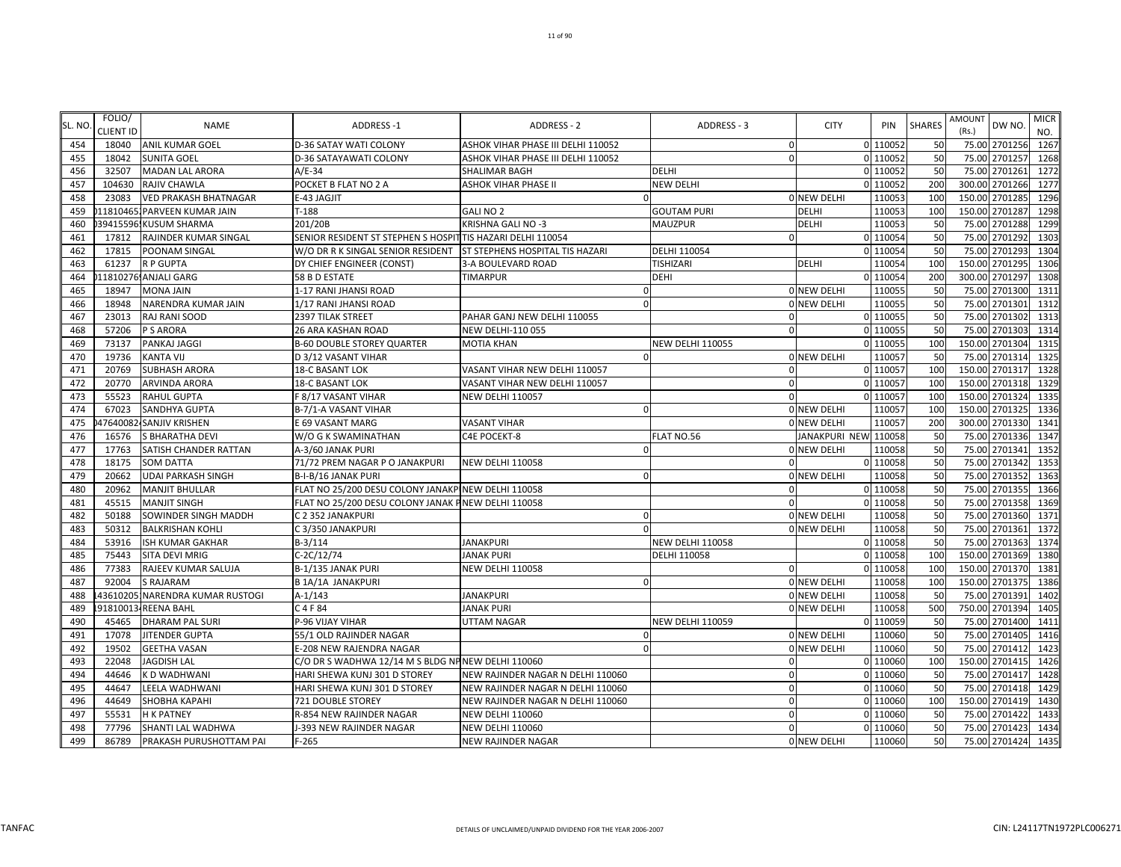| SL. NO | FOLIO/<br><b>CLIENT ID</b> | <b>NAME</b>                  | <b>ADDRESS-1</b>                                            | ADDRESS - 2                            | ADDRESS - 3             | <b>CITY</b>          | PIN      | <b>SHARES</b> | <b>AMOUNT</b><br>(Rs.) | DW NO          | <b>MICR</b><br>NO. |
|--------|----------------------------|------------------------------|-------------------------------------------------------------|----------------------------------------|-------------------------|----------------------|----------|---------------|------------------------|----------------|--------------------|
| 454    | 18040                      | <b>ANIL KUMAR GOEL</b>       | <b>D-36 SATAY WATI COLONY</b>                               | ASHOK VIHAR PHASE III DELHI 110052     | $\mathbf 0$             |                      | 0 110052 | 50            |                        | 75.00 2701256  | 1267               |
| 455    | 18042                      | <b>SUNITA GOEL</b>           | D-36 SATAYAWATI COLONY                                      | ASHOK VIHAR PHASE III DELHI 110052     | $\Omega$                |                      | 0 110052 | 50            |                        | 75.00 2701257  | 1268               |
| 456    | 32507                      | <b>MADAN LAL ARORA</b>       | A/E-34                                                      | <b>SHALIMAR BAGH</b>                   | DELHI                   |                      | 0 110052 | 50            |                        | 75.00 2701261  | 1272               |
| 457    | 104630                     | <b>RAJIV CHAWLA</b>          | POCKET B FLAT NO 2 A                                        | ASHOK VIHAR PHASE II                   | <b>NEW DELHI</b>        |                      | 110052   | 200           | 300.00                 | 2701266        | 1277               |
| 458    | 23083                      | <b>VED PRAKASH BHATNAGAR</b> | E-43 JAGJIT                                                 |                                        |                         | <b>ONEW DELHI</b>    | 110053   | 100           |                        | 150.00 2701285 | 1296               |
| 459    |                            | 11810465. PARVEEN KUMAR JAIN | $T-188$                                                     | GALI NO 2                              | <b>GOUTAM PURI</b>      | DELHI                | 110053   | 100           |                        | 150.00 2701287 | 1298               |
| 460    |                            | 39415596.KUSUM SHARMA        | 201/20B                                                     | KRISHNA GALI NO -3                     | MAUZPUR                 | <b>DELHI</b>         | 110053   | 50            | 75.00                  | 2701288        | 1299               |
| 461    | 17812                      | RAJINDER KUMAR SINGAL        | SENIOR RESIDENT ST STEPHEN S HOSPIT TIS HAZARI DELHI 110054 |                                        | n                       |                      | 0 110054 | 50            |                        | 75.00 2701292  | 1303               |
| 462    | 17815                      | POONAM SINGAL                | W/O DR R K SINGAL SENIOR RESIDENT                           | <b>ST STEPHENS HOSPITAL TIS HAZARI</b> | DELHI 110054            |                      | 0 110054 | 50            |                        | 75.00 2701293  | 1304               |
| 463    | 61237                      | <b>RP GUPTA</b>              | DY CHIEF ENGINEER (CONST)                                   | 3-A BOULEVARD ROAD                     | TISHIZARI               | <b>DELHI</b>         | 110054   | 100           |                        | 150.00 2701295 | 1306               |
| 464    |                            | 11810276 ANJALI GARG         | 58 B D ESTATE                                               | <b>TIMARPUR</b>                        | <b>DEHI</b>             |                      | 0 110054 | 200           |                        | 300.00 2701297 | 1308               |
| 465    | 18947                      | <b>MONA JAIN</b>             | 1-17 RANI JHANSI ROAD                                       |                                        |                         | 0 NEW DELHI          | 110055   | 50            |                        | 75.00 2701300  | 1311               |
| 466    | 18948                      | NARENDRA KUMAR JAIN          | 1/17 RANI JHANSI ROAD                                       |                                        |                         | 0 NEW DELHI          | 110055   | 50            |                        | 75.00 2701301  | 1312               |
| 467    | 23013                      | RAJ RANI SOOD                | 2397 TILAK STREET                                           | PAHAR GANJ NEW DELHI 110055            | $\Omega$                |                      | 0 110055 | 50            |                        | 75.00 2701302  | 1313               |
| 468    | 57206                      | P S ARORA                    | 26 ARA KASHAN ROAD                                          | <b>NEW DELHI-110 055</b>               | $\Omega$                |                      | 0 110055 | 50            |                        | 75.00 2701303  | 1314               |
| 469    | 73137                      | PANKAJ JAGGI                 | <b>B-60 DOUBLE STOREY QUARTER</b>                           | <b>MOTIA KHAN</b>                      | <b>NEW DELHI 110055</b> |                      | 0 110055 | 100           |                        | 150.00 2701304 | 1315               |
| 470    | 19736                      | <b>KANTA VIJ</b>             | D 3/12 VASANT VIHAR                                         |                                        |                         | 0 NEW DELHI          | 110057   | 50            |                        | 75.00 2701314  | 1325               |
| 471    | 20769                      | <b>SUBHASH ARORA</b>         | 18-C BASANT LOK                                             | VASANT VIHAR NEW DELHI 110057          | $\Omega$                |                      | 0 110057 | 100           |                        | 150.00 2701317 | 1328               |
| 472    | 20770                      | ARVINDA ARORA                | 18-C BASANT LOK                                             | VASANT VIHAR NEW DELHI 110057          | $\Omega$                |                      | 0 110057 | 100           |                        | 150.00 2701318 | 1329               |
| 473    | 55523                      | <b>RAHUL GUPTA</b>           | F 8/17 VASANT VIHAR                                         | <b>NEW DELHI 110057</b>                | $\Omega$                |                      | 0 110057 | 100           |                        | 150.00 2701324 | 1335               |
| 474    | 67023                      | SANDHYA GUPTA                | B-7/1-A VASANT VIHAR                                        | $\Omega$                               |                         | 0 NEW DELHI          | 110057   | 100           |                        | 150.00 2701325 | 1336               |
| 475    |                            | 47640082-SANJIV KRISHEN      | E 69 VASANT MARG                                            | <b>VASANT VIHAR</b>                    |                         | 0 NEW DELHI          | 110057   | 200           |                        | 300.00 2701330 | 1341               |
| 476    | 16576                      | <b>S BHARATHA DEVI</b>       | W/O G K SWAMINATHAN                                         | C4E POCEKT-8                           | FLAT NO.56              | <b>JANAKPURI NEW</b> | 110058   | 50            | 75.00                  | 2701336        | 1347               |
| 477    | 17763                      | SATISH CHANDER RATTAN        | A-3/60 JANAK PURI                                           |                                        |                         | 0 NEW DELHI          | 110058   | 50            |                        | 75.00 2701341  | 1352               |
| 478    | 18175                      | <b>SOM DATTA</b>             | 71/72 PREM NAGAR P O JANAKPURI                              | <b>NEW DELHI 110058</b>                | $\Omega$                |                      | 0 110058 | 50            |                        | 75.00 2701342  | 1353               |
| 479    | 20662                      | <b>UDAI PARKASH SINGH</b>    | B-I-B/16 JANAK PURI                                         | $\Omega$                               |                         | <b>O NEW DELHI</b>   | 110058   | 50            |                        | 75.00 2701352  | 1363               |
| 480    | 20962                      | <b>MANJIT BHULLAR</b>        | FLAT NO 25/200 DESU COLONY JANAKPINEW DELHI 110058          |                                        |                         |                      | 110058   | 50            |                        | 75.00 2701355  | 1366               |
| 481    | 45515                      | <b>MANJIT SINGH</b>          | FLAT NO 25/200 DESU COLONY JANAK PNEW DELHI 110058          |                                        |                         |                      | 110058   | 50            | 75.00                  | 2701358        | 1369               |
| 482    | 50188                      | SOWINDER SINGH MADDH         | C 2 352 JANAKPURI                                           | $\Omega$                               |                         | 0 NEW DELHI          | 110058   | 50            | 75.00                  | 2701360        | 1371               |
| 483    | 50312                      | <b>BALKRISHAN KOHLI</b>      | C 3/350 JANAKPURI                                           |                                        |                         | <b>O NEW DELHI</b>   | 110058   | 50            | 75.00                  | 2701361        | 1372               |
| 484    | 53916                      | ISH KUMAR GAKHAR             | $B-3/114$                                                   | <b>JANAKPURI</b>                       | <b>NEW DELHI 110058</b> |                      | 0 110058 | 50            |                        | 75.00 2701363  | 1374               |
| 485    | 75443                      | SITA DEVI MRIG               | C-2C/12/74                                                  | <b>JANAK PURI</b>                      | DELHI 110058            |                      | 0 110058 | 100           | 150.00                 | 2701369        | 1380               |
| 486    | 77383                      | RAJEEV KUMAR SALUJA          | B-1/135 JANAK PURI                                          | <b>NEW DELHI 110058</b>                | $\mathbf 0$             |                      | 0 110058 | 100           |                        | 150.00 2701370 | 1381               |
| 487    | 92004                      | <b>S RAJARAM</b>             | <b>B 1A/1A JANAKPURI</b>                                    | $\Omega$                               |                         | 0 NEW DELHI          | 110058   | 100           |                        | 150.00 2701375 | 1386               |
| 488    | 43610205                   | NARENDRA KUMAR RUSTOGI       | $A-1/143$                                                   | <b>JANAKPURI</b>                       |                         | 0 NEW DELHI          | 110058   | 50            |                        | 75.00 2701391  | 1402               |
| 489    |                            | 91810013 REENA BAHL          | C 4 F 84                                                    | <b>JANAK PURI</b>                      |                         | 0 NEW DELHI          | 110058   | 500           | 750.00                 | 2701394        | 1405               |
| 490    | 45465                      | <b>DHARAM PAL SURI</b>       | P-96 VIJAY VIHAR                                            | <b>UTTAM NAGAR</b>                     | <b>NEW DELHI 110059</b> |                      | 110059   | 50            | 75.00                  | 2701400        | 1411               |
| 491    | 17078                      | JITENDER GUPTA               | 55/1 OLD RAJINDER NAGAR                                     |                                        |                         | <b>O NEW DELHI</b>   | 110060   | 50            |                        | 75.00 2701405  | 1416               |
| 492    | 19502                      | <b>GEETHA VASAN</b>          | E-208 NEW RAJENDRA NAGAR                                    |                                        |                         | 0 NEW DELHI          | 110060   | 50            | 75.00                  | 2701412        | 1423               |
| 493    | 22048                      | <b>JAGDISH LAL</b>           | C/O DR S WADHWA 12/14 M S BLDG NP NEW DELHI 110060          |                                        | $\Omega$                |                      | 0 110060 | 100           |                        | 150.00 2701415 | 1426               |
| 494    | 44646                      | K D WADHWANI                 | HARI SHEWA KUNJ 301 D STOREY                                | NEW RAJINDER NAGAR N DELHI 110060      | $\Omega$                |                      | 0 110060 | 50            |                        | 75.00 2701417  | 1428               |
| 495    | 44647                      | LEELA WADHWANI               | HARI SHEWA KUNJ 301 D STOREY                                | NEW RAJINDER NAGAR N DELHI 110060      | $\mathbf 0$             |                      | 0 110060 | 50            |                        | 75.00 2701418  | 1429               |
| 496    | 44649                      | <b>SHOBHA KAPAHI</b>         | 721 DOUBLE STOREY                                           | NEW RAJINDER NAGAR N DELHI 110060      | $\Omega$                |                      | 110060   | 100           | 150.00                 | 2701419        | 1430               |
| 497    | 55531                      | <b>H K PATNEY</b>            | R-854 NEW RAJINDER NAGAR                                    | <b>NEW DELHI 110060</b>                | $\Omega$                |                      | 0 110060 | 50            |                        | 75.00 2701422  | 1433               |
| 498    | 77796                      | SHANTI LAL WADHWA            | J-393 NEW RAJINDER NAGAR                                    | <b>NEW DELHI 110060</b>                | $\Omega$                |                      | 0 110060 | 50            |                        | 75.00 2701423  | 1434               |
| 499    | 86789                      | PRAKASH PURUSHOTTAM PAI      | $F-265$                                                     | <b>NEW RAJINDER NAGAR</b>              |                         | 0 NEW DELHI          | 110060   | 50            |                        | 75.00 2701424  | 1435               |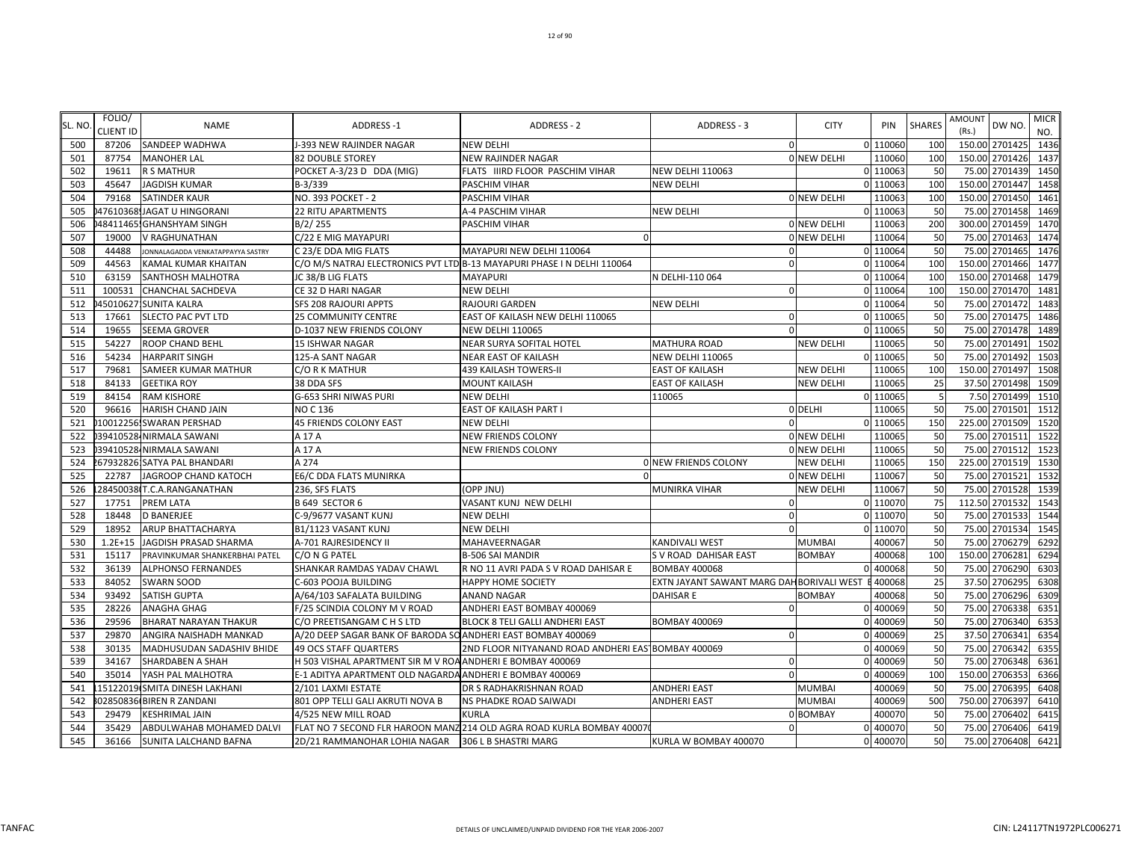| SL. NO | FOLIO/<br>CLIENT ID | <b>NAME</b>                       | <b>ADDRESS-1</b>                                             | ADDRESS - 2                                                             | ADDRESS - 3                               | <b>CITY</b>      | PIN      | <b>SHARES</b> | AMOUNT<br>(Rs.) | DW NO.         | <b>MICR</b><br>NO. |
|--------|---------------------|-----------------------------------|--------------------------------------------------------------|-------------------------------------------------------------------------|-------------------------------------------|------------------|----------|---------------|-----------------|----------------|--------------------|
| 500    | 87206               | SANDEEP WADHWA                    | J-393 NEW RAJINDER NAGAR                                     | <b>NEW DELHI</b>                                                        | $\mathbf{0}$                              |                  | 0 110060 | 100           |                 | 150.00 2701425 | 1436               |
| 501    | 87754               | <b>MANOHER LAL</b>                | <b>82 DOUBLE STOREY</b>                                      | <b>NEW RAJINDER NAGAR</b>                                               |                                           | 0 NEW DELHI      | 110060   | 100           |                 | 150.00 2701426 | 1437               |
| 502    | 19611               | <b>R S MATHUR</b>                 | POCKET A-3/23 D DDA (MIG)                                    | FLATS IIIRD FLOOR PASCHIM VIHAR                                         | <b>NEW DELHI 110063</b>                   |                  | 0 110063 | 50            |                 | 75.00 2701439  | 1450               |
| 503    | 45647               | <b>JAGDISH KUMAR</b>              | B-3/339                                                      | PASCHIM VIHAR                                                           | <b>NEW DELHI</b>                          |                  | 0 110063 | 100           | 150.00          | 2701447        | 1458               |
| 504    | 79168               | <b>SATINDER KAUR</b>              | NO. 393 POCKET - 2                                           | PASCHIM VIHAR                                                           |                                           | 0 NEW DELHI      | 110063   | 100           |                 | 150.00 2701450 | 1461               |
| 505    |                     | 47610368 JAGAT U HINGORANI        | <b>22 RITU APARTMENTS</b>                                    | A-4 PASCHIM VIHAR                                                       | <b>NEW DELHI</b>                          |                  | 0 110063 | 50            | 75.00           | 2701458        | 1469               |
| 506    |                     | 48411465. GHANSHYAM SINGH         | B/2/255                                                      | <b>PASCHIM VIHAR</b>                                                    |                                           | 0 NEW DELHI      | 110063   | <b>200</b>    | 300.00          | 2701459        | 1470               |
| 507    | 19000               | V RAGHUNATHAN                     | C/22 E MIG MAYAPURI                                          |                                                                         |                                           | 0 NEW DELHI      | 110064   | 50            | 75.00           | 2701463        | 1474               |
| 508    | 44488               | JONNALAGADDA VENKATAPPAYYA SASTRY | C 23/E DDA MIG FLATS                                         | MAYAPURI NEW DELHI 110064                                               | $\Omega$                                  |                  | 0 110064 | 50            |                 | 75.00 2701465  | 1476               |
| 509    | 44563               | KAMAL KUMAR KHAITAN               |                                                              | C/O M/S NATRAJ ELECTRONICS PVT LTD B-13 MAYAPURI PHASE I N DELHI 110064 | $\Omega$                                  |                  | 0 110064 | 100           |                 | 150.00 2701466 | 1477               |
| 510    | 63159               | SANTHOSH MALHOTRA                 | JC 38/B LIG FLATS                                            | <b>MAYAPURI</b>                                                         | N DELHI-110 064                           |                  | 0 110064 | 100           |                 | 150.00 2701468 | 1479               |
| 511    | 100531              | CHANCHAL SACHDEVA                 | CE 32 D HARI NAGAR                                           | <b>NEW DELHI</b>                                                        | $\mathbf{0}$                              |                  | 0 110064 | 100           |                 | 150.00 2701470 | 1481               |
| 512    |                     | 450106271SUNITA KALRA             | <b>SFS 208 RAJOURI APPTS</b>                                 | <b>RAJOURI GARDEN</b>                                                   | <b>NEW DELHI</b>                          |                  | 0 110064 | 50            | 75.00           | 2701472        | 1483               |
| 513    | 17661               | SLECTO PAC PVT LTD                | 25 COMMUNITY CENTRE                                          | EAST OF KAILASH NEW DELHI 110065                                        | $\mathbf 0$                               |                  | 0 110065 | 50            | 75.00           | 2701475        | 1486               |
| 514    | 19655               | <b>SEEMA GROVER</b>               | <b>D-1037 NEW FRIENDS COLONY</b>                             | <b>NEW DELHI 110065</b>                                                 | $\Omega$                                  |                  | 0 110065 | 50            |                 | 75.00 2701478  | 1489               |
| 515    | 54227               | ROOP CHAND BEHL                   | 15 ISHWAR NAGAR                                              | NEAR SURYA SOFITAL HOTEL                                                | <b>MATHURA ROAD</b>                       | <b>NEW DELHI</b> | 110065   | 50            |                 | 75.00 2701491  | 1502               |
| 516    | 54234               | <b>HARPARIT SINGH</b>             | 125-A SANT NAGAR                                             | NEAR EAST OF KAILASH                                                    | <b>NEW DELHI 110065</b>                   |                  | 0 110065 | 50            |                 | 75.00 2701492  | 1503               |
| 517    | 79681               | SAMEER KUMAR MATHUR               | C/O R K MATHUR                                               | <b>439 KAILASH TOWERS-II</b>                                            | <b>EAST OF KAILASH</b>                    | <b>NEW DELHI</b> | 110065   | 100           |                 | 150.00 2701497 | 1508               |
| 518    | 84133               | <b>GEETIKA ROY</b>                | 38 DDA SFS                                                   | <b>MOUNT KAILASH</b>                                                    | <b>EAST OF KAILASH</b>                    | <b>NEW DELHI</b> | 110065   | 25            |                 | 37.50 2701498  | 1509               |
| 519    | 84154               | <b>RAM KISHORE</b>                | G-653 SHRI NIWAS PURI                                        | <b>NEW DELHI</b>                                                        | 110065                                    |                  | 0 110065 | -5            |                 | 7.50 2701499   | 1510               |
| 520    | 96616               | HARISH CHAND JAIN                 | <b>NO C 136</b>                                              | EAST OF KAILASH PART I                                                  |                                           | 0 DELHI          | 110065   | 50            |                 | 75.00 2701501  | 1512               |
| 521    |                     | 10012256. SWARAN PERSHAD          | 45 FRIENDS COLONY EAST                                       | <b>NEW DELHI</b>                                                        | $\Omega$                                  |                  | 0 110065 | 150           |                 | 225.00 2701509 | 1520               |
| 522    |                     | 39410528 NIRMALA SAWANI           | A 17 A                                                       | <b>NEW FRIENDS COLONY</b>                                               |                                           | 0 NEW DELHI      | 110065   | 50            | 75.00           | 2701511        | 1522               |
| 523    |                     | 39410528 NIRMALA SAWANI           | A 17 A                                                       | <b>NEW FRIENDS COLONY</b>                                               |                                           | 0 NEW DELHI      | 110065   | 50            |                 | 75.00 2701512  | 1523               |
| 524    |                     | 67932826 SATYA PAL BHANDARI       | A 274                                                        |                                                                         | <b>ON NEW FRIENDS COLONY</b>              | <b>NEW DELHI</b> | 110065   | 150           |                 | 225.00 2701519 | 1530               |
| 525    | 22787               | JAGROOP CHAND KATOCH              | E6/C DDA FLATS MUNIRKA                                       | n                                                                       |                                           | 0 NEW DELHI      | 110067   | 50            |                 | 75.00 2701521  | 1532               |
| 526    |                     | 28450038 T.C.A.RANGANATHAN        | 236, SFS FLATS                                               | (OPP JNU)                                                               | <b>MUNIRKA VIHAR</b>                      | <b>NEW DELHI</b> | 110067   | 50            |                 | 75.00 2701528  | 1539               |
| 527    | 17751               | PREM LATA                         | <b>B 649 SECTOR 6</b>                                        | VASANT KUNJ NEW DELHI                                                   | $\mathbf 0$                               |                  | 0 110070 | 75            |                 | 112.50 2701532 | 1543               |
| 528    | 18448               | <b>D BANERJEE</b>                 | C-9/9677 VASANT KUNJ                                         | <b>NEW DELHI</b>                                                        | $\mathbf{0}$                              |                  | 0 110070 | 50            | 75.00           | 2701533        | 1544               |
| 529    | 18952               | ARUP BHATTACHARYA                 | B1/1123 VASANT KUNJ                                          | <b>NEW DELHI</b>                                                        | $\mathbf{0}$                              |                  | 0 110070 | 50            | 75.00           | 2701534        | 1545               |
| 530    | $1.2E + 15$         | <b>JAGDISH PRASAD SHARMA</b>      | A-701 RAJRESIDENCY II                                        | MAHAVEERNAGAR                                                           | <b>KANDIVALI WEST</b>                     | <b>MUMBA</b>     | 400067   | 50            | 75.00           | 2706279        | 6292               |
| 531    | 15117               | PRAVINKUMAR SHANKERBHAI PATEL     | C/O N G PATEL                                                | <b>B-506 SAI MANDIR</b>                                                 | S V ROAD DAHISAR EAST                     | <b>BOMBAY</b>    | 400068   | 100           |                 | 150.00 2706281 | 6294               |
| 532    | 36139               | <b>ALPHONSO FERNANDES</b>         | SHANKAR RAMDAS YADAV CHAWL                                   | R NO 11 AVRI PADA S V ROAD DAHISAR E                                    | <b>BOMBAY 400068</b>                      | U                | 400068   | 50            |                 | 75.00 2706290  | 6303               |
| 533    | 84052               | <b>SWARN SOOD</b>                 | C-603 POOJA BUILDING                                         | <b>HAPPY HOME SOCIETY</b>                                               | EXTN JAYANT SAWANT MARG DAH BORIVALI WEST |                  | 400068   | 25            |                 | 37.50 2706295  | 6308               |
| 534    | 93492               | SATISH GUPTA                      | A/64/103 SAFALATA BUILDING                                   | <b>ANAND NAGAR</b>                                                      | <b>DAHISAR E</b>                          | <b>BOMBAY</b>    | 400068   | 50            |                 | 75.00 2706296  | 6309               |
| 535    | 28226               | ANAGHA GHAG                       | F/25 SCINDIA COLONY M V ROAD                                 | ANDHERI EAST BOMBAY 400069                                              | $\mathbf{0}$                              | U                | 400069   | 50            | 75.00           | 2706338        | 6351               |
| 536    | 29596               | <b>BHARAT NARAYAN THAKUR</b>      | C/O PREETISANGAM C H S LTD                                   | <b>BLOCK 8 TELI GALLI ANDHERI EAST</b>                                  | <b>BOMBAY 400069</b>                      |                  | 0 400069 | 50            | 75.00           | 2706340        | 6353               |
| 537    | 29870               | ANGIRA NAISHADH MANKAD            | A/20 DEEP SAGAR BANK OF BARODA SO ANDHERI EAST BOMBAY 400069 |                                                                         | $\Omega$                                  |                  | 400069   | 25            | 37.50           | 2706341        | 6354               |
| 538    | 30135               | MADHUSUDAN SADASHIV BHIDE         | <b>49 OCS STAFF QUARTERS</b>                                 | 2ND FLOOR NITYANAND ROAD ANDHERI EAS BOMBAY 400069                      |                                           |                  | 400069   | 50            |                 | 75.00 2706342  | 6355               |
| 539    | 34167               | SHARDABEN A SHAH                  | H 503 VISHAL APARTMENT SIR M V ROA ANDHERI E BOMBAY 400069   |                                                                         | $\mathbf 0$                               |                  | 400069   | 50            |                 | 75.00 2706348  | 6361               |
| 540    | 35014               | YASH PAL MALHOTRA                 | E-1 ADITYA APARTMENT OLD NAGARDA ANDHERI E BOMBAY 400069     |                                                                         | $\Omega$                                  |                  | 400069   | 100           |                 | 150.00 2706353 | 6366               |
| 541    |                     | 15122019 SMITA DINESH LAKHANI     | 2/101 LAXMI ESTATE                                           | DR S RADHAKRISHNAN ROAD                                                 | <b>ANDHERI EAST</b>                       | <b>MUMBAI</b>    | 400069   | 50            |                 | 75.00 2706395  | 6408               |
| 542    |                     | 02850836 BIREN R ZANDANI          | 801 OPP TELLI GALI AKRUTI NOVA B                             | <b>NS PHADKE ROAD SAIWADI</b>                                           | <b>ANDHERI EAST</b>                       | <b>MUMBAI</b>    | 400069   | 500           | 750.00          | 2706397        | 6410               |
| 543    | 29479               | <b>KESHRIMAL JAIN</b>             | 4/525 NEW MILL ROAD                                          | <b>KURLA</b>                                                            |                                           | 0 BOMBAY         | 400070   | 50            |                 | 75.00 2706402  | 6415               |
| 544    | 35429               | ABDULWAHAB MOHAMED DALVI          |                                                              | FLAT NO 7 SECOND FLR HAROON MANZ 214 OLD AGRA ROAD KURLA BOMBAY 40007   | $\mathbf{0}$                              |                  | 0 400070 | 50            |                 | 75.00 2706406  | 6419               |
| 545    | 36166               | SUNITA LALCHAND BAFNA             | 2D/21 RAMMANOHAR LOHIA NAGAR 306 L B SHASTRI MARG            |                                                                         | KURLA W BOMBAY 400070                     |                  | 0 400070 | 50            |                 | 75.00 2706408  | 6421               |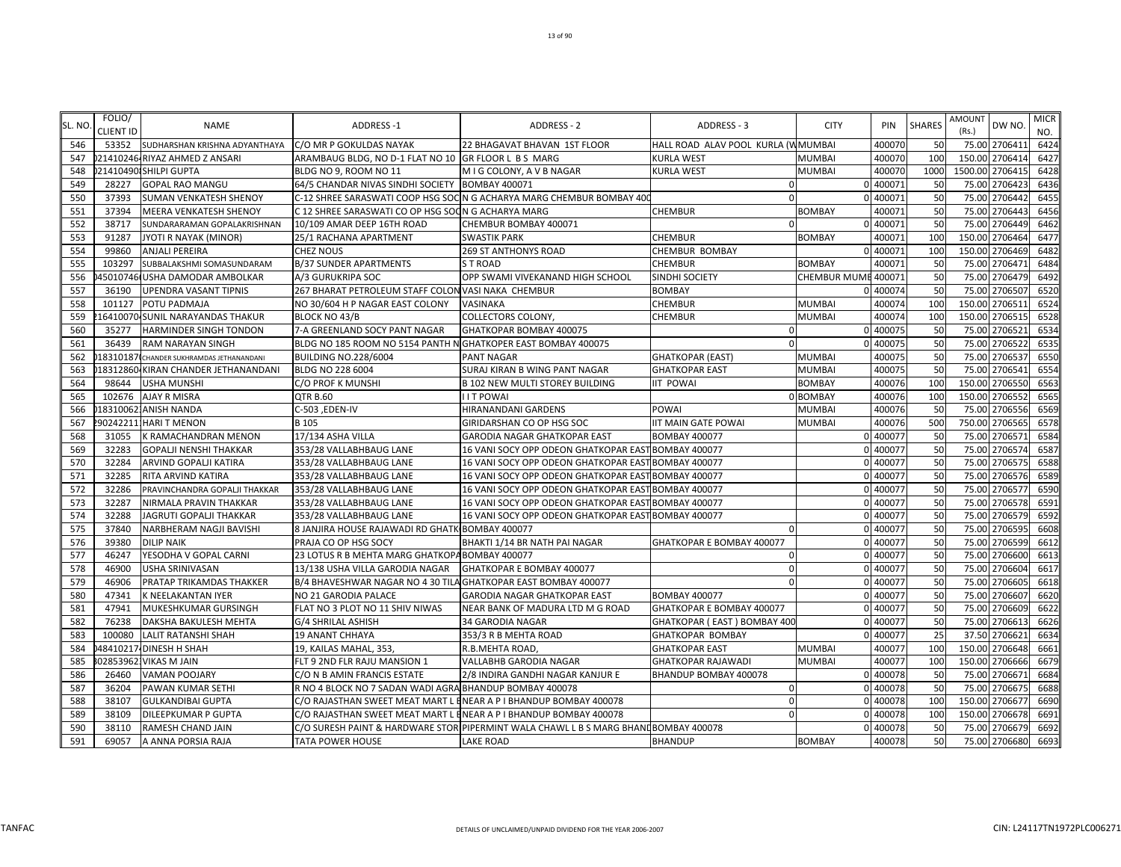| SL. NO | FOLIO/<br><b>CLIENT ID</b> | <b>NAME</b>                              | ADDRESS-1                                                      | ADDRESS - 2                                                                          | ADDRESS - 3                        | <b>CITY</b>         | PIN      | <b>SHARES</b> | <b>AMOUNT</b><br>(Rs.) | DW NO.          | <b>MICR</b><br>NO. |
|--------|----------------------------|------------------------------------------|----------------------------------------------------------------|--------------------------------------------------------------------------------------|------------------------------------|---------------------|----------|---------------|------------------------|-----------------|--------------------|
| 546    | 53352                      | SUDHARSHAN KRISHNA ADYANTHAYA            | C/O MR P GOKULDAS NAYAK                                        | 22 BHAGAVAT BHAVAN 1ST FLOOR                                                         | HALL ROAD ALAV POOL KURLA (WMUMBAI |                     | 400070   | 50            |                        | 75.00 2706411   | 6424               |
| 547    |                            | 21410246 RIYAZ AHMED Z ANSARI            | ARAMBAUG BLDG, NO D-1 FLAT NO 10 GR FLOOR L B S MARG           |                                                                                      | <b>KURLA WEST</b>                  | <b>MUMBAI</b>       | 400070   | 100           |                        | 150.00 2706414  | 6427               |
| 548    |                            | 214104901SHILPI GUPTA                    | BLDG NO 9, ROOM NO 11                                          | M I G COLONY, A V B NAGAR                                                            | <b>KURLA WEST</b>                  | <b>MUMBAI</b>       | 400070   | 1000          |                        | 1500.00 2706415 | 6428               |
| 549    | 28227                      | <b>GOPAL RAO MANGU</b>                   | 64/5 CHANDAR NIVAS SINDHI SOCIETY BOMBAY 400071                |                                                                                      | $\Omega$                           |                     | 0 400071 | 50            | 75.00                  | 2706423         | 6436               |
| 550    | 37393                      | SUMAN VENKATESH SHENOY                   |                                                                | C-12 SHREE SARASWATI COOP HSG SOC N G ACHARYA MARG CHEMBUR BOMBAY 400                | $\Omega$                           |                     | 0 400071 | 50            | 75.00                  | 2706442         | 6455               |
| 551    | 37394                      | MEERA VENKATESH SHENOY                   | C 12 SHREE SARASWATI CO OP HSG SOON G ACHARYA MARG             |                                                                                      | <b>CHEMBUR</b>                     | <b>BOMBAY</b>       | 400071   | 50            | 75.00                  | 2706443         | 6456               |
| 552    | 38717                      | SUNDARARAMAN GOPALAKRISHNAN              | 10/109 AMAR DEEP 16TH ROAD                                     | CHEMBUR BOMBAY 400071                                                                | $\Omega$                           |                     | 0 400071 | 50            | 75.00                  | 2706449         | 6462               |
| 553    | 91287                      | JYOTI R NAYAK (MINOR)                    | 25/1 RACHANA APARTMENT                                         | <b>SWASTIK PARK</b>                                                                  | <b>CHEMBUR</b>                     | <b>BOMBAY</b>       | 400071   | 100           | 150.00                 | 2706464         | 6477               |
| 554    | 99860                      | <b>ANJALI PEREIRA</b>                    | CHEZ NOUS                                                      | 269 ST ANTHONYS ROAD                                                                 | CHEMBUR BOMBAY                     |                     | 0 400071 | 100           | 150.00                 | 2706469         | 6482               |
| 555    | 103297                     | SUBBALAKSHMI SOMASUNDARAM                | B/37 SUNDER APARTMENTS                                         | <b>ST ROAD</b>                                                                       | <b>CHEMBUR</b>                     | <b>BOMBAY</b>       | 400071   | 50            |                        | 75.00 2706471   | 6484               |
| 556    |                            | 45010746 USHA DAMODAR AMBOLKAR           | A/3 GURUKRIPA SOC                                              | OPP SWAMI VIVEKANAND HIGH SCHOOL                                                     | SINDHI SOCIETY                     | CHEMBUR MUME 400071 |          | 50            | 75.00                  | 2706479         | 6492               |
| 557    | 36190                      | <b>UPENDRA VASANT TIPNIS</b>             | 267 BHARAT PETROLEUM STAFF COLON VASI NAKA CHEMBUR             |                                                                                      | <b>BOMBAY</b>                      |                     | 0 400074 | 50            | 75.00                  | 2706507         | 6520               |
| 558    | 101127                     | POTU PADMAJA                             | NO 30/604 H P NAGAR EAST COLONY                                | <b>VASINAKA</b>                                                                      | <b>CHEMBUR</b>                     | <b>MUMBAI</b>       | 400074   | 100           | 150.00                 | 2706511         | 6524               |
| 559    |                            | 16410070-SUNIL NARAYANDAS THAKUR         | BLOCK NO 43/B                                                  | <b>COLLECTORS COLONY,</b>                                                            | <b>CHEMBUR</b>                     | <b>MUMBAI</b>       | 400074   | 100           | 150.00                 | 2706515         | 6528               |
| 560    | 35277                      | HARMINDER SINGH TONDON                   | 7-A GREENLAND SOCY PANT NAGAR                                  | GHATKOPAR BOMBAY 400075                                                              | $\mathbf{0}$                       |                     | 0 400075 | 50            | 75.00                  | 270652          | 6534               |
| 561    | 36439                      | <b>RAM NARAYAN SINGH</b>                 | BLDG NO 185 ROOM NO 5154 PANTH N GHATKOPER EAST BOMBAY 400075  |                                                                                      | $\Omega$                           |                     | 0 400075 | 50            | 75.00                  | 2706522         | 6535               |
| 562    |                            | 18310187 CHANDER SUKHRAMDAS JETHANANDANI | <b>BUILDING NO.228/6004</b>                                    | <b>PANT NAGAR</b>                                                                    | <b>GHATKOPAR (EAST)</b>            | MUMBAI              | 400075   | 50            | 75.00                  | 2706537         | 6550               |
| 563    |                            | 18312860 KIRAN CHANDER JETHANANDANI      | BLDG NO 228 6004                                               | SURAJ KIRAN B WING PANT NAGAR                                                        | <b>GHATKOPAR EAST</b>              | <b>MUMBAI</b>       | 400075   | 50            | 75.00                  | 2706541         | 6554               |
| 564    | 98644                      | <b>USHA MUNSHI</b>                       | C/O PROF K MUNSHI                                              | <b>B 102 NEW MULTI STOREY BUILDING</b>                                               | <b>IIT POWAI</b>                   | <b>BOMBAY</b>       | 400076   | 100           | 150.00                 | 2706550         | 6563               |
| 565    |                            | 102676 AJAY R MISRA                      | <b>QTR B.60</b>                                                | <b>I I T POWAI</b>                                                                   |                                    | 0 BOMBAY            | 400076   | 100           | 150.00                 | 2706552         | 6565               |
| 566    |                            | 183100621ANISH NANDA                     | C-503, EDEN-IV                                                 | HIRANANDANI GARDENS                                                                  | POWAI                              | <b>MUMBAI</b>       | 400076   | 50            | 75.00                  | 2706556         | 6569               |
| 567    |                            | !90242211 HARI T MENON                   | B 105                                                          | GIRIDARSHAN CO OP HSG SOC                                                            | IIT MAIN GATE POWAI                | <b>MUMBAI</b>       | 400076   | 500           | 750.00                 | 2706565         | 6578               |
| 568    | 31055                      | K RAMACHANDRAN MENON                     | 17/134 ASHA VILLA                                              | <b>GARODIA NAGAR GHATKOPAR EAST</b>                                                  | <b>BOMBAY 400077</b>               |                     | 0 400077 | 50            | 75.00                  | 2706571         | 6584               |
| 569    | 32283                      | GOPALJI NENSHI THAKKAR                   | 353/28 VALLABHBAUG LANE                                        | 16 VANI SOCY OPP ODEON GHATKOPAR EAST BOMBAY 400077                                  |                                    |                     | 0 400077 | 50            | 75.00                  | 2706574         | 6587               |
| 570    | 32284                      | ARVIND GOPALJI KATIRA                    | 353/28 VALLABHBAUG LANE                                        | 16 VANI SOCY OPP ODEON GHATKOPAR EAST BOMBAY 400077                                  |                                    |                     | 0 400077 | 50            | 75.00                  | 2706575         | 6588               |
| 571    | 32285                      | RITA ARVIND KATIRA                       | 353/28 VALLABHBAUG LANE                                        | 16 VANI SOCY OPP ODEON GHATKOPAR EAST BOMBAY 400077                                  |                                    |                     | 0 400077 | 50            | 75.00                  | 2706576         | 6589               |
| 572    | 32286                      | PRAVINCHANDRA GOPALJI THAKKAR            | 353/28 VALLABHBAUG LANE                                        | 16 VANI SOCY OPP ODEON GHATKOPAR EAST BOMBAY 400077                                  |                                    |                     | 0 400077 | 50            | 75.00                  | 2706577         | 6590               |
| 573    | 32287                      | NIRMALA PRAVIN THAKKAR                   | 353/28 VALLABHBAUG LANE                                        | 16 VANI SOCY OPP ODEON GHATKOPAR EAST BOMBAY 400077                                  |                                    |                     | 0 400077 | 50            | 75.00                  | 2706578         | 6591               |
| 574    | 32288                      | JAGRUTI GOPALJI THAKKAR                  | 353/28 VALLABHBAUG LANE                                        | 16 VANI SOCY OPP ODEON GHATKOPAR EAST BOMBAY 400077                                  |                                    |                     | 0 400077 | 50            | 75.00                  | 2706579         | 6592               |
| 575    | 37840                      | NARBHERAM NAGJI BAVISHI                  | 8 JANJIRA HOUSE RAJAWADI RD GHATK BOMBAY 400077                |                                                                                      | $\Omega$                           |                     | 0 400077 | 50            | 75.00                  | 2706595         | 6608               |
| 576    | 39380                      | <b>DILIP NAIK</b>                        | PRAJA CO OP HSG SOCY                                           | BHAKTI 1/14 BR NATH PAI NAGAR                                                        | GHATKOPAR E BOMBAY 400077          |                     | 0 400077 | 50            | 75.00                  | 2706599         | 6612               |
| 577    | 46247                      | YESODHA V GOPAL CARNI                    | 23 LOTUS R B MEHTA MARG GHATKOPA BOMBAY 400077                 |                                                                                      | $\mathbf{0}$                       |                     | 0 400077 | 50            | 75.00                  | 2706600         | 6613               |
| 578    | 46900                      | <b>USHA SRINIVASAN</b>                   | 13/138 USHA VILLA GARODIA NAGAR                                | GHATKOPAR E BOMBAY 400077                                                            | $\Omega$                           |                     | 0 400077 | 50            | 75.00                  | 2706604         | 6617               |
| 579    | 46906                      | PRATAP TRIKAMDAS THAKKER                 | B/4 BHAVESHWAR NAGAR NO 4 30 TILA GHATKOPAR EAST BOMBAY 400077 |                                                                                      | $\Omega$                           |                     | 0 400077 | 50            | 75.00                  | 2706605         | 6618               |
| 580    | 47341                      | K NEELAKANTAN IYER                       | NO 21 GARODIA PALACE                                           | <b>GARODIA NAGAR GHATKOPAR EAST</b>                                                  | <b>BOMBAY 400077</b>               |                     | 0 400077 | 50            | 75.00                  | 2706607         | 6620               |
| 581    | 47941                      | MUKESHKUMAR GURSINGH                     | FLAT NO 3 PLOT NO 11 SHIV NIWAS                                | NEAR BANK OF MADURA LTD M G ROAD                                                     | GHATKOPAR E BOMBAY 400077          |                     | 0 400077 | 50            | 75.00                  | 2706609         | 6622               |
| 582    | 76238                      | DAKSHA BAKULESH MEHTA                    | G/4 SHRILAL ASHISH                                             | <b>34 GARODIA NAGAR</b>                                                              | GHATKOPAR (EAST) BOMBAY 400        |                     | 0 400077 | 50            | 75.00                  | 2706613         | 6626               |
| 583    | 100080                     | <b>LALIT RATANSHI SHAH</b>               | <b>19 ANANT CHHAYA</b>                                         | 353/3 R B MEHTA ROAD                                                                 | <b>GHATKOPAR BOMBAY</b>            |                     | 0 400077 | 25            | 37.50                  | 2706621         | 6634               |
| 584    |                            | 48410217 DINESH H SHAH                   | 19, KAILAS MAHAL, 353,                                         | R.B.MEHTA ROAD,                                                                      | <b>GHATKOPAR EAST</b>              | <b>MUMBAI</b>       | 400077   | 100           | 150.00                 | 2706648         | 6661               |
| 585    |                            | 028539621VIKAS M JAIN                    | FLT 9 2ND FLR RAJU MANSION 1                                   | <b>VALLABHB GARODIA NAGAR</b>                                                        | <b>GHATKOPAR RAJAWADI</b>          | <b>MUMBAI</b>       | 400077   | 100           | 150.00                 | 2706666         | 6679               |
| 586    | 26460                      | <b>VAMAN POOJARY</b>                     | C/O N B AMIN FRANCIS ESTATE                                    | 2/8 INDIRA GANDHI NAGAR KANJUR E                                                     | BHANDUP BOMBAY 400078              |                     | 0 400078 | 50            | 75.00                  | 270667          | 6684               |
| 587    | 36204                      | PAWAN KUMAR SETHI                        | R NO 4 BLOCK NO 7 SADAN WADI AGRA BHANDUP BOMBAY 400078        |                                                                                      | $\Omega$                           |                     | 0 400078 | 50            | 75.00                  | 2706675         | 6688               |
| 588    | 38107                      | <b>GULKANDIBAI GUPTA</b>                 | C/O RAJASTHAN SWEET MEAT MART L                                | ENEAR A P I BHANDUP BOMBAY 400078                                                    | $\Omega$                           |                     | 0 400078 | 100           | 150.00                 | 270667          | 6690               |
| 589    | 38109                      | DILEEPKUMAR P GUPTA                      |                                                                | C/O RAJASTHAN SWEET MEAT MART L ENEAR A P I BHANDUP BOMBAY 400078                    | $\Omega$                           |                     | 0 400078 | 100           | 150.00                 | 2706678         | 6691               |
| 590    | 38110                      | RAMESH CHAND JAIN                        |                                                                | C/O SURESH PAINT & HARDWARE STORI PIPERMINT WALA CHAWL L B S MARG BHANDBOMBAY 400078 |                                    |                     | 0 400078 | 50            | 75.00                  | 2706679         | 6692               |
| 591    | 69057                      | A ANNA PORSIA RAJA                       | <b>TATA POWER HOUSE</b>                                        | <b>LAKE ROAD</b>                                                                     | <b>BHANDUP</b>                     | <b>BOMBAY</b>       | 400078   | 50            |                        | 75.00 2706680   | 6693               |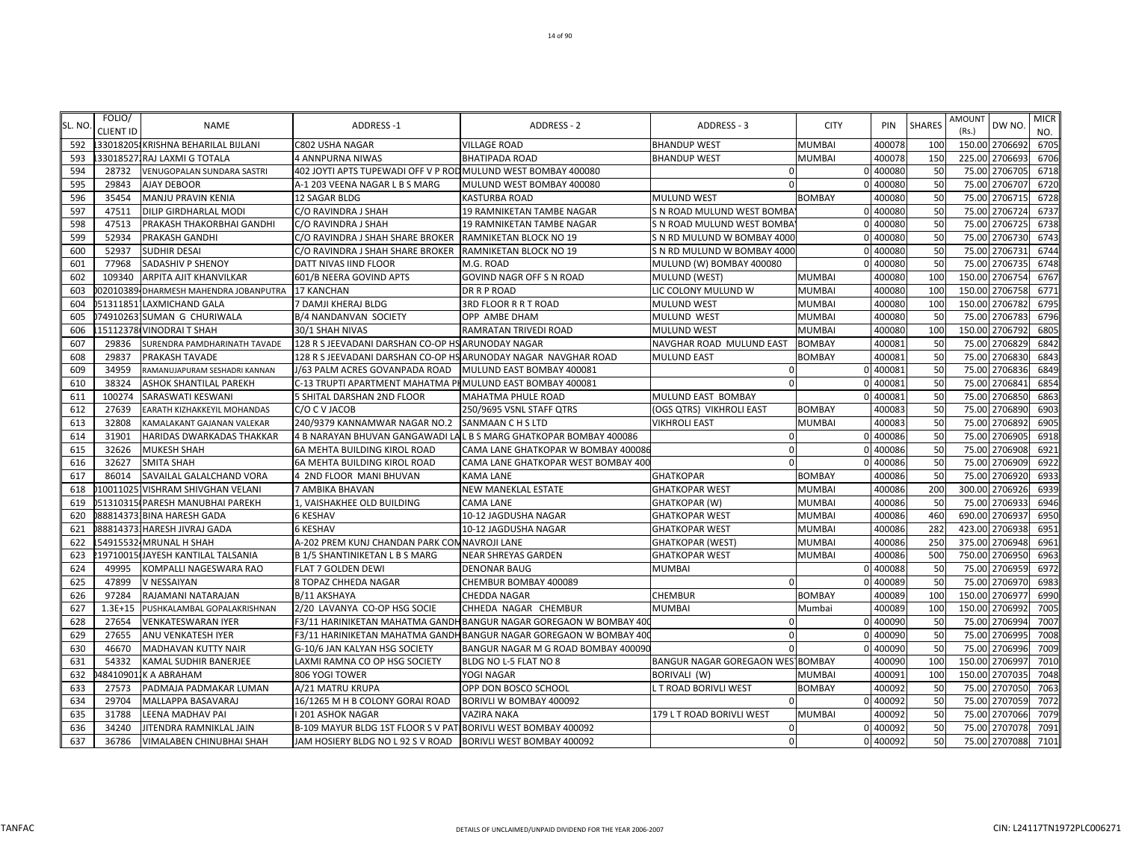| SL. NO | FOLIO/<br><b>CLIENT ID</b> | <b>NAME</b>                           | <b>ADDRESS-1</b>                                               | <b>ADDRESS - 2</b>                                                 | ADDRESS - 3                      | <b>CITY</b>   | PIN      | <b>SHARES</b>   | AMOUNT<br>(Rs.) | DW NO.        | <b>MICR</b><br>NO. |
|--------|----------------------------|---------------------------------------|----------------------------------------------------------------|--------------------------------------------------------------------|----------------------------------|---------------|----------|-----------------|-----------------|---------------|--------------------|
| 592    |                            | 33018205 KRISHNA BEHARILAL BIJLANI    | C802 USHA NAGAR                                                | <b>VILLAGE ROAD</b>                                                | <b>BHANDUP WEST</b>              | <b>MUMBAI</b> | 400078   | 100             | 150.00 2706692  |               | 6705               |
| 593    |                            | 33018527, RAJ LAXMI G TOTALA          | <b>4 ANNPURNA NIWAS</b>                                        | <b>BHATIPADA ROAD</b>                                              | <b>BHANDUP WEST</b>              | <b>MUMBAI</b> | 400078   | 150             | 225.00          | 2706693       | 6706               |
| 594    | 28732                      | VENUGOPALAN SUNDARA SASTRI            | 402 JOYTI APTS TUPEWADI OFF V P ROD MULUND WEST BOMBAY 400080  |                                                                    | $\Omega$                         |               | 0 400080 | 50              | 75.00 2706705   |               | 6718               |
| 595    | 29843                      | <b>AJAY DEBOOR</b>                    | A-1 203 VEENA NAGAR L B S MARG                                 | MULUND WEST BOMBAY 400080                                          | $\Omega$                         |               | 0 40008  | 50              | 75.00           | 2706707       | 6720               |
| 596    | 35454                      | MANJU PRAVIN KENIA                    | 12 SAGAR BLDG                                                  | <b>KASTURBA ROAD</b>                                               | <b>MULUND WEST</b>               | <b>BOMBAY</b> | 400080   | 50              | 75.00 2706715   |               | 6728               |
| 597    | 47511                      | DILIP GIRDHARLAL MODI                 | C/O RAVINDRA J SHAH                                            | 19 RAMNIKETAN TAMBE NAGAR                                          | S N ROAD MULUND WEST BOMBA       |               | 0 40008  | 50              | 75.00           | 2706724       | 6737               |
| 598    | 47513                      | PRAKASH THAKORBHAI GANDHI             | C/O RAVINDRA J SHAH                                            | <b>19 RAMNIKETAN TAMBE NAGAR</b>                                   | S N ROAD MULUND WEST BOMBA       |               | 0 400080 | 50              | 75.00           | 2706725       | 6738               |
| 599    | 52934                      | PRAKASH GANDHI                        | C/O RAVINDRA J SHAH SHARE BROKER                               | RAMNIKETAN BLOCK NO 19                                             | S N RD MULUND W BOMBAY 4000      |               | 0 400080 | 50              | 75.00           | 2706730       | 6743               |
| 600    | 52937                      | <b>SUDHIR DESAI</b>                   | C/O RAVINDRA J SHAH SHARE BROKER                               | RAMNIKETAN BLOCK NO 19                                             | S N RD MULUND W BOMBAY 4000      |               | 0 400080 | 50              | 75.00           | 2706731       | 6744               |
| 601    | 77968                      | SADASHIV P SHENOY                     | DATT NIVAS IIND FLOOR                                          | M.G. ROAD                                                          | MULUND (W) BOMBAY 400080         |               | 0 400080 | 50              | 75.00 2706735   |               | 6748               |
| 602    | 109340                     | ARPITA AJIT KHANVILKAR                | 601/B NEERA GOVIND APTS                                        | GOVIND NAGR OFF S N ROAD                                           | MULUND (WEST)                    | <b>MUMBAI</b> | 400080   | 100             | 150.00 2706754  |               | 6767               |
| 603    |                            | 02010389 DHARMESH MAHENDRA JOBANPUTRA | <b>17 KANCHAN</b>                                              | DR R P ROAD                                                        | LIC COLONY MULUND W              | <b>MUMBAI</b> | 400080   | 100             | 150.00 2706758  |               | 6771               |
| 604    |                            | 051311851 LAXMICHAND GALA             | 7 DAMJI KHERAJ BLDG                                            | 3RD FLOOR R R T ROAD                                               | <b>MULUND WEST</b>               | <b>MUMBAI</b> | 400080   | 10 <sub>C</sub> | 150.00 2706782  |               | 6795               |
| 605    |                            | 174910263 SUMAN G CHURIWALA           | B/4 NANDANVAN SOCIETY                                          | OPP AMBE DHAM                                                      | MULUND WEST                      | <b>MUMBAI</b> | 400080   | 50              | 75.00           | 2706783       | 6796               |
| 606    |                            | 15112378 VINODRAI T SHAH              | 30/1 SHAH NIVAS                                                | RAMRATAN TRIVEDI ROAD                                              | <b>MULUND WEST</b>               | <b>MUMBAI</b> | 400080   | 100             | 150.00          | 2706792       | 6805               |
| 607    | 29836                      | SURENDRA PAMDHARINATH TAVADE          | 128 R S JEEVADANI DARSHAN CO-OP HS ARUNODAY NAGAR              |                                                                    | NAVGHAR ROAD MULUND EAST         | <b>BOMBAY</b> | 40008    | 50              | 75.00           | 2706829       | 6842               |
| 608    | 29837                      | PRAKASH TAVADE                        | 128 R S JEEVADANI DARSHAN CO-OP HS ARUNODAY NAGAR NAVGHAR ROAD |                                                                    | <b>MULUND EAST</b>               | <b>BOMBAY</b> | 400081   | 50              | 75.00 2706830   |               | 6843               |
| 609    | 34959                      | RAMANUJAPURAM SESHADRI KANNAN         | J/63 PALM ACRES GOVANPADA ROAD                                 | MULUND EAST BOMBAY 400081                                          | $\Omega$                         |               | 0 400081 | 50              | 75.00           | 2706836       | 6849               |
| 610    | 38324                      | ASHOK SHANTILAL PAREKH                | C-13 TRUPTI APARTMENT MAHATMA PHMULUND EAST BOMBAY 400081      |                                                                    | $\Omega$                         |               | 0 400081 | 50              | 75.00           | 2706841       | 6854               |
| 611    | 100274                     | SARASWATI KESWANI                     | 5 SHITAL DARSHAN 2ND FLOOR                                     | <b>MAHATMA PHULE ROAD</b>                                          | MULUND EAST BOMBAY               |               | 0 400081 | 50              | 75.00           | 2706850       | 6863               |
| 612    | 27639                      | EARATH KIZHAKKEYIL MOHANDAS           | C/O C V JACOB                                                  | 250/9695 VSNL STAFF QTRS                                           | (OGS QTRS) VIKHROLI EAST         | <b>BOMBAY</b> | 400083   | 50              | 75.00           | 2706890       | 6903               |
| 613    | 32808                      | KAMALAKANT GAJANAN VALEKAR            | 240/9379 KANNAMWAR NAGAR NO.2                                  | <b>SANMAAN C H S LTD</b>                                           | <b>VIKHROLI EAST</b>             | <b>MUMBAI</b> | 400083   | 50              | 75.00           | 2706892       | 6905               |
| 614    | 31901                      | HARIDAS DWARKADAS THAKKAR             |                                                                | 4 B NARAYAN BHUVAN GANGAWADI LAL B S MARG GHATKOPAR BOMBAY 400086  | $\Omega$                         |               | 0 400086 | 50              | 75.00           | 2706905       | 6918               |
| 615    | 32626                      | <b>MUKESH SHAH</b>                    | <b>6A MEHTA BUILDING KIROL ROAD</b>                            | CAMA LANE GHATKOPAR W BOMBAY 400086                                | $\Omega$                         |               | 0 400086 | 50              | 75.00 2706908   |               | 6921               |
| 616    | 32627                      | <b>SMITA SHAH</b>                     | 6A MEHTA BUILDING KIROL ROAD                                   | CAMA LANE GHATKOPAR WEST BOMBAY 400                                | $\Omega$                         |               | 0 400086 | 50              | 75.00           | 2706909       | 6922               |
| 617    | 86014                      | SAVAILAL GALALCHAND VORA              | 4 2ND FLOOR MANI BHUVAN                                        | <b>KAMA LANE</b>                                                   | <b>GHATKOPAR</b>                 | <b>BOMBAY</b> | 400086   | 50              | 75.00 2706920   |               | 6933               |
| 618    |                            | 10011025 VISHRAM SHIVGHAN VELANI      | 7 AMBIKA BHAVAN                                                | <b>NEW MANEKLAL ESTATE</b>                                         | <b>GHATKOPAR WEST</b>            | <b>MUMBAI</b> | 400086   | 200             | 300.00          | 2706926       | 6939               |
| 619    |                            | 051310315 PARESH MANUBHAI PAREKH      | 1, VAISHAKHEE OLD BUILDING                                     | <b>CAMA LANE</b>                                                   | GHATKOPAR (W)                    | <b>MUMBAI</b> | 400086   | 50              | 75.00 2706933   |               | 6946               |
| 620    |                            | 0888143731BINA HARESH GADA            | <b>6 KESHAV</b>                                                | 10-12 JAGDUSHA NAGAR                                               | <b>GHATKOPAR WEST</b>            | <b>MUMBAI</b> | 400086   | 46 <sub>C</sub> | 690.00          | 2706937       | 6950               |
| 621    |                            | 88814373.HARESH JIVRAJ GADA           | <b>6 KESHAV</b>                                                | 10-12 JAGDUSHA NAGAR                                               | <b>GHATKOPAR WEST</b>            | <b>MUMBAI</b> | 400086   | 282             | 423.00          | 2706938       | 6951               |
| 622    |                            | 54915532 MRUNAL H SHAH                | A-202 PREM KUNJ CHANDAN PARK COM NAVROJI LANE                  |                                                                    | <b>GHATKOPAR (WEST)</b>          | <b>MUMBAI</b> | 400086   | 250             | 375.00          | 2706948       | 6961               |
| 623    |                            | 19710015 JAYESH KANTILAL TALSANIA     | <b>B1/5 SHANTINIKETAN LBS MARG</b>                             | <b>NEAR SHREYAS GARDEN</b>                                         | <b>GHATKOPAR WEST</b>            | <b>MUMBAI</b> | 400086   | 500             | 750.00          | 2706950       | 6963               |
| 624    | 49995                      | KOMPALLI NAGESWARA RAO                | <b>FLAT 7 GOLDEN DEWI</b>                                      | <b>DENONAR BAUG</b>                                                | <b>MUMBAI</b>                    |               | 0 400088 | 50              | 75.00 2706959   |               | 6972               |
| 625    | 47899                      | V NESSAIYAN                           | 8 TOPAZ CHHEDA NAGAR                                           | CHEMBUR BOMBAY 400089                                              | $\Omega$                         |               | 0 400089 | 50              | 75.00           | 2706970       | 6983               |
| 626    | 97284                      | RAJAMANI NATARAJAN                    | B/11 AKSHAYA                                                   | <b>CHEDDA NAGAR</b>                                                | <b>CHEMBUR</b>                   | <b>BOMBAY</b> | 400089   | 100             | 150.00 2706977  |               | 6990               |
| 627    | $1.3E + 15$                | PUSHKALAMBAL GOPALAKRISHNAN           | 2/20 LAVANYA CO-OP HSG SOCIE                                   | CHHEDA NAGAR CHEMBUR                                               | <b>MUMBAI</b>                    | Mumbai        | 400089   | 100             | 150.00          | 2706992       | 7005               |
| 628    | 27654                      | <b>VENKATESWARAN IYER</b>             |                                                                | F3/11 HARINIKETAN MAHATMA GANDH BANGUR NAGAR GOREGAON W BOMBAY 400 | $\mathbf 0$                      |               | 0 400090 | 50              | 75.00           | 2706994       | 7007               |
| 629    | 27655                      | ANU VENKATESH IYER                    |                                                                | F3/11 HARINIKETAN MAHATMA GANDH BANGUR NAGAR GOREGAON W BOMBAY 400 | $\Omega$                         |               | 0 40009  | 50              | 75.00 2706995   |               | 7008               |
| 630    | 46670                      | MADHAVAN KUTTY NAIR                   | G-10/6 JAN KALYAN HSG SOCIETY                                  | BANGUR NAGAR M G ROAD BOMBAY 400090                                |                                  |               | 0 400090 | 50              | 75.00           | 2706996       | 7009               |
| 631    | 54332                      | KAMAL SUDHIR BANERJEE                 | LAXMI RAMNA CO OP HSG SOCIETY                                  | BLDG NO L-5 FLAT NO 8                                              | BANGUR NAGAR GOREGAON WES BOMBAY |               | 400090   | 100             | 150.00 2706997  |               | 7010               |
| 632    |                            | 484109011K A ABRAHAM                  | 806 YOGI TOWER                                                 | YOGI NAGAR                                                         | BORIVALI (W)                     | <b>MUMBAI</b> | 400091   | 100             | 150.00          | 2707035       | 7048               |
| 633    | 27573                      | PADMAJA PADMAKAR LUMAN                | A/21 MATRU KRUPA                                               | OPP DON BOSCO SCHOOL                                               | L T ROAD BORIVLI WEST            | <b>BOMBAY</b> | 400092   | 50              | 75.00 2707050   |               | 7063               |
| 634    | 29704                      | MALLAPPA BASAVARAJ                    | 16/1265 M H B COLONY GORAI ROAD                                | BORIVLI W BOMBAY 400092                                            | $\Omega$                         |               | 0 400092 | 50              | 75.00           | 2707059       | 7072               |
| 635    | 31788                      | LEENA MADHAV PAI                      | I 201 ASHOK NAGAR                                              | <b>VAZIRA NAKA</b>                                                 | 179 L T ROAD BORIVLI WEST        | <b>MUMBAI</b> | 400092   | 50              | 75.00 2707066   |               | 7079               |
| 636    | 34240                      | JITENDRA RAMNIKLAL JAIN               | B-109 MAYUR BLDG 1ST FLOOR S V PAT BORIVLI WEST BOMBAY 400092  |                                                                    | $\mathbf 0$                      |               | 0 400092 | 50              |                 | 75.00 2707078 | 7091               |
| 637    | 36786                      | VIMALABEN CHINUBHAI SHAH              | JAM HOSIERY BLDG NO L 92 S V ROAD   BORIVLI WEST BOMBAY 400092 |                                                                    | $\overline{0}$                   |               | 0 400092 | 50              |                 | 75.00 2707088 | 7101               |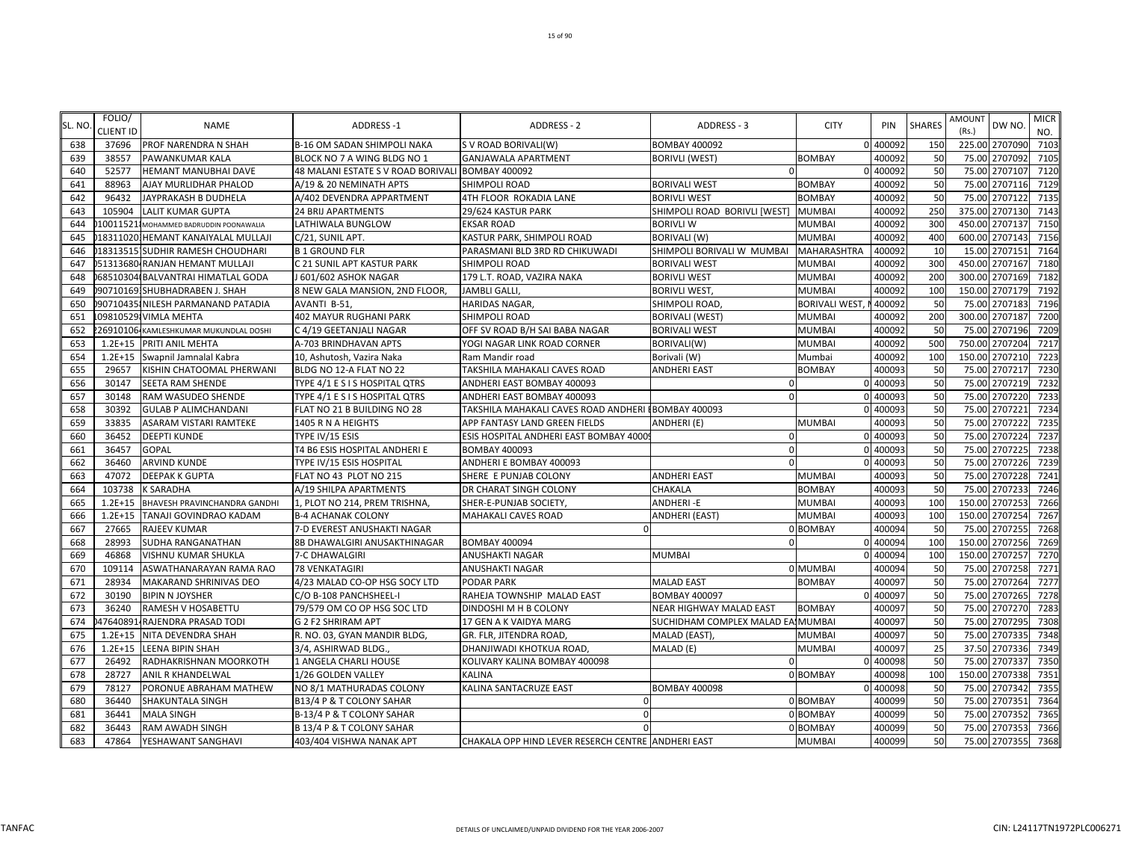| SL. NO | FOLIO/<br>CLIENT ID | <b>NAME</b>                            | <b>ADDRESS-1</b>                                 | <b>ADDRESS - 2</b>                                   | ADDRESS - 3                       | <b>CITY</b>           | PIN      | <b>SHARES</b> | AMOUNT<br>(Rs.) | DW NO.         | <b>MICR</b><br>NO. |
|--------|---------------------|----------------------------------------|--------------------------------------------------|------------------------------------------------------|-----------------------------------|-----------------------|----------|---------------|-----------------|----------------|--------------------|
| 638    | 37696               | PROF NARENDRA N SHAH                   | B-16 OM SADAN SHIMPOLI NAKA                      | S V ROAD BORIVALI(W)                                 | <b>BOMBAY 400092</b>              |                       | 0 400092 | 150           | 225.00 2707090  |                | 7103               |
| 639    | 38557               | PAWANKUMAR KALA                        | BLOCK NO 7 A WING BLDG NO 1                      | <b>GANJAWALA APARTMENT</b>                           | <b>BORIVLI (WEST)</b>             | <b>BOMBAY</b>         | 400092   | 50            | 75.00           | 2707092        | 7105               |
| 640    | 52577               | HEMANT MANUBHAI DAVE                   | 48 MALANI ESTATE S V ROAD BORIVALI BOMBAY 400092 |                                                      | $\Omega$                          |                       | 0 400092 | 50            | 75.00           | 2707107        | 7120               |
| 641    | 88963               | AJAY MURLIDHAR PHALOD                  | A/19 & 20 NEMINATH APTS                          | SHIMPOLI ROAD                                        | <b>BORIVALI WEST</b>              | <b>BOMBAY</b>         | 400092   | 50            | 75.00           | 2707116        | 7129               |
| 642    | 96432               | JAYPRAKASH B DUDHELA                   | A/402 DEVENDRA APPARTMENT                        | 4TH FLOOR ROKADIA LANE                               | <b>BORIVLI WEST</b>               | <b>BOMBAY</b>         | 400092   | 50            | 75.00           | 2707122        | 7135               |
| 643    | 105904              | <b>LALIT KUMAR GUPTA</b>               | <b>24 BRIJ APARTMENTS</b>                        | 29/624 KASTUR PARK                                   | SHIMPOLI ROAD BORIVLI [WEST]      | <b>MUMBA</b>          | 400092   | 250           | 375.00          | 2707130        | 7143               |
| 644    |                     | 10011521 MOHAMMED BADRUDDIN POONAWALIA | LATHIWALA BUNGLOW                                | <b>EKSAR ROAD</b>                                    | <b>BORIVLI W</b>                  | <b>MUMBAI</b>         | 400092   | 300           | 450.00          | 2707137        | 7150               |
| 645    |                     | 183110201HEMANT KANAIYALAL MULLAJI     | C/21, SUNIL APT.                                 | KASTUR PARK, SHIMPOLI ROAD                           | <b>BORIVALI (W)</b>               | <b>MUMBAI</b>         | 400092   | 400           | 600.00 2707143  |                | 7156               |
| 646    |                     | 183135151SUDHIR RAMESH CHOUDHARI       | <b>B1 GROUND FLR</b>                             | PARASMANI BLD 3RD RD CHIKUWADI                       | SHIMPOLI BORIVALI W MUMBAI        | <b>MAHARASHTRA</b>    | 400092   | 10            | 15.00           | 2707151        | 7164               |
| 647    |                     | 51313680 RANJAN HEMANT MULLAJI         | C 21 SUNIL APT KASTUR PARK                       | SHIMPOLI ROAD                                        | <b>BORIVALI WEST</b>              | <b>MUMBAI</b>         | 400092   | 300           |                 | 450.00 2707167 | 7180               |
| 648    |                     | 68510304 BALVANTRAI HIMATLAL GODA      | J 601/602 ASHOK NAGAR                            | 179 L.T. ROAD, VAZIRA NAKA                           | <b>BORIVLI WEST</b>               | <b>MUMBAI</b>         | 400092   | 200           | 300.00          | 2707169        | 7182               |
| 649    |                     | 907101691SHUBHADRABEN J. SHAH          | 8 NEW GALA MANSION, 2ND FLOOR,                   | <b>JAMBLI GALLI</b>                                  | <b>BORIVLI WEST,</b>              | <b>MUMBAI</b>         | 400092   | 100           |                 | 150.00 2707179 | 7192               |
| 650    |                     | 90710435 NILESH PARMANAND PATADIA      | AVANTI B-51,                                     | <b>HARIDAS NAGAR,</b>                                | SHIMPOLI ROAD                     | <b>BORIVALI WEST,</b> | 400092   | 50            | 75.00           | 2707183        | 7196               |
| 651    |                     | 09810529 VIMLA MEHTA                   | 402 MAYUR RUGHANI PARK                           | <b>SHIMPOLI ROAD</b>                                 | <b>BORIVALI (WEST)</b>            | <b>MUMBAI</b>         | 400092   | 200           | 300.00          | 2707187        | 7200               |
| 652    |                     | 26910106 KAMLESHKUMAR MUKUNDLAL DOSHI  | C 4/19 GEETANJALI NAGAR                          | OFF SV ROAD B/H SAI BABA NAGAR                       | <b>BORIVALI WEST</b>              | <b>MUMBAI</b>         | 400092   | 50            | 75.00           | 2707196        | 7209               |
| 653    | $1.2E + 15$         | PRITI ANIL MEHTA                       | A-703 BRINDHAVAN APTS                            | YOGI NAGAR LINK ROAD CORNER                          | BORIVALI(W)                       | <b>MUMBAI</b>         | 400092   | 500           |                 | 750.00 2707204 | 7217               |
| 654    | $1.2E + 15$         | Swapnil Jamnalal Kabra                 | 10, Ashutosh, Vazira Naka                        | Ram Mandir road                                      | Borivali (W)                      | Mumbai                | 400092   | 100           |                 | 150.00 2707210 | 7223               |
| 655    | 29657               | KISHIN CHATOOMAL PHERWANI              | BLDG NO 12-A FLAT NO 22                          | TAKSHILA MAHAKALI CAVES ROAD                         | ANDHERI EAST                      | <b>BOMBAY</b>         | 400093   | 50            | 75.00           | 2707217        | 7230               |
| 656    | 30147               | SEETA RAM SHENDE                       | TYPE 4/1 E S I S HOSPITAL QTRS                   | ANDHERI EAST BOMBAY 400093                           | $\Omega$                          |                       | 0 400093 | 50            | 75.00           | 2707219        | 7232               |
| 657    | 30148               | RAM WASUDEO SHENDE                     | TYPE 4/1 E S I S HOSPITAL QTRS                   | ANDHERI EAST BOMBAY 400093                           | $\Omega$                          |                       | 0 400093 | 50            | 75.00           | 2707220        | 7233               |
| 658    | 30392               | <b>GULAB P ALIMCHANDANI</b>            | FLAT NO 21 B BUILDING NO 28                      | TAKSHILA MAHAKALI CAVES ROAD ANDHERI I BOMBAY 400093 |                                   |                       | 0 400093 | 50            | 75.00           | 2707221        | 7234               |
| 659    | 33835               | ASARAM VISTARI RAMTEKE                 | 1405 R N A HEIGHTS                               | APP FANTASY LAND GREEN FIELDS                        | ANDHERI (E)                       | <b>MUMBA</b>          | 400093   | 50            | 75.00           | 2707222        | 7235               |
| 660    | 36452               | <b>DEEPTI KUNDE</b>                    | TYPE IV/15 ESIS                                  | ESIS HOSPITAL ANDHERI EAST BOMBAY 4000               | $\Omega$                          |                       | 0 40009  | 50            | 75.00           | 2707224        | 7237               |
| 661    | 36457               | <b>GOPAL</b>                           | T4 B6 ESIS HOSPITAL ANDHERI E                    | <b>BOMBAY 400093</b>                                 | $\Omega$                          |                       | 0 400093 | 50            | 75.00           | 2707225        | 7238               |
| 662    | 36460               | <b>ARVIND KUNDE</b>                    | TYPE IV/15 ESIS HOSPITAL                         | ANDHERI E BOMBAY 400093                              | $\Omega$                          |                       | 0 400093 | 50            | 75.00           | 2707226        | 7239               |
| 663    | 47072               | <b>DEEPAK K GUPTA</b>                  | FLAT NO 43 PLOT NO 215                           | SHERE E PUNJAB COLONY                                | <b>ANDHERI EAST</b>               | <b>MUMBA</b>          | 400093   | 50            |                 | 75.00 2707228  | 7241               |
| 664    | 103738              | <b>K SARADHA</b>                       | A/19 SHILPA APARTMENTS                           | DR CHARAT SINGH COLONY                               | CHAKALA                           | <b>BOMBAY</b>         | 400093   | 50            | 75.00           | 2707233        | 7246               |
| 665    | $1.2E + 15$         | BHAVESH PRAVINCHANDRA GANDHI           | 1, PLOT NO 214, PREM TRISHNA,                    | SHER-E-PUNJAB SOCIETY,                               | <b>ANDHERI-E</b>                  | <b>MUMBA</b>          | 400093   | <b>100</b>    |                 | 150.00 2707253 | 7266               |
| 666    | $1.2E + 15$         | TANAJI GOVINDRAO KADAM                 | <b>B-4 ACHANAK COLONY</b>                        | <b>MAHAKALI CAVES ROAD</b>                           | ANDHERI (EAST)                    | <b>MUMBA</b>          | 400093   | <b>100</b>    | 150.00          | 2707254        | 7267               |
| 667    | 27665               | RAJEEV KUMAR                           | 7-D EVEREST ANUSHAKTI NAGAR                      |                                                      |                                   | 0 BOMBAY              | 400094   | 50            | 75.00           | 2707255        | 7268               |
| 668    | 28993               | SUDHA RANGANATHAN                      | 8B DHAWALGIRI ANUSAKTHINAGAR                     | <b>BOMBAY 400094</b>                                 |                                   |                       | 0 40009  | 100           | 150.00          | 2707256        | 7269               |
| 669    | 46868               | VISHNU KUMAR SHUKLA                    | 7-C DHAWALGIRI                                   | <b>ANUSHAKTI NAGAR</b>                               | <b>MUMBAI</b>                     |                       | 0 40009  | 100           | 150.00          | 2707257        | 7270               |
| 670    | 109114              | ASWATHANARAYAN RAMA RAO                | <b>78 VENKATAGIRI</b>                            | ANUSHAKTI NAGAR                                      |                                   | 0 MUMBAI              | 400094   | 50            |                 | 75.00 2707258  | 7271               |
| 671    | 28934               | MAKARAND SHRINIVAS DEO                 | 4/23 MALAD CO-OP HSG SOCY LTD                    | PODAR PARK                                           | <b>MALAD EAST</b>                 | <b>BOMBAY</b>         | 400097   | 50            | 75.00           | 2707264        | 7277               |
| 672    | 30190               | <b>BIPIN N JOYSHER</b>                 | C/O B-108 PANCHSHEEL-I                           | RAHEJA TOWNSHIP MALAD EAST                           | <b>BOMBAY 400097</b>              |                       | 0 400097 | 50            | 75.00           | 2707265        | 7278               |
| 673    | 36240               | RAMESH V HOSABETTU                     | 79/579 OM CO OP HSG SOC LTD                      | DINDOSHI M H B COLONY                                | NEAR HIGHWAY MALAD EAST           | <b>BOMBAY</b>         | 400097   | 50            | 75.00           | 2707270        | 7283               |
| 674    | 47640891            | RAJENDRA PRASAD TODI                   | G 2 F2 SHRIRAM APT                               | 17 GEN A K VAIDYA MARG                               | SUCHIDHAM COMPLEX MALAD EAIMUMBAI |                       | 400097   | 50            | 75.00           | 2707295        | 7308               |
| 675    | $1.2E + 15$         | NITA DEVENDRA SHAH                     | R. NO. 03, GYAN MANDIR BLDG,                     | GR. FLR, JITENDRA ROAD,                              | MALAD (EAST),                     | <b>MUMBA</b>          | 400097   | 50            | 75.00           | 2707335        | 7348               |
| 676    | $1.2E + 15$         | <b>LEENA BIPIN SHAH</b>                | 3/4, ASHIRWAD BLDG.                              | DHANJIWADI KHOTKUA ROAD,                             | MALAD (E)                         | <b>MUMBAI</b>         | 400097   | 25            | 37.50           | 2707336        | 7349               |
| 677    | 26492               | RADHAKRISHNAN MOORKOTH                 | 1 ANGELA CHARLI HOUSE                            | KOLIVARY KALINA BOMBAY 400098                        | $\Omega$                          |                       | 0 400098 | 50            |                 | 75.00 2707337  | 7350               |
| 678    | 28727               | ANIL R KHANDELWAL                      | 1/26 GOLDEN VALLEY                               | KALINA                                               |                                   | 0 BOMBAY              | 400098   | 100           | 150.00          | 2707338        | 7351               |
| 679    | 78127               | PORONUE ABRAHAM MATHEW                 | NO 8/1 MATHURADAS COLONY                         | KALINA SANTACRUZE EAST                               | <b>BOMBAY 400098</b>              |                       | 0 400098 | 50            |                 | 75.00 2707342  | 7355               |
| 680    | 36440               | SHAKUNTALA SINGH                       | B13/4 P & T COLONY SAHAR                         |                                                      |                                   | 0 BOMBAY              | 400099   | 50            | 75.00           | 2707351        | 7364               |
| 681    | 36441               | <b>MALA SINGH</b>                      | B-13/4 P & T COLONY SAHAR                        |                                                      |                                   | 0 BOMBAY              | 400099   | 50            | 75.00           | 2707352        | 7365               |
| 682    | 36443               | <b>RAM AWADH SINGH</b>                 | B 13/4 P & T COLONY SAHAR                        |                                                      |                                   | 0 BOMBAY              | 400099   | 50            |                 | 75.00 2707353  | 7366               |
| 683    |                     | 47864 YESHAWANT SANGHAVI               | 403/404 VISHWA NANAK APT                         | CHAKALA OPP HIND LEVER RESERCH CENTRE ANDHERI EAST   |                                   | <b>MUMBAI</b>         | 400099   | 50            |                 | 75.00 2707355  | 7368               |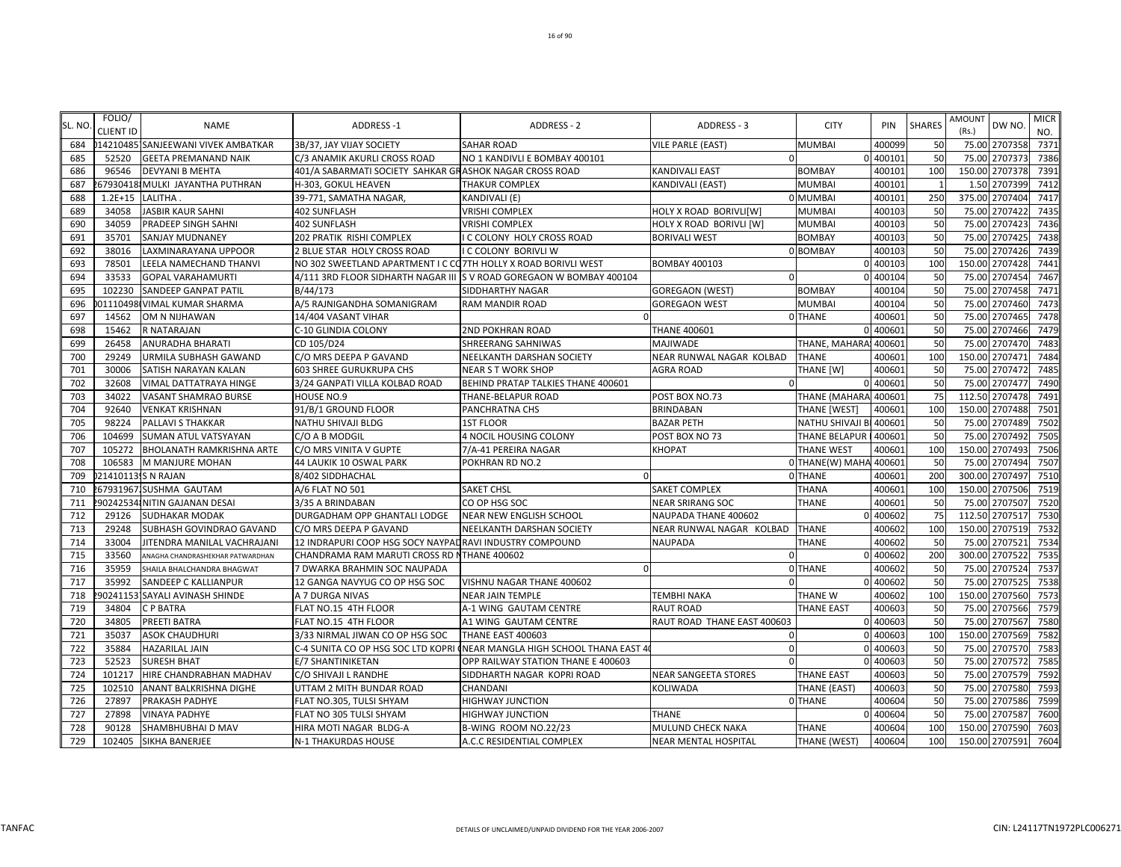| SL. NO | FOLIO/<br><b>CLIENT ID</b> | NAME                               | ADDRESS-1                                                      | ADDRESS - 2                                                              | ADDRESS - 3                 | <b>CITY</b>            | PIN      | <b>SHARES</b> | AMOUNT<br>(Rs.) | DW NO.         | <b>MICR</b><br>NO. |
|--------|----------------------------|------------------------------------|----------------------------------------------------------------|--------------------------------------------------------------------------|-----------------------------|------------------------|----------|---------------|-----------------|----------------|--------------------|
| 684    |                            | 142104851SANJEEWANI VIVEK AMBATKAR | 3B/37, JAY VIJAY SOCIETY                                       | <b>SAHAR ROAD</b>                                                        | <b>VILE PARLE (EAST)</b>    | <b>MUMBAI</b>          | 400099   | 50            |                 | 75.00 2707358  | 7371               |
| 685    | 52520                      | <b>GEETA PREMANAND NAIK</b>        | C/3 ANAMIK AKURLI CROSS ROAD                                   | NO 1 KANDIVLI E BOMBAY 400101                                            | $\Omega$                    |                        | 0 400101 | 50            | 75.00           | 2707373        | 7386               |
| 686    | 96546                      | <b>DEVYANI B MEHTA</b>             | 401/A SABARMATI SOCIETY SAHKAR GRASHOK NAGAR CROSS ROAD        |                                                                          | <b>KANDIVALI EAST</b>       | <b>BOMBAY</b>          | 400101   | 100           |                 | 150.00 2707378 | 7391               |
| 687    |                            | 67930418 MULKI JAYANTHA PUTHRAN    | H-303, GOKUL HEAVEN                                            | <b>THAKUR COMPLEX</b>                                                    | KANDIVALI (EAST)            | <b>MUMBAI</b>          | 400101   |               | 1.50            | 2707399        | 7412               |
| 688    | $1.2E + 15$                | LALITHA                            | 39-771, SAMATHA NAGAR,                                         | KANDIVALI (E)                                                            |                             | 0 MUMBAI               | 40010    | 250           | 375.00          | 2707404        | 7417               |
| 689    | 34058                      | <b>JASBIR KAUR SAHNI</b>           | <b>402 SUNFLASH</b>                                            | <b>VRISHI COMPLEX</b>                                                    | HOLY X ROAD BORIVLI[W]      | <b>MUMBAI</b>          | 400103   | 50            | 75.00           | 2707422        | 7435               |
| 690    | 34059                      | PRADEEP SINGH SAHNI                | 402 SUNFLASH                                                   | <b>VRISHI COMPLEX</b>                                                    | HOLY X ROAD BORIVLI [W]     | <b>MUMBAI</b>          | 400103   | 50            | 75.00           | 2707423        | 7436               |
| 691    | 35701                      | <b>SANJAY MUDNANEY</b>             | 202 PRATIK RISHI COMPLEX                                       | C COLONY HOLY CROSS ROAD                                                 | <b>BORIVALI WEST</b>        | <b>BOMBAY</b>          | 400103   | 50            | 75.00           | 2707425        | 7438               |
| 692    | 38016                      | LAXMINARAYANA UPPOOR               | 2 BLUE STAR HOLY CROSS ROAD                                    | <b>C COLONY BORIVLI W</b>                                                |                             | 0 BOMBAY               | 400103   | 50            |                 | 75.00 2707426  | 7439               |
| 693    | 78501                      | LEELA NAMECHAND THANVI             | NO 302 SWEETLAND APARTMENT I C CO7TH HOLLY X ROAD BORIVLI WEST |                                                                          | <b>BOMBAY 400103</b>        |                        | 0 400103 | 100           |                 | 150.00 2707428 | 7441               |
| 694    | 33533                      | <b>GOPAL VARAHAMURTI</b>           |                                                                | 4/111 3RD FLOOR SIDHARTH NAGAR III S V ROAD GOREGAON W BOMBAY 400104     | $\Omega$                    |                        | 0 400104 | 50            | 75.00           | 2707454        | 7467               |
| 695    | 102230                     | <b>SANDEEP GANPAT PATIL</b>        | B/44/173                                                       | SIDDHARTHY NAGAR                                                         | <b>GOREGAON (WEST)</b>      | <b>BOMBAY</b>          | 400104   | 50            | 75.00           | 2707458        | 7471               |
| 696    |                            | 01110498 VIMAL KUMAR SHARMA        | A/5 RAJNIGANDHA SOMANIGRAM                                     | RAM MANDIR ROAD                                                          | <b>GOREGAON WEST</b>        | <b>MUMBAI</b>          | 400104   | 50            | 75.00           | 2707460        | 7473               |
| 697    | 14562                      | OM N NIJHAWAN                      | 14/404 VASANT VIHAR                                            |                                                                          |                             | 0 THANE                | 40060    | 50            | 75.00           | 2707465        | 7478               |
| 698    | 15462                      | R NATARAJAN                        | C-10 GLINDIA COLONY                                            | 2ND POKHRAN ROAD                                                         | <b>THANE 400601</b>         |                        | 0 400601 | 50            | 75.00           | 2707466        | 747 <sup>9</sup>   |
| 699    | 26458                      | <b>ANURADHA BHARATI</b>            | CD 105/D24                                                     | SHREERANG SAHNIWAS                                                       | MAJIWADE                    | THANE, MAHARA          | 400601   | 50            | 75.00           | 2707470        | 7483               |
| 700    | 29249                      | URMILA SUBHASH GAWAND              | C/O MRS DEEPA P GAVAND                                         | NEELKANTH DARSHAN SOCIETY                                                | NEAR RUNWAL NAGAR KOLBAD    | THANE                  | 400601   | 100           |                 | 150.00 2707471 | 7484               |
| 701    | 30006                      | SATISH NARAYAN KALAN               | <b>603 SHREE GURUKRUPA CHS</b>                                 | <b>NEAR S T WORK SHOP</b>                                                | <b>AGRA ROAD</b>            | THANE [W]              | 400601   | 50            | 75.00           | 2707472        | 7485               |
| 702    | 32608                      | VIMAL DATTATRAYA HINGE             | 3/24 GANPATI VILLA KOLBAD ROAD                                 | BEHIND PRATAP TALKIES THANE 400601                                       | $\Omega$                    |                        | 0 400601 | 50            |                 | 75.00 2707477  | 7490               |
| 703    | 34022                      | VASANT SHAMRAO BURSE               | HOUSE NO.9                                                     | THANE-BELAPUR ROAD                                                       | POST BOX NO.73              | THANE (MAHARA          | 400601   | 75            | 112.50          | 2707478        | 7491               |
| 704    | 92640                      | <b>VENKAT KRISHNAN</b>             | 91/B/1 GROUND FLOOR                                            | PANCHRATNA CHS                                                           | <b>BRINDABAN</b>            | THANE [WEST]           | 400601   | 100           | 150.00          | 2707488        | 7501               |
| 705    | 98224                      | <b>PALLAVI S THAKKAR</b>           | NATHU SHIVAJI BLDG                                             | <b>1ST FLOOR</b>                                                         | <b>BAZAR PETH</b>           | <b>NATHU SHIVAJI B</b> | 400601   | 50            | 75.00           | 2707489        | 7502               |
| 706    | 104699                     | <b>SUMAN ATUL VATSYAYAN</b>        | C/O A B MODGIL                                                 | 4 NOCIL HOUSING COLONY                                                   | POST BOX NO 73              | THANE BELAPUR          | 400601   | 50            | 75.00           | 2707492        | 7505               |
| 707    | 105272                     | <b>BHOLANATH RAMKRISHNA ARTE</b>   | C/O MRS VINITA V GUPTE                                         | 7/A-41 PEREIRA NAGAR                                                     | KHOPAT                      | <b>THANE WEST</b>      | 400601   | 100           | 150.00          | 2707493        | 7506               |
| 708    | 106583                     | M MANJURE MOHAN                    | 44 LAUKIK 10 OSWAL PARK                                        | POKHRAN RD NO.2                                                          |                             | 0 THANE(W) MAHA        | 400601   | 50            | 75.00           | 2707494        | 7507               |
| 709    | 214101135 N RAJAN          |                                    | 8/402 SIDDHACHAL                                               |                                                                          |                             | 0 THANE                | 400601   | 200           |                 | 300.00 2707497 | 7510               |
| 710    |                            | 679319671SUSHMA GAUTAM             | A/6 FLAT NO 501                                                | <b>SAKET CHSL</b>                                                        | <b>SAKET COMPLEX</b>        | <b>THANA</b>           | 400601   | 100           |                 | 150.00 2707506 | 7519               |
| 711    |                            | 90242534 NITIN GAJANAN DESAI       | 3/35 A BRINDABAN                                               | CO OP HSG SOC                                                            | <b>NEAR SRIRANG SOC</b>     | <b>THANE</b>           | 40060    | 50            | 75.00           | 2707507        | 7520               |
| 712    | 29126                      | <b>SUDHAKAR MODAK</b>              | DURGADHAM OPP GHANTALI LODGE                                   | NEAR NEW ENGLISH SCHOOL                                                  | NAUPADA THANE 400602        |                        | 0 400602 | 75            | 112.50          | 2707517        | 7530               |
| 713    | 29248                      | SUBHASH GOVINDRAO GAVAND           | C/O MRS DEEPA P GAVAND                                         | NEELKANTH DARSHAN SOCIETY                                                | NEAR RUNWAL NAGAR KOLBAD    | <b>THANE</b>           | 400602   | 100           |                 | 150.00 2707519 | 7532               |
| 714    | 33004                      | JITENDRA MANILAL VACHRAJANI        | 12 INDRAPURI COOP HSG SOCY NAYPAD RAVI INDUSTRY COMPOUND       |                                                                          | <b>NAUPADA</b>              | <b>THANE</b>           | 400602   | 50            | 75.00           | 2707521        | 7534               |
| 715    | 33560                      | ANAGHA CHANDRASHEKHAR PATWARDHAN   | CHANDRAMA RAM MARUTI CROSS RD NTHANE 400602                    |                                                                          | $\Omega$                    |                        | 0 400602 | 200           | 300.00          | 2707522        | 7535               |
| 716    | 35959                      | SHAILA BHALCHANDRA BHAGWAT         | 7 DWARKA BRAHMIN SOC NAUPADA                                   |                                                                          |                             | 0 THANE                | 400602   | 50            |                 | 75.00 2707524  | 7537               |
| 717    | 35992                      | SANDEEP C KALLIANPUR               | 12 GANGA NAVYUG CO OP HSG SOC                                  | VISHNU NAGAR THANE 400602                                                | $\Omega$                    |                        | 0 400602 | 50            |                 | 75.00 2707525  | 7538               |
| 718    |                            | 90241153 SAYALI AVINASH SHINDE     | A 7 DURGA NIVAS                                                | <b>NEAR JAIN TEMPLE</b>                                                  | TEMBHI NAKA                 | THANE W                | 400602   | 100           |                 | 150.00 2707560 | 7573               |
| 719    | 34804                      | <b>CPBATRA</b>                     | FLAT NO.15 4TH FLOOR                                           | A-1 WING GAUTAM CENTRE                                                   | <b>RAUT ROAD</b>            | <b>THANE EAST</b>      | 400603   | 50            | 75.00           | 2707566        | 7579               |
| 720    | 34805                      | PREETI BATRA                       | FLAT NO.15 4TH FLOOR                                           | A1 WING GAUTAM CENTRE                                                    | RAUT ROAD THANE EAST 400603 |                        | 0 40060  | 50            | 75.00           | 2707567        | 7580               |
| 721    | 35037                      | <b>ASOK CHAUDHURI</b>              | 3/33 NIRMAL JIWAN CO OP HSG SOC                                | THANE EAST 400603                                                        | $\Omega$                    |                        | 0 400603 | 100           | 150.00          | 2707569        | 7582               |
| 722    | 35884                      | <b>HAZARILAL JAIN</b>              |                                                                | C-4 SUNITA CO OP HSG SOC LTD KOPRI (NEAR MANGLA HIGH SCHOOL THANA EAST 4 | $\Omega$                    |                        | 0 40060  | 50            | 75.00           | 2707570        | 7583               |
| 723    | 52523                      | <b>SURESH BHAT</b>                 | E/7 SHANTINIKETAN                                              | OPP RAILWAY STATION THANE E 400603                                       | $\Omega$                    |                        | 0 400603 | 50            | 75.00           | 2707572        | 7585               |
| 724    | 101217                     | HIRE CHANDRABHAN MADHAV            | C/O SHIVAJI L RANDHE                                           | SIDDHARTH NAGAR KOPRI ROAD                                               | <b>NEAR SANGEETA STORES</b> | THANE EAST             | 400603   | 50            | 75.00           | 2707579        | 7592               |
| 725    | 102510                     | ANANT BALKRISHNA DIGHE             | UTTAM 2 MITH BUNDAR ROAD                                       | <b>CHANDANI</b>                                                          | KOLIWADA                    | THANE (EAST)           | 400603   | 50            |                 | 75.00 2707580  | 7593               |
| 726    | 27897                      | <b>PRAKASH PADHYE</b>              | FLAT NO.305, TULSI SHYAM                                       | <b>HIGHWAY JUNCTION</b>                                                  |                             | 0 THANE                | 400604   | 50            | 75.00           | 2707586        | 7599               |
| 727    | 27898                      | VINAYA PADHYE                      | FLAT NO 305 TULSI SHYAM                                        | <b>HIGHWAY JUNCTION</b>                                                  | <b>THANE</b>                |                        | 0 400604 | 50            | 75.00           | 2707587        | 7600               |
| 728    | 90128                      | SHAMBHUBHAI D MAV                  | HIRA MOTI NAGAR BLDG-A                                         | B-WING ROOM NO.22/23                                                     | MULUND CHECK NAKA           | <b>THANE</b>           | 400604   | 100           |                 | 150.00 2707590 | 7603               |
| 729    | 102405                     | SIKHA BANERJEE                     | N-1 THAKURDAS HOUSE                                            | A.C.C RESIDENTIAL COMPLEX                                                | <b>NEAR MENTAL HOSPITAL</b> | THANE (WEST)           | 400604   | 100           |                 | 150.00 2707591 | 7604               |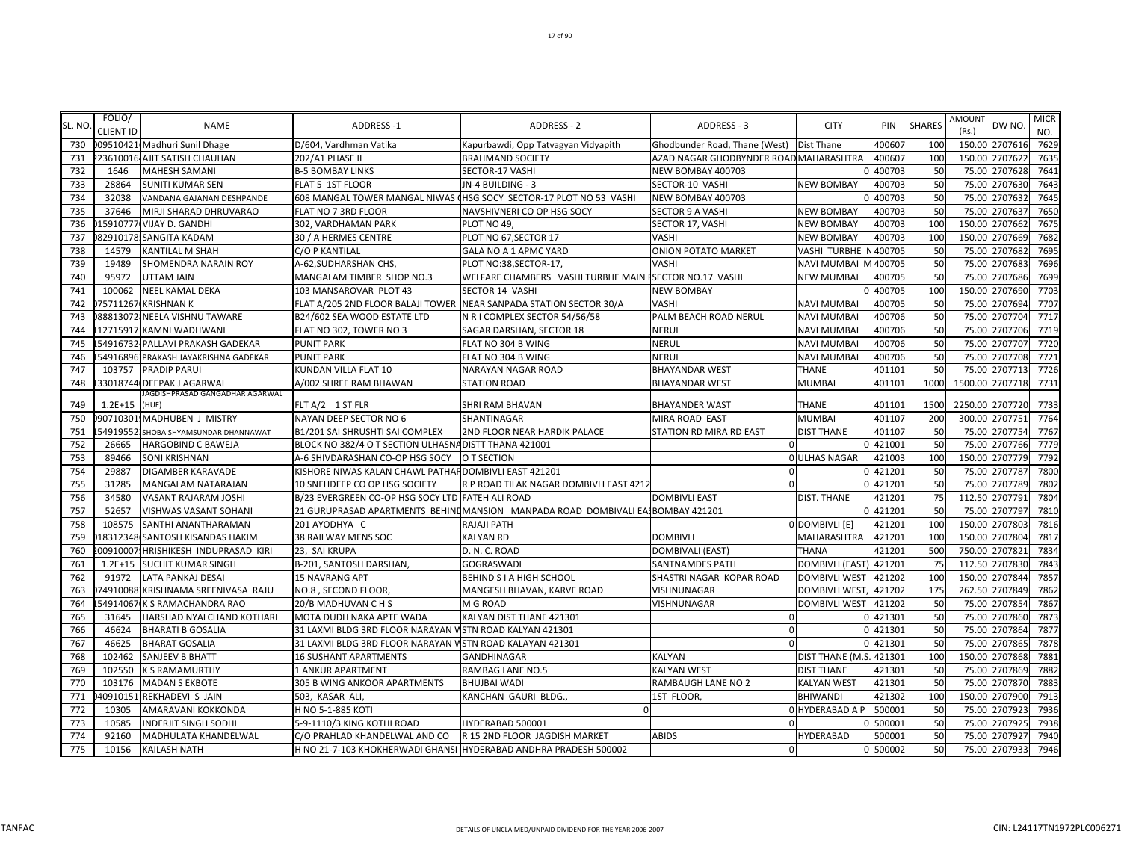|        | FOLIO/           |                                       |                                                          |                                                                                |                                          |                        |          |               | AMOUNT |                 | <b>MICR</b>      |
|--------|------------------|---------------------------------------|----------------------------------------------------------|--------------------------------------------------------------------------------|------------------------------------------|------------------------|----------|---------------|--------|-----------------|------------------|
| SL. NO | <b>CLIENT ID</b> | <b>NAME</b>                           | ADDRESS-1                                                | ADDRESS - 2                                                                    | ADDRESS - 3                              | <b>CITY</b>            | PIN      | <b>SHARES</b> | (Rs.)  | DW NO.          | NO.              |
| 730    |                  | 009510421 Madhuri Sunil Dhage         | D/604, Vardhman Vatika                                   | Kapurbawdi, Opp Tatvagyan Vidyapith                                            | Ghodbunder Road, Thane (West) Dist Thane |                        | 400607   | 100           |        | 150.00 2707616  | 762 <sup>9</sup> |
| 731    |                  | 223610016 AJIT SATISH CHAUHAN         | 202/A1 PHASE II                                          | <b>BRAHMAND SOCIETY</b>                                                        | AZAD NAGAR GHODBYNDER ROAD MAHARASHTRA   |                        | 400607   | 100           |        | 150.00 2707622  | 7635             |
| 732    | 1646             | <b>MAHESH SAMANI</b>                  | <b>B-5 BOMBAY LINKS</b>                                  | SECTOR-17 VASHI                                                                | NEW BOMBAY 400703                        |                        | 400703   | 50            |        | 75.00 2707628   | 7641             |
| 733    | 28864            | SUNITI KUMAR SEN                      | FLAT 5 1ST FLOOR                                         | JN-4 BUILDING - 3                                                              | SECTOR-10 VASHI                          | <b>NEW BOMBAY</b>      | 400703   | 50            | 75.00  | 2707630         | 7643             |
| 734    | 32038            | VANDANA GAJANAN DESHPANDE             |                                                          | 608 MANGAL TOWER MANGAL NIWAS (HSG SOCY SECTOR-17 PLOT NO 53 VASHI             | NEW BOMBAY 400703                        |                        | 400703   | 50            | 75.00  | 2707632         | 7645             |
| 735    | 37646            | MIRJI SHARAD DHRUVARAO                | FLAT NO 7 3RD FLOOR                                      | NAVSHIVNERI CO OP HSG SOCY                                                     | <b>SECTOR 9 A VASHI</b>                  | <b>NEW BOMBAY</b>      | 400703   | 50            | 75.00  | 2707637         | 7650             |
| 736    |                  | 15910777 VIJAY D. GANDHI              | 302, VARDHAMAN PARK                                      | PLOT NO 49,                                                                    | SECTOR 17, VASHI                         | <b>NEW BOMBAY</b>      | 400703   | 100           |        | 150.00 2707662  | 7675             |
| 737    |                  | 82910178! SANGITA KADAM               | 30 / A HERMES CENTRE                                     | PLOT NO 67, SECTOR 17                                                          | <b>VASHI</b>                             | <b>NEW BOMBAY</b>      | 400703   | 100           | 150.00 | 2707669         | 7682             |
| 738    | 14579            | KANTILAL M SHAH                       | C/O P KANTILAL                                           | GALA NO A 1 APMC YARD                                                          | <b>ONION POTATO MARKET</b>               | <b>VASHI TURBHE</b>    | 400705   | 50            | 75.00  | 2707682         | 7695             |
| 739    | 19489            | SHOMENDRA NARAIN ROY                  | A-62, SUDHARSHAN CHS,                                    | PLOT NO:38,SECTOR-17,                                                          | VASHI                                    | NAVI MUMBAI N          | 400705   | 50            | 75.00  | 2707683         | 7696             |
| 740    | 95972            | UTTAM JAIN                            | MANGALAM TIMBER SHOP NO.3                                | WELFARE CHAMBERS VASHI TURBHE MAIN ISECTOR NO.17 VASHI                         |                                          | <b>NEW MUMBAI</b>      | 400705   | 50            |        | 75.00 2707686   | 7699             |
| 741    |                  | 100062 NEEL KAMAL DEKA                | 103 MANSAROVAR PLOT 43                                   | SECTOR 14 VASHI                                                                | <b>NEW BOMBAY</b>                        |                        | 400705   | 100           |        | 150.00 2707690  | 7703             |
| 742    |                  | 175711267 KRISHNAN K                  |                                                          | FLAT A/205 2ND FLOOR BALAJI TOWER NEAR SANPADA STATION SECTOR 30/A             | <b>VASHI</b>                             | <b>NAVI MUMBAI</b>     | 400705   | 50            |        | 75.00 2707694   | 7707             |
| 743    |                  | 88813072 NEELA VISHNU TAWARE          | B24/602 SEA WOOD ESTATE LTD                              | N R I COMPLEX SECTOR 54/56/58                                                  | PALM BEACH ROAD NERUL                    | <b>NAVI MUMBAI</b>     | 400706   | 50            |        | 75.00 2707704   | 7717             |
| 744    |                  | 12715917 KAMNI WADHWANI               | FLAT NO 302, TOWER NO 3                                  | SAGAR DARSHAN, SECTOR 18                                                       | <b>NERUL</b>                             | <b>NAVI MUMBAI</b>     | 400706   | 50            | 75.00  | 2707706         | 7719             |
| 745    |                  | 54916732 PALLAVI PRAKASH GADEKAR      | <b>PUNIT PARK</b>                                        | FLAT NO 304 B WING                                                             | <b>NERUL</b>                             | <b>NAVI MUMBAI</b>     | 400706   | 50            | 75.00  | 2707707         | 7720             |
| 746    |                  | 54916896 PRAKASH JAYAKRISHNA GADEKAR  | <b>PUNIT PARK</b>                                        | FLAT NO 304 B WING                                                             | <b>NERUL</b>                             | <b>NAVI MUMBAI</b>     | 400706   | 50            | 75.00  | 2707708         | 7721             |
| 747    | 103757           | <b>PRADIP PARUI</b>                   | KUNDAN VILLA FLAT 10                                     | NARAYAN NAGAR ROAD                                                             | <b>BHAYANDAR WEST</b>                    | THANE                  | 401101   | 50            | 75.00  | 2707713         | 7726             |
| 748    |                  | 33018744 DEEPAK J AGARWAL             | A/002 SHREE RAM BHAWAN                                   | <b>STATION ROAD</b>                                                            | <b>BHAYANDAR WEST</b>                    | <b>MUMBAI</b>          | 401101   | 1000          |        | 1500.00 2707718 | 7731             |
|        |                  | IAGDISHPRASAD GANGADHAR AGARWAL       |                                                          |                                                                                |                                          |                        |          |               |        |                 |                  |
| 749    | $1.2E + 15$      | (HUF)                                 | FLT A/2 1 ST FLR                                         | <b>SHRI RAM BHAVAN</b>                                                         | <b>BHAYANDER WAST</b>                    | <b>THANE</b>           | 401101   | 1500          |        | 2250.00 2707720 | 7733             |
| 750    |                  | 907103011MADHUBEN J MISTRY            | NAYAN DEEP SECTOR NO 6                                   | SHANTINAGAR                                                                    | MIRA ROAD EAST                           | <b>MUMBAI</b>          | 401107   | 200           |        | 300.00 2707751  | 7764             |
| 751    |                  | 549195521 SHOBA SHYAMSUNDAR DHANNAWAT | B1/201 SAI SHRUSHTI SAI COMPLEX                          | 2ND FLOOR NEAR HARDIK PALACE                                                   | STATION RD MIRA RD EAST                  | <b>DIST THANE</b>      | 401107   | 50            | 75.00  | 2707754         | 7767             |
| 752    | 26665            | HARGOBIND C BAWEJA                    | BLOCK NO 382/4 O T SECTION ULHASNA DISTT THANA 421001    |                                                                                | $\mathbf 0$                              |                        | 0 421001 | 50            |        | 75.00 2707766   | 777 <sub>9</sub> |
| 753    | 89466            | <b>SONI KRISHNAN</b>                  | A-6 SHIVDARASHAN CO-OP HSG SOCY                          | O T SECTION                                                                    |                                          | <b>OULHAS NAGAR</b>    | 421003   | 100           |        | 150.00 2707779  | 7792             |
| 754    | 29887            | DIGAMBER KARAVADE                     | KISHORE NIWAS KALAN CHAWL PATHAF DOMBIVLI EAST 421201    |                                                                                | $\mathbf{0}$                             |                        | 0 421201 | 50            |        | 75.00 2707787   | 7800             |
| 755    | 31285            | MANGALAM NATARAJAN                    | 10 SNEHDEEP CO OP HSG SOCIETY                            | R P ROAD TILAK NAGAR DOMBIVLI EAST 4212                                        | $\Omega$                                 |                        | 0 421201 | 50            |        | 75.00 2707789   | 7802             |
| 756    | 34580            | VASANT RAJARAM JOSHI                  | B/23 EVERGREEN CO-OP HSG SOCY LTD FATEH ALI ROAD         |                                                                                | <b>DOMBIVLI EAST</b>                     | <b>DIST. THANE</b>     | 421201   | 75            |        | 112.50 2707791  | 7804             |
| 757    | 52657            | VISHWAS VASANT SOHANI                 |                                                          | 21 GURUPRASAD APARTMENTS BEHINIMANSION MANPADA ROAD DOMBIVALI EA BOMBAY 421201 |                                          |                        | 0 421201 | 50            | 75.00  | 2707797         | 7810             |
| 758    | 108575           | SANTHI ANANTHARAMAN                   | 201 AYODHYA C                                            | RAJAJI PATH                                                                    |                                          | 0 DOMBIVLI [E]         | 421201   | 100           | 150.00 | 2707803         | 7816             |
| 759    |                  | 18312348 SANTOSH KISANDAS HAKIM       | 38 RAILWAY MENS SOC                                      | <b>KALYAN RD</b>                                                               | <b>DOMBIVLI</b>                          | <b>MAHARASHTRA</b>     | 421201   | 100           |        | 150.00 2707804  | 7817             |
| 760    |                  | 00910007!HRISHIKESH INDUPRASAD KIRI   | 23, SAI KRUPA                                            | D. N. C. ROAD                                                                  | DOMBIVALI (EAST)                         | <b>THANA</b>           | 421201   | 500           |        | 750.00 2707821  | 7834             |
| 761    | $1.2E + 15$      | SUCHIT KUMAR SINGH                    | B-201, SANTOSH DARSHAN,                                  | <b>GOGRASWADI</b>                                                              | <b>SANTNAMDES PATH</b>                   | <b>DOMBIVLI (EAST)</b> | 421201   | 75            | 112.50 | 2707830         | 7843             |
| 762    | 91972            | LATA PANKAJ DESAI                     | 15 NAVRANG APT                                           | BEHIND S I A HIGH SCHOOL                                                       | SHASTRI NAGAR KOPAR ROAD                 | <b>DOMBIVLI WEST</b>   | 421202   | <b>100</b>    | 150.00 | 2707844         | 7857             |
| 763    |                  | 749100881KRISHNAMA SREENIVASA RAJU    | NO.8, SECOND FLOOR,                                      | MANGESH BHAVAN, KARVE ROAD                                                     | VISHNUNAGAR                              | <b>DOMBIVLI WEST</b>   | 421202   | 175           | 262.50 | 2707849         | 7862             |
| 764    |                  | 54914067 K S RAMACHANDRA RAO          | 20/B MADHUVAN C H S                                      | M G ROAD                                                                       | VISHNUNAGAR                              | <b>DOMBIVLI WEST</b>   | 421202   | 50            | 75.00  | 2707854         | 7867             |
| 765    | 31645            | HARSHAD NYALCHAND KOTHARI             | MOTA DUDH NAKA APTE WADA                                 | KALYAN DIST THANE 421301                                                       | $\Omega$                                 |                        | 0 421301 | 50            |        | 75.00 2707860   | 7873             |
| 766    | 46624            | <b>BHARATI B GOSALIA</b>              | 31 LAXMI BLDG 3RD FLOOR NARAYAN V STN ROAD KALYAN 421301 |                                                                                | $\mathbf{0}$                             |                        | 0 421301 | 50            |        | 75.00 2707864   | 7877             |
| 767    | 46625            | <b>BHARAT GOSALIA</b>                 | 31 LAXMI BLDG 3RD FLOOR NARAYAN WSTN ROAD KALAYAN 421301 |                                                                                | $\Omega$                                 |                        | 0 421301 | 50            |        | 75.00 2707865   | 7878             |
| 768    | 102462           | SANJEEV B BHATT                       | <b>16 SUSHANT APARTMENTS</b>                             | GANDHINAGAR                                                                    | <b>KALYAN</b>                            | DIST THANE (M.S.       | 421301   | 100           | 150.00 | 2707868         | 7881             |
| 769    | 102550           | <b>K S RAMAMURTHY</b>                 | 1 ANKUR APARTMENT                                        | RAMBAG LANE NO.5                                                               | <b>KALYAN WEST</b>                       | <b>DIST THANE</b>      | 421301   | 50            | 75.00  | 2707869         | 7882             |
| 770    | 103176           | <b>MADAN S EKBOTE</b>                 | 305 B WING ANKOOR APARTMENTS                             | <b>BHUJBAI WADI</b>                                                            | RAMBAUGH LANE NO 2                       | <b>KALYAN WEST</b>     | 421301   | 50            | 75.00  | 2707870         | 7883             |
| 771    |                  | 40910151: REKHADEVI S JAIN            | 503, KASAR ALI                                           | KANCHAN GAURI BLDG.                                                            | 1ST FLOOR.                               | <b>BHIWANDI</b>        | 421302   | 100           |        | 150.00 2707900  | 7913             |
| 772    | 10305            | AMARAVANI KOKKONDA                    | H NO 5-1-885 KOTI                                        | $\Omega$                                                                       |                                          | 0 HYDERABAD A P        | 500001   | 50            | 75.00  | 2707923         | 7936             |
| 773    | 10585            | INDERJIT SINGH SODHI                  | 5-9-1110/3 KING KOTHI ROAD                               | HYDERABAD 500001                                                               | $\Omega$                                 |                        | 0 500001 | 50            | 75.00  | 2707925         | 7938             |
| 774    | 92160            | MADHULATA KHANDELWAL                  | C/O PRAHLAD KHANDELWAL AND CO                            | R 15 2ND FLOOR JAGDISH MARKET                                                  | <b>ABIDS</b>                             | <b>HYDERABAD</b>       | 500001   | 50            |        | 75.00 2707927   | 7940             |
| 775    | 10156            | <b>KAILASH NATH</b>                   |                                                          | H NO 21-7-103 KHOKHERWADI GHANSI HYDERABAD ANDHRA PRADESH 500002               | $\Omega$                                 |                        | 0 500002 | 50            |        | 75.00 2707933   | 7946             |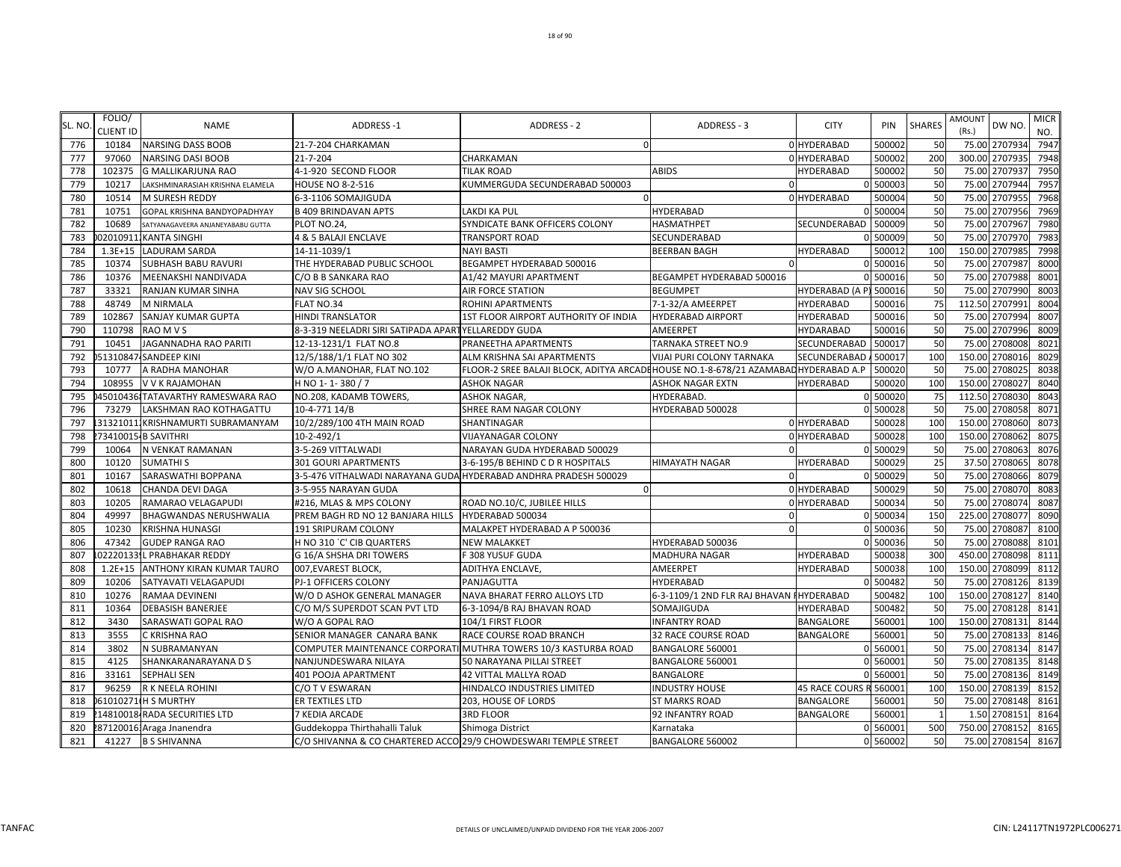| SL. NO     | FOLIO/           | <b>NAME</b>                                                  | <b>ADDRESS-1</b>                                                | <b>ADDRESS - 2</b>                                                                  | ADDRESS - 3                               | <b>CITY</b>                | PIN                | <b>SHARES</b>        | <b>AMOUNT</b> | DW NO.                          | <b>MICR</b>  |
|------------|------------------|--------------------------------------------------------------|-----------------------------------------------------------------|-------------------------------------------------------------------------------------|-------------------------------------------|----------------------------|--------------------|----------------------|---------------|---------------------------------|--------------|
|            | <b>CLIENT ID</b> |                                                              |                                                                 |                                                                                     |                                           |                            |                    |                      | (Rs.)         |                                 | NO.          |
| 776<br>777 | 10184<br>97060   | <b>NARSING DASS BOOB</b><br><b>NARSING DASI BOOB</b>         | 21-7-204 CHARKAMAN<br>21-7-204                                  | $\Omega$<br>CHARKAMAN                                                               |                                           | 0 HYDERABAD<br>0 HYDERABAD | 500002<br>500002   | 50<br><b>200</b>     |               | 75.00 2707934<br>300.00 2707935 | 7947<br>7948 |
| 778        | 102375           | <b>G MALLIKARJUNA RAO</b>                                    | 4-1-920 SECOND FLOOR                                            | <b>TILAK ROAD</b>                                                                   | <b>ABIDS</b>                              | <b>HYDERABAD</b>           | 500002             | 50                   |               | 75.00 2707937                   | 7950         |
| 779        | 10217            | LAKSHMINARASIAH KRISHNA ELAMELA                              | <b>HOUSE NO 8-2-516</b>                                         | KUMMERGUDA SECUNDERABAD 500003                                                      | $\Omega$                                  |                            | 0 500003           | 50                   | 75.00         | 2707944                         | 7957         |
| 780        | 10514            | <b>M SURESH REDDY</b>                                        | 6-3-1106 SOMAJIGUDA                                             |                                                                                     |                                           | 0 HYDERABAD                | 500004             | 50                   | 75.00         | 270795                          | 7968         |
| 781        | 10751            | GOPAL KRISHNA BANDYOPADHYAY                                  | <b>B 409 BRINDAVAN APTS</b>                                     | LAKDI KA PUL                                                                        | <b>HYDERABAD</b>                          |                            | 0 500004           | 50                   |               | 75.00 2707956                   | 7969         |
| 782        | 10689            | SATYANAGAVEERA ANJANEYABABU GUTTA                            | PLOT NO.24,                                                     | SYNDICATE BANK OFFICERS COLONY                                                      | HASMATHPET                                | SECUNDERABAD               | 500009             | 50                   |               | 75.00 2707967                   | 7980         |
| 783        |                  | 020109111KANTA SINGHI                                        | 4 & 5 BALAJI ENCLAVE                                            | <b>TRANSPORT ROAD</b>                                                               | SECUNDERABAD                              |                            | 0 500009           | 50                   |               | 75.00 2707970                   | 7983         |
| 784        | $1.3E + 15$      | <b>LADURAM SARDA</b>                                         | 14-11-1039/1                                                    | <b>NAYI BASTI</b>                                                                   | <b>BEERBAN BAGH</b>                       | <b>HYDERABAD</b>           | 500012             | 100                  |               | 150.00 2707985                  | 7998         |
| 785        | 10374            | <b>SUBHASH BABU RAVURI</b>                                   | THE HYDERABAD PUBLIC SCHOOL                                     | BEGAMPET HYDERABAD 500016                                                           |                                           |                            | 0 500016           | 50                   |               | 75.00 2707987                   | 8000         |
| 786        | 10376            | MEENAKSHI NANDIVADA                                          | C/O B B SANKARA RAO                                             | A1/42 MAYURI APARTMENT                                                              | BEGAMPET HYDERABAD 500016                 |                            | 500016             | 50                   |               | 75.00 2707988                   | 8001         |
| 787        | 33321            | RANJAN KUMAR SINHA                                           | <b>NAV SIG SCHOOL</b>                                           | AIR FORCE STATION                                                                   | <b>BEGUMPET</b>                           | HYDERABAD (A P) 500016     |                    | 50                   | 75.00         | 2707990                         | 8003         |
| 788        | 48749            | <b>M NIRMALA</b>                                             | FLAT NO.34                                                      | ROHINI APARTMENTS                                                                   | 7-1-32/A AMEERPET                         | <b>HYDERABAD</b>           | 500016             | 75                   | 112.50        | 2707991                         | 8004         |
| 789        | 102867           | SANJAY KUMAR GUPTA                                           | <b>HINDI TRANSLATOR</b>                                         | 1ST FLOOR AIRPORT AUTHORITY OF INDIA                                                | <b>HYDERABAD AIRPORT</b>                  | <b>HYDERABAD</b>           | 500016             | 50                   | 75.00         | 2707994                         | 8007         |
| 790        | 110798           | RAO M V S                                                    | 8-3-319 NEELADRI SIRI SATIPADA APARTYELLAREDDY GUDA             |                                                                                     | AMEERPET                                  | HYDARABAD                  | 500016             | 50                   |               | 75.00 2707996                   | 8009         |
| 791        | 10451            | <b>JAGANNADHA RAO PARITI</b>                                 | 12-13-1231/1 FLAT NO.8                                          | PRANEETHA APARTMENTS                                                                | TARNAKA STREET NO.9                       | SECUNDERABAD               | 500017             | 50                   |               | 75.00 2708008                   | 8021         |
| 792        |                  | 1310847-SANDEEP KINI                                         | 12/5/188/1/1 FLAT NO 302                                        | ALM KRISHNA SAI APARTMENTS                                                          | VIJAI PURI COLONY TARNAKA                 | SECUNDERABAD.              | 500017             | 100                  |               | 150.00 2708016                  | 8029         |
| 793        | 10777            | A RADHA MANOHAR                                              | W/O A.MANOHAR, FLAT NO.102                                      | FLOOR-2 SREE BALAJI BLOCK, ADITYA ARCADI HOUSE NO.1-8-678/21 AZAMABAD HYDERABAD A.P |                                           |                            | 500020             | 50                   |               | 75.00 2708025                   | 8038         |
| 794        | 108955           | V V K RAJAMOHAN                                              | H NO 1-1-380 / 7                                                | <b>ASHOK NAGAR</b>                                                                  | <b>ASHOK NAGAR EXTN</b>                   | HYDERABAD                  | 500020<br>0 500020 | 100                  |               | 150.00 2708027                  | 8040<br>8043 |
| 795<br>796 | 73279            | 450104361TATAVARTHY RAMESWARA RAO<br>LAKSHMAN RAO KOTHAGATTU | NO.208, KADAMB TOWERS<br>10-4-771 14/B                          | <b>ASHOK NAGAR,</b><br>SHREE RAM NAGAR COLONY                                       | HYDERABAD.<br>HYDERABAD 500028            |                            | 0 500028           | 75<br>50             | 75.00         | 112.50 2708030<br>2708058       | 8071         |
| 797        |                  | 313210111KRISHNAMURTI SUBRAMANYAM                            | 10/2/289/100 4TH MAIN ROAD                                      | SHANTINAGAR                                                                         |                                           | 0 HYDERABAD                | 500028             | 100                  | 150.00        | 2708060                         | 8073         |
| 798        |                  | 73410015-B SAVITHRI                                          | 10-2-492/1                                                      | <b>VIJAYANAGAR COLONY</b>                                                           |                                           | 0 HYDERABAD                | 500028             | 100                  | 150.00        | 2708062                         | 8075         |
| 799        | 10064            | N VENKAT RAMANAN                                             | 3-5-269 VITTALWADI                                              | NARAYAN GUDA HYDERABAD 500029                                                       | ∩                                         |                            | 0 500029           | 50                   |               | 75.00 2708063                   | 8076         |
| 800        | 10120            | <b>SUMATHIS</b>                                              | <b>301 GOURI APARTMENTS</b>                                     | 3-6-195/B BEHIND C D R HOSPITALS                                                    | <b>HIMAYATH NAGAR</b>                     | <b>HYDERABAD</b>           | 500029             | 25                   |               | 37.50 2708065                   | 8078         |
| 801        | 10167            | SARASWATHI BOPPANA                                           |                                                                 | 3-5-476 VITHALWADI NARAYANA GUDA HYDERABAD ANDHRA PRADESH 500029                    |                                           |                            | 500029             | 50                   |               | 75.00 2708066                   | 8079         |
| 802        | 10618            | <b>CHANDA DEVI DAGA</b>                                      | 3-5-955 NARAYAN GUDA                                            |                                                                                     |                                           | 0 HYDERABAD                | 500029             | 50                   |               | 75.00 2708070                   | 8083         |
| 803        | 10205            | RAMARAO VELAGAPUDI                                           | #216, MLAS & MPS COLONY                                         | ROAD NO.10/C, JUBILEE HILLS                                                         |                                           | 0 HYDERABAD                | 500034             | 50                   | 75.00         | 2708074                         | 8087         |
| 804        | 49997            | <b>BHAGWANDAS NERUSHWALIA</b>                                | PREM BAGH RD NO 12 BANJARA HILLS                                | HYDERABAD 500034                                                                    | $\Omega$                                  |                            | 0 500034           | 150                  | 225.00        | 2708077                         | 8090         |
| 805        | 10230            | <b>KRISHNA HUNASGI</b>                                       | 191 SRIPURAM COLONY                                             | MALAKPET HYDERABAD A P 500036                                                       | $\Omega$                                  |                            | 0 500036           | 50                   | 75.00         | 2708087                         | 8100         |
| 806        | 47342            | <b>GUDEP RANGA RAO</b>                                       | H NO 310 `C' CIB QUARTERS                                       | NEW MALAKKET                                                                        | HYDERABAD 500036                          |                            | 0 500036           | 50                   | 75.00         | 2708088                         | 8101         |
| 807        |                  | 022201331L PRABHAKAR REDDY                                   | G 16/A SHSHA DRI TOWERS                                         | F 308 YUSUF GUDA                                                                    | MADHURA NAGAR                             | <b>HYDERABAD</b>           | 500038             | 300                  |               | 450.00 2708098                  | 8111         |
| 808        | $1.2E + 15$      | ANTHONY KIRAN KUMAR TAURO                                    | 007, EVAREST BLOCK                                              | ADITHYA ENCLAVE,                                                                    | AMEERPET                                  | HYDERABAD                  | 500038             | 100                  |               | 150.00 2708099                  | 8112         |
| 809        | 10206            | SATYAVATI VELAGAPUDI                                         | PJ-1 OFFICERS COLONY                                            | PANJAGUTTA                                                                          | HYDERABAD                                 |                            | 0 500482           | 50                   |               | 75.00 2708126                   | 8139         |
| 810        | 10276            | RAMAA DEVINENI                                               | W/O D ASHOK GENERAL MANAGER                                     | NAVA BHARAT FERRO ALLOYS LTD                                                        | 6-3-1109/1 2ND FLR RAJ BHAVAN I HYDERABAD |                            | 500482             | 100                  |               | 150.00 2708127                  | 8140         |
| 811        | 10364            | <b>DEBASISH BANERJEE</b>                                     | C/O M/S SUPERDOT SCAN PVT LTD                                   | 6-3-1094/B RAJ BHAVAN ROAD                                                          | SOMAJIGUDA                                | HYDERABAD                  | 500482             | 50                   |               | 75.00 2708128                   | 8141         |
| 812        | 3430             | SARASWATI GOPAL RAO                                          | W/O A GOPAL RAO                                                 | 104/1 FIRST FLOOR                                                                   | <b>INFANTRY ROAD</b>                      | BANGALORE                  | 560001             | 100                  | 150.00        | 2708131                         | 8144         |
| 813        | 3555             | C KRISHNA RAO                                                | SENIOR MANAGER CANARA BANK                                      | RACE COURSE ROAD BRANCH                                                             | 32 RACE COURSE ROAD                       | BANGALORE                  | 560001             | 50                   | 75.00         | 2708133                         | 8146         |
| 814        | 3802             | N SUBRAMANYAN                                                |                                                                 | COMPUTER MAINTENANCE CORPORATI MUTHRA TOWERS 10/3 KASTURBA ROAD                     | BANGALORE 560001                          |                            | 0 560001           | 50                   |               | 75.00 2708134                   | 8147         |
| 815        | 4125             | SHANKARANARAYANA D S                                         | NANJUNDESWARA NILAYA                                            | 50 NARAYANA PILLAI STREET                                                           | BANGALORE 560001                          |                            | 0 560001           | 50                   |               | 75.00 2708135                   | 8148         |
| 816        | 33161            | <b>SEPHALI SEN</b>                                           | 401 POOJA APARTMENT                                             | 42 VITTAL MALLYA ROAD                                                               | BANGALORE                                 |                            | 0 560001           | 50                   |               | 75.00 2708136                   | 8149         |
| 817        | 96259            | R K NEELA ROHINI                                             | C/O T V ESWARAN                                                 | HINDALCO INDUSTRIES LIMITED                                                         | <b>INDUSTRY HOUSE</b>                     | 45 RACE COURS R 560001     |                    | 100                  |               | 150.00 2708139                  | 8152         |
| 818<br>819 |                  | 61010271 H S MURTHY                                          | ER TEXTILES LTD                                                 | 203, HOUSE OF LORDS                                                                 | <b>ST MARKS ROAD</b>                      | BANGALORE                  | 560001             | 50<br>$\overline{1}$ | 75.00         | 2708148<br>1.50 2708151         | 8161<br>8164 |
| 820        |                  | 14810018 RADA SECURITIES LTD<br>2871200161 Araga Jnanendra   | 7 KEDIA ARCADE<br>Guddekoppa Thirthahalli Taluk                 | <b>3RD FLOOR</b><br>Shimoga District                                                | 92 INFANTRY ROAD<br>Karnataka             | BANGALORE                  | 560001<br>0 560001 | 500                  |               | 750.00 2708152                  | 8165         |
| 821        |                  | 41227 B S SHIVANNA                                           | C/O SHIVANNA & CO CHARTERED ACCO 29/9 CHOWDESWARI TEMPLE STREET |                                                                                     | BANGALORE 560002                          |                            | 0 560002           | 50                   |               | 75.00 2708154                   | 8167         |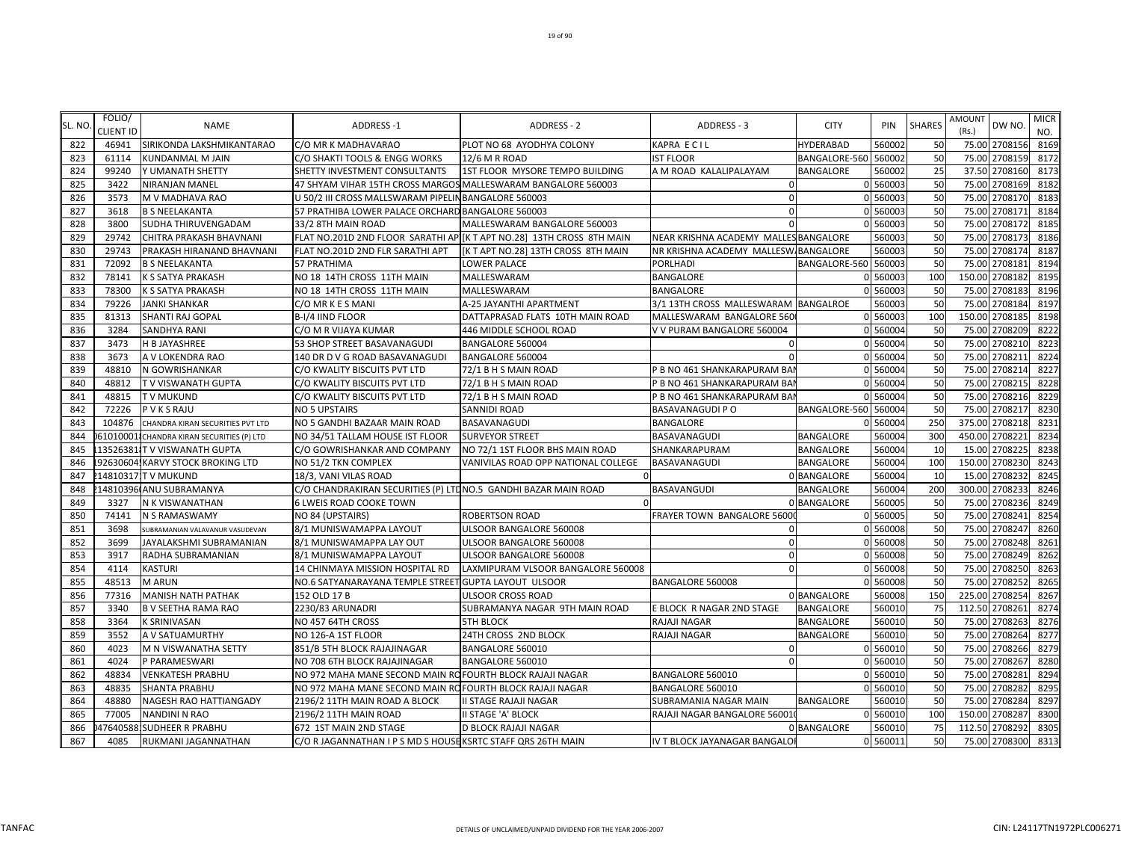| SL. NO | FOLIO/<br><b>CLIENT ID</b> | <b>NAME</b>                               | <b>ADDRESS-1</b>                                               | <b>ADDRESS - 2</b>                                                    | ADDRESS - 3                           | <b>CITY</b>          | PIN      | <b>SHARES</b> | <b>AMOUNT</b><br>(Rs.) | DW NO.         | <b>MICR</b><br>NO. |
|--------|----------------------------|-------------------------------------------|----------------------------------------------------------------|-----------------------------------------------------------------------|---------------------------------------|----------------------|----------|---------------|------------------------|----------------|--------------------|
| 822    | 46941                      | SIRIKONDA LAKSHMIKANTARAO                 | C/O MR K MADHAVARAO                                            | PLOT NO 68 AYODHYA COLONY                                             | KAPRA ECIL                            | <b>HYDERABAD</b>     | 560002   | 50            |                        | 75.00 2708156  | 8169               |
| 823    | 61114                      | <b>KUNDANMAL M JAIN</b>                   | C/O SHAKTI TOOLS & ENGG WORKS                                  | 12/6 M R ROAD                                                         | <b>IST FLOOR</b>                      | BANGALORE-560 560002 |          | 50            |                        | 75.00 2708159  | 8172               |
| 824    | 99240                      | Y UMANATH SHETTY                          | SHETTY INVESTMENT CONSULTANTS                                  | 1ST FLOOR MYSORE TEMPO BUILDING                                       | A M ROAD KALALIPALAYAM                | <b>BANGALORE</b>     | 560002   | 25            |                        | 37.50 2708160  | 8173               |
| 825    | 3422                       | <b>NIRANJAN MANEL</b>                     | 47 SHYAM VIHAR 15TH CROSS MARGOS MALLESWARAM BANGALORE 560003  |                                                                       | $\mathbf{0}$                          |                      | 0 560003 | 50            |                        | 75.00 2708169  | 8182               |
| 826    | 3573                       | M V MADHAVA RAO                           | U 50/2 III CROSS MALLSWARAM PIPELIN BANGALORE 560003           |                                                                       | $\Omega$                              |                      | 0 560003 | 50            |                        | 75.00 2708170  | 8183               |
| 827    | 3618                       | <b>B S NEELAKANTA</b>                     | 57 PRATHIBA LOWER PALACE ORCHARD BANGALORE 560003              |                                                                       | $\Omega$                              |                      | 0 560003 | 50            |                        | 75.00 2708171  | 8184               |
| 828    | 3800                       | <b>SUDHA THIRUVENGADAM</b>                | 33/2 8TH MAIN ROAD                                             | MALLESWARAM BANGALORE 560003                                          |                                       |                      | 0 560003 | 50            |                        | 75.00 2708172  | 8185               |
| 829    | 29742                      | CHITRA PRAKASH BHAVNANI                   |                                                                | FLAT NO.201D 2ND FLOOR SARATHI AP [K T APT NO.28] 13TH CROSS 8TH MAIN | NEAR KRISHNA ACADEMY MALLES BANGALORE |                      | 560003   | 50            |                        | 75.00 2708173  | 8186               |
| 830    | 29743                      | PRAKASH HIRANAND BHAVNANI                 | FLAT NO.201D 2ND FLR SARATHI APT                               | [K T APT NO.28] 13TH CROSS 8TH MAIN                                   | NR KRISHNA ACADEMY MALLESW BANGALORE  |                      | 560003   | 50            |                        | 75.00 2708174  | 8187               |
| 831    | 72092                      | <b>B S NEELAKANTA</b>                     | 57 PRATHIMA                                                    | LOWER PALACE                                                          | PORLHADI                              | BANGALORE-560 560003 |          | 50            |                        | 75.00 2708181  | 8194               |
| 832    | 78141                      | K S SATYA PRAKASH                         | NO 18 14TH CROSS 11TH MAIN                                     | MALLESWARAM                                                           | BANGALORE                             |                      | 0 560003 | 100           |                        | 150.00 2708182 | 8195               |
| 833    | 78300                      | K S SATYA PRAKASH                         | NO 18 14TH CROSS 11TH MAIN                                     | MALLESWARAM                                                           | BANGALORE                             |                      | 0 560003 | 50            |                        | 75.00 2708183  | 8196               |
| 834    | 79226                      | <b>JANKI SHANKAR</b>                      | C/O MR K E S MANI                                              | A-25 JAYANTHI APARTMENT                                               | 3/1 13TH CROSS MALLESWARAM            | <b>BANGALROE</b>     | 560003   | 50            |                        | 75.00 2708184  | 8197               |
| 835    | 81313                      | SHANTI RAJ GOPAL                          | B-I/4 IIND FLOOR                                               | DATTAPRASAD FLATS 10TH MAIN ROAD                                      | MALLESWARAM BANGALORE 560             |                      | 0 560003 | 100           |                        | 150.00 2708185 | 8198               |
| 836    | 3284                       | <b>SANDHYA RANI</b>                       | C/O M R VIJAYA KUMAR                                           | 446 MIDDLE SCHOOL ROAD                                                | V V PURAM BANGALORE 560004            |                      | 0 560004 | 50            |                        | 75.00 2708209  | 8222               |
| 837    | 3473                       | <b>H B JAYASHREE</b>                      | 53 SHOP STREET BASAVANAGUDI                                    | BANGALORE 560004                                                      |                                       |                      | 0 560004 | 50            |                        | 75.00 2708210  | 8223               |
| 838    | 3673                       | A V LOKENDRA RAO                          | 140 DR D V G ROAD BASAVANAGUDI                                 | BANGALORE 560004                                                      |                                       |                      | 0 560004 | 50            |                        | 75.00 270821:  | 8224               |
| 839    | 48810                      | N GOWRISHANKAR                            | C/O KWALITY BISCUITS PVT LTD                                   | 72/1 B H S MAIN ROAD                                                  | P B NO 461 SHANKARAPURAM BAI          |                      | 0 560004 | 50            |                        | 75.00 2708214  | 8227               |
| 840    | 48812                      | <b>TV VISWANATH GUPTA</b>                 | C/O KWALITY BISCUITS PVT LTD                                   | 72/1 B H S MAIN ROAD                                                  | P B NO 461 SHANKARAPURAM BAI          |                      | 0 560004 | 50            |                        | 75.00 2708215  | 8228               |
| 841    | 48815                      | <b>TV MUKUND</b>                          | C/O KWALITY BISCUITS PVT LTD                                   | 72/1 B H S MAIN ROAD                                                  | P B NO 461 SHANKARAPURAM BAI          |                      | 0 560004 | 50            |                        | 75.00 2708216  | 8229               |
| 842    | 72226                      | <b>PVKSRAJU</b>                           | <b>NO 5 UPSTAIRS</b>                                           | <b>SANNIDI ROAD</b>                                                   | <b>BASAVANAGUDI P O</b>               | BANGALORE-560 560004 |          | 50            |                        | 75.00 2708217  | 8230               |
| 843    | 104876                     | CHANDRA KIRAN SECURITIES PVT LTD          | NO 5 GANDHI BAZAAR MAIN ROAD                                   | BASAVANAGUDI                                                          | <b>BANGALORE</b>                      |                      | 0 560004 | 250           |                        | 375.00 2708218 | 8231               |
| 844    |                            | 61010001 CHANDRA KIRAN SECURITIES (P) LTD | NO 34/51 TALLAM HOUSE IST FLOOR                                | <b>SURVEYOR STREET</b>                                                | BASAVANAGUDI                          | <b>BANGALORE</b>     | 560004   | 300           |                        | 450.00 2708221 | 8234               |
| 845    |                            | 135263811 TV VISWANATH GUPTA              | C/O GOWRISHANKAR AND COMPANY                                   | NO 72/1 1ST FLOOR BHS MAIN ROAD                                       | SHANKARAPURAM                         | <b>BANGALORE</b>     | 560004   | 10            |                        | 15.00 2708225  | 8238               |
| 846    |                            | 92630604. KARVY STOCK BROKING LTD         | NO 51/2 TKN COMPLEX                                            | VANIVILAS ROAD OPP NATIONAL COLLEGE                                   | BASAVANAGUDI                          | <b>BANGALORE</b>     | 560004   | 100           |                        | 150.00 2708230 | 8243               |
| 847    |                            | 14810317 TV MUKUND                        | 18/3, VANI VILAS ROAD                                          |                                                                       |                                       | 0 BANGALORE          | 560004   | 10            |                        | 15.00 2708232  | 8245               |
| 848    |                            | 14810396 ANU SUBRAMANYA                   | C/O CHANDRAKIRAN SECURITIES (P) LTDNO.5 GANDHI BAZAR MAIN ROAD |                                                                       | BASAVANGUDI                           | <b>BANGALORE</b>     | 560004   | 200           |                        | 300.00 2708233 | 8246               |
| 849    | 3327                       | N K VISWANATHAN                           | 6 LWEIS ROAD COOKE TOWN                                        |                                                                       |                                       | 0 BANGALORE          | 560005   | 50            |                        | 75.00 2708236  | 8249               |
| 850    | 74141                      | N S RAMASWAMY                             | NO 84 (UPSTAIRS)                                               | ROBERTSON ROAD                                                        | FRAYER TOWN BANGALORE 5600            |                      | 0 560005 | 50            |                        | 75.00 2708241  | 8254               |
| 851    | 3698                       | SUBRAMANIAN VALAVANUR VASUDEVAN           | 8/1 MUNISWAMAPPA LAYOUT                                        | ULSOOR BANGALORE 560008                                               | $\Omega$                              |                      | 0 560008 | 50            |                        | 75.00 2708247  | 8260               |
| 852    | 3699                       | JAYALAKSHMI SUBRAMANIAN                   | 8/1 MUNISWAMAPPA LAY OUT                                       | ULSOOR BANGALORE 560008                                               | $\Omega$                              |                      | 0 560008 | 50            |                        | 75.00 2708248  | 8261               |
| 853    | 3917                       | RADHA SUBRAMANIAN                         | 8/1 MUNISWAMAPPA LAYOUT                                        | ULSOOR BANGALORE 560008                                               | $\Omega$                              |                      | 0 560008 | 50            | 75.00                  | 2708249        | 8262               |
| 854    | 4114                       | <b>KASTURI</b>                            | 14 CHINMAYA MISSION HOSPITAL RD                                | LAXMIPURAM VLSOOR BANGALORE 560008                                    |                                       |                      | 560008   | 50            |                        | 75.00 2708250  | 8263               |
| 855    | 48513                      | <b>M ARUN</b>                             | NO.6 SATYANARAYANA TEMPLE STREET GUPTA LAYOUT ULSOOR           |                                                                       | BANGALORE 560008                      |                      | 0 560008 | 50            |                        | 75.00 2708252  | 8265               |
| 856    | 77316                      | <b>MANISH NATH PATHAK</b>                 | 152 OLD 17 B                                                   | ULSOOR CROSS ROAD                                                     |                                       | 0 BANGALORE          | 560008   | 150           |                        | 225.00 2708254 | 8267               |
| 857    | 3340                       | <b>B V SEETHA RAMA RAO</b>                | 2230/83 ARUNADRI                                               | SUBRAMANYA NAGAR 9TH MAIN ROAD                                        | E BLOCK R NAGAR 2ND STAGE             | <b>BANGALORE</b>     | 560010   | 75            |                        | 112.50 2708261 | 8274               |
| 858    | 3364                       | <b>K SRINIVASAN</b>                       | NO 457 64TH CROSS                                              | <b>5TH BLOCK</b>                                                      | RAJAJI NAGAR                          | <b>BANGALORE</b>     | 560010   | 50            |                        | 75.00 2708263  | 8276               |
| 859    | 3552                       | A V SATUAMURTHY                           | NO 126-A 1ST FLOOR                                             | 24TH CROSS 2ND BLOCK                                                  | <b>RAJAJI NAGAR</b>                   | <b>BANGALORE</b>     | 560010   | 50            |                        | 75.00 2708264  | 8277               |
| 860    | 4023                       | M N VISWANATHA SETTY                      | 851/B 5TH BLOCK RAJAJINAGAR                                    | BANGALORE 560010                                                      | $\Omega$                              |                      | 0 560010 | 50            | 75.00                  | 2708266        | 8279               |
| 861    | 4024                       | P PARAMESWARI                             | NO 708 6TH BLOCK RAJAJINAGAR                                   | BANGALORE 560010                                                      |                                       |                      | 560010   | 50            |                        | 75.00 2708267  | 8280               |
| 862    | 48834                      | <b>VENKATESH PRABHU</b>                   | NO 972 MAHA MANE SECOND MAIN RO FOURTH BLOCK RAJAJI NAGAR      |                                                                       | BANGALORE 560010                      |                      | 0 560010 | 50            |                        | 75.00 2708281  | 8294               |
| 863    | 48835                      | <b>SHANTA PRABHU</b>                      | NO 972 MAHA MANE SECOND MAIN RO FOURTH BLOCK RAJAJI NAGAR      |                                                                       | BANGALORE 560010                      |                      | 0 560010 | 50            |                        | 75.00 2708282  | 8295               |
| 864    | 48880                      | NAGESH RAO HATTIANGADY                    | 2196/2 11TH MAIN ROAD A BLOCK                                  | II STAGE RAJAJI NAGAR                                                 | SUBRAMANIA NAGAR MAIN                 | BANGALORE            | 560010   | 50            |                        | 75.00 2708284  | 8297               |
| 865    | 77005                      | <b>NANDINI N RAO</b>                      | 2196/2 11TH MAIN ROAD                                          | II STAGE 'A' BLOCK                                                    | RAJAJI NAGAR BANGALORE 56001          |                      | 0 560010 | 100           |                        | 150.00 2708287 | 8300               |
| 866    |                            | 47640588 SUDHEER R PRABHU                 | 672 1ST MAIN 2ND STAGE                                         | D BLOCK RAJAJI NAGAR                                                  |                                       | 0 BANGALORE          | 560010   | 75            |                        | 112.50 2708292 | 8305               |
| 867    | 4085                       | RUKMANI JAGANNATHAN                       | C/O R JAGANNATHAN I P S MD S HOUSE KSRTC STAFF QRS 26TH MAIN   |                                                                       | IV T BLOCK JAYANAGAR BANGALOI         |                      | 0 560011 | 50            |                        | 75.00 2708300  | 8313               |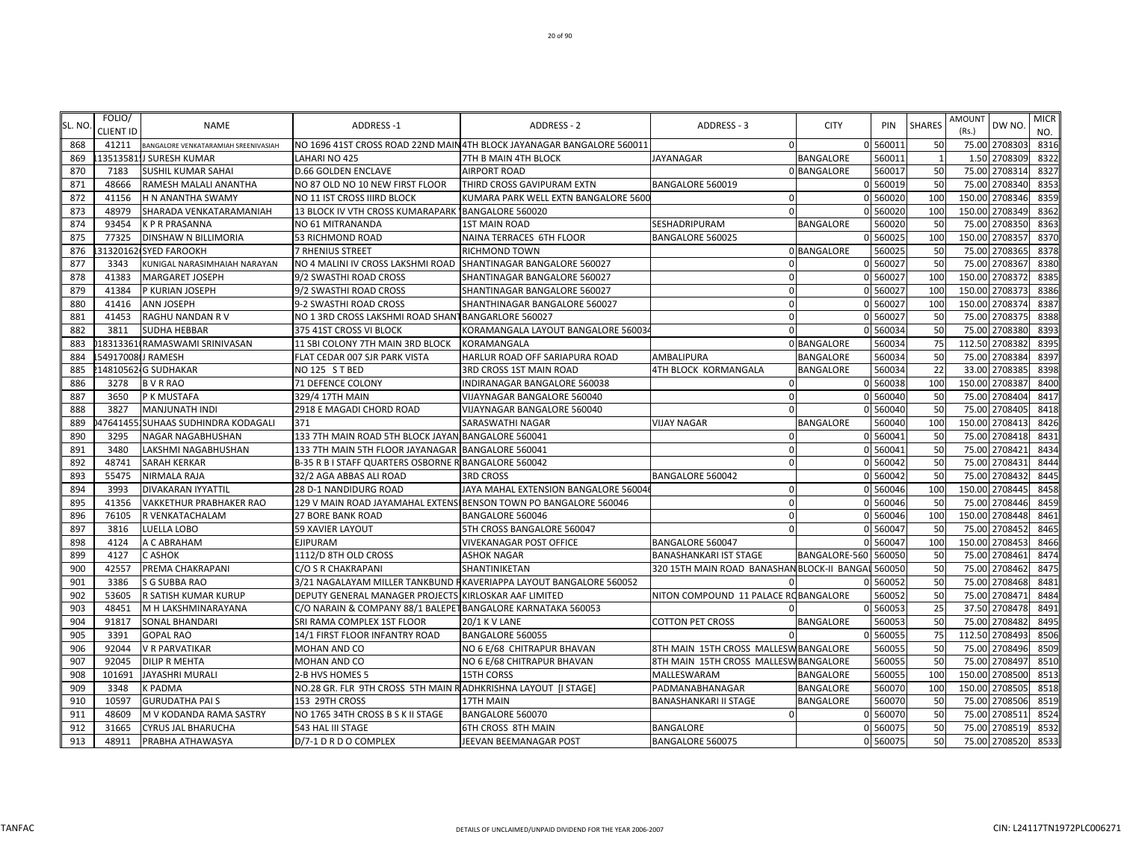| SL. NO | FOLIO/<br><b>CLIENT ID</b> | <b>NAME</b>                          | <b>ADDRESS-1</b>                                               | <b>ADDRESS - 2</b>                                                     | ADDRESS - 3                                        | <b>CITY</b>      | PIN      | <b>SHARES</b>  | <b>AMOUNT</b><br>(Rs.) | DW NO.         | <b>MICR</b> |
|--------|----------------------------|--------------------------------------|----------------------------------------------------------------|------------------------------------------------------------------------|----------------------------------------------------|------------------|----------|----------------|------------------------|----------------|-------------|
| 868    | 41211                      | BANGALORE VENKATARAMIAH SREENIVASIAH |                                                                | NO 1696 41ST CROSS ROAD 22ND MAIN 4TH BLOCK JAYANAGAR BANGALORE 560011 | $\mathbf{0}$                                       |                  | 0 560011 | 50             |                        | 75.00 2708303  | NO.<br>8316 |
| 869    |                            | 13513581.J SURESH KUMAR              | LAHARI NO 425                                                  | 7TH B MAIN 4TH BLOCK                                                   | <b>JAYANAGAR</b>                                   | <b>BANGALORE</b> | 560011   | $\overline{1}$ |                        | 1.50 2708309   | 8322        |
| 870    | 7183                       | <b>SUSHIL KUMAR SAHAI</b>            | <b>D.66 GOLDEN ENCLAVE</b>                                     | AIRPORT ROAD                                                           |                                                    | 0 BANGALORE      | 560017   | 50             |                        | 75.00 2708314  | 8327        |
| 871    | 48666                      | RAMESH MALALI ANANTHA                | NO 87 OLD NO 10 NEW FIRST FLOOR                                | THIRD CROSS GAVIPURAM EXTN                                             | BANGALORE 560019                                   |                  | 0 560019 | 50             | 75.00                  | 2708340        | 8353        |
| 872    | 41156                      | H N ANANTHA SWAMY                    | NO 11 IST CROSS IIIRD BLOCK                                    | KUMARA PARK WELL EXTN BANGALORE 5600                                   | $\Omega$                                           |                  | 0 560020 | 100            | 150.00                 | 2708346        | 8359        |
| 873    | 48979                      | SHARADA VENKATARAMANIAH              | 13 BLOCK IV VTH CROSS KUMARAPARK BANGALORE 560020              |                                                                        | $\Omega$                                           |                  | 0 560020 | 100            | 150.00                 | 2708349        | 8362        |
| 874    | 93454                      | <b>KPRPRASANNA</b>                   | NO 61 MITRANANDA                                               | <b>1ST MAIN ROAD</b>                                                   | <b>SESHADRIPURAM</b>                               | <b>BANGALORE</b> | 560020   | 50             | 75.00                  | 2708350        | 8363        |
| 875    | 77325                      | <b>DINSHAW N BILLIMORIA</b>          | 53 RICHMOND ROAD                                               | NAINA TERRACES 6TH FLOOR                                               | BANGALORE 560025                                   |                  | 0 560025 | 100            | 150.00                 | 2708357        | 8370        |
| 876    |                            | 31320162 SYED FAROOKH                | 7 RHENIUS STREET                                               | RICHMOND TOWN                                                          |                                                    | 0 BANGALORE      | 560025   | 50             | 75.00                  | 2708365        | 8378        |
| 877    | 3343                       | KUNIGAL NARASIMHAIAH NARAYAN         | NO 4 MALINI IV CROSS LAKSHMI ROAD SHANTINAGAR BANGALORE 560027 |                                                                        | $\Omega$                                           |                  | 0 560027 | 50             |                        | 75.00 2708367  | 8380        |
| 878    | 41383                      | <b>MARGARET JOSEPH</b>               | 9/2 SWASTHI ROAD CROSS                                         | SHANTINAGAR BANGALORE 560027                                           | $\Omega$                                           |                  | 0 560027 | 100            |                        | 150.00 2708372 | 8385        |
| 879    | 41384                      | P KURIAN JOSEPH                      | 9/2 SWASTHI ROAD CROSS                                         | SHANTINAGAR BANGALORE 560027                                           | $\Omega$                                           |                  | 0 560027 | 100            |                        | 150.00 2708373 | 8386        |
| 880    | 41416                      | <b>ANN JOSEPH</b>                    | 9-2 SWASTHI ROAD CROSS                                         | SHANTHINAGAR BANGALORE 560027                                          | $\Omega$                                           |                  | 0 560027 | 100            | 150.00                 | 2708374        | 8387        |
| 881    | 41453                      | RAGHU NANDAN R V                     | NO 1 3RD CROSS LAKSHMI ROAD SHANT BANGARLORE 560027            |                                                                        | $\Omega$                                           |                  | 0 560027 | 50             | 75.00                  | 2708375        | 8388        |
| 882    | 3811                       | <b>SUDHA HEBBAR</b>                  | 375 41ST CROSS VI BLOCK                                        | KORAMANGALA LAYOUT BANGALORE 56003                                     | $\Omega$                                           |                  | 0 560034 | 50             | 75.00                  | 2708380        | 8393        |
| 883    |                            | 18313361 RAMASWAMI SRINIVASAN        | 11 SBI COLONY 7TH MAIN 3RD BLOCK                               | KORAMANGALA                                                            |                                                    | 0 BANGALORE      | 560034   | 75             |                        | 112.50 2708382 | 8395        |
| 884    |                            | 54917008 JRAMESH                     | FLAT CEDAR 007 SJR PARK VISTA                                  | HARLUR ROAD OFF SARIAPURA ROAD                                         | AMBALIPURA                                         | BANGALORE        | 560034   | 50             |                        | 75.00 2708384  | 8397        |
| 885    |                            | 14810562. G SUDHAKAR                 | NO 125 ST BED                                                  | 3RD CROSS 1ST MAIN ROAD                                                | 4TH BLOCK KORMANGALA                               | BANGALORE        | 560034   | 22             |                        | 33.00 2708385  | 8398        |
| 886    | 3278                       | <b>BVRRAO</b>                        | <b>71 DEFENCE COLONY</b>                                       | INDIRANAGAR BANGALORE 560038                                           | $\Omega$                                           |                  | 0 560038 | 100            |                        | 150.00 2708387 | 8400        |
| 887    | 3650                       | P K MUSTAFA                          | 329/4 17TH MAIN                                                | VIJAYNAGAR BANGALORE 560040                                            | $\Omega$                                           |                  | 0 560040 | 50             | 75.00                  | 2708404        | 8417        |
| 888    | 3827                       | <b>MANJUNATH INDI</b>                | 2918 E MAGADI CHORD ROAD                                       | VIJAYNAGAR BANGALORE 560040                                            | $\Omega$                                           |                  | 0 560040 | 50             | 75.00                  | 2708405        | 8418        |
| 889    | 47641455                   | <b>ISUHAAS SUDHINDRA KODAGALI</b>    | 371                                                            | SARASWATHI NAGAR                                                       | <b>VIJAY NAGAR</b>                                 | BANGALORE        | 560040   | 100            | 150.00                 | 2708413        | 8426        |
| 890    | 3295                       | NAGAR NAGABHUSHAN                    | 133 7TH MAIN ROAD 5TH BLOCK JAYAN BANGALORE 560041             |                                                                        | $\Omega$                                           |                  | 0 560041 | 50             | 75.00                  | 2708418        | 8431        |
| 891    | 3480                       | LAKSHMI NAGABHUSHAN                  | 133 7TH MAIN 5TH FLOOR JAYANAGAR BANGALORE 560041              |                                                                        | $\Omega$                                           |                  | 0 560041 | 50             | 75.00                  | 2708421        | 8434        |
| 892    | 48741                      | <b>SARAH KERKAR</b>                  | B-35 R B I STAFF QUARTERS OSBORNE R BANGALORE 560042           |                                                                        | $\Omega$                                           |                  | 0 560042 | 50             |                        | 75.00 2708431  | 8444        |
| 893    | 55475                      | <b>NIRMALA RAJA</b>                  | 32/2 AGA ABBAS ALI ROAD                                        | <b>3RD CROSS</b>                                                       | <b>BANGALORE 560042</b>                            |                  | 0 560042 | 50             |                        | 75.00 2708432  | 8445        |
| 894    | 3993                       | <b>DIVAKARAN IYYATTIL</b>            | <b>28 D-1 NANDIDURG ROAD</b>                                   | JAYA MAHAL EXTENSION BANGALORE 560046                                  | $\Omega$                                           |                  | 0 560046 | 100            |                        | 150.00 2708445 | 8458        |
| 895    | 41356                      | <b>VAKKETHUR PRABHAKER RAO</b>       |                                                                | 129 V MAIN ROAD JAYAMAHAL EXTENSI BENSON TOWN PO BANGALORE 560046      | $\Omega$                                           |                  | 0 560046 | 50             |                        | 75.00 2708446  | 8459        |
| 896    | 76105                      | R VENKATACHALAM                      | <b>27 BORE BANK ROAD</b>                                       | BANGALORE 560046                                                       | $\Omega$                                           |                  | 0 560046 | 100            | 150.00                 | 2708448        | 8461        |
| 897    | 3816                       | LUELLA LOBO                          | <b>59 XAVIER LAYOUT</b>                                        | 5TH CROSS BANGALORE 560047                                             | $\Omega$                                           |                  | 0 560047 | 50             | 75.00                  | 2708452        | 8465        |
| 898    | 4124                       | A C ABRAHAM                          | <b>EJIPURAM</b>                                                | <b>VIVEKANAGAR POST OFFICE</b>                                         | <b>BANGALORE 560047</b>                            |                  | 0 560047 | 100            | 150.00                 | 2708453        | 8466        |
| 899    | 4127                       | C ASHOK                              | 1112/D 8TH OLD CROSS                                           | <b>ASHOK NAGAR</b>                                                     | <b>BANASHANKARI IST STAGE</b>                      | BANGALORE-560    | 560050   | 50             | 75.00                  | 2708461        | 8474        |
| 900    | 42557                      | PREMA CHAKRAPANI                     | C/O S R CHAKRAPANI                                             | SHANTINIKETAN                                                          | 320 15TH MAIN ROAD BANASHAN BLOCK-II BANGAI 560050 |                  |          | 50             |                        | 75.00 2708462  | 8475        |
| 901    | 3386                       | S G SUBBA RAO                        |                                                                | 3/21 NAGALAYAM MILLER TANKBUND RKAVERIAPPA LAYOUT BANGALORE 560052     |                                                    |                  | 0 560052 | 50             |                        | 75.00 2708468  | 8481        |
| 902    | 53605                      | R SATISH KUMAR KURUP                 | DEPUTY GENERAL MANAGER PROJECTS KIRLOSKAR AAF LIMITED          |                                                                        | NITON COMPOUND 11 PALACE ROBANGALORE               |                  | 560052   | 50             |                        | 75.00 2708471  | 8484        |
| 903    | 48451                      | M H LAKSHMINARAYANA                  | C/O NARAIN & COMPANY 88/1 BALEPET BANGALORE KARNATAKA 560053   |                                                                        |                                                    |                  | 0 56005  | 25             |                        | 37.50 2708478  | 8491        |
| 904    | 91817                      | <b>SONAL BHANDARI</b>                | SRI RAMA COMPLEX 1ST FLOOR                                     | 20/1 K V LANE                                                          | <b>COTTON PET CROSS</b>                            | BANGALORE        | 560053   | 50             |                        | 75.00 2708482  | 8495        |
| 905    | 3391                       | <b>GOPAL RAO</b>                     | 14/1 FIRST FLOOR INFANTRY ROAD                                 | BANGALORE 560055                                                       |                                                    |                  | 0 560055 | 75             | 112.50                 | 2708493        | 8506        |
| 906    | 92044                      | <b>V R PARVATIKAR</b>                | MOHAN AND CO                                                   | NO 6 E/68 CHITRAPUR BHAVAN                                             | 8TH MAIN 15TH CROSS MALLESWBANGALORE               |                  | 560055   | 50             | 75.00                  | 2708496        | 8509        |
| 907    | 92045                      | <b>DILIP R MEHTA</b>                 | MOHAN AND CO                                                   | NO 6 E/68 CHITRAPUR BHAVAN                                             | 8TH MAIN 15TH CROSS MALLESWBANGALORE               |                  | 56005    | 50             |                        | 75.00 2708497  | 8510        |
| 908    | 101691                     | JAYASHRI MURALI                      | 2-B HVS HOMES 5                                                | 15TH CORSS                                                             | MALLESWARAM                                        | <b>BANGALORE</b> | 560055   | 100            |                        | 150.00 2708500 | 8513        |
| 909    | 3348                       | <b>K PADMA</b>                       | NO.28 GR. FLR 9TH CROSS 5TH MAIN RADHKRISHNA LAYOUT [I STAGE]  |                                                                        | PADMANABHANAGAR                                    | <b>BANGALORE</b> | 560070   | 100            |                        | 150.00 2708505 | 8518        |
| 910    | 10597                      | <b>GURUDATHA PAIS</b>                | 153 29TH CROSS                                                 | 17TH MAIN                                                              | <b>BANASHANKARI II STAGE</b>                       | BANGALORE        | 560070   | 50             | 75.00                  | 2708506        | 8519        |
| 911    | 48609                      | M V KODANDA RAMA SASTRY              | NO 1765 34TH CROSS B S K II STAGE                              | BANGALORE 560070                                                       | $\Omega$                                           |                  | 0 560070 | 50             | 75.00                  | 2708511        | 8524        |
| 912    | 31665                      | <b>CYRUS JAL BHARUCHA</b>            | 543 HAL III STAGE                                              | 6TH CROSS 8TH MAIN                                                     | <b>BANGALORE</b>                                   |                  | 0 560075 | 50             |                        | 75.00 2708519  | 8532        |
| 913    | 48911                      | PRABHA ATHAWASYA                     | D/7-1 D R D O COMPLEX                                          | JEEVAN BEEMANAGAR POST                                                 | BANGALORE 560075                                   |                  | 0 560075 | 50             |                        | 75.00 2708520  | 8533        |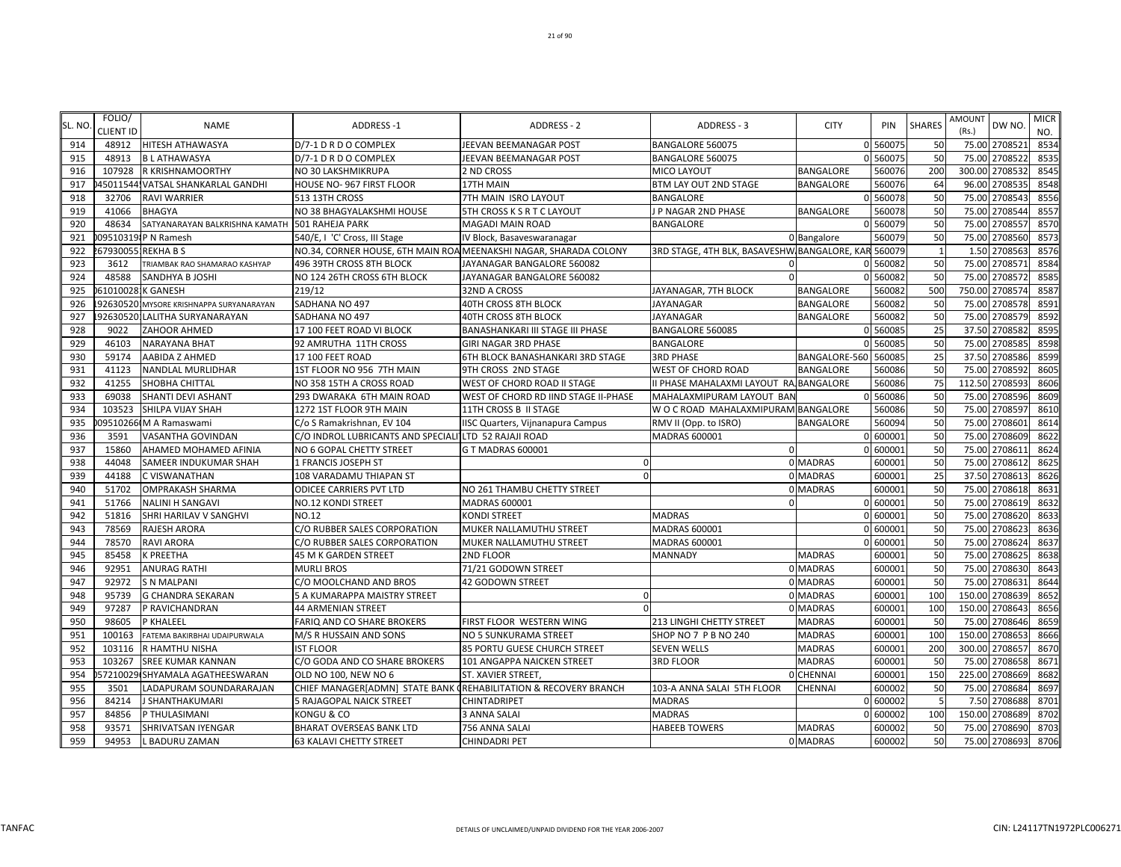| SL. NO | FOLIO/<br>CLIENT ID | <b>NAME</b>                               | ADDRESS-1                                                        | <b>ADDRESS - 2</b>                                                | <b>ADDRESS - 3</b>                           | <b>CITY</b>      | PIN      | <b>SHARES</b> | <b>AMOUNT</b><br>(Rs.) | DW NO.         | <b>MICR</b><br>NO. |
|--------|---------------------|-------------------------------------------|------------------------------------------------------------------|-------------------------------------------------------------------|----------------------------------------------|------------------|----------|---------------|------------------------|----------------|--------------------|
| 914    | 48912               | <b>HITESH ATHAWASYA</b>                   | D/7-1 D R D O COMPLEX                                            | JEEVAN BEEMANAGAR POST                                            | BANGALORE 560075                             |                  | 0 560075 | 50            |                        | 75.00 2708521  | 8534               |
| 915    | 48913               | <b>BLATHAWASYA</b>                        | D/7-1 D R D O COMPLEX                                            | JEEVAN BEEMANAGAR POST                                            | BANGALORE 560075                             |                  | 0 560075 | 50            |                        | 75.00 2708522  | 8535               |
| 916    | 107928              | <b>R KRISHNAMOORTHY</b>                   | NO 30 LAKSHMIKRUPA                                               | 2 ND CROSS                                                        | MICO LAYOUT                                  | <b>BANGALORE</b> | 560076   | 200           |                        | 300.00 2708532 | 8545               |
| 917    |                     | 45011544, VATSAL SHANKARLAL GANDHI        | HOUSE NO-967 FIRST FLOOR                                         | 17TH MAIN                                                         | BTM LAY OUT 2ND STAGE                        | <b>BANGALORE</b> | 560076   | 64            | 96.00                  | 2708535        | 8548               |
| 918    | 32706               | <b>RAVI WARRIER</b>                       | 513 13TH CROSS                                                   | 7TH MAIN ISRO LAYOUT                                              | BANGALORE                                    | O                | 560078   | 50            | 75.00                  | 2708543        | 8556               |
| 919    | 41066               | <b>BHAGYA</b>                             | NO 38 BHAGYALAKSHMI HOUSE                                        | 5TH CROSS K S R T C LAYOUT                                        | J P NAGAR 2ND PHASE                          | <b>BANGALORE</b> | 560078   | 50            | 75.00                  | 2708544        | 8557               |
| 920    | 48634               | SATYANARAYAN BALKRISHNA KAMATH            | 501 RAHEJA PARK                                                  | <b>MAGADI MAIN ROAD</b>                                           | BANGALORE                                    |                  | 0 560079 | 50            | 75.00                  | 2708557        | 8570               |
| 921    |                     | 095103191P N Ramesh                       | 540/E, I 'C' Cross, III Stage                                    | IV Block, Basaveswaranagar                                        |                                              | 0 Bangalore      | 560079   | 50            |                        | 75.00 2708560  | 8573               |
| 922    |                     | 679300551REKHA B S                        |                                                                  | NO.34, CORNER HOUSE, 6TH MAIN ROA MEENAKSHI NAGAR, SHARADA COLONY | 3RD STAGE, 4TH BLK, BASAVESHW BANGALORE, KAR |                  | 560079   | $\mathbf{1}$  |                        | 1.50 2708563   | 8576               |
| 923    | 3612                | TRIAMBAK RAO SHAMARAO KASHYAP             | 496 39TH CROSS 8TH BLOCK                                         | JAYANAGAR BANGALORE 560082                                        | $\Omega$                                     |                  | 0 560082 | 50            |                        | 75.00 2708571  | 8584               |
| 924    | 48588               | <b>SANDHYA B JOSHI</b>                    | NO 124 26TH CROSS 6TH BLOCK                                      | JAYANAGAR BANGALORE 560082                                        | $\Omega$                                     |                  | 0 560082 | 50            | 75.00                  | 2708572        | 8585               |
| 925    |                     | 610100281K GANESH                         | 219/12                                                           | 32ND A CROSS                                                      | JAYANAGAR, 7TH BLOCK                         | <b>BANGALORE</b> | 560082   | 500           | 750.00                 | 2708574        | 8587               |
| 926    |                     | 1926305201 MYSORE KRISHNAPPA SURYANARAYAN | SADHANA NO 497                                                   | 40TH CROSS 8TH BLOCK                                              | JAYANAGAR                                    | <b>BANGALORE</b> | 560082   | 50            | 75.00                  | 2708578        | 8591               |
| 927    |                     | 92630520 LALITHA SURYANARAYAN             | SADHANA NO 497                                                   | 40TH CROSS 8TH BLOCK                                              | JAYANAGAR                                    | BANGALORE        | 560082   | 50            | 75.00                  | 2708579        | 8592               |
| 928    | 9022                | ZAHOOR AHMED                              | 17 100 FEET ROAD VI BLOCK                                        | BANASHANKARI III STAGE III PHASE                                  | BANGALORE 560085                             |                  | 0 560085 | 25            | 37.50                  | 2708582        | 8595               |
| 929    | 46103               | <b>NARAYANA BHAT</b>                      | 92 AMRUTHA 11TH CROSS                                            | <b>GIRI NAGAR 3RD PHASE</b>                                       | BANGALORE                                    |                  | 560085   | 50            | 75.00                  | 2708585        | 8598               |
| 930    | 59174               | AABIDA Z AHMED                            | 17 100 FEET ROAD                                                 | 6TH BLOCK BANASHANKARI 3RD STAGE                                  | <b>3RD PHASE</b>                             | BANGALORE-560    | 560085   | 25            |                        | 37.50 2708586  | 8599               |
| 931    | 41123               | NANDLAL MURLIDHAR                         | 1ST FLOOR NO 956 7TH MAIN                                        | 9TH CROSS 2ND STAGE                                               | WEST OF CHORD ROAD                           | <b>BANGALORE</b> | 560086   | 50            |                        | 75.00 2708592  | 8605               |
| 932    | 41255               | SHOBHA CHITTAL                            | NO 358 15TH A CROSS ROAD                                         | WEST OF CHORD ROAD II STAGE                                       | II PHASE MAHALAXMI LAYOUT RA BANGALORE       |                  | 560086   | 75            |                        | 112.50 2708593 | 8606               |
| 933    | 69038               | SHANTI DEVI ASHANT                        | 293 DWARAKA 6TH MAIN ROAD                                        | WEST OF CHORD RD IIND STAGE II-PHASE                              | MAHALAXMIPURAM LAYOUT BAN                    |                  | 560086   | 50            | 75.00                  | 2708596        | 8609               |
| 934    | 103523              | SHILPA VIJAY SHAH                         | 1272 1ST FLOOR 9TH MAIN                                          | 11TH CROSS B II STAGE                                             | W O C ROAD MAHALAXMIPURAM BANGALORE          |                  | 560086   | 50            | 75.00                  | 2708597        | 8610               |
| 935    |                     | 09510266 M A Ramaswami                    | C/o S Ramakrishnan, EV 104                                       | IISC Quarters, Vijnanapura Campus                                 | RMV II (Opp. to ISRO)                        | <b>BANGALORE</b> | 560094   | 50            | 75.00                  | 2708601        | 8614               |
| 936    | 3591                | <b>VASANTHA GOVINDAN</b>                  | C/O INDROL LUBRICANTS AND SPECIALI LTD 52 RAJAJI ROAD            |                                                                   | MADRAS 600001                                |                  | 0 600001 | 50            | 75.00                  | 2708609        | 8622               |
| 937    | 15860               | AHAMED MOHAMED AFINIA                     | NO 6 GOPAL CHETTY STREET                                         | G T MADRAS 600001                                                 |                                              |                  | 600001   | 50            | 75.00                  | 2708611        | 8624               |
| 938    | 44048               | SAMEER INDUKUMAR SHAH                     | 1 FRANCIS JOSEPH ST                                              |                                                                   |                                              | 0 MADRAS         | 600001   | 50            |                        | 75.00 2708612  | 8625               |
| 939    | 44188               | C VISWANATHAN                             | 108 VARADAMU THIAPAN ST                                          | $\Omega$                                                          |                                              | 0 MADRAS         | 600001   | 25            |                        | 37.50 2708613  | 8626               |
| 940    | 51702               | <b>OMPRAKASH SHARMA</b>                   | <b>ODICEE CARRIERS PVT LTD</b>                                   | NO 261 THAMBU CHETTY STREET                                       |                                              | 0 MADRAS         | 600001   | 50            |                        | 75.00 2708618  | 8631               |
| 941    | 51766               | <b>NALINI H SANGAVI</b>                   | NO.12 KONDI STREET                                               | <b>MADRAS 600001</b>                                              | $\Omega$                                     |                  | 0 600001 | 50            |                        | 75.00 2708619  | 8632               |
| 942    | 51816               | SHRI HARILAV V SANGHVI                    | NO.12                                                            | <b>KONDI STREET</b>                                               | <b>MADRAS</b>                                |                  | 600001   | 50            | 75.00                  | 2708620        | 8633               |
| 943    | 78569               | <b>RAJESH ARORA</b>                       | C/O RUBBER SALES CORPORATION                                     | MUKER NALLAMUTHU STREET                                           | MADRAS 600001                                |                  | 600001   | 50            | 75.00                  | 2708623        | 8636               |
| 944    | 78570               | <b>RAVI ARORA</b>                         | C/O RUBBER SALES CORPORATION                                     | MUKER NALLAMUTHU STREET                                           | MADRAS 600001                                |                  | 600001   | 50            | 75.00                  | 2708624        | 8637               |
| 945    | 85458               | K PREETHA                                 | 45 M K GARDEN STREET                                             | 2ND FLOOR                                                         | MANNADY                                      | <b>MADRAS</b>    | 600001   | 50            | 75.00                  | 2708625        | 8638               |
| 946    | 92951               | <b>ANURAG RATHI</b>                       | MURLI BROS                                                       | 71/21 GODOWN STREET                                               |                                              | 0 MADRAS         | 600001   | 50            |                        | 75.00 2708630  | 864                |
| 947    | 92972               | <b>S N MALPANI</b>                        | C/O MOOLCHAND AND BROS                                           | 42 GODOWN STREET                                                  |                                              | 0 MADRAS         | 600001   | 50            |                        | 75.00 2708631  | 8644               |
| 948    | 95739               | <b>G CHANDRA SEKARAN</b>                  | 5 A KUMARAPPA MAISTRY STREET                                     | $\Omega$                                                          |                                              | 0 MADRAS         | 600001   | 100           |                        | 150.00 2708639 | 8652               |
| 949    | 97287               | P RAVICHANDRAN                            | <b>44 ARMENIAN STREET</b>                                        | $\Omega$                                                          |                                              | 0 MADRAS         | 600001   | 100           |                        | 150.00 2708643 | 8656               |
| 950    | 98605               | P KHALEEL                                 | FARIQ AND CO SHARE BROKERS                                       | FIRST FLOOR WESTERN WING                                          | 213 LINGHI CHETTY STREET                     | <b>MADRAS</b>    | 600001   | 50            | 75.00                  | 2708646        | 8659               |
| 951    | 100163              | FATEMA BAKIRBHAI UDAIPURWALA              | M/S R HUSSAIN AND SONS                                           | NO 5 SUNKURAMA STREET                                             | SHOP NO 7 P B NO 240                         | <b>MADRAS</b>    | 600001   | 100           | 150.00                 | 2708653        | 8666               |
| 952    | 103116              | R HAMTHU NISHA                            | <b>IST FLOOR</b>                                                 | 85 PORTU GUESE CHURCH STREET                                      | SEVEN WELLS                                  | <b>MADRAS</b>    | 600001   | 200           | 300.00                 | 2708657        | 8670               |
| 953    | 103267              | <b>SREE KUMAR KANNAN</b>                  | C/O GODA AND CO SHARE BROKERS                                    | 101 ANGAPPA NAICKEN STREET                                        | 3RD FLOOR                                    | <b>MADRAS</b>    | 600001   | 50            | 75.00                  | 2708658        | 8671               |
| 954    |                     | 57210029 SHYAMALA AGATHEESWARAN           | OLD NO 100, NEW NO 6                                             | ST. XAVIER STREET,                                                |                                              | 0 CHENNAI        | 600001   | 150           | 225.00                 | 2708669        | 8682               |
| 955    | 3501                | LADAPURAM SOUNDARARAJAN                   | CHIEF MANAGER[ADMN] STATE BANK (REHABILITATION & RECOVERY BRANCH |                                                                   | 103-A ANNA SALAI 5TH FLOOR                   | <b>CHENNAI</b>   | 600002   | 50            |                        | 75.00 2708684  | 8697               |
| 956    | 84214               | J SHANTHAKUMARI                           | 5 RAJAGOPAL NAICK STREET                                         | CHINTADRIPET                                                      | <b>MADRAS</b>                                |                  | 0 600002 | - 5           |                        | 7.50 2708688   | 8701               |
| 957    | 84856               | P THULASIMANI                             | KONGU & CO                                                       | 3 ANNA SALAI                                                      | <b>MADRAS</b>                                | U                | 600002   | 100           |                        | 150.00 2708689 | 8702               |
| 958    | 93571               | SHRIVATSAN IYENGAR                        | BHARAT OVERSEAS BANK LTD                                         | 756 ANNA SALAI                                                    | <b>HABEEB TOWERS</b>                         | <b>MADRAS</b>    | 600002   | 50            |                        | 75.00 2708690  | 8703               |
| 959    | 94953               | L BADURU ZAMAN                            | <b>63 KALAVI CHETTY STREET</b>                                   | <b>CHINDADRI PET</b>                                              |                                              | 0 MADRAS         | 600002   | 50            |                        | 75.00 2708693  | 8706               |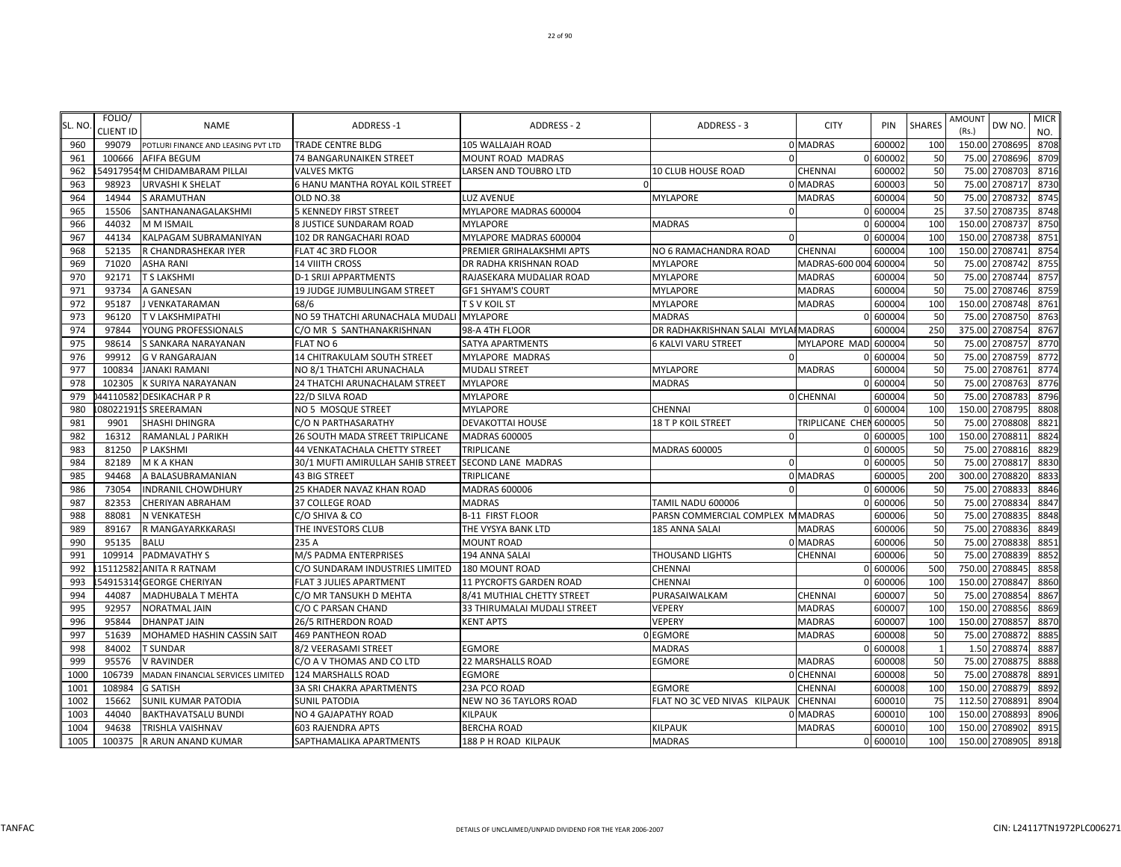| SL. NO     | FOLIO/           | <b>NAME</b>                                               | ADDRESS-1                                             | <b>ADDRESS - 2</b>          | ADDRESS - 3                        | <b>CITY</b>                | PIN              | <b>SHARES</b>  | AMOUNT         | DW NO.             | <b>MICR</b>  |
|------------|------------------|-----------------------------------------------------------|-------------------------------------------------------|-----------------------------|------------------------------------|----------------------------|------------------|----------------|----------------|--------------------|--------------|
|            | <b>CLIENT ID</b> |                                                           |                                                       |                             |                                    |                            |                  |                | (Rs.)          |                    | NO.          |
| 960        | 99079            | POTLURI FINANCE AND LEASING PVT LTD                       | <b>TRADE CENTRE BLDG</b>                              | 105 WALLAJAH ROAD           |                                    | 0 MADRAS                   | 600002           | 100            |                | 150.00 2708695     | 8708         |
| 961        | 100666           | AFIFA BEGUM                                               | 74 BANGARUNAIKEN STREET                               | MOUNT ROAD MADRAS           | $\Omega$                           |                            | 0 60000          | 50             | 75.00<br>75.00 | 2708696<br>2708703 | 8709         |
| 962<br>963 | 98923            | 54917954! M CHIDAMBARAM PILLAI<br><b>URVASHI K SHELAT</b> | <b>VALVES MKTG</b><br>6 HANU MANTHA ROYAL KOIL STREET | LARSEN AND TOUBRO LTD       | <b>10 CLUB HOUSE ROAD</b>          | <b>CHENNAI</b><br>0 MADRAS | 600002<br>600003 | 50<br>50       | 75.00          | 2708717            | 8716<br>8730 |
| 964        | 14944            | S ARAMUTHAN                                               | OLD NO.38                                             | <b>LUZ AVENUE</b>           | <b>MYLAPORE</b>                    | <b>MADRAS</b>              | 600004           | 50             | 75.00          | 2708732            | 8745         |
| 965        | 15506            | SANTHANANAGALAKSHMI                                       | <b>5 KENNEDY FIRST STREET</b>                         | MYLAPORE MADRAS 600004      | $\Omega$                           |                            | 0 600004         | 25             | 37.50          | 2708735            | 8748         |
| 966        | 44032            | M M ISMAIL                                                | 8 JUSTICE SUNDARAM ROAD                               | <b>MYLAPORE</b>             | <b>MADRAS</b>                      |                            | 0 600004         | <b>100</b>     | 150.00         | 2708737            | 8750         |
| 967        | 44134            | KALPAGAM SUBRAMANIYAN                                     | 102 DR RANGACHARI ROAD                                | MYLAPORE MADRAS 600004      | $\Omega$                           |                            | 600004           | 100            |                | 150.00 2708738     | 8751         |
| 968        | 52135            | R CHANDRASHEKAR IYER                                      | FLAT 4C 3RD FLOOR                                     | PREMIER GRIHALAKSHMI APTS   | NO 6 RAMACHANDRA ROAD              | <b>CHENNAI</b>             | 600004           | 100            |                | 150.00 2708741     | 8754         |
| 969        | 71020            | <b>ASHA RANI</b>                                          | <b>14 VIIITH CROSS</b>                                | DR RADHA KRISHNAN ROAD      | <b>MYLAPORE</b>                    | MADRAS-600 004 600004      |                  | 50             |                | 75.00 2708742      | 8755         |
| 970        | 92171            | T S LAKSHMI                                               | <b>D-1 SRIJI APPARTMENTS</b>                          | RAJASEKARA MUDALIAR ROAD    | <b>MYLAPORE</b>                    | <b>MADRAS</b>              | 600004           | 50             | 75.00          | 2708744            | 8757         |
| 971        | 93734            | A GANESAN                                                 | 19 JUDGE JUMBULINGAM STREET                           | <b>GF1 SHYAM'S COURT</b>    | <b>MYLAPORE</b>                    | <b>MADRAS</b>              | 600004           | 50             | 75.00          | 2708746            | 8759         |
| 972        | 95187            | J VENKATARAMAN                                            | 68/6                                                  | <b>T S V KOIL ST</b>        | <b>MYLAPORE</b>                    | <b>MADRAS</b>              | 600004           | 100            | 150.00         | 2708748            | 8761         |
| 973        | 96120            | TV LAKSHMIPATHI                                           | NO 59 THATCHI ARUNACHALA MUDALI MYLAPORE              |                             | <b>MADRAS</b>                      |                            | 0 600004         | 50             | 75.00          | 2708750            | 8763         |
| 974        | 97844            | YOUNG PROFESSIONALS                                       | C/O MR S SANTHANAKRISHNAN                             | 98-A 4TH FLOOR              | DR RADHAKRISHNAN SALAI MYLAIMADRAS |                            | 600004           | 250            | 375.00         | 2708754            | 8767         |
| 975        | 98614            | S SANKARA NARAYANAN                                       | FLAT NO 6                                             | SATYA APARTMENTS            | <b>6 KALVI VARU STREET</b>         | MYLAPORE MAD               | 600004           | 50             | 75.00          | 2708757            | 8770         |
| 976        | 99912            | <b>G V RANGARAJAN</b>                                     | 14 CHITRAKULAM SOUTH STREET                           | <b>MYLAPORE MADRAS</b>      | $\Omega$                           | U                          | 600004           | 50             |                | 75.00 2708759      | 8772         |
| 977        | 100834           | <b>JANAKI RAMANI</b>                                      | NO 8/1 THATCHI ARUNACHALA                             | <b>MUDALI STREET</b>        | <b>MYLAPORE</b>                    | <b>MADRAS</b>              | 600004           | 50             |                | 75.00 2708761      | 8774         |
| 978        | 102305           | K SURIYA NARAYANAN                                        | 24 THATCHI ARUNACHALAM STREET                         | <b>MYLAPORE</b>             | <b>MADRAS</b>                      |                            | 0 600004         | 50             |                | 75.00 2708763      | 8776         |
| 979        | 441105821        | <b>DESIKACHAR P R</b>                                     | 22/D SILVA ROAD                                       | MYLAPORE                    |                                    | 0 CHENNAI                  | 600004           | 50             | 75.00          | 2708783            | 8796         |
| 980        |                  | 08022191.S SREERAMAN                                      | NO 5 MOSQUE STREET                                    | <b>MYLAPORE</b>             | <b>CHENNAI</b>                     | U                          | 600004           | 100            | 150.00         | 2708795            | 8808         |
| 981        | 9901             | SHASHI DHINGRA                                            | C/O N PARTHASARATHY                                   | <b>DEVAKOTTAI HOUSE</b>     | <b>18 T P KOIL STREET</b>          | TRIPLICANE CHEN 600005     |                  | 50             | 75.00          | 2708808            | 8821         |
| 982        | 16312            | RAMANLAL J PARIKH                                         | 26 SOUTH MADA STREET TRIPLICANE                       | <b>MADRAS 600005</b>        | $\mathbf{0}$                       |                            | 0 600005         | 100            | 150.00         | 2708811            | 8824         |
| 983        | 81250            | P LAKSHMI                                                 | <b>44 VENKATACHALA CHETTY STREET</b>                  | TRIPLICANE                  | MADRAS 600005                      |                            | 0 600005         | 50             | 75.00          | 2708816            | 8829         |
| 984        | 82189            | M K A KHAN                                                | 30/1 MUFTI AMIRULLAH SAHIB STREET SECOND LANE MADRAS  |                             | $\Omega$                           |                            | 0 600005         | 50             | 75.00          | 2708817            | 8830         |
| 985        | 94468            | A BALASUBRAMANIAN                                         | <b>43 BIG STREET</b>                                  | TRIPLICANE                  |                                    | 0 MADRAS                   | 600005           | 200            |                | 300.00 2708820     | 8833         |
| 986        | 73054            | <b>INDRANIL CHOWDHURY</b>                                 | 25 KHADER NAVAZ KHAN ROAD                             | MADRAS 600006               | $\Omega$                           |                            | 0 600006         | 50             |                | 75.00 2708833      | 8846         |
| 987        | 82353            | CHERIYAN ABRAHAM                                          | 37 COLLEGE ROAD                                       | <b>MADRAS</b>               | <b>TAMIL NADU 600006</b>           |                            | 0 600006         | 50             |                | 75.00 2708834      | 8847         |
| 988        | 88081            | N VENKATESH                                               | C/O SHIVA & CO                                        | <b>B-11 FIRST FLOOR</b>     | PARSN COMMERCIAL COMPLEX MMADRAS   |                            | 600006           | 50             | 75.00          | 2708835            | 8848         |
| 989        | 89167            | R MANGAYARKKARASI                                         | THE INVESTORS CLUB                                    | THE VYSYA BANK LTD          | 185 ANNA SALAI                     | <b>MADRAS</b>              | 600006           | 50             | 75.00          | 2708836            | 8849         |
| 990        | 95135            | <b>BALU</b>                                               | 235 A                                                 | <b>MOUNT ROAD</b>           |                                    | 0 MADRAS                   | 600006           | 50             | 75.00          | 2708838            | 8851         |
| 991        | 109914           | PADMAVATHY S                                              | M/S PADMA ENTERPRISES                                 | 194 ANNA SALAI              | <b>THOUSAND LIGHTS</b>             | CHENNAI                    | 600006           | 50             | 75.00          | 2708839            | 8852         |
| 992        |                  | 15112582JANITA R RATNAM                                   | C/O SUNDARAM INDUSTRIES LIMITED                       | 180 MOUNT ROAD              | <b>CHENNAI</b>                     |                            | 0 600006         | 500            | 750.00         | 2708845            | 8858         |
| 993        |                  | 54915314. GEORGE CHERIYAN                                 | <b>FLAT 3 JULIES APARTMENT</b>                        | 11 PYCROFTS GARDEN ROAD     | <b>CHENNAI</b>                     |                            | 600006           | 100            | 150.00         | 2708847            | 8860         |
| 994        | 44087            | MADHUBALA T MEHTA                                         | C/O MR TANSUKH D MEHTA                                | 8/41 MUTHIAL CHETTY STREET  | PURASAIWALKAM                      | <b>CHENNAI</b>             | 600007           | 50             |                | 75.00 2708854      | 8867         |
| 995        | 92957            | NORATMAL JAIN                                             | C/O C PARSAN CHAND                                    | 33 THIRUMALAI MUDALI STREET | <b>VEPERY</b>                      | <b>MADRAS</b>              | 600007           | 100            |                | 150.00 2708856     | 8869         |
| 996        | 95844            | DHANPAT JAIN                                              | 26/5 RITHERDON ROAD                                   | <b>KENT APTS</b>            | <b>VEPERY</b>                      | <b>MADRAS</b>              | 600007           | 100            |                | 150.00 2708857     | 8870         |
| 997        | 51639            | MOHAMED HASHIN CASSIN SAIT                                | <b>469 PANTHEON ROAD</b>                              |                             | 0 EGMORE                           | <b>MADRAS</b>              | 600008           | 50             | 75.00          | 2708872            | 8885         |
| 998        | 84002            | <b>T SUNDAR</b>                                           | 8/2 VEERASAMI STREET                                  | <b>EGMORE</b>               | <b>MADRAS</b>                      | $\Omega$                   | 600008           | $\overline{1}$ | 1.50           | 2708874            | 8887         |
| 999        | 95576            | <b>V RAVINDER</b>                                         | C/O A V THOMAS AND CO LTD                             | 22 MARSHALLS ROAD           | <b>EGMORE</b>                      | <b>MADRAS</b>              | 600008           | 50             | 75.00          | 2708875            | 8888         |
| 1000       | 106739           | MADAN FINANCIAL SERVICES LIMITED                          | <b>124 MARSHALLS ROAD</b>                             | <b>EGMORE</b>               |                                    | 0 CHENNAI                  | 600008           | 50             | 75.00          | 2708878            | 8891         |
| 1001       | 108984           | <b>G SATISH</b>                                           | <b>3A SRI CHAKRA APARTMENTS</b>                       | 23A PCO ROAD                | <b>EGMORE</b>                      | <b>CHENNAI</b>             | 600008           | 100            | 150.00         | 2708879            | 8892         |
| 1002       | 15662            | <b>SUNIL KUMAR PATODIA</b>                                | <b>SUNIL PATODIA</b>                                  | NEW NO 36 TAYLORS ROAD      | FLAT NO 3C VED NIVAS KILPAUK       | <b>CHENNAI</b>             | 600010           | 75             | 112.50         | 2708891            | 8904         |
| 1003       | 44040            | BAKTHAVATSALU BUNDI                                       | NO 4 GAJAPATHY ROAD                                   | KILPAUK                     |                                    | 0 MADRAS                   | 600010           | 100            |                | 150.00 2708893     | 8906         |
| 1004       | 94638            | TRISHLA VAISHNAV                                          | <b>603 RAJENDRA APTS</b>                              | <b>BERCHA ROAD</b>          | <b>KILPAUK</b>                     | <b>MADRAS</b>              | 600010           | 100            |                | 150.00 2708902     | 8915         |
| 1005       |                  | 100375 R ARUN ANAND KUMAR                                 | SAPTHAMALIKA APARTMENTS                               | 188 P H ROAD KILPAUK        | <b>MADRAS</b>                      |                            | 0 600010         | 100            |                | 150.00 2708905     | 8918         |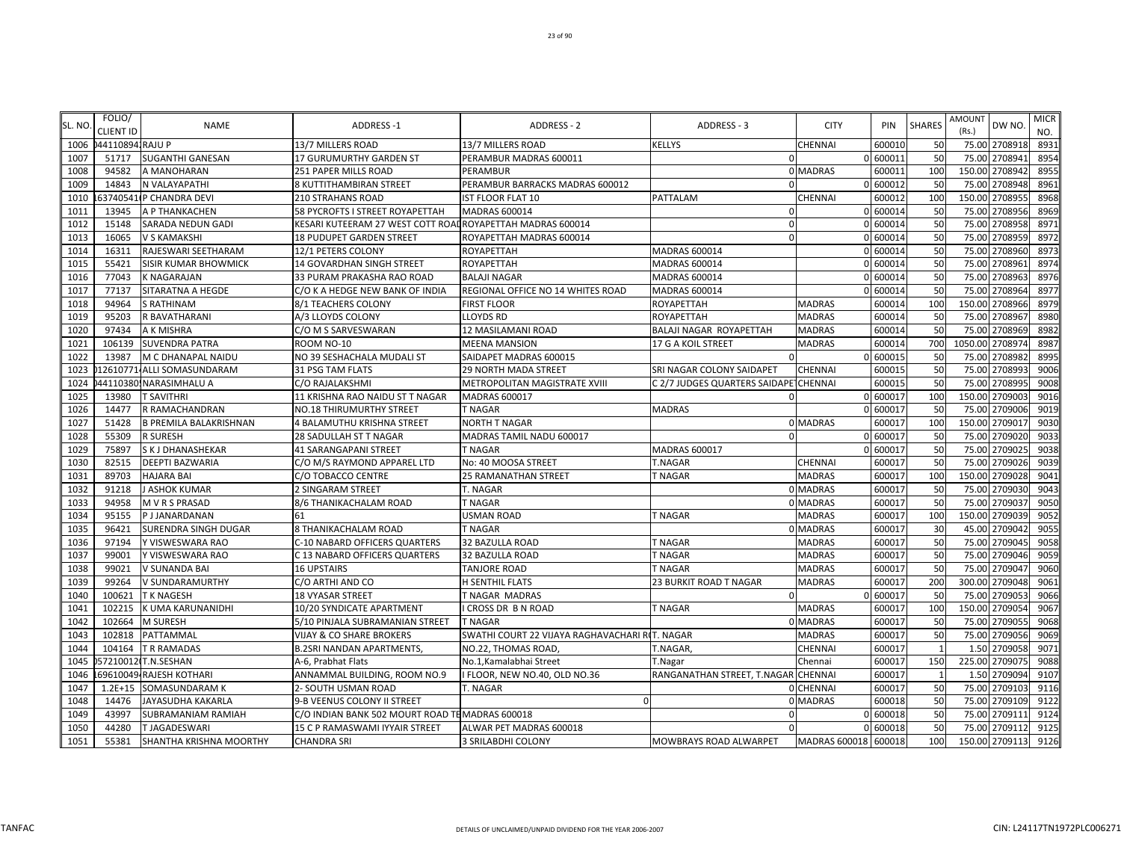| SL. NO | FOLIO/<br><b>CLIENT ID</b> | <b>NAME</b>                   | <b>ADDRESS-1</b>                                           | <b>ADDRESS - 2</b>                             | ADDRESS - 3                           | <b>CITY</b>          | PIN      | <b>SHARES</b>  | <b>AMOUNT</b><br>DW NO.<br>(Rs.) | <b>MICR</b><br>NO. |
|--------|----------------------------|-------------------------------|------------------------------------------------------------|------------------------------------------------|---------------------------------------|----------------------|----------|----------------|----------------------------------|--------------------|
| 1006   | 0441108941RAJU P           |                               | 13/7 MILLERS ROAD                                          | 13/7 MILLERS ROAD                              | <b>KELLYS</b>                         | <b>CHENNAI</b>       | 60001    | 50             | 75.00 2708918                    | 8931               |
| 1007   | 51717                      | <b>SUGANTHI GANESAN</b>       | 17 GURUMURTHY GARDEN ST                                    | PERAMBUR MADRAS 600011                         | $\Omega$                              |                      | 0 60001  | 50             | 75.00<br>2708941                 | 8954               |
| 1008   | 94582                      | A MANOHARAN                   | 251 PAPER MILLS ROAD                                       | PERAMBUR                                       |                                       | 0 MADRAS             | 60001    | 100            | 150.00 2708942                   | 8955               |
| 1009   | 14843                      | N VALAYAPATHI                 | 8 KUTTITHAMBIRAN STREET                                    | PERAMBUR BARRACKS MADRAS 600012                |                                       |                      | 0 60001  | 50             | 2708948<br>75.00                 | 8961               |
| 1010   |                            | 63740541 P CHANDRA DEVI       | <b>210 STRAHANS ROAD</b>                                   | <b>IST FLOOR FLAT 10</b>                       | PATTALAM                              | <b>CHENNAI</b>       | 600012   | <b>100</b>     | 150.00<br>2708955                | 8968               |
| 1011   | 13945                      | A P THANKACHEN                | 58 PYCROFTS I STREET ROYAPETTAH                            | <b>MADRAS 600014</b>                           | $\Omega$                              |                      | 0 60001  | 50             | 75.00<br>2708956                 | 8969               |
| 1012   | 15148                      | SARADA NEDUN GADI             | KESARI KUTEERAM 27 WEST COTT ROAI ROYAPETTAH MADRAS 600014 |                                                | $\Omega$                              |                      | 0 600014 | 50             | 75.00<br>2708958                 | 8971               |
| 1013   | 16065                      | V S KAMAKSHI                  | 18 PUDUPET GARDEN STREET                                   | ROYAPETTAH MADRAS 600014                       | $\Omega$                              |                      | 0 600014 | 50             | 2708959<br>75.00                 | 8972               |
| 1014   | 16311                      | RAJESWARI SEETHARAM           | 12/1 PETERS COLONY                                         | ROYAPETTAH                                     | MADRAS 600014                         |                      | 0 600014 | 50             | 75.00 2708960                    | 8973               |
| 1015   | 55421                      | <b>SISIR KUMAR BHOWMICK</b>   | 14 GOVARDHAN SINGH STREET                                  | ROYAPETTAH                                     | MADRAS 600014                         |                      | 0 600014 | 50             | 75.00 2708961                    | 8974               |
| 1016   | 77043                      | K NAGARAJAN                   | 33 PURAM PRAKASHA RAO ROAD                                 | <b>BALAJI NAGAR</b>                            | MADRAS 600014                         |                      | 0 60001  | 50             | 75.00<br>2708963                 | 8976               |
| 1017   | 77137                      | SITARATNA A HEGDE             | C/O K A HEDGE NEW BANK OF INDIA                            | REGIONAL OFFICE NO 14 WHITES ROAD              | MADRAS 600014                         |                      | 0 600014 | 50             | 75.00<br>2708964                 | 8977               |
| 1018   | 94964                      | S RATHINAM                    | 8/1 TEACHERS COLONY                                        | <b>FIRST FLOOR</b>                             | ROYAPETTAH                            | <b>MADRAS</b>        | 600014   | 100            | 2708966<br>150.00                | 8979               |
| 1019   | 95203                      | R BAVATHARANI                 | A/3 LLOYDS COLONY                                          | <b>LLOYDS RD</b>                               | ROYAPETTAH                            | <b>MADRAS</b>        | 60001    | 50             | 75.00<br>2708967                 | 8980               |
| 1020   | 97434                      | A K MISHRA                    | C/O M S SARVESWARAN                                        | 12 MASILAMANI ROAD                             | BALAJI NAGAR ROYAPETTAH               | <b>MADRAS</b>        | 60001    | 50             | 75.00<br>2708969                 | 8982               |
| 1021   | 106139                     | <b>SUVENDRA PATRA</b>         | ROOM NO-10                                                 | <b>MEENA MANSION</b>                           | 17 G A KOIL STREET                    | <b>MADRAS</b>        | 600014   | 700            | 1050.00 2708974                  | 8987               |
| 1022   | 13987                      | M C DHANAPAL NAIDU            | NO 39 SESHACHALA MUDALI ST                                 | SAIDAPET MADRAS 600015                         | $\Omega$                              |                      | 0 60001  | 50             | 75.00 2708982                    | 8995               |
| 1023   |                            | 12610771 ALLI SOMASUNDARAM    | 31 PSG TAM FLATS                                           | 29 NORTH MADA STREET                           | SRI NAGAR COLONY SAIDAPET             | <b>CHENNAI</b>       | 600015   | 50             | 2708993<br>75.00                 | 9006               |
| 1024   |                            | 44110380 NARASIMHALU A        | C/O RAJALAKSHMI                                            | METROPOLITAN MAGISTRATE XVIII                  | C 2/7 JUDGES QUARTERS SAIDAPE CHENNAI |                      | 600015   | 50             | 75.00<br>2708995                 | 9008               |
| 1025   | 13980                      | <b>T SAVITHRI</b>             | 11 KRISHNA RAO NAIDU ST T NAGAR                            | <b>MADRAS 600017</b>                           |                                       |                      | 0 600017 | 100            | 150.00<br>2709003                | 9016               |
| 1026   | 14477                      | R RAMACHANDRAN                | NO.18 THIRUMURTHY STREET                                   | <b>T NAGAR</b>                                 | <b>MADRAS</b>                         |                      | 0 60001  | 50             | 75.00<br>2709006                 | 9019               |
| 1027   | 51428                      | <b>B PREMILA BALAKRISHNAN</b> | <b>4 BALAMUTHU KRISHNA STREET</b>                          | <b>NORTH T NAGAR</b>                           |                                       | 0 MADRAS             | 60001    | 100            | 2709017<br>150.00                | 9030               |
| 1028   | 55309                      | <b>R SURESH</b>               | 28 SADULLAH ST T NAGAR                                     | MADRAS TAMIL NADU 600017                       |                                       |                      | 0 60001  | 50             | 75.00<br>2709020                 | 9033               |
| 1029   | 75897                      | S K J DHANASHEKAR             | 41 SARANGAPANI STREET                                      | T NAGAR                                        | MADRAS 600017                         |                      | 0 60001  | 50             | 75.00<br>2709025                 | 9038               |
| 1030   | 82515                      | DEEPTI BAZWARIA               | C/O M/S RAYMOND APPAREL LTD                                | No: 40 MOOSA STREET                            | T.NAGAR                               | CHENNAI              | 60001    | 50             | 75.00<br>2709026                 | 9039               |
| 1031   | 89703                      | HAJARA BAI                    | C/O TOBACCO CENTRE                                         | 25 RAMANATHAN STREET                           | T NAGAR                               | <b>MADRAS</b>        | 600017   | 100            | 150.00 2709028                   | 9041               |
| 1032   | 91218                      | J ASHOK KUMAR                 | 2 SINGARAM STREET                                          | T. NAGAR                                       |                                       | 0 MADRAS             | 60001    | 50             | 2709030<br>75.00                 | 9043               |
| 1033   | 94958                      | M V R S PRASAD                | 8/6 THANIKACHALAM ROAD                                     | T NAGAR                                        |                                       | 0 MADRAS             | 60001    | 50             | 2709037<br>75.00                 | 9050               |
| 1034   | 95155                      | P J JANARDANAN                | 61                                                         | <b>USMAN ROAD</b>                              | T NAGAR                               | <b>MADRAS</b>        | 60001    | 100            | 2709039<br>150.00                | 9052               |
| 1035   | 96421                      | SURENDRA SINGH DUGAR          | 8 THANIKACHALAM ROAD                                       | <b>T NAGAR</b>                                 |                                       | 0 MADRAS             | 60001    | 3 <sup>c</sup> | 2709042<br>45.00                 | 9055               |
| 1036   | 97194                      | Y VISWESWARA RAO              | C-10 NABARD OFFICERS QUARTERS                              | 32 BAZULLA ROAD                                | <b>T NAGAR</b>                        | <b>MADRAS</b>        | 60001    | 50             | 2709045<br>75.00                 | 9058               |
| 1037   | 99001                      | Y VISWESWARA RAO              | C 13 NABARD OFFICERS QUARTERS                              | 32 BAZULLA ROAD                                | T NAGAR                               | <b>MADRAS</b>        | 60001    | 50             | 2709046<br>75.00                 | 9059               |
| 1038   | 99021                      | V SUNANDA BAI                 | <b>16 UPSTAIRS</b>                                         | TANJORE ROAD                                   | <b>T NAGAR</b>                        | <b>MADRAS</b>        | 600017   | 50             | 2709047<br>75.00                 | 9060               |
| 1039   | 99264                      | V SUNDARAMURTHY               | C/O ARTHI AND CO                                           | H SENTHIL FLATS                                | <b>23 BURKIT ROAD T NAGAR</b>         | <b>MADRAS</b>        | 60001    | 200            | 2709048<br>300.00                | 9061               |
| 1040   | 100621                     | T K NAGESH                    | <b>18 VYASAR STREET</b>                                    | T NAGAR MADRAS                                 | $\Omega$                              |                      | 0 600017 | 50             | 2709053<br>75.00                 | 9066               |
| 1041   | 102215                     | K UMA KARUNANIDHI             | 10/20 SYNDICATE APARTMENT                                  | <b>I CROSS DR B N ROAD</b>                     | <b>T NAGAR</b>                        | <b>MADRAS</b>        | 600017   | <b>100</b>     | 2709054<br>150.00                | 9067               |
| 1042   | 102664                     | M SURESH                      | 5/10 PINJALA SUBRAMANIAN STREET                            | <b>T NAGAR</b>                                 |                                       | 0 MADRAS             | 60001    | 50             | 75.00<br>2709055                 | 9068               |
| 1043   | 102818                     | PATTAMMAL                     | VIJAY & CO SHARE BROKERS                                   | SWATHI COURT 22 VIJAYA RAGHAVACHARI RIT. NAGAR |                                       | <b>MADRAS</b>        | 60001    | 50             | 75.00<br>2709056                 | 9069               |
| 1044   | 104164                     | T R RAMADAS                   | <b>B.2SRI NANDAN APARTMENTS,</b>                           | NO.22, THOMAS ROAD,                            | T.NAGAR,                              | CHENNAI              | 60001    |                | 1.50<br>2709058                  | 9071               |
| 1045   |                            | 57210012 T.N.SESHAN           | A-6, Prabhat Flats                                         | No.1, Kamalabhai Street                        | T.Nagar                               | Chennai              | 600017   | 150            | 225.00 2709075                   | 9088               |
| 1046   |                            | 69610049 RAJESH KOTHARI       | ANNAMMAL BUILDING, ROOM NO.9                               | I FLOOR, NEW NO.40, OLD NO.36                  | RANGANATHAN STREET, T.NAGAR CHENNAI   |                      | 60001    |                | 1.50<br>2709094                  | 9107               |
| 1047   | $1.2E + 15$                | <b>SOMASUNDARAM K</b>         | 2- SOUTH USMAN ROAD                                        | T. NAGAR                                       |                                       | 0 CHENNAI            | 60001    | 50             | 75.00<br>2709103                 | 9116               |
| 1048   | 14476                      | <b>JAYASUDHA KAKARLA</b>      | 9-B VEENUS COLONY II STREET                                | $\Omega$                                       |                                       | 0 MADRAS             | 600018   | 50             | 2709109<br>75.00                 | 9122               |
| 1049   | 43997                      | SUBRAMANIAM RAMIAH            | C/O INDIAN BANK 502 MOURT ROAD TE MADRAS 600018            |                                                | $\Omega$                              |                      | 0 600018 | 50             | 75.00<br>2709111                 | 9124               |
| 1050   | 44280                      | T JAGADESWARI                 | 15 C P RAMASWAMI IYYAIR STREET                             | ALWAR PET MADRAS 600018                        | $\mathbf 0$                           |                      | 0 600018 | 50             | 75.00 2709112                    | 9125               |
| 1051   | 55381                      | SHANTHA KRISHNA MOORTHY       | <b>CHANDRA SRI</b>                                         | 3 SRILABDHI COLONY                             | MOWBRAYS ROAD ALWARPET                | MADRAS 600018 600018 |          | 100            | 150.00 2709113                   | 9126               |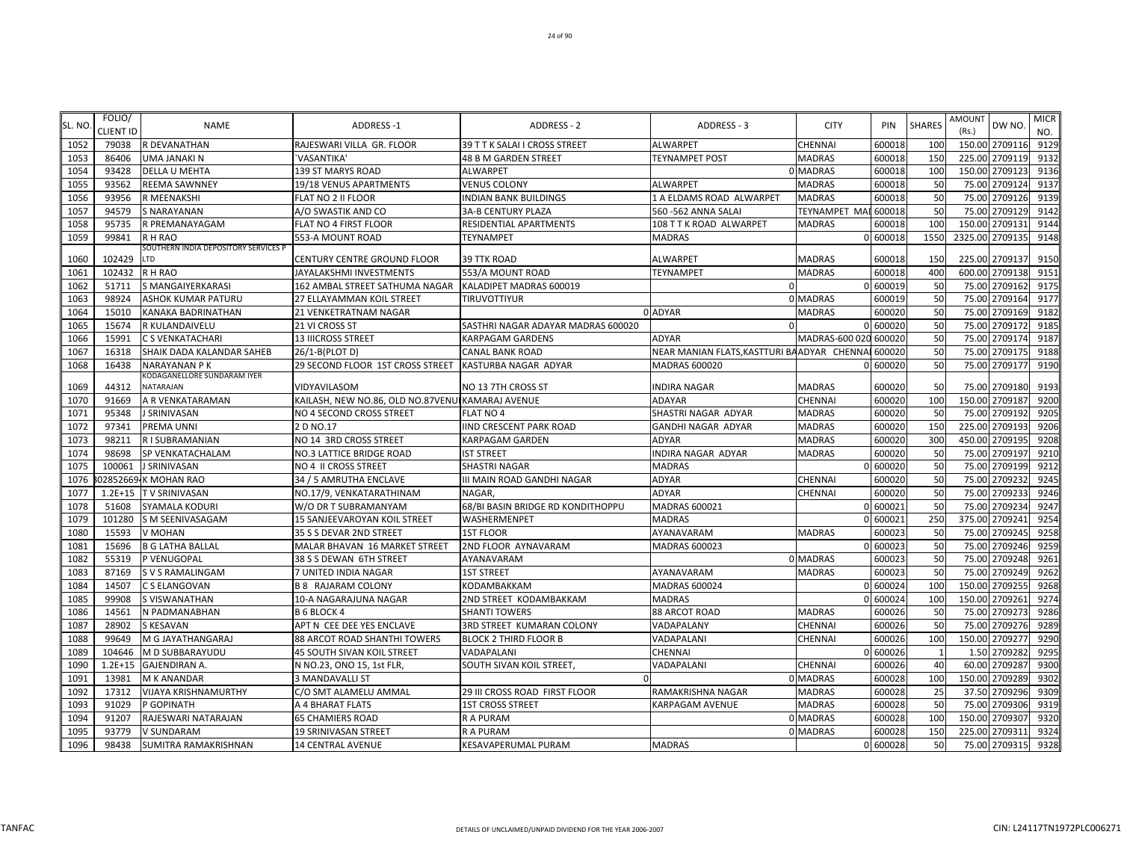| SL. NO | FOLIO/<br><b>CLIENT ID</b> | <b>NAME</b>                              | ADDRESS-1                                         | ADDRESS - 2                        | ADDRESS - 3                                | <b>CITY</b>           | PIN      | <b>SHARES</b> | AMOUNT<br>DW NO.<br>(Rs.) | <b>MICR</b><br>NO. |
|--------|----------------------------|------------------------------------------|---------------------------------------------------|------------------------------------|--------------------------------------------|-----------------------|----------|---------------|---------------------------|--------------------|
| 1052   | 79038                      | R DEVANATHAN                             | RAJESWARI VILLA GR. FLOOR                         | 39 T T K SALAI I CROSS STREET      | <b>ALWARPET</b>                            | CHENNAI               | 600018   | 100           | 150.00 2709116            | 9129               |
| 1053   | 86406                      | <b>UMA JANAKI N</b>                      | <b>VASANTIKA'</b>                                 | <b>48 B M GARDEN STREET</b>        | <b>TEYNAMPET POST</b>                      | <b>MADRAS</b>         | 600018   | <b>150</b>    | 225.00<br>2709119         | 9132               |
| 1054   | 93428                      | <b>DELLA U MEHTA</b>                     | 139 ST MARYS ROAD                                 | <b>ALWARPET</b>                    |                                            | 0 MADRAS              | 600018   | <b>100</b>    | 150.00 2709123            | 9136               |
| 1055   | 93562                      | <b>REEMA SAWNNEY</b>                     | 19/18 VENUS APARTMENTS                            | <b>VENUS COLONY</b>                | <b>ALWARPET</b>                            | <b>MADRAS</b>         | 600018   | 50            | 2709124<br>75.00          | 9137               |
| 1056   | 93956                      | R MEENAKSHI                              | FLAT NO 2 II FLOOR                                | <b>INDIAN BANK BUILDINGS</b>       | 1 A ELDAMS ROAD ALWARPET                   | <b>MADRAS</b>         | 600018   | 50            | 2709126<br>75.00          | 9139               |
| 1057   | 94579                      | S NARAYANAN                              | A/O SWASTIK AND CO                                | <b>3A-B CENTURY PLAZA</b>          | 560 - 562 ANNA SALAI                       | <b>TEYNAMPET MA</b>   | 600018   | 50            | 2709129<br>75.00          | 9142               |
| 1058   | 95735                      | R PREMANAYAGAM                           | FLAT NO 4 FIRST FLOOR                             | RESIDENTIAL APARTMENTS             | 108 T T K ROAD ALWARPET                    | <b>MADRAS</b>         | 600018   | <b>100</b>    | 150.00<br>2709131         | 9144               |
| 1059   | 99841                      | R H RAO                                  | 553-A MOUNT ROAD                                  | <b>TEYNAMPET</b>                   | <b>MADRAS</b>                              |                       | 0 600018 | 1550          | 2709135<br>2325.00        | 9148               |
|        |                            | SOUTHERN INDIA DEPOSITORY SERVICES P     |                                                   |                                    |                                            |                       |          |               |                           |                    |
| 1060   | 102429                     | LTD                                      | CENTURY CENTRE GROUND FLOOR                       | <b>39 TTK ROAD</b>                 | <b>ALWARPET</b>                            | <b>MADRAS</b>         | 600018   | <b>150</b>    | 225.00 2709137            | 9150               |
| 1061   | 102432 R H RAO             |                                          | JAYALAKSHMI INVESTMENTS                           | 553/A MOUNT ROAD                   | <b>TEYNAMPET</b>                           | <b>MADRAS</b>         | 600018   | 400           | 600.00 2709138            | 9151               |
| 1062   | 51711                      | S MANGAIYERKARASI                        | 162 AMBAL STREET SATHUMA NAGAR                    | KALADIPET MADRAS 600019            | $\Omega$                                   |                       | 0 600019 | 50            | 75.00 2709162             | 9175               |
| 1063   | 98924                      | ASHOK KUMAR PATURU                       | 27 ELLAYAMMAN KOIL STREET                         | TIRUVOTTIYUR                       |                                            | 0 MADRAS              | 600019   | 50            | 75.00 2709164             | 9177               |
| 1064   | 15010                      | KANAKA BADRINATHAN                       | 21 VENKETRATNAM NAGAR                             |                                    | 0 ADYAR                                    | <b>MADRAS</b>         | 600020   | 50            | 2709169<br>75.00          | 9182               |
| 1065   | 15674                      | R KULANDAIVELU                           | 21 VI CROSS ST                                    | SASTHRI NAGAR ADAYAR MADRAS 600020 | $\Omega$                                   |                       | 0 600020 | 50            | 2709172<br>75.00          | 9185               |
| 1066   | 15991                      | C S VENKATACHARI                         | <b>13 IIICROSS STREET</b>                         | <b>KARPAGAM GARDENS</b>            | <b>ADYAR</b>                               | MADRAS-600 020 600020 |          | 50            | 2709174<br>75.00          | 9187               |
| 1067   | 16318                      | SHAIK DADA KALANDAR SAHEB                | 26/1-B(PLOT D)                                    | <b>CANAL BANK ROAD</b>             | NEAR MANIAN FLATS, KASTTURI BAADYAR CHENNA |                       | 600020   | 50            | 75.00<br>2709175          | 9188               |
| 1068   | 16438                      | NARAYANAN P K                            | 29 SECOND FLOOR 1ST CROSS STREET                  | KASTURBA NAGAR ADYAR               | <b>MADRAS 600020</b>                       |                       | 0 600020 | 50            | 75.00<br>2709177          | 9190               |
| 1069   | 44312                      | KODAGANELLORE SUNDARAM IYER<br>NATARAJAN | VIDYAVILASOM                                      | NO 13 7TH CROSS ST                 | INDIRA NAGAR                               | <b>MADRAS</b>         | 600020   | 50            | 2709180<br>75.00          | 9193               |
| 1070   | 91669                      | A R VENKATARAMAN                         | KAILASH, NEW NO.86, OLD NO.87VENUI KAMARAJ AVENUE |                                    | ADAYAR                                     | CHENNAI               | 600020   | 100           | 150.00 2709187            | 9200               |
| 1071   | 95348                      | J SRINIVASAN                             | NO 4 SECOND CROSS STREET                          | <b>FLAT NO 4</b>                   | SHASTRI NAGAR ADYAR                        | <b>MADRAS</b>         | 600020   | 50            | 75.00 2709192             | 9205               |
| 1072   | 97341                      | PREMA UNNI                               | 2 D NO.17                                         | <b>IIND CRESCENT PARK ROAD</b>     | GANDHI NAGAR ADYAR                         | <b>MADRAS</b>         | 600020   | 150           | 225.00 2709193            | 9206               |
| 1073   | 98211                      | R I SUBRAMANIAN                          | NO 14 3RD CROSS STREET                            | <b>KARPAGAM GARDEN</b>             | <b>ADYAR</b>                               | <b>MADRAS</b>         | 600020   | 300           | 2709195<br>450.00         | 9208               |
| 1074   | 98698                      | SP VENKATACHALAM                         | <b>NO.3 LATTICE BRIDGE ROAD</b>                   | <b>IST STREET</b>                  | INDIRA NAGAR ADYAR                         | <b>MADRAS</b>         | 600020   | 50            | 75.00 2709197             | 9210               |
| 1075   | 100061                     | J SRINIVASAN                             | NO 4 II CROSS STREET                              | <b>SHASTRI NAGAR</b>               | <b>MADRAS</b>                              |                       | 0 600020 | 50            | 2709199<br>75.00          | 9212               |
| 1076   |                            | 02852669 K MOHAN RAO                     | 34 / 5 AMRUTHA ENCLAVE                            | III MAIN ROAD GANDHI NAGAR         | <b>ADYAR</b>                               | <b>CHENNAI</b>        | 600020   | 50            | 2709232<br>75.00          | 9245               |
| 1077   | $1.2E + 15$                | <b>TV SRINIVASAN</b>                     | NO.17/9, VENKATARATHINAM                          | <b>NAGAR</b>                       | <b>ADYAR</b>                               | <b>CHENNAI</b>        | 600020   | 50            | 2709233<br>75.00          | 9246               |
| 1078   | 51608                      | SYAMALA KODURI                           | W/O DR T SUBRAMANYAM                              | 68/BI BASIN BRIDGE RD KONDITHOPPU  | MADRAS 600021                              |                       | 0 60002  | 50            | 75.00<br>2709234          | 9247               |
| 1079   | 101280                     | S M SEENIVASAGAM                         | 15 SANJEEVAROYAN KOIL STREET                      | WASHERMENPET                       | <b>MADRAS</b>                              |                       | 0 60002  | 250           | 375.00<br>2709241         | 9254               |
| 1080   | 15593                      | V MOHAN                                  | 35 S S DEVAR 2ND STREET                           | <b>1ST FLOOR</b>                   | AYANAVARAM                                 | <b>MADRAS</b>         | 600023   | 50            | 75.00<br>2709245          | 9258               |
| 1081   | 15696                      | <b>B G LATHA BALLAL</b>                  | MALAR BHAVAN 16 MARKET STREET                     | 2ND FLOOR AYNAVARAM                | MADRAS 600023                              |                       | 0 600023 | 50            | 75.00 2709246             | 9259               |
| 1082   | 55319                      | P VENUGOPAL                              | 38 S S DEWAN 6TH STREET                           | AYANAVARAM                         |                                            | 0 MADRAS              | 600023   | 50            | 75.00 2709248             | 9261               |
| 1083   | 87169                      | <b>SVS RAMALINGAM</b>                    | 7 UNITED INDIA NAGAR                              | <b>1ST STREET</b>                  | AYANAVARAM                                 | <b>MADRAS</b>         | 600023   | 50            | 75.00 2709249             | 9262               |
| 1084   | 14507                      | C S ELANGOVAN                            | <b>B 8 RAJARAM COLONY</b>                         | KODAMBAKKAM                        | MADRAS 600024                              |                       | 0 600024 | <b>100</b>    | 2709255<br>150.00         | 9268               |
| 1085   | 99908                      | S VISWANATHAN                            | 10-A NAGARAJUNA NAGAR                             | 2ND STREET KODAMBAKKAM             | MADRAS                                     |                       | 0 600024 | 100           | 2709261<br>150.00         | 9274               |
| 1086   | 14561                      | N PADMANABHAN                            | <b>B 6 BLOCK 4</b>                                | <b>SHANTI TOWERS</b>               | 88 ARCOT ROAD                              | <b>MADRAS</b>         | 600026   | 50            | 2709273<br>75.00          | 9286               |
| 1087   | 28902                      | <b>S KESAVAN</b>                         | APT N CEE DEE YES ENCLAVE                         | 3RD STREET KUMARAN COLONY          | VADAPALANY                                 | <b>CHENNAI</b>        | 600026   | 50            | 75.00<br>2709276          | 9289               |
| 1088   | 99649                      | M G JAYATHANGARAJ                        | 88 ARCOT ROAD SHANTHI TOWERS                      | <b>BLOCK 2 THIRD FLOOR B</b>       | VADAPALANI                                 | <b>CHENNAI</b>        | 600026   | 100           | 150.00<br>2709277         | 9290               |
| 1089   | 104646                     | M D SUBBARAYUDU                          | 45 SOUTH SIVAN KOIL STREET                        | VADAPALANI                         | <b>CHENNAI</b>                             |                       | 0 600026 |               | 2709282<br>1.50           | 9295               |
| 1090   | $1.2E + 15$                | <b>GAJENDIRAN A.</b>                     | N NO.23, ONO 15, 1st FLR,                         | SOUTH SIVAN KOIL STREET,           | VADAPALANI                                 | <b>CHENNAI</b>        | 600026   | 40            | 2709287<br>60.00          | 9300               |
| 1091   | 13981                      | <b>M K ANANDAR</b>                       | 3 MANDAVALLI ST                                   |                                    |                                            | 0 MADRAS              | 600028   | 100           | 150.00 2709289            | 9302               |
| 1092   | 17312                      | <b>VIJAYA KRISHNAMURTHY</b>              | C/O SMT ALAMELU AMMAL                             | 29 III CROSS ROAD FIRST FLOOR      | RAMAKRISHNA NAGAR                          | <b>MADRAS</b>         | 600028   | 25            | 37.50 2709296             | 9309               |
| 1093   | 91029                      | P GOPINATH                               | A 4 BHARAT FLATS                                  | <b>1ST CROSS STREET</b>            | <b>KARPAGAM AVENUE</b>                     | <b>MADRAS</b>         | 600028   | 50            | 75.00<br>2709306          | 9319               |
| 1094   | 91207                      | RAJESWARI NATARAJAN                      | <b>65 CHAMIERS ROAD</b>                           | R A PURAM                          |                                            | 0 MADRAS              | 600028   | <b>100</b>    | 150.00 2709307            | 9320               |
| 1095   | 93779                      | V SUNDARAM                               | <b>19 SRINIVASAN STREET</b>                       | R A PURAM                          |                                            | 0 MADRAS              | 600028   | 150           | 225.00 2709311            | 9324               |
| 1096   | 98438                      | <b>SUMITRA RAMAKRISHNAN</b>              | <b>14 CENTRAL AVENUE</b>                          | <b>KESAVAPERUMAL PURAM</b>         | <b>MADRAS</b>                              |                       | 0 600028 | 50            | 75.00 2709315             | 9328               |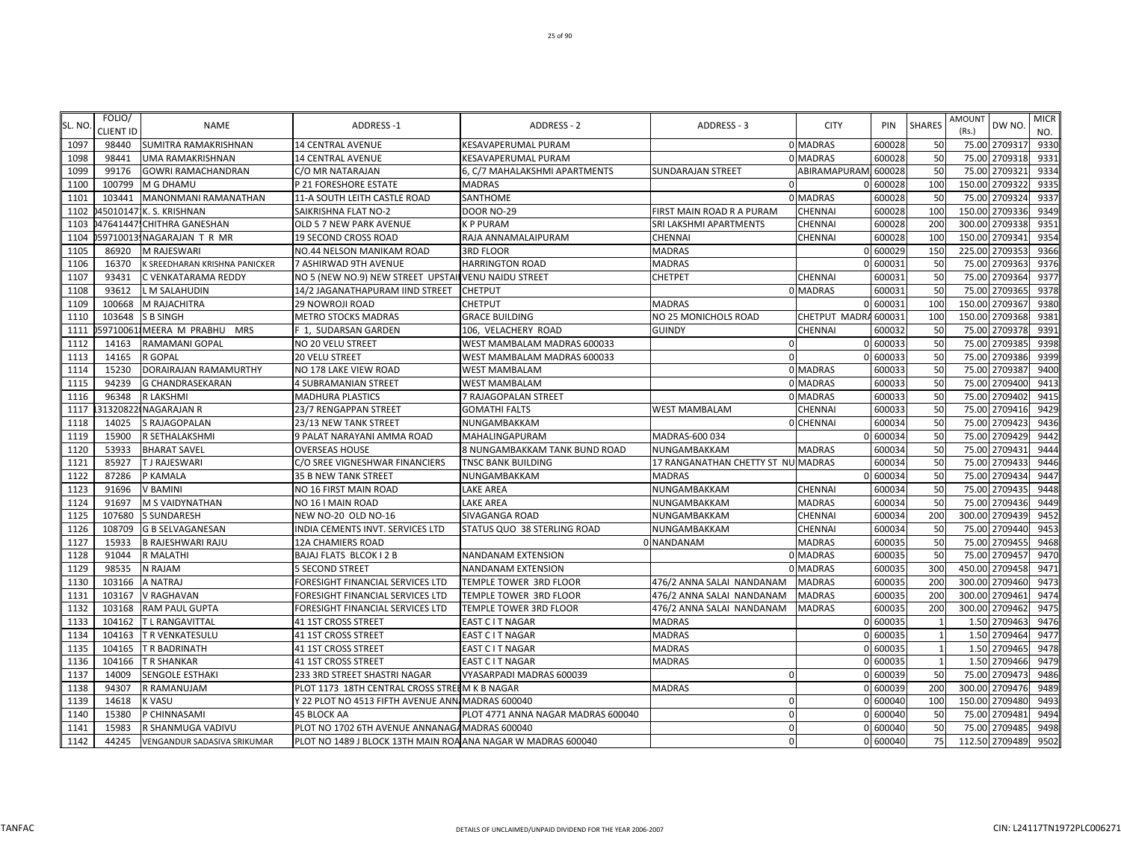| SL. NO | FOLIO/<br><b>CLIENT ID</b> | <b>NAME</b>                   | ADDRESS-1                                                    | ADDRESS - 2                        | ADDRESS - 3                        | <b>CITY</b>         | PIN      | <b>SHARES</b> | AMOUNT<br>DW NO.<br>(Rs.) | <b>MICR</b><br>NO. |
|--------|----------------------------|-------------------------------|--------------------------------------------------------------|------------------------------------|------------------------------------|---------------------|----------|---------------|---------------------------|--------------------|
| 1097   | 98440                      | SUMITRA RAMAKRISHNAN          | <b>14 CENTRAL AVENUE</b>                                     | KESAVAPERUMAL PURAM                |                                    | 0 MADRAS            | 600028   | 50            | 75.00 2709317             | 9330               |
| 1098   | 98441                      | UMA RAMAKRISHNAN              | <b>14 CENTRAL AVENUE</b>                                     | KESAVAPERUMAL PURAM                |                                    | 0 MADRAS            | 600028   | 50            | 2709318<br>75.00          | 9331               |
| 1099   | 99176                      | GOWRI RAMACHANDRAN            | C/O MR NATARAJAN                                             | 6, C/7 MAHALAKSHMI APARTMENTS      | <b>SUNDARAJAN STREET</b>           | ABIRAMAPURAM 600028 |          | 50            | 2709321<br>75.00          | 9334               |
| 1100   | 100799                     | M G DHAMU                     | P 21 FORESHORE ESTATE                                        | <b>MADRAS</b>                      | 0                                  |                     | 0 600028 | 100           | 270932<br>150.00          | 9335               |
| 1101   | 103441                     | <b>MANONMANI RAMANATHAN</b>   | 11-A SOUTH LEITH CASTLE ROAD                                 | SANTHOME                           |                                    | 0 MADRAS            | 600028   | 50            | 75.00<br>2709324          | 9337               |
| 1102   |                            | 45010147:K. S. KRISHNAN       | SAIKRISHNA FLAT NO-2                                         | <b>DOOR NO-29</b>                  | FIRST MAIN ROAD R A PURAM          | CHENNAI             | 600028   | 100           | 150.00<br>2709336         | 9349               |
| 1103   |                            | 047641447, CHITHRA GANESHAN   | OLD 5 7 NEW PARK AVENUE                                      | <b>KP PURAM</b>                    | SRI LAKSHMI APARTMENTS             | CHENNAI             | 600028   | 200           | 300.00<br>2709338         | 9351               |
| 1104   |                            | 59710013 NAGARAJAN T R MR     | 19 SECOND CROSS ROAD                                         | RAJA ANNAMALAIPURAM                | CHENNAI                            | CHENNAI             | 600028   | 100           | 150.00<br>2709341         | 9354               |
| 1105   | 86920                      | M RAJESWARI                   | NO.44 NELSON MANIKAM ROAD                                    | <b>3RD FLOOR</b>                   | <b>MADRAS</b>                      |                     | 0 600029 | 150           | 225.00<br>2709353         | 9366               |
| 1106   | 16370                      | K SREEDHARAN KRISHNA PANICKER | 7 ASHIRWAD 9TH AVENUE                                        | <b>HARRINGTON ROAD</b>             | <b>MADRAS</b>                      |                     | 0 600032 | 50            | 75.00<br>2709363          | 9376               |
| 1107   | 93431                      | C VENKATARAMA REDDY           | NO 5 (NEW NO.9) NEW STREET UPSTAIL VENU NAIDU STREET         |                                    | <b>CHETPET</b>                     | <b>CHENNAI</b>      | 600031   | 50            | 2709364<br>75.00          | 9377               |
| 1108   | 93612                      | L M SALAHUDIN                 | 14/2 JAGANATHAPURAM IIND STREET                              | <b>CHETPUT</b>                     |                                    | 0 MADRAS            | 60003    | 50            | 75.00<br>2709365          | 9378               |
| 1109   | 100668                     | M RAJACHITRA                  | 29 NOWROJI ROAD                                              | <b>CHETPUT</b>                     | <b>MADRAS</b>                      |                     | 0 60003  | <b>100</b>    | 2709367<br>150.00         | 9380               |
| 1110   | 103648                     | <b>S B SINGH</b>              | <b>METRO STOCKS MADRAS</b>                                   | <b>GRACE BUILDING</b>              | NO 25 MONICHOLS ROAD               | CHETPUT MADRA       | 60003    | 100           | 150.00<br>2709368         | 9381               |
| 1111   |                            | 597100611MEERA M PRABHU MRS   | F 1, SUDARSAN GARDEN                                         | 106, VELACHERY ROAD                | <b>GUINDY</b>                      | CHENNAI             | 600032   | 50            | 2709378<br>75.00          | 9391               |
| 1112   | 14163                      | <b>RAMAMANI GOPAL</b>         | NO 20 VELU STREET                                            | WEST MAMBALAM MADRAS 600033        | $\mathbf 0$                        |                     | 0 600033 | 50            | 2709385<br>75.00          | 9398               |
| 1113   | 14165                      | R GOPAL                       | 20 VELU STREET                                               | WEST MAMBALAM MADRAS 600033        | $\Omega$                           |                     | 0 600033 | 50            | 2709386<br>75.00          | 9399               |
| 1114   | 15230                      | DORAIRAJAN RAMAMURTHY         | NO 178 LAKE VIEW ROAD                                        | <b>WEST MAMBALAM</b>               |                                    | 0 MADRAS            | 600033   | 50            | 2709387<br>75.00          | 9400               |
| 1115   | 94239                      | <b>G CHANDRASEKARAN</b>       | <b>4 SUBRAMANIAN STREET</b>                                  | <b>WEST MAMBALAM</b>               |                                    | 0 MADRAS            | 600033   | 50            | 2709400<br>75.00          | 9413               |
| 1116   | 96348                      | R LAKSHMI                     | <b>MADHURA PLASTICS</b>                                      | 7 RAJAGOPALAN STREET               |                                    | 0 MADRAS            | 600033   | 50            | 2709402<br>75.00          | 9415               |
| 1117   | 31320822                   | <b>NAGARAJAN R</b>            | 23/7 RENGAPPAN STREET                                        | <b>GOMATHI FALTS</b>               | <b>WEST MAMBALAM</b>               | <b>CHENNAI</b>      | 600033   | 50            | 75.00<br>2709416          | 9429               |
| 1118   | 14025                      | S RAJAGOPALAN                 | 23/13 NEW TANK STREET                                        | NUNGAMBAKKAM                       |                                    | 0 CHENNAI           | 600034   | 50            | 75.00<br>2709423          | 9436               |
| 1119   | 15900                      | R SETHALAKSHMI                | 9 PALAT NARAYANI AMMA ROAD                                   | MAHALINGAPURAM                     | MADRAS-600 034                     |                     | 0 60003  | 50            | 75.00<br>2709429          | 9442               |
| 1120   | 53933                      | <b>BHARAT SAVEL</b>           | <b>OVERSEAS HOUSE</b>                                        | 8 NUNGAMBAKKAM TANK BUND ROAD      | NUNGAMBAKKAM                       | <b>MADRAS</b>       | 600034   | 50            | 75.00<br>2709431          | 9444               |
| 1121   | 85927                      | T J RAJESWARI                 | C/O SREE VIGNESHWAR FINANCIERS                               | <b>TNSC BANK BUILDING</b>          | 17 RANGANATHAN CHETTY ST NU MADRAS |                     | 600034   | 50            | 75.00<br>2709433          | 9446               |
| 1122   | 87286                      | P KAMALA                      | 35 B NEW TANK STREET                                         | NUNGAMBAKKAM                       | <b>MADRAS</b>                      |                     | 0 600034 | 50            | 75.00 2709434             | 9447               |
| 1123   | 91696                      | V BAMINI                      | NO 16 FIRST MAIN ROAD                                        | LAKE AREA                          | NUNGAMBAKKAM                       | CHENNAI             | 600034   | 50            | 2709435<br>75.00          | 9448               |
| 1124   | 91697                      | M S VAIDYNATHAN               | NO 16 I MAIN ROAD                                            | LAKE AREA                          | NUNGAMBAKKAM                       | <b>MADRAS</b>       | 600034   | 50            | 75.00<br>2709436          | 9449               |
| 1125   | 107680                     | <b>S SUNDARESH</b>            | NEW NO-20 OLD NO-16                                          | SIVAGANGA ROAD                     | NUNGAMBAKKAM                       | CHENNAI             | 600034   | 200           | 2709439<br>300.00         | 9452               |
| 1126   | 108709                     | <b>G B SELVAGANESAN</b>       | INDIA CEMENTS INVT. SERVICES LTD                             | STATUS QUO 38 STERLING ROAD        | NUNGAMBAKKAM                       | CHENNAI             | 600034   | 50            | 75.00<br>2709440          | 9453               |
| 1127   | 15933                      | <b>B RAJESHWARI RAJU</b>      | 12A CHAMIERS ROAD                                            |                                    | 0 NANDANAM                         | <b>MADRAS</b>       | 60003    | 50            | 75.00<br>2709455          | 9468               |
| 1128   | 91044                      | R MALATHI                     | BAJAJ FLATS BLCOK I 2 B                                      | <b>NANDANAM EXTENSION</b>          |                                    | 0 MADRAS            | 600035   | 50            | 75.00<br>2709457          | 9470               |
| 1129   | 98535                      | N RAJAM                       | <b>5 SECOND STREET</b>                                       | NANDANAM EXTENSION                 |                                    | 0 MADRAS            | 600035   | 300           | 450.00<br>2709458         | 9471               |
| 1130   | 103166                     | A NATRAJ                      | FORESIGHT FINANCIAL SERVICES LTD                             | TEMPLE TOWER 3RD FLOOR             | 476/2 ANNA SALAI NANDANAM          | <b>MADRAS</b>       | 600035   | 200           | 300.00<br>2709460         | 9473               |
| 1131   | 103167                     | V RAGHAVAN                    | FORESIGHT FINANCIAL SERVICES LTD                             | TEMPLE TOWER 3RD FLOOR             | 476/2 ANNA SALAI NANDANAM          | <b>MADRAS</b>       | 600035   | <b>200</b>    | 300.00 2709461            | 9474               |
| 1132   | 103168                     | <b>RAM PAUL GUPTA</b>         | FORESIGHT FINANCIAL SERVICES LTD                             | TEMPLE TOWER 3RD FLOOR             | 476/2 ANNA SALAI NANDANAM          | <b>MADRAS</b>       | 600035   | 200           | 300.00<br>2709462         | 9475               |
| 1133   | 104162                     | T L RANGAVITTAL               | 41 1ST CROSS STREET                                          | EAST C I T NAGAR                   | <b>MADRAS</b>                      |                     | 0 600035 |               | 1.50 2709463              | 9476               |
| 1134   | 104163                     | T R VENKATESULU               | 41 1ST CROSS STREET                                          | EAST C I T NAGAR                   | <b>MADRAS</b>                      |                     | 0 60003  |               | 1.50<br>2709464           | 9477               |
| 1135   | 104165                     | T R BADRINATH                 | 41 1ST CROSS STREET                                          | EAST C I T NAGAR                   | <b>MADRAS</b>                      |                     | 0 60003  |               | 1.50<br>2709465           | 9478               |
| 1136   | 104166                     | T R SHANKAR                   | 41 1ST CROSS STREET                                          | <b>EAST C I T NAGAR</b>            | <b>MADRAS</b>                      |                     | 0 60003  |               | 1.50<br>2709466           | 9479               |
| 1137   | 14009                      | SENGOLE ESTHAKI               | 233 3RD STREET SHASTRI NAGAR                                 | VYASARPADI MADRAS 600039           | $\Omega$                           |                     | 0 600039 | 50            | 75.00<br>2709473          | 9486               |
| 1138   | 94307                      | R RAMANUJAM                   | PLOT 1173 18TH CENTRAL CROSS STREEM K B NAGAR                |                                    | <b>MADRAS</b>                      |                     | 0 600039 | 200           | 300.00 2709476            | 9489               |
| 1139   | 14618                      | <b>K VASU</b>                 | Y 22 PLOT NO 4513 FIFTH AVENUE ANN. MADRAS 600040            |                                    | $\Omega$                           |                     | 0 600040 | 100           | 2709480<br>150.00         | 9493               |
| 1140   | 15380                      | P CHINNASAMI                  | <b>45 BLOCK AA</b>                                           | PLOT 4771 ANNA NAGAR MADRAS 600040 | $\Omega$                           |                     | 0 600040 | 50            | 75.00 2709481             | 9494               |
| 1141   | 15983                      | R SHANMUGA VADIVU             | PLOT NO 1702 6TH AVENUE ANNANAGA MADRAS 600040               |                                    | $\Omega$                           |                     | 0 600040 | 50            | 75.00 2709485             | 9498               |
| 1142   | 44245                      | VENGANDUR SADASIVA SRIKUMAR   | PLOT NO 1489 J BLOCK 13TH MAIN ROA ANA NAGAR W MADRAS 600040 |                                    | $\Omega$                           |                     | 0 600040 | 75            | 112.50 2709489            | 9502               |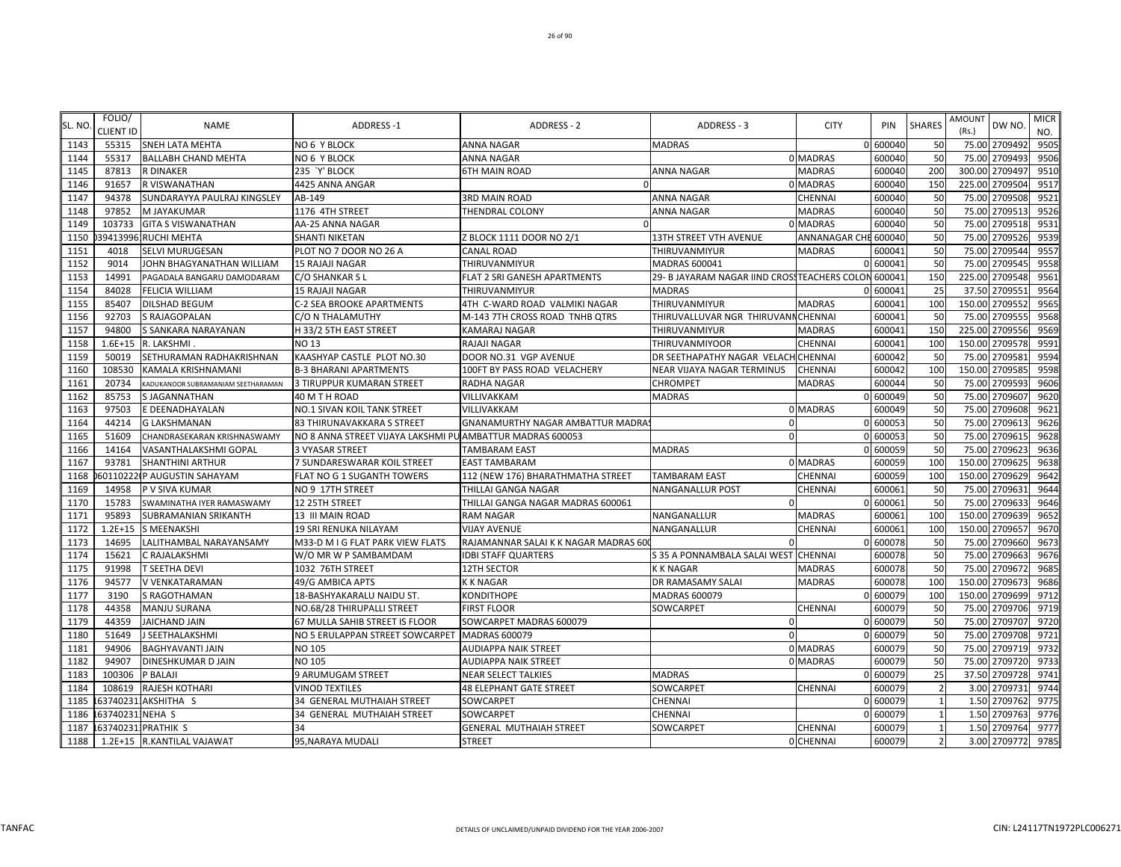| SL. NO | FOLIO/<br>CLIENT ID | <b>NAME</b>                        | <b>ADDRESS-1</b>                                          | ADDRESS - 2                             | ADDRESS - 3                                   | <b>CITY</b>          | PIN      | <b>SHARES</b>  | <b>AMOUNT</b><br>(Rs.) | DW NO.        | <b>MICR</b><br>NO. |
|--------|---------------------|------------------------------------|-----------------------------------------------------------|-----------------------------------------|-----------------------------------------------|----------------------|----------|----------------|------------------------|---------------|--------------------|
| 1143   | 55315               | <b>SNEH LATA MEHTA</b>             | <b>NO 6 Y BLOCK</b>                                       | <b>ANNA NAGAR</b>                       | <b>MADRAS</b>                                 |                      | 0 600040 | 50             |                        | 75.00 2709492 | 9505               |
| 1144   | 55317               | <b>BALLABH CHAND MEHTA</b>         | NO 6 Y BLOCK                                              | <b>ANNA NAGAR</b>                       |                                               | 0 MADRAS             | 600040   | 50             | 75.00                  | 2709493       | 9506               |
| 1145   | 87813               | <b>R DINAKER</b>                   | 235 'Y' BLOCK                                             | <b>6TH MAIN ROAD</b>                    | <b>ANNA NAGAR</b>                             | <b>MADRAS</b>        | 600040   | 200            | 300.00                 | 2709497       | 9510               |
| 1146   | 91657               | R VISWANATHAN                      | 4425 ANNA ANGAR                                           |                                         |                                               | <b>MADRAS</b>        | 600040   | 150            | 225.00                 | 2709504       | 9517               |
| 1147   | 94378               | SUNDARAYYA PAULRAJ KINGSLEY        | AB-149                                                    | <b>3RD MAIN ROAD</b>                    | <b>ANNA NAGAR</b>                             | <b>CHENNAI</b>       | 600040   | 50             | 75.00                  | 2709508       | 9521               |
| 1148   | 97852               | M JAYAKUMAR                        | 1176 4TH STREET                                           | <b>THENDRAL COLONY</b>                  | <b>ANNA NAGAR</b>                             | <b>MADRAS</b>        | 600040   | 50             | 75.00                  | 2709513       | 9526               |
| 1149   | 103733              | <b>GITA S VISWANATHAN</b>          | AA-25 ANNA NAGAR                                          |                                         |                                               | 0 MADRAS             | 600040   | 50             | 75.00                  | 2709518       | 9531               |
| 1150   | 39413996            | <b>RUCHI MEHTA</b>                 | SHANTI NIKETAN                                            | Z BLOCK 1111 DOOR NO 2/1                | <b>13TH STREET VTH AVENUE</b>                 | ANNANAGAR CHE 600040 |          | 50             | 75.00                  | 2709526       | 9539               |
| 1151   | 4018                | SELVI MURUGESAN                    | PLOT NO 7 DOOR NO 26 A                                    | <b>CANAL ROAD</b>                       | THIRUVANMIYUR                                 | <b>MADRAS</b>        | 600041   | 50             | 75.00                  | 2709544       | 9557               |
| 1152   | 9014                | JOHN BHAGYANATHAN WILLIAM          | <b>15 RAJAJI NAGAR</b>                                    | <b>THIRUVANMIYUR</b>                    | MADRAS 600041                                 |                      | 0 600041 | 50             | 75.00                  | 2709545       | 9558               |
| 1153   | 14991               | PAGADALA BANGARU DAMODARAM         | C/O SHANKAR S L                                           | FLAT 2 SRI GANESH APARTMENTS            | 29- B JAYARAM NAGAR IIND CROSS TEACHERS COLON |                      | 600041   | 150            | 225.00                 | 2709548       | 9561               |
| 1154   | 84028               | <b>FELICIA WILLIAM</b>             | <b>15 RAJAJI NAGAR</b>                                    | THIRUVANMIYUR                           | <b>MADRAS</b>                                 |                      | 600041   | 25             | 37.50                  | 2709551       | 9564               |
| 1155   | 85407               | <b>DILSHAD BEGUM</b>               | C-2 SEA BROOKE APARTMENTS                                 | 4TH C-WARD ROAD VALMIKI NAGAR           | THIRUVANMIYUR                                 | <b>MADRAS</b>        | 60004    | 100            | 150.00                 | 2709552       | 9565               |
| 1156   | 92703               | <b>S RAJAGOPALAN</b>               | C/O N THALAMUTHY                                          | M-143 7TH CROSS ROAD TNHB QTRS          | THIRUVALLUVAR NGR THIRUVANNCHENNAI            |                      | 60004    | 50             | 75.00                  | 2709555       | 9568               |
| 1157   | 94800               | S SANKARA NARAYANAN                | H 33/2 5TH EAST STREET                                    | <b>KAMARAJ NAGAR</b>                    | THIRUVANMIYUR                                 | <b>MADRAS</b>        | 600041   | 150            | 225.00                 | 2709556       | 9569               |
| 1158   | $1.6E + 15$         | R. LAKSHMI.                        | NO 13                                                     | <b>RAJAJI NAGAR</b>                     | THIRUVANMIYOOR                                | CHENNAI              | 600041   | 100            | 150.00                 | 2709578       | 9591               |
| 1159   | 50019               | SETHURAMAN RADHAKRISHNAN           | KAASHYAP CASTLE PLOT NO.30                                | DOOR NO.31 VGP AVENUE                   | DR SEETHAPATHY NAGAR VELACH                   | <b>CHENNAI</b>       | 600042   | 50             | 75.00                  | 2709581       | 9594               |
| 1160   | 108530              | KAMALA KRISHNAMANI                 | <b>B-3 BHARANI APARTMENTS</b>                             | 100FT BY PASS ROAD VELACHERY            | NEAR VIJAYA NAGAR TERMINUS                    | CHENNAI              | 600042   | 100            | 150.00                 | 2709585       | 9598               |
| 1161   | 20734               | KADUKANOOR SUBRAMANIAM SEETHARAMAN | 3 TIRUPPUR KUMARAN STREET                                 | RADHA NAGAR                             | <b>CHROMPET</b>                               | MADRAS               | 600044   | 50             | 75.00                  | 2709593       | 9606               |
| 1162   | 85753               | S JAGANNATHAN                      | 40 M T H ROAD                                             | VILLIVAKKAM                             | <b>MADRAS</b>                                 | $\Omega$             | 600049   | 50             | 75.00                  | 2709607       | 9620               |
| 1163   | 97503               | E DEENADHAYALAN                    | NO.1 SIVAN KOIL TANK STREET                               | VILLIVAKKAM                             |                                               | 0 MADRAS             | 600049   | 50             | 75.00                  | 2709608       | 9621               |
| 1164   | 44214               | <b>G LAKSHMANAN</b>                | <b>83 THIRUNAVAKKARA S STREET</b>                         | <b>GNANAMURTHY NAGAR AMBATTUR MADRA</b> |                                               |                      | 0 60005  | 50             | 75.00                  | 2709613       | 9626               |
| 1165   | 51609               | CHANDRASEKARAN KRISHNASWAMY        | NO 8 ANNA STREET VIJAYA LAKSHMI PU AMBATTUR MADRAS 600053 |                                         |                                               |                      | 0 60005  | 50             | 75.00                  | 2709615       | 9628               |
| 1166   | 14164               | VASANTHALAKSHMI GOPAL              | 3 VYASAR STREET                                           | <b>TAMBARAM EAST</b>                    | <b>MADRAS</b>                                 |                      | 600059   | 50             | 75.00                  | 2709623       | 9636               |
| 1167   | 93781               | <b>SHANTHINI ARTHUR</b>            | 7 SUNDARESWARAR KOIL STREET                               | <b>EAST TAMBARAM</b>                    |                                               | 0 MADRAS             | 600059   | 100            | 150.00                 | 2709625       | 9638               |
| 1168   |                     | 60110222 P AUGUSTIN SAHAYAM        | FLAT NO G 1 SUGANTH TOWERS                                | 112 (NEW 176) BHARATHMATHA STREET       | <b>TAMBARAM EAST</b>                          | CHENNAI              | 600059   | 100            | 150.00                 | 2709629       | 9642               |
| 1169   | 14958               | P V SIVA KUMAR                     | NO 9 17TH STREET                                          | THILLAI GANGA NAGAR                     | <b>NANGANALLUR POST</b>                       | CHENNAI              | 600061   | 50             | 75.00                  | 2709631       | 9644               |
| 1170   | 15783               | SWAMINATHA IYER RAMASWAMY          | 12 25TH STREET                                            | THILLAI GANGA NAGAR MADRAS 600061       | $\Omega$                                      |                      | 0 600061 | 50             | 75.00                  | 2709633       | 9646               |
| 1171   | 95893               | <b>SUBRAMANIAN SRIKANTH</b>        | 13 III MAIN ROAD                                          | <b>RAM NAGAR</b>                        | NANGANALLUR                                   | <b>MADRAS</b>        | 600061   | 100            | 150.00                 | 2709639       | 9652               |
| 1172   | $1.2E + 15$         | S MEENAKSHI                        | 19 SRI RENUKA NILAYAM                                     | <b>VIJAY AVENUE</b>                     | NANGANALLUR                                   | CHENNAI              | 60006    | 100            | 150.00                 | 2709657       | 9670               |
| 1173   | 14695               | LALITHAMBAL NARAYANSAMY            | M33-D M I G FLAT PARK VIEW FLATS                          | RAJAMANNAR SALAI K K NAGAR MADRAS 60    |                                               |                      | 0 600078 | 50             | 75.00                  | 2709660       | 9673               |
| 1174   | 15621               | C RAJALAKSHMI                      | W/O MR W P SAMBAMDAM                                      | <b>IDBI STAFF QUARTERS</b>              | S 35 A PONNAMBALA SALAI WEST                  | CHENNAI              | 600078   | 50             | 75.00                  | 2709663       | 9676               |
| 1175   | 91998               | T SEETHA DEVI                      | 1032 76TH STREET                                          | <b>12TH SECTOR</b>                      | <b>K K NAGAR</b>                              | MADRAS               | 600078   | 50             | 75.00                  | 2709672       | 9685               |
| 1176   | 94577               | V VENKATARAMAN                     | 49/G AMBICA APTS                                          | <b>KKNAGAR</b>                          | DR RAMASAMY SALAI                             | <b>MADRAS</b>        | 600078   | 100            | 150.00                 | 2709673       | 9686               |
| 1177   | 3190                | S RAGOTHAMAN                       | 18-BASHYAKARALU NAIDU ST.                                 | <b>KONDITHOPE</b>                       | MADRAS 600079                                 |                      | 0 600079 | 100            | 150.00                 | 2709699       | 9712               |
| 1178   | 44358               | MANJU SURANA                       | NO.68/28 THIRUPALLI STREET                                | <b>FIRST FLOOR</b>                      | SOWCARPET                                     | CHENNAI              | 600079   | 50             | 75.00                  | 2709706       | 9719               |
| 1179   | 44359               | <b>JAICHAND JAIN</b>               | 67 MULLA SAHIB STREET IS FLOOR                            | SOWCARPET MADRAS 600079                 | $\sqrt{2}$                                    | $\Omega$             | 600079   | 50             | 75.00                  | 2709707       | 9720               |
| 1180   | 51649               | J SEETHALAKSHMI                    | NO 5 ERULAPPAN STREET SOWCARPET                           | <b>MADRAS 600079</b>                    |                                               | $\Omega$             | 600079   | 50             | 75.00                  | 2709708       | 9721               |
| 1181   | 94906               | <b>BAGHYAVANTI JAIN</b>            | <b>NO 105</b>                                             | <b>AUDIAPPA NAIK STREET</b>             |                                               | 0 MADRAS             | 600079   | 50             | 75.00                  | 2709719       | 9732               |
| 1182   | 94907               | DINESHKUMAR D JAIN                 | NO 105                                                    | <b>AUDIAPPA NAIK STREET</b>             |                                               | 0 MADRAS             | 600079   | 50             | 75.00                  | 2709720       | 9733               |
| 1183   | 100306              | P BALAJI                           | 9 ARUMUGAM STREET                                         | <b>NEAR SELECT TALKIES</b>              | <b>MADRAS</b>                                 |                      | 0 600079 | 25             | 37.50                  | 2709728       | 9741               |
| 1184   | 108619              | RAJESH KOTHARI                     | <b>VINOD TEXTILES</b>                                     | <b>48 ELEPHANT GATE STREET</b>          | SOWCARPET                                     | CHENNAI              | 600079   | $\mathcal{P}$  | 3.00                   | 2709731       | 9744               |
| 1185   |                     | 637402311AKSHITHA S                | 34 GENERAL MUTHAIAH STREET                                | SOWCARPET                               | CHENNAI                                       |                      | 0 600079 |                | 1.50                   | 2709762       | 9775               |
| 1186   | 63740231            | NEHA S                             | 34 GENERAL MUTHAIAH STREET                                | SOWCARPET                               | CHENNAI                                       | $\Omega$             | 600079   |                | 1.50                   | 2709763       | 9776               |
| 1187   |                     | 1637402311PRATHIK S                | 34                                                        | <b>GENERAL MUTHAIAH STREET</b>          | SOWCARPET                                     | <b>CHENNAI</b>       | 600079   |                |                        | 1.50 2709764  | 9777               |
| 1188   |                     | 1.2E+15 R.KANTILAL VAJAWAT         | 95, NARAYA MUDALI                                         | <b>STREET</b>                           |                                               | 0 CHENNAI            | 600079   | $\overline{2}$ |                        | 3.00 2709772  | 9785               |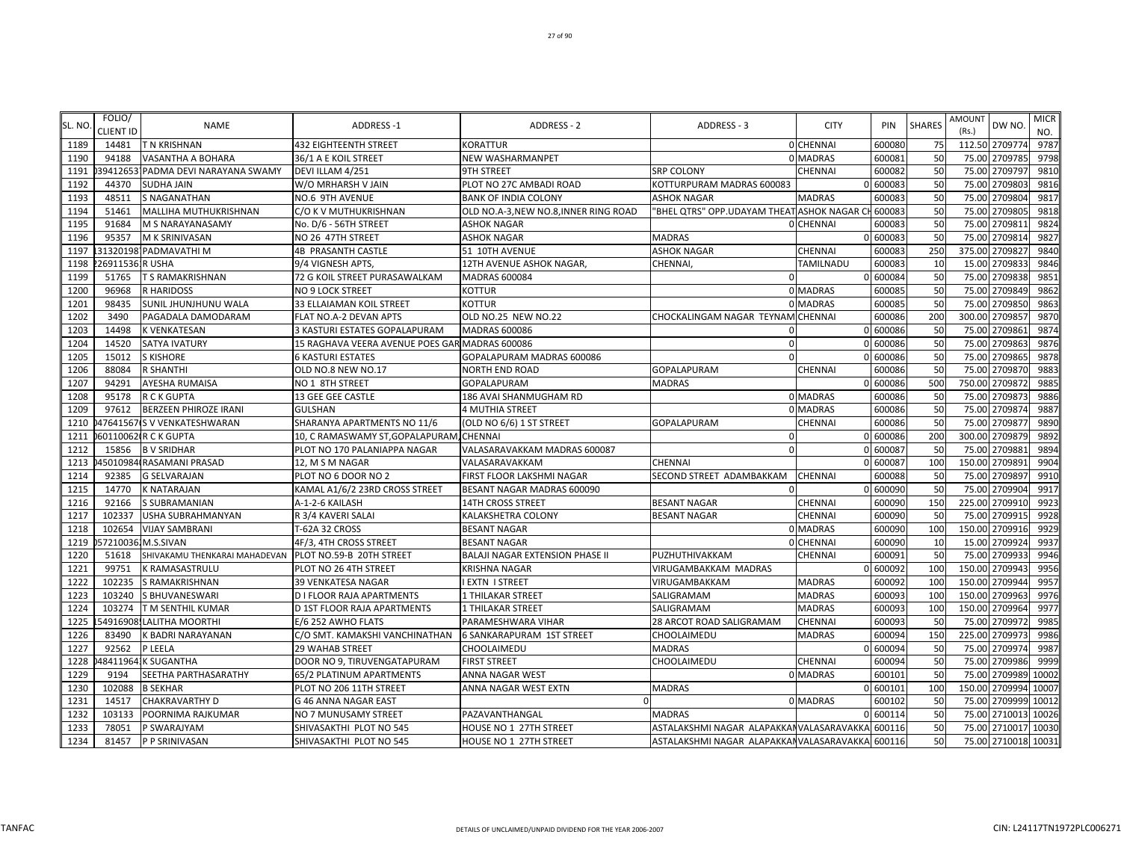| SL. NO | FOLIO/<br>CLIENT ID | <b>NAME</b>                   | ADDRESS-1                                      | ADDRESS - 2                           | ADDRESS - 3                                      | <b>CITY</b>    | PIN      | <b>SHARES</b> | AMOUNT<br>(Rs.) | DW NO               | <b>MICR</b><br>NO. |
|--------|---------------------|-------------------------------|------------------------------------------------|---------------------------------------|--------------------------------------------------|----------------|----------|---------------|-----------------|---------------------|--------------------|
| 1189   | 14481               | T N KRISHNAN                  | <b>432 EIGHTEENTH STREET</b>                   | KORATTUR                              |                                                  | 0 CHENNAI      | 600080   | 75            |                 | 112.50 2709774      | 9787               |
| 1190   | 94188               | VASANTHA A BOHARA             | 36/1 A E KOIL STREET                           | NEW WASHARMANPET                      |                                                  | 0 MADRAS       | 600081   | 50            | 75.00           | 2709785             | 9798               |
| 1191   | 39412653            | PADMA DEVI NARAYANA SWAMY     | DEVI ILLAM 4/251                               | 9TH STREET                            | <b>SRP COLONY</b>                                | CHENNAI        | 600082   | 50            | 75.00           | 2709797             | 9810               |
| 1192   | 44370               | <b>SUDHA JAIN</b>             | W/O MRHARSH V JAIN                             | PLOT NO 27C AMBADI ROAD               | KOTTURPURAM MADRAS 600083                        |                | 600083   | 50            | 75.00           | 270980              | 9816               |
| 1193   | 48511               | <b>S NAGANATHAN</b>           | NO.6 9TH AVENUE                                | <b>BANK OF INDIA COLONY</b>           | <b>ASHOK NAGAR</b>                               | <b>MADRAS</b>  | 600083   | 50            | 75.00           | 270980              | 9817               |
| 1194   | 51461               | MALLIHA MUTHUKRISHNAN         | C/O K V MUTHUKRISHNAN                          | OLD NO.A-3, NEW NO.8, INNER RING ROAD | "BHEL QTRS" OPP.UDAYAM THEAT ASHOK NAGAR CI      |                | 600083   | 50            |                 | 75.00 270980        | 9818               |
| 1195   | 91684               | M S NARAYANASAMY              | No. D/6 - 56TH STREET                          | <b>ASHOK NAGAR</b>                    |                                                  | 0 CHENNAI      | 600083   | 50            | 75.00           | 270981              | 9824               |
| 1196   | 95357               | M K SRINIVASAN                | NO 26 47TH STREET                              | ASHOK NAGAR                           | MADRAS                                           |                | 0 600083 | 50            |                 | 75.00 2709814       | 9827               |
| 1197   |                     | 313201981PADMAVATHI M         | <b>4B PRASANTH CASTLE</b>                      | 51 10TH AVENUE                        | <b>ASHOK NAGAR</b>                               | CHENNAI        | 600083   | 250           |                 | 375.00 270982       | 9840               |
| 1198   | 269115361R USHA     |                               | 9/4 VIGNESH APTS                               | 12TH AVENUE ASHOK NAGAR,              | CHENNAI,                                         | TAMILNADU      | 600083   | 10            |                 | 15.00 2709833       | 9846               |
| 1199   | 51765               | T S RAMAKRISHNAN              | 72 G KOIL STREET PURASAWALKAM                  | <b>MADRAS 600084</b>                  |                                                  |                | 600084   | 50            | 75.00           | 2709838             | 9851               |
| 1200   | 96968               | <b>R HARIDOSS</b>             | NO 9 LOCK STREET                               | <b>KOTTUR</b>                         |                                                  | 0 MADRAS       | 600085   | 50            |                 | 75.00 2709849       | 9862               |
| 1201   | 98435               | SUNIL JHUNJHUNU WALA          | 33 ELLAIAMAN KOIL STREET                       | <b>KOTTUR</b>                         |                                                  | 0 MADRAS       | 600085   | 50            | 75.00           | 270985              | 9863               |
| 1202   | 3490                | PAGADALA DAMODARAM            | FLAT NO.A-2 DEVAN APTS                         | OLD NO.25 NEW NO.22                   | CHOCKALINGAM NAGAR TEYNAM CHENNAI                |                | 600086   | 200           | 300.00          | 270985              | 9870               |
| 1203   | 14498               | K VENKATESAN                  | 3 KASTURI ESTATES GOPALAPURAM                  | <b>MADRAS 600086</b>                  |                                                  |                | 0 600086 | 50            | 75.00           | 2709861             | 9874               |
| 1204   | 14520               | SATYA IVATURY                 | 15 RAGHAVA VEERA AVENUE POES GAR MADRAS 600086 |                                       | $\Omega$                                         |                | 0 600086 | 50            |                 | 75.00 2709863       | 9876               |
| 1205   | 15012               | <b>S KISHORE</b>              | <b>6 KASTURI ESTATES</b>                       | GOPALAPURAM MADRAS 600086             | - 0                                              |                | 0 600086 | 50            |                 | 75.00 2709865       | 9878               |
| 1206   | 88084               | <b>R SHANTHI</b>              | OLD NO.8 NEW NO.17                             | <b>NORTH END ROAD</b>                 | <b>GOPALAPURAM</b>                               | <b>CHENNAI</b> | 600086   | 50            |                 | 75.00 2709870       | 9883               |
| 1207   | 94291               | AYESHA RUMAISA                | NO 1 8TH STREET                                | GOPALAPURAM                           | <b>MADRAS</b>                                    |                | 600086   | 500           | 750.00          | 2709872             | 9885               |
| 1208   | 95178               | <b>R C K GUPTA</b>            | 13 GEE GEE CASTLE                              | 186 AVAI SHANMUGHAM RD                |                                                  | 0 MADRAS       | 600086   | 50            | 75.00           | 2709873             | 9886               |
| 1209   | 97612               | BERZEEN PHIROZE IRANI         | <b>GULSHAN</b>                                 | <b>4 MUTHIA STREET</b>                |                                                  | 0 MADRAS       | 600086   | 50            | 75.00           | 270987              | 9887               |
| 1210   |                     | 47641567(S V VENKATESHWARAN   | SHARANYA APARTMENTS NO 11/6                    | (OLD NO 6/6) 1 ST STREET              | <b>GOPALAPURAM</b>                               | CHENNAI        | 600086   | 50            |                 | 75.00 270987        | 9890               |
| 1211   |                     | 60110062(R C K GUPTA          | 10, C RAMASWAMY ST, GOPALAPURAM, CHENNAI       |                                       |                                                  |                | 0 600086 | 200           | 300.00          | 2709879             | 9892               |
| 1212   | 15856               | <b>BV SRIDHAR</b>             | PLOT NO 170 PALANIAPPA NAGAR                   | VALASARAVAKKAM MADRAS 600087          | $\Omega$                                         |                | 0 600087 | 50            |                 | 75.00 2709881       | 9894               |
| 1213   |                     | 45010984 RASAMANI PRASAD      | 12, M S M NAGAR                                | VALASARAVAKKAM                        | CHENNAI                                          |                | 0 600087 | 100           |                 | 150.00 270989       | 9904               |
| 1214   | 92385               | <b>G SELVARAJAN</b>           | PLOT NO 6 DOOR NO 2                            | FIRST FLOOR LAKSHMI NAGAR             | SECOND STREET ADAMBAKKAM                         | <b>CHENNAI</b> | 600088   | 50            |                 | 75.00 2709897       | 9910               |
| 1215   | 14770               | K NATARAJAN                   | KAMAL A1/6/2 23RD CROSS STREET                 | BESANT NAGAR MADRAS 600090            |                                                  |                | 600090   | 50            | 75.00           | 2709904             | 9917               |
| 1216   | 92166               | S SUBRAMANIAN                 | A-1-2-6 KAILASH                                | <b>14TH CROSS STREET</b>              | <b>BESANT NAGAR</b>                              | CHENNAI        | 600090   | 150           | 225.00          | 2709910             | 9923               |
| 1217   | 102337              | USHA SUBRAHMANYAN             | R 3/4 KAVERI SALAI                             | <b>KALAKSHETRA COLONY</b>             | <b>BESANT NAGAR</b>                              | CHENNAI        | 600090   | 50            |                 | 75.00 270991        | 9928               |
| 1218   | 102654              | <b>VIJAY SAMBRANI</b>         | T-62A 32 CROSS                                 | <b>BESANT NAGAR</b>                   |                                                  | 0 MADRAS       | 600090   | 100           |                 | 150.00 2709916      | 9929               |
| 1219   |                     | 57210036.M.S.SIVAN            | 4F/3, 4TH CROSS STREET                         | <b>BESANT NAGAR</b>                   |                                                  | 0 CHENNA       | 600090   | 10            |                 | 15.00 2709924       | 9937               |
| 1220   | 51618               | SHIVAKAMU THENKARAI MAHADEVAN | PLOT NO.59-B 20TH STREET                       | BALAJI NAGAR EXTENSION PHASE II       | PUZHUTHIVAKKAM                                   | CHENNAI        | 600091   | 50            | 75.00           | 2709933             | 9946               |
| 1221   | 99751               | K RAMASASTRULU                | PLOT NO 26 4TH STREET                          | KRISHNA NAGAR                         | VIRUGAMBAKKAM MADRAS                             |                | 0 600092 | 100           |                 | 150.00 2709943      | 9956               |
| 1222   | 102235              | S RAMAKRISHNAN                | 39 VENKATESA NAGAR                             | <b>I EXTN I STREET</b>                | VIRUGAMBAKKAM                                    | <b>MADRAS</b>  | 600092   | 100           |                 | 150.00 2709944      | 9957               |
| 1223   | 103240              | S BHUVANESWARI                | D I FLOOR RAJA APARTMENTS                      | 1 THILAKAR STREET                     | SALIGRAMAM                                       | <b>MADRAS</b>  | 600093   | 100           |                 | 150.00 2709963      | 9976               |
| 1224   | 103274              | T M SENTHIL KUMAR             | D 1ST FLOOR RAJA APARTMENTS                    | 1 THILAKAR STREET                     | SALIGRAMAM                                       | <b>MADRAS</b>  | 600093   | 100           | 150.00          | 2709964             | 9977               |
| 1225   |                     | 54916908. LALITHA MOORTHI     | E/6 252 AWHO FLATS                             | PARAMESHWARA VIHAR                    | 28 ARCOT ROAD SALIGRAMAM                         | CHENNAI        | 600093   | 50            | 75.00           | 2709972             | 9985               |
| 1226   | 83490               | K BADRI NARAYANAN             | C/O SMT. KAMAKSHI VANCHINATHAN                 | 6 SANKARAPURAM 1ST STREET             | CHOOLAIMEDU                                      | <b>MADRAS</b>  | 600094   | 150           | 225.00          | 270997              | 9986               |
| 1227   | 92562               | P LEELA                       | 29 WAHAB STREET                                | CHOOLAIMEDU                           | <b>MADRAS</b>                                    |                | 600094   | 50            |                 | 75.00 270997        | 9987               |
| 1228   | 48411964            | <b>K SUGANTHA</b>             | DOOR NO 9, TIRUVENGATAPURAM                    | <b>FIRST STREET</b>                   | CHOOLAIMEDU                                      | CHENNAI        | 600094   | 50            |                 | 75.00 2709986       | 9999               |
| 1229   | 9194                | SEETHA PARTHASARATHY          | 65/2 PLATINUM APARTMENTS                       | ANNA NAGAR WEST                       |                                                  | 0 MADRAS       | 600101   | 50            |                 | 75.00 2709989       | 10002              |
| 1230   | 102088              | <b>B SEKHAR</b>               | PLOT NO 206 11TH STREET                        | ANNA NAGAR WEST EXTN                  | <b>MADRAS</b>                                    |                | 0 600101 | 100           |                 | 150.00 2709994      | 10007              |
| 1231   | 14517               | CHAKRAVARTHY D                | G 46 ANNA NAGAR EAST                           | $\Omega$                              |                                                  | 0 MADRAS       | 600102   | 50            |                 | 75.00 2709999       | 10012              |
| 1232   | 103133              | POORNIMA RAJKUMAR             | NO 7 MUNUSAMY STREET                           | PAZAVANTHANGAL                        | <b>MADRAS</b>                                    |                | 600114   | 50            |                 | 75.00 2710013       | 10026              |
| 1233   | 78051               | P SWARAJYAM                   | SHIVASAKTHI PLOT NO 545                        | HOUSE NO 1 27TH STREET                | ASTALAKSHMI NAGAR ALAPAKKAN VALASARAVAKKA 600116 |                |          | 50            |                 | 75.00 2710017       | 10030              |
| 1234   | 81457               | P P SRINIVASAN                | SHIVASAKTHI PLOT NO 545                        | HOUSE NO 1 27TH STREET                | ASTALAKSHMI NAGAR ALAPAKKAN VALASARAVAKKA 600116 |                |          | 50            |                 | 75.00 2710018 10031 |                    |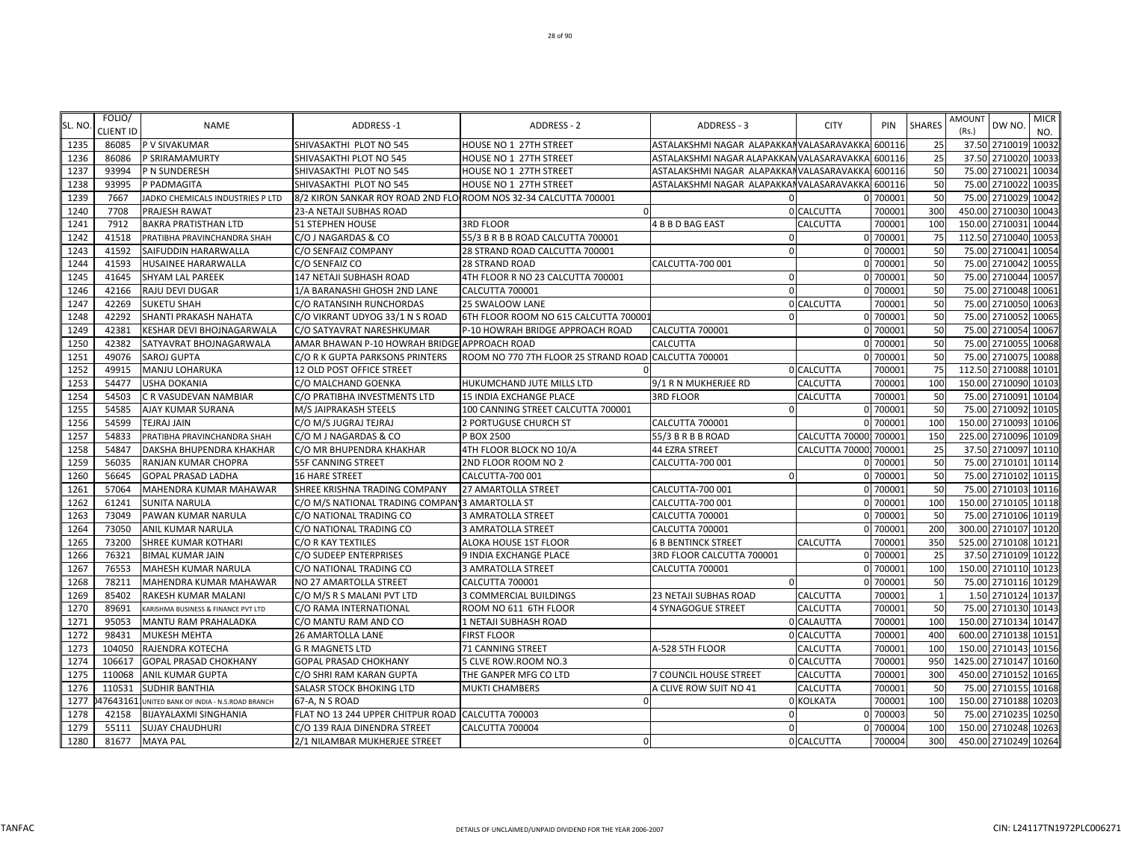| SL. NO | FOLIO/<br>CLIENT ID | <b>NAME</b>                            | ADDRESS-1                                                        | ADDRESS - 2                                          | ADDRESS - 3                               | <b>CITY</b>     | PIN      | <b>SHARES</b>  | <b>AMOUNT</b><br>(Rs.) | DW NO                | <b>MICR</b><br>NO. |
|--------|---------------------|----------------------------------------|------------------------------------------------------------------|------------------------------------------------------|-------------------------------------------|-----------------|----------|----------------|------------------------|----------------------|--------------------|
| 1235   | 86085               | P V SIVAKUMAR                          | SHIVASAKTHI PLOT NO 545                                          | HOUSE NO 1 27TH STREET                               | ASTALAKSHMI NAGAR ALAPAKKANVALASARAVAKKA  |                 | 600116   | 25             |                        | 37.50 2710019        | 10032              |
| 1236   | 86086               | P SRIRAMAMURTY                         | SHIVASAKTHI PLOT NO 545                                          | HOUSE NO 1 27TH STREET                               | ASTALAKSHMI NAGAR ALAPAKKAN VALASARAVAKKA |                 | 600116   | 25             |                        | 37.50 2710020        | 10033              |
| 1237   | 93994               | P N SUNDERESH                          | SHIVASAKTHI PLOT NO 545                                          | HOUSE NO 1 27TH STREET                               | ASTALAKSHMI NAGAR ALAPAKKANVALASARAVAKKA  |                 | 600116   | 50             |                        | 75.00 2710021        | 10034              |
| 1238   | 93995               | P PADMAGITA                            | SHIVASAKTHI PLOT NO 545                                          | HOUSE NO 1 27TH STREET                               | ASTALAKSHMI NAGAR ALAPAKKANVALASARAVAKKA  |                 | 600116   | 50             |                        | 75.00 2710022        | 10035              |
| 1239   | 7667                | JADKO CHEMICALS INDUSTRIES P LTD       | 8/2 KIRON SANKAR ROY ROAD 2ND FLO ROOM NOS 32-34 CALCUTTA 700001 |                                                      |                                           |                 | 700001   | 50             |                        | 75.00 2710029        | 10042              |
| 1240   | 7708                | PRAJESH RAWAT                          | 23-A NETAJI SUBHAS ROAD                                          |                                                      |                                           | 0 CALCUTTA      | 700001   | 300            |                        | 450.00 2710030       | 10043              |
| 1241   | 7912                | <b>BAKRA PRATISTHAN LTD</b>            | <b>51 STEPHEN HOUSE</b>                                          | <b>3RD FLOOR</b>                                     | 4 B B D BAG EAST                          | CALCUTTA        | 700001   | 100            |                        | 150.00 2710031       | 10044              |
| 1242   | 41518               | PRATIBHA PRAVINCHANDRA SHAH            | C/O J NAGARDAS & CO                                              | 55/3 B R B B ROAD CALCUTTA 700001                    | $\Omega$                                  |                 | 0 700001 | 75             |                        | 112.50 2710040 10053 |                    |
| 1243   | 41592               | SAIFUDDIN HARARWALLA                   | C/O SENFAIZ COMPANY                                              | 28 STRAND ROAD CALCUTTA 700001                       | $\Omega$                                  |                 | 0 700001 | 50             |                        | 75.00 2710041        | 10054              |
| 1244   | 41593               | HUSAINEE HARARWALLA                    | C/O SENFAIZ CO                                                   | <b>28 STRAND ROAD</b>                                | CALCUTTA-700 001                          |                 | 0 700001 | 50             |                        | 75.00 2710042        | 10055              |
| 1245   | 41645               | SHYAM LAL PAREEK                       | 147 NETAJI SUBHASH ROAD                                          | 4TH FLOOR R NO 23 CALCUTTA 700001                    |                                           |                 | 700001   | 50             |                        | 75.00 2710044        | 10057              |
| 1246   | 42166               | RAJU DEVI DUGAR                        | 1/A BARANASHI GHOSH 2ND LANE                                     | CALCUTTA 700001                                      | $\Omega$                                  | n               | 700001   | 50             |                        | 75.00 2710048 10061  |                    |
| 1247   | 42269               | <b>SUKETU SHAH</b>                     | C/O RATANSINH RUNCHORDAS                                         | 25 SWALOOW LANE                                      |                                           | 0 CALCUTTA      | 700001   | 50             |                        | 75.00 2710050        | 10063              |
| 1248   | 42292               | SHANTI PRAKASH NAHATA                  | C/O VIKRANT UDYOG 33/1 N S ROAD                                  | 6TH FLOOR ROOM NO 615 CALCUTTA 70000:                | $\Omega$                                  |                 | 0 700001 | 50             |                        | 75.00 2710052        | 10065              |
| 1249   | 42381               | KESHAR DEVI BHOJNAGARWALA              | C/O SATYAVRAT NARESHKUMAR                                        | P-10 HOWRAH BRIDGE APPROACH ROAD                     | CALCUTTA 700001                           |                 | 0 700001 | 50             |                        | 75.00 2710054        | 10067              |
| 1250   | 42382               | SATYAVRAT BHOJNAGARWALA                | AMAR BHAWAN P-10 HOWRAH BRIDGE APPROACH ROAD                     |                                                      | CALCUTTA                                  |                 | 0 700001 | 50             |                        | 75.00 2710055        | 10068              |
| 1251   | 49076               | <b>SAROJ GUPTA</b>                     | C/O R K GUPTA PARKSONS PRINTERS                                  | ROOM NO 770 7TH FLOOR 25 STRAND ROAD CALCUTTA 700001 |                                           |                 | 0 700001 | 50             |                        | 75.00 2710075        | 10088              |
| 1252   | 49915               | MANJU LOHARUKA                         | 12 OLD POST OFFICE STREET                                        |                                                      |                                           | 0 CALCUTTA      | 700001   | 75             |                        | 112.50 2710088       | 10101              |
| 1253   | 54477               | <b>USHA DOKANIA</b>                    | C/O MALCHAND GOENKA                                              | HUKUMCHAND JUTE MILLS LTD                            | 9/1 R N MUKHERJEE RD                      | <b>CALCUTTA</b> | 700001   | 100            |                        | 150.00 2710090       | 10103              |
| 1254   | 54503               | C R VASUDEVAN NAMBIAR                  | C/O PRATIBHA INVESTMENTS LTD                                     | 15 INDIA EXCHANGE PLACE                              | <b>3RD FLOOR</b>                          | <b>CALCUTTA</b> | 700001   | 50             |                        | 75.00 2710091        | 10104              |
| 1255   | 54585               | AJAY KUMAR SURANA                      | M/S JAIPRAKASH STEELS                                            | 100 CANNING STREET CALCUTTA 700001                   | $\Omega$                                  |                 | 0 700001 | 50             |                        | 75.00 2710092        | 10105              |
| 1256   | 54599               | <b>TEJRAJ JAIN</b>                     | C/O M/S JUGRAJ TEJRAJ                                            | 2 PORTUGUSE CHURCH ST                                | CALCUTTA 700001                           |                 | 0 700001 | 100            |                        | 150.00 2710093       | 10106              |
| 1257   | 54833               | PRATIBHA PRAVINCHANDRA SHAH            | C/O M J NAGARDAS & CO                                            | P BOX 2500                                           | 55/3 B R B B ROAD                         | CALCUTTA 70000  | 700001   | 150            |                        | 225.00 2710096       | 10109              |
| 1258   | 54847               | DAKSHA BHUPENDRA KHAKHAR               | C/O MR BHUPENDRA KHAKHAR                                         | 4TH FLOOR BLOCK NO 10/A                              | 44 EZRA STREET                            | CALCUTTA 70000  | 700001   | 25             |                        | 37.50 2710097        | 10110              |
| 1259   | 56035               | RANJAN KUMAR CHOPRA                    | <b>55F CANNING STREET</b>                                        | 2ND FLOOR ROOM NO 2                                  | CALCUTTA-700 001                          |                 | 0 700001 | 50             |                        | 75.00 2710101        | 10114              |
| 1260   | 56645               | <b>GOPAL PRASAD LADHA</b>              | <b>16 HARE STREET</b>                                            | CALCUTTA-700 001                                     | $\Omega$                                  |                 | 0 700001 | 50             |                        | 75.00 2710102        | 10115              |
| 1261   | 57064               | MAHENDRA KUMAR MAHAWAR                 | SHREE KRISHNA TRADING COMPANY                                    | 27 AMARTOLLA STREET                                  | CALCUTTA-700 001                          |                 | 0 700001 | 50             |                        | 75.00 2710103        | 10116              |
| 1262   | 61241               | <b>SUNITA NARULA</b>                   | C/O M/S NATIONAL TRADING COMPANY 3 AMARTOLLA ST                  |                                                      | CALCUTTA-700 001                          |                 | 0 700001 | 100            |                        | 150.00 2710105       | 10118              |
| 1263   | 73049               | PAWAN KUMAR NARULA                     | C/O NATIONAL TRADING CO                                          | 3 AMRATOLLA STREET                                   | CALCUTTA 700001                           |                 | 700001   | 50             | 75.00                  | 2710106              | 10119              |
| 1264   | 73050               | ANIL KUMAR NARULA                      | C/O NATIONAL TRADING CO                                          | 3 AMRATOLLA STREET                                   | CALCUTTA 700001                           |                 | 700001   | 200            |                        | 300.00 2710107       | 10120              |
| 1265   | 73200               | SHREE KUMAR KOTHARI                    | C/O R KAY TEXTILES                                               | ALOKA HOUSE 1ST FLOOR                                | <b>6 B BENTINCK STREET</b>                | <b>CALCUTTA</b> | 700001   | 350            |                        | 525.00 2710108       | 10121              |
| 1266   | 76321               | <b>BIMAL KUMAR JAIN</b>                | C/O SUDEEP ENTERPRISES                                           | <b>9 INDIA EXCHANGE PLACE</b>                        | 3RD FLOOR CALCUTTA 700001                 |                 | 0 700001 | 25             |                        | 37.50 2710109        | 10122              |
| 1267   | 76553               | MAHESH KUMAR NARULA                    | C/O NATIONAL TRADING CO                                          | 3 AMRATOLLA STREET                                   | CALCUTTA 700001                           |                 | 0 700001 | 100            |                        | 150.00 2710110 10123 |                    |
| 1268   | 78211               | MAHENDRA KUMAR MAHAWAR                 | NO 27 AMARTOLLA STREET                                           | CALCUTTA 700001                                      | $\Omega$                                  |                 | 0 700001 | 50             |                        | 75.00 2710116        | 10129              |
| 1269   | 85402               | RAKESH KUMAR MALANI                    | C/O M/S R S MALANI PVT LTD                                       | 3 COMMERCIAL BUILDINGS                               | 23 NETAJI SUBHAS ROAD                     | CALCUTTA        | 700001   | $\overline{1}$ |                        | 1.50 2710124         | 10137              |
| 1270   | 89691               | KARISHMA BUSINESS & FINANCE PVT LTD    | C/O RAMA INTERNATIONAL                                           | ROOM NO 611 6TH FLOOR                                | <b>4 SYNAGOGUE STREET</b>                 | <b>CALCUTTA</b> | 700001   | 50             |                        | 75.00 2710130        | 10143              |
| 1271   | 95053               | MANTU RAM PRAHALADKA                   | C/O MANTU RAM AND CO                                             | 1 NETAJI SUBHASH ROAD                                |                                           | 0 CALAUTTA      | 700001   | 100            |                        | 150.00 2710134       | 10147              |
| 1272   | 98431               | <b>MUKESH MEHTA</b>                    | <b>26 AMARTOLLA LANE</b>                                         | <b>FIRST FLOOR</b>                                   |                                           | 0 CALCUTTA      | 700001   | 400            |                        | 600.00 2710138       | 10151              |
| 1273   | 104050              | RAJENDRA KOTECHA                       | <b>G R MAGNETS LTD</b>                                           | 71 CANNING STREET                                    | A-528 5TH FLOOR                           | <b>CALCUTTA</b> | 700001   | 100            |                        | 150.00 2710143       | 10156              |
| 1274   | 106617              | <b>GOPAL PRASAD CHOKHANY</b>           | <b>GOPAL PRASAD CHOKHANY</b>                                     | 5 CLVE ROW.ROOM NO.3                                 |                                           | 0 CALCUTTA      | 700001   | 950            |                        | 1425.00 2710147      | 10160              |
| 1275   | 110068              | ANIL KUMAR GUPTA                       | C/O SHRI RAM KARAN GUPTA                                         | THE GANPER MFG CO LTD                                | 7 COUNCIL HOUSE STREET                    | CALCUTTA        | 700001   | 300            | 450.00                 | 2710152              | 10165              |
| 1276   | 110531              | <b>SUDHIR BANTHIA</b>                  | <b>SALASR STOCK BHOKING LTD</b>                                  | <b>MUKTI CHAMBERS</b>                                | A CLIVE ROW SUIT NO 41                    | <b>CALCUTTA</b> | 700001   | 50             |                        | 75.00 2710155 10168  |                    |
| 1277   | 47643161            | UNITED BANK OF INDIA - N.S.ROAD BRANCH | 67-A, N S ROAD                                                   | $\Omega$                                             |                                           | 0 KOLKATA       | 700001   | 100            |                        | 150.00 2710188       | 10203              |
| 1278   | 42158               | BIJAYALAXMI SINGHANIA                  | FLAT NO 13 244 UPPER CHITPUR ROAD CALCUTTA 700003                |                                                      | $\Omega$                                  |                 | 0 700003 | 50             |                        | 75.00 2710235        | 10250              |
| 1279   | 55111               | <b>SUJAY CHAUDHURI</b>                 | C/O 139 RAJA DINENDRA STREET                                     | CALCUTTA 700004                                      | $\Omega$                                  |                 | 700004   | 100            |                        | 150.00 2710248 10263 |                    |
| 1280   | 81677               | <b>MAYA PAL</b>                        | 2/1 NILAMBAR MUKHERJEE STREET                                    | $\Omega$                                             |                                           | 0 CALCUTTA      | 700004   | 300            |                        | 450.00 2710249 10264 |                    |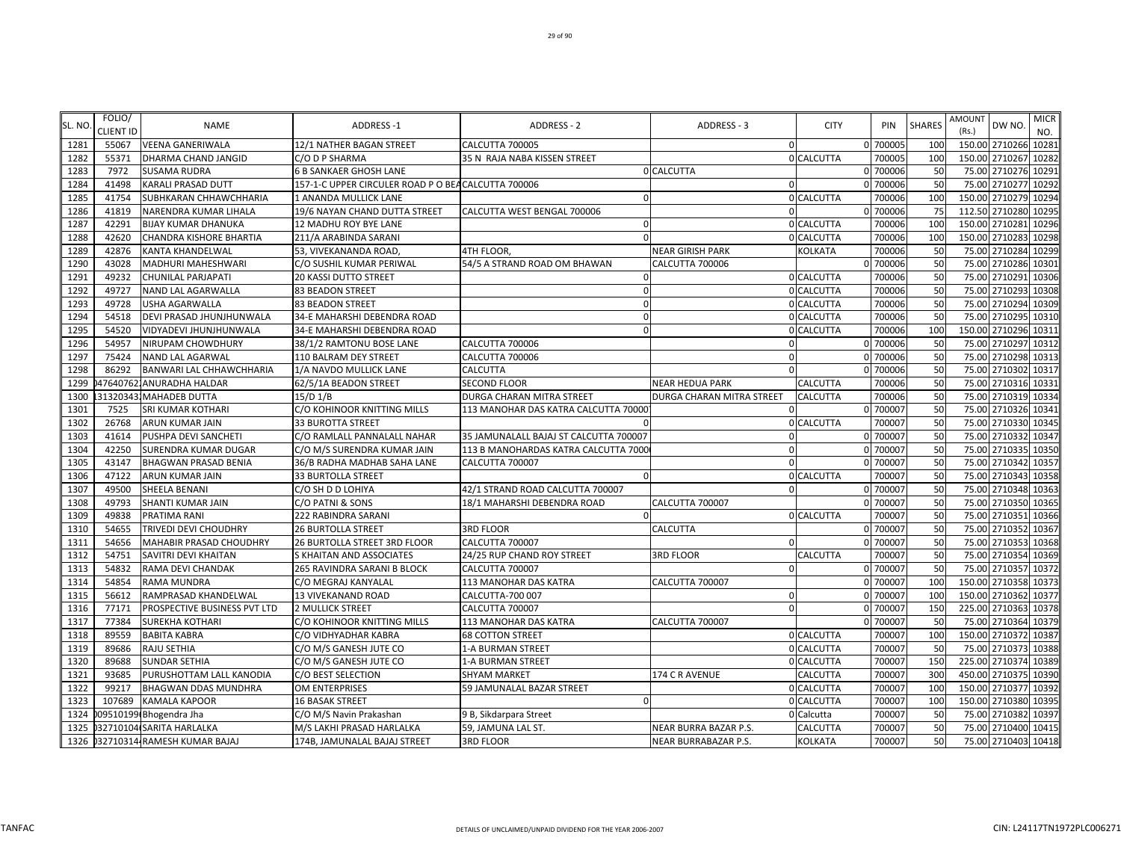|        | FOLIO/           |                              |                                                     |                                        |                             |                |          |               | <b>AMOUNT</b>  |                     | <b>MICR</b> |
|--------|------------------|------------------------------|-----------------------------------------------------|----------------------------------------|-----------------------------|----------------|----------|---------------|----------------|---------------------|-------------|
| SL. NO | <b>CLIENT ID</b> | <b>NAME</b>                  | ADDRESS-1                                           | ADDRESS - 2                            | ADDRESS - 3                 | <b>CITY</b>    | PIN      | <b>SHARES</b> | (Rs.)          | DW NO.              | NO.         |
| 1281   | 55067            | <b>VEENA GANERIWALA</b>      | 12/1 NATHER BAGAN STREET                            | CALCUTTA 700005                        |                             | $\mathbf 0$    | 0 700005 | 100           | 150.00 2710266 |                     | 10281       |
| 1282   | 55371            | DHARMA CHAND JANGID          | C/O D P SHARMA                                      | 35 N RAJA NABA KISSEN STREET           |                             | 0 CALCUTTA     | 700005   | 100           | 150.00 2710267 |                     | 10282       |
| 1283   | 7972             | <b>SUSAMA RUDRA</b>          | <b>6 B SANKAER GHOSH LANE</b>                       |                                        | 0 CALCUTTA                  |                | 0 700006 | 50            | 75.00 2710276  |                     | 10291       |
| 1284   | 41498            | KARALI PRASAD DUTT           | 157-1-C UPPER CIRCULER ROAD P O BEA CALCUTTA 700006 |                                        |                             |                | 0 700006 | 50            | 75.00 2710277  |                     | 10292       |
| 1285   | 41754            | SUBHKARAN CHHAWCHHARIA       | 1 ANANDA MULLICK LANE                               |                                        |                             | 0 CALCUTTA     | 700006   | 100           | 150.00 2710279 |                     | 10294       |
| 1286   | 41819            | NARENDRA KUMAR LIHALA        | 19/6 NAYAN CHAND DUTTA STREET                       | CALCUTTA WEST BENGAL 700006            |                             |                | 0 700006 | 75            | 112.50 2710280 |                     | 10295       |
| 1287   | 42291            | <b>BIJAY KUMAR DHANUKA</b>   | 12 MADHU ROY BYE LANE                               |                                        |                             | 0 CALCUTTA     | 700006   | 100           | 150.00 2710281 |                     | 10296       |
| 1288   | 42620            | CHANDRA KISHORE BHARTIA      | 211/A ARABINDA SARANI                               | $\Omega$                               |                             | 0 CALCUTTA     | 700006   | 100           | 150.00 2710283 |                     | 10298       |
| 1289   | 42876            | KANTA KHANDELWAL             | 53, VIVEKANANDA ROAD                                | 4TH FLOOR,                             | <b>NEAR GIRISH PARK</b>     | KOLKATA        | 700006   | 50            | 75.00 2710284  |                     | 10299       |
| 1290   | 43028            | MADHURI MAHESHWARI           | C/O SUSHIL KUMAR PERIWAL                            | 54/5 A STRAND ROAD OM BHAWAN           | CALCUTTA 700006             |                | 0 700006 | 50            | 75.00 2710286  |                     | 10301       |
| 1291   | 49232            | CHUNILAL PARJAPATI           | <b>20 KASSI DUTTO STREET</b>                        |                                        |                             | 0 CALCUTTA     | 700006   | 50            | 75.00 2710291  |                     | 10306       |
| 1292   | 49727            | NAND LAL AGARWALLA           | <b>83 BEADON STREET</b>                             | $\Omega$                               |                             | 0 CALCUTTA     | 700006   | 50            | 75.00 2710293  |                     | 10308       |
| 1293   | 49728            | USHA AGARWALLA               | 83 BEADON STREET                                    |                                        |                             | 0 CALCUTTA     | 700006   | 50            | 75.00 2710294  |                     | 10309       |
| 1294   | 54518            | DEVI PRASAD JHUNJHUNWALA     | 34-E MAHARSHI DEBENDRA ROAD                         |                                        |                             | 0 CALCUTTA     | 700006   | 50            | 75.00 2710295  |                     | 10310       |
| 1295   | 54520            | VIDYADEVI JHUNJHUNWALA       | 34-E MAHARSHI DEBENDRA ROAD                         |                                        |                             | 0 CALCUTTA     | 700006   | 100           | 150.00 2710296 |                     | 10311       |
| 1296   | 54957            | NIRUPAM CHOWDHURY            | 38/1/2 RAMTONU BOSE LANE                            | <b>CALCUTTA 700006</b>                 |                             |                | 0 700006 | 50            | 75.00 2710297  |                     | 10312       |
| 1297   | 75424            | NAND LAL AGARWAL             | 110 BALRAM DEY STREET                               | CALCUTTA 700006                        | $\Omega$                    |                | 0 700006 | 50            |                | 75.00 2710298 10313 |             |
| 1298   | 86292            | BANWARI LAL CHHAWCHHARIA     | 1/A NAVDO MULLICK LANE                              | CALCUTTA                               | $\Omega$                    |                | 0 700006 | 50            | 75.00 2710302  |                     | 10317       |
| 1299   |                  | 47640762. ANURADHA HALDAR    | 62/5/1A BEADON STREET                               | <b>SECOND FLOOR</b>                    | <b>NEAR HEDUA PARK</b>      | CALCUTTA       | 700006   | 50            | 75.00 2710316  |                     | 10331       |
| 1300   |                  | 31320343. MAHADEB DUTTA      | $15/D$ $1/B$                                        | DURGA CHARAN MITRA STREET              | DURGA CHARAN MITRA STREET   | CALCUTTA       | 700006   | 50            | 75.00 2710319  |                     | 10334       |
| 1301   | 7525             | SRI KUMAR KOTHARI            | C/O KOHINOOR KNITTING MILLS                         | 113 MANOHAR DAS KATRA CALCUTTA 70000   |                             |                | 0 700007 | 50            | 75.00 2710326  |                     | 10341       |
| 1302   | 26768            | ARUN KUMAR JAIN              | <b>33 BUROTTA STREET</b>                            |                                        |                             | 0 CALCUTTA     | 700007   | 50            | 75.00 2710330  |                     | 10345       |
| 1303   | 41614            | PUSHPA DEVI SANCHETI         | C/O RAMLALL PANNALALL NAHAR                         | 35 JAMUNALALL BAJAJ ST CALCUTTA 700007 |                             |                | 0 700007 | 50            | 75.00 2710332  |                     | 10347       |
| 1304   | 42250            | SURENDRA KUMAR DUGAR         | C/O M/S SURENDRA KUMAR JAIN                         | 113 B MANOHARDAS KATRA CALCUTTA 7000   |                             |                | 700007   | 50            | 75.00 2710335  |                     | 10350       |
| 1305   | 43147            | <b>BHAGWAN PRASAD BENIA</b>  | 36/B RADHA MADHAB SAHA LANE                         | CALCUTTA 700007                        |                             |                | 0 700007 | 50            | 75.00 2710342  |                     | 10357       |
| 1306   | 47122            | ARUN KUMAR JAIN              | <b>33 BURTOLLA STREET</b>                           | $\Omega$                               |                             | 0 CALCUTTA     | 700007   | 50            |                | 75.00 2710343 10358 |             |
| 1307   | 49500            | SHEELA BENANI                | C/O SH D D LOHIYA                                   | 42/1 STRAND ROAD CALCUTTA 700007       | $\Omega$                    |                | 0 700007 | 50            |                | 75.00 2710348 10363 |             |
| 1308   | 49793            | SHANTI KUMAR JAIN            | C/O PATNI & SONS                                    | 18/1 MAHARSHI DEBENDRA ROAD            | CALCUTTA 700007             |                | 0 700007 | 50            | 75.00 2710350  |                     | 10365       |
| 1309   | 49838            | PRATIMA RANI                 | 222 RABINDRA SARANI                                 |                                        |                             | 0 CALCUTTA     | 700007   | 50            | 75.00 2710351  |                     | 10366       |
| 1310   | 54655            | TRIVEDI DEVI CHOUDHRY        | <b>26 BURTOLLA STREET</b>                           | <b>3RD FLOOR</b>                       | CALCUTTA                    |                | 0 70000  | 50            | 75.00 2710352  |                     | 10367       |
| 1311   | 54656            | MAHABIR PRASAD CHOUDHRY      | 26 BURTOLLA STREET 3RD FLOOR                        | CALCUTTA 700007                        |                             |                | 0 700007 | 50            | 75.00 271035   |                     | 10368       |
| 1312   | 54751            | SAVITRI DEVI KHAITAN         | S KHAITAN AND ASSOCIATES                            | 24/25 RUP CHAND ROY STREET             | <b>3RD FLOOR</b>            | CALCUTTA       | 700007   | 50            | 75.00 2710354  |                     | 10369       |
| 1313   | 54832            | RAMA DEVI CHANDAK            | 265 RAVINDRA SARANI B BLOCK                         | CALCUTTA 700007                        |                             |                | 0 700007 | 50            | 75.00 2710357  |                     | 10372       |
| 1314   | 54854            | RAMA MUNDRA                  | C/O MEGRAJ KANYALAL                                 | 113 MANOHAR DAS KATRA                  | CALCUTTA 700007             |                | 0 700007 | 100           | 150.00 2710358 |                     | 10373       |
| 1315   | 56612            | RAMPRASAD KHANDELWAL         | 13 VIVEKANAND ROAD                                  | CALCUTTA-700 007                       | $\Omega$                    |                | 0 700007 | 100           | 150.00 2710362 |                     | 10377       |
| 1316   | 77171            | PROSPECTIVE BUSINESS PVT LTD | <b>2 MULLICK STREET</b>                             | CALCUTTA 700007                        | $\Omega$                    |                | 0 700007 | 150           | 225.00 2710363 |                     | 10378       |
| 1317   | 77384            | SUREKHA KOTHARI              | C/O KOHINOOR KNITTING MILLS                         | 113 MANOHAR DAS KATRA                  | CALCUTTA 700007             |                | 0 700007 | 50            | 75.00 2710364  |                     | 10379       |
| 1318   | 89559            | <b>BABITA KABRA</b>          | C/O VIDHYADHAR KABRA                                | <b>68 COTTON STREET</b>                |                             | 0 CALCUTTA     | 700007   | 100           | 150.00 2710372 |                     | 10387       |
| 1319   | 89686            | RAJU SETHIA                  | C/O M/S GANESH JUTE CO                              | 1-A BURMAN STREET                      |                             | 0 CALCUTTA     | 700007   | 50            | 75.00 2710373  |                     | 10388       |
| 1320   | 89688            | <b>SUNDAR SETHIA</b>         | C/O M/S GANESH JUTE CO                              | 1-A BURMAN STREET                      |                             | 0 CALCUTTA     | 700007   | 150           | 225.00 2710374 |                     | 10389       |
| 1321   | 93685            | PURUSHOTTAM LALL KANODIA     | C/O BEST SELECTION                                  | <b>SHYAM MARKET</b>                    | 174 C R AVENUE              | CALCUTTA       | 700007   | 300           | 450.00 2710375 |                     | 10390       |
| 1322   | 99217            | <b>BHAGWAN DDAS MUNDHRA</b>  | OM ENTERPRISES                                      | 59 JAMUNALAL BAZAR STREET              |                             | 0 CALCUTTA     | 700007   | 100           | 150.00 2710377 |                     | 10392       |
| 1323   | 107689           | <b>KAMALA KAPOOR</b>         | <b>16 BASAK STREET</b>                              |                                        |                             | 0 CALCUTTA     | 700007   | 100           | 150.00 2710380 |                     | 10395       |
| 1324   |                  | 09510199 Bhogendra Jha       | C/O M/S Navin Prakashan                             | 9 B, Sikdarpara Street                 |                             | 0 Calcutta     | 700007   | 50            | 75.00 2710382  |                     | 10397       |
| 1325   |                  | 032710104 SARITA HARLALKA    | M/S LAKHI PRASAD HARLALKA                           | 59, JAMUNA LAL ST.                     | NEAR BURRA BAZAR P.S.       | CALCUTTA       | 700007   | 50            | 75.00 2710400  |                     | 10415       |
| 1326   |                  | 32710314 RAMESH KUMAR BAJAJ  | 174B, JAMUNALAL BAJAJ STREET                        | <b>3RD FLOOR</b>                       | <b>NEAR BURRABAZAR P.S.</b> | <b>KOLKATA</b> | 700007   | 50            |                | 75.00 2710403 10418 |             |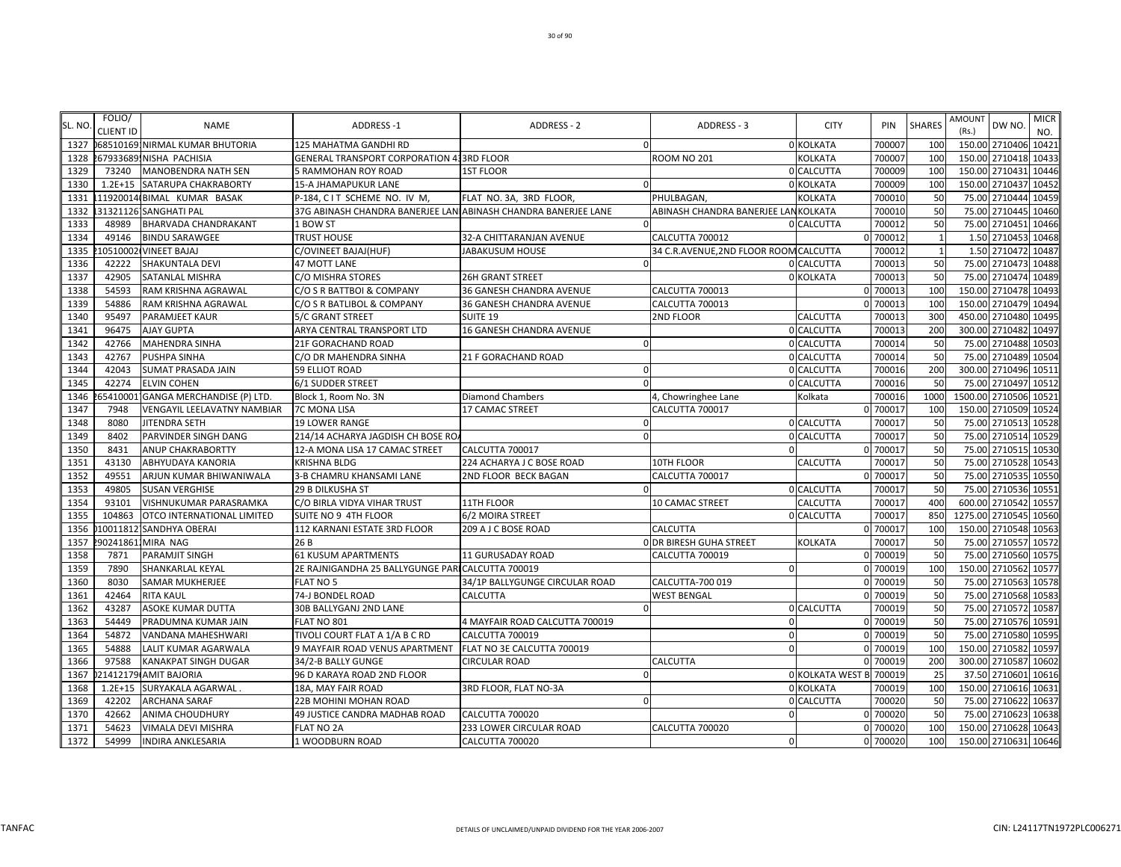| SL. NO | FOLIO/<br><b>CLIENT ID</b> | <b>NAME</b>                         | ADDRESS-1                                                      | ADDRESS - 2                    | ADDRESS - 3                            | <b>CITY</b>             | PIN      | <b>SHARES</b>           | AMOUNT<br>(Rs.) | DW NO.               | <b>MICR</b><br>NO. |
|--------|----------------------------|-------------------------------------|----------------------------------------------------------------|--------------------------------|----------------------------------------|-------------------------|----------|-------------------------|-----------------|----------------------|--------------------|
| 1327   |                            | 68510169 NIRMAL KUMAR BHUTORIA      | 125 MAHATMA GANDHI RD                                          |                                |                                        | 0 KOLKATA               | 700007   | 100                     |                 | 150.00 2710406       | 10421              |
| 1328   |                            | 67933689, NISHA PACHISIA            | GENERAL TRANSPORT CORPORATION 433RD FLOOR                      |                                | <b>ROOM NO 201</b>                     | <b>KOLKATA</b>          | 700007   | <b>100</b>              |                 | 150.00 2710418       | 10433              |
| 1329   | 73240                      | MANOBENDRA NATH SEN                 | 5 RAMMOHAN ROY ROAD                                            | <b>1ST FLOOR</b>               |                                        | 0 CALCUTTA              | 700009   | 100                     |                 | 150.00 2710431       | 10446              |
| 1330   |                            | 1.2E+15 SATARUPA CHAKRABORTY        | 15-A JHAMAPUKUR LANE                                           |                                |                                        | 0 KOLKATA               | 700009   | 100                     |                 | 150.00 2710437       | 10452              |
| 1331   |                            | 11920014 BIMAL KUMAR BASAK          | P-184, CIT SCHEME NO. IV M,                                    | FLAT NO. 3A, 3RD FLOOR,        | PHULBAGAN,                             | <b>KOLKATA</b>          | 700010   | 50                      |                 | 75.00 2710444        | 10459              |
| 1332   |                            | 31321126 SANGHATI PAL               | 37G ABINASH CHANDRA BANERJEE LANIABINASH CHANDRA BANERJEE LANE |                                | ABINASH CHANDRA BANERJEE LANKOLKATA    |                         | 700010   | 50                      |                 | 75.00 2710445        | 10460              |
| 1333   | 48989                      | <b>BHARVADA CHANDRAKANT</b>         | 1 BOW ST                                                       |                                |                                        | 0 CALCUTTA              | 700012   | 50                      |                 | 75.00 2710451        | 10466              |
| 1334   | 49146                      | <b>BINDU SARAWGEE</b>               | <b>TRUST HOUSE</b>                                             | 32-A CHITTARANJAN AVENUE       | CALCUTTA 700012                        |                         | 700012   |                         |                 | 1.50 2710453         | 10468              |
| 1335   |                            | 10510002 VINEET BAJAJ               | C/OVINEET BAJAJ(HUF)                                           | JABAKUSUM HOUSE                | 34 C.R.AVENUE, 2ND FLOOR ROOM CALCUTTA |                         | 700012   | $\overline{\mathbf{1}}$ |                 | 1.50 271047          | 10487              |
| 1336   | 42222                      | SHAKUNTALA DEVI                     | 47 MOTT LANE                                                   |                                |                                        | 0 CALCUTTA              | 700013   | 50                      |                 | 75.00 2710473        | 10488              |
| 1337   | 42905                      | <b>SATANLAL MISHRA</b>              | C/O MISHRA STORES                                              | <b>26H GRANT STREET</b>        |                                        | 0 KOLKATA               | 700013   | 50                      |                 | 75.00 2710474        | 10489              |
| 1338   | 54593                      | RAM KRISHNA AGRAWAL                 | C/O S R BATTBOI & COMPANY                                      | 36 GANESH CHANDRA AVENUE       | CALCUTTA 700013                        |                         | 0 700013 | 100                     |                 | 150.00 2710478       | 10493              |
| 1339   | 54886                      | RAM KRISHNA AGRAWAL                 | C/O S R BATLIBOL & COMPANY                                     | 36 GANESH CHANDRA AVENUE       | CALCUTTA 700013                        |                         | 700013   | 100                     |                 | 150.00 2710479       | 10494              |
| 1340   | 95497                      | <b>PARAMJEET KAUR</b>               | 5/C GRANT STREET                                               | SUITE 19                       | 2ND FLOOR                              | CALCUTTA                | 700013   | 300                     |                 | 450.00 2710480       | 10495              |
| 1341   | 96475                      | <b>AJAY GUPTA</b>                   | ARYA CENTRAL TRANSPORT LTD                                     | 16 GANESH CHANDRA AVENUE       |                                        | 0 CALCUTTA              | 700013   | 200                     |                 | 300.00 2710482       | 10497              |
| 1342   | 42766                      | <b>MAHENDRA SINHA</b>               | <b>21F GORACHAND ROAD</b>                                      |                                | $\Omega$                               | 0 CALCUTTA              | 700014   | 50                      |                 | 75.00 2710488        | 10503              |
| 1343   | 42767                      | PUSHPA SINHA                        | C/O DR MAHENDRA SINHA                                          | 21 F GORACHAND ROAD            |                                        | 0 CALCUTTA              | 700014   | 50                      | 75.00           | 2710489              | 10504              |
| 1344   | 42043                      | <b>SUMAT PRASADA JAIN</b>           | 59 ELLIOT ROAD                                                 |                                |                                        | 0 CALCUTTA              | 700016   | 200                     |                 | 300.00 2710496       | 10511              |
| 1345   | 42274                      | <b>ELVIN COHEN</b>                  | 6/1 SUDDER STREET                                              |                                |                                        | 0 CALCUTTA              | 700016   | 50                      |                 | 75.00 2710497        | 10512              |
| 1346   |                            | 65410001 GANGA MERCHANDISE (P) LTD. | Block 1, Room No. 3N                                           | <b>Diamond Chambers</b>        | 4, Chowringhee Lane                    | Kolkata                 | 700016   | 1000                    |                 | 1500.00 2710506      | 10521              |
| 1347   | 7948                       | VENGAYIL LEELAVATNY NAMBIAR         | 7C MONA LISA                                                   | <b>17 CAMAC STREET</b>         | CALCUTTA 700017                        |                         | 700017   | 100                     |                 | 150.00 2710509       | 10524              |
| 1348   | 8080                       | <b>JITENDRA SETH</b>                | <b>19 LOWER RANGE</b>                                          |                                |                                        | 0 CALCUTTA              | 700017   | 50                      | 75.00           | 2710513              | 10528              |
| 1349   | 8402                       | PARVINDER SINGH DANG                | 214/14 ACHARYA JAGDISH CH BOSE RO.                             |                                |                                        | 0 CALCUTTA              | 700017   | 50                      |                 | 75.00 2710514        | 10529              |
| 1350   | 8431                       | <b>ANUP CHAKRABORTTY</b>            | 12-A MONA LISA 17 CAMAC STREET                                 | CALCUTTA 700017                | $\Omega$                               |                         | 0 700017 | 50                      |                 | 75.00 2710515        | 10530              |
| 1351   | 43130                      | <b>ABHYUDAYA KANORIA</b>            | <b>KRISHNA BLDG</b>                                            | 224 ACHARYA J C BOSE ROAD      | 10TH FLOOR                             | CALCUTTA                | 700017   | 50                      |                 | 75.00 2710528        | 10543              |
| 1352   | 49551                      | ARJUN KUMAR BHIWANIWALA             | 3-B CHAMRU KHANSAMI LANE                                       | 2ND FLOOR BECK BAGAN           | CALCUTTA 700017                        |                         | 700017   | 50                      |                 | 75.00 2710535 10550  |                    |
| 1353   | 49805                      | <b>SUSAN VERGHISE</b>               | 29 B DILKUSHA ST                                               |                                | $\Omega$                               | 0 CALCUTTA              | 700017   | 50                      |                 | 75.00 2710536        | 10551              |
| 1354   | 93101                      | VISHNUKUMAR PARASRAMKA              | C/O BIRLA VIDYA VIHAR TRUST                                    | 11TH FLOOR                     | 10 CAMAC STREET                        | CALCUTTA                | 700017   | 400                     |                 | 600.00 2710542       | 10557              |
| 1355   | 104863                     | <b>OTCO INTERNATIONAL LIMITED</b>   | SUITE NO 9 4TH FLOOR                                           | 6/2 MOIRA STREET               |                                        | 0 CALCUTTA              | 700017   | 850                     |                 | 1275.00 2710545      | 10560              |
| 1356   |                            | 10011812 SANDHYA OBERAI             | 112 KARNANI ESTATE 3RD FLOOR                                   | 209 A J C BOSE ROAD            | <b>CALCUTTA</b>                        | O                       | 700017   | 100                     |                 | 150.00 2710548 10563 |                    |
| 1357   |                            | 902418611MIRA NAG                   | 26 B                                                           |                                | <b>O DR BIRESH GUHA STREET</b>         | <b>KOLKATA</b>          | 700017   | 50                      |                 | 75.00 2710557        | 10572              |
| 1358   | 7871                       | <b>PARAMJIT SINGH</b>               | <b>61 KUSUM APARTMENTS</b>                                     | 11 GURUSADAY ROAD              | CALCUTTA 700019                        |                         | 0 700019 | 50                      | 75.00           | 2710560              | 10575              |
| 1359   | 7890                       | SHANKARLAL KEYAL                    | 2E RAJNIGANDHA 25 BALLYGUNGE PARI CALCUTTA 700019              |                                |                                        |                         | 700019   | 100                     | 150.00          | 2710562              | 10577              |
| 1360   | 8030                       | <b>SAMAR MUKHERJEE</b>              | FLAT NO 5                                                      | 34/1P BALLYGUNGE CIRCULAR ROAD | CALCUTTA-700 019                       | U                       | 700019   | 50                      |                 | 75.00 2710563        | 10578              |
| 1361   | 42464                      | <b>RITA KAUL</b>                    | 74-J BONDEL ROAD                                               | CALCUTTA                       | <b>WEST BENGAL</b>                     |                         | 0 700019 | 50                      |                 | 75.00 2710568        | 10583              |
| 1362   | 43287                      | <b>ASOKE KUMAR DUTTA</b>            | 30B BALLYGANJ 2ND LANE                                         |                                | $\Omega$                               | 0 CALCUTTA              | 700019   | 50                      |                 | 75.00 2710572        | 10587              |
| 1363   | 54449                      | PRADUMNA KUMAR JAIN                 | FLAT NO 801                                                    | 4 MAYFAIR ROAD CALCUTTA 700019 | $\Omega$                               | O                       | 700019   | 50                      |                 | 75.00 2710576 10591  |                    |
| 1364   | 54872                      | VANDANA MAHESHWARI                  | TIVOLI COURT FLAT A 1/A B C RD                                 | CALCUTTA 700019                | $\Omega$                               |                         | 700019   | 50                      | 75.00           | 2710580              | 10595              |
| 1365   | 54888                      | LALIT KUMAR AGARWALA                | 9 MAYFAIR ROAD VENUS APARTMENT                                 | FLAT NO 3E CALCUTTA 700019     | $\Omega$                               |                         | 0 700019 | <b>100</b>              | 150.00          | 2710582              | 10597              |
| 1366   | 97588                      | <b>KANAKPAT SINGH DUGAR</b>         | 34/2-B BALLY GUNGE                                             | <b>CIRCULAR ROAD</b>           | CALCUTTA                               |                         | 700019   | 200                     |                 | 300.00 2710587       | 10602              |
| 1367   |                            | 21412179 AMIT BAJORIA               | 96 D KARAYA ROAD 2ND FLOOR                                     |                                |                                        | <b>0 KOLKATA WEST B</b> | 700019   | 25                      |                 | 37.50 2710601        | 10616              |
| 1368   | $1.2E + 15$                | SURYAKALA AGARWAL                   | 18A, MAY FAIR ROAD                                             | 3RD FLOOR, FLAT NO-3A          |                                        | 0 KOLKATA               | 700019   | 100                     |                 | 150.00 2710616       | 10631              |
| 1369   | 42202                      | <b>ARCHANA SARAF</b>                | 22B MOHINI MOHAN ROAD                                          |                                |                                        | 0 CALCUTTA              | 700020   | 50                      |                 | 75.00 2710622        | 10637              |
| 1370   | 42662                      | <b>ANIMA CHOUDHURY</b>              | 49 JUSTICE CANDRA MADHAB ROAD                                  | CALCUTTA 700020                | $\Omega$                               |                         | 700020   | 50                      |                 | 75.00 2710623        | 10638              |
| 1371   | 54623                      | <b>VIMALA DEVI MISHRA</b>           | <b>FLAT NO 2A</b>                                              | 233 LOWER CIRCULAR ROAD        | CALCUTTA 700020                        |                         | 700020   | 100                     |                 | 150.00 2710628 10643 |                    |
| 1372   | 54999                      | <b>INDIRA ANKLESARIA</b>            | 1 WOODBURN ROAD                                                | CALCUTTA 700020                | $\Omega$                               |                         | 0 700020 | 100                     |                 | 150.00 2710631 10646 |                    |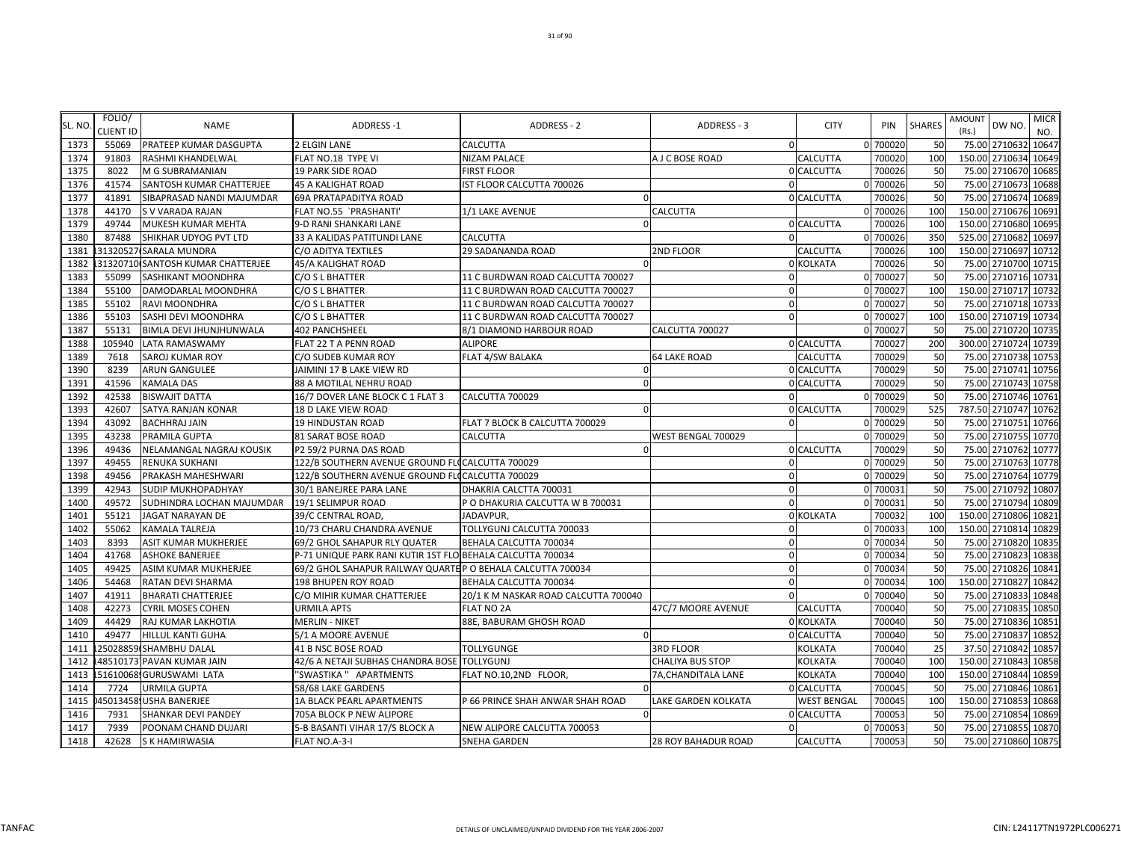|        | FOLIO/           |                                   |                                                             |                                      |                            |                 |          |               | AMOUNT                  | <b>MICR</b> |
|--------|------------------|-----------------------------------|-------------------------------------------------------------|--------------------------------------|----------------------------|-----------------|----------|---------------|-------------------------|-------------|
| SL. NO | <b>CLIENT ID</b> | <b>NAME</b>                       | ADDRESS-1                                                   | ADDRESS - 2                          | ADDRESS - 3                | <b>CITY</b>     | PIN      | <b>SHARES</b> | DW NO<br>(Rs.)          | NO.         |
| 1373   | 55069            | PRATEEP KUMAR DASGUPTA            | <b>2 ELGIN LANE</b>                                         | CALCUTTA                             | $\mathbf 0$                |                 | 0 700020 | 50            | 75.00 2710632           | 10647       |
| 1374   | 91803            | RASHMI KHANDELWAL                 | FLAT NO.18 TYPE VI                                          | <b>NIZAM PALACE</b>                  | A J C BOSE ROAD            | CALCUTTA        | 700020   | 100           | 150.00 2710634          | 10649       |
| 1375   | 8022             | M G SUBRAMANIAN                   | <b>19 PARK SIDE ROAD</b>                                    | <b>FIRST FLOOR</b>                   |                            | 0 CALCUTTA      | 700026   | 50            | 75.00 2710670 10685     |             |
| 1376   | 41574            | SANTOSH KUMAR CHATTERJEE          | <b>45 A KALIGHAT ROAD</b>                                   | IST FLOOR CALCUTTA 700026            | $\Omega$                   |                 | 0 700026 | 50            | 75.00 2710673           | 10688       |
| 1377   | 41891            | SIBAPRASAD NANDI MAJUMDAR         | 69A PRATAPADITYA ROAD                                       |                                      |                            | 0 CALCUTTA      | 700026   | 50            | 2710674<br>75.00        | 10689       |
| 1378   | 44170            | S V VARADA RAJAN                  | FLAT NO.55 `PRASHANTI'                                      | 1/1 LAKE AVENUE                      | CALCUTTA                   |                 | 0 700026 | 100           | 150.00 2710676 10691    |             |
| 1379   | 49744            | MUKESH KUMAR MEHTA                | 9-D RANI SHANKARI LANE                                      |                                      |                            | 0 CALCUTTA      | 700026   | 100           | 150.00 2710680 10695    |             |
| 1380   | 87488            | SHIKHAR UDYOG PVT LTD             | 33 A KALIDAS PATITUNDI LANE                                 | CALCUTTA                             | $\Omega$                   |                 | 0 700026 | 35C           | 525.00 2710682          | 10697       |
| 1381   |                  | 31320527 SARALA MUNDRA            | C/O ADITYA TEXTILES                                         | 29 SADANANDA ROAD                    | 2ND FLOOR                  | CALCUTTA        | 700026   | 100           | 150.00 2710697          | 10712       |
| 1382   |                  | 31320710 SANTOSH KUMAR CHATTERJEE | 45/A KALIGHAT ROAD                                          | $\Omega$                             |                            | 0 KOLKATA       | 700026   | 50            | 75.00 2710700 10715     |             |
| 1383   | 55099            | SASHIKANT MOONDHRA                | C/O S L BHATTER                                             | 11 C BURDWAN ROAD CALCUTTA 700027    | $\Omega$                   |                 | 0 70002  | 50            | 75.00 2710716           | 10731       |
| 1384   | 55100            | DAMODARLAL MOONDHRA               | C/O S L BHATTER                                             | 11 C BURDWAN ROAD CALCUTTA 700027    | $\mathbf 0$                |                 | 0 700027 | 100           | 150.00 2710717 10732    |             |
| 1385   | 55102            | RAVI MOONDHRA                     | C/O S L BHATTER                                             | 11 C BURDWAN ROAD CALCUTTA 700027    | $\mathbf 0$                |                 | 0 700027 | 50            | 75.00 2710718 10733     |             |
| 1386   | 55103            | SASHI DEVI MOONDHRA               | C/O S L BHATTER                                             | 11 C BURDWAN ROAD CALCUTTA 700027    | $\mathbf 0$                |                 | 0 700027 | 100           | 150.00<br>2710719 10734 |             |
| 1387   | 55131            | BIMLA DEVI JHUNJHUNWALA           | 402 PANCHSHEEL                                              | 8/1 DIAMOND HARBOUR ROAD             | CALCUTTA 700027            |                 | 0 70002  | 50            | 75.00 2710720 10735     |             |
| 1388   | 105940           | LATA RAMASWAMY                    | FLAT 22 T A PENN ROAD                                       | <b>ALIPORE</b>                       |                            | 0 CALCUTTA      | 700027   | <b>200</b>    | 300.00 2710724 10739    |             |
| 1389   | 7618             | SAROJ KUMAR ROY                   | C/O SUDEB KUMAR ROY                                         | FLAT 4/SW BALAKA                     | <b>64 LAKE ROAD</b>        | CALCUTTA        | 700029   | 50            | 75.00 2710738           | 10753       |
| 1390   | 8239             | ARUN GANGULEE                     | JAIMINI 17 B LAKE VIEW RD                                   | $\Omega$                             |                            | 0 CALCUTTA      | 700029   | 50            | 75.00 2710741           | 10756       |
| 1391   | 41596            | KAMALA DAS                        | 88 A MOTILAL NEHRU ROAD                                     |                                      |                            | 0 CALCUTTA      | 700029   | 50            | 75.00 2710743           | 10758       |
| 1392   | 42538            | <b>BISWAJIT DATTA</b>             | 16/7 DOVER LANE BLOCK C 1 FLAT 3                            | CALCUTTA 700029                      | $\Omega$                   |                 | 0 700029 | 50            | 75.00 2710746           | 10761       |
| 1393   | 42607            | SATYA RANJAN KONAR                | 18 D LAKE VIEW ROAD                                         | $\Omega$                             |                            | 0 CALCUTTA      | 700029   | 525           | 787.50 2710747          | 10762       |
| 1394   | 43092            | <b>BACHHRAJ JAIN</b>              | <b>19 HINDUSTAN ROAD</b>                                    | FLAT 7 BLOCK B CALCUTTA 700029       | $\mathbf 0$                |                 | 0 700029 | 50            | 75.00 2710751           | 10766       |
| 1395   | 43238            | PRAMILA GUPTA                     | 81 SARAT BOSE ROAD                                          | CALCUTTA                             | WEST BENGAL 700029         |                 | 0 700029 | 50            | 75.00<br>2710755        | 10770       |
| 1396   | 49436            | NELAMANGAL NAGRAJ KOUSIK          | P2 59/2 PURNA DAS ROAD                                      |                                      |                            | 0 CALCUTTA      | 700029   | 50            | 75.00 2710762           | 10777       |
| 1397   | 49455            | RENUKA SUKHANI                    | 122/B SOUTHERN AVENUE GROUND FLOCALCUTTA 700029             |                                      | $\Omega$                   |                 | 0 700029 | 50            | 75.00 2710763           | 10778       |
| 1398   | 49456            | PRAKASH MAHESHWARI                | 122/B SOUTHERN AVENUE GROUND FLOCALCUTTA 700029             |                                      | $\mathbf 0$                |                 | 0 700029 | 50            | 75.00 2710764 10779     |             |
| 1399   | 42943            | SUDIP MUKHOPADHYAY                | 30/1 BANEJREE PARA LANE                                     | DHAKRIA CALCTTA 700031               | $\Omega$                   |                 | 0 700031 | 50            | 75.00 2710792           | 10807       |
| 1400   | 49572            | SUDHINDRA LOCHAN MAJUMDAR         | 19/1 SELIMPUR ROAD                                          | P O DHAKURIA CALCUTTA W B 700031     | $\mathbf 0$                |                 | 0 700031 | 50            | 75.00 2710794 10809     |             |
| 1401   | 55121            | JAGAT NARAYAN DE                  | 39/C CENTRAL ROAD                                           | JADAVPUR,                            |                            | 0 KOLKATA       | 700032   | 100           | 150.00 2710806          | 10821       |
| 1402   | 55062            | KAMALA TALREJA                    | 10/73 CHARU CHANDRA AVENUE                                  | TOLLYGUNJ CALCUTTA 700033            | 0                          |                 | 0 700033 | 100           | 150.00 2710814          | 10829       |
| 1403   | 8393             | ASIT KUMAR MUKHERJEE              | 69/2 GHOL SAHAPUR RLY QUATER                                | BEHALA CALCUTTA 700034               | $\Omega$                   |                 | 0 70003  | 50            | 75.00 2710820           | 10835       |
| 1404   | 41768            | ASHOKE BANERJEE                   | P-71 UNIQUE PARK RANI KUTIR 1ST FLO BEHALA CALCUTTA 700034  |                                      | $\Omega$                   |                 | 0 700034 | 50            | 75.00 2710823           | 10838       |
| 1405   | 49425            | ASIM KUMAR MUKHERJEE              | 69/2 GHOL SAHAPUR RAILWAY QUARTE P O BEHALA CALCUTTA 700034 |                                      | $\mathbf 0$                |                 | 0 700034 | 50            | 75.00 2710826           | 10841       |
| 1406   | 54468            | RATAN DEVI SHARMA                 | 198 BHUPEN ROY ROAD                                         | BEHALA CALCUTTA 700034               | $\mathbf 0$                |                 | 0 700034 | 100           | 150.00 2710827          | 10842       |
| 1407   | 41911            | <b>BHARATI CHATTERJEE</b>         | C/O MIHIR KUMAR CHATTERJEE                                  | 20/1 K M NASKAR ROAD CALCUTTA 700040 | $\mathbf 0$                |                 | 0 700040 | 50            | 75.00 2710833           | 10848       |
| 1408   | 42273            | <b>CYRIL MOSES COHEN</b>          | <b>URMILA APTS</b>                                          | FLAT NO 2A                           | 47C/7 MOORE AVENUE         | CALCUTTA        | 700040   | 50            | 75.00 2710835           | 10850       |
| 1409   | 44429            | RAJ KUMAR LAKHOTIA                | <b>MERLIN - NIKET</b>                                       | 88E, BABURAM GHOSH ROAD              |                            | 0 KOLKATA       | 700040   | 50            | 75.00 2710836           | 10851       |
| 1410   | 49477            | HILLUL KANTI GUHA                 | 5/1 A MOORE AVENUE                                          |                                      |                            | 0 CALCUTTA      | 700040   | 50            | 75.00 2710837           | 10852       |
| 1411   | 250288590        | <b>SHAMBHU DALAL</b>              | 41 B NSC BOSE ROAD                                          | TOLLYGUNGE                           | <b>3RD FLOOR</b>           | <b>KOLKATA</b>  | 700040   | 25            | 37.50 2710842           | 10857       |
| 1412   |                  | 48510173 PAVAN KUMAR JAIN         | 42/6 A NETAJI SUBHAS CHANDRA BOSE TOLLYGUNJ                 |                                      | <b>CHALIYA BUS STOP</b>    | KOLKATA         | 700040   | 100           | 150.00 2710843          | 10858       |
| 1413   |                  | 51610068 GURUSWAMI LATA           | "SWASTIKA " APARTMENTS                                      | FLAT NO.10,2ND FLOOR,                | 7A, CHANDITALA LANE        | <b>KOLKATA</b>  | 700040   | 100           | 150.00 2710844          | 10859       |
| 1414   | 7724             | <b>URMILA GUPTA</b>               | 58/68 LAKE GARDENS                                          |                                      |                            | 0 CALCUTTA      | 700045   | 50            | 75.00 2710846           | 10861       |
| 1415   |                  | 45013458 USHA BANERJEE            | 1A BLACK PEARL APARTMENTS                                   | P 66 PRINCE SHAH ANWAR SHAH ROAD     | LAKE GARDEN KOLKATA        | WEST BENGAL     | 700045   | 100           | 150.00 2710853          | 10868       |
| 1416   | 7931             | SHANKAR DEVI PANDEY               | 705A BLOCK P NEW ALIPORE                                    |                                      |                            | 0 CALCUTTA      | 700053   | 50            | 75.00 2710854           | 10869       |
| 1417   | 7939             | POONAM CHAND DUJARI               | 5-B BASANTI VIHAR 17/S BLOCK A                              | NEW ALIPORE CALCUTTA 700053          | 0                          |                 | 0 700053 | 50            | 75.00 2710855 10870     |             |
| 1418   |                  | 42628 S K HAMIRWASIA              | FLAT NO.A-3-I                                               | <b>SNEHA GARDEN</b>                  | <b>28 ROY BAHADUR ROAD</b> | <b>CALCUTTA</b> | 700053   | 50            | 75.00 2710860 10875     |             |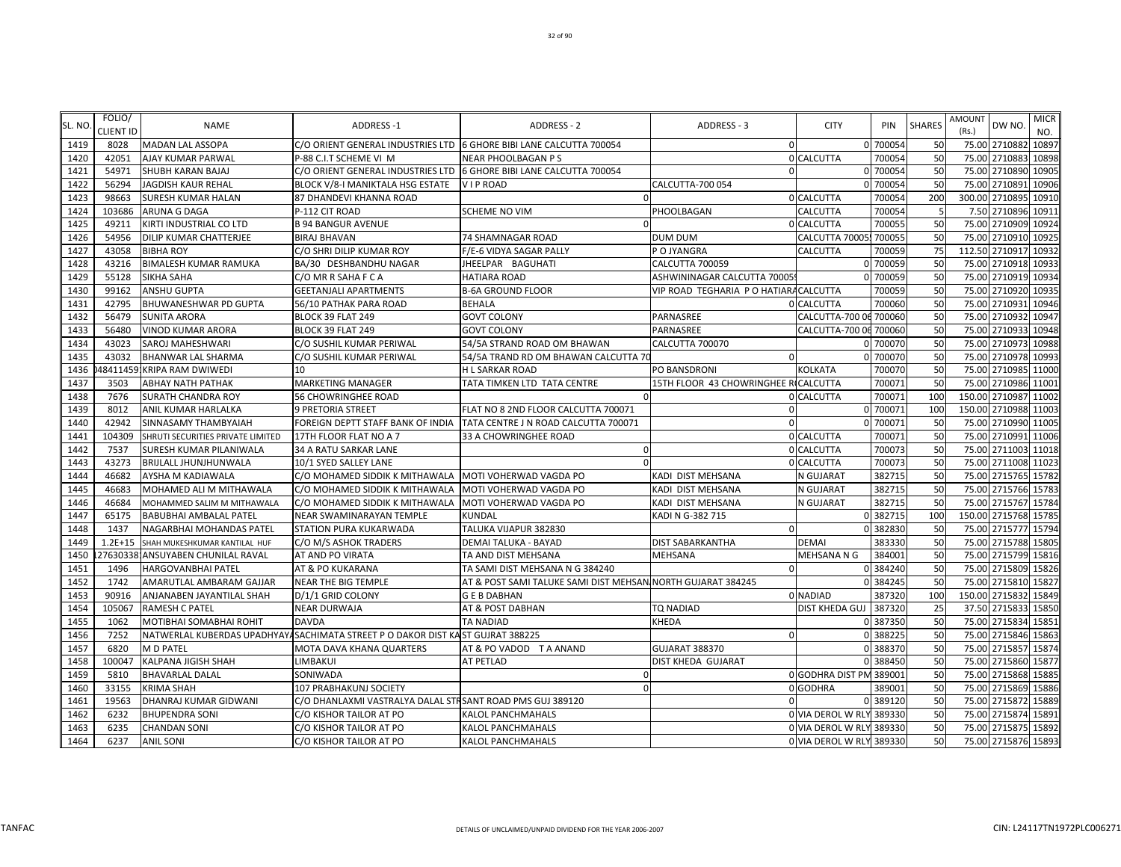| SL. NO. | FOLIO/<br><b>CLIENT ID</b> | <b>NAME</b>                       | ADDRESS-1                                                                      | <b>ADDRESS - 2</b>                                          | ADDRESS - 3                            | <b>CITY</b>              | PIN      | <b>SHARES</b>   | AMOUNT<br>(Rs.) | <b>MICR</b><br>DW NO.<br>NO. |
|---------|----------------------------|-----------------------------------|--------------------------------------------------------------------------------|-------------------------------------------------------------|----------------------------------------|--------------------------|----------|-----------------|-----------------|------------------------------|
| 1419    | 8028                       | <b>MADAN LAL ASSOPA</b>           | C/O ORIENT GENERAL INDUSTRIES LTD 6 GHORE BIBI LANE CALCUTTA 700054            |                                                             | $\sqrt{ }$                             |                          | 0 70005  | 50              |                 | 75.00 2710882<br>10897       |
| 1420    | 42051                      | AJAY KUMAR PARWAL                 | P-88 C.I.T SCHEME VI M                                                         | NEAR PHOOLBAGAN P S                                         |                                        | 0 CALCUTTA               | 700054   | 50              | 75.00           | 2710883 10898                |
| 1421    | 54971                      | SHUBH KARAN BAJAJ                 | C/O ORIENT GENERAL INDUSTRIES LTD 6 GHORE BIBI LANE CALCUTTA 700054            |                                                             | $\Omega$                               |                          | 0 700054 | 50              |                 | 75.00 2710890 10905          |
| 1422    | 56294                      | JAGDISH KAUR REHAL                | BLOCK V/8-I MANIKTALA HSG ESTATE                                               | VIP ROAD                                                    | <b>CALCUTTA-700 054</b>                |                          | 0 700054 | 50              | 75.00           | 2710891 10906                |
| 1423    | 98663                      | <b>SURESH KUMAR HALAN</b>         | 87 DHANDEVI KHANNA ROAD                                                        |                                                             |                                        | 0 CALCUTTA               | 700054   | 200             |                 | 300.00 2710895<br>10910      |
| 1424    | 103686                     | <b>ARUNA G DAGA</b>               | P-112 CIT ROAD                                                                 | <b>SCHEME NO VIM</b>                                        | PHOOLBAGAN                             | CALCUTTA                 | 700054   |                 |                 | 7.50 2710896 10911           |
| 1425    | 49211                      | KIRTI INDUSTRIAL CO LTD           | <b>B 94 BANGUR AVENUE</b>                                                      |                                                             |                                        | 0 CALCUTTA               | 700055   | 50              | 75.00           | 2710909 10924                |
| 1426    | 54956                      | DILIP KUMAR CHATTERJEE            | <b>BIRAJ BHAVAN</b>                                                            | 74 SHAMNAGAR ROAD                                           | DUM DUM                                | CALCUTTA 70005 700055    |          | 50              | 75.00           | 2710910<br>10925             |
| 1427    | 43058                      | <b>BIBHA ROY</b>                  | C/O SHRI DILIP KUMAR ROY                                                       | F/E-6 VIDYA SAGAR PALLY                                     | P O JYANGRA                            | CALCUTTA                 | 700059   | 75              | 112.50          | 2710917<br>10932             |
| 1428    | 43216                      | <b>BIMALESH KUMAR RAMUKA</b>      | BA/30 DESHBANDHU NAGAR                                                         | JHEELPAR BAGUHATI                                           | CALCUTTA 700059                        |                          | 0 700059 | 50              |                 | 75.00 2710918 10933          |
| 1429    | 55128                      | <b>SIKHA SAHA</b>                 | C/O MR R SAHA F C A                                                            | HATIARA ROAD                                                | ASHWININAGAR CALCUTTA 70005            |                          | 0 700059 | 50              |                 | 75.00 2710919 10934          |
| 1430    | 99162                      | <b>ANSHU GUPTA</b>                | <b>GEETANJALI APARTMENTS</b>                                                   | <b>B-6A GROUND FLOOR</b>                                    | VIP ROAD TEGHARIA P O HATIARA CALCUTTA |                          | 700059   | 50              |                 | 75.00 2710920 10935          |
| 1431    | 42795                      | BHUWANESHWAR PD GUPTA             | 56/10 PATHAK PARA ROAD                                                         | <b>BEHALA</b>                                               |                                        | 0 CALCUTTA               | 700060   | 50              | 75.00           | 2710931<br>10946             |
| 1432    | 56479                      | <b>SUNITA ARORA</b>               | BLOCK 39 FLAT 249                                                              | <b>GOVT COLONY</b>                                          | PARNASREE                              | CALCUTTA-700 06 700060   |          | 50              |                 | 75.00 2710932 10947          |
| 1433    | 56480                      | <b>VINOD KUMAR ARORA</b>          | BLOCK 39 FLAT 249                                                              | <b>GOVT COLONY</b>                                          | PARNASREE                              | CALCUTTA-700 06 700060   |          | 50              | 75.00           | 2710933<br>10948             |
| 1434    | 43023                      | SAROJ MAHESHWARI                  | C/O SUSHIL KUMAR PERIWAL                                                       | 54/5A STRAND ROAD OM BHAWAN                                 | CALCUTTA 700070                        |                          | 0 700070 | 50              | 75.00           | 2710973<br>10988             |
| 1435    | 43032                      | BHANWAR LAL SHARMA                | C/O SUSHIL KUMAR PERIWAL                                                       | 54/5A TRAND RD OM BHAWAN CALCUTTA 70                        |                                        |                          | 0 700070 | 50              | 75.00           | 2710978 10993                |
| 1436    |                            | 48411459: KRIPA RAM DWIWEDI       | 10                                                                             | <b>H L SARKAR ROAD</b>                                      | PO BANSDRONI                           | KOLKATA                  | 700070   | 50              | 75.00           | 2710985 11000                |
| 1437    | 3503                       | <b>ABHAY NATH PATHAK</b>          | <b>MARKETING MANAGER</b>                                                       | TATA TIMKEN LTD TATA CENTRE                                 | 15TH FLOOR 43 CHOWRINGHEE RICALCUTTA   |                          | 700071   | 50              | 75.00           | 2710986 11001                |
| 1438    | 7676                       | <b>SURATH CHANDRA ROY</b>         | 56 CHOWRINGHEE ROAD                                                            |                                                             |                                        | 0 CALCUTTA               | 700071   | 100             |                 | 150.00 2710987 11002         |
| 1439    | 8012                       | ANIL KUMAR HARLALKA               | 9 PRETORIA STREET                                                              | FLAT NO 8 2ND FLOOR CALCUTTA 700071                         |                                        |                          | 0 700071 | 100             |                 | 150.00 2710988 11003         |
| 1440    | 42942                      | <b>SINNASAMY THAMBYAIAH</b>       | FOREIGN DEPTT STAFF BANK OF INDIA                                              | TATA CENTRE J N ROAD CALCUTTA 700071                        |                                        |                          | 0 70007  | 50              | 75.00           | 2710990 11005                |
| 1441    | 104309                     | SHRUTI SECURITIES PRIVATE LIMITED | 17TH FLOOR FLAT NO A 7                                                         | 33 A CHOWRINGHEE ROAD                                       |                                        | 0 CALCUTTA               | 700071   | 50              | 75.00           | 2710991<br>11006             |
| 1442    | 7537                       | SURESH KUMAR PILANIWALA           | 34 A RATU SARKAR LANE                                                          |                                                             |                                        | 0 CALCUTTA               | 700073   | 50              |                 | 75.00 2711003 11018          |
| 1443    | 43273                      | <b>BRIJLALL JHUNJHUNWALA</b>      | 10/1 SYED SALLEY LANE                                                          |                                                             |                                        | <b>CALCUTTA</b>          | 700073   | 50              | 75.00           | 2711008 11023                |
| 1444    | 46682                      | AYSHA M KADIAWALA                 | C/O MOHAMED SIDDIK K MITHAWALA MOTI VOHERWAD VAGDA PO                          |                                                             | KADI DIST MEHSANA                      | N GUJARAT                | 382715   | 50              |                 | 75.00 2715765 15782          |
| 1445    | 46683                      | MOHAMED ALI M MITHAWALA           | C/O MOHAMED SIDDIK K MITHAWALA                                                 | MOTI VOHERWAD VAGDA PO                                      | KADI DIST MEHSANA                      | N GUJARAT                | 382715   | 50              | 75.00           | 2715766 15783                |
| 1446    | 46684                      | MOHAMMED SALIM M MITHAWALA        | C/O MOHAMED SIDDIK K MITHAWALA   MOTI VOHERWAD VAGDA PO                        |                                                             | KADI DIST MEHSANA                      | N GUJARAT                | 382715   | 50              | 75.00           | 2715767 15784                |
| 1447    | 65175                      | <b>BABUBHAI AMBALAL PATEL</b>     | NEAR SWAMINARAYAN TEMPLE                                                       | KUNDAL                                                      | KADI N G-382 715                       |                          | 0 382715 | 10 <sub>C</sub> | 150.00          | 2715768 15785                |
| 1448    | 1437                       | NAGARBHAI MOHANDAS PATEL          | STATION PURA KUKARWADA                                                         | TALUKA VIJAPUR 382830                                       | $\sqrt{ }$                             |                          | 0 382830 | 50              |                 | 75.00 2715777 15794          |
| 1449    | $1.2E + 15$                | SHAH MUKESHKUMAR KANTILAL HUF     | C/O M/S ASHOK TRADERS                                                          | <b>DEMAI TALUKA - BAYAD</b>                                 | <b>DIST SABARKANTHA</b>                | <b>DEMAI</b>             | 383330   | 50              |                 | 75.00 2715788 15805          |
| 1450    | 27630338                   | ANSUYABEN CHUNILAL RAVAL          | AT AND PO VIRATA                                                               | TA AND DIST MEHSANA                                         | <b>MEHSANA</b>                         | MEHSANA N G              | 384001   | 50              | 75.00           | 2715799 15816                |
| 1451    | 1496                       | <b>HARGOVANBHAI PATEL</b>         | AT & PO KUKARANA                                                               | TA SAMI DIST MEHSANA N G 384240                             | $\sqrt{2}$                             |                          | 0 384240 | 50              |                 | 75.00 2715809 15826          |
| 1452    | 1742                       | AMARUTLAL AMBARAM GAJJAR          | <b>NEAR THE BIG TEMPLE</b>                                                     | AT & POST SAMI TALUKE SAMI DIST MEHSAN NORTH GUJARAT 384245 |                                        |                          | 0 384245 | 50              | 75.00           | 2715810 15827                |
| 1453    | 90916                      | ANJANABEN JAYANTILAL SHAH         | D/1/1 GRID COLONY                                                              | <b>GEBDABHAN</b>                                            |                                        | 0 NADIAD                 | 387320   | 100             |                 | 150.00 2715832 15849         |
| 1454    | 105067                     | <b>RAMESH C PATEL</b>             | <b>NEAR DURWAJA</b>                                                            | AT & POST DABHAN                                            | TQ NADIAD                              | DIST KHEDA GUJ           | 387320   | 25              | 37.50           | 2715833 15850                |
| 1455    | 1062                       | MOTIBHAI SOMABHAI ROHIT           | <b>DAVDA</b>                                                                   | <b>TA NADIAD</b>                                            | KHEDA                                  |                          | 0 387350 | 50              |                 | 75.00 2715834 15851          |
| 1456    | 7252                       |                                   | NATWERLAL KUBERDAS UPADHYAYASACHIMATA STREET P O DAKOR DIST KAST GUJRAT 388225 |                                                             | $\sqrt{2}$                             |                          | 0 388225 | 50              |                 | 75.00 2715846 15863          |
| 1457    | 6820                       | <b>MD PATEL</b>                   | MOTA DAVA KHANA QUARTERS                                                       | AT & PO VADOD T A ANAND                                     | <b>GUJARAT 388370</b>                  |                          | 0 388370 | 50              | 75.00           | 2715857 15874                |
| 1458    | 100047                     | <b>KALPANA JIGISH SHAH</b>        | LIMBAKUI                                                                       | <b>AT PETLAD</b>                                            | DIST KHEDA GUJARAT                     |                          | 0 388450 | 50              | 75.00           | 2715860<br>15877             |
| 1459    | 5810                       | <b>BHAVARLAL DALAL</b>            | SONIWADA                                                                       |                                                             |                                        | <b>O</b> GODHRA DIST PN  | 389001   | 50              | 75.00           | 2715868 15885                |
| 1460    | 33155                      | <b>KRIMA SHAH</b>                 | 107 PRABHAKUNJ SOCIETY                                                         |                                                             |                                        | 0 GODHRA                 | 389001   | 50              | 75.00           | 2715869 15886                |
| 1461    | 19563                      | DHANRAJ KUMAR GIDWANI             | C/O DHANLAXMI VASTRALYA DALAL STR SANT ROAD PMS GUJ 389120                     |                                                             |                                        |                          | 0 389120 | 50              | 75.00           | 2715872 15889                |
| 1462    | 6232                       | <b>BHUPENDRA SONI</b>             | C/O KISHOR TAILOR AT PO                                                        | KALOL PANCHMAHALS                                           |                                        | 0 VIA DEROL W RLY        | 389330   | 50              | 75.00           | 2715874 15891                |
| 1463    | 6235                       | <b>CHANDAN SONI</b>               | C/O KISHOR TAILOR AT PO                                                        | <b>KALOL PANCHMAHALS</b>                                    |                                        | 0 VIA DEROL W RLY 389330 |          | 50              |                 | 75.00 2715875 15892          |
| 1464    | 6237                       | <b>ANIL SONI</b>                  | C/O KISHOR TAILOR AT PO                                                        | <b>KALOL PANCHMAHALS</b>                                    |                                        | 0 VIA DEROL W RLY 389330 |          | 50              |                 | 75.00 2715876 15893          |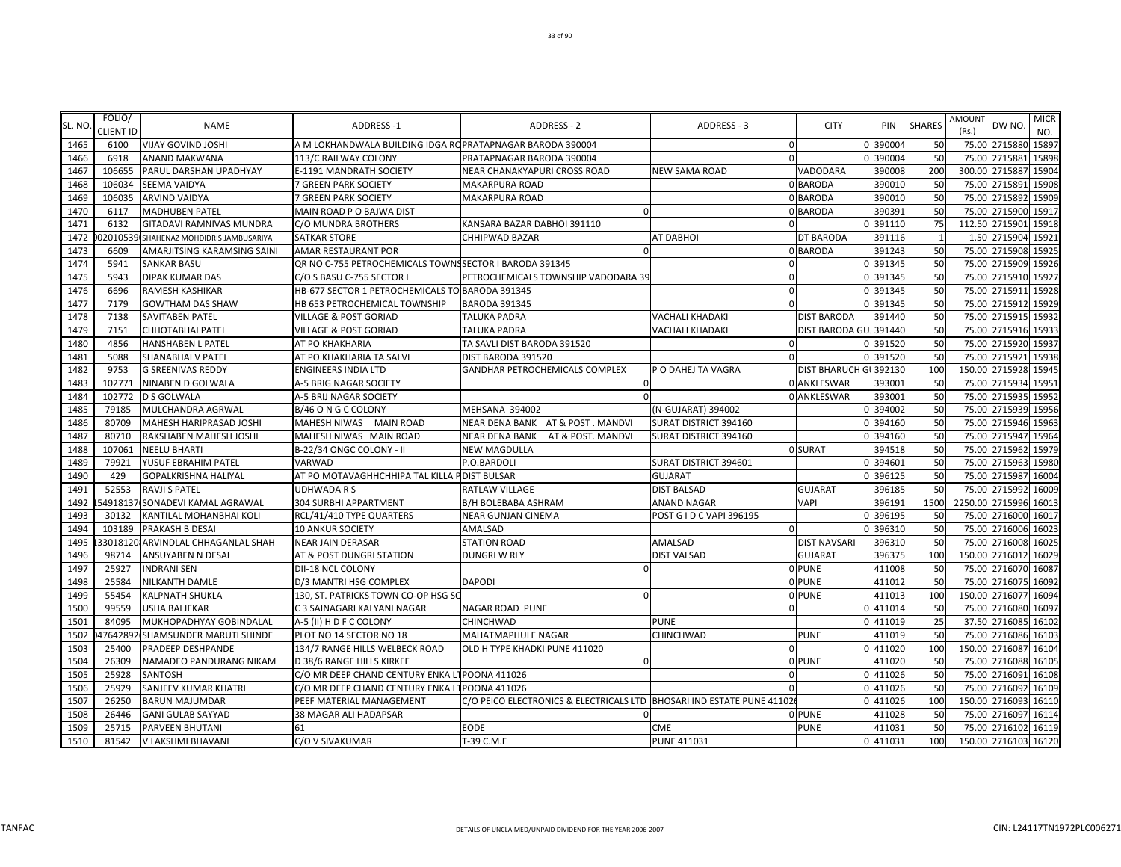| SL. NO       | FOLIO/           | <b>NAME</b>                                                            | ADDRESS-1                                                 | <b>ADDRESS - 2</b>                                                     | ADDRESS - 3              | <b>CITY</b>            | PIN                | <b>SHARES</b>      | AMOUNT | DW NO.                                     | <b>MICR</b> |
|--------------|------------------|------------------------------------------------------------------------|-----------------------------------------------------------|------------------------------------------------------------------------|--------------------------|------------------------|--------------------|--------------------|--------|--------------------------------------------|-------------|
|              | <b>CLIENT ID</b> |                                                                        |                                                           |                                                                        |                          |                        |                    |                    | (Rs.)  |                                            | NO.         |
| 1465         | 6100             | <b>VIJAY GOVIND JOSHI</b>                                              | A M LOKHANDWALA BUILDING IDGA ROPRATAPNAGAR BARODA 390004 |                                                                        | $\mathbf 0$              |                        | 0 390004           | 50                 |        | 75.00 2715880 15897                        |             |
| 1466         | 6918             | ANAND MAKWANA                                                          | 113/C RAILWAY COLONY                                      | PRATAPNAGAR BARODA 390004                                              | $\mathbf{0}$             |                        | 0 390004           | 50                 | 75.00  | 2715881 15898                              |             |
| 1467         | 106655           | PARUL DARSHAN UPADHYAY                                                 | E-1191 MANDRATH SOCIETY                                   | NEAR CHANAKYAPURI CROSS ROAD                                           | <b>NEW SAMA ROAD</b>     | VADODARA               | 390008             | 200                |        | 300.00 2715887 15904                       |             |
| 1468         | 106034           | SEEMA VAIDYA                                                           | 7 GREEN PARK SOCIETY                                      | <b>MAKARPURA ROAD</b>                                                  |                          | 0 BARODA               | 390010             | 50                 | 75.00  | 2715891                                    | 15908       |
| 1469         | 106035           | ARVIND VAIDYA                                                          | 7 GREEN PARK SOCIETY                                      | MAKARPURA ROAD                                                         |                          | 0 BARODA               | 390010             | 50                 | 75.00  | 2715892                                    | 15909       |
| 1470         | 6117             | <b>MADHUBEN PATEL</b>                                                  | MAIN ROAD P O BAJWA DIST                                  |                                                                        |                          | 0 BARODA               | 390391             | 50                 | 75.00  | 2715900                                    | 15917       |
| 1471<br>1472 | 6132             | GITADAVI RAMNIVAS MUNDRA                                               | C/O MUNDRA BROTHERS<br><b>SATKAR STORE</b>                | KANSARA BAZAR DABHOI 391110<br>CHHIPWAD BAZAR                          | <b>AT DABHOI</b>         | DT BARODA              | 0 391110<br>391116 | 75<br>$\mathbf{1}$ |        | 112.50 2715901 15918<br>1.50 2715904 15921 |             |
| 1473         | 6609             | 02010539 SHAHENAZ MOHDIDRIS JAMBUSARIYA<br>AMARJITSING KARAMSING SAINI | AMAR RESTAURANT POR                                       |                                                                        |                          | 0 BARODA               | 391243             | 50                 |        | 75.00 2715908                              | 1592        |
| 1474         | 5941             | SANKAR BASU                                                            | QR NO C-755 PETROCHEMICALS TOWNS SECTOR I BARODA 391345   |                                                                        | $\mathbf{0}$             |                        | 0 391345           | 50                 |        | 75.00 2715909                              | 15926       |
| 1475         | 5943             | DIPAK KUMAR DAS                                                        | C/O S BASU C-755 SECTOR I                                 | PETROCHEMICALS TOWNSHIP VADODARA 39                                    | $\mathbf{0}$             |                        | 0 391345           | 50                 | 75.00  | 2715910                                    | 15927       |
| 1476         | 6696             | RAMESH KASHIKAR                                                        | HB-677 SECTOR 1 PETROCHEMICALS TO BARODA 391345           |                                                                        | $\mathbf 0$              |                        | 0 391345           | 50                 |        | 75.00 2715911 15928                        |             |
| 1477         | 7179             | <b>GOWTHAM DAS SHAW</b>                                                | HB 653 PETROCHEMICAL TOWNSHIP                             | <b>BARODA 391345</b>                                                   | $\Omega$                 |                        | 0 391345           | 50                 | 75.00  | 2715912 15929                              |             |
| 1478         | 7138             | SAVITABEN PATEL                                                        | <b>VILLAGE &amp; POST GORIAD</b>                          | TALUKA PADRA                                                           | <b>VACHALI KHADAKI</b>   | <b>DIST BARODA</b>     | 391440             | 50                 | 75.00  | 2715915 15932                              |             |
| 1479         | 7151             | CHHOTABHAI PATEL                                                       | VILLAGE & POST GORIAD                                     | TALUKA PADRA                                                           | <b>VACHALI KHADAKI</b>   | DIST BARODA GU, 391440 |                    | 50                 | 75.00  | 2715916 15933                              |             |
| 1480         | 4856             | HANSHABEN L PATEL                                                      | AT PO KHAKHARIA                                           | TA SAVLI DIST BARODA 391520                                            | $\mathbf 0$              |                        | 0 391520           | 50                 |        | 75.00 2715920 15937                        |             |
| 1481         | 5088             | SHANABHAI V PATEL                                                      | AT PO KHAKHARIA TA SALVI                                  | DIST BARODA 391520                                                     | $\Omega$                 |                        | 0 391520           | 50                 |        | 75.00 2715921 15938                        |             |
| 1482         | 9753             | <b>G SREENIVAS REDDY</b>                                               | <b>ENGINEERS INDIA LTD</b>                                | GANDHAR PETROCHEMICALS COMPLEX                                         | P O DAHEJ TA VAGRA       | <b>DIST BHARUCH GI</b> | 392130             | 100                |        | 150.00 2715928 15945                       |             |
| 1483         | 102771           | NINABEN D GOLWALA                                                      | A-5 BRIG NAGAR SOCIETY                                    | n                                                                      |                          | 0 ANKLESWAR            | 393001             | 50                 |        | 75.00 2715934 1595                         |             |
| 1484         | 102772           | D S GOLWALA                                                            | A-5 BRIJ NAGAR SOCIETY                                    |                                                                        |                          | 0 ANKLESWAR            | 39300              | 50                 | 75.00  | 2715935 15952                              |             |
| 1485         | 79185            | MULCHANDRA AGRWAL                                                      | B/46 O N G C COLONY                                       | MEHSANA 394002                                                         | (N-GUJARAT) 394002       |                        | 0 394002           | 50                 | 75.00  | 2715939                                    | 15956       |
| 1486         | 80709            | MAHESH HARIPRASAD JOSHI                                                | MAHESH NIWAS MAIN ROAD                                    | NEAR DENA BANK AT & POST. MANDVI                                       | SURAT DISTRICT 394160    |                        | 0 394160           | 50                 | 75.00  | 2715946                                    | 15963       |
| 1487         | 80710            | RAKSHABEN MAHESH JOSHI                                                 | MAHESH NIWAS MAIN ROAD                                    | NEAR DENA BANK<br>AT & POST. MANDVI                                    | SURAT DISTRICT 394160    |                        | 0 394160           | 50                 | 75.00  | 2715947 15964                              |             |
| 1488         | 107061           | NEELU BHARTI                                                           | B-22/34 ONGC COLONY - II                                  | <b>NEW MAGDULLA</b>                                                    |                          | 0 SURAT                | 394518             | 50                 |        | 75.00 2715962 15979                        |             |
| 1489         | 79921            | YUSUF EBRAHIM PATEL                                                    | VARWAD                                                    | P.O.BARDOLI                                                            | SURAT DISTRICT 394601    |                        | 0 394601           | 50                 |        | 75.00 2715963 15980                        |             |
| 1490         | 429              | <b>GOPALKRISHNA HALIYAL</b>                                            | AT PO MOTAVAGHHCHHIPA TAL KILLA P DIST BULSAR             |                                                                        | <b>GUJARAT</b>           |                        | 0 396125           | 50                 |        | 75.00 2715987 16004                        |             |
| 1491         | 52553            | <b>RAVJI S PATEL</b>                                                   | <b>UDHWADA R S</b>                                        | RATLAW VILLAGE                                                         | <b>DIST BALSAD</b>       | <b>GUJARAT</b>         | 396185             | 50                 |        | 75.00 2715992                              | 16009       |
| 1492         |                  | 54918137 SONADEVI KAMAL AGRAWAL                                        | 304 SURBHI APPARTMENT                                     | B/H BOLEBABA ASHRAM                                                    | <b>ANAND NAGAR</b>       | VAPI                   | 396191             | 1500               |        | 2250.00 2715996                            | 16013       |
| 1493         | 30132            | KANTILAL MOHANBHAI KOLI                                                | RCL/41/410 TYPE QUARTERS                                  | NEAR GUNJAN CINEMA                                                     | POST G I D C VAPI 396195 |                        | 0 396195           | 50                 | 75.00  | 2716000                                    | 16017       |
| 1494         | 103189           | PRAKASH B DESAI                                                        | <b>10 ANKUR SOCIETY</b>                                   | AMALSAD                                                                | $\mathbf{0}$             |                        | 0 396310           | 50                 | 75.00  | 2716006 16023                              |             |
| 1495         |                  | 33018120 ARVINDLAL CHHAGANLAL SHAH                                     | <b>NEAR JAIN DERASAR</b>                                  | <b>STATION ROAD</b>                                                    | <b>AMALSAD</b>           | <b>DIST NAVSARI</b>    | 396310             | 50                 | 75.00  | 2716008                                    | 16025       |
| 1496         | 98714            | ANSUYABEN N DESAI                                                      | AT & POST DUNGRI STATION                                  | <b>DUNGRI W RLY</b>                                                    | <b>DIST VALSAD</b>       | <b>GUJARAT</b>         | 396375             | 100                | 150.00 | 2716012 16029                              |             |
| 1497         | 25927            | <b>INDRANI SEN</b>                                                     | DII-18 NCL COLONY                                         |                                                                        |                          | 0 PUNE                 | 411008             | 50                 |        | 75.00 2716070 16087                        |             |
| 1498         | 25584            | NILKANTH DAMLE                                                         | D/3 MANTRI HSG COMPLEX                                    | <b>DAPODI</b>                                                          |                          | 0 PUNE                 | 411012             | 50                 |        | 75.00 2716075 1609                         |             |
| 1499         | 55454            | KALPNATH SHUKLA                                                        | 130, ST. PATRICKS TOWN CO-OP HSG SO                       | n                                                                      |                          | 0 PUNE                 | 411013             | 100                |        | 150.00 2716077 16094                       |             |
| 1500         | 99559            | <b>USHA BALJEKAR</b>                                                   | C 3 SAINAGARI KALYANI NAGAR                               | <b>NAGAR ROAD PUNE</b>                                                 | $\Omega$                 |                        | 0 411014           | 50                 | 75.00  | 2716080                                    | 16097       |
| 1501         | 84095            | MUKHOPADHYAY GOBINDALAL                                                | A-5 (II) H D F C COLONY                                   | CHINCHWAD                                                              | <b>PUNE</b>              |                        | 0 411019           | 25                 |        | 37.50 2716085 16102                        |             |
| 1502         |                  | 47642892 SHAMSUNDER MARUTI SHINDE                                      | PLOT NO 14 SECTOR NO 18                                   | MAHATMAPHULE NAGAR                                                     | <b>CHINCHWAD</b>         | <b>PUNE</b>            | 411019             | 50                 | 75.00  | 2716086 16103                              |             |
| 1503         | 25400            | PRADEEP DESHPANDE                                                      | 134/7 RANGE HILLS WELBECK ROAD                            | OLD H TYPE KHADKI PUNE 411020                                          | $\Omega$                 |                        | 0 411020           | 100                | 150.00 | 2716087                                    | 16104       |
| 1504         | 26309            | NAMADEO PANDURANG NIKAM                                                | D 38/6 RANGE HILLS KIRKEE                                 |                                                                        |                          | 0 PUNE                 | 411020             | 50                 | 75.00  | 2716088 16105                              |             |
| 1505         | 25928            | SANTOSH                                                                | C/O MR DEEP CHAND CENTURY ENKA                            | 1POONA 411026                                                          | $\Omega$                 |                        | 0 411026           | 50                 | 75.00  | 2716091 16108                              |             |
| 1506         | 25929            | SANJEEV KUMAR KHATRI                                                   | C/O MR DEEP CHAND CENTURY ENKA LTPOONA 411026             |                                                                        | $\Omega$                 |                        | 0 411026           | 50                 |        | 75.00 2716092 16109                        |             |
| 1507         | 26250            | <b>BARUN MAJUMDAR</b>                                                  | PEEF MATERIAL MANAGEMENT                                  | C/O PEICO ELECTRONICS & ELECTRICALS LTD  BHOSARI IND ESTATE PUNE 41102 |                          |                        | 0 411026           | 100                |        | 150.00 2716093 16110                       |             |
| 1508         | 26446            | <b>GANI GULAB SAYYAD</b>                                               | 38 MAGAR ALI HADAPSAR                                     |                                                                        |                          | 0 PUNE                 | 411028             | 50                 |        | 75.00 2716097 16114                        |             |
| 1509         | 25715            | PARVEEN BHUTANI                                                        | 61                                                        | <b>EODE</b>                                                            | <b>CME</b>               | <b>PUNE</b>            | 411031             | 50                 |        | 75.00 2716102 16119                        |             |
| 1510         | 81542            | V LAKSHMI BHAVANI                                                      | C/O V SIVAKUMAR                                           | T-39 C.M.E                                                             | <b>PUNE 411031</b>       |                        | 0 411031           | 100                |        | 150.00 2716103 16120                       |             |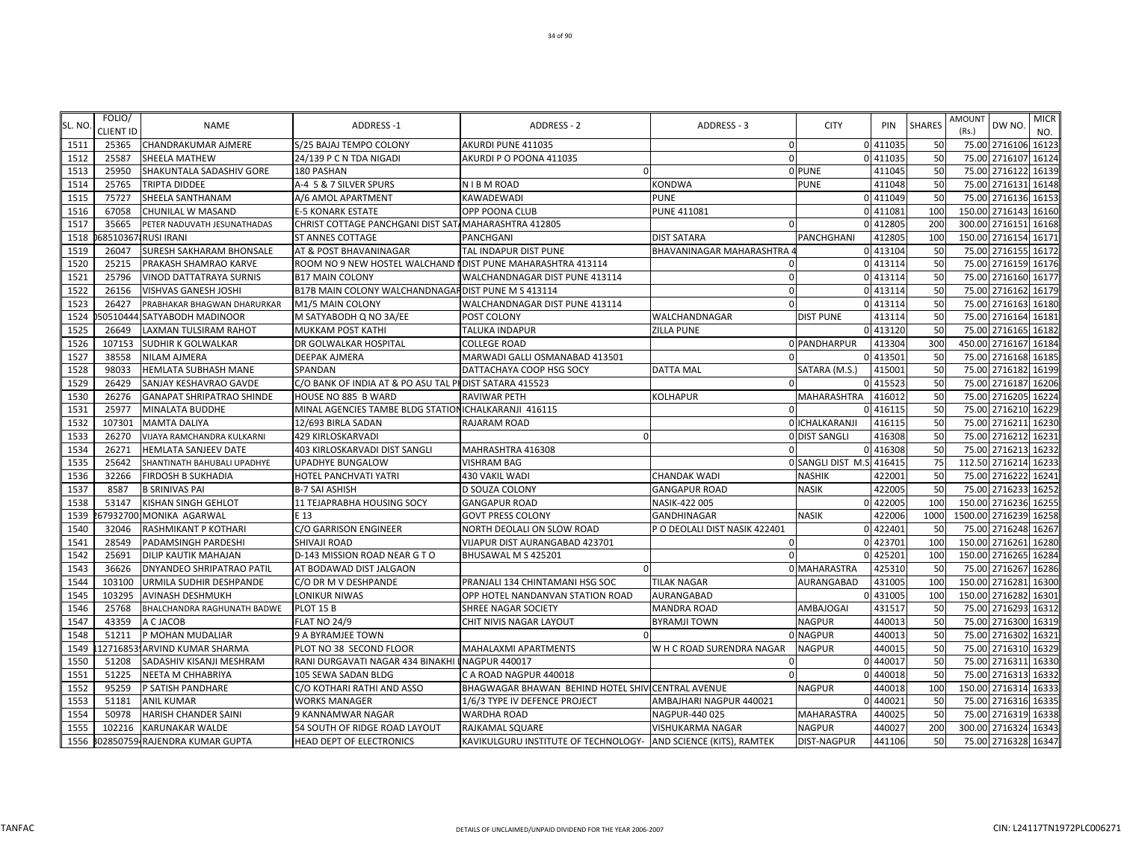| SL. NO | FOLIO/<br>CLIENT ID | <b>NAME</b>                      | <b>ADDRESS-1</b>                                             | ADDRESS - 2                                                     | ADDRESS - 3                   | <b>CITY</b>               | PIN      | <b>SHARES</b> | <b>AMOUNT</b><br>(Rs.) | DW NO.                | <b>MICR</b><br>NO. |
|--------|---------------------|----------------------------------|--------------------------------------------------------------|-----------------------------------------------------------------|-------------------------------|---------------------------|----------|---------------|------------------------|-----------------------|--------------------|
| 1511   | 25365               | <b>CHANDRAKUMAR AJMERE</b>       | S/25 BAJAJ TEMPO COLONY                                      | AKURDI PUNE 411035                                              | $\mathbf{0}$                  |                           | 0 411035 | 50            |                        | 75.00 2716106 16123   |                    |
| 1512   | 25587               | <b>SHEELA MATHEW</b>             | 24/139 P C N TDA NIGADI                                      | AKURDI P O POONA 411035                                         | $\Omega$                      |                           | 0 411035 | 50            |                        | 75.00 2716107 16124   |                    |
| 1513   | 25950               | SHAKUNTALA SADASHIV GORE         | 180 PASHAN                                                   |                                                                 |                               | 0 PUNE                    | 411045   | 50            |                        | 75.00 2716122 16139   |                    |
| 1514   | 25765               | <b>TRIPTA DIDDEE</b>             | A-4 5 & 7 SILVER SPURS                                       | N I B M ROAD                                                    | KONDWA                        | <b>PUNE</b>               | 411048   | 50            | 75.00                  | 2716131 16148         |                    |
| 1515   | 75727               | SHEELA SANTHANAM                 | A/6 AMOL APARTMENT                                           | <b>KAWADEWADI</b>                                               | <b>PUNE</b>                   |                           | 0 411049 | 50            |                        | 75.00 2716136 16153   |                    |
| 1516   | 67058               | CHUNILAL W MASAND                | <b>E-5 KONARK ESTATE</b>                                     | OPP POONA CLUB                                                  | PUNE 411081                   |                           | 0 411081 | 100           | 150.00                 | 2716143 16160         |                    |
| 1517   | 35665               | PETER NADUVATH JESUNATHADAS      | CHRIST COTTAGE PANCHGANI DIST SAT MAHARASHTRA 412805         |                                                                 | $\Omega$                      |                           | 0 41280  | 200           |                        | 300.00 2716151 16168  |                    |
| 1518   | 58510367            | <b>RUSI IRANI</b>                | <b>ST ANNES COTTAGE</b>                                      | PANCHGANI                                                       | <b>DIST SATARA</b>            | PANCHGHANI                | 41280    | 100           |                        | 150.00 2716154 1617   |                    |
| 1519   | 26047               | SURESH SAKHARAM BHONSALE         | AT & POST BHAVANINAGAR                                       | TAL INDAPUR DIST PUNE                                           | BHAVANINAGAR MAHARASHTRA      |                           | 0 413104 | 50            |                        | 75.00 2716155 16172   |                    |
| 1520   | 25215               | PRAKASH SHAMRAO KARVE            | ROOM NO 9 NEW HOSTEL WALCHAND I DIST PUNE MAHARASHTRA 413114 |                                                                 | $\Omega$                      |                           | 0 413114 | 50            |                        | 75.00 2716159 16176   |                    |
| 1521   | 25796               | <b>VINOD DATTATRAYA SURNIS</b>   | <b>B17 MAIN COLONY</b>                                       | WALCHANDNAGAR DIST PUNE 413114                                  | $\Omega$                      |                           | 0 413114 | 50            | 75.00                  | 2716160               | 16177              |
| 1522   | 26156               | VISHVAS GANESH JOSHI             | B17B MAIN COLONY WALCHANDNAGAR DIST PUNE M S 413114          |                                                                 | $\mathbf{0}$                  |                           | 0 413114 | 50            |                        | 75.00 2716162 16179   |                    |
| 1523   | 26427               | PRABHAKAR BHAGWAN DHARURKAR      | M1/5 MAIN COLONY                                             | WALCHANDNAGAR DIST PUNE 413114                                  | $\Omega$                      |                           | 0 413114 | 50            | 75.00                  | 2716163 16180         |                    |
| 1524   | 50510444            | SATYABODH MADINOOR               | M SATYABODH Q NO 3A/EE                                       | POST COLONY                                                     | <b>WALCHANDNAGAR</b>          | <b>DIST PUNE</b>          | 413114   | 50            | 75.00                  | 2716164 16181         |                    |
| 1525   | 26649               | LAXMAN TULSIRAM RAHOT            | MUKKAM POST KATHI                                            | TALUKA INDAPUR                                                  | <b>ZILLA PUNE</b>             |                           | 0 413120 | 50            |                        | 75.00 2716165 16182   |                    |
| 1526   | 107153              | <b>SUDHIR K GOLWALKAR</b>        | DR GOLWALKAR HOSPITAL                                        | <b>COLLEGE ROAD</b>                                             |                               | 0 PANDHARPUR              | 413304   | 300           |                        | 450.00 2716167 16184  |                    |
| 1527   | 38558               | NILAM AJMERA                     | <b>DEEPAK AJMERA</b>                                         | MARWADI GALLI OSMANABAD 413501                                  | $\Omega$                      |                           | 0 413501 | 50            |                        | 75.00 2716168 1618    |                    |
| 1528   | 98033               | HEMLATA SUBHASH MANE             | SPANDAN                                                      | DATTACHAYA COOP HSG SOCY                                        | <b>DATTA MAL</b>              | SATARA (M.S.)             | 415001   | 50            |                        | 75.00 2716182 16199   |                    |
| 1529   | 26429               | SANJAY KESHAVRAO GAVDE           | C/O BANK OF INDIA AT & PO ASU TAL PHDIST SATARA 415523       |                                                                 | $\Omega$                      |                           | 0 415523 | 50            |                        | 75.00 2716187 16206   |                    |
| 1530   | 26276               | <b>GANAPAT SHRIPATRAO SHINDE</b> | HOUSE NO 885 B WARD                                          | <b>RAVIWAR PETH</b>                                             | <b>KOLHAPUR</b>               | MAHARASHTRA               | 416012   | 50            | 75.00                  | 2716205 16224         |                    |
| 1531   | 25977               | MINALATA BUDDHE                  | MINAL AGENCIES TAMBE BLDG STATION ICHALKARANJI 416115        |                                                                 | $\Omega$                      |                           | 0 416115 | 50            | 75.00                  | 2716210 16229         |                    |
| 1532   | 107301              | <b>MAMTA DALIYA</b>              | 12/693 BIRLA SADAN                                           | <b>RAJARAM ROAD</b>                                             |                               | 0 ICHALKARANJI            | 416115   | 50            | 75.00                  | 2716211 16230         |                    |
| 1533   | 26270               | VIJAYA RAMCHANDRA KULKARNI       | 429 KIRLOSKARVADI                                            |                                                                 |                               | O DIST SANGLI             | 416308   | 50            | 75.00                  | 2716212 1623          |                    |
| 1534   | 26271               | HEMLATA SANJEEV DATE             | 403 KIRLOSKARVADI DIST SANGLI                                | MAHRASHTRA 416308                                               | $\Omega$                      |                           | 416308   | 50            |                        | 75.00 2716213 1623.   |                    |
| 1535   | 25642               | SHANTINATH BAHUBALI UPADHYE      | <b>UPADHYE BUNGALOW</b>                                      | <b>VISHRAM BAG</b>                                              |                               | 0 SANGLI DIST M.S. 416415 |          | 75            |                        | 112.50 2716214 1623   |                    |
| 1536   | 32266               | <b>FIRDOSH B SUKHADIA</b>        | HOTEL PANCHVATI YATRI                                        | 430 VAKIL WADI                                                  | <b>CHANDAK WADI</b>           | <b>NASHIK</b>             | 422001   | 50            |                        | 75.00 2716222 16241   |                    |
| 1537   | 8587                | <b>B SRINIVAS PAI</b>            | <b>B-7 SAI ASHISH</b>                                        | <b>D SOUZA COLONY</b>                                           | <b>GANGAPUR ROAD</b>          | <b>NASIK</b>              | 422005   | 50            |                        | 75.00 2716233 16252   |                    |
| 1538   | 53147               | KISHAN SINGH GEHLOT              | 11 TEJAPRABHA HOUSING SOCY                                   | <b>GANGAPUR ROAD</b>                                            | NASIK-422 005                 |                           | 0 422005 | 100           |                        | 150.00 2716236 16255  |                    |
| 1539   | 67932700            | MONIKA AGARWAL                   | E 13                                                         | <b>GOVT PRESS COLONY</b>                                        | <b>GANDHINAGAR</b>            | <b>NASIK</b>              | 422006   | 1000          |                        | 1500.00 2716239 16258 |                    |
| 1540   | 32046               | RASHMIKANT P KOTHARI             | C/O GARRISON ENGINEER                                        | NORTH DEOLALI ON SLOW ROAD                                      | P O DEOLALI DIST NASIK 422401 |                           | 0 42240  | 50            | 75.00                  | 2716248 16267         |                    |
| 1541   | 28549               | PADAMSINGH PARDESHI              | <b>SHIVAJI ROAD</b>                                          | VIJAPUR DIST AURANGABAD 423701                                  | $\mathbf 0$                   |                           | 0 42370  | 100           |                        | 150.00 2716261 16280  |                    |
| 1542   | 25691               | DILIP KAUTIK MAHAJAN             | D-143 MISSION ROAD NEAR G TO                                 | BHUSAWAL M S 425201                                             |                               |                           | 425201   | 100           | 150.00                 | 2716265               | 1628               |
| 1543   | 36626               | DNYANDEO SHRIPATRAO PATIL        | AT BODAWAD DIST JALGAON                                      |                                                                 |                               | 0 MAHARASTRA              | 425310   | 50            |                        | 75.00 2716267 16286   |                    |
| 1544   | 103100              | URMILA SUDHIR DESHPANDE          | C/O DR M V DESHPANDE                                         | PRANJALI 134 CHINTAMANI HSG SOC                                 | <b>TILAK NAGAR</b>            | AURANGABAD                | 431005   | 100           |                        | 150.00 2716281 16300  |                    |
| 1545   | 103295              | AVINASH DESHMUKH                 | LONIKUR NIWAS                                                | OPP HOTEL NANDANVAN STATION ROAD                                | AURANGABAD                    |                           | 0 43100  | 100           |                        | 150.00 2716282        | 16301              |
| 1546   | 25768               | BHALCHANDRA RAGHUNATH BADWE      | PLOT 15 B                                                    | SHREE NAGAR SOCIETY                                             | <b>MANDRA ROAD</b>            | <b>AMBAJOGAI</b>          | 431517   | 50            | 75.00                  | 2716293               | 16312              |
| 1547   | 43359               | A C JACOB                        | <b>FLAT NO 24/9</b>                                          | CHIT NIVIS NAGAR LAYOUT                                         | <b>BYRAMJI TOWN</b>           | <b>NAGPUR</b>             | 440013   | 50            |                        | 75.00 2716300 16319   |                    |
| 1548   | 51211               | P MOHAN MUDALIAR                 | 9 A BYRAMJEE TOWN                                            |                                                                 |                               | 0 NAGPUR                  | 440013   | 50            |                        | 75.00 2716302 1632:   |                    |
| 1549   | 12716853            | ARVIND KUMAR SHARMA              | PLOT NO 38 SECOND FLOOR                                      | MAHALAXMI APARTMENTS                                            | W H C ROAD SURENDRA NAGAR     | <b>NAGPUR</b>             | 440015   | 50            | 75.00                  | 2716310               | 16329              |
| 1550   | 51208               | SADASHIV KISANJI MESHRAM         | RANI DURGAVATI NAGAR 434 BINAKHI INAGPUR 440017              |                                                                 |                               |                           | 440017   | 50            |                        | 75.00 2716311 1633    |                    |
| 1551   | 51225               | NEETA M CHHABRIYA                | 105 SEWA SADAN BLDG                                          | C A ROAD NAGPUR 440018                                          | $\Omega$                      | U                         | 440018   | 50            |                        | 75.00 2716313 16332   |                    |
| 1552   | 95259               | P SATISH PANDHARE                | C/O KOTHARI RATHI AND ASSO                                   | BHAGWAGAR BHAWAN BEHIND HOTEL SHIV CENTRAL AVENUE               |                               | <b>NAGPUR</b>             | 440018   | 100           |                        | 150.00 2716314 16333  |                    |
| 1553   | 51181               | <b>ANIL KUMAR</b>                | <b>WORKS MANAGER</b>                                         | 1/6/3 TYPE IV DEFENCE PROJECT                                   | AMBAJHARI NAGPUR 440021       |                           | 0 440021 | 50            |                        | 75.00 2716316 16335   |                    |
| 1554   | 50978               | HARISH CHANDER SAINI             | 9 KANNAMWAR NAGAR                                            | <b>WARDHA ROAD</b>                                              | NAGPUR-440 025                | MAHARASTRA                | 440025   | 50            | 75.00                  | 2716319 16338         |                    |
| 1555   | 102216              | <b>KARUNAKAR WALDE</b>           | 54 SOUTH OF RIDGE ROAD LAYOUT                                | RAJKAMAL SQUARE                                                 | VISHUKARMA NAGAR              | <b>NAGPUR</b>             | 440027   | 200           |                        | 300.00 2716324 16343  |                    |
| 1556   |                     | 802850759 RAJENDRA KUMAR GUPTA   | HEAD DEPT OF ELECTRONICS                                     | KAVIKULGURU INSTITUTE OF TECHNOLOGY- AND SCIENCE (KITS), RAMTEK |                               | <b>DIST-NAGPUR</b>        | 441106   | 50            |                        | 75.00 2716328 16347   |                    |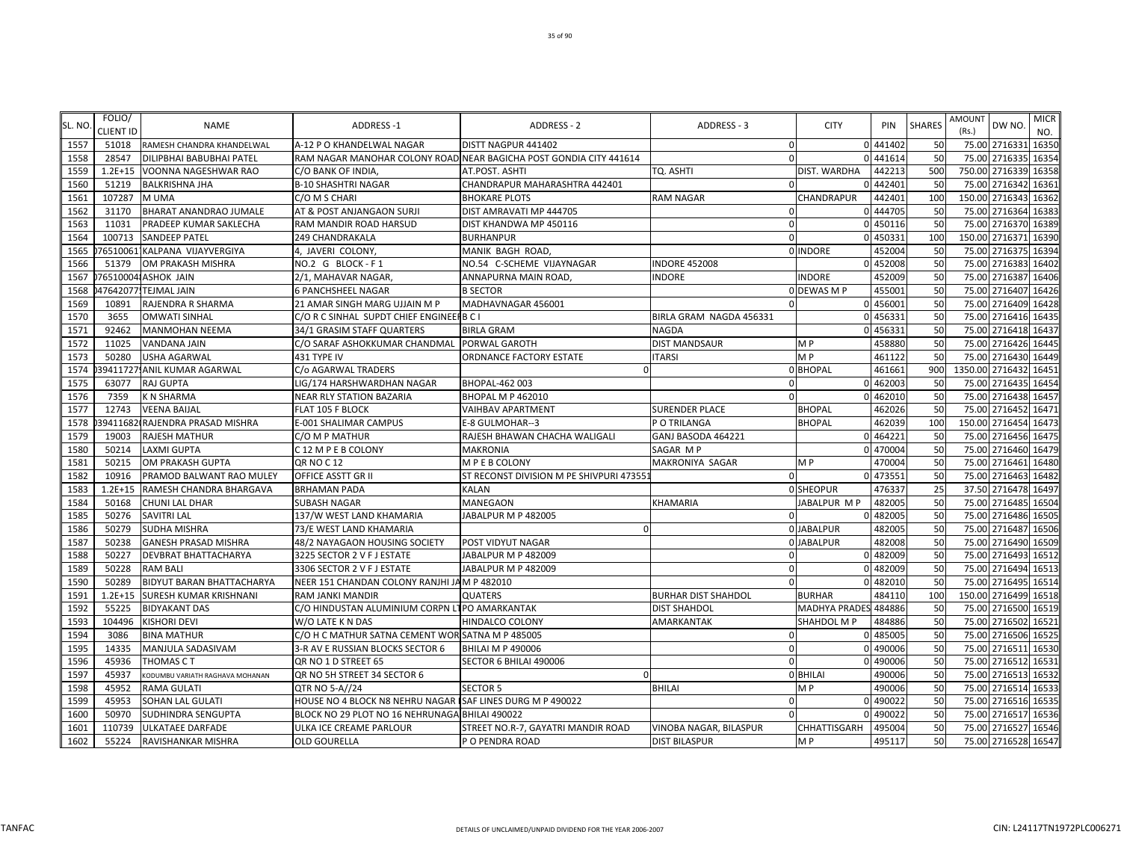| SL. NO | FOLIO/<br><b>CLIENT ID</b> | <b>NAME</b>                     | <b>ADDRESS-1</b>                                           | ADDRESS - 2                                                        | ADDRESS - 3                | <b>CITY</b>          | PIN      | <b>SHARES</b> | <b>AMOUNT</b><br>(Rs.) | DW NO.              | <b>MICR</b><br>NO. |
|--------|----------------------------|---------------------------------|------------------------------------------------------------|--------------------------------------------------------------------|----------------------------|----------------------|----------|---------------|------------------------|---------------------|--------------------|
| 1557   | 51018                      | RAMESH CHANDRA KHANDELWAL       | A-12 P O KHANDELWAL NAGAR                                  | DISTT NAGPUR 441402                                                | $\mathbf 0$                |                      | 0 441402 | 50            |                        | 75.00 2716331       | 16350              |
| 1558   | 28547                      | DILIPBHAI BABUBHAI PATEL        |                                                            | RAM NAGAR MANOHAR COLONY ROAD NEAR BAGICHA POST GONDIA CITY 441614 | $\Omega$                   |                      | 0 441614 | 50            |                        | 75.00 2716335       | 16354              |
| 1559   | $1.2E + 15$                | VOONNA NAGESHWAR RAO            | C/O BANK OF INDIA                                          | AT.POST. ASHTI                                                     | TO. ASHTI                  | DIST. WARDHA         | 442213   | 500           |                        | 750.00 2716339      | 16358              |
| 1560   | 51219                      | <b>BALKRISHNA JHA</b>           | <b>B-10 SHASHTRI NAGAR</b>                                 | CHANDRAPUR MAHARASHTRA 442401                                      |                            |                      | 442401   | 50            |                        | 75.00 2716342       | 16361              |
| 1561   | 107287                     | M UMA                           | C/O M S CHARI                                              | <b>BHOKARE PLOTS</b>                                               | <b>RAM NAGAR</b>           | CHANDRAPUR           | 442401   | 100           |                        | 150.00 2716343      | 16362              |
| 1562   | 31170                      | BHARAT ANANDRAO JUMALE          | AT & POST ANJANGAON SURJI                                  | DIST AMRAVATI MP 444705                                            |                            |                      | 0 444705 | 50            |                        | 75.00 2716364       | 16383              |
| 1563   | 11031                      | PRADEEP KUMAR SAKLECHA          | RAM MANDIR ROAD HARSUD                                     | DIST KHANDWA MP 450116                                             |                            |                      | 0 450116 | 50            |                        | 75.00 2716370       | 16389              |
| 1564   | 100713                     | SANDEEP PATEL                   | 249 CHANDRAKALA                                            | <b>BURHANPUR</b>                                                   |                            |                      | 450331   | 100           |                        | 150.00 2716371      | 16390              |
| 1565   |                            | 76510061]KALPANA VIJAYVERGIYA   | 4, JAVERI COLONY,                                          | MANIK BAGH ROAD,                                                   |                            | 0 INDORE             | 452004   | 50            |                        | 75.00 2716375 16394 |                    |
| 1566   | 51379                      | OM PRAKASH MISHRA               | NO.2 G BLOCK-F1                                            | NO.54 C-SCHEME VIJAYNAGAR                                          | <b>INDORE 452008</b>       |                      | 0 452008 | 50            |                        | 75.00 2716383       | 16402              |
| 1567   |                            | 765100041ASHOK JAIN             | 2/1, MAHAVAR NAGAR,                                        | ANNAPURNA MAIN ROAD                                                | INDORE                     | <b>INDORE</b>        | 452009   | 50            |                        | 75.00 2716387       | 16406              |
| 1568   |                            | 47642077.TEJMAL JAIN            | <b>6 PANCHSHEEL NAGAR</b>                                  | <b>B SECTOR</b>                                                    |                            | 0 DEWAS M P          | 455001   | 50            |                        | 75.00 2716407       | 16426              |
| 1569   | 10891                      | RAJENDRA R SHARMA               | 21 AMAR SINGH MARG UJJAIN M P                              | MADHAVNAGAR 456001                                                 |                            |                      | 0 456001 | 50            |                        | 75.00 2716409       | 16428              |
| 1570   | 3655                       | <b>OMWATI SINHAL</b>            | C/O R C SINHAL SUPDT CHIEF ENGINEERB C I                   |                                                                    | BIRLA GRAM NAGDA 456331    |                      | 0 456331 | 50            |                        | 75.00 2716416       | 16435              |
| 1571   | 92462                      | <b>MANMOHAN NEEMA</b>           | 34/1 GRASIM STAFF QUARTERS                                 | <b>BIRLA GRAM</b>                                                  | NAGDA                      |                      | 0 456331 | 50            |                        | 75.00 2716418 16437 |                    |
| 1572   | 11025                      | VANDANA JAIN                    | C/O SARAF ASHOKKUMAR CHANDMAL                              | PORWAL GAROTH                                                      | DIST MANDSAUR              | M P                  | 458880   | 50            |                        | 75.00 2716426       | 16445              |
| 1573   | 50280                      | <b>USHA AGARWAL</b>             | 431 TYPE IV                                                | ORDNANCE FACTORY ESTATE                                            | <b>ITARSI</b>              | MP                   | 461122   | 50            |                        | 75.00 2716430       | 16449              |
| 1574   |                            | 39411727 ANIL KUMAR AGARWAL     | C/o AGARWAL TRADERS                                        |                                                                    |                            | 0 BHOPAL             | 461661   | 900           |                        | 1350.00 2716432     | 16451              |
| 1575   | 63077                      | RAJ GUPTA                       | LIG/174 HARSHWARDHAN NAGAR                                 | BHOPAL-462 003                                                     | $\Omega$                   |                      | 0 462003 | 50            |                        | 75.00 2716435       | 16454              |
| 1576   | 7359                       | K N SHARMA                      | NEAR RLY STATION BAZARIA                                   | <b>BHOPAL M P 462010</b>                                           | $\Omega$                   | $\Omega$             | 462010   | 50            |                        | 75.00 2716438       | 16457              |
| 1577   | 12743                      | <b>VEENA BAIJAL</b>             | FLAT 105 F BLOCK                                           | <b>VAIHBAV APARTMENT</b>                                           | <b>SURENDER PLACE</b>      | <b>BHOPAL</b>        | 462026   | 50            |                        | 75.00 2716452       | 16471              |
| 1578   |                            | 39411682 RAJENDRA PRASAD MISHRA | E-001 SHALIMAR CAMPUS                                      | E-8 GULMOHAR--3                                                    | P O TRILANGA               | <b>BHOPAL</b>        | 462039   | 100           |                        | 150.00 2716454      | 16473              |
| 1579   | 19003                      | RAJESH MATHUR                   | C/O M P MATHUR                                             | RAJESH BHAWAN CHACHA WALIGALI                                      | GANJ BASODA 464221         | $\Omega$             | 464221   | 50            |                        | 75.00 2716456       | 16475              |
| 1580   | 50214                      | LAXMI GUPTA                     | C 12 M P E B COLONY                                        | MAKRONIA                                                           | SAGAR MP                   |                      | 470004   | 50            |                        | 75.00 2716460       | 16479              |
| 1581   | 50215                      | OM PRAKASH GUPTA                | QR NO C 12                                                 | MPE B COLONY                                                       | MAKRONIYA SAGAR            | M P                  | 470004   | 50            |                        | 75.00 2716461       | 16480              |
| 1582   | 10916                      | PRAMOD BALWANT RAO MULEY        | OFFICE ASSTT GR II                                         | ST RECONST DIVISION M PE SHIVPURI 47355:                           | $\Omega$                   |                      | 0 473551 | 50            |                        | 75.00 2716463 16482 |                    |
| 1583   | $1.2E + 15$                | RAMESH CHANDRA BHARGAVA         | <b>BRHAMAN PADA</b>                                        | KALAN                                                              |                            | 0 SHEOPUR            | 476337   | 25            |                        | 37.50 2716478 16497 |                    |
| 1584   | 50168                      | CHUNI LAL DHAR                  | SUBASH NAGAR                                               | MANEGAON                                                           | KHAMARIA                   | JABALPUR M P         | 482005   | 50            |                        | 75.00 2716485       | 16504              |
| 1585   | 50276                      | SAVITRI LAL                     | 137/W WEST LAND KHAMARIA                                   | JABALPUR M P 482005                                                |                            |                      | 482005   | 50            |                        | 75.00 2716486       | 16505              |
| 1586   | 50279                      | SUDHA MISHRA                    | 73/E WEST LAND KHAMARIA                                    |                                                                    |                            | 0 JABALPUR           | 482005   | 50            |                        | 75.00 2716487       | 16506              |
| 1587   | 50238                      | GANESH PRASAD MISHRA            | 48/2 NAYAGAON HOUSING SOCIETY                              | POST VIDYUT NAGAR                                                  |                            | 0 JABALPUR           | 482008   | 50            |                        | 75.00 2716490       | 16509              |
| 1588   | 50227                      | DEVBRAT BHATTACHARYA            | 3225 SECTOR 2 V F J ESTATE                                 | JABALPUR M P 482009                                                |                            |                      | 0 482009 | 50            |                        | 75.00 2716493       | 16512              |
| 1589   | 50228                      | RAM BALI                        | 3306 SECTOR 2 V F J ESTATE                                 | JABALPUR M P 482009                                                |                            |                      | 482009   | 50            |                        | 75.00 2716494       | 16513              |
| 1590   | 50289                      | BIDYUT BARAN BHATTACHARYA       | NEER 151 CHANDAN COLONY RANJHI JAM P 482010                |                                                                    | $\Omega$                   | $\Omega$             | 482010   | 50            |                        | 75.00 2716495       | 16514              |
| 1591   | $1.2E + 15$                | SURESH KUMAR KRISHNANI          | RAM JANKI MANDIR                                           | QUATERS                                                            | <b>BURHAR DIST SHAHDOL</b> | <b>BURHAR</b>        | 484110   | 100           |                        | 150.00 2716499      | 16518              |
| 1592   | 55225                      | <b>BIDYAKANT DAS</b>            | C/O HINDUSTAN ALUMINIUM CORPN LTPO AMARKANTAK              |                                                                    | <b>DIST SHAHDOL</b>        | MADHYA PRADES 484886 |          | 50            |                        | 75.00 2716500       | 16519              |
| 1593   | 104496                     | <b>KISHORI DEVI</b>             | W/O LATE K N DAS                                           | HINDALCO COLONY                                                    | AMARKANTAK                 | SHAHDOL M P          | 484886   | 50            |                        | 75.00 2716502       | 16521              |
| 1594   | 3086                       | <b>BINA MATHUR</b>              | C/O H C MATHUR SATNA CEMENT WOR SATNA M P 485005           |                                                                    | $\Omega$                   |                      | 0 485005 | 50            |                        | 75.00 2716506       | 16525              |
| 1595   | 14335                      | MANJULA SADASIVAM               | 3-R AV E RUSSIAN BLOCKS SECTOR 6                           | <b>BHILAI M P 490006</b>                                           | $\Omega$                   |                      | 0 490006 | 50            |                        | 75.00 2716511       | 16530              |
| 1596   | 45936                      | THOMAS C T                      | QR NO 1 D STREET 65                                        | SECTOR 6 BHILAI 490006                                             | $\Omega$                   | $\Omega$             | 490006   | 50            |                        | 75.00 2716512 16531 |                    |
| 1597   | 45937                      | KODUMBU VARIATH RAGHAVA MOHANAN | QR NO 5H STREET 34 SECTOR 6                                |                                                                    |                            | 0 BHILAI             | 490006   | 50            |                        | 75.00 2716513       | 16532              |
| 1598   | 45952                      | <b>RAMA GULATI</b>              | QTR NO 5-A//24                                             | <b>SECTOR 5</b>                                                    | <b>BHILAI</b>              | M P                  | 490006   | 50            |                        | 75.00 2716514       | 16533              |
| 1599   | 45953                      | SOHAN LAL GULATI                | HOUSE NO 4 BLOCK N8 NEHRU NAGAR ISAF LINES DURG M P 490022 |                                                                    | $\Omega$                   |                      | 0 490022 | 50            |                        | 75.00 2716516       | 16535              |
| 1600   | 50970                      | SUDHINDRA SENGUPTA              | BLOCK NO 29 PLOT NO 16 NEHRUNAGA BHILAI 490022             |                                                                    | $\Omega$                   | $\Omega$             | 490022   | 50            |                        | 75.00 2716517       | 16536              |
| 1601   | 110739                     | ULKATAEE DARFADE                | ULKA ICE CREAME PARLOUR                                    | STREET NO.R-7, GAYATRI MANDIR ROAD                                 | VINOBA NAGAR, BILASPUR     | CHHATTISGARH         | 495004   | 50            |                        | 75.00 2716527       | 16546              |
| 1602   | 55224                      | RAVISHANKAR MISHRA              | <b>OLD GOURELLA</b>                                        | P O PENDRA ROAD                                                    | <b>DIST BILASPUR</b>       | M <sub>P</sub>       | 495117   | 50            |                        | 75.00 2716528 16547 |                    |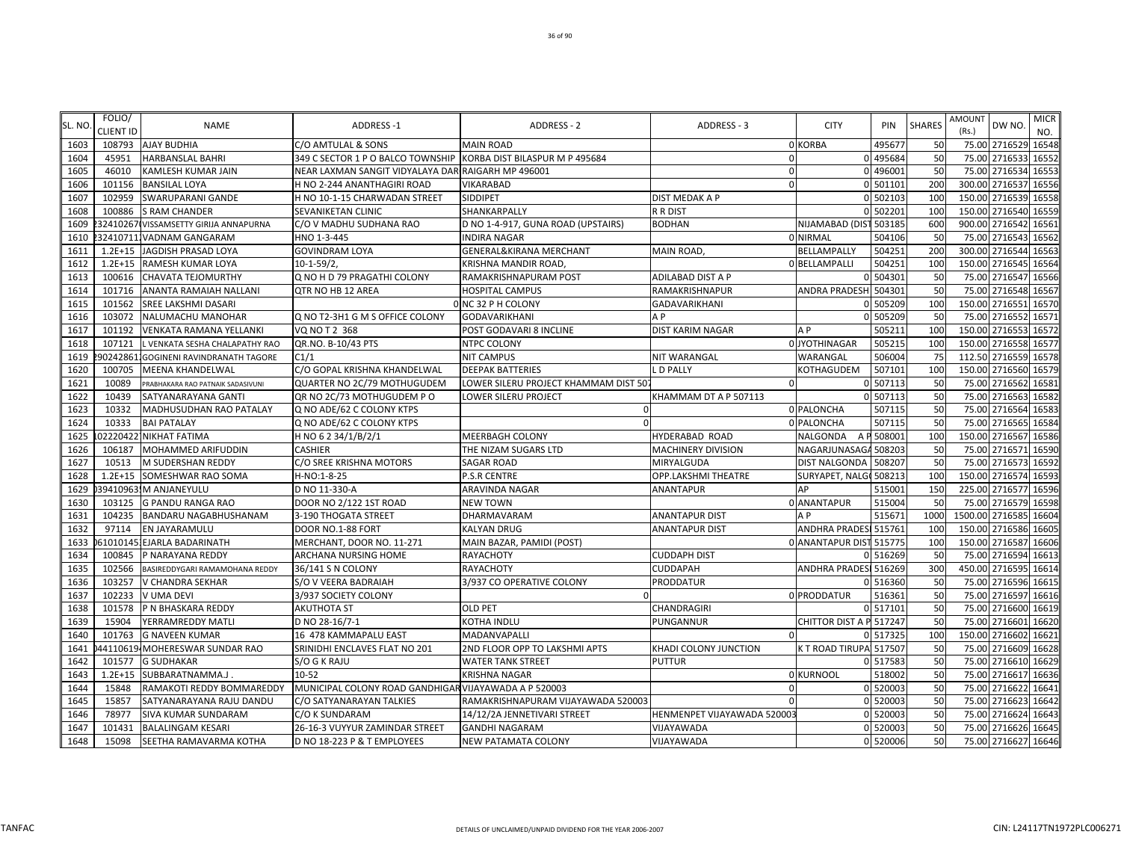| SL. NO | FOLIO/<br>CLIENT ID | <b>NAME</b>                           | <b>ADDRESS-1</b>                                      | <b>ADDRESS - 2</b>                   | ADDRESS - 3                 | <b>CITY</b>             | PIN       | <b>SHARES</b> | AMOUNT<br>(Rs.) | DW NO.               | <b>MICR</b><br>NO. |
|--------|---------------------|---------------------------------------|-------------------------------------------------------|--------------------------------------|-----------------------------|-------------------------|-----------|---------------|-----------------|----------------------|--------------------|
| 1603   | 108793              | <b>AJAY BUDHIA</b>                    | C/O AMTULAL & SONS                                    | <b>MAIN ROAD</b>                     |                             | 0 KORBA                 | 49567     | 50            |                 | 75.00 2716529 16548  |                    |
| 1604   | 45951               | <b>HARBANSLAL BAHRI</b>               | 349 C SECTOR 1 P O BALCO TOWNSHIP                     | KORBA DIST BILASPUR M P 495684       | $\Omega$                    |                         | 0 495684  | 50            | 75.00           | 2716533              | 16552              |
| 1605   | 46010               | KAMLESH KUMAR JAIN                    | NEAR LAXMAN SANGIT VIDYALAYA DARI RAIGARH MP 496001   |                                      | $\Omega$                    |                         | 0 49600   | 50            |                 | 75.00 2716534 16553  |                    |
| 1606   | 101156              | <b>BANSILAL LOYA</b>                  | H NO 2-244 ANANTHAGIRI ROAD                           | <b>VIKARABAD</b>                     | $\Omega$                    |                         | 0 501101  | 200           | 300.00          | 2716537              | 16556              |
| 1607   | 102959              | SWARUPARANI GANDE                     | H NO 10-1-15 CHARWADAN STREET                         | SIDDIPET                             | DIST MEDAK A P              |                         | 0 502103  | 100           |                 | 150.00 2716539 16558 |                    |
| 1608   | 100886              | <b>S RAM CHANDER</b>                  | SEVANIKETAN CLINIC                                    | SHANKARPALLY                         | R R DIST                    |                         | 0 502201  | 100           | 150.00          | 2716540              | 16559              |
| 1609   | 32410267            | VISSAMSETTY GIRIJA ANNAPURNA          | C/O V MADHU SUDHANA RAO                               | D NO 1-4-917, GUNA ROAD (UPSTAIRS)   | <b>BODHAN</b>               | NIJAMABAD (DIST         | 503185    | 600           | 900.00          | 2716542              | 16561              |
| 1610   |                     | 324107111VADNAM GANGARAM              | HNO 1-3-445                                           | <b>INDIRA NAGAR</b>                  |                             | 0 NIRMAL                | 504106    | 50            | 75.00           | 2716543              | 16562              |
| 1611   | $1.2E + 15$         | JAGDISH PRASAD LOYA                   | <b>GOVINDRAM LOYA</b>                                 | GENERAL&KIRANA MERCHANT              | MAIN ROAD,                  | BELLAMPALLY             | 50425     | 200           | 300.00          | 2716544              | 16563              |
| 1612   | $1.2E + 15$         | RAMESH KUMAR LOYA                     | $10-1-59/2$                                           | KRISHNA MANDIR ROAD,                 |                             | 0 BELLAMPALLI           | 50425     | 100           |                 | 150.00 2716545       | 16564              |
| 1613   | 100616              | CHAVATA TEJOMURTHY                    | Q NO H D 79 PRAGATHI COLONY                           | RAMAKRISHNAPURAM POST                | ADILABAD DIST A P           |                         | 0 504301  | 50            |                 | 75.00 2716547        | 16566              |
| 1614   | 101716              | ANANTA RAMAIAH NALLANI                | QTR NO HB 12 AREA                                     | <b>HOSPITAL CAMPUS</b>               | RAMAKRISHNAPUR              | ANDRA PRADESH 504301    |           | 50            |                 | 75.00 2716548        | 16567              |
| 1615   | 101562              | SREE LAKSHMI DASARI                   |                                                       | 0 NC 32 P H COLONY                   | <b>GADAVARIKHANI</b>        |                         | 505209    | 100           | 150.00 2716551  |                      | 16570              |
| 1616   | 103072              | NALUMACHU MANOHAR                     | Q NO T2-3H1 G M S OFFICE COLONY                       | GODAVARIKHANI                        | A P                         |                         | 0 505209  | 50            | 75.00           | 2716552              | 16571              |
| 1617   | 101192              | VENKATA RAMANA YELLANKI               | VQ NO T 2 368                                         | POST GODAVARI 8 INCLINE              | DIST KARIM NAGAR            | A <sub>P</sub>          | 50521     | 100           | 150.00          | 2716553              | 16572              |
| 1618   | 107121              | L VENKATA SESHA CHALAPATHY RAO        | QR.NO. B-10/43 PTS                                    | NTPC COLONY                          |                             | 0 JYOTHINAGAR           | 50521     | 100           | 150.00          | 2716558              | 16577              |
| 1619   |                     | 902428611GOGINENI RAVINDRANATH TAGORE | C1/1                                                  | <b>NIT CAMPUS</b>                    | NIT WARANGAL                | WARANGAL                | 506004    | 75            |                 | 112.50 2716559       | 16578              |
| 1620   | 100705              | MEENA KHANDELWAL                      | C/O GOPAL KRISHNA KHANDELWAL                          | <b>DEEPAK BATTERIES</b>              | L D PALLY                   | KOTHAGUDEM              | 507101    | 100           |                 | 150.00 2716560       | 16579              |
| 1621   | 10089               | PRABHAKARA RAO PATNAIK SADASIVUNI     | QUARTER NO 2C/79 MOTHUGUDEM                           | LOWER SILERU PROJECT KHAMMAM DIST 50 | $\mathbf 0$                 |                         | 0 507113  | 50            |                 | 75.00 2716562        | 16581              |
| 1622   | 10439               | SATYANARAYANA GANTI                   | QR NO 2C/73 MOTHUGUDEM PO                             | LOWER SILERU PROJECT                 | KHAMMAM DT A P 507113       |                         | 0 507113  | 50            | 75.00           | 2716563              | 16582              |
| 1623   | 10332               | MADHUSUDHAN RAO PATALAY               | Q NO ADE/62 C COLONY KTPS                             |                                      |                             | 0 PALONCHA              | 507115    | 50            |                 | 75.00 2716564        | 16583              |
| 1624   | 10333               | <b>BAI PATALAY</b>                    | Q NO ADE/62 C COLONY KTPS                             |                                      |                             | 0 PALONCHA              | 50711     | 50            | 75.00           | 2716565              | 16584              |
| 1625   | 02220422            | <b>NIKHAT FATIMA</b>                  | H NO 6 2 34/1/B/2/1                                   | <b>MEERBAGH COLONY</b>               | <b>HYDERABAD ROAD</b>       | <b>NALGONDA</b>         | A P 50800 | <b>100</b>    | 150.00          | 2716567              | 16586              |
| 1626   | 106187              | MOHAMMED ARIFUDDIN                    | <b>CASHIER</b>                                        | THE NIZAM SUGARS LTD                 | <b>MACHINERY DIVISION</b>   | NAGARJUNASAGA           | 508203    | 50            | 75.00           | 2716571              | 16590              |
| 1627   | 10513               | M SUDERSHAN REDDY                     | C/O SREE KRISHNA MOTORS                               | <b>SAGAR ROAD</b>                    | MIRYALGUDA                  | <b>DIST NALGONDA</b>    | 508207    | 50            | 75.00           | 2716573              | 16592              |
| 1628   | $1.2E + 15$         | SOMESHWAR RAO SOMA                    | H-NO:1-8-25                                           | P.S.R CENTRE                         | OPP.LAKSHMI THEATRE         | SURYAPET, NALG(508213   |           | 100           |                 | 150.00 2716574 16593 |                    |
| 1629   |                     | 39410963.M ANJANEYULU                 | D NO 11-330-A                                         | ARAVINDA NAGAR                       | <b>ANANTAPUR</b>            | AP                      | 515001    | 150           |                 | 225.00 2716577       | 16596              |
| 1630   | 103125              | <b>G PANDU RANGA RAO</b>              | DOOR NO 2/122 1ST ROAD                                | <b>NEW TOWN</b>                      |                             | 0 ANANTAPUR             | 515004    | 50            |                 | 75.00 2716579 16598  |                    |
| 1631   | 104235              | BANDARU NAGABHUSHANAM                 | 3-190 THOGATA STREET                                  | DHARMAVARAM                          | <b>ANANTAPUR DIST</b>       | A <sub>P</sub>          | 51567     | 1000          | 1500.00 2716585 |                      | 16604              |
| 1632   | 97114               | EN JAYARAMULU                         | DOOR NO.1-88 FORT                                     | <b>KALYAN DRUG</b>                   | <b>ANANTAPUR DIST</b>       | <b>ANDHRA PRADES</b>    | 51576     | <b>100</b>    |                 | 150.00 2716586       | 16605              |
| 1633   |                     | 61010145.EJARLA BADARINATH            | MERCHANT, DOOR NO. 11-271                             | MAIN BAZAR, PAMIDI (POST)            |                             | 0 ANANTAPUR DIST 515775 |           | <b>100</b>    | 150.00          | 2716587              | 16606              |
| 1634   | 100845              | P NARAYANA REDDY                      | ARCHANA NURSING HOME                                  | <b>RAYACHOTY</b>                     | <b>CUDDAPH DIST</b>         |                         | 0 516269  | 50            | 75.00           | 2716594              | 16613              |
| 1635   | 102566              | BASIREDDYGARI RAMAMOHANA REDDY        | 36/141 S N COLONY                                     | <b>RAYACHOTY</b>                     | CUDDAPAH                    | ANDHRA PRADESI 516269   |           | 300           | 450.00          | 2716595              | 16614              |
| 1636   | 103257              | V CHANDRA SEKHAR                      | S/O V VEERA BADRAIAH                                  | 3/937 CO OPERATIVE COLONY            | PRODDATUR                   |                         | 0 516360  | 50            |                 | 75.00 2716596        | 16615              |
| 1637   | 102233              | <b>V UMA DEVI</b>                     | 3/937 SOCIETY COLONY                                  |                                      |                             | 0 PRODDATUR             | 516361    | 50            |                 | 75.00 2716597        | 16616              |
| 1638   | 101578              | P N BHASKARA REDDY                    | <b>AKUTHOTA ST</b>                                    | <b>OLD PET</b>                       | CHANDRAGIRI                 |                         | 0 51710   | 50            | 75.00           | 2716600              | 16619              |
| 1639   | 15904               | YERRAMREDDY MATLI                     | D NO 28-16/7-1                                        | <b>KOTHA INDLU</b>                   | PUNGANNUR                   | CHITTOR DIST A P 517247 |           | 50            |                 | 75.00 2716601        | 16620              |
| 1640   | 101763              | <b>G NAVEEN KUMAR</b>                 | 16 478 KAMMAPALU EAST                                 | MADANVAPALLI                         | $\Omega$                    |                         | 0 517325  | 100           | 150.00          | 2716602              | 16621              |
| 1641   | 44110619            | MOHERESWAR SUNDAR RAO                 | SRINIDHI ENCLAVES FLAT NO 201                         | 2ND FLOOR OPP TO LAKSHMI APTS        | KHADI COLONY JUNCTION       | K T ROAD TIRUPA 517507  |           | 50            | 75.00           | 2716609              | 16628              |
| 1642   | 101577              | <b>G SUDHAKAR</b>                     | S/O G K RAJU                                          | <b>WATER TANK STREET</b>             | PUTTUR                      |                         | 517583    | 50            | 75.00           | 2716610 16629        |                    |
| 1643   | $1.2E + 15$         | SUBBARATNAMMA.J.                      | $10 - 52$                                             | <b>KRISHNA NAGAR</b>                 |                             | 0 KURNOOL               | 518002    | 50            |                 | 75.00 2716617 16636  |                    |
| 1644   | 15848               | RAMAKOTI REDDY BOMMAREDDY             | MUNICIPAL COLONY ROAD GANDHIGAR VIJAYAWADA A P 520003 |                                      | $\Omega$                    |                         | 0 520003  | 50            |                 | 75.00 2716622        | 16641              |
| 1645   | 15857               | SATYANARAYANA RAJU DANDU              | C/O SATYANARAYAN TALKIES                              | RAMAKRISHNAPURAM VIJAYAWADA 520003   | $\Omega$                    |                         | 0 520003  | 50            |                 | 75.00 2716623        | 16642              |
| 1646   | 78977               | SIVA KUMAR SUNDARAM                   | C/O K SUNDARAM                                        | 14/12/2A JENNETIVARI STREET          | HENMENPET VIJAYAWADA 520003 |                         | 0 520003  | 50            |                 | 75.00 2716624        | 16643              |
| 1647   | 101431              | <b>BALALINGAM KESARI</b>              | 26-16-3 VUYYUR ZAMINDAR STREET                        | <b>GANDHI NAGARAM</b>                | VIJAYAWADA                  |                         | 0 520003  | 50            |                 | 75.00 2716626 16645  |                    |
| 1648   | 15098               | SEETHA RAMAVARMA KOTHA                | D NO 18-223 P & T EMPLOYEES                           | <b>NEW PATAMATA COLONY</b>           | VIJAYAWADA                  |                         | 0 520006  | 50            |                 | 75.00 2716627 16646  |                    |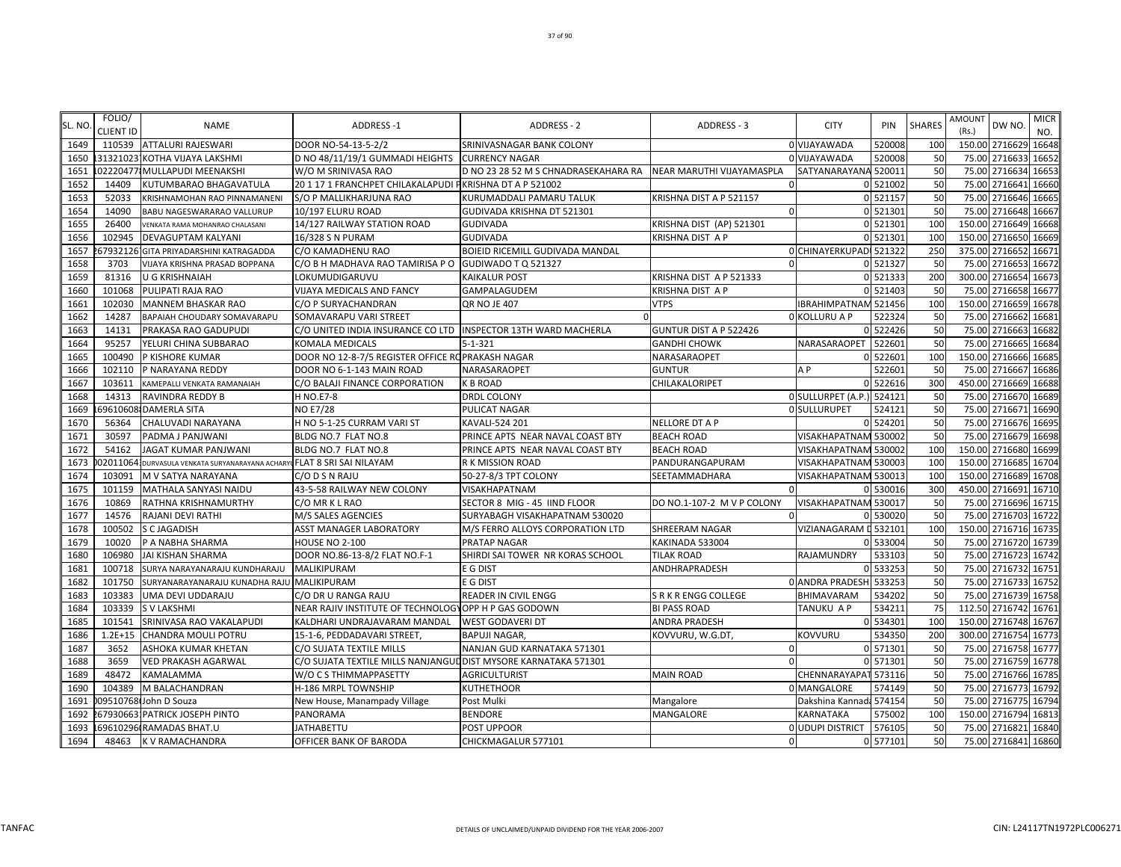| <b>SL. NO</b> | FOLIO/<br><b>CLIENT ID</b> | <b>NAME</b>                                                             | <b>ADDRESS-1</b>                                                | <b>ADDRESS - 2</b>                   | ADDRESS - 3                | <b>CITY</b>             | <b>PIN</b> | <b>SHARES</b> | AMOUNT<br>(Rs.) | DW NO                | <b>MICR</b><br>NO. |
|---------------|----------------------------|-------------------------------------------------------------------------|-----------------------------------------------------------------|--------------------------------------|----------------------------|-------------------------|------------|---------------|-----------------|----------------------|--------------------|
| 1649          | 110539                     | <b>ATTALURI RAJESWARI</b>                                               | DOOR NO-54-13-5-2/2                                             | SRINIVASNAGAR BANK COLONY            |                            | 0 VIJAYAWADA            | 520008     | 100           |                 | 150.00 2716629       | 16648              |
| 1650          |                            | 131321023 KOTHA VIJAYA LAKSHMI                                          | D NO 48/11/19/1 GUMMADI HEIGHTS                                 | <b>CURRENCY NAGAR</b>                |                            | 0 VIJAYAWADA            | 520008     | 50            | 75.00           | 2716633              | 16652              |
| 1651          |                            | 022204771MULLAPUDI MEENAKSHI                                            | W/O M SRINIVASA RAO                                             | D NO 23 28 52 M S CHNADRASEKAHARA RA | NEAR MARUTHI VIJAYAMASPLA  | SATYANARAYANA 520011    |            | 50            |                 | 75.00 2716634        | 16653              |
| 1652          | 14409                      | KUTUMBARAO BHAGAVATULA                                                  | 20 1 17 1 FRANCHPET CHILAKALAPUDI PKRISHNA DT A P 521002        |                                      |                            |                         | 0 521002   | 50            |                 | 75.00 2716641        | 16660              |
| 1653          | 52033                      | KRISHNAMOHAN RAO PINNAMANENI                                            | S/O P MALLIKHARJUNA RAO                                         | KURUMADDALI PAMARU TALUK             | KRISHNA DIST A P 521157    |                         | 0 521157   | 50            |                 | 75.00 2716646        | 16665              |
| 1654          | 14090                      | BABU NAGESWARARAO VALLURUP                                              | 10/197 ELURU ROAD                                               | GUDIVADA KRISHNA DT 521301           |                            |                         | 0 521301   | 50            |                 | 75.00 2716648 16667  |                    |
| 1655          | 26400                      | VENKATA RAMA MOHANRAO CHALASANI                                         | 14/127 RAILWAY STATION ROAD                                     | <b>GUDIVADA</b>                      | KRISHNA DIST (AP) 521301   |                         | 0 521301   | 100           |                 | 150.00 2716649 16668 |                    |
| 1656          | 102945                     | <b>DEVAGUPTAM KALYANI</b>                                               | 16/328 S N PURAM                                                | <b>GUDIVADA</b>                      | <b>KRISHNA DIST A P</b>    |                         | 0 521301   | 100           |                 | 150.00 2716650       | 16669              |
| 1657          |                            | 679321261GITA PRIYADARSHINI KATRAGADDA                                  | C/O KAMADHENU RAO                                               | BOIEID RICEMILL GUDIVADA MANDAL      |                            | 0 CHINAYERKUPADI 521322 |            | 250           |                 | 375.00 2716652       | 16671              |
| 1658          | 3703                       | VIJAYA KRISHNA PRASAD BOPPANA                                           | C/O B H MADHAVA RAO TAMIRISA P O GUDIWADO T Q 521327            |                                      | $\Omega$                   |                         | 0 521327   | 50            |                 | 75.00 2716653        | 16672              |
| 1659          | 81316                      | <b>U G KRISHNAIAH</b>                                                   | LOKUMUDIGARUVU                                                  | <b>KAIKALUR POST</b>                 | KRISHNA DIST A P 521333    |                         | 0 521333   | 200           | 300.00          | 2716654              | 16673              |
| 1660          | 101068                     | PULIPATI RAJA RAO                                                       | VIJAYA MEDICALS AND FANCY                                       | GAMPALAGUDEM                         | KRISHNA DIST A P           |                         | 0 521403   | 50            | 75.00           | 2716658              | 16677              |
| 1661          | 102030                     | <b>MANNEM BHASKAR RAO</b>                                               | C/O P SURYACHANDRAN                                             | <b>OR NO JE 407</b>                  | <b>VTPS</b>                | IBRAHIMPATNAM 521456    |            | 100           | 150.00          | 2716659              | 16678              |
| 1662          | 14287                      | BAPAIAH CHOUDARY SOMAVARAPU                                             | SOMAVARAPU VARI STREET                                          |                                      |                            | O KOLLURU A P           | 522324     | 50            | 75.00           | 2716662              | 16681              |
| 1663          | 14131                      | PRAKASA RAO GADUPUDI                                                    | C/O UNITED INDIA INSURANCE CO LTD  INSPECTOR 13TH WARD MACHERLA |                                      | GUNTUR DIST A P 522426     |                         | 0 522426   | 50            |                 | 75.00 2716663        | 16682              |
| 1664          | 95257                      | YELURI CHINA SUBBARAO                                                   | KOMALA MEDICALS                                                 | $5 - 1 - 321$                        | <b>GANDHI CHOWK</b>        | NARASARAOPET            | 522601     | 50            |                 | 75.00 2716665        | 16684              |
| 1665          | 100490                     | P KISHORE KUMAR                                                         | DOOR NO 12-8-7/5 REGISTER OFFICE ROPRAKASH NAGAR                |                                      | NARASARAOPET               |                         | 0 522601   | 100           |                 | 150.00 2716666       | 16685              |
| 1666          | 102110                     | P NARAYANA REDDY                                                        | DOOR NO 6-1-143 MAIN ROAD                                       | NARASARAOPET                         | <b>GUNTUR</b>              | A <sub>P</sub>          | 522601     | 50            |                 | 75.00 2716667        | 16686              |
| 1667          | 103611                     | KAMEPALLI VENKATA RAMANAIAH                                             | C/O BALAJI FINANCE CORPORATION                                  | <b>K B ROAD</b>                      | CHILAKALORIPET             |                         | 0 522616   | 300           | 450.00          | 2716669              | 16688              |
| 1668          | 14313                      | <b>RAVINDRA REDDY B</b>                                                 | <b>H NO.E7-8</b>                                                | <b>DRDL COLONY</b>                   |                            | 0 SULLURPET (A.P.)      | 524121     | 50            | 75.00           | 2716670              | 16689              |
| 1669          |                            | 69610608 DAMERLA SITA                                                   | <b>NO E7/28</b>                                                 | PULICAT NAGAR                        |                            | 0 SULLURUPET            | 524121     | 50            | 75.00           | 2716671              | 16690              |
| 1670          | 56364                      | CHALUVADI NARAYANA                                                      | H NO 5-1-25 CURRAM VARI ST                                      | KAVALI-524 201                       | <b>NELLORE DT A P</b>      |                         | 0 524201   | 50            |                 | 75.00 2716676        | 16695              |
| 1671          | 30597                      | PADMA J PANJWANI                                                        | BLDG NO.7 FLAT NO.8                                             | PRINCE APTS NEAR NAVAL COAST BTY     | <b>BEACH ROAD</b>          | VISAKHAPATNAM 530002    |            | 50            | 75.00           | 2716679              | 16698              |
| 1672          | 54162                      | JAGAT KUMAR PANJWANI                                                    | BLDG NO.7 FLAT NO.8                                             | PRINCE APTS NEAR NAVAL COAST BTY     | <b>BEACH ROAD</b>          | VISAKHAPATNAM 530002    |            | 100           |                 | 150.00 2716680 16699 |                    |
| 1673          |                            | 020110641DURVASULA VENKATA SURYANARAYANA ACHARYU FLAT 8 SRI SAI NILAYAM |                                                                 | R K MISSION ROAD                     | PANDURANGAPURAM            | VISAKHAPATNAM 530003    |            | 100           |                 | 150.00 2716685       | 16704              |
| 1674          | 103091                     | M V SATYA NARAYANA                                                      | C/O D S N RAJU                                                  | 50-27-8/3 TPT COLONY                 | SEETAMMADHARA              | VISAKHAPATNAM 530013    |            | 100           |                 | 150.00 2716689 16708 |                    |
| 1675          | 101159                     | MATHALA SANYASI NAIDU                                                   | 43-5-58 RAILWAY NEW COLONY                                      | VISAKHAPATNAM                        | $\Omega$                   |                         | 0 530016   | 300           |                 | 450.00 2716691       | 16710              |
| 1676          | 10869                      | RATHNA KRISHNAMURTHY                                                    | C/O MR K L RAO                                                  | SECTOR 8 MIG - 45 IIND FLOOR         | DO NO.1-107-2 M V P COLONY | VISAKHAPATNAM 530017    |            | 50            |                 | 75.00 2716696 16715  |                    |
| 1677          | 14576                      | RAJANI DEVI RATHI                                                       | M/S SALES AGENCIES                                              | SURYABAGH VISAKHAPATNAM 530020       |                            |                         | 0 530020   | 50            | 75.00           | 2716703 16722        |                    |
| 1678          | 100502                     | <b>S C JAGADISH</b>                                                     | <b>ASST MANAGER LABORATORY</b>                                  | M/S FERRO ALLOYS CORPORATION LTD     | SHREERAM NAGAR             | VIZIANAGARAM L 532101   |            | 100           |                 | 150.00 2716716 16735 |                    |
| 1679          | 10020                      | P A NABHA SHARMA                                                        | HOUSE NO 2-100                                                  | PRATAP NAGAR                         | KAKINADA 533004            |                         | 0 533004   | 50            |                 | 75.00 2716720 16739  |                    |
| 1680          | 106980                     | <b>JAI KISHAN SHARMA</b>                                                | DOOR NO.86-13-8/2 FLAT NO.F-1                                   | SHIRDI SAI TOWER NR KORAS SCHOOL     | <b>TILAK ROAD</b>          | RAJAMUNDRY              | 533103     | 50            | 75.00           | 2716723              | 16742              |
| 1681          | 100718                     | SURYA NARAYANARAJU KUNDHARAJU                                           | MALIKIPURAM                                                     | E G DIST                             | ANDHRAPRADESH              |                         | 0 533253   | 50            |                 | 75.00 2716732 16751  |                    |
| 1682          | 101750                     | SURYANARAYANARAJU KUNADHA RAJU                                          | MALIKIPURAM                                                     | E G DIST                             |                            | 0 ANDRA PRADESH 533253  |            | 50            |                 | 75.00 2716733        | 16752              |
| 1683          | 103383                     | UMA DEVI UDDARAJU                                                       | C/O DR U RANGA RAJU                                             | <b>READER IN CIVIL ENGG</b>          | <b>SRKRENGG COLLEGE</b>    | BHIMAVARAM              | 534202     | 50            |                 | 75.00 2716739 16758  |                    |
| 1684          | 103339                     | <b>SV LAKSHMI</b>                                                       | NEAR RAJIV INSTITUTE OF TECHNOLOGYOPP H P GAS GODOWN            |                                      | <b>BI PASS ROAD</b>        | <b>TANUKU A P</b>       | 534211     | 75            |                 | 112.50 2716742       | 16761              |
| 1685          | 101541                     | SRINIVASA RAO VAKALAPUDI                                                | KALDHARI UNDRAJAVARAM MANDAL                                    | <b>WEST GODAVERI DT</b>              | ANDRA PRADESH              |                         | 0 534301   | 100           |                 | 150.00 2716748 16767 |                    |
| 1686          | $1.2E + 15$                | <b>CHANDRA MOULI POTRU</b>                                              | 15-1-6, PEDDADAVARI STREET,                                     | <b>BAPUJI NAGAR,</b>                 | KOVVURU, W.G.DT,           | <b>KOVVURU</b>          | 534350     | 200           |                 | 300.00 2716754       | 16773              |
| 1687          | 3652                       | ASHOKA KUMAR KHETAN                                                     | C/O SUJATA TEXTILE MILLS                                        | NANJAN GUD KARNATAKA 571301          | $\Omega$                   |                         | 0 571301   | 50            | 75.00           | 2716758              | 16777              |
| 1688          | 3659                       | <b>VED PRAKASH AGARWAL</b>                                              | C/O SUJATA TEXTILE MILLS NANJANGUL DIST MYSORE KARNATAKA 571301 |                                      | $\Omega$                   |                         | 0 571301   | 50            |                 | 75.00 2716759 16778  |                    |
| 1689          | 48472                      | KAMALAMMA                                                               | W/O C S THIMMAPPASETTY                                          | <b>AGRICULTURIST</b>                 | <b>MAIN ROAD</b>           | CHENNARAYAPAT           | 573116     | 50            |                 | 75.00 2716766 16785  |                    |
| 1690          | 104389                     | M BALACHANDRAN                                                          | H-186 MRPL TOWNSHIP                                             | <b>KUTHETHOOR</b>                    |                            | 0 MANGALORE             | 574149     | 50            |                 | 75.00 2716773 16792  |                    |
| 1691          |                            | 09510768 John D Souza                                                   | New House, Manampady Village                                    | Post Mulki                           | Mangalore                  | Dakshina Kannada 574154 |            | 50            |                 | 75.00 2716775        | 16794              |
| 1692          |                            | 267930663: PATRICK JOSEPH PINTO                                         | PANORAMA                                                        | <b>BENDORE</b>                       | MANGALORE                  | <b>KARNATAKA</b>        | 575002     | 100           |                 | 150.00 2716794       | 16813              |
| 1693          |                            | 169610296 RAMADAS BHAT.U                                                | <b>JATHABETTU</b>                                               | POST UPPOOR                          |                            | <b>OUDUPI DISTRICT</b>  | 576105     | 50            |                 | 75.00 2716821        | 16840              |
| 1694          | 48463                      | K V RAMACHANDRA                                                         | OFFICER BANK OF BARODA                                          | CHICKMAGALUR 577101                  | $\Omega$                   |                         | 0 577101   | 50            |                 | 75.00 2716841 16860  |                    |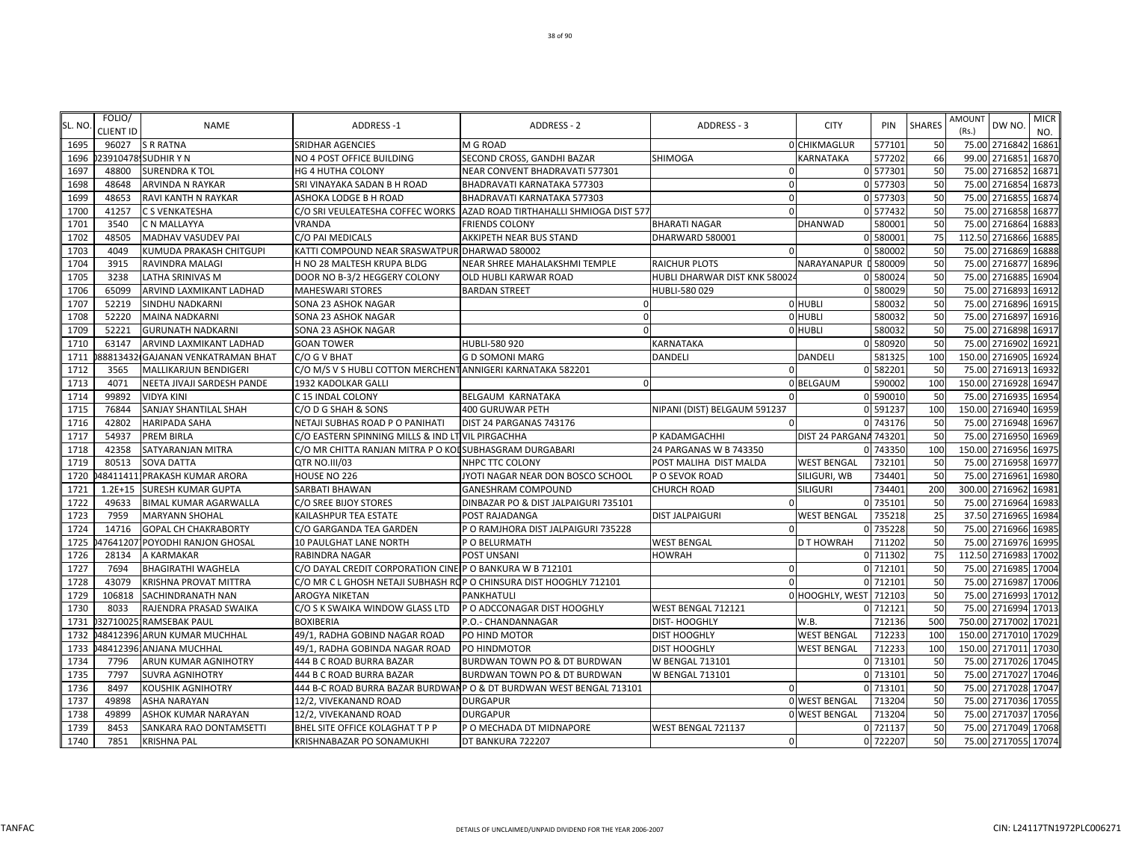| SL. NO | FOLIO/<br><b>CLIENT ID</b> | <b>NAME</b>                       | <b>ADDRESS-1</b>                                                   | ADDRESS - 2                                                         | ADDRESS - 3                   | <b>CITY</b>            | PIN      | <b>SHARES</b> | AMOUNT<br>(Rs.)      | DW NO.        | <b>MICR</b><br>NO. |
|--------|----------------------------|-----------------------------------|--------------------------------------------------------------------|---------------------------------------------------------------------|-------------------------------|------------------------|----------|---------------|----------------------|---------------|--------------------|
| 1695   | 96027                      | <b>S R RATNA</b>                  | <b>SRIDHAR AGENCIES</b>                                            | M G ROAD                                                            |                               | 0 CHIKMAGLUR           | 577101   | 50            | 75.00 2716842        |               | 16861              |
| 1696   |                            | 23910478 SUDHIR YN                | NO 4 POST OFFICE BUILDING                                          | SECOND CROSS, GANDHI BAZAR                                          | <b>SHIMOGA</b>                | KARNATAKA              | 577202   | 66            | 99.00 2716851        |               | 16870              |
| 1697   | 48800                      | <b>SURENDRA K TOL</b>             | <b>HG 4 HUTHA COLONY</b>                                           | NEAR CONVENT BHADRAVATI 577301                                      | $\Omega$                      |                        | 0 577301 | 50            | 75.00 2716852        |               | 16871              |
| 1698   | 48648                      | <b>ARVINDA N RAYKAR</b>           | SRI VINAYAKA SADAN B H ROAD                                        | BHADRAVATI KARNATAKA 577303                                         | $\Omega$                      |                        | 0 577303 | 50            | 75.00                | 2716854       | 16873              |
| 1699   | 48653                      | <b>RAVI KANTH N RAYKAR</b>        | ASHOKA LODGE B H ROAD                                              | BHADRAVATI KARNATAKA 577303                                         | $\Omega$                      |                        | 0 577303 | 50            | 75.00 2716855        |               | 16874              |
| 1700   | 41257                      | <b>C S VENKATESHA</b>             | C/O SRI VEULEATESHA COFFEC WORKS                                   | AZAD ROAD TIRTHAHALLI SHMIOGA DIST 577                              | $\Omega$                      |                        | 0 577432 | 50            | 75.00                | 2716858       | 16877              |
| 1701   | 3540                       | <b>C N MALLAYYA</b>               | <b>VRANDA</b>                                                      | <b>FRIENDS COLONY</b>                                               | <b>BHARATI NAGAR</b>          | <b>DHANWAD</b>         | 580001   | 50            | 75.00 2716864        |               | 16883              |
| 1702   | 48505                      | MADHAV VASUDEV PAI                | C/O PAI MEDICALS                                                   | AKKIPETH NEAR BUS STAND                                             | DHARWARD 580001               |                        | 0 580001 | 75            | 112.50 2716866       |               | 16885              |
| 1703   | 4049                       | KUMUDA PRAKASH CHITGUPI           | KATTI COMPOUND NEAR SRASWATPUR DHARWAD 580002                      |                                                                     | $\Omega$                      |                        | 0 580002 | 50            | 75.00 2716869        |               | 16888              |
| 1704   | 3915                       | RAVINDRA MALAGI                   | H NO 28 MALTESH KRUPA BLDG                                         | NEAR SHREE MAHALAKSHMI TEMPLE                                       | RAICHUR PLOTS                 | NARAYANAPUR L 580009   |          | 50            | 75.00 2716877        |               | 16896              |
| 1705   | 3238                       | <b>LATHA SRINIVAS M</b>           | DOOR NO B-3/2 HEGGERY COLONY                                       | OLD HUBLI KARWAR ROAD                                               | HUBLI DHARWAR DIST KNK 580024 |                        | 0 580024 | 50            | 75.00 2716885        |               | 16904              |
| 1706   | 65099                      | ARVIND LAXMIKANT LADHAD           | <b>MAHESWARI STORES</b>                                            | <b>BARDAN STREET</b>                                                | HUBLI-580 029                 |                        | 0 580029 | 50            | 75.00 2716893        |               | 16912              |
| 1707   | 52219                      | <b>SINDHU NADKARNI</b>            | SONA 23 ASHOK NAGAR                                                |                                                                     |                               | <b>O</b> HUBLI         | 580032   | 50            | 75.00 2716896        |               | 16915              |
| 1708   | 52220                      | <b>MAINA NADKARNI</b>             | SONA 23 ASHOK NAGAR                                                | $\Omega$                                                            |                               | 0 HUBLI                | 580032   | 50            | 75.00                | 2716897       | 16916              |
| 1709   | 52221                      | <b>GURUNATH NADKARNI</b>          | SONA 23 ASHOK NAGAR                                                |                                                                     |                               | <b>O</b> HUBLI         | 580032   | 50            | 75.00                | 2716898       | 16917              |
| 1710   | 63147                      | ARVIND LAXMIKANT LADHAD           | <b>GOAN TOWER</b>                                                  | HUBLI-580 920                                                       | KARNATAKA                     |                        | 0 580920 | 50            | 75.00 2716902        |               | 16921              |
| 1711   |                            | 38813432 GAJANAN VENKATRAMAN BHAT | C/O G V BHAT                                                       | <b>GD SOMONI MARG</b>                                               | DANDELI                       | <b>DANDELI</b>         | 581325   | 100           | 150.00 2716905       |               | 16924              |
| 1712   | 3565                       | MALLIKARJUN BENDIGERI             | C/O M/S V S HUBLI COTTON MERCHENT ANNIGERI KARNATAKA 582201        |                                                                     | $\Omega$                      |                        | 0 582201 | 50            | 75.00 2716913        |               | 16932              |
| 1713   | 4071                       | NEETA JIVAJI SARDESH PANDE        | 1932 KADOLKAR GALLI                                                | $\Omega$                                                            |                               | 0 BELGAUM              | 590002   | 100           | 150.00 2716928       |               | 16947              |
| 1714   | 99892                      | <b>VIDYA KINI</b>                 | C 15 INDAL COLONY                                                  | <b>BELGAUM KARNATAKA</b>                                            |                               |                        | 0 590010 | 50            | 75.00 2716935        |               | 16954              |
| 1715   | 76844                      | SANJAY SHANTILAL SHAH             | C/O D G SHAH & SONS                                                | 400 GURUWAR PETH                                                    | NIPANI (DIST) BELGAUM 591237  |                        | 0 591237 | 100           | 150.00 2716940       |               | 16959              |
| 1716   | 42802                      | <b>HARIPADA SAHA</b>              | NETAJI SUBHAS ROAD P O PANIHATI                                    | DIST 24 PARGANAS 743176                                             |                               |                        | 0 743176 | 50            | 75.00 2716948        |               | 16967              |
| 1717   | 54937                      | <b>PREM BIRLA</b>                 | C/O EASTERN SPINNING MILLS & IND LT VIL PIRGACHHA                  |                                                                     | P KADAMGACHHI                 | DIST 24 PARGANA 743201 |          | 50            | 75.00                | 2716950       | 16969              |
| 1718   | 42358                      | <b>SATYARANJAN MITRA</b>          | C/O MR CHITTA RANJAN MITRA P O KOLSUBHASGRAM DURGABARI             |                                                                     | 24 PARGANAS W B 743350        |                        | 0 743350 | 100           | 150.00 2716956       |               | 16975              |
| 1719   | 80513                      | <b>SOVA DATTA</b>                 | QTR NO.III/03                                                      | NHPC TTC COLONY                                                     | POST MALIHA DIST MALDA        | <b>WEST BENGAL</b>     | 732101   | 50            | 75.00 2716958        |               | 16977              |
| 1720   |                            | 48411411 PRAKASH KUMAR ARORA      | HOUSE NO 226                                                       | JYOTI NAGAR NEAR DON BOSCO SCHOOL                                   | P O SEVOK ROAD                | SILIGURI, WB           | 734401   | 50            | 75.00 2716961        |               | 16980              |
| 1721   | $1.2E + 15$                | <b>SURESH KUMAR GUPTA</b>         | SARBATI BHAWAN                                                     | <b>GANESHRAM COMPOUND</b>                                           | <b>CHURCH ROAD</b>            | <b>SILIGURI</b>        | 734401   | 200           | 300.00 2716962       |               | 16981              |
| 1722   | 49633                      | <b>BIMAL KUMAR AGARWALLA</b>      | C/O SREE BIJOY STORES                                              | DINBAZAR PO & DIST JALPAIGURI 735101                                |                               |                        | 0 735101 | 50            | 75.00 2716964        |               | 16983              |
| 1723   | 7959                       | <b>MARYANN SHOHAL</b>             | KAILASHPUR TEA ESTATE                                              | POST RAJADANGA                                                      | <b>DIST JALPAIGURI</b>        | <b>WEST BENGAL</b>     | 735218   | 25            | 37.50 2716965        |               | 16984              |
| 1724   | 14716                      | <b>GOPAL CH CHAKRABORTY</b>       | C/O GARGANDA TEA GARDEN                                            | P O RAMJHORA DIST JALPAIGURI 735228                                 |                               |                        | 0 735228 | 50            | 75.00                | 2716966       | 16985              |
| 1725   |                            | 17641207 POYODHI RANJON GHOSAL    | 10 PAULGHAT LANE NORTH                                             | P O BELURMATH                                                       | WEST BENGAL                   | D T HOWRAH             | 711202   | 50            | 75.00 2716976        |               | 16995              |
| 1726   | 28134                      | A KARMAKAR                        | RABINDRA NAGAR                                                     | POST UNSANI                                                         | <b>HOWRAH</b>                 |                        | 0 711302 | 75            | 112.50 2716983       |               | 17002              |
| 1727   | 7694                       | <b>BHAGIRATHI WAGHELA</b>         | C/O DAYAL CREDIT CORPORATION CINE P O BANKURA W B 712101           |                                                                     | $\Omega$                      |                        | 0 712101 | 50            | 75.00 2716985        |               | 17004              |
| 1728   | 43079                      | KRISHNA PROVAT MITTRA             | C/O MR C L GHOSH NETAJI SUBHASH ROP O CHINSURA DIST HOOGHLY 712101 |                                                                     | $\Omega$                      |                        | 0 712101 | 50            | 75.00 2716987        |               | 17006              |
| 1729   | 106818                     | <b>SACHINDRANATH NAN</b>          | AROGYA NIKETAN                                                     | PANKHATULI                                                          |                               | 0 HOOGHLY, WEST 712103 |          | 50            | 75.00 2716993        |               | 17012              |
| 1730   | 8033                       | RAJENDRA PRASAD SWAIKA            | C/O S K SWAIKA WINDOW GLASS LTD                                    | P O ADCCONAGAR DIST HOOGHLY                                         | WEST BENGAL 712121            |                        | 0 712121 | 50            | 75.00 2716994        |               | 17013              |
| 1731   |                            | 327100251RAMSEBAK PAUL            | <b>BOXIBERIA</b>                                                   | P.O.- CHANDANNAGAR                                                  | DIST- HOOGHLY                 | W.B.                   | 712136   | 500           | 750.00               | 2717002       | 17021              |
| 1732   |                            | 484123961ARUN KUMAR MUCHHAL       | 49/1, RADHA GOBIND NAGAR ROAD                                      | PO HIND MOTOR                                                       | <b>DIST HOOGHLY</b>           | <b>WEST BENGAL</b>     | 712233   | 100           | 150.00 2717010 17029 |               |                    |
| 1733   |                            | 48412396 ANJANA MUCHHAL           | 49/1, RADHA GOBINDA NAGAR ROAD                                     | PO HINDMOTOR                                                        | <b>DIST HOOGHLY</b>           | <b>WEST BENGAL</b>     | 712233   | 100           | 150.00 2717011       |               | 17030              |
| 1734   | 7796                       | ARUN KUMAR AGNIHOTRY              | 444 B C ROAD BURRA BAZAR                                           | BURDWAN TOWN PO & DT BURDWAN                                        | W BENGAL 713101               |                        | 0 713101 | 50            | 75.00 2717026 17045  |               |                    |
| 1735   | 7797                       | <b>SUVRA AGNIHOTRY</b>            | 444 B C ROAD BURRA BAZAR                                           | BURDWAN TOWN PO & DT BURDWAN                                        | W BENGAL 713101               |                        | 0 713101 | 50            | 75.00 2717027        |               | 17046              |
| 1736   | 8497                       | <b>KOUSHIK AGNIHOTRY</b>          |                                                                    | 444 B-C ROAD BURRA BAZAR BURDWANP O & DT BURDWAN WEST BENGAL 713101 |                               |                        | 0 713101 | 50            | 75.00 2717028 17047  |               |                    |
| 1737   | 49898                      | <b>ASHA NARAYAN</b>               | 12/2, VIVEKANAND ROAD                                              | <b>DURGAPUR</b>                                                     |                               | <b>0 WEST BENGAL</b>   | 713204   | 50            | 75.00 2717036 17055  |               |                    |
| 1738   | 49899                      | ASHOK KUMAR NARAYAN               | 12/2, VIVEKANAND ROAD                                              | <b>DURGAPUR</b>                                                     |                               | <b>O WEST BENGAL</b>   | 713204   | 50            | 75.00                | 2717037 17056 |                    |
| 1739   | 8453                       | SANKARA RAO DONTAMSETTI           | BHEL SITE OFFICE KOLAGHAT T P P                                    | P O MECHADA DT MIDNAPORE                                            | WEST BENGAL 721137            |                        | 0 721137 | 50            | 75.00 2717049 17068  |               |                    |
| 1740   | 7851                       | <b>KRISHNA PAL</b>                | <b>KRISHNABAZAR PO SONAMUKHI</b>                                   | DT BANKURA 722207                                                   | $\Omega$                      |                        | 0 722207 | 50            | 75.00 2717055 17074  |               |                    |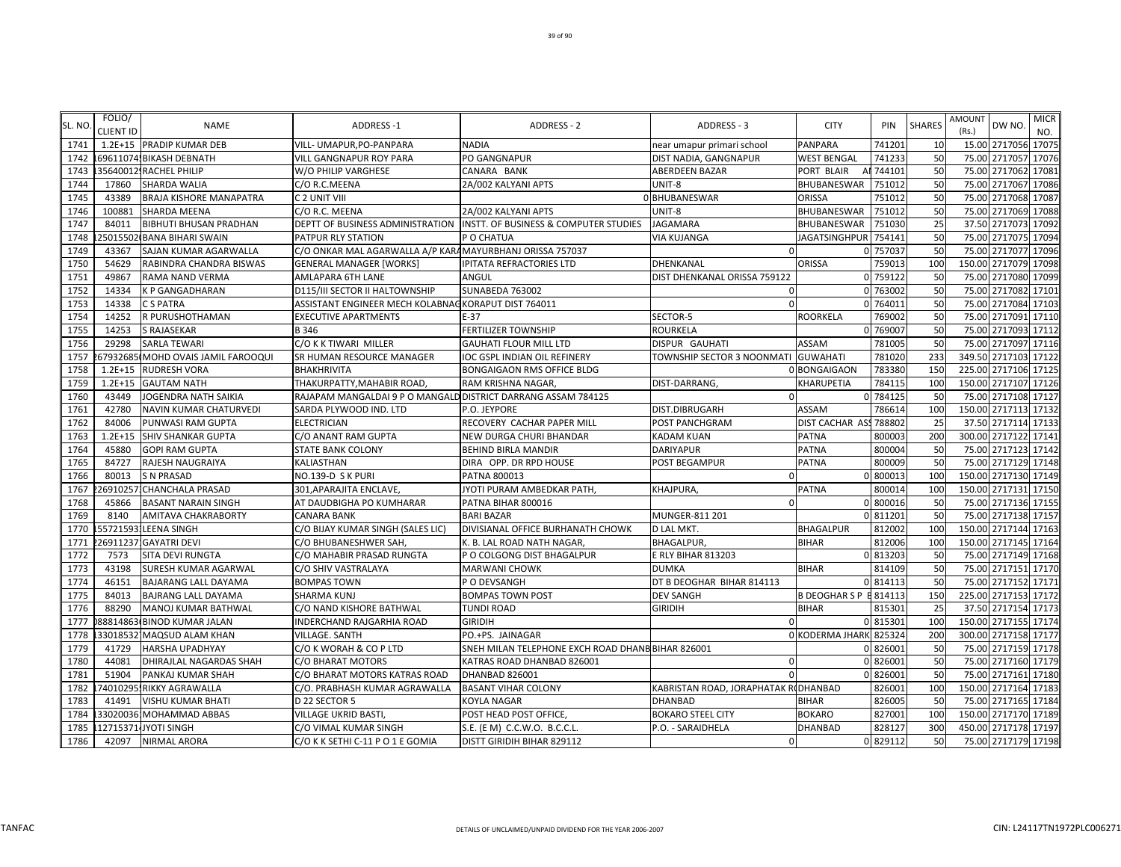| SL. NO | FOLIO/<br><b>CLIENT ID</b> | <b>NAME</b>                        | <b>ADDRESS-1</b>                                              | <b>ADDRESS - 2</b>                                                     | ADDRESS - 3                         | <b>CITY</b>            | PIN       | <b>SHARES</b> | AMOUNT<br>(Rs.)      | DW NO.               | <b>MICR</b><br>NO. |
|--------|----------------------------|------------------------------------|---------------------------------------------------------------|------------------------------------------------------------------------|-------------------------------------|------------------------|-----------|---------------|----------------------|----------------------|--------------------|
| 1741   |                            | 1.2E+15 PRADIP KUMAR DEB           | VILL- UMAPUR, PO-PANPARA                                      | <b>NADIA</b>                                                           | near umapur primari school          | <b>PANPARA</b>         | 741201    | 10            |                      | 15.00 2717056 17075  |                    |
| 1742   |                            | 69611074 BIKASH DEBNATH            | <b>VILL GANGNAPUR ROY PARA</b>                                | PO GANGNAPUR                                                           | DIST NADIA, GANGNAPUR               | <b>WEST BENGAL</b>     | 741233    | 50            |                      | 75.00 2717057        | 17076              |
| 1743   |                            | 35640012 RACHEL PHILIP             | W/O PHILIP VARGHESE                                           | CANARA BANK                                                            | ABERDEEN BAZAR                      | PORT BLAIR             | Al 744101 | 50            |                      | 75.00 2717062        | 17081              |
| 1744   | 17860                      | SHARDA WALIA                       | C/O R.C.MEENA                                                 | 2A/002 KALYANI APTS                                                    | UNIT-8                              | BHUBANESWAR            | 751012    | 50            | 75.00                | 2717067              | 17086              |
| 1745   | 43389                      | BRAJA KISHORE MANAPATRA            | C 2 UNIT VIII                                                 |                                                                        | 0 BHUBANESWAR                       | <b>ORISSA</b>          | 751012    | 50            |                      | 75.00 2717068 17087  |                    |
| 1746   | 100881                     | SHARDA MEENA                       | C/O R.C. MEENA                                                | 2A/002 KALYANI APTS                                                    | UNIT-8                              | <b>BHUBANESWAR</b>     | 751012    | 50            | 75.00                | 2717069              | 17088              |
| 1747   | 84011                      | BIBHUTI BHUSAN PRADHAN             |                                                               | DEPTT OF BUSINESS ADMINISTRATION INSTT. OF BUSINESS & COMPUTER STUDIES | <b>JAGAMARA</b>                     | <b>BHUBANESWAR</b>     | 751030    | 25            |                      | 37.50 2717073        | 17092              |
| 1748   |                            | 25015502 BANA BIHARI SWAIN         | PATPUR RLY STATION                                            | P O CHATUA                                                             | VIA KUJANGA                         | JAGATSINGHPUR          | 754141    | 50            |                      | 75.00 2717075        | 17094              |
| 1749   | 43367                      | SAJAN KUMAR AGARWALLA              | C/O ONKAR MAL AGARWALLA A/P KARA MAYURBHANJ ORISSA 757037     |                                                                        | $\Omega$                            |                        | 0 757037  | 50            | 75.00                | 2717077              | 17096              |
| 1750   | 54629                      | RABINDRA CHANDRA BISWAS            | <b>GENERAL MANAGER [WORKS]</b>                                | IPITATA REFRACTORIES LTD                                               | DHENKANAL                           | ORISSA                 | 759013    | 100           | 150.00 2717079       |                      | 17098              |
| 1751   | 49867                      | RAMA NAND VERMA                    | <b>AMLAPARA 6TH LANE</b>                                      | ANGUL                                                                  | DIST DHENKANAL ORISSA 759122        |                        | 0 759122  | 50            |                      | 75.00 2717080        | 17099              |
| 1752   | 14334                      | K P GANGADHARAN                    | D115/III SECTOR II HALTOWNSHIP                                | SUNABEDA 763002                                                        | $\Omega$                            |                        | 0 763002  | 50            |                      | 75.00 2717082 17101  |                    |
| 1753   | 14338                      | C S PATRA                          | ASSISTANT ENGINEER MECH KOLABNAG KORAPUT DIST 764011          |                                                                        | $\Omega$                            |                        | 0 76401   | 50            |                      | 75.00 2717084        | 17103              |
| 1754   | 14252                      | R PURUSHOTHAMAN                    | <b>EXECUTIVE APARTMENTS</b>                                   | $E-37$                                                                 | SECTOR-5                            | <b>ROORKELA</b>        | 769002    | 50            | 75.00                | 2717091              | 17110              |
| 1755   | 14253                      | <b>S RAJASEKAR</b>                 | B 346                                                         | <b>FERTILIZER TOWNSHIP</b>                                             | <b>ROURKELA</b>                     |                        | 0 769007  | 50            |                      | 75.00 2717093 17112  |                    |
| 1756   | 29298                      | <b>SARLA TEWARI</b>                | C/O K K TIWARI MILLER                                         | <b>GAUHATI FLOUR MILL LTD</b>                                          | DISPUR GAUHATI                      | <b>ASSAM</b>           | 781005    | 50            | 75.00                | 2717097              | 17116              |
| 1757   |                            | 67932685 MOHD OVAIS JAMIL FAROOQUI | SR HUMAN RESOURCE MANAGER                                     | IOC GSPL INDIAN OIL REFINERY                                           | TOWNSHIP SECTOR 3 NOONMATI GUWAHATI |                        | 781020    | 233           |                      | 349.50 2717103 17122 |                    |
| 1758   | $1.2E + 15$                | <b>RUDRESH VORA</b>                | <b>BHAKHRIVITA</b>                                            | BONGAIGAON RMS OFFICE BLDG                                             |                                     | 0 BONGAIGAON           | 783380    | <b>150</b>    | 225.00 2717106       |                      | 17125              |
| 1759   | $1.2E + 15$                | <b>GAUTAM NATH</b>                 | THAKURPATTY, MAHABIR ROAD,                                    | RAM KRISHNA NAGAR,                                                     | DIST-DARRANG                        | <b>KHARUPETIA</b>      | 784115    | 100           | 150.00 2717107 17126 |                      |                    |
| 1760   | 43449                      | JOGENDRA NATH SAIKIA               | RAJAPAM MANGALDAI 9 P O MANGALD DISTRICT DARRANG ASSAM 784125 |                                                                        | $\Omega$                            |                        | 0 784125  | 50            |                      | 75.00 2717108 17127  |                    |
| 1761   | 42780                      | NAVIN KUMAR CHATURVEDI             | SARDA PLYWOOD IND. LTD                                        | P.O. JEYPORE                                                           | DIST.DIBRUGARH                      | ASSAM                  | 786614    | 100           |                      | 150.00 2717113 17132 |                    |
| 1762   | 84006                      | PUNWASI RAM GUPTA                  | <b>ELECTRICIAN</b>                                            | RECOVERY CACHAR PAPER MILL                                             | POST PANCHGRAM                      | DIST CACHAR AS         | 788802    | 25            |                      | 37.50 2717114 17133  |                    |
| 1763   | $1.2E + 15$                | SHIV SHANKAR GUPTA                 | C/O ANANT RAM GUPTA                                           | NEW DURGA CHURI BHANDAR                                                | KADAM KUAN                          | <b>PATNA</b>           | 800003    | 200           |                      | 300.00 2717122 17141 |                    |
| 1764   | 45880                      | <b>GOPI RAM GUPTA</b>              | STATE BANK COLONY                                             | BEHIND BIRLA MANDIR                                                    | DARIYAPUR                           | PATNA                  | 800004    | 50            |                      | 75.00 2717123 17142  |                    |
| 1765   | 84727                      | RAJESH NAUGRAIYA                   | KALIASTHAN                                                    | DIRA OPP. DR RPD HOUSE                                                 | POST BEGAMPUR                       | PATNA                  | 800009    | 50            |                      | 75.00 2717129 17148  |                    |
| 1766   | 80013                      | <b>S N PRASAD</b>                  | NO.139-D S K PURI                                             | PATNA 800013                                                           | $\Omega$                            |                        | 0 800013  | 100           | 150.00 2717130 17149 |                      |                    |
| 1767   | 26910257                   | <b>CHANCHALA PRASAD</b>            | 301, APARAJITA ENCLAVE,                                       | JYOTI PURAM AMBEDKAR PATH,                                             | KHAJPURA,                           | PATNA                  | 800014    | 100           | 150.00 2717131       |                      | 17150              |
| 1768   | 45866                      | <b>BASANT NARAIN SINGH</b>         | AT DAUDBIGHA PO KUMHARAR                                      | PATNA BIHAR 800016                                                     | $\Omega$                            |                        | 0 800016  | 50            |                      | 75.00 2717136 17155  |                    |
| 1769   | 8140                       | AMITAVA CHAKRABORTY                | <b>CANARA BANK</b>                                            | <b>BARI BAZAR</b>                                                      | MUNGER-811 201                      |                        | 0 811201  | 50            | 75.00                | 2717138 17157        |                    |
| 1770   | 55721593                   | <b>LEENA SINGH</b>                 | C/O BIJAY KUMAR SINGH (SALES LIC)                             | DIVISIANAL OFFICE BURHANATH CHOWK                                      | D LAL MKT.                          | <b>BHAGALPUR</b>       | 812002    | 100           | 150.00 2717144 17163 |                      |                    |
| 1771   |                            | 26911237 GAYATRI DEVI              | C/O BHUBANESHWER SAH.                                         | K. B. LAL ROAD NATH NAGAR.                                             | <b>BHAGALPUR.</b>                   | <b>BIHAR</b>           | 812006    | 100           |                      | 150.00 2717145 17164 |                    |
| 1772   | 7573                       | SITA DEVI RUNGTA                   | C/O MAHABIR PRASAD RUNGTA                                     | P O COLGONG DIST BHAGALPUR                                             | E RLY BIHAR 813203                  |                        | 0 813203  | 50            |                      | 75.00 2717149 17168  |                    |
| 1773   | 43198                      | SURESH KUMAR AGARWAL               | C/O SHIV VASTRALAYA                                           | <b>MARWANI CHOWK</b>                                                   | DUMKA                               | <b>BIHAR</b>           | 814109    | 50            |                      | 75.00 2717151 17170  |                    |
| 1774   | 46151                      | BAJARANG LALL DAYAMA               | <b>BOMPAS TOWN</b>                                            | P O DEVSANGH                                                           | DT B DEOGHAR BIHAR 814113           |                        | 0 814113  | 50            |                      | 75.00 2717152        | 17171              |
| 1775   | 84013                      | BAJRANG LALL DAYAMA                | <b>SHARMA KUNJ</b>                                            | <b>BOMPAS TOWN POST</b>                                                | <b>DEV SANGH</b>                    | B DEOGHAR S P E 814113 |           | 150           |                      | 225.00 2717153 17172 |                    |
| 1776   | 88290                      | MANOJ KUMAR BATHWAL                | C/O NAND KISHORE BATHWAL                                      | <b>TUNDI ROAD</b>                                                      | <b>GIRIDIH</b>                      | <b>BIHAR</b>           | 815301    | 25            |                      | 37.50 2717154        | 17173              |
| 1777   |                            | 88814863 BINOD KUMAR JALAN         | INDERCHAND RAJGARHIA ROAD                                     | <b>GIRIDIH</b>                                                         | $\Omega$                            |                        | 0 815301  | <b>100</b>    |                      | 150.00 2717155 17174 |                    |
| 1778   |                            | 33018532 MAQSUD ALAM KHAN          | <b>VILLAGE, SANTH</b>                                         | PO.+PS. JAINAGAR                                                       |                                     | 0 KODERMA JHARK 825324 |           | <b>200</b>    |                      | 300.00 2717158 17177 |                    |
| 1779   | 41729                      | <b>HARSHA UPADHYAY</b>             | C/O K WORAH & CO P LTD                                        | SNEH MILAN TELEPHONE EXCH ROAD DHANB BIHAR 826001                      |                                     |                        | 0 826001  | 50            |                      | 75.00 2717159 17178  |                    |
| 1780   | 44081                      | DHIRAJLAL NAGARDAS SHAH            | C/O BHARAT MOTORS                                             | KATRAS ROAD DHANBAD 826001                                             | 0                                   |                        | 0 826001  | 50            |                      | 75.00 2717160 17179  |                    |
| 1781   | 51904                      | PANKAJ KUMAR SHAH                  | C/O BHARAT MOTORS KATRAS ROAD                                 | DHANBAD 826001                                                         | $\Omega$                            |                        | 0 826001  | 50            |                      | 75.00 2717161        | 17180              |
| 1782   |                            | 74010295.RIKKY AGRAWALLA           | C/O. PRABHASH KUMAR AGRAWALLA                                 | <b>BASANT VIHAR COLONY</b>                                             | KABRISTAN ROAD, JORAPHATAK ROHANBAD |                        | 826001    | 100           |                      | 150.00 2717164 17183 |                    |
| 1783   | 41491                      | VISHU KUMAR BHATI                  | D 22 SECTOR 5                                                 | KOYLA NAGAR                                                            | DHANBAD                             | <b>BIHAR</b>           | 826005    | 50            |                      | 75.00 2717165        | 17184              |
| 1784   |                            | 330200361MOHAMMAD ABBAS            | <b>VILLAGE UKRID BASTI,</b>                                   | POST HEAD POST OFFICE,                                                 | <b>BOKARO STEEL CITY</b>            | <b>BOKARO</b>          | 827001    | 100           | 150.00 2717170 17189 |                      |                    |
| 1785   |                            | 127153714JYOTI SINGH               | C/O VIMAL KUMAR SINGH                                         | S.E. (E M) C.C.W.O. B.C.C.L.                                           | P.O. - SARAIDHELA                   | <b>DHANBAD</b>         | 828127    | 300           |                      | 450.00 2717178 17197 |                    |
| 1786   | 42097                      | <b>NIRMAL ARORA</b>                | C/O K K SETHI C-11 P O 1 E GOMIA                              | DISTT GIRIDIH BIHAR 829112                                             | $\Omega$                            |                        | 0 829112  | 50            |                      | 75.00 2717179 17198  |                    |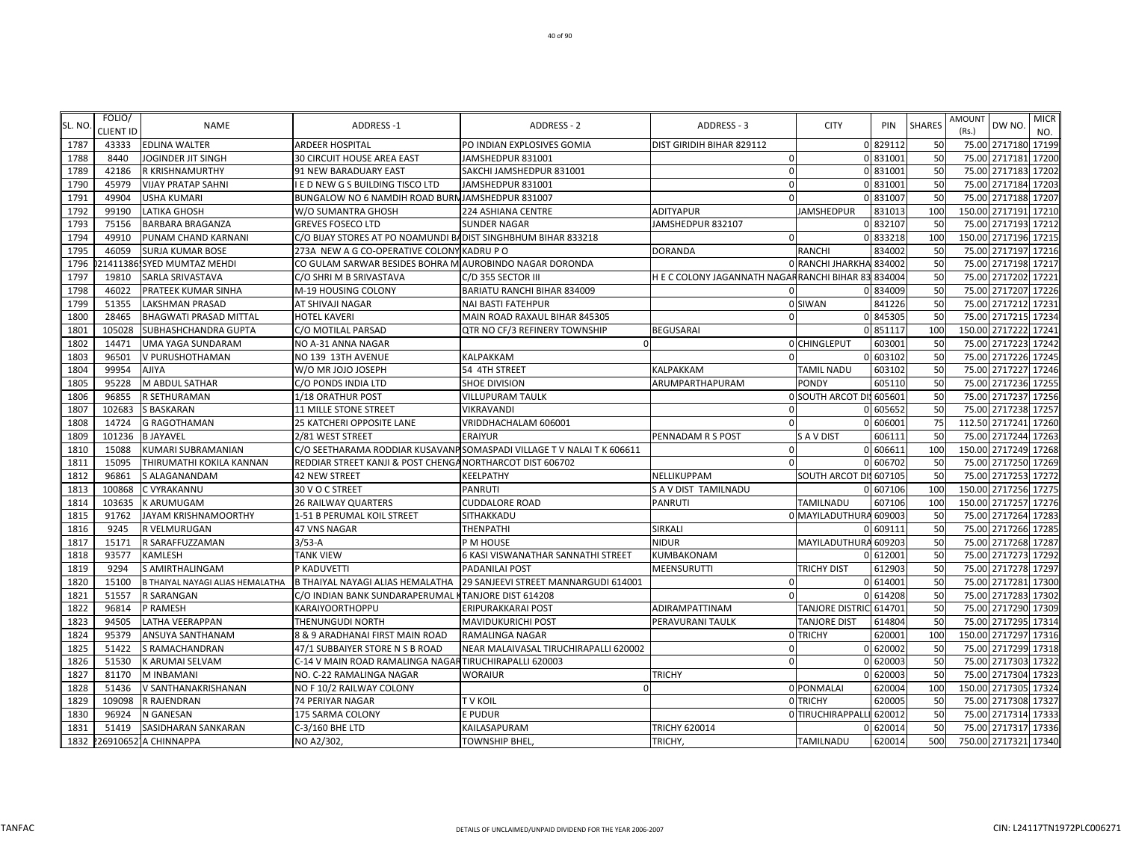| SL. NO | FOLIO/<br>CLIENT ID | <b>NAME</b>                      | <b>ADDRESS-1</b>                                              | ADDRESS - 2                                                            | ADDRESS - 3                                        | <b>CITY</b>            | PIN      | <b>SHARES</b> | AMOUNT<br>(Rs.) | DW NO.               | <b>MICR</b><br>NO. |
|--------|---------------------|----------------------------------|---------------------------------------------------------------|------------------------------------------------------------------------|----------------------------------------------------|------------------------|----------|---------------|-----------------|----------------------|--------------------|
| 1787   | 43333               | <b>EDLINA WALTER</b>             | <b>ARDEER HOSPITAL</b>                                        | PO INDIAN EXPLOSIVES GOMIA                                             | <b>DIST GIRIDIH BIHAR 829112</b>                   |                        | 0 829112 | 50            |                 | 75.00 2717180 17199  |                    |
| 1788   | 8440                | JOGINDER JIT SINGH               | 30 CIRCUIT HOUSE AREA EAST                                    | JAMSHEDPUR 831001                                                      | $\mathbf 0$                                        |                        | 0 831001 | 50            |                 | 75.00 2717181 17200  |                    |
| 1789   | 42186               | <b>R KRISHNAMURTHY</b>           | 91 NEW BARADUARY EAST                                         | SAKCHI JAMSHEDPUR 831001                                               | $\mathbf 0$                                        |                        | 0 831001 | 50            |                 | 75.00 2717183 17202  |                    |
| 1790   | 45979               | <b>VIJAY PRATAP SAHNI</b>        | I E D NEW G S BUILDING TISCO LTD                              | JAMSHEDPUR 831001                                                      | $\Omega$                                           |                        | 831001   | 50            |                 | 75.00 2717184 17203  |                    |
| 1791   | 49904               | USHA KUMARI                      | BUNGALOW NO 6 NAMDIH ROAD BURNJAMSHEDPUR 831007               |                                                                        | $\Omega$                                           |                        | 831007   | 50            |                 | 75.00 2717188 17207  |                    |
| 1792   | 99190               | LATIKA GHOSH                     | W/O SUMANTRA GHOSH                                            | 224 ASHIANA CENTRE                                                     | <b>ADITYAPUR</b>                                   | <b>JAMSHEDPUR</b>      | 831013   | 100           |                 | 150.00 2717191 17210 |                    |
| 1793   | 75156               | <b>BARBARA BRAGANZA</b>          | <b>GREVES FOSECO LTD</b>                                      | <b>SUNDER NAGAR</b>                                                    | JAMSHEDPUR 832107                                  |                        | 0 832107 | 50            |                 | 75.00 2717193 17212  |                    |
| 1794   | 49910               | PUNAM CHAND KARNANI              | C/O BIJAY STORES AT PO NOAMUNDI BADIST SINGHBHUM BIHAR 833218 |                                                                        | $\Omega$                                           |                        | 0 833218 | 100           |                 | 150.00 2717196 17215 |                    |
| 1795   | 46059               | SURJA KUMAR BOSE                 | 273A NEW A G CO-OPERATIVE COLONY KADRU P O                    |                                                                        | <b>DORANDA</b>                                     | RANCHI                 | 834002   | 50            |                 | 75.00 2717197 17216  |                    |
| 1796   |                     | 21411386.SYED MUMTAZ MEHDI       | CO GULAM SARWAR BESIDES BOHRA MAUROBINDO NAGAR DORONDA        |                                                                        |                                                    | 0 RANCHI JHARKHA       | 834002   | 50            |                 | 75.00 2717198 17217  |                    |
| 1797   | 19810               | SARLA SRIVASTAVA                 | C/O SHRI M B SRIVASTAVA                                       | C/D 355 SECTOR III                                                     | <b>H E C COLONY JAGANNATH NAGARRANCHI BIHAR 83</b> |                        | 834004   | 50            |                 | 75.00 2717202 17221  |                    |
| 1798   | 46022               | PRATEEK KUMAR SINHA              | M-19 HOUSING COLONY                                           | BARIATU RANCHI BIHAR 834009                                            | $\Omega$                                           | O                      | 834009   | 50            |                 | 75.00 2717207 17226  |                    |
| 1799   | 51355               | LAKSHMAN PRASAD                  | AT SHIVAJI NAGAR                                              | <b>NAI BASTI FATEHPUR</b>                                              |                                                    | 0 SIWAN                | 841226   | 50            |                 | 75.00 2717212 17231  |                    |
| 1800   | 28465               | <b>BHAGWATI PRASAD MITTAL</b>    | <b>HOTEL KAVERI</b>                                           | MAIN ROAD RAXAUL BIHAR 845305                                          | $\Omega$                                           | U                      | 845305   | 50            |                 | 75.00 2717215 17234  |                    |
| 1801   | 105028              | <b>SUBHASHCHANDRA GUPTA</b>      | C/O MOTILAL PARSAD                                            | QTR NO CF/3 REFINERY TOWNSHIP                                          | <b>BEGUSARAI</b>                                   |                        | 851117   | 100           |                 | 150.00 2717222 17241 |                    |
| 1802   | 14471               | UMA YAGA SUNDARAM                | NO A-31 ANNA NAGAR                                            |                                                                        |                                                    | 0 CHINGLEPUT           | 603001   | 50            | 75.00           | 2717223 17242        |                    |
| 1803   | 96501               | V PURUSHOTHAMAN                  | NO 139 13TH AVENUE                                            | KALPAKKAM                                                              | $\Omega$                                           |                        | 603102   | 50            |                 | 75.00 2717226 17245  |                    |
| 1804   | 99954               | <b>AJIYA</b>                     | W/O MR JOJO JOSEPH                                            | 54 4TH STREET                                                          | KALPAKKAM                                          | <b>TAMIL NADU</b>      | 603102   | 50            |                 | 75.00 2717227 17246  |                    |
| 1805   | 95228               | M ABDUL SATHAR                   | C/O PONDS INDIA LTD                                           | <b>SHOE DIVISION</b>                                                   | ARUMPARTHAPURAM                                    | <b>PONDY</b>           | 605110   | 50            |                 | 75.00 2717236 17255  |                    |
| 1806   | 96855               | R SETHURAMAN                     | 1/18 ORATHUR POST                                             | <b>VILLUPURAM TAULK</b>                                                |                                                    | 0 SOUTH ARCOT DI       | 605601   | 50            |                 | 75.00 2717237 17256  |                    |
| 1807   | 102683              | S BASKARAN                       | 11 MILLE STONE STREET                                         | VIKRAVANDI                                                             | 0                                                  |                        | 605652   | 50            |                 | 75.00 2717238 17257  |                    |
| 1808   | 14724               | <b>G RAGOTHAMAN</b>              | 25 KATCHERI OPPOSITE LANE                                     | VRIDDHACHALAM 606001                                                   | $\mathbf 0$                                        |                        | 606001   | 75            |                 | 112.50 2717241 17260 |                    |
| 1809   | 101236              | <b>BJAYAVEL</b>                  | 2/81 WEST STREET                                              | <b>ERAIYUR</b>                                                         | PENNADAM R S POST                                  | <b>SAV DIST</b>        | 606111   | 50            |                 | 75.00 2717244 17263  |                    |
| 1810   | 15088               | KUMARI SUBRAMANIAN               |                                                               | C/O SEETHARAMA RODDIAR KUSAVANP SOMASPADI VILLAGE T V NALAI T K 606611 | $\Omega$                                           |                        | 606611   | 100           |                 | 150.00 2717249 17268 |                    |
| 1811   | 15095               | THIRUMATHI KOKILA KANNAN         | REDDIAR STREET KANJI & POST CHENGA NORTHARCOT DIST 606702     |                                                                        | $\Omega$                                           |                        | 606702   | 50            |                 | 75.00 2717250 17269  |                    |
| 1812   | 96861               | S ALAGANANDAM                    | 42 NEW STREET                                                 | KEELPATHY                                                              | NELLIKUPPAM                                        | SOUTH ARCOT DI: 607105 |          | 50            |                 | 75.00 2717253 17272  |                    |
| 1813   | 100868              | <b>C VYRAKANNU</b>               | 30 V O C STREET                                               | <b>PANRUTI</b>                                                         | S A V DIST TAMILNADU                               |                        | 607106   | 100           |                 | 150.00 2717256 17275 |                    |
| 1814   | 103635              | <b>K ARUMUGAM</b>                | <b>26 RAILWAY QUARTERS</b>                                    | <b>CUDDALORE ROAD</b>                                                  | <b>PANRUTI</b>                                     | TAMILNADU              | 607106   | 100           |                 | 150.00 2717257 17276 |                    |
| 1815   | 91762               | JAYAM KRISHNAMOORTHY             | 1-51 B PERUMAL KOIL STREET                                    | SITHAKKADU                                                             |                                                    | 0 MAYILADUTHURA        | 609003   | 50            | 75.00           | 2717264 17283        |                    |
| 1816   | 9245                | R VELMURUGAN                     | 47 VNS NAGAR                                                  | THENPATHI                                                              | SIRKALI                                            |                        | 609111   | 50            |                 | 75.00 2717266 17285  |                    |
| 1817   | 15171               | R SARAFFUZZAMAN                  | $3/53-A$                                                      | P M HOUSE                                                              | <b>NIDUR</b>                                       | MAYILADUTHURA          | 609203   | 50            |                 | 75.00 2717268 17287  |                    |
| 1818   | 93577               | KAMLESH                          | <b>TANK VIEW</b>                                              | 6 KASI VISWANATHAR SANNATHI STREET                                     | KUMBAKONAM                                         |                        | 612001   | 50            |                 | 75.00 2717273 17292  |                    |
| 1819   | 9294                | S AMIRTHALINGAM                  | P KADUVETTI                                                   | PADANILAI POST                                                         | MEENSURUTTI                                        | <b>TRICHY DIST</b>     | 612903   | 50            |                 | 75.00 2717278 17297  |                    |
| 1820   | 15100               | B THAIYAL NAYAGI ALIAS HEMALATHA | <b>B THAIYAL NAYAGI ALIAS HEMALATHA</b>                       | 29 SANJEEVI STREET MANNARGUDI 614001                                   | 0                                                  |                        | 0 614001 | 50            |                 | 75.00 2717281        | 17300              |
| 1821   | 51557               | <b>R SARANGAN</b>                | C/O INDIAN BANK SUNDARAPERUMAL KTANJORE DIST 614208           |                                                                        | $\Omega$                                           |                        | 0 614208 | 50            |                 | 75.00 2717283 17302  |                    |
| 1822   | 96814               | P RAMESH                         | <b>KARAIYOORTHOPPU</b>                                        | ERIPURAKKARAI POST                                                     | ADIRAMPATTINAM                                     | <b>TANJORE DISTRIC</b> | 614701   | 50            |                 | 75.00 2717290 17309  |                    |
| 1823   | 94505               | LATHA VEERAPPAN                  | THENUNGUDI NORTH                                              | <b>MAVIDUKURICHI POST</b>                                              | PERAVURANI TAULK                                   | <b>TANJORE DIST</b>    | 614804   | 50            |                 | 75.00 2717295 17314  |                    |
| 1824   | 95379               | <b>ANSUYA SANTHANAM</b>          | 8 & 9 ARADHANAI FIRST MAIN ROAD                               | RAMALINGA NAGAR                                                        |                                                    | <b>OTRICHY</b>         | 620001   | 100           |                 | 150.00 2717297 17316 |                    |
| 1825   | 51422               | S RAMACHANDRAN                   | 47/1 SUBBAIYER STORE N S B ROAD                               | NEAR MALAIVASAL TIRUCHIRAPALLI 620002                                  | $\Omega$                                           |                        | 0 620002 | 50            |                 | 75.00 2717299 17318  |                    |
| 1826   | 51530               | K ARUMAI SELVAM                  | C-14 V MAIN ROAD RAMALINGA NAGAR TIRUCHIRAPALLI 620003        |                                                                        | $\Omega$                                           | O                      | 620003   | 50            |                 | 75.00 2717303 17322  |                    |
| 1827   | 81170               | M INBAMANI                       | NO. C-22 RAMALINGA NAGAR                                      | <b>WORAIUR</b>                                                         | <b>TRICHY</b>                                      |                        | 620003   | 50            |                 | 75.00 2717304 17323  |                    |
| 1828   | 51436               | V SANTHANAKRISHANAN              | NO F 10/2 RAILWAY COLONY                                      | $\Omega$                                                               |                                                    | 0 PONMALAI             | 620004   | 100           |                 | 150.00 2717305 17324 |                    |
| 1829   | 109098              | R RAJENDRAN                      | 74 PERIYAR NAGAR                                              | T V KOIL                                                               |                                                    | 0 TRICHY               | 620005   | 50            |                 | 75.00 2717308 17327  |                    |
| 1830   | 96924               | N GANESAN                        | 175 SARMA COLONY                                              | E PUDUR                                                                |                                                    | 0 TIRUCHIRAPPALLI      | 620012   | 50            |                 | 75.00 2717314 17333  |                    |
| 1831   | 51419               | SASIDHARAN SANKARAN              | C-3/160 BHE LTD                                               | KAILASAPURAM                                                           | <b>TRICHY 620014</b>                               |                        | 620014   | 50            |                 | 75.00 2717317 17336  |                    |
| 1832   |                     | 2269106521A CHINNAPPA            | NO A2/302,                                                    | <b>TOWNSHIP BHEL,</b>                                                  | TRICHY,                                            | <b>TAMILNADU</b>       | 620014   | 500           |                 | 750.00 2717321 17340 |                    |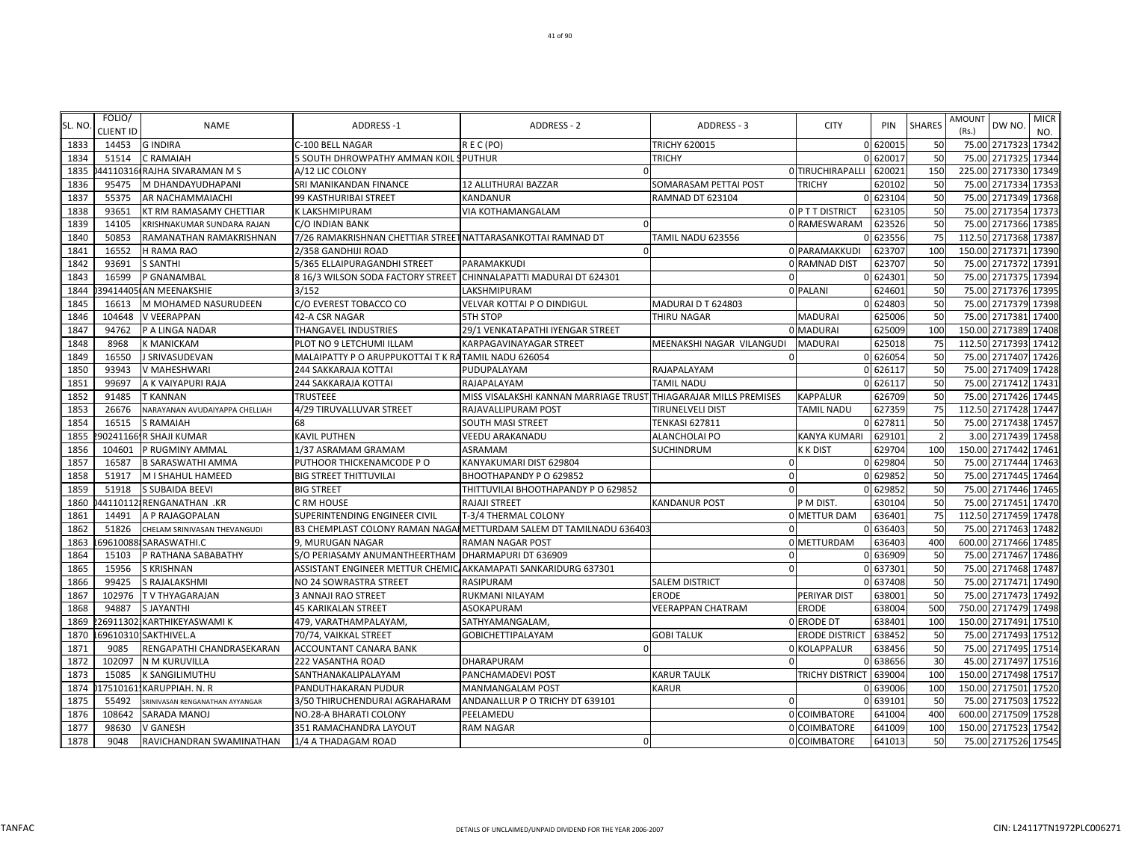| SL. NO | FOLIO/           | <b>NAME</b>                     | <b>ADDRESS-1</b>                                                  | <b>ADDRESS - 2</b>                                                  | ADDRESS - 3                | <b>CITY</b>           | PIN      | <b>SHARES</b>   | <b>AMOUNT</b><br>DW NO.              | <b>MICR</b> |
|--------|------------------|---------------------------------|-------------------------------------------------------------------|---------------------------------------------------------------------|----------------------------|-----------------------|----------|-----------------|--------------------------------------|-------------|
|        | <b>CLIENT ID</b> |                                 |                                                                   |                                                                     |                            |                       |          |                 | (Rs.)                                | NO.         |
| 1833   | 14453            | <b>GINDIRA</b>                  | C-100 BELL NAGAR                                                  | REC(PO)                                                             | <b>TRICHY 620015</b>       |                       | 0 62001  | 50              | 75.00 2717323                        | 17342       |
| 1834   | 51514            | C RAMAIAH                       | 5 SOUTH DHROWPATHY AMMAN KOIL SPUTHUR                             |                                                                     | <b>TRICHY</b>              |                       | 0 620017 | 50              | 75.00 2717325                        | 17344       |
| 1835   |                  | 44110316 RAJHA SIVARAMAN M S    | A/12 LIC COLONY                                                   |                                                                     |                            | 0 TIRUCHIRAPALLI      | 620021   | 150             | 225.00 2717330 17349                 |             |
| 1836   | 95475            | M DHANDAYUDHAPANI               | SRI MANIKANDAN FINANCE                                            | 12 ALLITHURAI BAZZAR                                                | SOMARASAM PETTAI POST      | <b>TRICHY</b>         | 620102   | 50              | 75.00 2717334                        | 17353       |
| 1837   | 55375            | AR NACHAMMAIACHI                | 99 KASTHURIBAI STREET                                             | <b>KANDANUR</b>                                                     | <b>RAMNAD DT 623104</b>    |                       | 0 623104 | 50              | 75.00 2717349 17368<br>75.00 2717354 |             |
| 1838   | 93651            | KT RM RAMASAMY CHETTIAR         | <b>K LAKSHMIPURAM</b>                                             | <b>VIA KOTHAMANGALAM</b>                                            |                            | O P T T DISTRICT      | 623105   | 50              |                                      | 17373       |
| 1839   | 14105            | KRISHNAKUMAR SUNDARA RAJAN      | C/O INDIAN BANK                                                   |                                                                     |                            | 0 RAMESWARAM          | 623526   | 50              | 2717366 17385<br>75.00               |             |
| 1840   | 50853            | RAMANATHAN RAMAKRISHNAN         | 7/26 RAMAKRISHNAN CHETTIAR STREET NATTARASANKOTTAI RAMNAD DT      |                                                                     | TAMIL NADU 623556          |                       | 623556   | 75              | 2717368<br>112.50                    | 17387       |
| 1841   | 16552            | H RAMA RAO                      | 2/358 GANDHIJI ROAD                                               | $\Omega$                                                            |                            | 0 PARAMAKKUDI         | 623707   | 100             | 150.00 2717371                       | 17390       |
| 1842   | 93691            | <b>S SANTHI</b>                 | 5/365 ELLAIPURAGANDHI STREET                                      | PARAMAKKUDI                                                         |                            | 0 RAMNAD DIST         | 623707   | 50              | 75.00 2717372 17391                  |             |
| 1843   | 16599            | P GNANAMBAL                     | 8 16/3 WILSON SODA FACTORY STREET CHINNALAPATTI MADURAI DT 624301 |                                                                     | $\Omega$                   |                       | 0 624301 | 50              | 75.00 2717375 17394                  |             |
| 1844   |                  | 39414405 AN MEENAKSHIE          | 3/152                                                             | LAKSHMIPURAM                                                        |                            | 0 PALANI              | 624601   | 50              | 75.00 2717376 17395                  |             |
| 1845   | 16613            | M MOHAMED NASURUDEEN            | C/O EVEREST TOBACCO CO                                            | <b>VELVAR KOTTAI P O DINDIGUL</b>                                   | MADURAI D T 624803         |                       | 0 624803 | 50              | 75.00<br>2717379 17398               |             |
| 1846   | 104648           | V VEERAPPAN                     | 42-A CSR NAGAR                                                    | <b>5TH STOP</b>                                                     | THIRU NAGAR                | <b>MADURAI</b>        | 625006   | 50              | 75.00<br>2717381                     | 17400       |
| 1847   | 94762            | P A LINGA NADAR                 | THANGAVEL INDUSTRIES                                              | 29/1 VENKATAPATHI IYENGAR STREET                                    |                            | 0 MADURAI             | 625009   | 100             | 150.00 2717389                       | 17408       |
| 1848   | 8968             | <b>K MANICKAM</b>               | PLOT NO 9 LETCHUMI ILLAM                                          | KARPAGAVINAYAGAR STREET                                             | MEENAKSHI NAGAR VILANGUDI  | <b>MADURAI</b>        | 625018   | 75              | 112.50 2717393 17412                 |             |
| 1849   | 16550            | J SRIVASUDEVAN                  | MALAIPATTY P O ARUPPUKOTTAI T K RATAMIL NADU 626054               |                                                                     | $\Omega$                   |                       | 0 626054 | 50              | 75.00 2717407 17426                  |             |
| 1850   | 93943            | V MAHESHWARI                    | 244 SAKKARAJA KOTTAI                                              | PUDUPALAYAM                                                         | RAJAPALAYAM                |                       | 0 626117 | 50              | 75.00 2717409 17428                  |             |
| 1851   | 99697            | A K VAIYAPURI RAJA              | 244 SAKKARAJA KOTTAI                                              | RAJAPALAYAM                                                         | TAMIL NADU                 |                       | 0 626117 | 50              | 75.00 2717412 17431                  |             |
| 1852   | 91485            | T KANNAN                        | <b>TRUSTEEE</b>                                                   | MISS VISALAKSHI KANNAN MARRIAGE TRUST                               | THIAGARAJAR MILLS PREMISES | <b>KAPPALUR</b>       | 626709   | 50              | 75.00 2717426 17445                  |             |
| 1853   | 26676            | NARAYANAN AVUDAIYAPPA CHELLIAH  | 4/29 TIRUVALLUVAR STREET                                          | RAJAVALLIPURAM POST                                                 | TIRUNELVELI DIST           | <b>TAMIL NADU</b>     | 627359   | 75              | 112.50 2717428 17447                 |             |
| 1854   | 16515            | <b>S RAMAIAH</b>                | 68                                                                | <b>SOUTH MASI STREET</b>                                            | <b>TENKASI 627811</b>      |                       | 0 62781  | 50              | 75.00 2717438                        | 17457       |
| 1855   |                  | 902411661R SHAJI KUMAR          | KAVIL PUTHEN                                                      | <b>VEEDU ARAKANADU</b>                                              | <b>ALANCHOLAI PO</b>       | KANYA KUMARI          | 62910    |                 | 2717439 17458<br>3.00                |             |
| 1856   | 104601           | P RUGMINY AMMAL                 | 1/37 ASRAMAM GRAMAM                                               | ASRAMAM                                                             | SUCHINDRUM                 | <b>K K DIST</b>       | 629704   | 100             | 150.00 2717442 17461                 |             |
| 1857   | 16587            | <b>B SARASWATHI AMMA</b>        | PUTHOOR THICKENAMCODE PO                                          | KANYAKUMARI DIST 629804                                             | $\Omega$                   |                       | 0 629804 | 50              | 75.00 2717444 17463                  |             |
| 1858   | 51917            | M I SHAHUL HAMEED               | <b>BIG STREET THITTUVILAI</b>                                     | BHOOTHAPANDY P O 629852                                             | $\mathbf 0$                |                       | 0 629852 | 50              | 75.00 2717445 17464                  |             |
| 1859   | 51918            | S SUBAIDA BEEVI                 | <b>BIG STREET</b>                                                 | THITTUVILAI BHOOTHAPANDY P O 629852                                 | $\Omega$                   |                       | 0 62985  | 50              | 75.00 2717446                        | 17465       |
| 1860   |                  | 44110112 RENGANATHAN .KR        | C RM HOUSE                                                        | RAJAJI STREET                                                       | <b>KANDANUR POST</b>       | P M DIST.             | 630104   | 50              | 75.00 2717451 17470                  |             |
| 1861   | 14491            | A P RAJAGOPALAN                 | SUPERINTENDING ENGINEER CIVIL                                     | T-3/4 THERMAL COLONY                                                |                            | 0 METTUR DAM          | 636401   | 75              | 112.50 2717459 17478                 |             |
| 1862   | 51826            | CHELAM SRINIVASAN THEVANGUDI    |                                                                   | B3 CHEMPLAST COLONY RAMAN NAGAI METTURDAM SALEM DT TAMILNADU 636403 |                            |                       | 0 63640  | 50              | 75.00<br>2717463                     | 17482       |
| 1863   |                  | 69610088 SARASWATHI.C           | 9. MURUGAN NAGAR                                                  | <b>RAMAN NAGAR POST</b>                                             |                            | 0 METTURDAM           | 636403   | 400             | 600.00 2717466                       | 17485       |
| 1864   | 15103            | P RATHANA SABABATHY             | S/O PERIASAMY ANUMANTHEERTHAM   DHARMAPURI DT 636909              |                                                                     | $\Omega$                   |                       | 0 636909 | 50              | 75.00 2717467 17486                  |             |
| 1865   | 15956            | S KRISHNAN                      | ASSISTANT ENGINEER METTUR CHEMIC AKKAMAPATI SANKARIDURG 637301    |                                                                     | $\Omega$                   |                       | 0 637301 | 50              | 75.00 2717468 17487                  |             |
| 1866   | 99425            | S RAJALAKSHMI                   | NO 24 SOWRASTRA STREET                                            | RASIPURAM                                                           | <b>SALEM DISTRICT</b>      |                       | 0 637408 | 50              | 75.00 2717471                        | 17490       |
| 1867   | 102976           | T V THYAGARAJAN                 | 3 ANNAJI RAO STREET                                               | RUKMANI NILAYAM                                                     | ERODE                      | PERIYAR DIST          | 638001   | 50              | 75.00 2717473 17492                  |             |
| 1868   | 94887            | <b>SJAYANTHI</b>                | <b>45 KARIKALAN STREET</b>                                        | ASOKAPURAM                                                          | <b>VEERAPPAN CHATRAM</b>   | ERODE                 | 638004   | 500             | 750.00 2717479 17498                 |             |
| 1869   |                  | 269113021KARTHIKEYASWAMI K      | 479, VARATHAMPALAYAM,                                             | SATHYAMANGALAM,                                                     |                            | 0 ERODE DT            | 638401   | 100             | 150.00 2717491                       | 17510       |
| 1870   |                  | 696103101SAKTHIVEL.A            | 70/74, VAIKKAL STREET                                             | <b>GOBICHETTIPALAYAM</b>                                            | <b>GOBI TALUK</b>          | <b>ERODE DISTRICT</b> | 638452   | 50              | 75.00 2717493                        | 17512       |
| 1871   | 9085             | RENGAPATHI CHANDRASEKARAN       | <b>ACCOUNTANT CANARA BANK</b>                                     |                                                                     |                            | 0 KOLAPPALUR          | 638456   | 50              | 75.00 2717495                        | 17514       |
| 1872   | 102097           | N M KURUVILLA                   | 222 VASANTHA ROAD                                                 | DHARAPURAM                                                          | $\Omega$                   |                       | 0 638656 | 30              | 45.00 2717497 17516                  |             |
| 1873   | 15085            | K SANGILIMUTHU                  | SANTHANAKALIPALAYAM                                               | PANCHAMADEVI POST                                                   | <b>KARUR TAULK</b>         | TRICHY DISTRICT       | 639004   | 100             | 150.00 2717498                       | 17517       |
| 1874   |                  | 17510161. KARUPPIAH. N. R       | PANDUTHAKARAN PUDUR                                               | <b>MANMANGALAM POST</b>                                             | <b>KARUR</b>               |                       | 0 63900  | 100             | 150.00 2717501                       | 17520       |
| 1875   | 55492            | SRINIVASAN RENGANATHAN AYYANGAR | 3/50 THIRUCHENDURAI AGRAHARAM                                     | ANDANALLUR P O TRICHY DT 639101                                     |                            |                       | 0 639101 | 50              | 75.00 2717503                        | 17522       |
| 1876   | 108642           | SARADA MANOJ                    | NO.28-A BHARATI COLONY                                            | PEELAMEDU                                                           |                            | 0 COIMBATORE          | 641004   | 40 <sub>C</sub> | 600.00 2717509 17528                 |             |
| 1877   | 98630            | V GANESH                        | 351 RAMACHANDRA LAYOUT                                            | <b>RAM NAGAR</b>                                                    |                            | 0 COIMBATORE          | 641009   | 100             | 150.00 2717523 17542                 |             |
| 1878   | 9048             | RAVICHANDRAN SWAMINATHAN        | 1/4 A THADAGAM ROAD                                               | $\Omega$                                                            |                            | 0 COIMBATORE          | 641013   | 50              | 75.00 2717526 17545                  |             |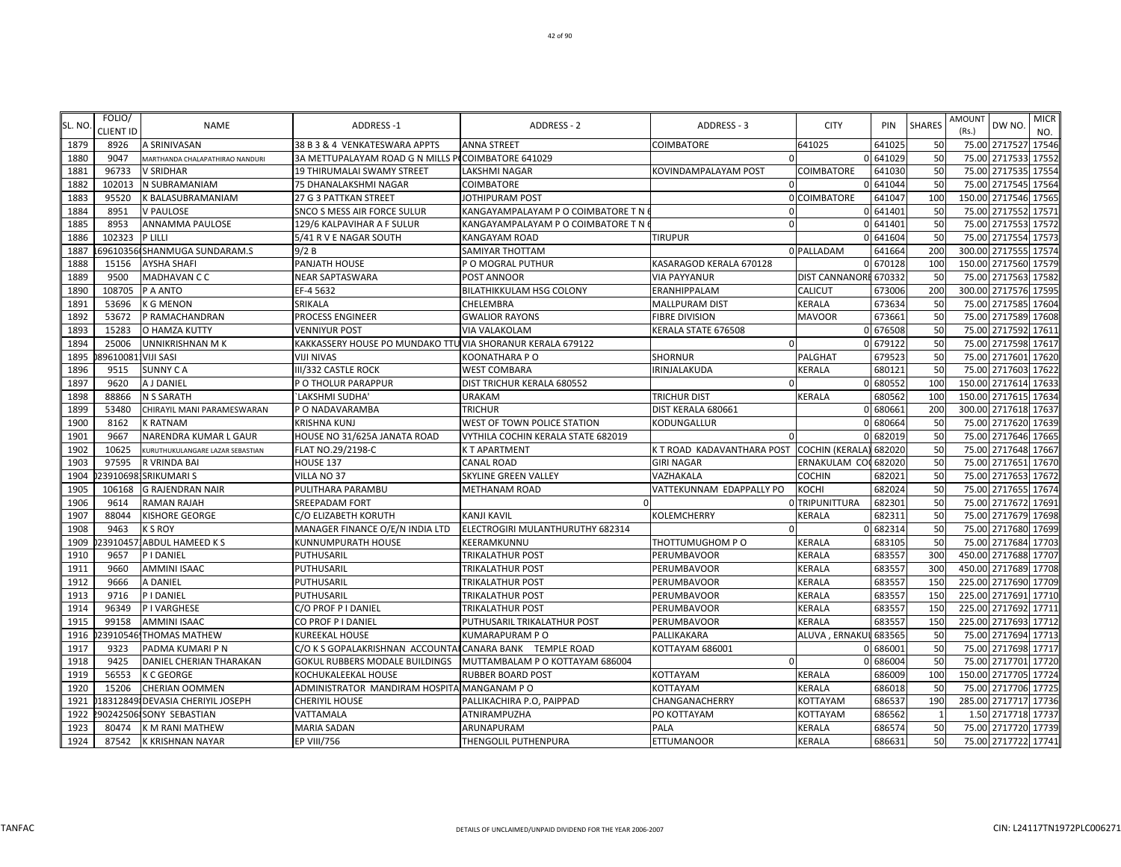| SL. NO | FOLIO/             | <b>NAME</b>                      | <b>ADDRESS-1</b>                                           | ADDRESS - 2                        | ADDRESS - 3                                | <b>CITY</b>           | PIN      | <b>SHARES</b> | <b>AMOUNT</b>          | DW NO.        | <b>MICR</b>  |
|--------|--------------------|----------------------------------|------------------------------------------------------------|------------------------------------|--------------------------------------------|-----------------------|----------|---------------|------------------------|---------------|--------------|
| 1879   | CLIENT ID<br>8926  | A SRINIVASAN                     | 38 B 3 & 4 VENKATESWARA APPTS                              | <b>ANNA STREET</b>                 | <b>COIMBATORE</b>                          | 641025                | 64102    | 50            | (Rs.)<br>75.00 2717527 |               | NO.<br>17546 |
| 1880   | 9047               | MARTHANDA CHALAPATHIRAO NANDURI  | 3A METTUPALAYAM ROAD G N MILLS PICOIMBATORE 641029         |                                    | $\Omega$                                   |                       | 0 641029 | 50            | 75.00 2717533          |               | 17552        |
| 1881   | 96733              | <b>V SRIDHAR</b>                 | <b>19 THIRUMALAI SWAMY STREET</b>                          | <b>LAKSHMI NAGAR</b>               | KOVINDAMPALAYAM POST                       | COIMBATORE            | 641030   | 50            | 75.00 2717535 17554    |               |              |
| 1882   | 102013             | N SUBRAMANIAM                    | 75 DHANALAKSHMI NAGAR                                      | COIMBATORE                         | $\Omega$                                   |                       | 0 641044 | 50            | 75.00                  | 2717545       | 17564        |
| 1883   | 95520              | <b>K BALASUBRAMANIAM</b>         | 27 G 3 PATTKAN STREET                                      | JOTHIPURAM POST                    |                                            | 0 COIMBATORE          | 641047   | <b>100</b>    | 150.00 2717546 17565   |               |              |
| 1884   | 8951               | <b>V PAULOSE</b>                 | SNCO S MESS AIR FORCE SULUR                                | KANGAYAMPALAYAM P O COIMBATORE T N | $\Omega$                                   |                       | 0 641401 | 50            | 75.00 2717552          |               | 17571        |
| 1885   | 8953               | ANNAMMA PAULOSE                  | 129/6 KALPAVIHAR A F SULUR                                 | KANGAYAMPALAYAM P O COIMBATORE T N | $\Omega$                                   |                       | 0 641401 | 50            | 75.00                  | 2717553       | 17572        |
| 1886   | 102323             | P LILLI                          | 5/41 R V E NAGAR SOUTH                                     | KANGAYAM ROAD                      | TIRUPUR                                    |                       | 0 641604 | 50            | 75.00 2717554          |               | 17573        |
| 1887   |                    | 69610356 SHANMUGA SUNDARAM.S     | 9/2B                                                       | SAMIYAR THOTTAM                    |                                            | 0 PALLADAM            | 641664   | <b>200</b>    | 300.00 2717555         |               | 17574        |
| 1888   | 15156              | <b>AYSHA SHAFI</b>               | PANJATH HOUSE                                              | P O MOGRAL PUTHUR                  | KASARAGOD KERALA 670128                    |                       | 0 670128 | <b>100</b>    | 150.00 2717560         |               | 17579        |
| 1889   | 9500               | <b>MADHAVAN C C</b>              | <b>NEAR SAPTASWARA</b>                                     | POST ANNOOR                        | <b>VIA PAYYANUR</b>                        | DIST CANNANORE 670332 |          | 50            | 75.00 2717563          |               | 17582        |
| 1890   | 108705             | P A ANTO                         | EF-4 5632                                                  | BILATHIKKULAM HSG COLONY           | ERANHIPPALAM                               | <b>CALICUT</b>        | 673006   | <b>200</b>    | 300.00 2717576 17595   |               |              |
| 1891   | 53696              | <b>K G MENON</b>                 | SRIKALA                                                    | CHELEMBRA                          | MALLPURAM DIST                             | KERALA                | 673634   | 50            | 75.00                  | 2717585       | 17604        |
| 1892   | 53672              | P RAMACHANDRAN                   | PROCESS ENGINEER                                           | <b>GWALIOR RAYONS</b>              | <b>FIBRE DIVISION</b>                      | <b>MAVOOR</b>         | 67366    | 50            | 75.00                  | 2717589       | 17608        |
| 1893   | 15283              | O HAMZA KUTTY                    | <b>VENNIYUR POST</b>                                       | VIA VALAKOLAM                      | KERALA STATE 676508                        |                       | 0 676508 | 50            | 75.00 2717592          |               | 17611        |
| 1894   | 25006              | <b>UNNIKRISHNAN MK</b>           | KAKKASSERY HOUSE PO MUNDAKO TTU VIA SHORANUR KERALA 679122 |                                    | -0                                         |                       | 0 679122 | 50            | 75.00 2717598 17617    |               |              |
| 1895   | 896100811VIJI SASI |                                  | <b>VIJI NIVAS</b>                                          | KOONATHARA P O                     | <b>SHORNUR</b>                             | PALGHAT               | 679523   | 50            | 75.00 2717601          |               | 17620        |
| 1896   | 9515               | <b>SUNNY CA</b>                  | III/332 CASTLE ROCK                                        | <b>WEST COMBARA</b>                | IRINJALAKUDA                               | KERALA                | 680121   | 50            | 75.00 2717603          |               | 17622        |
| 1897   | 9620               | A J DANIEL                       | P O THOLUR PARAPPUR                                        | DIST TRICHUR KERALA 680552         | $\Omega$                                   |                       | 0 680552 | 100           | 150.00 2717614 17633   |               |              |
| 1898   | 88866              | <b>N S SARATH</b>                | 'LAKSHMI SUDHA'                                            | <b>URAKAM</b>                      | TRICHUR DIST                               | <b>KERALA</b>         | 680562   | 100           | 150.00 2717615 17634   |               |              |
| 1899   | 53480              | CHIRAYIL MANI PARAMESWARAN       | P O NADAVARAMBA                                            | <b>TRICHUR</b>                     | DIST KERALA 680661                         |                       | 0 68066  | 200           | 300.00 2717618 17637   |               |              |
| 1900   | 8162               | <b>K RATNAM</b>                  | <b>KRISHNA KUNJ</b>                                        | WEST OF TOWN POLICE STATION        | KODUNGALLUR                                |                       | 0 68066  | 50            | 75.00 2717620 17639    |               |              |
| 1901   | 9667               | NARENDRA KUMAR L GAUR            | HOUSE NO 31/625A JANATA ROAD                               | VYTHILA COCHIN KERALA STATE 682019 |                                            |                       | 0 682019 | 50            | 75.00                  | 2717646 17665 |              |
| 1902   | 10625              | KURUTHUKULANGARE LAZAR SEBASTIAN | FLAT NO.29/2198-C                                          | K T APARTMENT                      | K T ROAD KADAVANTHARA POST COCHIN (KERALA) |                       | 682020   | 50            | 75.00 2717648 17667    |               |              |
| 1903   | 97595              | R VRINDA BAI                     | HOUSE 137                                                  | <b>CANAL ROAD</b>                  | <b>GIRI NAGAR</b>                          | ERNAKULAM CO          | 682020   | 50            | 75.00 2717651          |               | 17670        |
| 1904   |                    | 239106981SRIKUMARI S             | VILLA NO 37                                                | <b>SKYLINE GREEN VALLEY</b>        | VAZHAKALA                                  | <b>COCHIN</b>         | 682021   | 50            | 75.00 2717653 17672    |               |              |
| 1905   | 106168             | <b>G RAJENDRAN NAIR</b>          | PULITHARA PARAMBU                                          | <b>METHANAM ROAD</b>               | VATTEKUNNAM EDAPPALLY PO                   | KOCHI                 | 682024   | 50            | 75.00 2717655          |               | 17674        |
| 1906   | 9614               | <b>RAMAN RAJAH</b>               | <b>SREEPADAM FORT</b>                                      |                                    |                                            | 0 TRIPUNITTURA        | 682301   | 50            | 75.00 2717672 17691    |               |              |
| 1907   | 88044              | <b>KISHORE GEORGE</b>            | C/O ELIZABETH KORUTH                                       | <b>KANJI KAVIL</b>                 | KOLEMCHERRY                                | KERALA                | 68231    | 50            | 75.00                  | 2717679 17698 |              |
| 1908   | 9463               | <b>KSROY</b>                     | MANAGER FINANCE O/E/N INDIA LTD                            | ELECTROGIRI MULANTHURUTHY 682314   |                                            |                       | 0 682314 | 50            | 75.00                  | 2717680       | 17699        |
| 1909   |                    | 239104571ABDUL HAMEED K S        | KUNNUMPURATH HOUSE                                         | KEERAMKUNNU                        | THOTTUMUGHOM P O                           | KERALA                | 683105   | 50            | 75.00                  | 2717684       | 17703        |
| 1910   | 9657               | PIDANIEL                         | PUTHUSARIL                                                 | TRIKALATHUR POST                   | PERUMBAVOOR                                | <b>KERALA</b>         | 683557   | 300           | 450.00 2717688 17707   |               |              |
| 1911   | 9660               | <b>AMMINI ISAAC</b>              | PUTHUSARIL                                                 | TRIKALATHUR POST                   | PERUMBAVOOR                                | KERALA                | 683557   | 300           | 450.00 2717689         |               | 17708        |
| 1912   | 9666               | A DANIEL                         | PUTHUSARIL                                                 | <b>TRIKALATHUR POST</b>            | PERUMBAVOOR                                | <b>KERALA</b>         | 683557   | <b>150</b>    | 225.00 2717690         |               | 17709        |
| 1913   | 9716               | P I DANIEL                       | PUTHUSARIL                                                 | <b>TRIKALATHUR POST</b>            | PERUMBAVOOR                                | KERALA                | 683557   | 150           | 225.00 2717691         |               | 17710        |
| 1914   | 96349              | <b>PIVARGHESE</b>                | C/O PROF P I DANIEL                                        | TRIKALATHUR POST                   | PERUMBAVOOR                                | <b>KERALA</b>         | 683557   | 150           | 225.00 2717692         |               | 17711        |
| 1915   | 99158              | <b>AMMINI ISAAC</b>              | CO PROF P I DANIEL                                         | PUTHUSARIL TRIKALATHUR POST        | PERUMBAVOOR                                | KERALA                | 68355    | <b>150</b>    | 225.00 2717693         |               | 17712        |
| 1916   |                    | 23910546, THOMAS MATHEW          | <b>KUREEKAL HOUSE</b>                                      | <b>KUMARAPURAM P O</b>             | PALLIKAKARA                                | ALUVA, ERNAKUL 683565 |          | 50            | 75.00 2717694 17713    |               |              |
| 1917   | 9323               | PADMA KUMARI P N                 | C/O K S GOPALAKRISHNAN ACCOUNTAI CANARA BANK TEMPLE ROAD   |                                    | KOTTAYAM 686001                            |                       | 0 686001 | 50            | 75.00 2717698 17717    |               |              |
| 1918   | 9425               | DANIEL CHERIAN THARAKAN          | GOKUL RUBBERS MODALE BUILDINGS                             | MUTTAMBALAM P O KOTTAYAM 686004    | 0                                          |                       | 0 686004 | 50            | 75.00 2717701          |               | 17720        |
| 1919   | 56553              | <b>K C GEORGE</b>                | KOCHUKALEEKAL HOUSE                                        | RUBBER BOARD POST                  | KOTTAYAM                                   | KERALA                | 686009   | 100           | 150.00 2717705         |               | 17724        |
| 1920   | 15206              | <b>CHERIAN OOMMEN</b>            | ADMINISTRATOR MANDIRAM HOSPITA MANGANAM PO                 |                                    | KOTTAYAM                                   | KERALA                | 686018   | 50            | 75.00 2717706 17725    |               |              |
| 1921   |                    | 18312849 DEVASIA CHERIYIL JOSEPH | <b>CHERIYIL HOUSE</b>                                      | PALLIKACHIRA P.O, PAIPPAD          | CHANGANACHERRY                             | KOTTAYAM              | 686537   | 190           | 285.00 2717717         |               | 17736        |
| 1922   |                    | 90242506 SONY SEBASTIAN          | VATTAMALA                                                  | ATNIRAMPUZHA                       | PO KOTTAYAM                                | KOTTAYAM              | 686562   |               | 1.50 2717718 17737     |               |              |
| 1923   | 80474              | K M RANI MATHEW                  | <b>MARIA SADAN</b>                                         | ARUNAPURAM                         | PALA                                       | <b>KERALA</b>         | 686574   | 50            | 75.00 2717720 17739    |               |              |
| 1924   |                    | 87542 K KRISHNAN NAYAR           | <b>EP VIII/756</b>                                         | THENGOLIL PUTHENPURA               | <b>ETTUMANOOR</b>                          | <b>KERALA</b>         | 686631   | 50            | 75.00 2717722 17741    |               |              |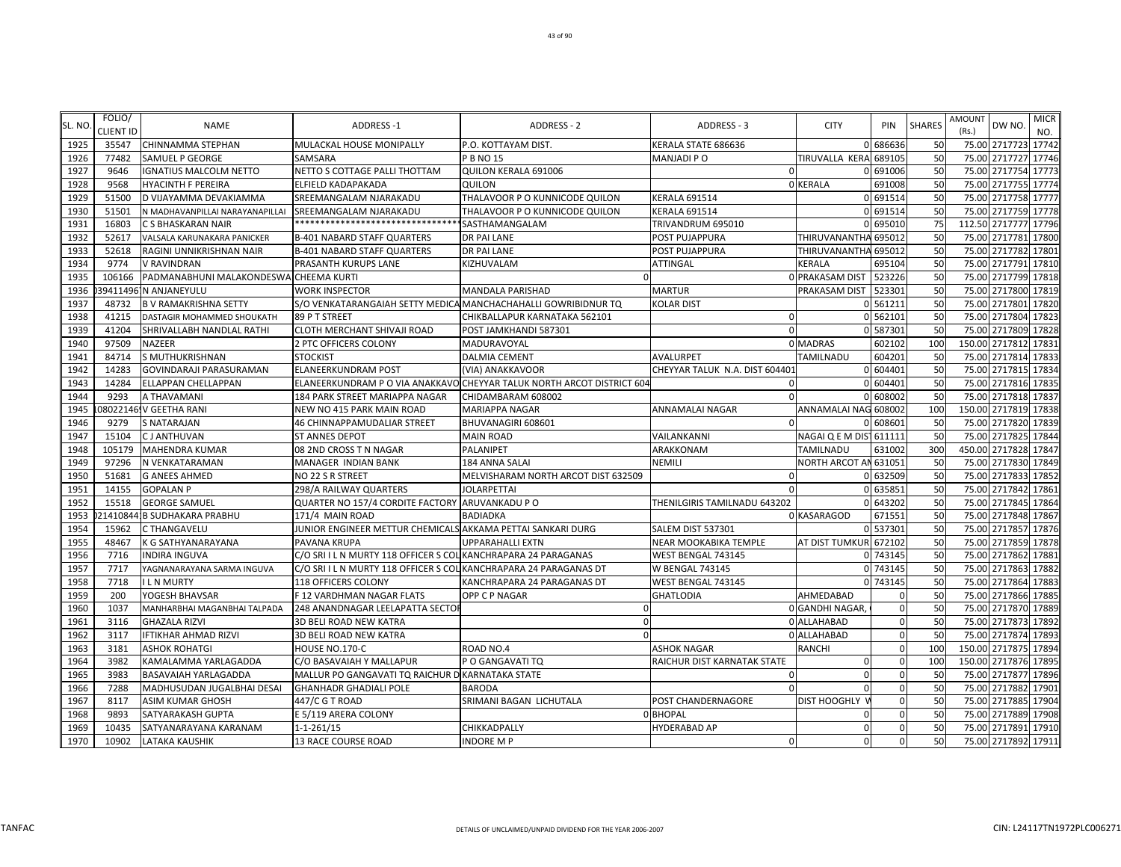|        | FOLIO/           |                                        |                                                                   |                                                                        |                                | <b>CITY</b>             |          | <b>SHARES</b> | AMOUNT |                      | <b>MICR</b> |
|--------|------------------|----------------------------------------|-------------------------------------------------------------------|------------------------------------------------------------------------|--------------------------------|-------------------------|----------|---------------|--------|----------------------|-------------|
| SL. NO | <b>CLIENT ID</b> | <b>NAME</b>                            | ADDRESS-1                                                         | ADDRESS - 2                                                            | ADDRESS - 3                    |                         | PIN      |               | (Rs.)  | DW NO.               | NO.         |
| 1925   | 35547            | CHINNAMMA STEPHAN                      | MULACKAL HOUSE MONIPALLY                                          | P.O. KOTTAYAM DIST.                                                    | KERALA STATE 686636            |                         | 0 686636 | 50            |        | 75.00 2717723 17742  |             |
| 1926   | 77482            | SAMUEL P GEORGE                        | SAMSARA                                                           | P B NO 15                                                              | <b>MANJADI PO</b>              | TIRUVALLA KERA          | 689105   | 50            | 75.00  | 2717727 17746        |             |
| 1927   | 9646             | <b>IGNATIUS MALCOLM NETTO</b>          | NETTO S COTTAGE PALLI THOTTAM                                     | QUILON KERALA 691006                                                   | $\Omega$                       |                         | 0 691006 | 50            |        | 75.00 2717754 17773  |             |
| 1928   | 9568             | HYACINTH F PEREIRA                     | ELFIELD KADAPAKADA                                                | QUILON                                                                 |                                | 0 KERALA                | 691008   | 50            | 75.00  | 2717755 17774        |             |
| 1929   | 51500            | D VIJAYAMMA DEVAKIAMMA                 | SREEMANGALAM NJARAKADU                                            | THALAVOOR P O KUNNICODE QUILON                                         | <b>KERALA 691514</b>           |                         | 0 691514 | 50            | 75.00  | 2717758 17777        |             |
| 1930   | 51501            | N MADHAVANPILLAI NARAYANAPILLAI        | SREEMANGALAM NJARAKADU                                            | THALAVOOR P O KUNNICODE QUILON                                         | <b>KERALA 691514</b>           |                         | 0 691514 | 50            |        | 75.00 2717759 17778  |             |
| 1931   | 16803            | C S BHASKARAN NAIR                     | *******************************                                   | SASTHAMANGALAM                                                         | TRIVANDRUM 695010              |                         | 695010   | 75            |        | 112.50 2717777 17796 |             |
| 1932   | 52617            | VALSALA KARUNAKARA PANICKER            | B-401 NABARD STAFF QUARTERS                                       | <b>DR PAI LANE</b>                                                     | POST PUJAPPURA                 | THIRUVANANTHA 695012    |          | 50            |        | 75.00 2717781 17800  |             |
| 1933   | 52618            | RAGINI UNNIKRISHNAN NAIR               | <b>B-401 NABARD STAFF QUARTERS</b>                                | <b>DR PAI LANE</b>                                                     | POST PUJAPPURA                 | THIRUVANANTH/           | 695012   | 50            |        | 75.00 2717782 17801  |             |
| 1934   | 9774             | V RAVINDRAN                            | PRASANTH KURUPS LANE                                              | KIZHUVALAM                                                             | ATTINGAL                       | KERALA                  | 695104   | 50            |        | 75.00 2717791 17810  |             |
| 1935   | 106166           | PADMANABHUNI MALAKONDESWA CHEEMA KURTI |                                                                   |                                                                        |                                | <b>0 PRAKASAM DIST</b>  | 523226   | 50            | 75.00  | 2717799              | 17818       |
| 1936   |                  | 39411496 N ANJANEYULU                  | <b>WORK INSPECTOR</b>                                             | <b>MANDALA PARISHAD</b>                                                | <b>MARTUR</b>                  | PRAKASAM DIST           | 523301   | 50            |        | 75.00 2717800 17819  |             |
| 1937   | 48732            | <b>B V RAMAKRISHNA SETTY</b>           | S/O VENKATARANGAIAH SETTY MEDICA MANCHACHAHALLI GOWRIBIDNUR TQ    |                                                                        | <b>KOLAR DIST</b>              |                         | 0 561211 | 50            |        | 75.00 2717801 17820  |             |
| 1938   | 41215            | DASTAGIR MOHAMMED SHOUKATH             | 89 P T STREET                                                     | CHIKBALLAPUR KARNATAKA 562101                                          | $\mathbf{0}$                   |                         | 0 562101 | 50            | 75.00  | 2717804 17823        |             |
| 1939   | 41204            | SHRIVALLABH NANDLAL RATHI              | CLOTH MERCHANT SHIVAJI ROAD                                       | POST JAMKHANDI 587301                                                  | $\mathbf{0}$                   |                         | 0 587301 | 50            | 75.00  | 2717809 17828        |             |
| 1940   | 97509            | NAZEER                                 | 2 PTC OFFICERS COLONY                                             | MADURAVOYAL                                                            |                                | 0 MADRAS                | 602102   | 100           |        | 150.00 2717812 1783: |             |
| 1941   | 84714            | S MUTHUKRISHNAN                        | <b>STOCKIST</b>                                                   | <b>DALMIA CEMENT</b>                                                   | AVALURPET                      | <b>TAMILNADU</b>        | 60420:   | 50            |        | 75.00 2717814 1783   |             |
| 1942   | 14283            | GOVINDARAJI PARASURAMAN                | <b>ELANEERKUNDRAM POST</b>                                        | (VIA) ANAKKAVOOR                                                       | CHEYYAR TALUK N.A. DIST 604401 |                         | 0 604401 | 50            |        | 75.00 2717815 17834  |             |
| 1943   | 14284            | ELLAPPAN CHELLAPPAN                    |                                                                   | ELANEERKUNDRAM P O VIA ANAKKAVO CHEYYAR TALUK NORTH ARCOT DISTRICT 604 | $\Omega$                       |                         | 0 604401 | 50            |        | 75.00 2717816 1783   |             |
| 1944   | 9293             | A THAVAMANI                            | 184 PARK STREET MARIAPPA NAGAR                                    | CHIDAMBARAM 608002                                                     | $\mathbf{0}$                   |                         | 0 608002 | 50            |        | 75.00 2717818 17837  |             |
| 1945   |                  | 08022146 V GEETHA RANI                 | NEW NO 415 PARK MAIN ROAD                                         | <b>MARIAPPA NAGAR</b>                                                  | ANNAMALAI NAGAR                | ANNAMALAI NAG 608002    |          | 100           | 150.00 | 2717819 17838        |             |
| 1946   | 9279             | <b>S NATARAJAN</b>                     | 46 CHINNAPPAMUDALIAR STREET                                       | BHUVANAGIRI 608601                                                     | $\Omega$                       |                         | 0 608601 | 50            | 75.00  | 2717820 17839        |             |
| 1947   | 15104            | C J ANTHUVAN                           | <b>ST ANNES DEPOT</b>                                             | <b>MAIN ROAD</b>                                                       | VAILANKANNI                    | NAGAI Q E M DIST 611111 |          | 50            | 75.00  | 2717825 17844        |             |
| 1948   | 105179           | <b>MAHENDRA KUMAR</b>                  | 08 2ND CROSS T N NAGAR                                            | PALANIPET                                                              | ARAKKONAM                      | TAMILNADU               | 631002   | 300           |        | 450.00 2717828 17847 |             |
| 1949   | 97296            | N VENKATARAMAN                         | MANAGER INDIAN BANK                                               | 184 ANNA SALAI                                                         | <b>NEMILI</b>                  | NORTH ARCOT AN 631051   |          | 50            |        | 75.00 2717830 17849  |             |
| 1950   | 51681            | <b>G ANEES AHMED</b>                   | NO 22 S R STREET                                                  | MELVISHARAM NORTH ARCOT DIST 632509                                    | $\mathbf{0}$                   |                         | 0 632509 | 50            |        | 75.00 2717833 17852  |             |
| 1951   | 14155            | <b>GOPALAN P</b>                       | 298/A RAILWAY QUARTERS                                            | <b>JOLARPETTAI</b>                                                     | $\Omega$                       |                         | 0 635851 | 50            |        | 75.00 2717842 17861  |             |
| 1952   | 15518            | <b>GEORGE SAMUEL</b>                   | QUARTER NO 157/4 CORDITE FACTORY ARUVANKADU PO                    |                                                                        | THENILGIRIS TAMILNADU 643202   |                         | 0 643202 | 50            |        | 75.00 2717845 17864  |             |
| 1953   |                  | 214108441B SUDHAKARA PRABHU            | 171/4 MAIN ROAD                                                   | <b>BADIADKA</b>                                                        |                                | 0 KASARAGOD             | 671551   | 50            | 75.00  | 2717848 17867        |             |
| 1954   | 15962            | C THANGAVELU                           | JUNIOR ENGINEER METTUR CHEMICALS AKKAMA PETTAI SANKARI DURG       |                                                                        | SALEM DIST 537301              |                         | 0 53730  | 50            |        | 75.00 2717857 17876  |             |
| 1955   | 48467            | K G SATHYANARAYANA                     | PAVANA KRUPA                                                      | <b>UPPARAHALLI EXTN</b>                                                | NEAR MOOKABIKA TEMPLE          | AT DIST TUMKUR 672102   |          | 50            | 75.00  | 2717859 17878        |             |
| 1956   | 7716             | <b>INDIRA INGUVA</b>                   | C/O SRI I L N MURTY 118 OFFICER S COL KANCHRAPARA 24 PARAGANAS    |                                                                        | WEST BENGAL 743145             |                         | 0 743145 | 50            | 75.00  | 2717862 17881        |             |
| 1957   | 7717             | YAGNANARAYANA SARMA INGUVA             | C/O SRI I L N MURTY 118 OFFICER S COL KANCHRAPARA 24 PARAGANAS DT |                                                                        | <b>W BENGAL 743145</b>         |                         | 0 743145 | 50            |        | 75.00 2717863 17882  |             |
| 1958   | 7718             | I L N MURTY                            | 118 OFFICERS COLONY                                               | KANCHRAPARA 24 PARAGANAS DT                                            | WEST BENGAL 743145             |                         | 0 743145 | 50            |        | 75.00 2717864 1788   |             |
| 1959   | 200              | YOGESH BHAVSAR                         | F 12 VARDHMAN NAGAR FLATS                                         | OPP C P NAGAR                                                          | <b>GHATLODIA</b>               | AHMEDABAD               |          | 50            |        | 75.00 2717866 1788   |             |
| 1960   | 1037             | MANHARBHAI MAGANBHAI TALPADA           | 248 ANANDNAGAR LEELAPATTA SECTOR                                  | $\Omega$                                                               |                                | 0 GANDHI NAGAR          |          | 50            | 75.00  | 2717870 17889        |             |
| 1961   | 3116             | <b>GHAZALA RIZVI</b>                   | 3D BELI ROAD NEW KATRA                                            | $\cap$                                                                 |                                | 0 ALLAHABAD             |          | 50            |        | 75.00 2717873 17892  |             |
| 1962   | 3117             | IFTIKHAR AHMAD RIZVI                   | 3D BELI ROAD NEW KATRA                                            |                                                                        |                                | 0 ALLAHABAD             |          | 50            | 75.00  | 2717874 17893        |             |
| 1963   | 3181             | <b>ASHOK ROHATGI</b>                   | HOUSE NO.170-C                                                    | ROAD NO.4                                                              | <b>ASHOK NAGAR</b>             | <b>RANCHI</b>           |          | <b>100</b>    | 150.00 | 2717875 1789         |             |
| 1964   | 3982             | KAMALAMMA YARLAGADDA                   | C/O BASAVAIAH Y MALLAPUR                                          | P O GANGAVATI TO                                                       | RAICHUR DIST KARNATAK STATE    | $\Omega$                |          | 100           |        | 150.00 2717876 1789  |             |
| 1965   | 3983             | BASAVAIAH YARLAGADDA                   | MALLUR PO GANGAVATI TO RAICHUR D KARNATAKA STATE                  |                                                                        | $\Omega$                       | $\Omega$                |          | 50            | 75.00  | 2717877 17896        |             |
| 1966   | 7288             | MADHUSUDAN JUGALBHAI DESAI             | <b>GHANHADR GHADIALI POLE</b>                                     | <b>BARODA</b>                                                          | $\Omega$                       | $\Omega$                |          | 50            |        | 75.00 2717882 17901  |             |
| 1967   | 8117             | ASIM KUMAR GHOSH                       | 447/C G T ROAD                                                    | SRIMANI BAGAN LICHUTALA                                                | POST CHANDERNAGORE             | <b>DIST HOOGHLY</b>     | $\Omega$ | 50            |        | 75.00 2717885 17904  |             |
| 1968   | 9893             | SATYARAKASH GUPTA                      | E 5/119 ARERA COLONY                                              |                                                                        | <b>OBHOPAL</b>                 | $\Omega$                | $\Omega$ | 50            |        | 75.00 2717889 17908  |             |
| 1969   | 10435            | SATYANARAYANA KARANAM                  | $1 - 1 - 261/15$                                                  | CHIKKADPALLY                                                           | <b>HYDERABAD AP</b>            | $\Omega$                |          | 50            |        | 75.00 2717891 17910  |             |
| 1970   | 10902            | LATAKA KAUSHIK                         | <b>13 RACE COURSE ROAD</b>                                        | <b>INDORE M P</b>                                                      | $\Omega$                       | $\Omega$                | $\Omega$ | 50            |        | 75.00 2717892 17911  |             |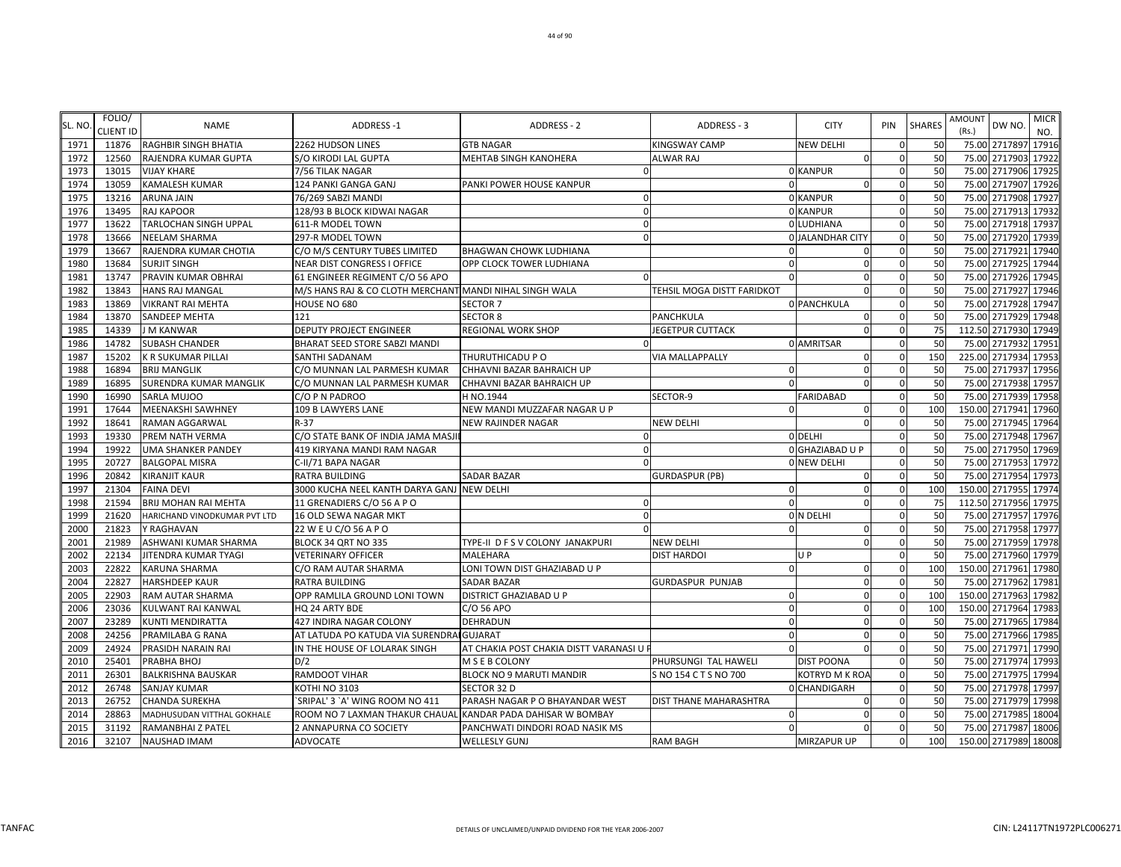| SL. NO       | FOLIO/           | <b>NAME</b>                                | ADDRESS-1                                                   | ADDRESS - 2                            | ADDRESS - 3                   | <b>CITY</b>             | PIN          | <b>SHARES</b> | <b>MICR</b><br><b>AMOUNT</b><br>DW NO.        |
|--------------|------------------|--------------------------------------------|-------------------------------------------------------------|----------------------------------------|-------------------------------|-------------------------|--------------|---------------|-----------------------------------------------|
|              | <b>CLIENT ID</b> |                                            |                                                             |                                        |                               |                         |              |               | (Rs.)<br>NO.                                  |
| 1971         | 11876            | RAGHBIR SINGH BHATIA                       | 2262 HUDSON LINES                                           | <b>GTB NAGAR</b>                       | <b>KINGSWAY CAMP</b>          | <b>NEW DELHI</b>        |              | 50<br>50      | 75.00 2717897 17916<br>75.00 2717903<br>17922 |
| 1972<br>1973 | 12560<br>13015   | RAJENDRA KUMAR GUPTA<br><b>VIJAY KHARE</b> | S/O KIRODI LAL GUPTA<br>7/56 TILAK NAGAR                    | MEHTAB SINGH KANOHERA                  | ALWAR RAJ                     | $\Omega$<br>0 KANPUR    | $\Omega$     | 50            | 75.00 2717906 17925                           |
| 1974         | 13059            | KAMALESH KUMAR                             | 124 PANKI GANGA GANJ                                        | PANKI POWER HOUSE KANPUR               |                               | $\mathbf 0$             |              | 50            | 75.00 2717907<br>17926                        |
| 1975         | 13216            | ARUNA JAIN                                 | 76/269 SABZI MANDI                                          |                                        |                               | 0 KANPUR                | $\Omega$     | 50            | 75.00 2717908<br>17927                        |
| 1976         | 13495            | RAJ KAPOOR                                 | 128/93 B BLOCK KIDWAI NAGAR                                 |                                        |                               | 0 KANPUR                |              | 50            | 75.00 2717913<br>17932                        |
| 1977         | 13622            | TARLOCHAN SINGH UPPAL                      | 611-R MODEL TOWN                                            |                                        |                               | 0 LUDHIANA              |              | 50            | 75.00 2717918<br>17937                        |
| 1978         | 13666            | NEELAM SHARMA                              | 297-R MODEL TOWN                                            | $\Omega$                               |                               | <b>0 JALANDHAR CITY</b> | $\Omega$     | 50            | 75.00 2717920 17939                           |
| 1979         | 13667            | RAJENDRA KUMAR CHOTIA                      | C/O M/S CENTURY TUBES LIMITED                               | BHAGWAN CHOWK LUDHIANA                 |                               | 0                       | $\mathbf 0$  | 50            | 75.00 2717921<br>17940                        |
| 1980         | 13684            | SURJIT SINGH                               | NEAR DIST CONGRESS I OFFICE                                 | OPP CLOCK TOWER LUDHIANA               | $\Omega$                      | $\mathbf 0$             | $\Omega$     | 50            | 75.00 2717925 17944                           |
| 1981         | 13747            | PRAVIN KUMAR OBHRAI                        | 61 ENGINEER REGIMENT C/O 56 APO                             |                                        |                               | $\Omega$                | $\Omega$     | 50            | 75.00 2717926<br>17945                        |
| 1982         | 13843            | HANS RAJ MANGAL                            | M/S HANS RAJ & CO CLOTH MERCHANT MANDI NIHAL SINGH WALA     |                                        | TEHSIL MOGA DISTT FARIDKOT    | $\Omega$                | $\Omega$     | 50            | 75.00 2717927 17946                           |
| 1983         | 13869            | VIKRANT RAI MEHTA                          | HOUSE NO 680                                                | SECTOR <sub>7</sub>                    |                               | 0 PANCHKULA             | $\Omega$     | 50            | 75.00 2717928<br>17947                        |
| 1984         | 13870            | SANDEEP MEHTA                              | 121                                                         | <b>SECTOR 8</b>                        | <b>PANCHKULA</b>              | $\Omega$                |              | 50            | 75.00 2717929<br>17948                        |
| 1985         | 14339            | J M KANWAR                                 | DEPUTY PROJECT ENGINEER                                     | REGIONAL WORK SHOP                     | <b>JEGETPUR CUTTACK</b>       |                         |              | 75            | 112.50 2717930<br>17949                       |
| 1986         | 14782            | <b>SUBASH CHANDER</b>                      | BHARAT SEED STORE SABZI MANDI                               |                                        |                               | 0 AMRITSAR              | $\Omega$     | 50            | 75.00 2717932 17951                           |
| 1987         | 15202            | K R SUKUMAR PILLAI                         | SANTHI SADANAM                                              | THURUTHICADU P O                       | <b>VIA MALLAPPALLY</b>        | 0                       | $\mathbf{0}$ | 150           | 225.00 2717934<br>17953                       |
| 1988         | 16894            | <b>BRIJ MANGLIK</b>                        | C/O MUNNAN LAL PARMESH KUMAR                                | CHHAVNI BAZAR BAHRAICH UP              | $\Omega$                      | $\mathbf 0$             | $\Omega$     | 50            | 75.00 2717937 17956                           |
| 1989         | 16895            | SURENDRA KUMAR MANGLIK                     | C/O MUNNAN LAL PARMESH KUMAR                                | CHHAVNI BAZAR BAHRAICH UP              |                               | $\mathbf 0$             | $\Omega$     | 50            | 75.00 2717938<br>17957                        |
| 1990         | 16990            | SARLA MUJOO                                | C/O P N PADROO                                              | H NO.1944                              | SECTOR-9                      | <b>FARIDABAD</b>        | $\Omega$     | 50            | 75.00 2717939<br>17958                        |
| 1991         | 17644            | MEENAKSHI SAWHNEY                          | 109 B LAWYERS LANE                                          | NEW MANDI MUZZAFAR NAGAR U P           | $\Omega$                      | $\mathbf 0$             | $\Omega$     | 100           | 150.00 2717941<br>17960                       |
| 1992         | 18641            | <b>RAMAN AGGARWAL</b>                      | $R-37$                                                      | <b>NEW RAJINDER NAGAR</b>              | <b>NEW DELHI</b>              | $\Omega$                |              | 50            | 75.00 2717945 17964                           |
| 1993         | 19330            | PREM NATH VERMA                            | C/O STATE BANK OF INDIA JAMA MASJI                          |                                        |                               | 0 DELHI                 |              | 50            | 75.00 2717948<br>17967                        |
| 1994         | 19922            | UMA SHANKER PANDEY                         | 419 KIRYANA MANDI RAM NAGAR                                 |                                        |                               | 0 GHAZIABAD U P         |              | 50            | 75.00 2717950<br>17969                        |
| 1995         | 20727            | <b>BALGOPAL MISRA</b>                      | C-II/71 BAPA NAGAR                                          |                                        |                               | 0 NEW DELHI             | $\Omega$     | 50            | 75.00 2717953<br>17972                        |
| 1996         | 20842            | KIRANJIT KAUR                              | <b>RATRA BUILDING</b>                                       | <b>SADAR BAZAR</b>                     | <b>GURDASPUR (PB)</b>         | 0                       | $\Omega$     | 50            | 75.00 2717954 17973                           |
| 1997         | 21304            | <b>FAINA DEVI</b>                          | 3000 KUCHA NEEL KANTH DARYA GANJ NEW DELHI                  |                                        | $\Omega$                      | $\mathbf 0$             | $\Omega$     | 100           | 150.00 2717955 17974                          |
| 1998         | 21594            | BRIJ MOHAN RAI MEHTA                       | 11 GRENADIERS C/O 56 A P O                                  |                                        | $\Omega$                      | $\Omega$                | $\Omega$     | 75            | 112.50 2717956 17975                          |
| 1999         | 21620            | HARICHAND VINODKUMAR PVT LTD               | 16 OLD SEWA NAGAR MKT                                       |                                        |                               | ON DELHI                | $\Omega$     | 50            | 75.00 2717957<br>17976                        |
| 2000         | 21823            | Y RAGHAVAN                                 | 22 W E U C/O 56 A P O                                       |                                        | $\Omega$                      | $\mathbf 0$             | $\Omega$     | 50            | 75.00 2717958<br>17977                        |
| 2001         | 21989            | ASHWANI KUMAR SHARMA                       | BLOCK 34 QRT NO 335                                         | TYPE-II D F S V COLONY JANAKPURI       | <b>NEW DELHI</b>              | $\Omega$                |              | 50            | 75.00 2717959<br>17978                        |
| 2002         | 22134            | JITENDRA KUMAR TYAGI                       | <b>VETERINARY OFFICER</b>                                   | MALEHARA                               | <b>DIST HARDOI</b>            | U P                     | $\Omega$     | 50            | 75.00 2717960<br>17979                        |
| 2003         | 22822            | KARUNA SHARMA                              | C/O RAM AUTAR SHARMA                                        | LONI TOWN DIST GHAZIABAD U P           |                               | 0                       |              | 100           | 150.00 2717961 17980                          |
| 2004         | 22827            | <b>HARSHDEEP KAUR</b>                      | <b>RATRA BUILDING</b>                                       | <b>SADAR BAZAR</b>                     | <b>GURDASPUR PUNJAB</b>       | $\mathbf 0$             | $\Omega$     | 50            | 75.00 2717962 17981                           |
| 2005         | 22903            | RAM AUTAR SHARMA                           | OPP RAMLILA GROUND LONI TOWN                                | DISTRICT GHAZIABAD U P                 | $\Omega$                      | $\mathbf 0$             | $\Omega$     | 100           | 150.00 2717963 17982                          |
| 2006         | 23036            | KULWANT RAI KANWAL                         | HQ 24 ARTY BDE                                              | C/O 56 APO                             | $\Omega$                      | $\mathbf 0$             | $\Omega$     | 100           | 150.00 2717964 17983                          |
| 2007         | 23289            | KUNTI MENDIRATTA                           | 427 INDIRA NAGAR COLONY                                     | DEHRADUN                               | $\Omega$                      | $\mathbf 0$             | $\Omega$     | 50            | 75.00 2717965 17984                           |
| 2008         | 24256            | PRAMILABA G RANA                           | AT LATUDA PO KATUDA VIA SURENDRAI GUJARAT                   |                                        | $\Omega$                      | $\Omega$                | $\Omega$     | 50            | 75.00 2717966 17985                           |
| 2009         | 24924            | PRASIDH NARAIN RAI                         | IN THE HOUSE OF LOLARAK SINGH                               | AT CHAKIA POST CHAKIA DISTT VARANASI U | $\Omega$                      | $\Omega$                | $\Omega$     | 50            | 75.00 2717971<br>17990                        |
| 2010         | 25401            | PRABHA BHOJ                                | D/2                                                         | M S E B COLONY                         | PHURSUNGI TAL HAWELI          | <b>DIST POONA</b>       |              | 50            | 75.00 2717974 17993                           |
| 2011         | 26301            | BALKRISHNA BAUSKAR                         | RAMDOOT VIHAR                                               | BLOCK NO 9 MARUTI MANDIR               | S NO 154 C T S NO 700         | KOTRYD M K ROA          |              | 50            | 75.00 2717975<br>17994                        |
| 2012         | 26748            | SANJAY KUMAR                               | KOTHI NO 3103                                               | SECTOR 32 D                            |                               | 0 CHANDIGARH            | $\Omega$     | 50            | 75.00 2717978 17997                           |
| 2013         | 26752            | CHANDA SUREKHA                             | `SRIPAL' 3 `A' WING ROOM NO 411                             | PARASH NAGAR P O BHAYANDAR WEST        | <b>DIST THANE MAHARASHTRA</b> | $\Omega$                | $\Omega$     | 50            | 75.00 2717979 17998                           |
| 2014         | 28863            | MADHUSUDAN VITTHAL GOKHALE                 | ROOM NO 7 LAXMAN THAKUR CHAUAL KANDAR PADA DAHISAR W BOMBAY |                                        | $\Omega$                      | $\Omega$                | $\Omega$     | 50            | 75.00 2717985<br>18004                        |
| 2015         | 31192            | RAMANBHAI Z PATEL                          | 2 ANNAPURNA CO SOCIETY                                      | PANCHWATI DINDORI ROAD NASIK MS        | $\Omega$                      | $\Omega$                |              | 50            | 75.00 2717987<br>18006                        |
| 2016         | 32107            | <b>NAUSHAD IMAM</b>                        | <b>ADVOCATE</b>                                             | <b>WELLESLY GUNJ</b>                   | <b>RAM BAGH</b>               | <b>MIRZAPUR UP</b>      | $\Omega$     | 100           | 150.00 2717989 18008                          |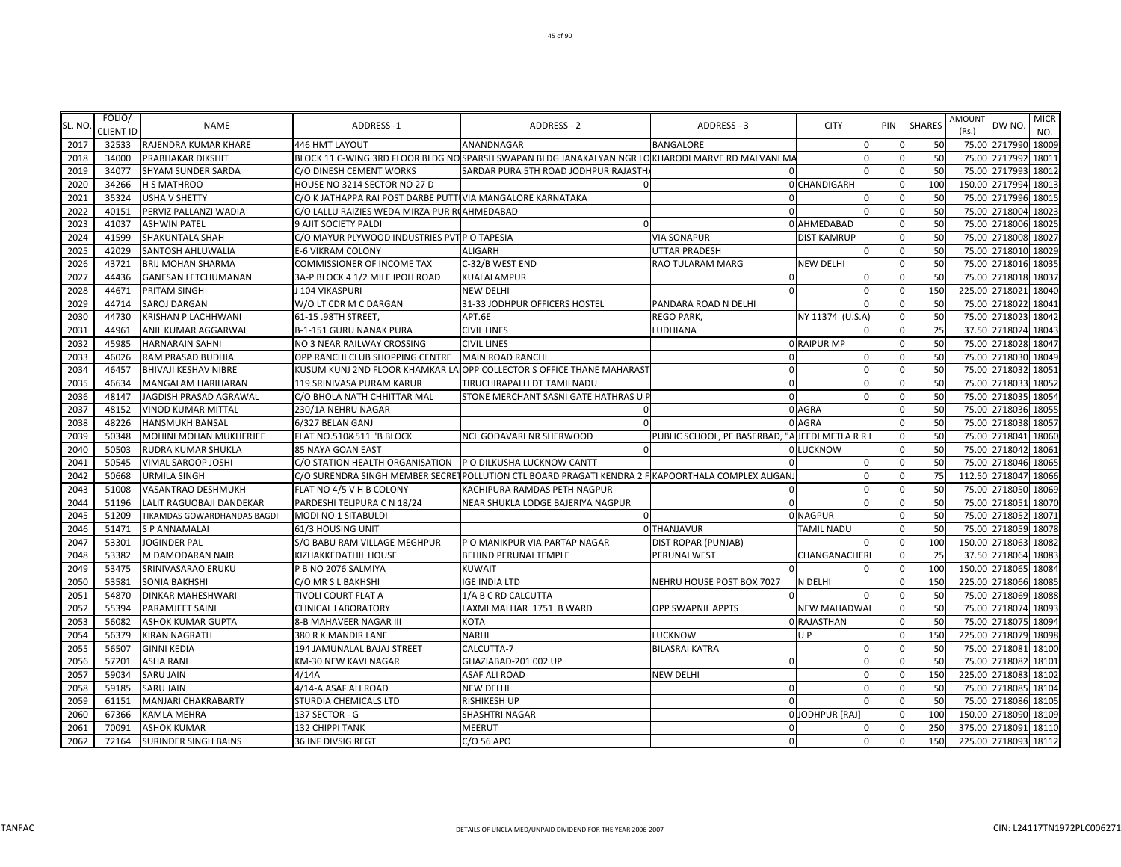| SL. NO | FOLIO/<br>CLIENT ID | <b>NAME</b>                   | <b>ADDRESS-1</b>                                            | ADDRESS - 2                                                                                         | <b>ADDRESS - 3</b>                             | <b>CITY</b>        | PIN          | <b>SHARES</b> | <b>AMOUNT</b><br>(Rs.) | DW NO.               | <b>MICR</b><br>NO. |
|--------|---------------------|-------------------------------|-------------------------------------------------------------|-----------------------------------------------------------------------------------------------------|------------------------------------------------|--------------------|--------------|---------------|------------------------|----------------------|--------------------|
| 2017   | 32533               | RAJENDRA KUMAR KHARE          | 446 HMT LAYOUT                                              | ANANDNAGAR                                                                                          | <b>BANGALORE</b>                               | $\Omega$           |              | 50            |                        | 75.00 2717990 18009  |                    |
| 2018   | 34000               | <b>PRABHAKAR DIKSHIT</b>      |                                                             | BLOCK 11 C-WING 3RD FLOOR BLDG NO SPARSH SWAPAN BLDG JANAKALYAN NGR LO KHARODI MARVE RD MALVANI MA  |                                                | $\mathbf 0$        | $\Omega$     | 50            | 75.00                  | 2717992 1801:        |                    |
| 2019   | 34077               | <b>SHYAM SUNDER SARDA</b>     | C/O DINESH CEMENT WORKS                                     | SARDAR PURA 5TH ROAD JODHPUR RAJASTH                                                                | $\Omega$                                       | $\Omega$           | $\Omega$     | 50            |                        | 75.00 2717993 18012  |                    |
| 2020   | 34266               | <b>H S MATHROO</b>            | HOUSE NO 3214 SECTOR NO 27 D                                | $\Omega$                                                                                            |                                                | 0 CHANDIGARH       | $\Omega$     | 100           | 150.00                 | 2717994 18013        |                    |
| 2021   | 35324               | <b>USHA V SHETTY</b>          | C/O K JATHAPPA RAI POST DARBE PUTTI VIA MANGALORE KARNATAKA |                                                                                                     | $\Omega$                                       | $\Omega$           | $\Omega$     | 50            | 75.00                  | 2717996              | 1801               |
| 2022   | 40151               | PERVIZ PALLANZI WADIA         | C/O LALLU RAIZIES WEDA MIRZA PUR ROAHMEDABAD                |                                                                                                     | $\Omega$                                       |                    | $\Omega$     | 50            | 75.00                  | 2718004              | 18023              |
| 2023   | 41037               | <b>ASHWIN PATEL</b>           | 9 AJIT SOCIETY PALDI                                        | $\sqrt{ }$                                                                                          |                                                | 0 AHMEDABAD        | $\Omega$     | 50            | 75.00                  | 2718006              | 18025              |
| 2024   | 41599               | <b>SHAKUNTALA SHAH</b>        | C/O MAYUR PLYWOOD INDUSTRIES PVT P O TAPESIA                |                                                                                                     | <b>VIA SONAPUR</b>                             | <b>DIST KAMRUP</b> |              | 50            | 75.00                  | 2718008              | 18027              |
| 2025   | 42029               | <b>SANTOSH AHLUWALIA</b>      | <b>E-6 VIKRAM COLONY</b>                                    | <b>ALIGARH</b>                                                                                      | UTTAR PRADESH                                  | $\Omega$           | $\Omega$     | 50            | 75.00                  | 2718010              | 18029              |
| 2026   | 43721               | <b>BRIJ MOHAN SHARMA</b>      | <b>COMMISSIONER OF INCOME TAX</b>                           | C-32/B WEST END                                                                                     | RAO TULARAM MARG                               | <b>NEW DELHI</b>   | $\Omega$     | 50            |                        | 75.00 2718016 1803   |                    |
| 2027   | 44436               | <b>GANESAN LETCHUMANAN</b>    | 3A-P BLOCK 4 1/2 MILE IPOH ROAD                             | <b>KUALALAMPUR</b>                                                                                  | $\Omega$                                       | $\Omega$           | $\Omega$     | 50            | 75.00                  | 2718018              | 18037              |
| 2028   | 44671               | <b>PRITAM SINGH</b>           | J 104 VIKASPURI                                             | <b>NEW DELHI</b>                                                                                    | $\Omega$                                       | 0                  | $\Omega$     | 150           | 225.00                 | 2718021 18040        |                    |
| 2029   | 44714               | <b>SAROJ DARGAN</b>           | W/O LT CDR M C DARGAN                                       | 31-33 JODHPUR OFFICERS HOSTEL                                                                       | PANDARA ROAD N DELHI                           |                    | $\Omega$     | 50            | 75.00                  | 2718022              | 18041              |
| 2030   | 44730               | <b>KRISHAN P LACHHWANI</b>    | 61-15 .98TH STREET                                          | APT.6E                                                                                              | <b>REGO PARK,</b>                              | NY 11374 (U.S.A    | $\Omega$     | 50            | 75.00                  | 2718023 18042        |                    |
| 2031   | 44961               | <b>ANIL KUMAR AGGARWAL</b>    | B-1-151 GURU NANAK PURA                                     | <b>CIVIL LINES</b>                                                                                  | LUDHIANA                                       |                    | $\Omega$     | 25            | 37.50                  | 2718024 1804         |                    |
| 2032   | 45985               | <b>HARNARAIN SAHNI</b>        | NO 3 NEAR RAILWAY CROSSING                                  | <b>CIVIL LINES</b>                                                                                  |                                                | <b>O RAIPUR MP</b> | $\Omega$     | 50            | 75.00                  | 2718028              | 18047              |
| 2033   | 46026               | RAM PRASAD BUDHIA             | OPP RANCHI CLUB SHOPPING CENTRE                             | <b>MAIN ROAD RANCHI</b>                                                                             | $\Omega$                                       | 0                  | $\Omega$     | 50            | 75.00                  | 2718030 18049        |                    |
| 2034   | 46457               | <b>BHIVAJI KESHAV NIBRE</b>   |                                                             | KUSUM KUNJ 2ND FLOOR KHAMKAR LA OPP COLLECTOR S OFFICE THANE MAHARAS                                | $\mathbf{0}$                                   | $\mathbf 0$        | $\Omega$     | 50            | 75.00                  | 2718032 1805         |                    |
| 2035   | 46634               | <b>MANGALAM HARIHARAN</b>     | 119 SRINIVASA PURAM KARUR                                   | TIRUCHIRAPALLI DT TAMILNADU                                                                         | $\Omega$                                       | $\mathbf 0$        | $\Omega$     | 50            | 75.00                  | 2718033 18052        |                    |
| 2036   | 48147               | JAGDISH PRASAD AGRAWAL        | C/O BHOLA NATH CHHITTAR MAL                                 | STONE MERCHANT SASNI GATE HATHRAS U F                                                               | $\Omega$                                       | $\Omega$           | $\Omega$     | 50            | 75.00                  | 2718035 18054        |                    |
| 2037   | 48152               | <b>VINOD KUMAR MITTAL</b>     | 230/1A NEHRU NAGAR                                          |                                                                                                     |                                                | 0 AGRA             | $\Omega$     | 50            | 75.00                  | 2718036 18055        |                    |
| 2038   | 48226               | <b>HANSMUKH BANSAL</b>        | 6/327 BELAN GANJ                                            | $\Omega$                                                                                            |                                                | 0 AGRA             | $\Omega$     | 50            | 75.00                  | 2718038              | 18057              |
| 2039   | 50348               | <b>MOHINI MOHAN MUKHERJEE</b> | FLAT NO.510&511 "B BLOCK                                    | NCL GODAVARI NR SHERWOOD                                                                            | PUBLIC SCHOOL, PE BASERBAD, "A JEEDI METLA R R |                    | $\Omega$     | 50            | 75.00                  | 2718041              | 18060              |
| 2040   | 50503               | <b>RUDRA KUMAR SHUKLA</b>     | 85 NAYA GOAN EAST                                           |                                                                                                     |                                                | 0 LUCKNOW          |              | 50            | 75.00                  | 2718042 1806         |                    |
| 2041   | 50545               | <b>VIMAL SAROOP JOSHI</b>     | C/O STATION HEALTH ORGANISATION                             | P O DILKUSHA LUCKNOW CANTT                                                                          | $\Omega$                                       | 0                  | $\Omega$     | 50            | 75.00                  | 2718046              | 1806               |
| 2042   | 50668               | <b>URMILA SINGH</b>           |                                                             | C/O SURENDRA SINGH MEMBER SECRET POLLUTION CTL BOARD PRAGATI KENDRA 2 FIKAPOORTHALA COMPLEX ALIGANJ |                                                | 0                  | $\Omega$     | 75            | 112.50 2718047 18066   |                      |                    |
| 2043   | 51008               | <b>VASANTRAO DESHMUKH</b>     | FLAT NO 4/5 V H B COLONY                                    | KACHIPURA RAMDAS PETH NAGPUR                                                                        | $\Omega$                                       | 0                  | $\Omega$     | 50            | 75.00                  | 2718050 18069        |                    |
| 2044   | 51196               | LALIT RAGUOBAJI DANDEKAR      | PARDESHI TELIPURA C N 18/24                                 | NEAR SHUKLA LODGE BAJERIYA NAGPUR                                                                   | $\Omega$                                       | $\Omega$           | $\Omega$     | 50            | 75.00                  | 2718051 18070        |                    |
| 2045   | 51209               | TIKAMDAS GOWARDHANDAS BAGDI   | MODI NO 1 SITABULDI                                         |                                                                                                     |                                                | 0 NAGPUR           | $\Omega$     | 50            | 75.00                  | 2718052              | 1807               |
| 2046   | 51471               | <b>SP ANNAMALAI</b>           | 61/3 HOUSING UNIT                                           |                                                                                                     | 0 THANJAVUR                                    | <b>TAMIL NADU</b>  | $\Omega$     | 50            | 75.00                  | 2718059 18078        |                    |
| 2047   | 53301               | <b>JOGINDER PAL</b>           | S/O BABU RAM VILLAGE MEGHPUR                                | P O MANIKPUR VIA PARTAP NAGAR                                                                       | <b>DIST ROPAR (PUNJAB)</b>                     |                    | $\Omega$     | 100           | 150.00                 | 2718063              | 18082              |
| 2048   | 53382               | M DAMODARAN NAIR              | <b>KIZHAKKEDATHIL HOUSE</b>                                 | <b>BEHIND PERUNAI TEMPLE</b>                                                                        | PERUNAI WEST                                   | CHANGANACHER       | $\Omega$     | 25            | 37.50                  | 2718064              | 1808               |
| 2049   | 53475               | SRINIVASARAO ERUKU            | P B NO 2076 SALMIYA                                         | <b>KUWAIT</b>                                                                                       |                                                |                    |              | 100           | 150.00                 | 2718065              | 1808               |
| 2050   | 53581               | <b>SONIA BAKHSHI</b>          | C/O MR S L BAKHSHI                                          | <b>IGE INDIA LTD</b>                                                                                | NEHRU HOUSE POST BOX 7027                      | N DELHI            | $\Omega$     | 150           |                        | 225.00 2718066 1808  |                    |
| 2051   | 54870               | <b>DINKAR MAHESHWARI</b>      | TIVOLI COURT FLAT A                                         | 1/A B C RD CALCUTTA                                                                                 | $\Omega$                                       | n                  | $\Omega$     | 50            |                        | 75.00 2718069 18088  |                    |
| 2052   | 55394               | <b>PARAMJEET SAINI</b>        | <b>CLINICAL LABORATORY</b>                                  | LAXMI MALHAR 1751 B WARD                                                                            | <b>OPP SWAPNIL APPTS</b>                       | <b>NEW MAHADWA</b> | $\Omega$     | 50            | 75.00                  | 2718074 18093        |                    |
| 2053   | 56082               | <b>ASHOK KUMAR GUPTA</b>      | 8-B MAHAVEER NAGAR III                                      | <b>KOTA</b>                                                                                         |                                                | 0 RAJASTHAN        | $\Omega$     | 50            | 75.00                  | 2718075 18094        |                    |
| 2054   | 56379               | <b>KIRAN NAGRATH</b>          | 380 R K MANDIR LANE                                         | <b>NARHI</b>                                                                                        | <b>LUCKNOW</b>                                 | U <sub>P</sub>     | $\Omega$     | 150           | 225.00                 | 2718079              | 18098              |
| 2055   | 56507               | <b>GINNI KEDIA</b>            | 194 JAMUNALAL BAJAJ STREET                                  | CALCUTTA-7                                                                                          | <b>BILASRAI KATRA</b>                          | $\Omega$           | $\Omega$     | 50            | 75.00                  | 2718081              | 18100              |
| 2056   | 57201               | <b>ASHA RANI</b>              | KM-30 NEW KAVI NAGAR                                        | GHAZIABAD-201 002 UP                                                                                | $\Omega$                                       | $\Omega$           |              | 50            | 75.00                  | 2718082 18101        |                    |
| 2057   | 59034               | <b>SARU JAIN</b>              | 4/14A                                                       | <b>ASAF ALI ROAD</b>                                                                                | <b>NEW DELHI</b>                               | $\Omega$           |              | 150           | 225.00                 | 2718083              | 1810               |
| 2058   | 59185               | <b>SARU JAIN</b>              | 4/14-A ASAF ALI ROAD                                        | <b>NEW DELHI</b>                                                                                    | $\Omega$                                       | 0                  | $\Omega$     | 50            |                        | 75.00 2718085 18104  |                    |
| 2059   | 61151               | MANJARI CHAKRABARTY           | STURDIA CHEMICALS LTD                                       | <b>RISHIKESH UP</b>                                                                                 | $\Omega$                                       | $\Omega$           | $\mathbf{0}$ | 50            | 75.00                  | 2718086              | 18105              |
| 2060   | 67366               | <b>KAMLA MEHRA</b>            | 137 SECTOR - G                                              | SHASHTRI NAGAR                                                                                      |                                                | 0 JODHPUR [RAJ]    | $\mathbf{0}$ | 100           | 150.00 2718090         |                      | 18109              |
| 2061   | 70091               | <b>ASHOK KUMAR</b>            | <b>132 CHIPPI TANK</b>                                      | <b>MEERUT</b>                                                                                       | $\Omega$                                       | $\Omega$           |              | 250           |                        | 375.00 2718091 18110 |                    |
| 2062   | 72164               | <b>SURINDER SINGH BAINS</b>   | 36 INF DIVSIG REGT                                          | C/O 56 APO                                                                                          | $\mathbf{0}$                                   | $\mathbf 0$        | $\Omega$     | 150           |                        | 225.00 2718093 18112 |                    |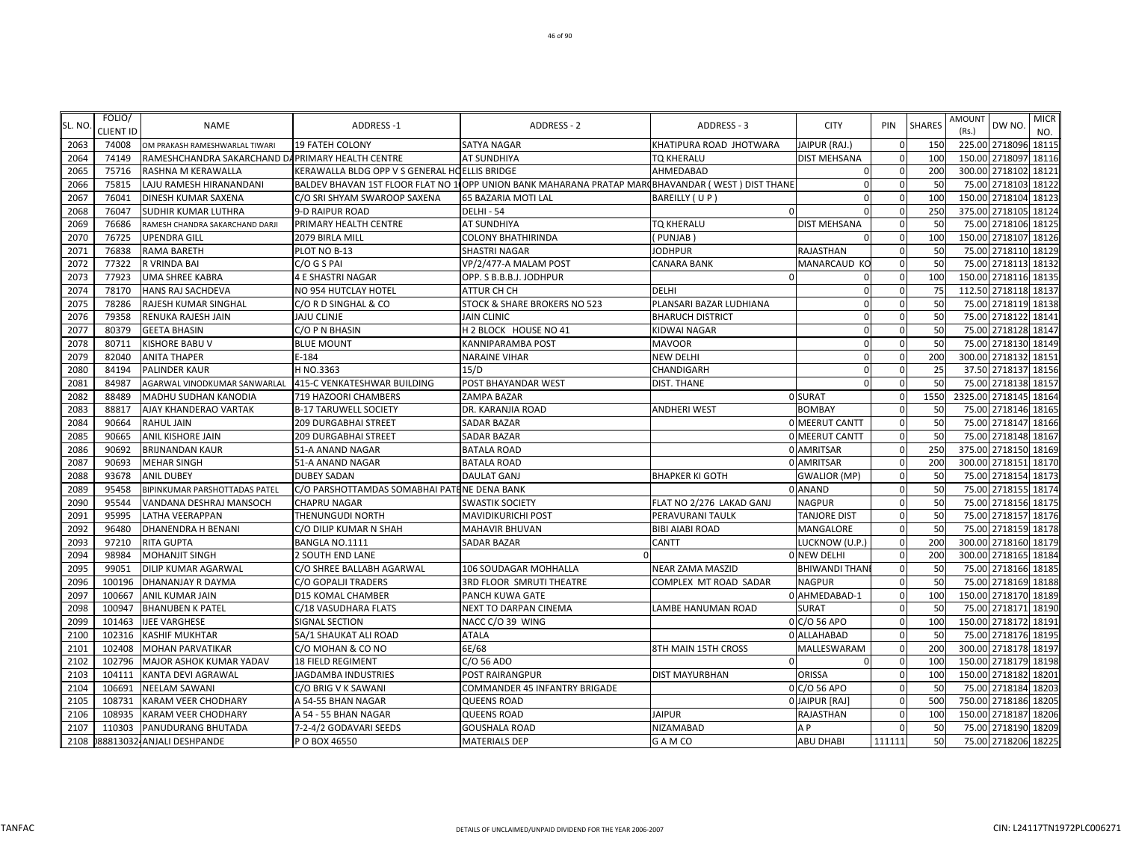| SL. NO. | FOLIO/<br><b>CLIENT ID</b> | <b>NAME</b>                                      | <b>ADDRESS-1</b>                              | <b>ADDRESS - 2</b>                                                                                | ADDRESS - 3              | <b>CITY</b>          | PIN      | <b>SHARES</b> | <b>MICR</b><br><b>AMOUNT</b><br>DW NO.<br>(Rs.)<br>NO. |
|---------|----------------------------|--------------------------------------------------|-----------------------------------------------|---------------------------------------------------------------------------------------------------|--------------------------|----------------------|----------|---------------|--------------------------------------------------------|
| 2063    | 74008                      | OM PRAKASH RAMESHWARLAL TIWARI                   | <b>19 FATEH COLONY</b>                        | <b>SATYA NAGAR</b>                                                                                | KHATIPURA ROAD JHOTWARA  | JAIPUR (RAJ.)        |          | 150           | 225.00 2718096<br>18115                                |
| 2064    | 74149                      | RAMESHCHANDRA SAKARCHAND DAPRIMARY HEALTH CENTRE |                                               | AT SUNDHIYA                                                                                       | <b>TO KHERALU</b>        | <b>DIST MEHSANA</b>  | $\Omega$ | 100           | 150.00 2718097<br>18116                                |
| 2065    | 75716                      | RASHNA M KERAWALLA                               | KERAWALLA BLDG OPP V S GENERAL HOELLIS BRIDGE |                                                                                                   | AHMEDABAD                | $\Omega$             | $\Omega$ | 200           | 300.00 2718102 18121                                   |
| 2066    | 75815                      | LAJU RAMESH HIRANANDANI                          |                                               | BALDEV BHAVAN 1ST FLOOR FLAT NO 1 (OPP UNION BANK MAHARANA PRATAP MAR BHAVANDAR (WEST) DIST THANE |                          | $\Omega$             | $\Omega$ | 50            | 2718103<br>75.00<br>18122                              |
| 2067    | 76041                      | DINESH KUMAR SAXENA                              | C/O SRI SHYAM SWAROOP SAXENA                  | 65 BAZARIA MOTI LAL                                                                               | BAREILLY (UP)            | $\Omega$             | $\Omega$ | 100           | 150.00 2718104<br>18123                                |
| 2068    | 76047                      | <b>SUDHIR KUMAR LUTHRA</b>                       | 9-D RAIPUR ROAD                               | DELHI - 54                                                                                        | $\Omega$                 |                      | $\Omega$ | 250           | 2718105<br>18124<br>375.00                             |
| 2069    | 76686                      | RAMESH CHANDRA SAKARCHAND DARJI                  | PRIMARY HEALTH CENTRE                         | AT SUNDHIYA                                                                                       | <b>TO KHERALU</b>        | <b>DIST MEHSANA</b>  | $\Omega$ | 50            | 18125<br>75.00<br>2718106                              |
| 2070    | 76725                      | <b>UPENDRA GILL</b>                              | 2079 BIRLA MILL                               | COLONY BHATHIRINDA                                                                                | (PUNJAB)                 |                      |          | 100           | 2718107 18126<br>150.00                                |
| 2071    | 76838                      | RAMA BARETH                                      | PLOT NO B-13                                  | SHASTRI NAGAR                                                                                     | <b>JODHPUR</b>           | RAJASTHAN            | $\Omega$ | 50            | 75.00 2718110 18129                                    |
| 2072    | 77322                      | R VRINDA BAI                                     | C/O G S PAI                                   | VP/2/477-A MALAM POST                                                                             | <b>CANARA BANK</b>       | MANARCAUD KC         | $\Omega$ | 50            | 75.00 2718113<br>18132                                 |
| 2073    | 77923                      | <b>UMA SHREE KABRA</b>                           | <b>4 E SHASTRI NAGAR</b>                      | OPP. S B.B.B.J. JODHPUR                                                                           | $\Omega$                 | $\Omega$             | $\Omega$ | 100           | 150.00 2718116<br>18135                                |
| 2074    | 78170                      | HANS RAJ SACHDEVA                                | NO 954 HUTCLAY HOTEL                          | ATTUR CH CH                                                                                       | <b>DELHI</b>             | $\Omega$             | $\Omega$ | 75            | 112.50 2718118<br>18137                                |
| 2075    | 78286                      | RAJESH KUMAR SINGHAL                             | C/O R D SINGHAL & CO                          | STOCK & SHARE BROKERS NO 523                                                                      | PLANSARI BAZAR LUDHIANA  | $\sqrt{2}$           | $\Omega$ | 50            | 75.00 2718119<br>18138                                 |
| 2076    | 79358                      | RENUKA RAJESH JAIN                               | <b>JAJU CLINJE</b>                            | <b>JAIN CLINIC</b>                                                                                | <b>BHARUCH DISTRICT</b>  | $\Omega$             | $\Omega$ | 50            | 75.00 2718122 18141                                    |
| 2077    | 80379                      | <b>GEETA BHASIN</b>                              | C/O P N BHASIN                                | H 2 BLOCK HOUSE NO 41                                                                             | KIDWAI NAGAR             | $\Omega$             | $\Omega$ | 50            | 75.00 2718128 18147                                    |
| 2078    | 80711                      | <b>KISHORE BABU V</b>                            | <b>BLUE MOUNT</b>                             | KANNIPARAMBA POST                                                                                 | <b>MAVOOR</b>            | $\Omega$             |          | 50            | 75.00 2718130 18149                                    |
| 2079    | 82040                      | <b>ANITA THAPER</b>                              | E-184                                         | NARAINE VIHAR                                                                                     | <b>NEW DELHI</b>         | $\Omega$             | $\Omega$ | 200           | 300.00 2718132<br>18151                                |
| 2080    | 84194                      | PALINDER KAUR                                    | H NO.3363                                     | 15/D                                                                                              | CHANDIGARH               | $\Omega$             | $\Omega$ | 25            | 37.50 2718137<br>18156                                 |
| 2081    | 84987                      | AGARWAL VINODKUMAR SANWARLAL                     | 415-C VENKATESHWAR BUILDING                   | POST BHAYANDAR WEST                                                                               | <b>DIST. THANE</b>       | $\Omega$             | $\Omega$ | 50            | 75.00 2718138<br>18157                                 |
| 2082    | 88489                      | MADHU SUDHAN KANODIA                             | 719 HAZOORI CHAMBERS                          | ZAMPA BAZAR                                                                                       |                          | 0 SURAT              | $\Omega$ | 1550          | 2325.00 2718145<br>18164                               |
| 2083    | 88817                      | AJAY KHANDERAO VARTAK                            | <b>B-17 TARUWELL SOCIETY</b>                  | DR. KARANJIA ROAD                                                                                 | <b>ANDHERI WEST</b>      | <b>BOMBAY</b>        |          | 50            | 75.00 2718146 18165                                    |
| 2084    | 90664                      | <b>RAHUL JAIN</b>                                | <b>209 DURGABHAI STREET</b>                   | <b>SADAR BAZAR</b>                                                                                |                          | 0 MEERUT CANTT       | $\Omega$ | 50            | 2718147 18166<br>75.00                                 |
| 2085    | 90665                      | <b>ANIL KISHORE JAIN</b>                         | <b>209 DURGABHAI STREET</b>                   | <b>SADAR BAZAR</b>                                                                                |                          | 0 MEERUT CANTT       | $\Omega$ | 50            | 75.00<br>2718148<br>18167                              |
| 2086    | 90692                      | <b>BRIJNANDAN KAUR</b>                           | 51-A ANAND NAGAR                              | <b>BATALA ROAD</b>                                                                                |                          | 0 AMRITSAR           |          | 250           | 375.00<br>2718150<br>18169                             |
| 2087    | 90693                      | <b>MEHAR SINGH</b>                               | 51-A ANAND NAGAR                              | <b>BATALA ROAD</b>                                                                                |                          | 0 AMRITSAR           |          | 200           | 300.00 2718151<br>18170                                |
| 2088    | 93678                      | <b>ANIL DUBEY</b>                                | <b>DUBEY SADAN</b>                            | <b>DAULAT GANJ</b>                                                                                | <b>BHAPKER KI GOTH</b>   | <b>GWALIOR (MP)</b>  | $\Omega$ | 50            | 75.00 2718154<br>18173                                 |
| 2089    | 95458                      | BIPINKUMAR PARSHOTTADAS PATEL                    | C/O PARSHOTTAMDAS SOMABHAI PATENE DENA BANK   |                                                                                                   |                          | 0 ANAND              | $\Omega$ | 50            | 75.00 2718155 18174                                    |
| 2090    | 95544                      | VANDANA DESHRAJ MANSOCH                          | <b>CHAPRU NAGAR</b>                           | <b>SWASTIK SOCIETY</b>                                                                            | FLAT NO 2/276 LAKAD GANJ | <b>NAGPUR</b>        | $\Omega$ | 50            | 75.00 2718156 18175                                    |
| 2091    | 95995                      | <b>LATHA VEERAPPAN</b>                           | THENUNGUDI NORTH                              | <b>MAVIDIKURICHI POST</b>                                                                         | PERAVURANI TAULK         | <b>TANJORE DIST</b>  | $\Omega$ | 50            | 2718157<br>18176<br>75.00                              |
| 2092    | 96480                      | <b>DHANENDRA H BENANI</b>                        | C/O DILIP KUMAR N SHAH                        | <b>MAHAVIR BHUVAN</b>                                                                             | <b>BIBI AIABI ROAD</b>   | MANGALORE            | $\Omega$ | 50            | 75.00 2718159 18178                                    |
| 2093    | 97210                      | <b>RITA GUPTA</b>                                | BANGLA NO.1111                                | <b>SADAR BAZAR</b>                                                                                | <b>CANTT</b>             | LUCKNOW (U.P.)       | $\Omega$ | 200           | 2718160<br>18179<br>300.00                             |
| 2094    | 98984                      | <b>MOHANJIT SINGH</b>                            | <b>2 SOUTH END LANE</b>                       |                                                                                                   |                          | O NEW DELHI          |          | 200           | 2718165<br>18184<br>300.00                             |
| 2095    | 99051                      | DILIP KUMAR AGARWAL                              | C/O SHREE BALLABH AGARWAL                     | 106 SOUDAGAR MOHHALLA                                                                             | <b>NEAR ZAMA MASZID</b>  | <b>BHIWANDI THAN</b> | $\Omega$ | 50            | 75.00 2718166 18185                                    |
| 2096    | 100196                     | <b>DHANANJAY R DAYMA</b>                         | C/O GOPALJI TRADERS                           | 3RD FLOOR SMRUTI THEATRE                                                                          | COMPLEX MT ROAD SADAR    | <b>NAGPUR</b>        | $\Omega$ | 50            | 75.00 2718169<br>18188                                 |
| 2097    | 100667                     | <b>ANIL KUMAR JAIN</b>                           | D15 KOMAL CHAMBER                             | PANCH KUWA GATE                                                                                   |                          | 0 AHMEDABAD-1        | $\Omega$ | 100           | 150.00 2718170 18189                                   |
| 2098    | 100947                     | <b>BHANUBEN K PATEL</b>                          | C/18 VASUDHARA FLATS                          | NEXT TO DARPAN CINEMA                                                                             | LAMBE HANUMAN ROAD       | <b>SURAT</b>         | $\Omega$ | 50            | 2718171<br>18190<br>75.00                              |
| 2099    | 101463                     | <b>IJEE VARGHESE</b>                             | <b>SIGNAL SECTION</b>                         | NACC C/O 39 WING                                                                                  |                          | 0 C/O 56 APO         | $\Omega$ | 100           | 150.00 2718172 18191                                   |
| 2100    | 102316                     | <b>KASHIF MUKHTAR</b>                            | 5A/1 SHAUKAT ALI ROAD                         | <b>ATALA</b>                                                                                      |                          | 0 ALLAHABAD          | $\Omega$ | 50            | 75.00 2718176 18195                                    |
| 2101    | 102408                     | <b>MOHAN PARVATIKAR</b>                          | C/O MOHAN & CO NO                             | 6E/68                                                                                             | 8TH MAIN 15TH CROSS      | MALLESWARAM          | $\Omega$ | 200           | 300.00 2718178 18197                                   |
| 2102    | 102796                     | MAJOR ASHOK KUMAR YADAV                          | <b>18 FIELD REGIMENT</b>                      | C/O 56 ADO                                                                                        |                          |                      |          | 100           | 150.00 2718179<br>18198                                |
| 2103    | 104111                     | KANTA DEVI AGRAWAL                               | JAGDAMBA INDUSTRIES                           | POST RAIRANGPUR                                                                                   | <b>DIST MAYURBHAN</b>    | ORISSA               | $\Omega$ | 100           | 150.00 2718182<br>18201                                |
| 2104    | 106691                     | <b>NEELAM SAWANI</b>                             | C/O BRIG V K SAWANI                           | COMMANDER 45 INFANTRY BRIGADE                                                                     |                          | 0 C/O 56 APO         | $\Omega$ | 50            | 75.00 2718184 18203                                    |
| 2105    | 108731                     | KARAM VEER CHODHARY                              | A 54-55 BHAN NAGAR                            | <b>QUEENS ROAD</b>                                                                                |                          | 0 JAIPUR [RAJ]       | $\Omega$ | 500           | 750.00 2718186<br>18205                                |
| 2106    | 108935                     | KARAM VEER CHODHARY                              | A 54 - 55 BHAN NAGAR                          | <b>QUEENS ROAD</b>                                                                                | <b>JAIPUR</b>            | RAJASTHAN            |          | 100           | 150.00 2718187 18206                                   |
| 2107    | 110303                     | <b>PANUDURANG BHUTADA</b>                        | 7-2-4/2 GODAVARI SEEDS                        | <b>GOUSHALA ROAD</b>                                                                              | <b>NIZAMABAD</b>         | A P                  |          | 50            | 75.00 2718190 18209                                    |
| 2108    |                            | 088813032 ANJALI DESHPANDE                       | P O BOX 46550                                 | <b>MATERIALS DEP</b>                                                                              | G A M CO                 | <b>ABU DHABI</b>     | 111111   | 50            | 75.00 2718206 18225                                    |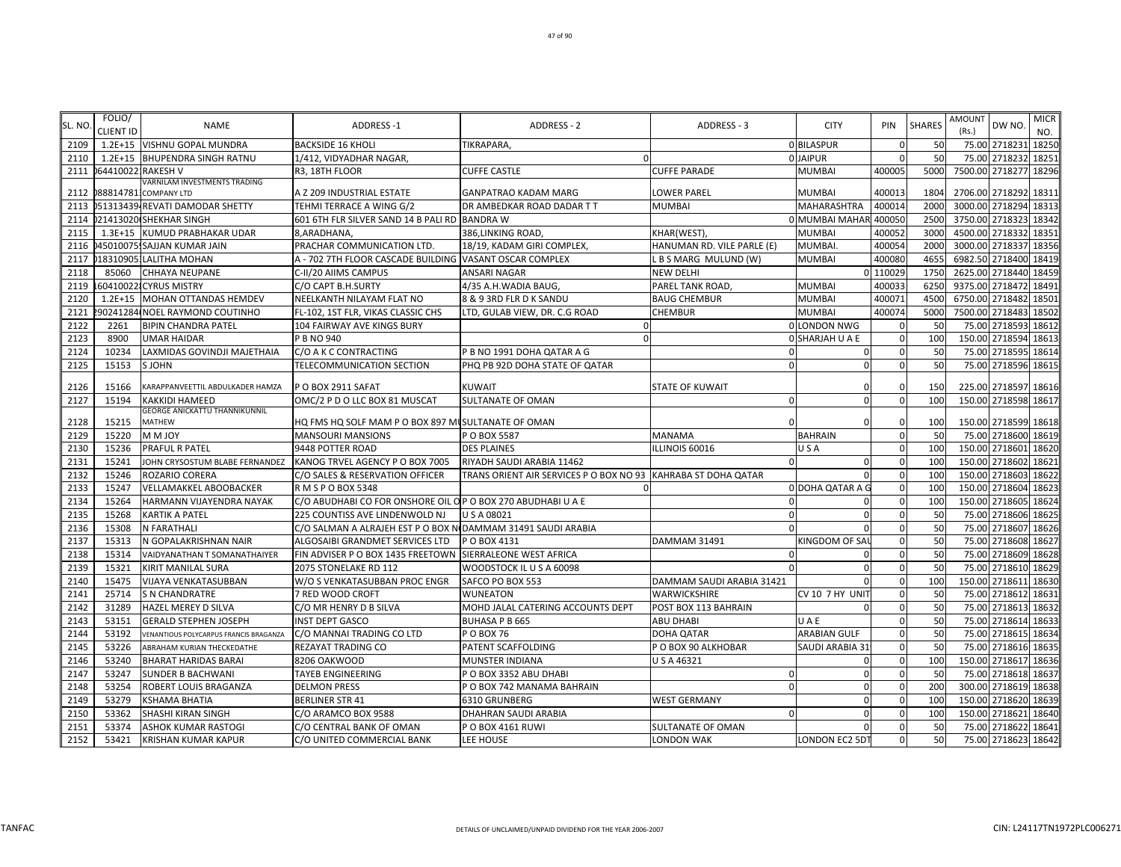| SL. NO | FOLIO/<br>CLIENT ID | <b>NAME</b>                            | ADDRESS-1                                                     | ADDRESS - 2                                                   | ADDRESS - 3                | <b>CITY</b>             | PIN          | <b>SHARES</b> | <b>AMOUNT</b><br>(Rs.) | DW NO.              | <b>MICR</b><br>NO. |
|--------|---------------------|----------------------------------------|---------------------------------------------------------------|---------------------------------------------------------------|----------------------------|-------------------------|--------------|---------------|------------------------|---------------------|--------------------|
| 2109   |                     | 1.2E+15 VISHNU GOPAL MUNDRA            | <b>BACKSIDE 16 KHOLI</b>                                      | TIKRAPARA,                                                    |                            | 0 BILASPUR              |              | 50            | 75.00 2718231          |                     | 18250              |
| 2110   |                     | 1.2E+15 BHUPENDRA SINGH RATNU          | 1/412, VIDYADHAR NAGAR,                                       |                                                               |                            | 0 JAIPUR                |              | 50            | 75.00 2718232          |                     | 18251              |
| 2111   | 0644100221RAKESH V  |                                        | R3, 18TH FLOOR                                                | <b>CUFFE CASTLE</b>                                           | <b>CUFFE PARADE</b>        | <b>MUMBAI</b>           | 400005       | 5000          | 7500.00 2718277        |                     | 18296              |
|        |                     | VARNILAM INVESTMENTS TRADING           |                                                               |                                                               |                            |                         |              |               |                        |                     |                    |
| 2112   |                     | 0888147811COMPANY LTD                  | A Z 209 INDUSTRIAL ESTATE                                     | <b>GANPATRAO KADAM MARG</b>                                   | LOWER PAREL                | <b>MUMBAI</b>           | 400013       | 1804          | 2706.00 2718292        |                     | 18311              |
| 2113   |                     | 051313439 REVATI DAMODAR SHETTY        | TEHMI TERRACE A WING G/2                                      | DR AMBEDKAR ROAD DADAR T T                                    | MUMBAI                     | MAHARASHTRA             | 400014       | 2000          | 3000.00 2718294        |                     | 18313              |
| 2114   |                     | )21413020 SHEKHAR SINGH                | 601 6TH FLR SILVER SAND 14 B PALI RD BANDRA W                 |                                                               |                            | 0 MUMBAI MAHAR 400050   |              | 2500          | 3750.00 2718323        |                     | 18342              |
| 2115   |                     | 1.3E+15 KUMUD PRABHAKAR UDAR           | 8, ARADHANA                                                   | 386, LINKING ROAD,                                            | KHAR(WEST),                | <b>MUMBAI</b>           | 400052       | 3000          | 4500.00 2718332        |                     | 18351              |
| 2116   |                     | 045010075. SAJJAN KUMAR JAIN           | PRACHAR COMMUNICATION LTD.                                    | 18/19, KADAM GIRI COMPLEX,                                    | HANUMAN RD. VILE PARLE (E) | <b>MUMBAI</b>           | 400054       | 2000          | 3000.00 2718337 18356  |                     |                    |
| 2117   |                     | 018310905 LALITHA MOHAN                | A - 702 7TH FLOOR CASCADE BUILDING                            | VASANT OSCAR COMPLEX                                          | L B S MARG MULUND (W)      | <b>MUMBAI</b>           | 400080       | 4655          | 6982.50 2718400        |                     | 18419              |
| 2118   | 85060               | <b>CHHAYA NEUPANE</b>                  | C-II/20 AIIMS CAMPUS                                          | <b>ANSARI NAGAR</b>                                           | <b>NEW DELHI</b>           |                         | 0 110029     | 1750          | 2625.00 2718440        |                     | 18459              |
| 2119   |                     | 604100221CYRUS MISTRY                  | C/O CAPT B.H.SURTY                                            | 4/35 A.H.WADIA BAUG,                                          | PAREL TANK ROAD,           | <b>MUMBAI</b>           | 400033       | 6250          | 9375.00 2718472        |                     | 18491              |
| 2120   | $1.2E + 15$         | MOHAN OTTANDAS HEMDEV                  | NEELKANTH NILAYAM FLAT NO                                     | 8 & 9 3RD FLR D K SANDU                                       | <b>BAUG CHEMBUR</b>        | MUMBAI                  | 400071       | 4500          | 6750.00 2718482        |                     | 18501              |
| 2121   |                     | 90241284 NOEL RAYMOND COUTINHO         | FL-102, 1ST FLR, VIKAS CLASSIC CHS                            | LTD, GULAB VIEW, DR. C.G ROAD                                 | CHEMBUR                    | MUMBAI                  | 400074       | 5000          | 7500.00 2718483        |                     | 18502              |
| 2122   | 2261                | <b>BIPIN CHANDRA PATEL</b>             | 104 FAIRWAY AVE KINGS BURY                                    |                                                               |                            | 0 LONDON NWG            |              | 50            |                        | 75.00 2718593       | 18612              |
| 2123   | 8900                | <b>UMAR HAIDAR</b>                     | P B NO 940                                                    | $\Omega$                                                      |                            | <b>O SHARJAH U A E</b>  | $\Omega$     | 100           | 150.00 2718594         |                     | 18613              |
| 2124   | 10234               | LAXMIDAS GOVINDJI MAJETHAIA            | C/O A K C CONTRACTING                                         | P B NO 1991 DOHA QATAR A G                                    | $\Omega$                   | 0                       | $\Omega$     | 50            | 75.00 2718595          |                     | 18614              |
| 2125   | 15153               | S JOHN                                 | TELECOMMUNICATION SECTION                                     | PHQ PB 92D DOHA STATE OF QATAR                                | $\Omega$                   | $\Omega$                |              | 50            |                        | 75.00 2718596 18615 |                    |
| 2126   | 15166               | KARAPPANVEETTIL ABDULKADER HAMZA       | POBOX 2911 SAFAT                                              | <b>KUWAIT</b>                                                 | <b>STATE OF KUWAIT</b>     | $\Omega$                |              | 150           | 225.00 2718597         |                     | 18616              |
| 2127   | 15194               | KAKKIDI HAMEED                         | OMC/2 P D O LLC BOX 81 MUSCAT                                 | <b>SULTANATE OF OMAN</b>                                      | $\Omega$                   | $\mathbf 0$             |              | 100           | 150.00 2718598         |                     | 18617              |
|        |                     | GEORGE ANICKATTU THANNIKUNNIL          |                                                               |                                                               |                            |                         |              |               |                        |                     |                    |
| 2128   | 15215               | MATHEW                                 | HQ FMS HQ SOLF MAM P O BOX 897 MUSULTANATE OF OMAN            |                                                               | $\Omega$                   |                         |              | 100           | 150.00 2718599         |                     | 18618              |
| 2129   | 15220               | <b>MMJOY</b>                           | <b>MANSOURI MANSIONS</b>                                      | P O BOX 5587                                                  | MANAMA                     | <b>BAHRAIN</b>          |              | 50            |                        | 75.00 2718600       | 18619              |
| 2130   | 15236               | <b>PRAFUL R PATEL</b>                  | 9448 POTTER ROAD                                              | <b>DES PLAINES</b>                                            | ILLINOIS 60016             | USA                     |              | 100           | 150.00 2718601 18620   |                     |                    |
| 2131   | 15241               | JOHN CRYSOSTUM BLABE FERNANDEZ         | KANOG TRVEL AGENCY P O BOX 7005                               | RIYADH SAUDI ARABIA 11462                                     | $\mathbf 0$                | $\Omega$                |              | 100           | 150.00 2718602 18621   |                     |                    |
| 2132   | 15246               | <b>ROZARIO CORERA</b>                  | C/O SALES & RESERVATION OFFICER                               | TRANS ORIENT AIR SERVICES P O BOX NO 93 KAHRABA ST DOHA QATAR |                            | $\Omega$                | $\Omega$     | 100           | 150.00 2718603 18622   |                     |                    |
| 2133   | 15247               | VELLAMAKKEL ABOOBACKER                 | R M S P O BOX 5348                                            |                                                               |                            | <b>O DOHA QATAR A G</b> |              | 100           | 150.00 2718604         |                     | 18623              |
| 2134   | 15264               | HARMANN VIJAYENDRA NAYAK               | C/O ABUDHABI CO FOR ONSHORE OIL OP O BOX 270 ABUDHABI U A E   |                                                               | $\Omega$                   |                         |              | 100           | 150.00 2718605         |                     | 18624              |
| 2135   | 15268               | <b>KARTIK A PATEL</b>                  | 225 COUNTISS AVE LINDENWOLD NJ                                | U S A 08021                                                   | $\Omega$                   | $\Omega$                |              | 50            | 75.00 2718606          |                     | 18625              |
| 2136   | 15308               | <b>N FARATHALI</b>                     | C/O SALMAN A ALRAJEH EST P O BOX NI DAMMAM 31491 SAUDI ARABIA |                                                               | $\Omega$                   |                         |              | 50            | 75.00 2718607          |                     | 18626              |
| 2137   | 15313               | N GOPALAKRISHNAN NAIR                  | ALGOSAIBI GRANDMET SERVICES LTD                               | P O BOX 4131                                                  | <b>DAMMAM 31491</b>        | KINGDOM OF SAI          |              | 50            |                        | 75.00 2718608       | 18627              |
| 2138   | 15314               | VAIDYANATHAN T SOMANATHAIYER           | FIN ADVISER P O BOX 1435 FREETOWN SIERRALEONE WEST AFRICA     |                                                               | $\Omega$                   |                         |              | 50            |                        | 75.00 2718609       | 18628              |
| 2139   | 15321               | KIRIT MANILAL SURA                     | 2075 STONELAKE RD 112                                         | WOODSTOCK IL U S A 60098                                      |                            | $\Omega$                |              | 50            |                        | 75.00 2718610 18629 |                    |
| 2140   | 15475               | VIJAYA VENKATASUBBAN                   | W/O S VENKATASUBBAN PROC ENGR                                 | SAFCO PO BOX 553                                              | DAMMAM SAUDI ARABIA 31421  |                         | $\Omega$     | 100           | 150.00 2718611         |                     | 18630              |
| 2141   | 25714               | <b>S N CHANDRATRE</b>                  | 7 RED WOOD CROFT                                              | <b>WUNEATON</b>                                               | WARWICKSHIRE               | CV 10 7 HY UNIT         | $\Omega$     | 50            | 75.00 2718612          |                     | 18631              |
| 2142   | 31289               | HAZEL MEREY D SILVA                    | C/O MR HENRY D B SILVA                                        | MOHD JALAL CATERING ACCOUNTS DEPT                             | POST BOX 113 BAHRAIN       |                         |              | 50            | 75.00 2718613          |                     | 18632              |
| 2143   | 53151               | <b>GERALD STEPHEN JOSEPH</b>           | <b>INST DEPT GASCO</b>                                        | <b>BUHASA P B 665</b>                                         | ABU DHABI                  | UAE                     | $\Omega$     | 50            | 75.00 2718614          |                     | 18633              |
| 2144   | 53192               | VENANTIOUS POLYCARPUS FRANCIS BRAGANZA | C/O MANNAI TRADING CO LTD                                     | P O BOX 76                                                    | DOHA QATAR                 | ARABIAN GULF            |              | 50            | 75.00 2718615          |                     | 18634              |
| 2145   | 53226               | ABRAHAM KURIAN THECKEDATHE             | REZAYAT TRADING CO                                            | PATENT SCAFFOLDING                                            | P O BOX 90 ALKHOBAR        | SAUDI ARABIA 31         |              | 50            | 75.00 2718616          |                     | 18635              |
| 2146   | 53240               | <b>BHARAT HARIDAS BARAI</b>            | 8206 OAKWOOD                                                  | MUNSTER INDIANA                                               | U S A 46321                |                         |              | 100           | 150.00 2718617         |                     | 18636              |
| 2147   | 53247               | <b>SUNDER B BACHWANI</b>               | <b>TAYEB ENGINEERING</b>                                      | P O BOX 3352 ABU DHABI                                        | $\Omega$                   | $\Omega$                |              | 50            |                        | 75.00 2718618       | 18637              |
| 2148   | 53254               | ROBERT LOUIS BRAGANZA                  | <b>DELMON PRESS</b>                                           | P O BOX 742 MANAMA BAHRAIN                                    | $\Omega$                   | 0                       | <sup>0</sup> | 200           | 300.00 2718619 18638   |                     |                    |
| 2149   | 53279               | <b>KSHAMA BHATIA</b>                   | <b>BERLINER STR 41</b>                                        | 6310 GRUNBERG                                                 | <b>WEST GERMANY</b>        | $\Omega$                | $\Omega$     | 100           | 150.00 2718620         |                     | 18639              |
| 2150   | 53362               | SHASHI KIRAN SINGH                     | C/O ARAMCO BOX 9588                                           | DHAHRAN SAUDI ARABIA                                          | $\Omega$                   | $\Omega$                |              | 100           | 150.00 271862          |                     | 18640              |
| 2151   | 53374               | <b>ASHOK KUMAR RASTOGI</b>             | C/O CENTRAL BANK OF OMAN                                      | P O BOX 4161 RUWI                                             | SULTANATE OF OMAN          |                         |              | 50            | 75.00 2718622          |                     | 18641              |
| 2152   | 53421               | <b>KRISHAN KUMAR KAPUR</b>             | C/O UNITED COMMERCIAL BANK                                    | LEE HOUSE                                                     | <b>LONDON WAK</b>          | <b>LONDON EC2 5DT</b>   | $\Omega$     | 50            |                        | 75.00 2718623 18642 |                    |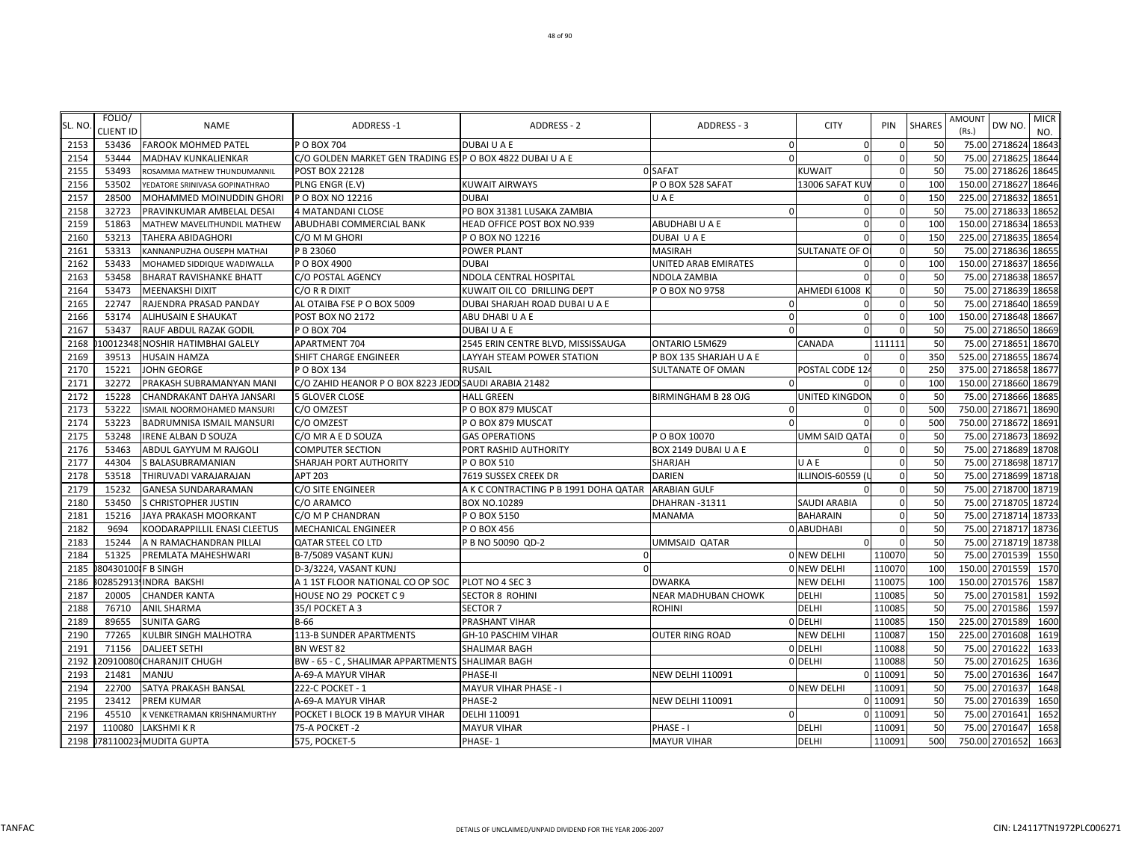| SL. NO | FOLIO/<br><b>CLIENT ID</b> | <b>NAME</b>                      | <b>ADDRESS-1</b>                                          | <b>ADDRESS - 2</b>                                 | ADDRESS - 3                | <b>CITY</b>          | PIN      | <b>SHARES</b> | <b>AMOUNT</b><br>(Rs.) | DW NO.               | <b>MICR</b><br>NO. |
|--------|----------------------------|----------------------------------|-----------------------------------------------------------|----------------------------------------------------|----------------------------|----------------------|----------|---------------|------------------------|----------------------|--------------------|
| 2153   | 53436                      | <b>FAROOK MOHMED PATEL</b>       | P O BOX 704                                               | DUBAI U A E                                        | $\mathbf 0$                | $\overline{0}$       |          | 50            |                        | 75.00 2718624 18643  |                    |
| 2154   | 53444                      | <b>MADHAV KUNKALIENKAR</b>       | C/O GOLDEN MARKET GEN TRADING ESIP O BOX 4822 DUBAI U A E |                                                    | $\Omega$                   | $\Omega$             | $\Omega$ | 50            | 75.00                  | 2718625 18644        |                    |
| 2155   | 53493                      | ROSAMMA MATHEW THUNDUMANNIL      | <b>POST BOX 22128</b>                                     |                                                    | 0 SAFAT                    | <b>KUWAIT</b>        |          | 50            | 75.00                  | 2718626 18645        |                    |
| 2156   | 53502                      | YEDATORE SRINIVASA GOPINATHRAO   | PLNG ENGR (E.V)                                           | <b>KUWAIT AIRWAYS</b>                              | POBOX 528 SAFAT            | 13006 SAFAT KUV      |          | 100           | 150.00                 | 2718627              | 18646              |
| 2157   | 28500                      | MOHAMMED MOINUDDIN GHORI         | P O BOX NO 12216                                          | <b>DUBAI</b>                                       | UAE                        | $\mathbf{0}$         |          | 150           | 225.00                 | 2718632 18651        |                    |
| 2158   | 32723                      | PRAVINKUMAR AMBELAL DESAI        | <b>4 MATANDANI CLOSE</b>                                  | PO BOX 31381 LUSAKA ZAMBIA                         | $\Omega$                   | $\Omega$             |          | 50            | 75.00                  | 2718633              | 18652              |
| 2159   | 51863                      | MATHEW MAVELITHUNDIL MATHEW      | ABUDHABI COMMERCIAL BANK                                  | HEAD OFFICE POST BOX NO.939                        | ABUDHABI U A E             | $\Omega$             |          | 100           | 150.00                 | 2718634              | 1865               |
| 2160   | 53213                      | <b>TAHERA ABIDAGHORI</b>         | C/O M M GHORI                                             | P O BOX NO 12216                                   | DUBAI UAE                  |                      |          | 150           | 225.00                 | 2718635 1865         |                    |
| 2161   | 53313                      | KANNANPUZHA OUSEPH MATHAI        | P B 23060                                                 | POWER PLANT                                        | <b>MASIRAH</b>             | SULTANATE OF O       |          | 50            |                        | 75.00 2718636 1865   |                    |
| 2162   | 53433                      | MOHAMED SIDDIQUE WADIWALLA       | P O BOX 4900                                              | <b>DUBAI</b>                                       | UNITED ARAB EMIRATES       | $\Omega$             |          | 100           |                        | 150.00 2718637 18656 |                    |
| 2163   | 53458                      | <b>BHARAT RAVISHANKE BHATT</b>   | C/O POSTAL AGENCY                                         | NDOLA CENTRAL HOSPITAL                             | NDOLA ZAMBIA               | $\Omega$             | $\Omega$ | 50            | 75.00                  | 2718638 1865         |                    |
| 2164   | 53473                      | <b>MEENAKSHI DIXIT</b>           | C/O R R DIXIT                                             | KUWAIT OIL CO DRILLING DEPT                        | P O BOX NO 9758            | AHMEDI 61008         |          | 50            | 75.00                  | 2718639 18658        |                    |
| 2165   | 22747                      | RAJENDRA PRASAD PANDAY           | AL OTAIBA FSE P O BOX 5009                                | DUBAI SHARJAH ROAD DUBAI U A E                     | $\Omega$                   |                      |          | 50            | 75.00                  | 2718640 18659        |                    |
| 2166   | 53174                      | <b>ALIHUSAIN E SHAUKAT</b>       | POST BOX NO 2172                                          | ABU DHABI U A E                                    | $\Omega$                   | $\mathbf 0$          |          | 100           | 150.00                 | 2718648              | 18667              |
| 2167   | 53437                      | <b>RAUF ABDUL RAZAK GODIL</b>    | P O BOX 704                                               | <b>DUBAI U A E</b>                                 |                            |                      |          | 50            | 75.00                  | 2718650 18669        |                    |
| 2168   |                            | 100123481NOSHIR HATIMBHAI GALELY | APARTMENT 704                                             | 2545 ERIN CENTRE BLVD, MISSISSAUGA                 | <b>ONTARIO L5M6Z9</b>      | CANADA               | 111111   | 50            |                        | 75.00 2718651 18670  |                    |
| 2169   | 39513                      | <b>HUSAIN HAMZA</b>              | SHIFT CHARGE ENGINEER                                     | LAYYAH STEAM POWER STATION                         | P BOX 135 SHARJAH U A E    | $\Omega$             |          | 350           |                        | 525.00 2718655 18674 |                    |
| 2170   | 15221                      | <b>JOHN GEORGE</b>               | P O BOX 134                                               | <b>RUSAIL</b>                                      | <b>SULTANATE OF OMAN</b>   | POSTAL CODE 124      |          | 250           |                        | 375.00 2718658       | 1867               |
| 2171   | 32272                      | PRAKASH SUBRAMANYAN MANI         | C/O ZAHID HEANOR P O BOX 8223 JEDD SAUDI ARABIA 21482     |                                                    |                            | $\Omega$             |          | 100           | 150.00                 | 2718660              | 18679              |
| 2172   | 15228                      | CHANDRAKANT DAHYA JANSARI        | <b>5 GLOVER CLOSE</b>                                     | <b>HALL GREEN</b>                                  | <b>BIRMINGHAM B 28 OJG</b> | UNITED KINGDON       |          | 50            | 75.00                  | 2718666 18685        |                    |
| 2173   | 53222                      | ISMAIL NOORMOHAMED MANSURI       | C/O OMZEST                                                | PO BOX 879 MUSCAT                                  | $\Omega$                   | $\Omega$             |          | 500           | 750.00                 | 2718671 18690        |                    |
| 2174   | 53223                      | <b>BADRUMNISA ISMAIL MANSURI</b> | C/O OMZEST                                                | PO BOX 879 MUSCAT                                  | $\Omega$                   |                      |          | 500           | 750.00                 | 2718672 1869         |                    |
| 2175   | 53248                      | <b>IRENE ALBAN D SOUZA</b>       | C/O MR A E D SOUZA                                        | <b>GAS OPERATIONS</b>                              | P O BOX 10070              | <b>UMM SAID QATA</b> |          | 50            | 75.00                  | 2718673              | 18692              |
| 2176   | 53463                      | ABDUL GAYYUM M RAJGOLI           | <b>COMPUTER SECTION</b>                                   | PORT RASHID AUTHORITY                              | BOX 2149 DUBAI U A E       |                      |          | 50            | 75.00                  | 2718689 18708        |                    |
| 2177   | 44304                      | S BALASUBRAMANIAN                | SHARJAH PORT AUTHORITY                                    | P O BOX 510                                        | <b>SHARJAH</b>             | UAE                  |          | 50            |                        | 75.00 2718698 18717  |                    |
| 2178   | 53518                      | THIRUVADI VARAJARAJAN            | <b>APT 203</b>                                            | 7619 SUSSEX CREEK DR                               | <b>DARIEN</b>              | ILLINOIS-60559 (I    | $\Omega$ | 50            |                        | 75.00 2718699 18718  |                    |
| 2179   | 15232                      | <b>GANESA SUNDARARAMAN</b>       | C/O SITE ENGINEER                                         | A K C CONTRACTING P B 1991 DOHA QATAR ARABIAN GULF |                            | $\Omega$             |          | 50            | 75.00                  | 2718700 18719        |                    |
| 2180   | 53450                      | S CHRISTOPHER JUSTIN             | C/O ARAMCO                                                | BOX NO.10289                                       | DHAHRAN-31311              | SAUDI ARABIA         |          | 50            | 75.00                  | 2718705 18724        |                    |
| 2181   | 15216                      | JAYA PRAKASH MOORKANT            | C/O M P CHANDRAN                                          | PO BOX 5150                                        | <b>MANAMA</b>              | <b>BAHARAIN</b>      |          | 50            | 75.00                  | 2718714 18733        |                    |
| 2182   | 9694                       | KOODARAPPILLIL ENASI CLEETUS     | <b>MECHANICAL ENGINEER</b>                                | P O BOX 456                                        |                            | 0 ABUDHABI           |          | 50            | 75.00                  | 2718717 18736        |                    |
| 2183   | 15244                      | A N RAMACHANDRAN PILLAI          | <b>QATAR STEEL CO LTD</b>                                 | P B NO 50090 QD-2                                  | <b>UMMSAID QATAR</b>       | $\Omega$             |          | 50            | 75.00                  | 2718719              | 18738              |
| 2184   | 51325                      | PREMLATA MAHESHWARI              | B-7/5089 VASANT KUNJ                                      |                                                    |                            | 0 NEW DELHI          | 110070   | 50            | 75.00                  | 2701539              | 1550               |
| 2185   |                            | 804301001F B SINGH               | D-3/3224, VASANT KUNJ                                     |                                                    |                            | <b>0 NEW DELHI</b>   | 110070   | 100           |                        | 150.00 2701559       | 1570               |
| 2186   |                            | 02852913 INDRA BAKSHI            | A 1 1ST FLOOR NATIONAL CO OP SOC                          | PLOT NO 4 SEC 3                                    | <b>DWARKA</b>              | <b>NEW DELHI</b>     | 110075   | 100           |                        | 150.00 2701576       | 1587               |
| 2187   | 20005                      | <b>CHANDER KANTA</b>             | HOUSE NO 29 POCKET C 9                                    | <b>SECTOR 8 ROHINI</b>                             | <b>NEAR MADHUBAN CHOWK</b> | <b>DELHI</b>         | 110085   | 50            |                        | 75.00 2701581        | 1592               |
| 2188   | 76710                      | <b>ANIL SHARMA</b>               | 35/I POCKET A 3                                           | <b>SECTOR 7</b>                                    | <b>ROHINI</b>              | <b>DELHI</b>         | 110085   | 50            | 75.00                  | 2701586              | 1597               |
| 2189   | 89655                      | <b>SUNITA GARG</b>               | <b>B-66</b>                                               | PRASHANT VIHAR                                     |                            | 0 DELHI              | 110085   | 150           | 225.00                 | 2701589              | 1600               |
| 2190   | 77265                      | <b>KULBIR SINGH MALHOTRA</b>     | 113-B SUNDER APARTMENTS                                   | GH-10 PASCHIM VIHAR                                | <b>OUTER RING ROAD</b>     | <b>NEW DELHI</b>     | 110087   | 150           | 225.00                 | 2701608              | 1619               |
| 2191   | 71156                      | <b>DALJEET SETHI</b>             | BN WEST 82                                                | SHALIMAR BAGH                                      |                            | 0 DELHI              | 110088   | 50            | 75.00                  | 2701622              | 1633               |
| 2192   |                            | 20910080 CHARANJIT CHUGH         | BW - 65 - C, SHALIMAR APPARTMENTS                         | <b>SHALIMAR BAGH</b>                               |                            | 0 DELHI              | 110088   | 50            | 75.00                  | 2701625              | 1636               |
| 2193   | 21481                      | <b>MANJU</b>                     | A-69-A MAYUR VIHAR                                        | PHASE-II                                           | <b>NEW DELHI 110091</b>    |                      | 0 110091 | 50            |                        | 75.00 2701636        | 1647               |
| 2194   | 22700                      | SATYA PRAKASH BANSAL             | 222-C POCKET - 1                                          | MAYUR VIHAR PHASE - I                              |                            | <b>0 NEW DELHI</b>   | 110091   | 50            |                        | 75.00 2701637        | 1648               |
| 2195   | 23412                      | <b>PREM KUMAR</b>                | A-69-A MAYUR VIHAR                                        | PHASE-2                                            | <b>NEW DELHI 110091</b>    |                      | 0 110091 | 50            | 75.00                  | 2701639              | 1650               |
| 2196   | 45510                      | K VENKETRAMAN KRISHNAMURTHY      | POCKET I BLOCK 19 B MAYUR VIHAR                           | DELHI 110091                                       | $\Omega$                   |                      | 0 11009  | 50            | 75.00                  | 2701641              | 1652               |
| 2197   | 110080                     | <b>LAKSHMI K R</b>               | 75-A POCKET -2                                            | <b>MAYUR VIHAR</b>                                 | PHASE - I                  | <b>DELHI</b>         | 110091   | 50            |                        | 75.00 2701647        | 1658               |
| 2198   |                            | 078110023 MUDITA GUPTA           | 575, POCKET-5                                             | PHASE-1                                            | <b>MAYUR VIHAR</b>         | <b>DELHI</b>         | 110091   | 500           |                        | 750.00 2701652       | 1663               |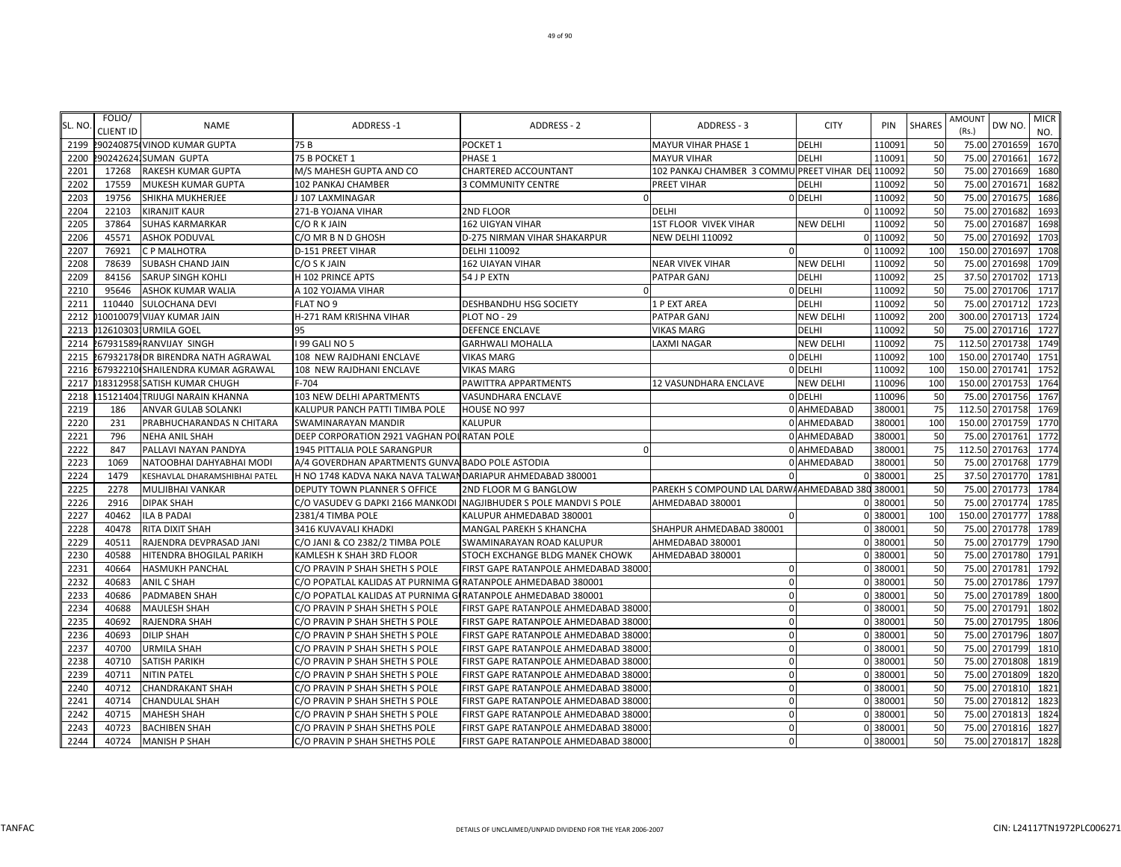| SL. NO | FOLIO/<br><b>CLIENT ID</b> | <b>NAME</b>                        | ADDRESS-1                                                     | ADDRESS - 2                                                        | ADDRESS - 3                                       | <b>CITY</b>      | PIN      | <b>SHARES</b> | AMOUNT<br>(Rs.) | DW NO.             | <b>MICR</b><br>NO. |
|--------|----------------------------|------------------------------------|---------------------------------------------------------------|--------------------------------------------------------------------|---------------------------------------------------|------------------|----------|---------------|-----------------|--------------------|--------------------|
| 2199   |                            | 2902408751 VINOD KUMAR GUPTA       | 75 B                                                          | POCKET 1                                                           | MAYUR VIHAR PHASE 1                               | <b>DELHI</b>     | 11009    | 50            |                 | 75.00 2701659      | 1670               |
| 2200   |                            | 2902426241SUMAN GUPTA              | 75 B POCKET 1                                                 | PHASE 1                                                            | <b>MAYUR VIHAR</b>                                | <b>DELHI</b>     | 11009    | 50            | 75.00           | 2701661            | 1672               |
| 2201   | 17268                      | <b>RAKESH KUMAR GUPTA</b>          | M/S MAHESH GUPTA AND CO                                       | CHARTERED ACCOUNTANT                                               | 102 PANKAJ CHAMBER 3 COMMU PREET VIHAR DEL 110092 |                  |          | 50            | 75.00           | 2701669            | 1680               |
| 2202   | 17559                      | <b>MUKESH KUMAR GUPTA</b>          | 102 PANKAJ CHAMBER                                            | <b>3 COMMUNITY CENTRE</b>                                          | PREET VIHAR                                       | <b>DELHI</b>     | 110092   | 50            | 75.00           | 2701671            | 1682               |
| 2203   | 19756                      | SHIKHA MUKHERJEE                   | J 107 LAXMINAGAR                                              |                                                                    |                                                   | 0 DELHI          | 110092   | 50            | 75.00           | 2701675            | 1686               |
| 2204   | 22103                      | <b>KIRANJIT KAUR</b>               | 271-B YOJANA VIHAR                                            | 2ND FLOOR                                                          | <b>DELHI</b>                                      |                  | 0 110092 | 50            | 75.00           | 2701682            | 1693               |
| 2205   | 37864                      | <b>SUHAS KARMARKAR</b>             | C/O R K JAIN                                                  | <b>162 UIGYAN VIHAR</b>                                            | <b>1ST FLOOR VIVEK VIHAR</b>                      | <b>NEW DELHI</b> | 110092   | 50            | 75.00           | 2701687            | 1698               |
| 2206   | 45571                      | <b>ASHOK PODUVAL</b>               | C/O MR B N D GHOSH                                            | D-275 NIRMAN VIHAR SHAKARPUR                                       | <b>NEW DELHI 110092</b>                           |                  | 0 110092 | 50            | 75.00           | 2701692            | 1703               |
| 2207   | 76921                      | C P MALHOTRA                       | D-151 PREET VIHAR                                             | DELHI 110092                                                       |                                                   |                  | 0 11009  | 100           | 150.00          | 2701697            | 1708               |
| 2208   | 78639                      | SUBASH CHAND JAIN                  | C/O S K JAIN                                                  | <b>162 UIAYAN VIHAR</b>                                            | <b>NEAR VIVEK VIHAR</b>                           | <b>NEW DELHI</b> | 110092   | 50            | 75.00           | 2701698            | 1709               |
| 2209   | 84156                      | <b>SARUP SINGH KOHLI</b>           | H 102 PRINCE APTS                                             | 54 J P EXTN                                                        | PATPAR GANJ                                       | <b>DELHI</b>     | 110092   | 25            | 37.50           | 2701702            | 1713               |
| 2210   | 95646                      | ASHOK KUMAR WALIA                  | A 102 YOJAMA VIHAR                                            |                                                                    |                                                   | 0 DELHI          | 110092   | 50            | 75.00           | 2701706            | 1717               |
| 2211   | 110440                     | <b>SULOCHANA DEVI</b>              | FLAT NO 9                                                     | DESHBANDHU HSG SOCIETY                                             | 1 P EXT AREA                                      | <b>DELHI</b>     | 110092   | 50            | 75.00           | 2701712            | 1723               |
| 2212   |                            | 10010079 VIJAY KUMAR JAIN          | H-271 RAM KRISHNA VIHAR                                       | PLOT NO - 29                                                       | PATPAR GANJ                                       | <b>NEW DELHI</b> | 110092   | 200           | 300.00          | 2701713            | 1724               |
| 2213   |                            | )126103031URMILA GOEL              | 95                                                            | <b>DEFENCE ENCLAVE</b>                                             | <b>VIKAS MARG</b>                                 | <b>DELHI</b>     | 110092   | 50            | 75.00           | 2701716            | 1727               |
| 2214   |                            | 267931589 RANVIJAY SINGH           | 99 GALI NO 5                                                  | <b>GARHWALI MOHALLA</b>                                            | <b>LAXMI NAGAR</b>                                | <b>NEW DELHI</b> | 110092   | 75            | 112.50          | 2701738            | 1749               |
| 2215   |                            | 267932178 DR BIRENDRA NATH AGRAWAL | 108 NEW RAJDHANI ENCLAVE                                      | <b>VIKAS MARG</b>                                                  |                                                   | 0 DELHI          | 110092   | 100           | 150.00          | 2701740            | 1751               |
| 2216   |                            | 267932210 SHAILENDRA KUMAR AGRAWAL | 108 NEW RAJDHANI ENCLAVE                                      | <b>VIKAS MARG</b>                                                  |                                                   | 0 DELHI          | 110092   | 100           | 150.00          | 2701741            | 1752               |
| 2217   |                            | 18312958 SATISH KUMAR CHUGH        | F-704                                                         | PAWITTRA APPARTMENTS                                               | 12 VASUNDHARA ENCLAVE                             | <b>NEW DELHI</b> | 110096   | 100           | 150.00          | 2701753            | 1764               |
| 2218   |                            | 151214041TRIJUGI NARAIN KHANNA     | 103 NEW DELHI APARTMENTS                                      | VASUNDHARA ENCLAVE                                                 |                                                   | 0 DELHI          | 110096   | 50            | 75.00           | 2701756            | 1767               |
| 2219   | 186                        | <b>ANVAR GULAB SOLANKI</b>         | KALUPUR PANCH PATTI TIMBA POLE                                | HOUSE NO 997                                                       |                                                   | 0 AHMEDABAD      | 380001   | 75            | 112.50          | 2701758            | 1769               |
| 2220   | 231                        | PRABHUCHARANDAS N CHITARA          | <b>SWAMINARAYAN MANDIR</b>                                    | <b>KALUPUR</b>                                                     |                                                   | 0 AHMEDABAD      | 380001   | 100           | 150.00          | 2701759            | 1770               |
| 2221   | 796                        | <b>NEHA ANIL SHAH</b>              | DEEP CORPORATION 2921 VAGHAN POL RATAN POLE                   |                                                                    |                                                   | 0 AHMEDABAD      | 380001   | 50            | 75.00           | 2701761            | 1772               |
| 2222   | 847                        | PALLAVI NAYAN PANDYA               | 1945 PITTALIA POLE SARANGPUR                                  |                                                                    |                                                   | 0 AHMEDABAD      | 380001   | 75            | 112.50          | 2701763            | 1774               |
| 2223   | 1069                       | NATOOBHAI DAHYABHAI MODI           | A/4 GOVERDHAN APARTMENTS GUNVA BADO POLE ASTODIA              |                                                                    |                                                   | 0 AHMEDABAD      | 38000    | 50            | 75.00           | 2701768            | 1779               |
| 2224   | 1479                       | KESHAVLAL DHARAMSHIBHAI PATEL      | H NO 1748 KADVA NAKA NAVA TALWAN DARIAPUR AHMEDABAD 380001    |                                                                    |                                                   |                  | 0 380001 | 25            | 37.50           | 2701770            | 1781               |
| 2225   | 2278                       | <b>MULJIBHAI VANKAR</b>            | DEPUTY TOWN PLANNER S OFFICE                                  | 2ND FLOOR M G BANGLOW                                              | PAREKH S COMPOUND LAL DARWAAHMEDABAD 380          |                  | 380001   | 50            | 75.00           | 2701773            | 1784               |
| 2226   | 2916                       | <b>DIPAK SHAH</b>                  |                                                               | C/O VASUDEV G DAPKI 2166 MANKODI INAGJIBHUDER S POLE MANDVI S POLE | AHMEDABAD 380001                                  |                  | 0 380001 | 50            | 75.00           | 2701774            | 1785               |
| 2227   | 40462                      | <b>ILA B PADAI</b>                 | 2381/4 TIMBA POLE                                             | KALUPUR AHMEDABAD 380001                                           |                                                   |                  | 0 380001 | 100           | 150.00          | 2701777            | 1788               |
| 2228   | 40478                      | <b>RITA DIXIT SHAH</b>             | 3416 KUVAVALI KHADKI                                          | MANGAL PAREKH S KHANCHA                                            | SHAHPUR AHMEDABAD 380001                          |                  | 0 380001 | 50            | 75.00           | 2701778            | 1789               |
| 2229   | 40511                      | RAJENDRA DEVPRASAD JANI            | C/O JANI & CO 2382/2 TIMBA POLE                               | SWAMINARAYAN ROAD KALUPUR                                          | AHMEDABAD 380001                                  |                  | 0 38000  | 50            | 75.00           | 2701779            | 1790               |
| 2230   | 40588                      | HITENDRA BHOGILAL PARIKH           | KAMLESH K SHAH 3RD FLOOR                                      | STOCH EXCHANGE BLDG MANEK CHOWK                                    | AHMEDABAD 380001                                  |                  | 0 380001 | 50            | 75.00           | 2701780            | 1791               |
| 2231   | 40664                      | <b>HASMUKH PANCHAL</b>             | C/O PRAVIN P SHAH SHETH S POLE                                | FIRST GAPE RATANPOLE AHMEDABAD 38000                               |                                                   |                  | 0 380001 | 50            | 75.00           | 2701781            | 1792               |
| 2232   | 40683                      | <b>ANIL C SHAH</b>                 | C/O POPATLAL KALIDAS AT PURNIMA GI RATANPOLE AHMEDABAD 380001 |                                                                    | $\sqrt{ }$                                        |                  | 0 380001 | 50            | 75.00           | 2701786            | 1797               |
| 2233   | 40686                      | <b>PADMABEN SHAH</b>               | C/O POPATLAL KALIDAS AT PURNIMA GI RATANPOLE AHMEDABAD 380001 |                                                                    | $\Omega$                                          |                  | 0 380001 | 50            | 75.00           | 2701789            | 1800               |
| 2234   | 40688                      | <b>MAULESH SHAH</b>                | C/O PRAVIN P SHAH SHETH S POLE                                | FIRST GAPE RATANPOLE AHMEDABAD 38000                               | $\Omega$                                          |                  | 0 380001 | 50            | 75.00           | 2701791            | 1802               |
| 2235   | 40692                      | RAJENDRA SHAH                      | C/O PRAVIN P SHAH SHETH S POLE                                | FIRST GAPE RATANPOLE AHMEDABAD 38000                               | $\Omega$                                          |                  | 0 380001 | 50            | 75.00           | 2701795            | 1806               |
| 2236   | 40693                      | <b>DILIP SHAH</b>                  | C/O PRAVIN P SHAH SHETH S POLE                                | FIRST GAPE RATANPOLE AHMEDABAD 38000                               | $\sqrt{ }$                                        |                  | 0 38000  | 50            | 75.00           | 2701796            | 1807               |
| 2237   | 40700                      | <b>URMILA SHAH</b>                 | C/O PRAVIN P SHAH SHETH S POLE                                | FIRST GAPE RATANPOLE AHMEDABAD 38000                               | $\sqrt{ }$                                        |                  | 0 380001 | 50            | 75.00           | 2701799            | 1810               |
| 2238   | 40710                      | <b>SATISH PARIKH</b>               | C/O PRAVIN P SHAH SHETH S POLE                                | FIRST GAPE RATANPOLE AHMEDABAD 38000                               | $\sqrt{ }$                                        |                  | 0 38000  | 50            | 75.00           | 2701808            | 1819               |
| 2239   | 40711                      | <b>NITIN PATEL</b>                 | C/O PRAVIN P SHAH SHETH S POLE                                | FIRST GAPE RATANPOLE AHMEDABAD 38000                               | $\sqrt{ }$                                        |                  | 0 380001 | 50            | 75.00           | 2701809            | 1820               |
| 2240   | 40712                      | <b>CHANDRAKANT SHAH</b>            | C/O PRAVIN P SHAH SHETH S POLE                                | FIRST GAPE RATANPOLE AHMEDABAD 38000                               | $\sqrt{ }$                                        |                  | 0 38000  | 50            | 75.00           | 2701810            | 1821               |
| 2241   | 40714                      | <b>CHANDULAL SHAH</b>              | C/O PRAVIN P SHAH SHETH S POLE                                | FIRST GAPE RATANPOLE AHMEDABAD 38000                               | $\sqrt{2}$                                        |                  | 0 380001 | 50            | 75.00           | 2701812            | 1823               |
| 2242   | 40715                      | <b>MAHESH SHAH</b>                 | C/O PRAVIN P SHAH SHETH S POLE                                | FIRST GAPE RATANPOLE AHMEDABAD 38000                               | $\Omega$                                          |                  | 0 380001 | 50            | 75.00           | 2701813            | 1824               |
| 2243   | 40723                      | <b>BACHIBEN SHAH</b>               | C/O PRAVIN P SHAH SHETHS POLE                                 | FIRST GAPE RATANPOLE AHMEDABAD 38000                               | $\Omega$                                          |                  | 0 380001 | 50            | 75.00           | 2701816            | 1827               |
| 2244   | 40724                      | <b>MANISH P SHAH</b>               | C/O PRAVIN P SHAH SHETHS POLE                                 | FIRST GAPE RATANPOLE AHMEDABAD 38000                               | $\mathbf 0$                                       |                  | 0 380001 | 50            |                 | 75.00 2701817 1828 |                    |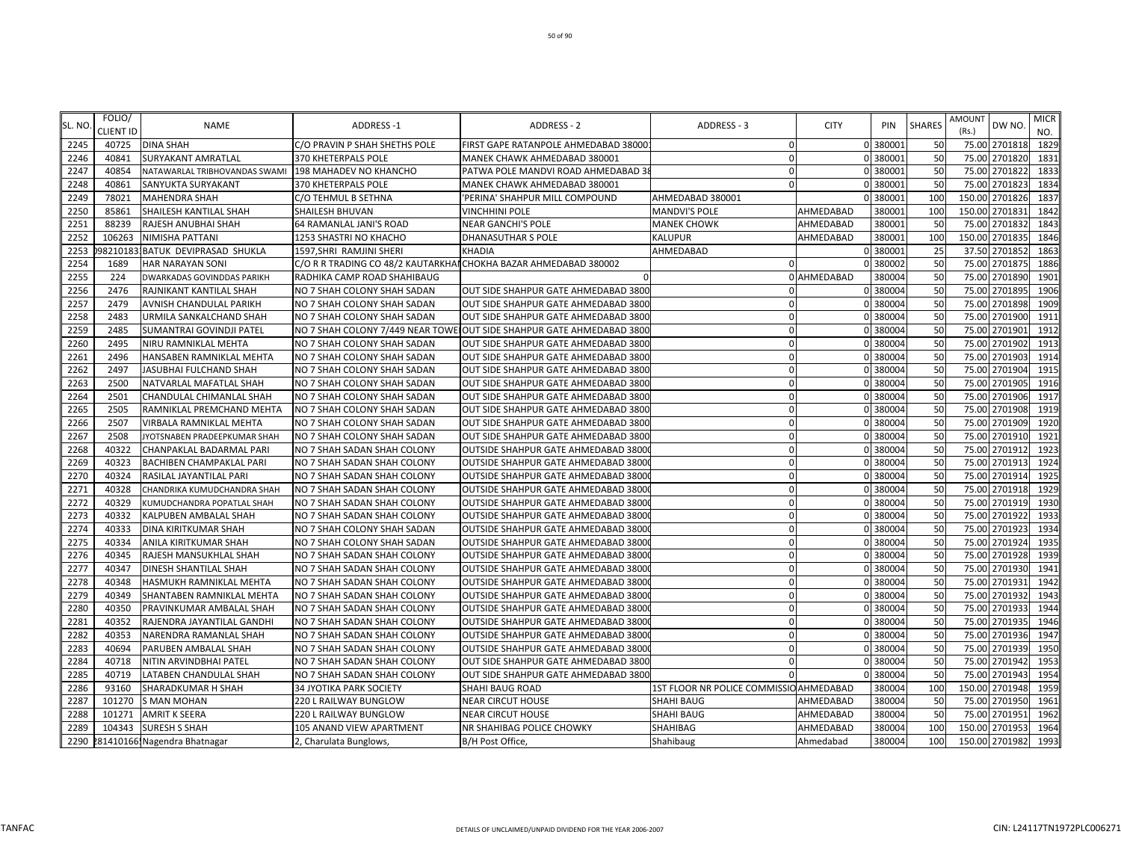| SL. NO | FOLIO/<br><b>CLIENT ID</b> | <b>NAME</b>                      | <b>ADDRESS-1</b>                                                 | ADDRESS - 2                                                            | ADDRESS - 3                             | <b>CITY</b> | PIN      | <b>SHARES</b> | <b>AMOUNT</b><br>(Rs.) | DW NO          | MICR<br>NO. |
|--------|----------------------------|----------------------------------|------------------------------------------------------------------|------------------------------------------------------------------------|-----------------------------------------|-------------|----------|---------------|------------------------|----------------|-------------|
| 2245   | 40725                      | <b>DINA SHAH</b>                 | C/O PRAVIN P SHAH SHETHS POLE                                    | FIRST GAPE RATANPOLE AHMEDABAD 38000                                   | 0                                       |             | 0 380001 | 50            |                        | 75.00 2701818  | 1829        |
| 2246   | 40841                      | SURYAKANT AMRATLAL               | 370 KHETERPALS POLE                                              | MANEK CHAWK AHMEDABAD 380001                                           | $\mathbf 0$                             |             | 0 380001 | 50            |                        | 75.00 2701820  | 1831        |
| 2247   | 40854                      | NATAWARLAL TRIBHOVANDAS SWAMI    | 198 MAHADEV NO KHANCHO                                           | PATWA POLE MANDVI ROAD AHMEDABAD 3                                     | 0                                       |             | 380001   | 50            |                        | 75.00 2701822  | 1833        |
| 2248   | 40861                      | SANYUKTA SURYAKANT               | 370 KHETERPALS POLE                                              | MANEK CHAWK AHMEDABAD 380001                                           | $\Omega$                                |             | 380001   | 50            | 75.00                  | 2701823        | 1834        |
| 2249   | 78021                      | <b>MAHENDRA SHAH</b>             | C/O TEHMUL B SETHNA                                              | 'PERINA' SHAHPUR MILL COMPOUND                                         | AHMEDABAD 380001                        |             | 380001   | 100           |                        | 150.00 2701826 | 1837        |
| 2250   | 85861                      | SHAILESH KANTILAL SHAH           | SHAILESH BHUVAN                                                  | <b>VINCHHINI POLE</b>                                                  | <b>MANDVI'S POLE</b>                    | AHMEDABAD   | 380001   | 100           |                        | 150.00 270183  | 1842        |
| 2251   | 88239                      | RAJESH ANUBHAI SHAH              | 64 RAMANLAL JANI'S ROAD                                          | <b>NEAR GANCHI'S POLE</b>                                              | <b>MANEK CHOWK</b>                      | AHMEDABAD   | 380001   | 50            | 75.00                  | 2701832        | 1843        |
| 2252   | 106263                     | NIMISHA PATTANI                  | 1253 SHASTRI NO KHACHO                                           | DHANASUTHAR S POLE                                                     | KALUPUR                                 | AHMEDABAD   | 380001   | 100           |                        | 150.00 2701835 | 1846        |
| 2253   |                            | 982101831BATUK DEVIPRASAD SHUKLA | 1597, SHRI RAMJINI SHERI                                         | <b>KHADIA</b>                                                          | AHMEDABAD                               |             | 0 380001 | 25            |                        | 37.50 2701852  | 1863        |
| 2254   | 1689                       | HAR NARAYAN SONI                 | C/O R R TRADING CO 48/2 KAUTARKHAI CHOKHA BAZAR AHMEDABAD 380002 |                                                                        | 0                                       |             | 0 380002 | 50            |                        | 75.00 2701875  | 1886        |
| 2255   | 224                        | DWARKADAS GOVINDDAS PARIKH       | RADHIKA CAMP ROAD SHAHIBAUG                                      | $\Omega$                                                               |                                         | 0 AHMEDABAD | 380004   | 50            |                        | 75.00 2701890  | 1901        |
| 2256   | 2476                       | RAJNIKANT KANTILAL SHAH          | NO 7 SHAH COLONY SHAH SADAN                                      | OUT SIDE SHAHPUR GATE AHMEDABAD 3800                                   | $\Omega$                                |             | 0 380004 | 50            |                        | 75.00 2701895  | 1906        |
| 2257   | 2479                       | AVNISH CHANDULAL PARIKH          | NO 7 SHAH COLONY SHAH SADAN                                      | OUT SIDE SHAHPUR GATE AHMEDABAD 3800                                   | $\Omega$                                |             | 0 380004 | 50            |                        | 75.00 2701898  | 1909        |
| 2258   | 2483                       | URMILA SANKALCHAND SHAH          | NO 7 SHAH COLONY SHAH SADAN                                      | OUT SIDE SHAHPUR GATE AHMEDABAD 3800                                   | $\Omega$                                |             | 0 380004 | 50            |                        | 75.00 2701900  | 1911        |
| 2259   | 2485                       | SUMANTRAI GOVINDJI PATEL         |                                                                  | NO 7 SHAH COLONY 7/449 NEAR TOWE JOUT SIDE SHAHPUR GATE AHMEDABAD 3800 | $\Omega$                                |             | 0 380004 | 50            |                        | 75.00 2701901  | 1912        |
| 2260   | 2495                       | NIRU RAMNIKLAL MEHTA             | NO 7 SHAH COLONY SHAH SADAN                                      | OUT SIDE SHAHPUR GATE AHMEDABAD 3800                                   | $\Omega$                                |             | 0 380004 | 50            |                        | 75.00 2701902  | 1913        |
| 2261   | 2496                       | HANSABEN RAMNIKLAL MEHTA         | NO 7 SHAH COLONY SHAH SADAN                                      | OUT SIDE SHAHPUR GATE AHMEDABAD 3800                                   | $\Omega$                                |             | 0 380004 | 50            |                        | 75.00 2701903  | 1914        |
| 2262   | 2497                       | JASUBHAI FULCHAND SHAH           | NO 7 SHAH COLONY SHAH SADAN                                      | OUT SIDE SHAHPUR GATE AHMEDABAD 3800                                   | $\Omega$                                |             | 0 380004 | 50            |                        | 75.00 2701904  | 1915        |
| 2263   | 2500                       | NATVARLAL MAFATLAL SHAH          | NO 7 SHAH COLONY SHAH SADAN                                      | OUT SIDE SHAHPUR GATE AHMEDABAD 3800                                   | $\mathbf 0$                             |             | 0 380004 | 50            |                        | 75.00 2701905  | 1916        |
| 2264   | 2501                       | CHANDULAL CHIMANLAL SHAH         | NO 7 SHAH COLONY SHAH SADAN                                      | OUT SIDE SHAHPUR GATE AHMEDABAD 3800                                   | $\Omega$                                |             | 0 380004 | 50            |                        | 75.00 2701906  | 1917        |
| 2265   | 2505                       | RAMNIKLAL PREMCHAND MEHTA        | NO 7 SHAH COLONY SHAH SADAN                                      | OUT SIDE SHAHPUR GATE AHMEDABAD 3800                                   | $\mathbf 0$                             |             | 0 380004 | 50            |                        | 75.00 2701908  | 1919        |
| 2266   | 2507                       | VIRBALA RAMNIKLAL MEHTA          | NO 7 SHAH COLONY SHAH SADAN                                      | OUT SIDE SHAHPUR GATE AHMEDABAD 3800                                   | $\Omega$                                |             | 0 380004 | 50            |                        | 75.00 2701909  | 1920        |
| 2267   | 2508                       | JYOTSNABEN PRADEEPKUMAR SHAH     | NO 7 SHAH COLONY SHAH SADAN                                      | OUT SIDE SHAHPUR GATE AHMEDABAD 3800                                   | $\Omega$                                |             | 0 380004 | 50            | 75.00                  | 2701910        | 1921        |
| 2268   | 40322                      | CHANPAKLAL BADARMAL PARI         | NO 7 SHAH SADAN SHAH COLONY                                      | OUTSIDE SHAHPUR GATE AHMEDABAD 3800                                    |                                         |             | 380004   | 50            |                        | 75.00 2701912  | 1923        |
| 2269   | 40323                      | BACHIBEN CHAMPAKLAL PARI         | NO 7 SHAH SADAN SHAH COLONY                                      | OUTSIDE SHAHPUR GATE AHMEDABAD 3800                                    | $\Omega$                                |             | 0 380004 | 50            |                        | 75.00 2701913  | 1924        |
| 2270   | 40324                      | RASILAL JAYANTILAL PARI          | NO 7 SHAH SADAN SHAH COLONY                                      | OUTSIDE SHAHPUR GATE AHMEDABAD 3800                                    | $\Omega$                                |             | 0 380004 | 50            |                        | 75.00 2701914  | 1925        |
| 2271   | 40328                      | CHANDRIKA KUMUDCHANDRA SHAH      | NO 7 SHAH SADAN SHAH COLONY                                      | OUTSIDE SHAHPUR GATE AHMEDABAD 3800                                    | $\Omega$                                |             | 0 380004 | 50            |                        | 75.00 2701918  | 1929        |
| 2272   | 40329                      | KUMUDCHANDRA POPATLAL SHAH       | NO 7 SHAH SADAN SHAH COLONY                                      | <b>OUTSIDE SHAHPUR GATE AHMEDABAD 3800</b>                             | $\Omega$                                |             | 380004   | 50            |                        | 75.00 2701919  | 1930        |
| 2273   | 40332                      | KALPUBEN AMBALAL SHAH            | NO 7 SHAH SADAN SHAH COLONY                                      | OUTSIDE SHAHPUR GATE AHMEDABAD 3800                                    | $\Omega$                                |             | 0 380004 | 50            | 75.00                  | 2701922        | 1933        |
| 2274   | 40333                      | DINA KIRITKUMAR SHAH             | NO 7 SHAH COLONY SHAH SADAN                                      | OUTSIDE SHAHPUR GATE AHMEDABAD 3800                                    | $\mathbf 0$                             |             | 0 380004 | 50            |                        | 75.00 2701923  | 1934        |
| 2275   | 40334                      | ANILA KIRITKUMAR SHAH            | NO 7 SHAH COLONY SHAH SADAN                                      | OUTSIDE SHAHPUR GATE AHMEDABAD 3800                                    | $\Omega$                                |             | 0 380004 | 50            |                        | 75.00 270192   | 1935        |
| 2276   | 40345                      | RAJESH MANSUKHLAL SHAH           | NO 7 SHAH SADAN SHAH COLONY                                      | <b>OUTSIDE SHAHPUR GATE AHMEDABAD 3800</b>                             | $\Omega$                                |             | 0 380004 | 50            | 75.00                  | 2701928        | 1939        |
| 2277   | 40347                      | DINESH SHANTILAL SHAH            | NO 7 SHAH SADAN SHAH COLONY                                      | <b>OUTSIDE SHAHPUR GATE AHMEDABAD 3800</b>                             | $\Omega$                                |             | 0 380004 | 50            |                        | 75.00 2701930  | 1941        |
| 2278   | 40348                      | HASMUKH RAMNIKLAL MEHTA          | NO 7 SHAH SADAN SHAH COLONY                                      | OUTSIDE SHAHPUR GATE AHMEDABAD 3800                                    | $\Omega$                                |             | 0 380004 | 50            |                        | 75.00 2701931  | 1942        |
| 2279   | 40349                      | SHANTABEN RAMNIKLAL MEHTA        | NO 7 SHAH SADAN SHAH COLONY                                      | OUTSIDE SHAHPUR GATE AHMEDABAD 3800                                    | $\Omega$                                |             | 0 380004 | 50            |                        | 75.00 2701932  | 1943        |
| 2280   | 40350                      | PRAVINKUMAR AMBALAL SHAH         | NO 7 SHAH SADAN SHAH COLONY                                      | OUTSIDE SHAHPUR GATE AHMEDABAD 3800                                    | $\Omega$                                |             | 0 380004 | 50            |                        | 75.00 2701933  | 1944        |
| 2281   | 40352                      | RAJENDRA JAYANTILAL GANDHI       | NO 7 SHAH SADAN SHAH COLONY                                      | <b>OUTSIDE SHAHPUR GATE AHMEDABAD 3800</b>                             | $\mathbf 0$                             |             | 0 380004 | 50            |                        | 75.00 2701935  | 1946        |
| 2282   | 40353                      | NARENDRA RAMANLAL SHAH           | NO 7 SHAH SADAN SHAH COLONY                                      | OUTSIDE SHAHPUR GATE AHMEDABAD 3800                                    | $\Omega$                                |             | 0 380004 | 50            |                        | 75.00 2701936  | 1947        |
| 2283   | 40694                      | PARUBEN AMBALAL SHAH             | NO 7 SHAH SADAN SHAH COLONY                                      | OUTSIDE SHAHPUR GATE AHMEDABAD 3800                                    | $\Omega$                                |             | 0 380004 | 50            |                        | 75.00 2701939  | 1950        |
| 2284   | 40718                      | NITIN ARVINDBHAI PATEL           | NO 7 SHAH SADAN SHAH COLONY                                      | OUT SIDE SHAHPUR GATE AHMEDABAD 380                                    | $\Omega$                                |             | 0 380004 | 50            |                        | 75.00 2701942  | 1953        |
| 2285   | 40719                      | LATABEN CHANDULAL SHAH           | NO 7 SHAH SADAN SHAH COLONY                                      | OUT SIDE SHAHPUR GATE AHMEDABAD 3800                                   |                                         |             | 380004   | 50            | 75.00                  | 2701943        | 1954        |
| 2286   | 93160                      | SHARADKUMAR H SHAH               | 34 JYOTIKA PARK SOCIETY                                          | SHAHI BAUG ROAD                                                        | 1ST FLOOR NR POLICE COMMISSIO AHMEDABAD |             | 380004   | 100           |                        | 150.00 2701948 | 1959        |
| 2287   | 101270                     | <b>S MAN MOHAN</b>               | 220 L RAILWAY BUNGLOW                                            | <b>NEAR CIRCUT HOUSE</b>                                               | SHAHI BAUG                              | AHMEDABAD   | 380004   | 50            |                        | 75.00 2701950  | 1961        |
| 2288   | 101271                     | <b>AMRIT K SEERA</b>             | 220 L RAILWAY BUNGLOW                                            | <b>NEAR CIRCUT HOUSE</b>                                               | SHAHI BAUG                              | AHMEDABAD   | 380004   | 50            |                        | 75.00 2701951  | 1962        |
| 2289   | 104343                     | <b>SURESH S SHAH</b>             | 105 ANAND VIEW APARTMENT                                         | <b>NR SHAHIBAG POLICE CHOWKY</b>                                       | SHAHIBAG                                | AHMEDABAD   | 380004   | 100           |                        | 150.00 2701953 | 1964        |
| 2290   |                            | 281410166. Nagendra Bhatnagar    | 2, Charulata Bunglows,                                           | B/H Post Office,                                                       | Shahibaug                               | Ahmedabad   | 380004   | 100           |                        | 150.00 2701982 | 1993        |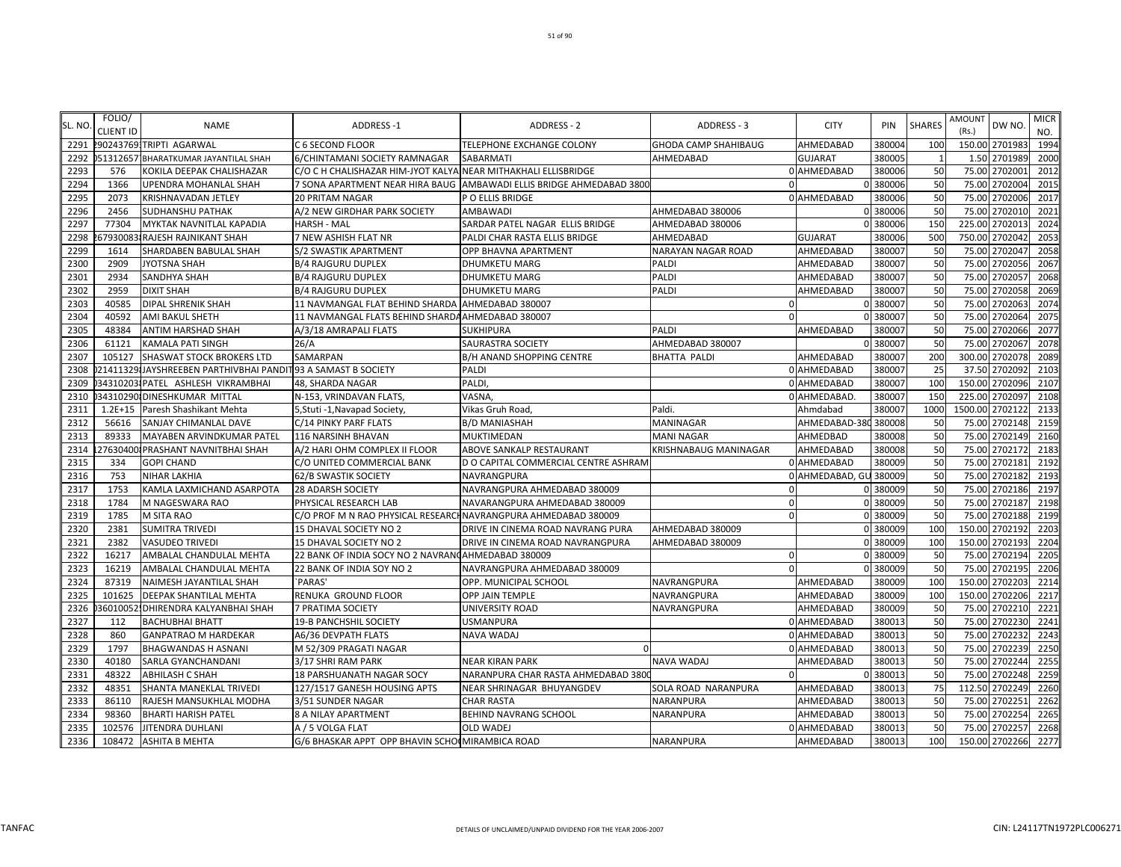| SL. NO | FOLIO/<br><b>CLIENT ID</b> | <b>NAME</b>                                                  | <b>ADDRESS-1</b>                                                | <b>ADDRESS - 2</b>                                                   | ADDRESS - 3                  |          | <b>CITY</b>            | PIN    | <b>SHARES</b> | AMOUNT<br>(Rs.) | DW NO           | <b>MICR</b><br>NO. |
|--------|----------------------------|--------------------------------------------------------------|-----------------------------------------------------------------|----------------------------------------------------------------------|------------------------------|----------|------------------------|--------|---------------|-----------------|-----------------|--------------------|
| 2291   |                            | 2902437691TRIPTI AGARWAL                                     | C 6 SECOND FLOOR                                                | TELEPHONE EXCHANGE COLONY                                            | <b>GHODA CAMP SHAHIBAUG</b>  |          | AHMEDABAD              | 380004 | 100           |                 | 150.00 2701983  | 1994               |
| 2292   |                            | 51312657 BHARATKUMAR JAYANTILAL SHAH                         | 6/CHINTAMANI SOCIETY RAMNAGAR                                   | SABARMATI                                                            | AHMEDABAD                    |          | <b>GUJARAT</b>         | 380005 |               |                 | 1.50 2701989    | 2000               |
| 2293   | 576                        | KOKILA DEEPAK CHALISHAZAR                                    | C/O C H CHALISHAZAR HIM-JYOT KALYA NEAR MITHAKHALI ELLISBRIDGE  |                                                                      |                              |          | 0 AHMEDABAD            | 380006 | 50            |                 | 75.00 2702001   | 2012               |
| 2294   | 1366                       | UPENDRA MOHANLAL SHAH                                        |                                                                 | 7 SONA APARTMENT NEAR HIRA BAUG AMBAWADI ELLIS BRIDGE AHMEDABAD 3800 |                              |          |                        | 380006 | 50            | 75.00           | 2702004         | 2015               |
| 2295   | 2073                       | KRISHNAVADAN JETLEY                                          | <b>20 PRITAM NAGAR</b>                                          | P O ELLIS BRIDGE                                                     |                              |          | 0 AHMEDABAD            | 380006 | 50            | 75.00           | 2702006         | 2017               |
| 2296   | 2456                       | <b>SUDHANSHU PATHAK</b>                                      | A/2 NEW GIRDHAR PARK SOCIETY                                    | <b>AMBAWADI</b>                                                      | AHMEDABAD 380006             |          | O                      | 380006 | 50            | 75.00           | 2702010         | 2021               |
| 2297   | 77304                      | MYKTAK NAVNITLAL KAPADIA                                     | <b>HARSH - MAL</b>                                              | SARDAR PATEL NAGAR ELLIS BRIDGE                                      | AHMEDABAD 380006             |          |                        | 380006 | <b>150</b>    | 225.00          | 270201          | 2024               |
| 2298   |                            | 579300831RAJESH RAJNIKANT SHAH                               | 7 NEW ASHISH FLAT NR                                            | PALDI CHAR RASTA ELLIS BRIDGE                                        | AHMEDABAD                    |          | <b>GUJARAT</b>         | 380006 | 500           | 750.00          | 270204          | 2053               |
| 2299   | 1614                       | SHARDABEN BABULAL SHAH                                       | S/2 SWASTIK APARTMENT                                           | OPP BHAVNA APARTMENT                                                 | <b>NARAYAN NAGAR ROAD</b>    |          | AHMEDABAD              | 380007 | 50            |                 | 75.00 2702047   | 2058               |
| 2300   | 2909                       | <b>JYOTSNA SHAH</b>                                          | <b>B/4 RAJGURU DUPLEX</b>                                       | <b>DHUMKETU MARG</b>                                                 | PALDI                        |          | AHMEDABAD              | 380007 | 50            |                 | 75.00 2702056   | 2067               |
| 2301   | 2934                       | <b>SANDHYA SHAH</b>                                          | <b>B/4 RAJGURU DUPLEX</b>                                       | DHUMKETU MARG                                                        | <b>PALDI</b>                 |          | AHMEDABAD              | 380007 | 50            |                 | 75.00 2702057   | 2068               |
| 2302   | 2959                       | <b>DIXIT SHAH</b>                                            | <b>B/4 RAJGURU DUPLEX</b>                                       | <b>DHUMKETU MARG</b>                                                 | PALDI                        |          | AHMEDABAD              | 380007 | 50            | 75.00           | 2702058         | 2069               |
| 2303   | 40585                      | <b>DIPAL SHRENIK SHAH</b>                                    | 11 NAVMANGAL FLAT BEHIND SHARDA                                 | AHMEDABAD 380007                                                     |                              | $\Omega$ |                        | 380007 | 50            | 75.00           | 2702063         | 2074               |
| 2304   | 40592                      | <b>AMI BAKUL SHETH</b>                                       | 11 NAVMANGAL FLATS BEHIND SHARDA AHMEDABAD 380007               |                                                                      |                              | $\Omega$ |                        | 380007 | 50            | 75.00           | 270206          | 2075               |
| 2305   | 48384                      | <b>ANTIM HARSHAD SHAH</b>                                    | A/3/18 AMRAPALI FLATS                                           | SUKHIPURA                                                            | PALDI                        |          | AHMEDABAD              | 380007 | 50            |                 | 75.00 2702066   | 2077               |
| 2306   | 61121                      | <b>KAMALA PATI SINGH</b>                                     | 26/A                                                            | SAURASTRA SOCIETY                                                    | AHMEDABAD 380007             |          |                        | 380007 | 50            |                 | 75.00 2702067   | 2078               |
| 2307   | 105127                     | <b>SHASWAT STOCK BROKERS LTD</b>                             | SAMARPAN                                                        | <b>B/H ANAND SHOPPING CENTRE</b>                                     | <b>BHATTA PALDI</b>          |          | AHMEDABAD              | 380007 | 200           |                 | 300.00 2702078  | 2089               |
| 2308   |                            | 21411329 JAYSHREEBEN PARTHIVBHAI PANDIT93 A SAMAST B SOCIETY |                                                                 | PALDI                                                                |                              |          | 0 AHMEDABAD            | 380007 | 25            |                 | 37.50 2702092   | 2103               |
| 2309   |                            | 343102031PATEL ASHLESH VIKRAMBHAI                            | 48, SHARDA NAGAR                                                | PALDI                                                                |                              |          | 0 AHMEDABAD            | 380007 | 100           |                 | 150.00 2702096  | 2107               |
| 2310   |                            | 34310290 DINESHKUMAR MITTAL                                  | N-153, VRINDAVAN FLATS,                                         | VASNA,                                                               |                              |          | 0 AHMEDABAD.           | 380007 | 150           | 225.00          | 2702097         | 2108               |
| 2311   |                            | 1.2E+15 Paresh Shashikant Mehta                              | 5, Stuti - 1, Navapad Society,                                  | Vikas Gruh Road                                                      | Paldi.                       |          | Ahmdabad               | 380007 | 1000          |                 | 1500.00 2702122 | 2133               |
| 2312   | 56616                      | <b>SANJAY CHIMANLAL DAVE</b>                                 | C/14 PINKY PARF FLATS                                           | <b>B/D MANIASHAH</b>                                                 | <b>MANINAGAR</b>             |          | AHMEDABAD-380          | 380008 | 50            |                 | 75.00 2702148   | 2159               |
| 2313   | 89333                      | <b>MAYABEN ARVINDKUMAR PATEL</b>                             | <b>116 NARSINH BHAVAN</b>                                       | <b>MUKTIMEDAN</b>                                                    | <b>MANI NAGAR</b>            |          | AHMEDBAD               | 380008 | 50            | 75.00           | 2702149         | 2160               |
| 2314   |                            | 276304001PRASHANT NAVNITBHAI SHAH                            | A/2 HARI OHM COMPLEX II FLOOR                                   | ABOVE SANKALP RESTAURANT                                             | <b>KRISHNABAUG MANINAGAR</b> |          | AHMEDABAD              | 380008 | 50            |                 | 75.00 2702172   | 2183               |
| 2315   | 334                        | <b>GOPI CHAND</b>                                            | C/O UNITED COMMERCIAL BANK                                      | D O CAPITAL COMMERCIAL CENTRE ASHRAM                                 |                              |          | 0 AHMEDABAD            | 380009 | 50            |                 | 75.00 2702181   | 2192               |
| 2316   | 753                        | <b>NIHAR LAKHIA</b>                                          | 62/B SWASTIK SOCIETY                                            | NAVRANGPURA                                                          |                              |          | 0 AHMEDABAD, GU 380009 |        | 50            |                 | 75.00 2702182   | 2193               |
| 2317   | 1753                       | KAMLA LAXMICHAND ASARPOTA                                    | <b>28 ADARSH SOCIETY</b>                                        | NAVRANGPURA AHMEDABAD 380009                                         |                              | $\Omega$ |                        | 380009 | 50            |                 | 75.00 2702186   | 2197               |
| 2318   | 1784                       | M NAGESWARA RAO                                              | PHYSICAL RESEARCH LAB                                           | NAVARANGPURA AHMEDABAD 380009                                        |                              | 0        |                        | 380009 | 50            |                 | 75.00 2702187   | 2198               |
| 2319   | 1785                       | <b>M SITA RAO</b>                                            | C/O PROF M N RAO PHYSICAL RESEARCH NAVRANGPURA AHMEDABAD 380009 |                                                                      |                              | $\Omega$ |                        | 380009 | 50            | 75.00           | 2702188         | 2199               |
| 2320   | 2381                       | <b>SUMITRA TRIVEDI</b>                                       | 15 DHAVAL SOCIETY NO 2                                          | DRIVE IN CINEMA ROAD NAVRANG PURA                                    | AHMEDABAD 380009             |          |                        | 380009 | 100           |                 | 150.00 2702192  | 2203               |
| 2321   | 2382                       | <b>VASUDEO TRIVEDI</b>                                       | 15 DHAVAL SOCIETY NO 2                                          | DRIVE IN CINEMA ROAD NAVRANGPURA                                     | AHMEDABAD 380009             |          |                        | 380009 | 100           | 150.00          | 2702193         | 2204               |
| 2322   | 16217                      | AMBALAL CHANDULAL MEHTA                                      | 22 BANK OF INDIA SOCY NO 2 NAVRANCAHMEDABAD 380009              |                                                                      |                              |          |                        | 380009 | 50            | 75.00           | 2702194         | 2205               |
| 2323   | 16219                      | AMBALAL CHANDULAL MEHTA                                      | 22 BANK OF INDIA SOY NO 2                                       | NAVRANGPURA AHMEDABAD 380009                                         |                              | $\Omega$ |                        | 380009 | 50            |                 | 75.00 2702195   | 2206               |
| 2324   | 87319                      | NAIMESH JAYANTILAL SHAH                                      | `PARAS'                                                         | OPP. MUNICIPAL SCHOOL                                                | NAVRANGPURA                  |          | AHMEDABAD              | 380009 | 100           |                 | 150.00 2702203  | 2214               |
| 2325   | 101625                     | <b>DEEPAK SHANTILAL MEHTA</b>                                | RENUKA GROUND FLOOR                                             | OPP JAIN TEMPLE                                                      | NAVRANGPURA                  |          | AHMEDABAD              | 380009 | 100           |                 | 150.00 2702206  | 2217               |
| 2326   |                            | 36010052.DHIRENDRA KALYANBHAI SHAH                           | 7 PRATIMA SOCIETY                                               | UNIVERSITY ROAD                                                      | NAVRANGPURA                  |          | AHMEDABAD              | 380009 | 50            | 75.00           | 2702210         | 2221               |
| 2327   | 112                        | <b>BACHUBHAI BHATT</b>                                       | 19-B PANCHSHIL SOCIETY                                          | <b>USMANPURA</b>                                                     |                              |          | 0 AHMEDABAD            | 380013 | 50            | 75.00           | 2702230         | 2241               |
| 2328   | 860                        | <b>GANPATRAO M HARDEKAR</b>                                  | A6/36 DEVPATH FLATS                                             | NAVA WADAJ                                                           |                              |          | 0 AHMEDABAD            | 380013 | 50            | 75.00           | 2702232         | 2243               |
| 2329   | 1797                       | <b>BHAGWANDAS H ASNANI</b>                                   | M 52/309 PRAGATI NAGAR                                          |                                                                      |                              |          | 0 AHMEDABAD            | 380013 | 50            | 75.00           | 2702239         | 2250               |
| 2330   | 40180                      | SARLA GYANCHANDANI                                           | 3/17 SHRI RAM PARK                                              | NEAR KIRAN PARK                                                      | <b>NAVA WADAJ</b>            |          | AHMEDABAD              | 380013 | 50            | 75.00           | 2702244         | 2255               |
| 2331   | 48322                      | <b>ABHILASH C SHAH</b>                                       | 18 PARSHUANATH NAGAR SOCY                                       | NARANPURA CHAR RASTA AHMEDABAD 380                                   |                              | $\Omega$ |                        | 380013 | 50            |                 | 75.00 2702248   | 2259               |
| 2332   | 48351                      | SHANTA MANEKLAL TRIVEDI                                      | 127/1517 GANESH HOUSING APTS                                    | NEAR SHRINAGAR BHUYANGDEV                                            | SOLA ROAD NARANPURA          |          | AHMEDABAD              | 380013 | 75            |                 | 112.50 2702249  | 2260               |
| 2333   | 86110                      | RAJESH MANSUKHLAL MODHA                                      | 3/51 SUNDER NAGAR                                               | <b>CHAR RASTA</b>                                                    | NARANPURA                    |          | AHMEDABAD              | 380013 | 50            |                 | 75.00 2702251   | 2262               |
| 2334   | 98360                      | <b>BHARTI HARISH PATEL</b>                                   | 8 A NILAY APARTMENT                                             | BEHIND NAVRANG SCHOOL                                                | NARANPURA                    |          | AHMEDABAD              | 380013 | 50            | 75.00           | 2702254         | 2265               |
| 2335   | 102576                     | <b>JITENDRA DUHLANI</b>                                      | A / 5 VOLGA FLAT                                                | OLD WADEJ                                                            |                              |          | 0 AHMEDABAD            | 380013 | 50            |                 | 75.00 2702257   | 2268               |
| 2336   |                            | 108472 ASHITA B MEHTA                                        | G/6 BHASKAR APPT OPP BHAVIN SCHO(MIRAMBICA ROAD                 |                                                                      | <b>NARANPURA</b>             |          | AHMEDABAD              | 380013 | 100           |                 | 150.00 2702266  | 2277               |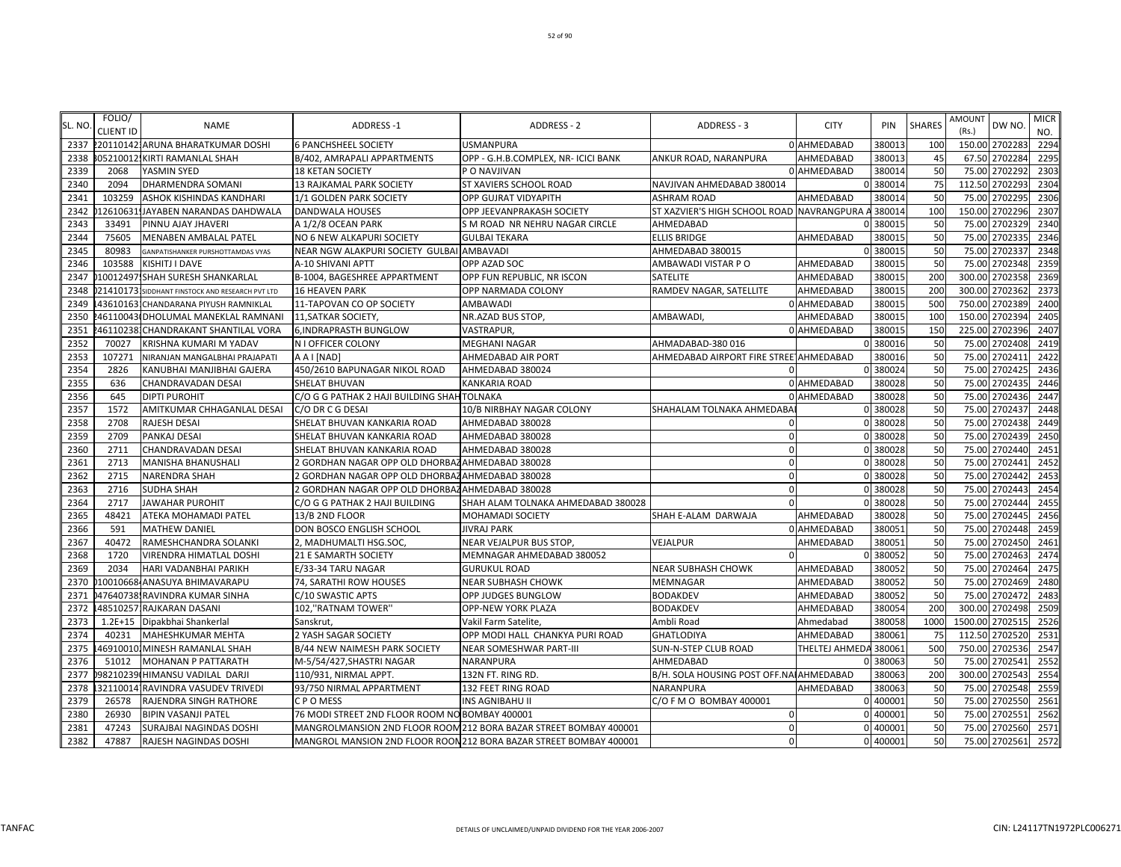|         | FOLIO/           |                                                 |                                                  |                                                                    |                                             |                |          |               | AMOUNT  |                | <b>MICR</b> |
|---------|------------------|-------------------------------------------------|--------------------------------------------------|--------------------------------------------------------------------|---------------------------------------------|----------------|----------|---------------|---------|----------------|-------------|
| SL. NO. | <b>CLIENT ID</b> | <b>NAME</b>                                     | ADDRESS-1                                        | ADDRESS - 2                                                        | ADDRESS - 3                                 | <b>CITY</b>    | PIN      | <b>SHARES</b> | (Rs.)   | DW NO.         | NO.         |
| 2337    |                  | 2201101421ARUNA BHARATKUMAR DOSHI               | <b>6 PANCHSHEEL SOCIETY</b>                      | <b>USMANPURA</b>                                                   |                                             | 0 AHMEDABAD    | 380013   | 100           |         | 150.00 2702283 | 2294        |
| 2338    |                  | 305210012.KIRTI RAMANLAL SHAH                   | B/402, AMRAPALI APPARTMENTS                      | OPP - G.H.B.COMPLEX, NR- ICICI BANK                                | ANKUR ROAD, NARANPURA                       | AHMEDABAD      | 380013   | 45            | 67.50   | 2702284        | 2295        |
| 2339    | 2068             | YASMIN SYED                                     | <b>18 KETAN SOCIETY</b>                          | P O NAVJIVAN                                                       |                                             | 0 AHMEDABAD    | 380014   | 50            | 75.00   | 2702292        | 2303        |
| 2340    | 2094             | DHARMENDRA SOMANI                               | 13 RAJKAMAL PARK SOCIETY                         | ST XAVIERS SCHOOL ROAD                                             | NAVJIVAN AHMEDABAD 380014                   |                | 0 380014 | 75            | 112.50  | 2702293        | 2304        |
| 2341    | 103259           | ASHOK KISHINDAS KANDHARI                        | 1/1 GOLDEN PARK SOCIETY                          | OPP GUJRAT VIDYAPITH                                               | <b>ASHRAM ROAD</b>                          | AHMEDABAD      | 380014   | 50            | 75.00   | 2702295        | 2306        |
| 2342    |                  | 12610631 JAYABEN NARANDAS DAHDWALA              | DANDWALA HOUSES                                  | OPP JEEVANPRAKASH SOCIETY                                          | ST XAZVIER'S HIGH SCHOOL ROAD NAVRANGPURA / |                | 380014   | 100           | 150.00  | 2702296        | 2307        |
| 2343    | 33491            | PINNU AJAY JHAVERI                              | A 1/2/8 OCEAN PARK                               | S M ROAD NR NEHRU NAGAR CIRCLE                                     | AHMEDABAD                                   |                | 38001    | 50            | 75.00   | 2702329        | 2340        |
| 2344    | 75605            | MENABEN AMBALAL PATEL                           | NO 6 NEW ALKAPURI SOCIETY                        | <b>GULBAI TEKARA</b>                                               | <b>ELLIS BRIDGE</b>                         | AHMEDABAD      | 380015   | 50            |         | 75.00 2702335  | 2346        |
| 2345    | 80983            | GANPATISHANKER PURSHOTTAMDAS VYAS               | NEAR NGW ALAKPURI SOCIETY GULBAI AMBAVADI        |                                                                    | AHMEDABAD 380015                            |                | 0 380015 | 50            | 75.00   | 2702337        | 2348        |
| 2346    | 103588           | KISHITJ I DAVE                                  | A-10 SHIVANI APTT                                | OPP AZAD SOC                                                       | AMBAWADI VISTAR P O                         | AHMEDABAD      | 380015   | 50            |         | 75.00 2702348  | 2359        |
| 2347    |                  | 10012497 SHAH SURESH SHANKARLAL                 | B-1004, BAGESHREE APPARTMENT                     | OPP FUN REPUBLIC, NR ISCON                                         | SATELITE                                    | AHMEDABAD      | 380015   | 200           | 300.00  | 2702358        | 2369        |
| 2348    |                  | 21410173 SIDDHANT FINSTOCK AND RESEARCH PVT LTD | <b>16 HEAVEN PARK</b>                            | OPP NARMADA COLONY                                                 | RAMDEV NAGAR, SATELLITE                     | AHMEDABAD      | 380015   | 200           | 300.00  | 2702362        | 2373        |
| 2349    |                  | 436101631CHANDARANA PIYUSH RAMNIKLAL            | 11-TAPOVAN CO OP SOCIETY                         | AMBAWADI                                                           |                                             | 0 AHMEDABAD    | 38001    | 500           | 750.00  | 2702389        | 2400        |
| 2350    |                  | 46110043(DHOLUMAL MANEKLAL RAMNANI              | 11, SATKAR SOCIETY,                              | NR.AZAD BUS STOP,                                                  | AMBAWADI                                    | AHMEDABAD      | 380015   | 100           | 150.00  | 2702394        | 2405        |
| 2351    | 46110238         | CHANDRAKANT SHANTILAL VORA                      | 6, INDRAPRASTH BUNGLOW                           | VASTRAPUR,                                                         |                                             | 0 AHMEDABAD    | 380015   | 150           | 225.00  | 2702396        | 2407        |
| 2352    | 70027            | KRISHNA KUMARI M YADAV                          | N I OFFICER COLONY                               | <b>MEGHANI NAGAR</b>                                               | AHMADABAD-380 016                           |                | 0 380016 | 50            | 75.00   | 2702408        | 2419        |
| 2353    | 107271           | NIRANJAN MANGALBHAI PRAJAPATI                   | A A I [NAD]                                      | AHMEDABAD AIR PORT                                                 | AHMEDABAD AIRPORT FIRE STREE AHMEDABAD      |                | 380016   | 50            | 75.00   | 2702411        | 2422        |
| 2354    | 2826             | KANUBHAI MANJIBHAI GAJERA                       | 450/2610 BAPUNAGAR NIKOL ROAD                    | AHMEDABAD 380024                                                   |                                             |                | 0 380024 | 50            | 75.00   | 2702425        | 2436        |
| 2355    | 636              | CHANDRAVADAN DESAI                              | SHELAT BHUVAN                                    | KANKARIA ROAD                                                      |                                             | 0 AHMEDABAD    | 380028   | 50            | 75.00   | 2702435        | 2446        |
| 2356    | 645              | <b>DIPTI PUROHIT</b>                            | C/O G G PATHAK 2 HAJI BUILDING SHAH TOLNAKA      |                                                                    |                                             | 0 AHMEDABAD    | 380028   | 50            | 75.00   | 2702436        | 2447        |
| 2357    | 1572             | AMITKUMAR CHHAGANLAL DESAI                      | C/O DR C G DESAI                                 | 10/B NIRBHAY NAGAR COLONY                                          | SHAHALAM TOLNAKA AHMEDABA                   |                | 0 380028 | 50            | 75.00   | 2702437        | 2448        |
| 2358    | 2708             | <b>RAJESH DESAI</b>                             | SHELAT BHUVAN KANKARIA ROAD                      | AHMEDABAD 380028                                                   |                                             |                | 0 380028 | 50            | 75.00   | 2702438        | 2449        |
| 2359    | 2709             | PANKAJ DESAI                                    | SHELAT BHUVAN KANKARIA ROAD                      | AHMEDABAD 380028                                                   |                                             |                | 0 380028 | 50            | 75.00   | 2702439        | 2450        |
| 2360    | 2711             | CHANDRAVADAN DESAI                              | SHELAT BHUVAN KANKARIA ROAD                      | AHMEDABAD 380028                                                   | $\mathbf 0$                                 | O              | 380028   | 50            |         | 75.00 2702440  | 2451        |
| 2361    | 2713             | <b>MANISHA BHANUSHALI</b>                       | 2 GORDHAN NAGAR OPP OLD DHORBAZ AHMEDABAD 380028 |                                                                    | $\Omega$                                    |                | 0 380028 | 50            | 75.00   | 2702441        | 2452        |
| 2362    | 2715             | NARENDRA SHAH                                   | 2 GORDHAN NAGAR OPP OLD DHORBAZAHMEDABAD 380028  |                                                                    | $\mathbf 0$                                 |                | 0 380028 | 50            |         | 75.00 2702442  | 2453        |
| 2363    | 2716             | <b>SUDHA SHAH</b>                               | 2 GORDHAN NAGAR OPP OLD DHORBAZ AHMEDABAD 380028 |                                                                    | $\Omega$                                    |                | 0 380028 | 50            | 75.00   | 2702443        | 2454        |
| 2364    | 2717             | <b>JAWAHAR PUROHIT</b>                          | C/O G G PATHAK 2 HAJI BUILDING                   | SHAH ALAM TOLNAKA AHMEDABAD 380028                                 |                                             |                | 0 380028 | 50            | 75.00   | 2702444        | 2455        |
| 2365    | 48421            | ATEKA MOHAMADI PATEL                            | 13/B 2ND FLOOR                                   | MOHAMADI SOCIETY                                                   | SHAH E-ALAM DARWAJA                         | AHMEDABAD      | 380028   | 50            | 75.00   | 2702445        | 2456        |
| 2366    | 591              | <b>MATHEW DANIEL</b>                            | DON BOSCO ENGLISH SCHOOL                         | <b>JIVRAJ PARK</b>                                                 |                                             | 0 AHMEDABAD    | 38005    | 50            | 75.00   | 2702448        | 2459        |
| 2367    | 40472            | RAMESHCHANDRA SOLANKI                           | 2, MADHUMALTI HSG.SOC,                           | NEAR VEJALPUR BUS STOP,                                            | VEJALPUR                                    | AHMEDABAD      | 380051   | 50            | 75.00   | 2702450        | 2461        |
| 2368    | 1720             | <b>VIRENDRA HIMATLAL DOSHI</b>                  | 21 E SAMARTH SOCIETY                             | MEMNAGAR AHMEDABAD 380052                                          |                                             |                | 380052   | 50            | 75.00   | 2702463        | 2474        |
| 2369    | 2034             | HARI VADANBHAI PARIKH                           | E/33-34 TARU NAGAR                               | <b>GURUKUL ROAD</b>                                                | NEAR SUBHASH CHOWK                          | AHMEDABAD      | 380052   | 50            |         | 75.00 2702464  | 2475        |
| 2370    |                  | 10010668 ANASUYA BHIMAVARAPU                    | 74, SARATHI ROW HOUSES                           | <b>NEAR SUBHASH CHOWK</b>                                          | MEMNAGAR                                    | AHMEDABAD      | 380052   | 50            | 75.00   | 2702469        | 2480        |
| 2371    |                  | 47640738 RAVINDRA KUMAR SINHA                   | C/10 SWASTIC APTS                                | OPP JUDGES BUNGLOW                                                 | <b>BODAKDEV</b>                             | AHMEDABAD      | 380052   | 50            |         | 75.00 2702472  | 2483        |
| 2372    |                  | 485102571RAJKARAN DASANI                        | 102,"RATNAM TOWER"                               | OPP-NEW YORK PLAZA                                                 | <b>BODAKDEV</b>                             | AHMEDABAD      | 380054   | 200           | 300.00  | 2702498        | 2509        |
| 2373    |                  | 1.2E+15   Dipakbhai Shankerlal                  | Sanskrut,                                        | Vakil Farm Satelite,                                               | Ambli Road                                  | Ahmedabad      | 380058   | 1000          | 1500.00 | 2702515        | 2526        |
| 2374    | 40231            | MAHESHKUMAR MEHTA                               | 2 YASH SAGAR SOCIETY                             | OPP MODI HALL CHANKYA PURI ROAD                                    | <b>GHATLODIYA</b>                           | AHMEDABAD      | 380061   | 75            | 112.50  | 2702520        | 2531        |
| 2375    |                  | 469100101MINESH RAMANLAL SHAH                   | B/44 NEW NAIMESH PARK SOCIETY                    | <b>NEAR SOMESHWAR PART-III</b>                                     | SUN-N-STEP CLUB ROAD                        | THELTEJ AHMEDA | 380061   | 500           | 750.00  | 2702536        | 2547        |
| 2376    | 51012            | <b>MOHANAN P PATTARATH</b>                      | M-5/54/427,SHASTRI NAGAR                         | NARANPURA                                                          | AHMEDABAD                                   |                | 380063   | 50            | 75.00   | 2702541        | 2552        |
| 2377    |                  | 98210239 HIMANSU VADILAL DARJI                  | 110/931, NIRMAL APPT.                            | 132N FT. RING RD.                                                  | B/H. SOLA HOUSING POST OFF.NAI AHMEDABAD    |                | 380063   | 200           |         | 300.00 2702543 | 2554        |
| 2378    |                  | 32110014 RAVINDRA VASUDEV TRIVEDI               | 93/750 NIRMAL APPARTMENT                         | 132 FEET RING ROAD                                                 | NARANPURA                                   | AHMEDABAD      | 380063   | 50            |         | 75.00 2702548  | 2559        |
| 2379    | 26578            | RAJENDRA SINGH RATHORE                          | C P O MESS                                       | INS AGNIBAHU II                                                    | C/O F M O BOMBAY 400001                     |                | 0 400001 | 50            | 75.00   | 2702550        | 2561        |
| 2380    | 26930            | <b>BIPIN VASANJI PATEL</b>                      | 76 MODI STREET 2ND FLOOR ROOM NO BOMBAY 400001   |                                                                    | 0                                           |                | 0 40000  | 50            | 75.00   | 2702551        | 2562        |
| 2381    | 47243            | SURAJBAI NAGINDAS DOSHI                         |                                                  | MANGROLMANSION 2ND FLOOR ROOM 212 BORA BAZAR STREET BOMBAY 400001  | $\mathbf 0$                                 |                | 0 400001 | 50            |         | 75.00 2702560  | 2571        |
| 2382    | 47887            | RAJESH NAGINDAS DOSHI                           |                                                  | MANGROL MANSION 2ND FLOOR ROON 212 BORA BAZAR STREET BOMBAY 400001 | $\overline{0}$                              |                | 0 400001 | 50            |         | 75.00 2702561  | 2572        |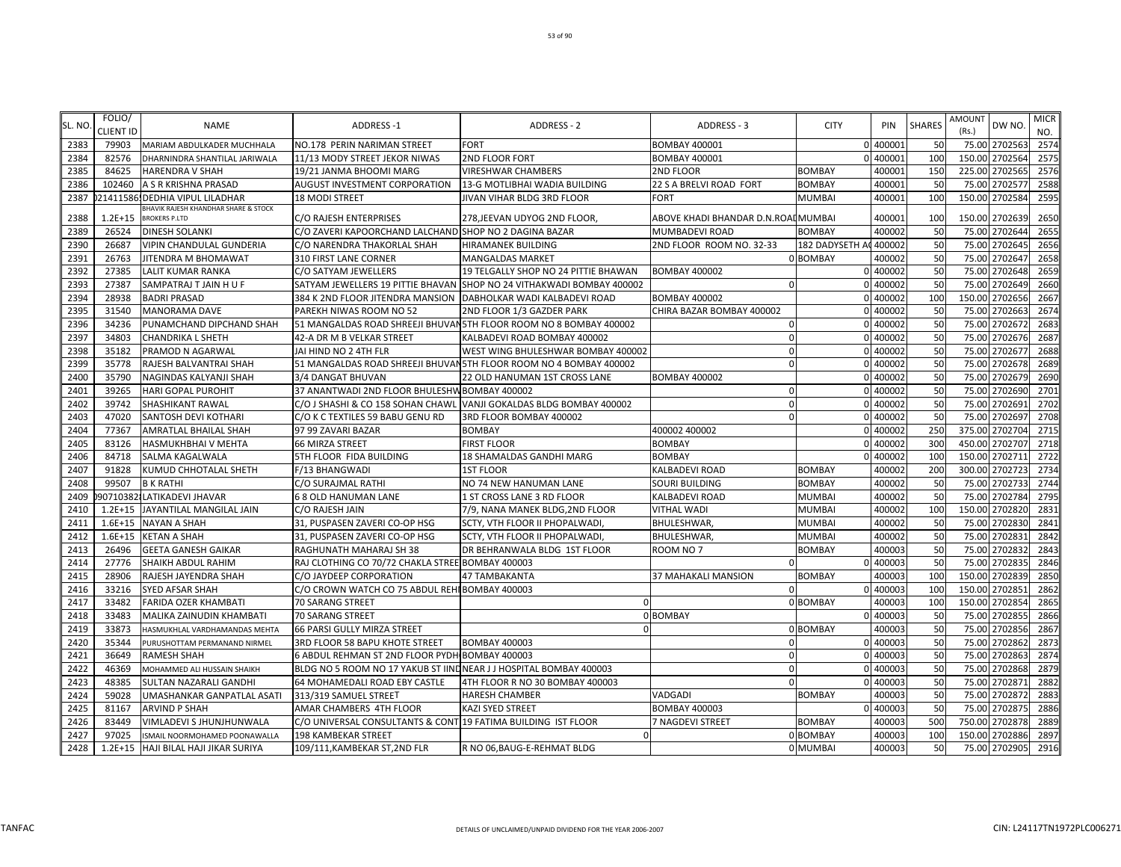| SL. NO | FOLIO/<br><b>CLIENT ID</b> | <b>NAME</b>                                     | ADDRESS-1                                                        | ADDRESS - 2                                                           | ADDRESS - 3                         | <b>CITY</b>          | PIN                  | <b>SHARES</b> | <b>AMOUNT</b><br>(Rs.) | DW NO.                         | <b>MICR</b><br>NO. |
|--------|----------------------------|-------------------------------------------------|------------------------------------------------------------------|-----------------------------------------------------------------------|-------------------------------------|----------------------|----------------------|---------------|------------------------|--------------------------------|--------------------|
| 2383   | 79903                      | MARIAM ABDULKADER MUCHHALA                      | NO.178 PERIN NARIMAN STREET                                      | <b>FORT</b>                                                           | <b>BOMBAY 400001</b>                |                      | 0 400001             | 50            |                        | 75.00 2702563                  | 2574               |
| 2384   | 82576                      | DHARNINDRA SHANTILAL JARIWALA                   | 11/13 MODY STREET JEKOR NIWAS                                    | 2ND FLOOR FORT                                                        | <b>BOMBAY 400001</b>                |                      | 0 400001             | 100           |                        | 150.00 2702564                 | 2575               |
| 2385   | 84625                      | <b>HARENDRA V SHAH</b>                          | 19/21 JANMA BHOOMI MARG                                          | <b>VIRESHWAR CHAMBERS</b>                                             | 2ND FLOOR                           | <b>BOMBAY</b>        | 400001               | 150           |                        | 225.00 2702565                 | 2576               |
| 2386   |                            | 102460 A S R KRISHNA PRASAD                     | AUGUST INVESTMENT CORPORATION                                    | 13-G MOTLIBHAI WADIA BUILDING                                         | 22 S A BRELVI ROAD FORT             | <b>BOMBAY</b>        | 400001               | 50            | 75.00                  | 2702577                        | 2588               |
| 2387   |                            | 21411586! DEDHIA VIPUL LILADHAR                 | <b>18 MODI STREET</b>                                            | JIVAN VIHAR BLDG 3RD FLOOR                                            | <b>FORT</b>                         | <b>MUMBAI</b>        | 400001               | 100           |                        | 150.00 2702584                 | 2595               |
|        |                            | <b>BHAVIK RAJESH KHANDHAR SHARE &amp; STOCK</b> |                                                                  |                                                                       |                                     |                      |                      |               |                        |                                |                    |
| 2388   | $1.2E + 15$                | <b>BROKERS P.LTD</b>                            | C/O RAJESH ENTERPRISES                                           | 278, JEEVAN UDYOG 2ND FLOOR,                                          | ABOVE KHADI BHANDAR D.N.ROAI MUMBAI |                      | 400001               | 100           | 150.00                 | 2702639                        | 2650               |
| 2389   | 26524                      | <b>DINESH SOLANKI</b>                           | C/O ZAVERI KAPOORCHAND LALCHAND SHOP NO 2 DAGINA BAZAR           |                                                                       | MUMBADEVI ROAD                      | <b>BOMBAY</b>        | 400002               | 50            | 75.00                  | 2702644                        | 2655               |
| 2390   | 26687                      | <b>VIPIN CHANDULAL GUNDERIA</b>                 | C/O NARENDRA THAKORLAL SHAH                                      | HIRAMANEK BUILDING                                                    | 2ND FLOOR ROOM NO. 32-33            | 182 DADYSETH A       | 400002               | 50            | 75.00                  | 2702645                        | 2656               |
| 2391   | 26763                      | JITENDRA M BHOMAWAT                             | 310 FIRST LANE CORNER                                            | <b>MANGALDAS MARKET</b>                                               |                                     | 0 BOMBAY             | 400002               | 50            | 75.00                  | 2702647<br>2702648             | 2658<br>2659       |
| 2392   | 27385                      | <b>LALIT KUMAR RANKA</b>                        | C/O SATYAM JEWELLERS                                             | 19 TELGALLY SHOP NO 24 PITTIE BHAWAN                                  | <b>BOMBAY 400002</b><br>$\Omega$    |                      | 0 400002             | 50            | 75.00<br>75.00         | 2702649                        |                    |
| 2393   | 27387<br>28938             | SAMPATRAJ T JAIN H U F<br><b>BADRI PRASAD</b>   |                                                                  | SATYAM JEWELLERS 19 PITTIE BHAVAN SHOP NO 24 VITHAKWADI BOMBAY 400002 |                                     |                      | 0 400002<br>0 400002 | 50<br>100     | 150.00                 | 2702656                        | 2660<br>2667       |
| 2394   |                            |                                                 | 384 K 2ND FLOOR JITENDRA MANSION                                 | DABHOLKAR WADI KALBADEVI ROAD                                         | <b>BOMBAY 400002</b>                |                      |                      |               |                        |                                |                    |
| 2395   | 31540                      | <b>MANORAMA DAVE</b>                            | PAREKH NIWAS ROOM NO 52                                          | 2ND FLOOR 1/3 GAZDER PARK                                             | CHIRA BAZAR BOMBAY 400002           |                      | 0 400002             | 50            | 75.00                  | 2702663                        | 2674               |
| 2396   | 34236                      | PUNAMCHAND DIPCHAND SHAH                        |                                                                  | 51 MANGALDAS ROAD SHREEJI BHUVAN 5TH FLOOR ROOM NO 8 BOMBAY 400002    | $\Omega$                            | $\Omega$             | 400002               | 50            | 75.00                  | 2702672                        | 2683               |
| 2397   | 34803                      | <b>CHANDRIKA L SHETH</b>                        | 42-A DR M B VELKAR STREET                                        | KALBADEVI ROAD BOMBAY 400002                                          | $\Omega$<br>$\Omega$                |                      | 400002               | 50            |                        | 75.00 2702676<br>75.00 2702677 | 2687<br>2688       |
| 2398   | 35182                      | PRAMOD N AGARWAL                                | JAI HIND NO 2 4TH FLR                                            | WEST WING BHULESHWAR BOMBAY 400002                                    |                                     | $\Omega$<br>$\Omega$ | 400002               | 50            |                        |                                |                    |
| 2399   | 35778                      | RAJESH BALVANTRAI SHAH                          |                                                                  | 51 MANGALDAS ROAD SHREEJI BHUVAN 5TH FLOOR ROOM NO 4 BOMBAY 400002    | $\Omega$                            |                      | 400002               | 50            |                        | 75.00 2702678                  | 2689               |
| 2400   | 35790<br>39265             | <b>NAGINDAS KALYANJI SHAH</b>                   | 3/4 DANGAT BHUVAN                                                | 22 OLD HANUMAN 1ST CROSS LANE                                         | <b>BOMBAY 400002</b><br>$\Omega$    |                      | 0 400002<br>0 400002 | 50<br>50      | 75.00                  | 75.00 2702679<br>2702690       | 2690<br>2701       |
| 2401   |                            | <b>HARI GOPAL PUROHIT</b>                       | 37 ANANTWADI 2ND FLOOR BHULESHW BOMBAY 400002                    |                                                                       | $\Omega$                            |                      |                      |               |                        |                                |                    |
| 2402   | 39742                      | <b>SHASHIKANT RAWAL</b>                         |                                                                  | C/O J SHASHI & CO 158 SOHAN CHAWL VANJI GOKALDAS BLDG BOMBAY 400002   |                                     |                      | 0 400002             | 50            | 75.00                  | 2702691                        | 2702               |
| 2403   | 47020                      | <b>SANTOSH DEVI KOTHARI</b>                     | C/O K C TEXTILES 59 BABU GENU RD                                 | 3RD FLOOR BOMBAY 400002                                               | $\Omega$                            |                      | 0 400002             | 50            | 75.00                  | 2702697                        | 2708               |
| 2404   | 77367                      | <b>AMRATLAL BHAILAL SHAH</b>                    | 97 99 ZAVARI BAZAR                                               | <b>BOMBAY</b>                                                         | 400002 400002                       |                      | 0 40000              | 250<br>300    |                        | 375.00 2702704                 | 2715<br>2718       |
| 2405   | 83126                      | <b>HASMUKHBHAI V MEHTA</b>                      | 66 MIRZA STREET                                                  | <b>FIRST FLOOR</b>                                                    | <b>BOMBAY</b>                       |                      | 0 40000              |               | 450.00                 | 2702707                        |                    |
| 2406   | 84718                      | SALMA KAGALWALA                                 | 5TH FLOOR FIDA BUILDING                                          | 18 SHAMALDAS GANDHI MARG                                              | <b>BOMBAY</b>                       |                      | 0 40000              | 100           | 150.00                 | 2702711                        | 2722               |
| 2407   | 91828                      | KUMUD CHHOTALAL SHETH                           | F/13 BHANGWADI                                                   | <b>1ST FLOOR</b>                                                      | KALBADEVI ROAD                      | <b>BOMBAY</b>        | 400002               | 200           | 300.00                 | 2702723                        | 2734               |
| 2408   | 99507                      | <b>B K RATHI</b>                                | C/O SURAJMAL RATHI                                               | NO 74 NEW HANUMAN LANE                                                | SOURI BUILDING                      | <b>BOMBAY</b>        | 400002               | 50            | 75.00                  | 2702733                        | 2744               |
| 2409   |                            | 90710382 LATIKADEVI JHAVAR                      | <b>68 OLD HANUMAN LANE</b>                                       | 1 ST CROSS LANE 3 RD FLOOR                                            | KALBADEVI ROAD                      | MUMBAI               | 400002               | 50            |                        | 75.00 2702784                  | 2795               |
| 2410   |                            | 1.2E+15 JAYANTILAL MANGILAL JAIN                | C/O RAJESH JAIN                                                  | 7/9, NANA MANEK BLDG, 2ND FLOOR                                       | <b>VITHAL WADI</b>                  | <b>MUMBAI</b>        | 400002               | 100           |                        | 150.00 2702820                 | 2831               |
| 2411   |                            | 1.6E+15 NAYAN A SHAH                            | 31, PUSPASEN ZAVERI CO-OP HSG                                    | SCTY, VTH FLOOR II PHOPALWADI                                         | <b>BHULESHWAR</b>                   | <b>MUMBAI</b>        | 400002               | 50            |                        | 75.00 2702830                  | 2841               |
| 2412   |                            | 1.6E+15 KETAN A SHAH                            | 31, PUSPASEN ZAVERI CO-OP HSG                                    | SCTY, VTH FLOOR II PHOPALWADI,                                        | <b>BHULESHWAR</b>                   | <b>MUMBAI</b>        | 400002               | 50            | 75.00                  | 2702831                        | 2842               |
| 2413   | 26496                      | <b>GEETA GANESH GAIKAR</b>                      | RAGHUNATH MAHARAJ SH 38                                          | DR BEHRANWALA BLDG 1ST FLOOR                                          | ROOM NO 7                           | <b>BOMBAY</b>        | 400003               | 50            | 75.00                  | 2702832                        | 2843               |
| 2414   | 27776                      | <b>SHAIKH ABDUL RAHIM</b>                       | RAJ CLOTHING CO 70/72 CHAKLA STREE BOMBAY 400003                 |                                                                       | $\Omega$                            |                      | 40000                | 50            | 75.00                  | 2702835                        | 2846               |
| 2415   | 28906                      | RAJESH JAYENDRA SHAH                            | C/O JAYDEEP CORPORATION                                          | 47 TAMBAKANTA                                                         | 37 MAHAKALI MANSION                 | <b>BOMBAY</b>        | 400003               | 100           | 150.00                 | 2702839                        | 2850               |
| 2416   | 33216                      | <b>SYED AFSAR SHAH</b>                          | C/O CROWN WATCH CO 75 ABDUL REHI BOMBAY 400003                   |                                                                       | $\Omega$                            |                      | 0 400003             | 100           | 150.00                 | 2702851                        | 2862               |
| 2417   | 33482                      | <b>FARIDA OZER KHAMBATI</b>                     | 70 SARANG STREET                                                 |                                                                       |                                     | 0 BOMBAY             | 400003               | 100           | 150.00                 | 2702854                        | 2865               |
| 2418   | 33483                      | MALIKA ZAINUDIN KHAMBATI                        | 70 SARANG STREET                                                 |                                                                       | 0 BOMBAY                            |                      | 0 40000              | 50            | 75.00                  | 2702855                        | 2866               |
| 2419   | 33873                      | HASMUKHLAL VARDHAMANDAS MEHTA                   | 66 PARSI GULLY MIRZA STREET                                      |                                                                       |                                     | 0 BOMBAY             | 400003               | 50            | 75.00                  | 2702856                        | 2867               |
| 2420   | 35344                      | PURUSHOTTAM PERMANAND NIRMEL                    | 3RD FLOOR 58 BAPU KHOTE STREET                                   | <b>BOMBAY 400003</b>                                                  | $\Omega$                            | $\Omega$             | 400003               | 50            |                        | 75.00 2702862                  | 2873               |
| 2421   | 36649                      | <b>RAMESH SHAH</b>                              | 6 ABDUL REHMAN ST 2ND FLOOR PYDH BOMBAY 400003                   |                                                                       | $\Omega$                            | $\Omega$             | 400003               | 50            |                        | 75.00 2702863                  | 2874               |
| 2422   | 46369                      | MOHAMMED ALI HUSSAIN SHAIKH                     | BLDG NO 5 ROOM NO 17 YAKUB ST IINDNEAR JJ HOSPITAL BOMBAY 400003 |                                                                       | $\Omega$                            |                      | 0 400003             | 50            |                        | 75.00 2702868                  | 2879               |
| 2423   | 48385                      | SULTAN NAZARALI GANDHI                          | 64 MOHAMEDALI ROAD EBY CASTLE                                    | 4TH FLOOR R NO 30 BOMBAY 400003                                       | $\Omega$                            |                      | 0 400003             | 50<br>50      | 75.00                  | 2702871                        | 2882               |
| 2424   | 59028                      | UMASHANKAR GANPATLAL ASATI                      | 313/319 SAMUEL STREET                                            | <b>HARESH CHAMBER</b>                                                 | <b>VADGADI</b>                      | <b>BOMBAY</b>        | 400003               |               |                        | 75.00 2702872                  | 2883               |
| 2425   | 81167                      | <b>ARVIND P SHAH</b>                            | AMAR CHAMBERS 4TH FLOOR                                          | KAZI SYED STREET                                                      | <b>BOMBAY 400003</b>                |                      | 0 40000              | 50            | 75.00                  | 2702875                        | 2886               |
| 2426   | 83449                      | VIMLADEVI S JHUNJHUNWALA                        | C/O UNIVERSAL CONSULTANTS & CONT 19 FATIMA BUILDING IST FLOOR    |                                                                       | 7 NAGDEVI STREET                    | <b>BOMBAY</b>        | 400003               | 500           | 750.00                 | 2702878                        | 2889               |
| 2427   | 97025                      | ISMAIL NOORMOHAMED POONAWALLA                   | 198 KAMBEKAR STREET                                              |                                                                       |                                     | 0 BOMBAY             | 400003               | 100           |                        | 150.00 2702886                 | 2897               |
| 2428   |                            | 1.2E+15 HAJI BILAL HAJI JIKAR SURIYA            | 109/111, KAMBEKAR ST, 2ND FLR                                    | R NO 06, BAUG-E-REHMAT BLDG                                           |                                     | 0 MUMBAI             | 400003               | 50            |                        | 75.00 2702905                  | 2916               |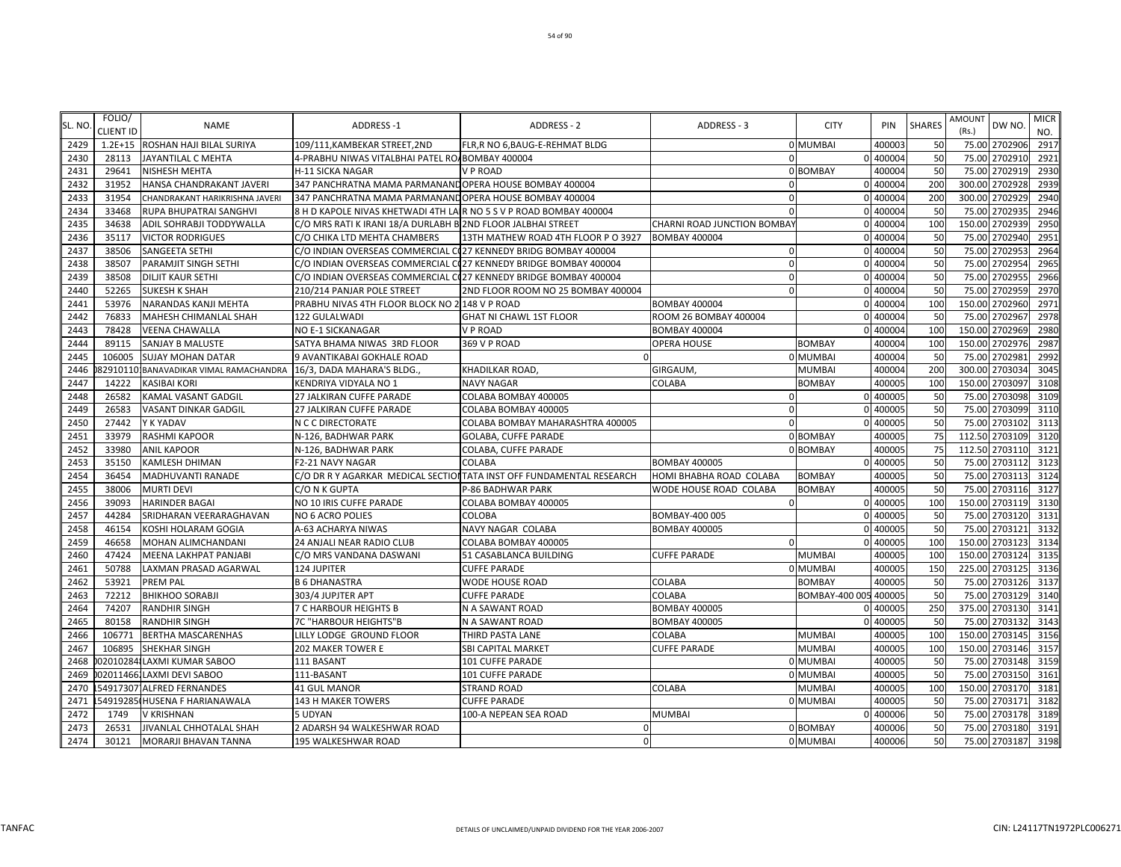| SL. NO. | FOLIO/<br><b>CLIENT ID</b> | <b>NAME</b>                      | ADDRESS-1                                                          | ADDRESS - 2                                                          | ADDRESS - 3                 | <b>CITY</b>           | <b>PIN</b> | <b>SHARES</b> | AMOUNT<br>(Rs.) | DW NO.         | <b>MICR</b><br>NO. |
|---------|----------------------------|----------------------------------|--------------------------------------------------------------------|----------------------------------------------------------------------|-----------------------------|-----------------------|------------|---------------|-----------------|----------------|--------------------|
| 2429    |                            | 1.2E+15 ROSHAN HAJI BILAL SURIYA | 109/111, KAMBEKAR STREET, 2ND                                      | FLR, R NO 6, BAUG-E-REHMAT BLDG                                      |                             | 0 MUMBAI              | 400003     | 50            |                 | 75.00 2702906  | 2917               |
| 2430    | 28113                      | JAYANTILAL C MEHTA               | 4-PRABHU NIWAS VITALBHAI PATEL RO/ BOMBAY 400004                   |                                                                      | $\Omega$                    |                       | 0 400004   | 50            | 75.00           | 2702910        | 2921               |
| 2431    | 29641                      | NISHESH MEHTA                    | H-11 SICKA NAGAR                                                   | <b>VP ROAD</b>                                                       |                             | 0 BOMBAY              | 400004     | 50            |                 | 75.00 2702919  | 2930               |
| 2432    | 31952                      | HANSA CHANDRAKANT JAVERI         | 347 PANCHRATNA MAMA PARMANAND OPERA HOUSE BOMBAY 400004            |                                                                      | $\Omega$                    |                       | 0 400004   | 200           | 300.00          | 2702928        | 2939               |
| 2433    | 31954                      | CHANDRAKANT HARIKRISHNA JAVERI   | 347 PANCHRATNA MAMA PARMANAND OPERA HOUSE BOMBAY 400004            |                                                                      | $\mathbf{0}$                |                       | 0 400004   | 200           |                 | 300.00 2702929 | 2940               |
| 2434    | 33468                      | RUPA BHUPATRAI SANGHVI           | 8 H D KAPOLE NIVAS KHETWADI 4TH LA R NO 5 S V P ROAD BOMBAY 400004 |                                                                      | $\Omega$                    |                       | 0 400004   | 50            |                 | 75.00 2702935  | 2946               |
| 2435    | 34638                      | ADIL SOHRABJI TODDYWALLA         | C/O MRS RATI K IRANI 18/A DURLABH B 2ND FLOOR JALBHAI STREET       |                                                                      | CHARNI ROAD JUNCTION BOMBAY |                       | 0 400004   | 100           | 150.00          | 2702939        | 2950               |
| 2436    | 35117                      | <b>VICTOR RODRIGUES</b>          | C/O CHIKA LTD MEHTA CHAMBERS                                       | 13TH MATHEW ROAD 4TH FLOOR PO 3927                                   | <b>BOMBAY 400004</b>        |                       | 0 400004   | 50            |                 | 75.00 2702940  | 2951               |
| 2437    | 38506                      | <b>SANGEETA SETHI</b>            | C/O INDIAN OVERSEAS COMMERCIAL C(27 KENNEDY BRIDG BOMBAY 400004    |                                                                      | $\Omega$                    |                       | 0 400004   | 50            |                 | 75.00 2702953  | 2964               |
| 2438    | 38507                      | PARAMJIT SINGH SETHI             | C/O INDIAN OVERSEAS COMMERCIAL C(27 KENNEDY BRIDGE BOMBAY 400004   |                                                                      | $\mathbf{0}$                |                       | 0 400004   | 50            |                 | 75.00 2702954  | 2965               |
| 2439    | 38508                      | DILJIT KAUR SETHI                | C/O INDIAN OVERSEAS COMMERCIAL C(27 KENNEDY BRIDGE BOMBAY 400004   |                                                                      | $\Omega$                    |                       | 0 400004   | 50            | 75.00           | 2702955        | 2966               |
| 2440    | 52265                      | <b>SUKESH K SHAH</b>             | 210/214 PANJAR POLE STREET                                         | 2ND FLOOR ROOM NO 25 BOMBAY 400004                                   | $\Omega$                    |                       | 0 400004   | 50            |                 | 75.00 2702959  | 2970               |
| 2441    | 53976                      | NARANDAS KANJI MEHTA             | PRABHU NIVAS 4TH FLOOR BLOCK NO 2 148 V P ROAD                     |                                                                      | <b>BOMBAY 400004</b>        |                       | 0 400004   | 100           | 150.00          | 2702960        | 2971               |
| 2442    | 76833                      | MAHESH CHIMANLAL SHAH            | 122 GULALWADI                                                      | <b>GHAT NI CHAWL 1ST FLOOR</b>                                       | ROOM 26 BOMBAY 400004       |                       | 0 400004   | 50            |                 | 75.00 2702967  | 2978               |
| 2443    | 78428                      | <b>VEENA CHAWALLA</b>            | <b>NO E-1 SICKANAGAR</b>                                           | <b>VP ROAD</b>                                                       | <b>BOMBAY 400004</b>        |                       | 0 400004   | 100           | 150.00          | 2702969        | 2980               |
| 2444    | 89115                      | SANJAY B MALUSTE                 | SATYA BHAMA NIWAS 3RD FLOOR                                        | 369 V P ROAD                                                         | <b>OPERA HOUSE</b>          | <b>BOMBAY</b>         | 400004     | 100           | 150.00          | 2702976        | 2987               |
| 2445    | 106005                     | <b>SUJAY MOHAN DATAR</b>         | 9 AVANTIKABAI GOKHALE ROAD                                         |                                                                      |                             | 0 MUMBAI              | 400004     | 50            | 75.00           | 2702981        | 2992               |
| 2446    | 82910110                   | BANAVADIKAR VIMAL RAMACHANDRA    | 16/3, DADA MAHARA'S BLDG.,                                         | <b>KHADILKAR ROAD,</b>                                               | GIRGAUM,                    | <b>MUMBAI</b>         | 400004     | 200           |                 | 300.00 2703034 | 3045               |
| 2447    | 14222                      | KASIBAI KORI                     | KENDRIYA VIDYALA NO 1                                              | <b>NAVY NAGAR</b>                                                    | COLABA                      | <b>BOMBAY</b>         | 400005     | 100           |                 | 150.00 2703097 | 3108               |
| 2448    | 26582                      | KAMAL VASANT GADGIL              | 27 JALKIRAN CUFFE PARADE                                           | COLABA BOMBAY 400005                                                 | $\Omega$                    |                       | 0 400005   | 50            | 75.00           | 2703098        | 3109               |
| 2449    | 26583                      | VASANT DINKAR GADGIL             | 27 JALKIRAN CUFFE PARADE                                           | COLABA BOMBAY 400005                                                 | $\mathbf{0}$                |                       | 0 400005   | 50            |                 | 75.00 2703099  | 3110               |
| 2450    | 27442                      | Y K YADAV                        | N C C DIRECTORATE                                                  | COLABA BOMBAY MAHARASHTRA 400005                                     | $\Omega$                    |                       | 0 400005   | 50            |                 | 75.00 2703102  | 3113               |
| 2451    | 33979                      | RASHMI KAPOOR                    | N-126, BADHWAR PARK                                                | GOLABA, CUFFE PARADE                                                 |                             | 0 BOMBAY              | 400005     | 75            |                 | 112.50 2703109 | 3120               |
| 2452    | 33980                      | <b>ANIL KAPOOR</b>               | N-126, BADHWAR PARK                                                | COLABA, CUFFE PARADE                                                 |                             | 0 BOMBAY              | 400005     | 75            |                 | 112.50 2703110 | 3121               |
| 2453    | 35150                      | KAMLESH DHIMAN                   | F2-21 NAVY NAGAR                                                   | <b>COLABA</b>                                                        | <b>BOMBAY 400005</b>        |                       | 400005     | 50            | 75.00           | 2703112        | 3123               |
| 2454    | 36454                      | MADHUVANTI RANADE                |                                                                    | C/O DR R Y AGARKAR MEDICAL SECTIONTATA INST OFF FUNDAMENTAL RESEARCH | HOMI BHABHA ROAD COLABA     | <b>BOMBAY</b>         | 400005     | 50            |                 | 75.00 2703113  | 3124               |
| 2455    | 38006                      | <b>MURTI DEVI</b>                | C/O N K GUPTA                                                      | P-86 BADHWAR PARK                                                    | WODE HOUSE ROAD COLABA      | BOMBAY                | 400005     | 50            |                 | 75.00 2703116  | 3127               |
| 2456    | 39093                      | <b>HARINDER BAGAI</b>            | NO 10 IRIS CUFFE PARADE                                            | COLABA BOMBAY 400005                                                 | $\mathbf{0}$                |                       | 0 400005   | 100           |                 | 150.00 2703119 | 3130               |
| 2457    | 44284                      | SRIDHARAN VEERARAGHAVAN          | NO 6 ACRO POLIES                                                   | COLOBA                                                               | BOMBAY-400 005              |                       | 0 400005   | 50            | 75.00           | 2703120        | 3131               |
| 2458    | 46154                      | KOSHI HOLARAM GOGIA              | A-63 ACHARYA NIWAS                                                 | NAVY NAGAR COLABA                                                    | <b>BOMBAY 400005</b>        |                       | 0 400005   | 50            |                 | 75.00 2703121  | 3132               |
| 2459    | 46658                      | MOHAN ALIMCHANDANI               | 24 ANJALI NEAR RADIO CLUB                                          | COLABA BOMBAY 400005                                                 | $\Omega$                    |                       | 0 400005   | 100           |                 | 150.00 2703123 | 3134               |
| 2460    | 47424                      | MEENA LAKHPAT PANJABI            | C/O MRS VANDANA DASWANI                                            | 51 CASABLANCA BUILDING                                               | <b>CUFFE PARADE</b>         | <b>MUMBAI</b>         | 400005     | 100           |                 | 150.00 2703124 | 3135               |
| 2461    | 50788                      | LAXMAN PRASAD AGARWAL            | <b>124 JUPITER</b>                                                 | <b>CUFFE PARADE</b>                                                  |                             | 0 MUMBAI              | 400005     | 150           |                 | 225.00 2703125 | 3136               |
| 2462    | 53921                      | PREM PAL                         | <b>B 6 DHANASTRA</b>                                               | <b>WODE HOUSE ROAD</b>                                               | COLABA                      | <b>BOMBAY</b>         | 400005     | 50            | 75.00           | 2703126        | 3137               |
| 2463    | 72212                      | <b>BHIKHOO SORABJI</b>           | 303/4 JUPJTER APT                                                  | <b>CUFFE PARADE</b>                                                  | COLABA                      | BOMBAY-400 005 400005 |            | 50            |                 | 75.00 2703129  | 3140               |
| 2464    | 74207                      | <b>RANDHIR SINGH</b>             | 7 C HARBOUR HEIGHTS B                                              | N A SAWANT ROAD                                                      | <b>BOMBAY 400005</b>        |                       | 0 400005   | 250           |                 | 375.00 2703130 | 3141               |
| 2465    | 80158                      | <b>RANDHIR SINGH</b>             | 7C "HARBOUR HEIGHTS"B                                              | N A SAWANT ROAD                                                      | <b>BOMBAY 400005</b>        |                       | 0 400005   | 50            |                 | 75.00 2703132  | 3143               |
| 2466    | 106771                     | <b>BERTHA MASCARENHAS</b>        | LILLY LODGE GROUND FLOOR                                           | THIRD PASTA LANE                                                     | COLABA                      | MUMBAI                | 400005     | 100           |                 | 150.00 2703145 | 3156               |
| 2467    | 106895                     | <b>SHEKHAR SINGH</b>             | 202 MAKER TOWER E                                                  | <b>SBI CAPITAL MARKET</b>                                            | <b>CUFFE PARADE</b>         | <b>MUMBAI</b>         | 400005     | 100           |                 | 150.00 2703146 | 3157               |
| 2468    |                            | 02010284 LAXMI KUMAR SABOO       | 111 BASANT                                                         | 101 CUFFE PARADE                                                     |                             | 0 MUMBAI              | 400005     | 50            |                 | 75.00 2703148  | 3159               |
| 2469    |                            | 020114661LAXMI DEVI SABOO        | 111-BASANT                                                         | 101 CUFFE PARADE                                                     |                             | 0 MUMBAI              | 400005     | 50            | 75.00           | 2703150        | 3161               |
| 2470    |                            | 54917307 ALFRED FERNANDES        | <b>41 GUL MANOR</b>                                                | <b>STRAND ROAD</b>                                                   | COLABA                      | MUMBAI                | 400005     | 100           |                 | 150.00 2703170 | 3181               |
| 2471    |                            | 54919285 HUSENA F HARIANAWALA    | 143 H MAKER TOWERS                                                 | <b>CUFFE PARADE</b>                                                  |                             | 0 MUMBAI              | 400005     | 50            | 75.00           | 2703171        | 3182               |
| 2472    | 1749                       | V KRISHNAN                       | 5 UDYAN                                                            | 100-A NEPEAN SEA ROAD                                                | <b>MUMBAI</b>               |                       | 0 400006   | 50            |                 | 75.00 2703178  | 3189               |
| 2473    | 26531                      | <b>JIVANLAL CHHOTALAL SHAH</b>   | 2 ADARSH 94 WALKESHWAR ROAD                                        | $\Omega$                                                             |                             | 0 BOMBAY              | 400006     | 50            | 75.00           | 2703180        | 3191               |
| 2474    | 30121                      | MORARJI BHAVAN TANNA             | 195 WALKESHWAR ROAD                                                | $\Omega$                                                             |                             | 0 MUMBAI              | 400006     | 50            |                 | 75.00 2703187  | 3198               |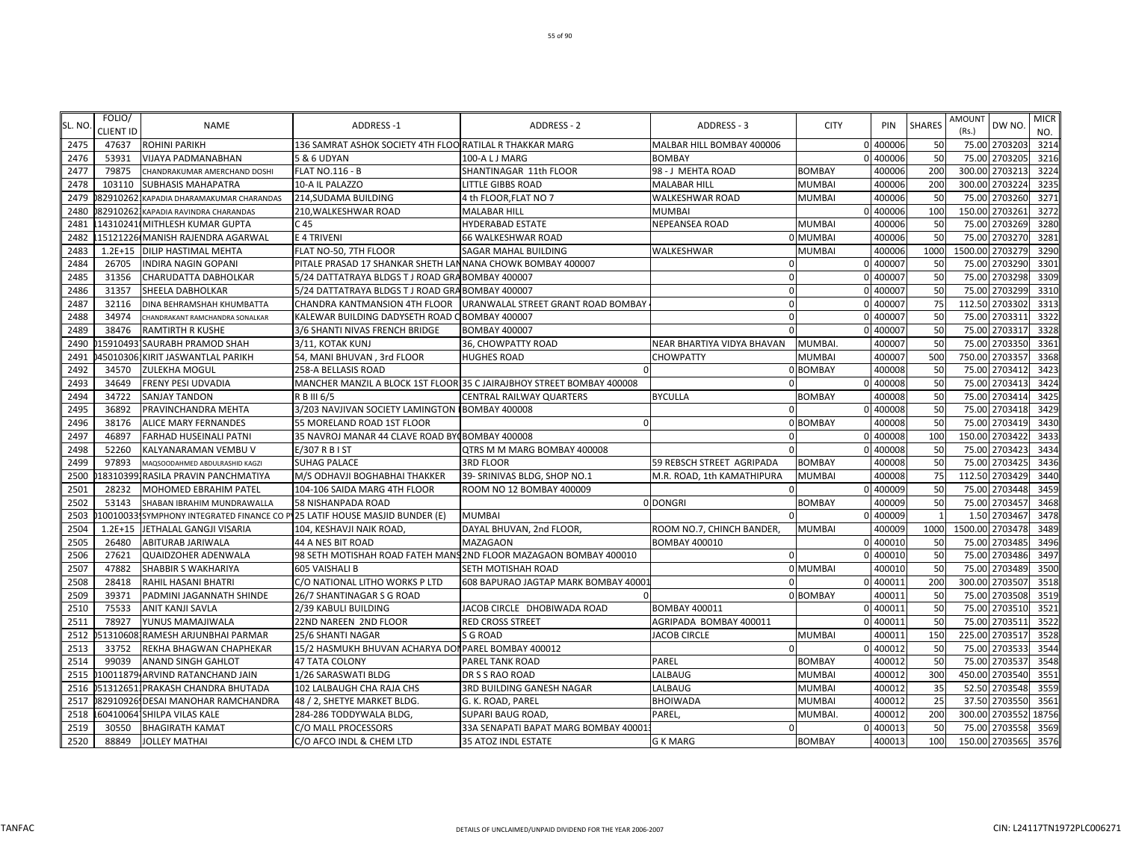| SL. NO | FOLIO/<br><b>CLIENT ID</b> | <b>NAME</b>                          | <b>ADDRESS-1</b>                                                           | <b>ADDRESS - 2</b>                                                    | ADDRESS - 3                | <b>CITY</b>   | PIN      | <b>SHARES</b> | <b>AMOUNT</b><br>(Rs.) | DW NO.          | <b>MICR</b> |
|--------|----------------------------|--------------------------------------|----------------------------------------------------------------------------|-----------------------------------------------------------------------|----------------------------|---------------|----------|---------------|------------------------|-----------------|-------------|
| 2475   | 47637                      | <b>ROHINI PARIKH</b>                 | 136 SAMRAT ASHOK SOCIETY 4TH FLOO RATILAL R THAKKAR MARG                   |                                                                       | MALBAR HILL BOMBAY 400006  |               | 0 400006 | 50            |                        | 75.00 2703203   | NO.<br>3214 |
| 2476   | 53931                      | VIJAYA PADMANABHAN                   | 5 & 6 UDYAN                                                                | 100-A L J MARG                                                        | <b>BOMBAY</b>              |               | 0 400006 | 50            |                        | 75.00 2703205   | 3216        |
| 2477   | 79875                      | CHANDRAKUMAR AMERCHAND DOSHI         | <b>FLAT NO.116 - B</b>                                                     | SHANTINAGAR 11th FLOOR                                                | 98 - J MEHTA ROAD          | <b>BOMBAY</b> | 400006   | 200           |                        | 300.00 2703213  | 3224        |
| 2478   | 103110                     | SUBHASIS MAHAPATRA                   | 10-A IL PALAZZO                                                            | <b>LITTLE GIBBS ROAD</b>                                              | <b>MALABAR HILL</b>        | <b>MUMBAI</b> | 400006   | 200           | 300.00                 | 2703224         | 3235        |
| 2479   | 829102621                  | KAPADIA DHARAMAKUMAR CHARANDAS       | 214, SUDAMA BUILDING                                                       | 4 th FLOOR,FLAT NO 7                                                  | <b>WALKESHWAR ROAD</b>     | <b>MUMBAI</b> | 400006   | 50            | 75.00                  | 2703260         | 3271        |
| 2480   |                            | 829102621 KAPADIA RAVINDRA CHARANDAS | 210, WALKESHWAR ROAD                                                       | <b>MALABAR HILL</b>                                                   | <b>MUMBAI</b>              |               | 0 400006 | 100           | 150.00                 | 2703261         | 3272        |
| 2481   |                            | 14310241 MITHLESH KUMAR GUPTA        | C <sub>45</sub>                                                            | <b>HYDERABAD ESTATE</b>                                               | <b>NEPEANSEA ROAD</b>      | <b>MUMBAI</b> | 400006   | 50            | 75.00                  | 2703269         | 3280        |
| 2482   |                            | 15121226 MANISH RAJENDRA AGARWAL     | E 4 TRIVENI                                                                | 66 WALKESHWAR ROAD                                                    |                            | 0 MUMBAI      | 400006   | 50            | 75.00                  | 2703270         | 328         |
| 2483   | $1.2E + 15$                | DILIP HASTIMAL MEHTA                 | FLAT NO-50, 7TH FLOOR                                                      | SAGAR MAHAL BUILDING                                                  | WALKESHWAR                 | MUMBAI        | 400006   | 1000          |                        | 1500.00 2703279 | 3290        |
| 2484   | 26705                      | <b>INDIRA NAGIN GOPANI</b>           | PITALE PRASAD 17 SHANKAR SHETH LANNANA CHOWK BOMBAY 400007                 |                                                                       | $\mathbf 0$                |               | 0 400007 | 50            |                        | 75.00 2703290   | 3301        |
| 2485   | 31356                      | CHARUDATTA DABHOLKAR                 | 5/24 DATTATRAYA BLDGS T J ROAD GRA BOMBAY 400007                           |                                                                       | $\mathbf{0}$               |               | 0 400007 | 50            |                        | 75.00 2703298   | 3309        |
| 2486   | 31357                      | SHEELA DABHOLKAR                     | 5/24 DATTATRAYA BLDGS T J ROAD GRABOMBAY 400007                            |                                                                       | $\mathbf{0}$               |               | 0 400007 | 50            |                        | 75.00 2703299   | 3310        |
| 2487   | 32116                      | DINA BEHRAMSHAH KHUMBATTA            | CHANDRA KANTMANSION 4TH FLOOR                                              | URANWALAL STREET GRANT ROAD BOMBAY                                    | $\mathbf 0$                |               | 0 400007 | 75            |                        | 112.50 2703302  | 3313        |
| 2488   | 34974                      | CHANDRAKANT RAMCHANDRA SONALKAR      | KALEWAR BUILDING DADYSETH ROAD C BOMBAY 400007                             |                                                                       | $\mathbf{0}$               |               | 0 400007 | 50            | 75.00                  | 2703311         | 3322        |
| 2489   | 38476                      | RAMTIRTH R KUSHE                     | 3/6 SHANTI NIVAS FRENCH BRIDGE                                             | <b>BOMBAY 400007</b>                                                  | $\Omega$                   |               | 0 400007 | 50            | 75.00                  | 2703317         | 3328        |
| 2490   |                            | 159104931SAURABH PRAMOD SHAH         | 3/11, KOTAK KUNJ                                                           | 36, CHOWPATTY ROAD                                                    | NEAR BHARTIYA VIDYA BHAVAN | MUMBAI        | 400007   | 50            |                        | 75.00 2703350   | 3361        |
| 2491   |                            | 45010306 KIRIT JASWANTLAL PARIKH     | 54, MANI BHUVAN, 3rd FLOOR                                                 | <b>HUGHES ROAD</b>                                                    | CHOWPATTY                  | <b>MUMBAI</b> | 400007   | 500           |                        | 750.00 2703357  | 3368        |
| 2492   | 34570                      | <b>ZULEKHA MOGUL</b>                 | 258-A BELLASIS ROAD                                                        | n                                                                     |                            | 0 BOMBAY      | 400008   | 50            |                        | 75.00 2703412   | 3423        |
| 2493   | 34649                      | FRENY PESI UDVADIA                   |                                                                            | MANCHER MANZIL A BLOCK 1ST FLOOR 35 C JAIRAJBHOY STREET BOMBAY 400008 | $\Omega$                   |               | 0 400008 | 50            |                        | 75.00 2703413   | 3424        |
| 2494   | 34722                      | SANJAY TANDON                        | R B III 6/5                                                                | CENTRAL RAILWAY QUARTERS                                              | <b>BYCULLA</b>             | BOMBAY        | 400008   | 50            | 75.00                  | 2703414         | 3425        |
| 2495   | 36892                      | PRAVINCHANDRA MEHTA                  | 3/203 NAVJIVAN SOCIETY LAMINGTON BOMBAY 400008                             |                                                                       | $\Omega$                   |               | 0 400008 | 50            | 75.00                  | 2703418         | 3429        |
| 2496   | 38176                      | <b>ALICE MARY FERNANDES</b>          | 55 MORELAND ROAD 1ST FLOOR                                                 | $\Omega$                                                              |                            | 0 BOMBAY      | 400008   | 50            | 75.00                  | 2703419         | 3430        |
| 2497   | 46897                      | <b>FARHAD HUSEINALI PATNI</b>        | 35 NAVROJ MANAR 44 CLAVE ROAD BY(BOMBAY 400008                             |                                                                       | $\Omega$                   |               | 0 400008 | 100           | 150.00                 | 2703422         | 3433        |
| 2498   | 52260                      | KALYANARAMAN VEMBU V                 | E/307 R B I ST                                                             | QTRS M M MARG BOMBAY 400008                                           |                            |               | 400008   | 50            | 75.00                  | 2703423         | 3434        |
| 2499   | 97893                      | MAQSOODAHMED ABDULRASHID KAGZI       | <b>SUHAG PALACE</b>                                                        | <b>3RD FLOOR</b>                                                      | 59 REBSCH STREET AGRIPADA  | <b>BOMBAY</b> | 400008   | 50            |                        | 75.00 2703425   | 3436        |
| 2500   |                            | 183103991RASILA PRAVIN PANCHMATIYA   | M/S ODHAVJI BOGHABHAI THAKKER                                              | 39- SRINIVAS BLDG, SHOP NO.1                                          | M.R. ROAD, 1th KAMATHIPURA | <b>MUMBAI</b> | 400008   | 75            |                        | 112.50 2703429  | 3440        |
| 2501   | 28232                      | MOHOMED EBRAHIM PATEL                | 104-106 SAIDA MARG 4TH FLOOR                                               | ROOM NO 12 BOMBAY 400009                                              | $\Omega$                   |               | 0 400009 | 50            |                        | 75.00 2703448   | 3459        |
| 2502   | 53143                      | SHABAN IBRAHIM MUNDRAWALLA           | <b>58 NISHANPADA ROAD</b>                                                  |                                                                       | 0 DONGRI                   | <b>BOMBAY</b> | 400009   | 50            |                        | 75.00 2703457   | 3468        |
| 2503   |                            |                                      | 100100331SYMPHONY INTEGRATED FINANCE CO PV25 LATIF HOUSE MASJID BUNDER (E) | <b>MUMBAI</b>                                                         |                            |               | 0 400009 |               | 1.50                   | 2703467         | 3478        |
| 2504   | $1.2E + 15$                | JETHALAL GANGJI VISARIA              | 104, KESHAVJI NAIK ROAD,                                                   | DAYAL BHUVAN, 2nd FLOOR,                                              | ROOM NO.7, CHINCH BANDER,  | <b>MUMBAI</b> | 400009   | 1000          |                        | 1500.00 2703478 | 3489        |
| 2505   | 26480                      | ABITURAB JARIWALA                    | 44 A NES BIT ROAD                                                          | <b>MAZAGAON</b>                                                       | <b>BOMBAY 400010</b>       |               | 0 400010 | 50            | 75.00                  | 2703485         | 3496        |
| 2506   | 27621                      | <b>QUAIDZOHER ADENWALA</b>           |                                                                            | 98 SETH MOTISHAH ROAD FATEH MANS 2ND FLOOR MAZAGAON BOMBAY 400010     | $\Omega$                   | $\Omega$      | 400010   | 50            | 75.00                  | 2703486         | 3497        |
| 2507   | 47882                      | SHABBIR S WAKHARIYA                  | <b>605 VAISHALI B</b>                                                      | SETH MOTISHAH ROAD                                                    |                            | 0 MUMBAI      | 400010   | 50            |                        | 75.00 2703489   | 3500        |
| 2508   | 28418                      | RAHIL HASANI BHATRI                  | C/O NATIONAL LITHO WORKS P LTD                                             | 608 BAPURAO JAGTAP MARK BOMBAY 40001                                  | $\Omega$                   |               | 0 400011 | 200           |                        | 300.00 2703507  | 3518        |
| 2509   | 39371                      | PADMINI JAGANNATH SHINDE             | 26/7 SHANTINAGAR S G ROAD                                                  |                                                                       |                            | 0 BOMBAY      | 400011   | 50            |                        | 75.00 2703508   | 3519        |
| 2510   | 75533                      | ANIT KANJI SAVLA                     | 2/39 KABULI BUILDING                                                       | JACOB CIRCLE DHOBIWADA ROAD                                           | <b>BOMBAY 400011</b>       |               | 0 40001  | 50            | 75.00                  | 2703510         | 3521        |
| 2511   | 78927                      | YUNUS MAMAJIWALA                     | 22ND NAREEN 2ND FLOOR                                                      | <b>RED CROSS STREET</b>                                               | AGRIPADA BOMBAY 400011     |               | 0 400011 | 50            | 75.00                  | 2703511         | 3522        |
| 2512   |                            | 513106081RAMESH ARJUNBHAI PARMAR     | 25/6 SHANTI NAGAR                                                          | S G ROAD                                                              | <b>JACOB CIRCLE</b>        | <b>MUMBAI</b> | 400011   | 150           | 225.00                 | 2703517         | 3528        |
| 2513   | 33752                      | REKHA BHAGWAN CHAPHEKAR              | 15/2 HASMUKH BHUVAN ACHARYA DOI PAREL BOMBAY 400012                        |                                                                       | $\Omega$                   |               | 0 400012 | 50            | 75.00                  | 2703533         | 3544        |
| 2514   | 99039                      | <b>ANAND SINGH GAHLOT</b>            | 47 TATA COLONY                                                             | PAREL TANK ROAD                                                       | PAREL                      | <b>BOMBAY</b> | 400012   | 50            | 75.00                  | 2703537         | 3548        |
| 2515   |                            | 10011879 ARVIND RATANCHAND JAIN      | 1/26 SARASWATI BLDG                                                        | DR S S RAO ROAD                                                       | LALBAUG                    | <b>MUMBAI</b> | 400012   | 300           |                        | 450.00 2703540  | 3551        |
| 2516   |                            | 0513126511PRAKASH CHANDRA BHUTADA    | 102 LALBAUGH CHA RAJA CHS                                                  | 3RD BUILDING GANESH NAGAR                                             | LALBAUG                    | <b>MUMBAI</b> | 400012   | 35            |                        | 52.50 2703548   | 3559        |
| 2517   |                            | 82910926 DESAI MANOHAR RAMCHANDRA    | 48 / 2, SHETYE MARKET BLDG.                                                | G. K. ROAD, PAREL                                                     | <b>BHOIWADA</b>            | <b>MUMBAI</b> | 400012   | 25            |                        | 37.50 2703550   | 3561        |
| 2518   |                            | 60410064 SHILPA VILAS KALE           | 284-286 TODDYWALA BLDG,                                                    | SUPARI BAUG ROAD,                                                     | PAREL,                     | <b>MUMBAI</b> | 400012   | 200           |                        | 300.00 2703552  | 18756       |
| 2519   | 30550                      | <b>BHAGIRATH KAMAT</b>               | C/O MALL PROCESSORS                                                        | 33A SENAPATI BAPAT MARG BOMBAY 40001                                  | $\mathbf 0$                |               | 0 400013 | 50            |                        | 75.00 2703558   | 3569        |
| 2520   | 88849                      | <b>JOLLEY MATHAI</b>                 | C/O AFCO INDL & CHEM LTD                                                   | 35 ATOZ INDL ESTATE                                                   | <b>G K MARG</b>            | <b>BOMBAY</b> | 400013   | 100           |                        | 150.00 2703565  | 3576        |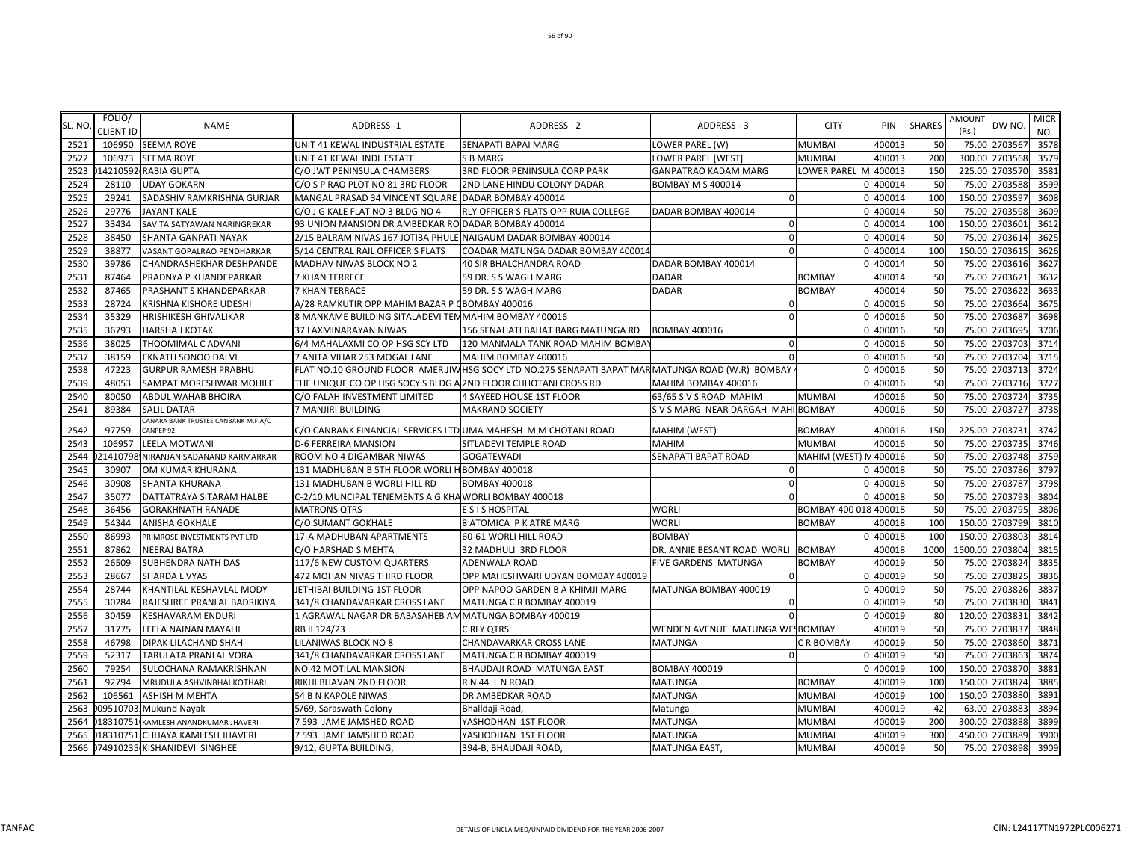| SL. NO. | FOLIO/<br><b>CLIENT ID</b> | <b>NAME</b>                                      | <b>ADDRESS-1</b>                                               | ADDRESS - 2                                                                                       | ADDRESS - 3                        | <b>CITY</b>          | PIN      | <b>SHARES</b> | <b>AMOUNT</b><br>(Rs.) | DW NO.         | <b>MICR</b><br>NO. |
|---------|----------------------------|--------------------------------------------------|----------------------------------------------------------------|---------------------------------------------------------------------------------------------------|------------------------------------|----------------------|----------|---------------|------------------------|----------------|--------------------|
| 2521    | 106950                     | <b>SEEMA ROYE</b>                                | UNIT 41 KEWAL INDUSTRIAL ESTATE                                | SENAPATI BAPAI MARG                                                                               | LOWER PAREL (W)                    | <b>MUMBAI</b>        | 400013   | 50            |                        | 75.00 2703567  | 3578               |
| 2522    | 106973                     | <b>SEEMA ROYE</b>                                | UNIT 41 KEWAL INDL ESTATE                                      | <b>S B MARG</b>                                                                                   | LOWER PAREL [WEST]                 | <b>MUMBAI</b>        | 400013   | 200           |                        | 300.00 2703568 | 3579               |
| 2523    |                            | 14210592 RABIA GUPTA                             | C/O JWT PENINSULA CHAMBERS                                     | 3RD FLOOR PENINSULA CORP PARK                                                                     | GANPATRAO KADAM MARG               | LOWER PAREL M 400013 |          | 150           |                        | 225.00 2703570 | 3581               |
| 2524    | 28110                      | <b>UDAY GOKARN</b>                               | C/O S P RAO PLOT NO 81 3RD FLOOR                               | 2ND LANE HINDU COLONY DADAR                                                                       | <b>BOMBAY M S 400014</b>           |                      | 0 400014 | 50            | 75.00                  | 2703588        | 3599               |
| 2525    | 29241                      | SADASHIV RAMKRISHNA GURJAR                       | MANGAL PRASAD 34 VINCENT SQUARE DADAR BOMBAY 400014            |                                                                                                   | $\Omega$                           |                      | 0 400014 | 100           | 150.00                 | 2703597        | 3608               |
| 2526    | 29776                      | <b>JAYANT KALE</b>                               | C/O J G KALE FLAT NO 3 BLDG NO 4                               | RLY OFFICER S FLATS OPP RUIA COLLEGE                                                              | DADAR BOMBAY 400014                |                      | 0 400014 | 50            | 75.00                  | 2703598        | 3609               |
| 2527    | 33434                      | SAVITA SATYAWAN NARINGREKAR                      | 93 UNION MANSION DR AMBEDKAR RO DADAR BOMBAY 400014            |                                                                                                   | $\Omega$                           |                      | 0 400014 | 100           | 150.00                 | 2703601        | 3612               |
| 2528    | 38450                      | SHANTA GANPATI NAYAK                             | 2/15 BALRAM NIVAS 167 JOTIBA PHULE NAIGAUM DADAR BOMBAY 400014 |                                                                                                   | $\Omega$                           | $\Omega$             | 400014   | 50            | 75.00                  | 2703614        | 3625               |
| 2529    | 38877                      | VASANT GOPALRAO PENDHARKAR                       | 5/14 CENTRAL RAIL OFFICER S FLATS                              | COADAR MATUNGA DADAR BOMBAY 400014                                                                | $\Omega$                           |                      | 0 400014 | 100           | 150.00                 | 2703615        | 3626               |
| 2530    | 39786                      | CHANDRASHEKHAR DESHPANDE                         | MADHAV NIWAS BLOCK NO 2                                        | 40 SIR BHALCHANDRA ROAD                                                                           | DADAR BOMBAY 400014                | $\Omega$             | 400014   | 50            | 75.00                  | 2703616        | 3627               |
| 2531    | 87464                      | PRADNYA P KHANDEPARKAR                           | 7 KHAN TERRECE                                                 | 59 DR. S S WAGH MARG                                                                              | <b>DADAR</b>                       | <b>BOMBAY</b>        | 400014   | 50            | 75.00                  | 2703621        | 3632               |
| 2532    | 87465                      | PRASHANT S KHANDEPARKAR                          | 7 KHAN TERRACE                                                 | 59 DR. S S WAGH MARG                                                                              | DADAR                              | BOMBAY               | 400014   | 50            | 75.00                  | 2703622        | 3633               |
| 2533    | 28724                      | <b>KRISHNA KISHORE UDESHI</b>                    | A/28 RAMKUTIR OPP MAHIM BAZAR P                                | <b>CBOMBAY 400016</b>                                                                             | $\Omega$                           |                      | 0 400016 | 50            |                        | 75.00 2703664  | 3675               |
| 2534    | 35329                      | HRISHIKESH GHIVALIKAR                            | 8 MANKAME BUILDING SITALADEVI TEM MAHIM BOMBAY 400016          |                                                                                                   | $\Omega$                           |                      | 0 400016 | 50            |                        | 75.00 2703687  | 3698               |
| 2535    | 36793                      | <b>HARSHA J KOTAK</b>                            | 37 LAXMINARAYAN NIWAS                                          | 156 SENAHATI BAHAT BARG MATUNGA RD                                                                | <b>BOMBAY 400016</b>               |                      | 0 400016 | 50            | 75.00                  | 2703695        | 3706               |
| 2536    | 38025                      | THOOMIMAL C ADVANI                               | 6/4 MAHALAXMI CO OP HSG SCY LTD                                | 120 MANMALA TANK ROAD MAHIM BOMBA                                                                 | $\Omega$                           |                      | 0 400016 | 50            | 75.00                  | 2703703        | 3714               |
| 2537    | 38159                      | <b>EKNATH SONOO DALVI</b>                        | 7 ANITA VIHAR 253 MOGAL LANE                                   | MAHIM BOMBAY 400016                                                                               |                                    |                      | 0 400016 | 50            | 75.00                  | 2703704        | 3715               |
| 2538    | 47223                      | <b>GURPUR RAMESH PRABHU</b>                      |                                                                | FLAT NO.10 GROUND FLOOR AMER JIW HSG SOCY LTD NO.275 SENAPATI BAPAT MAR MATUNGA ROAD (W.R) BOMBAY |                                    |                      | 0 400016 | 50            | 75.00                  | 2703713        | 3724               |
| 2539    | 48053                      | SAMPAT MORESHWAR MOHILE                          | THE UNIQUE CO OP HSG SOCY S BLDG A 2ND FLOOR CHHOTANI CROSS RD |                                                                                                   | MAHIM BOMBAY 400016                | $\Omega$             | 400016   | 50            | 75.00                  | 2703716        | 3727               |
| 2540    | 80050                      | ABDUL WAHAB BHOIRA                               | C/O FALAH INVESTMENT LIMITED                                   | 4 SAYEED HOUSE 1ST FLOOR                                                                          | 63/65 S V S ROAD MAHIM             | <b>MUMBAI</b>        | 400016   | 50            | 75.00                  | 2703724        | 3735               |
| 2541    | 89384                      | <b>SALIL DATAR</b>                               | 7 MANJIRI BUILDING                                             | <b>MAKRAND SOCIETY</b>                                                                            | S V S MARG NEAR DARGAH MAHI BOMBAY |                      | 400016   | 50            |                        | 75.00 2703727  | 3738               |
| 2542    | 97759                      | CANARA BANK TRUSTEE CANBANK M.F.A/C<br>CANPEP 92 | C/O CANBANK FINANCIAL SERVICES LTD UMA MAHESH M M CHOTANI ROAD |                                                                                                   | MAHIM (WEST)                       | <b>BOMBAY</b>        | 400016   | 150           |                        | 225.00 2703731 | 3742               |
| 2543    | 106957                     | <b>LEELA MOTWANI</b>                             | <b>D-6 FERREIRA MANSION</b>                                    | SITLADEVI TEMPLE ROAD                                                                             | MAHIM                              | <b>MUMBAI</b>        | 400016   | 50            | 75.00                  | 2703735        | 3746               |
| 2544    |                            | 21410798 NIRANJAN SADANAND KARMARKAR             | ROOM NO 4 DIGAMBAR NIWAS                                       | <b>GOGATEWADI</b>                                                                                 | SENAPATI BAPAT ROAD                | MAHIM (WEST) N       | 400016   | 50            | 75.00                  | 2703748        | 3759               |
| 2545    | 30907                      | OM KUMAR KHURANA                                 | 131 MADHUBAN B 5TH FLOOR WORLI H BOMBAY 400018                 |                                                                                                   |                                    |                      | 400018   | 50            | 75.00                  | 2703786        | 3797               |
| 2546    | 30908                      | <b>SHANTA KHURANA</b>                            | 131 MADHUBAN B WORLI HILL RD                                   | <b>BOMBAY 400018</b>                                                                              |                                    |                      | 400018   | 50            | 75.00                  | 2703787        | 3798               |
| 2547    | 35077                      | DATTATRAYA SITARAM HALBE                         | C-2/10 MUNCIPAL TENEMENTS A G KHA WORLI BOMBAY 400018          |                                                                                                   |                                    |                      | 400018   | 50            |                        | 75.00 2703793  | 3804               |
| 2548    | 36456                      | <b>GORAKHNATH RANADE</b>                         | <b>MATRONS QTRS</b>                                            | E S I S HOSPITAL                                                                                  | WORLI                              | BOMBAY-400 018       | 400018   | 50            |                        | 75.00 2703795  | 3806               |
| 2549    | 54344                      | ANISHA GOKHALE                                   | C/O SUMANT GOKHALE                                             | 8 ATOMICA P K ATRE MARG                                                                           | WORLI                              | <b>BOMBAY</b>        | 400018   | 100           |                        | 150.00 2703799 | 3810               |
| 2550    | 86993                      | PRIMROSE INVESTMENTS PVT LTD                     | 17-A MADHUBAN APARTMENTS                                       | 60-61 WORLI HILL ROAD                                                                             | <b>BOMBAY</b>                      |                      | 0 400018 | 100           | 150.00                 | 2703803        | 3814               |
| 2551    | 87862                      | NEERAJ BATRA                                     | C/O HARSHAD S MEHTA                                            | 32 MADHULI 3RD FLOOR                                                                              | DR. ANNIE BESANT ROAD WORLI        | <b>BOMBAY</b>        | 400018   | 1000          | 1500.00                | 2703804        | 3815               |
| 2552    | 26509                      | <b>SUBHENDRA NATH DAS</b>                        | 117/6 NEW CUSTOM QUARTERS                                      | <b>ADENWALA ROAD</b>                                                                              | FIVE GARDENS MATUNGA               | <b>BOMBAY</b>        | 400019   | 50            | 75.00                  | 2703824        | 3835               |
| 2553    | 28667                      | <b>SHARDA L VYAS</b>                             | 472 MOHAN NIVAS THIRD FLOOR                                    | OPP MAHESHWARI UDYAN BOMBAY 400019                                                                | $\Omega$                           |                      | 0 400019 | 50            | 75.00                  | 2703825        | 3836               |
| 2554    | 28744                      | KHANTILAL KESHAVLAL MODY                         | JETHIBAI BUILDING 1ST FLOOR                                    | OPP NAPOO GARDEN B A KHIMJI MARG                                                                  | MATUNGA BOMBAY 400019              |                      | 0 400019 | 50            | 75.00                  | 2703826        | 3837               |
| 2555    | 30284                      | RAJESHREE PRANLAL BADRIKIYA                      | 341/8 CHANDAVARKAR CROSS LANE                                  | MATUNGA C R BOMBAY 400019                                                                         | $\Omega$                           |                      | 0 400019 | 50            | 75.00                  | 2703830        | 3841               |
| 2556    | 30459                      | KESHAVARAM ENDURI                                | 1 AGRAWAL NAGAR DR BABASAHEB AM MATUNGA BOMBAY 400019          |                                                                                                   |                                    |                      | 400019   | 80            | 120.00                 | 2703831        | 3842               |
| 2557    | 31775                      | LEELA NAINAN MAYALIL                             | RB II 124/23                                                   | C RLY QTRS                                                                                        | WENDEN AVENUE MATUNGA WESBOMBAY    |                      | 400019   | 50            | 75.00                  | 2703837        | 3848               |
| 2558    | 46798                      | DIPAK LILACHAND SHAH                             | LILANIWAS BLOCK NO 8                                           | CHANDAVARKAR CROSS LANE                                                                           | <b>MATUNGA</b>                     | C R BOMBAY           | 400019   | 50            |                        | 75.00 2703860  | 3871               |
| 2559    | 52317                      | TARULATA PRANLAL VORA                            | 341/8 CHANDAVARKAR CROSS LANE                                  | MATUNGA C R BOMBAY 400019                                                                         | $\Omega$                           |                      | 0 400019 | 50            |                        | 75.00 2703863  | 3874               |
| 2560    | 79254                      | SULOCHANA RAMAKRISHNAN                           | NO.42 MOTILAL MANSION                                          | BHAUDAJI ROAD MATUNGA EAST                                                                        | <b>BOMBAY 400019</b>               |                      | 0 400019 | 100           |                        | 150.00 2703870 | 3881               |
| 2561    | 92794                      | MRUDULA ASHVINBHAI KOTHARI                       | RIKHI BHAVAN 2ND FLOOR                                         | RN 44 LN ROAD                                                                                     | MATUNGA                            | <b>BOMBAY</b>        | 400019   | 100           | 150.00                 | 2703874        | 3885               |
| 2562    | 106561                     | <b>ASHISH M MEHTA</b>                            | 54 B N KAPOLE NIWAS                                            | DR AMBEDKAR ROAD                                                                                  | MATUNGA                            | <b>MUMBAI</b>        | 400019   | 100           | 150.00                 | 2703880        | 3891               |
| 2563    |                            | 095107031 Mukund Nayak                           | 5/69, Saraswath Colony                                         | Bhalldaji Road,                                                                                   | Matunga                            | <b>MUMBAI</b>        | 400019   | 42            | 63.00                  | 2703883        | 3894               |
| 2564    |                            | 18310751 KAMLESH ANANDKUMAR JHAVERI              | 7 593 JAME JAMSHED ROAD                                        | YASHODHAN 1ST FLOOR                                                                               | MATUNGA                            | <b>MUMBAI</b>        | 400019   | 200           | 300.00                 | 2703888        | 3899               |
| 2565    |                            | 18310751 CHHAYA KAMLESH JHAVERI                  | 7 593 JAME JAMSHED ROAD                                        | YASHODHAN 1ST FLOOR                                                                               | <b>MATUNGA</b>                     | <b>MUMBAI</b>        | 400019   | 300           |                        | 450.00 2703889 | 3900               |
|         |                            | 2566 074910235 KISHANIDEVI SINGHEE               | 9/12, GUPTA BUILDING,                                          | 394-B. BHAUDAJI ROAD.                                                                             | <b>MATUNGA EAST.</b>               | <b>MUMBAI</b>        | 400019   | 50            |                        | 75.00 2703898  | 3909               |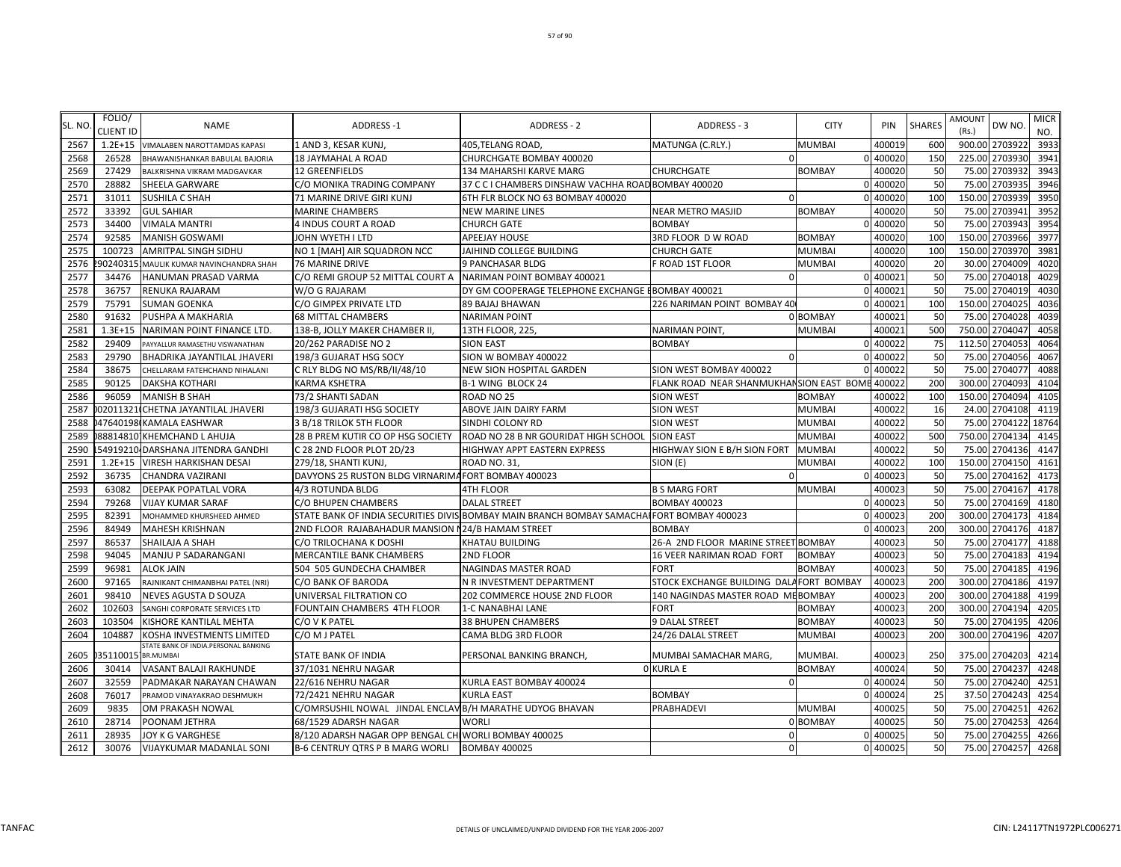| SL. NO | FOLIO/<br><b>CLIENT ID</b> | <b>NAME</b>                          | <b>ADDRESS-1</b>                                         | <b>ADDRESS - 2</b>                                                                         | ADDRESS - 3                              | <b>CITY</b>   | PIN      | <b>SHARES</b> | <b>AMOUNT</b><br>(Rs.) | DW NO.         | <b>MICR</b><br>NO. |
|--------|----------------------------|--------------------------------------|----------------------------------------------------------|--------------------------------------------------------------------------------------------|------------------------------------------|---------------|----------|---------------|------------------------|----------------|--------------------|
| 2567   | $1.2E + 15$                | <b>VIMALABEN NAROTTAMDAS KAPASI</b>  | 1 AND 3, KESAR KUNJ,                                     | 405, TELANG ROAD,                                                                          | MATUNGA (C.RLY.)                         | MUMBAI        | 400019   | 600           |                        | 900.00 2703922 | 3933               |
| 2568   | 26528                      | BHAWANISHANKAR BABULAL BAJORIA       | <b>18 JAYMAHAL A ROAD</b>                                | CHURCHGATE BOMBAY 400020                                                                   |                                          |               | 0 400020 | 150           |                        | 225.00 2703930 | 3941               |
| 2569   | 27429                      | BALKRISHNA VIKRAM MADGAVKAR          | <b>12 GREENFIELDS</b>                                    | 134 MAHARSHI KARVE MARG                                                                    | <b>CHURCHGATE</b>                        | <b>BOMBAY</b> | 400020   | 50            |                        | 75.00 2703932  | 3943               |
| 2570   | 28882                      | SHEELA GARWARE                       | C/O MONIKA TRADING COMPANY                               | 37 C C I CHAMBERS DINSHAW VACHHA ROAD BOMBAY 400020                                        |                                          |               | 0 400020 | 50            |                        | 75.00 2703935  | 3946               |
| 2571   | 31011                      | SUSHILA C SHAH                       | 71 MARINE DRIVE GIRI KUNJ                                | 6TH FLR BLOCK NO 63 BOMBAY 400020                                                          |                                          |               | 0 400020 | 100           |                        | 150.00 2703939 | 3950               |
| 2572   | 33392                      | <b>GUL SAHIAR</b>                    | <b>MARINE CHAMBERS</b>                                   | <b>NEW MARINE LINES</b>                                                                    | <b>NEAR METRO MASJID</b>                 | <b>BOMBAY</b> | 400020   | 50            |                        | 75.00 2703941  | 3952               |
| 2573   | 34400                      | VIMALA MANTRI                        | 4 INDUS COURT A ROAD                                     | <b>CHURCH GATE</b>                                                                         | <b>BOMBAY</b>                            | n             | 400020   | 50            |                        | 75.00 2703943  | 3954               |
| 2574   | 92585                      | <b>MANISH GOSWAMI</b>                | JOHN WYETH I LTD                                         | <b>APEEJAY HOUSE</b>                                                                       | 3RD FLOOR D W ROAD                       | <b>BOMBAY</b> | 400020   | 100           |                        | 150.00 2703966 | 3977               |
| 2575   | 100723                     | AMRITPAL SINGH SIDHU                 | NO 1 [MAH] AIR SQUADRON NCC                              | JAIHIND COLLEGE BUILDING                                                                   | <b>CHURCH GATE</b>                       | MUMBAI        | 400020   | 100           |                        | 150.00 2703970 | 3981               |
| 2576   | 90240315                   | MAULIK KUMAR NAVINCHANDRA SHAH       | <b>76 MARINE DRIVE</b>                                   | 9 PANCHASAR BLDG                                                                           | F ROAD 1ST FLOOR                         | MUMBAI        | 400020   | 20            |                        | 30.00 2704009  | 4020               |
| 2577   | 34476                      | HANUMAN PRASAD VARMA                 | C/O REMI GROUP 52 MITTAL COURT A                         | NARIMAN POINT BOMBAY 400021                                                                | $\Omega$                                 | $\Omega$      | 400021   | 50            | 75.00                  | 2704018        | 4029               |
| 2578   | 36757                      | RENUKA RAJARAM                       | W/O G RAJARAM                                            | DY GM COOPERAGE TELEPHONE EXCHANGE EBOMBAY 400021                                          |                                          |               | 400021   | 50            | 75.00                  | 2704019        | 4030               |
| 2579   | 75791                      | <b>SUMAN GOENKA</b>                  | C/O GIMPEX PRIVATE LTD                                   | 89 BAJAJ BHAWAN                                                                            | 226 NARIMAN POINT BOMBAY 40              |               | 400021   | 100           | 150.00                 | 270402         | 4036               |
| 2580   | 91632                      | PUSHPA A MAKHARIA                    | <b>68 MITTAL CHAMBERS</b>                                | <b>NARIMAN POINT</b>                                                                       |                                          | 0 BOMBAY      | 400021   | 50            |                        | 75.00 2704028  | 4039               |
| 2581   | $1.3E + 15$                | NARIMAN POINT FINANCE LTD.           | 138-B, JOLLY MAKER CHAMBER II,                           | 13TH FLOOR, 225,                                                                           | NARIMAN POINT,                           | MUMBAI        | 400021   | 500           |                        | 750.00 2704047 | 4058               |
| 2582   | 29409                      | PAYYALLUR RAMASETHU VISWANATHAN      | 20/262 PARADISE NO 2                                     | <b>SION EAST</b>                                                                           | <b>BOMBAY</b>                            |               | 0 400022 | 75            | 112.50 2704053         |                | 4064               |
| 2583   | 29790                      | BHADRIKA JAYANTILAL JHAVERI          | 198/3 GUJARAT HSG SOCY                                   | SION W BOMBAY 400022                                                                       |                                          |               | 0 400022 | 50            |                        | 75.00 2704056  | 4067               |
| 2584   | 38675                      | CHELLARAM FATEHCHAND NIHALANI        | C RLY BLDG NO MS/RB/II/48/10                             | NEW SION HOSPITAL GARDEN                                                                   | SION WEST BOMBAY 400022                  |               | 400022   | 50            |                        | 75.00 2704077  | 4088               |
| 2585   | 90125                      | DAKSHA KOTHARI                       | <b>KARMA KSHETRA</b>                                     | <b>B-1 WING BLOCK 24</b>                                                                   | FLANK ROAD NEAR SHANMUKHANSION EAST BOME |               | 400022   | 200           |                        | 300.00 2704093 | 4104               |
| 2586   | 96059                      | <b>MANISH B SHAH</b>                 | 73/2 SHANTI SADAN                                        | ROAD NO 25                                                                                 | <b>SION WEST</b>                         | <b>BOMBAY</b> | 400022   | 100           | 150.00 2704094         |                | 4105               |
| 2587   |                            | 02011321 CHETNA JAYANTILAL JHAVERI   | 198/3 GUJARATI HSG SOCIETY                               | ABOVE JAIN DAIRY FARM                                                                      | <b>SION WEST</b>                         | <b>MUMBAI</b> | 400022   | 16            |                        | 24.00 2704108  | 4119               |
| 2588   |                            | 047640198 KAMALA EASHWAR             | 3 B/18 TRILOK 5TH FLOOR                                  | SINDHI COLONY RD                                                                           | <b>SION WEST</b>                         | MUMBAI        | 400022   | 50            | 75.00                  | 2704122        | 18764              |
| 2589   |                            | 88814810 KHEMCHAND L AHUJA           | 28 B PREM KUTIR CO OP HSG SOCIETY                        | ROAD NO 28 B NR GOURIDAT HIGH SCHOOL                                                       | <b>SION EAST</b>                         | MUMBAI        | 400022   | 500           | 750.00                 | 2704134        | 4145               |
| 2590   |                            | 54919210 DARSHANA JITENDRA GANDHI    | C 28 2ND FLOOR PLOT 2D/23                                | HIGHWAY APPT EASTERN EXPRESS                                                               | HIGHWAY SION E B/H SION FORT             | MUMBAI        | 400022   | 50            |                        | 75.00 2704136  | 4147               |
| 2591   |                            | 1.2E+15 VIRESH HARKISHAN DESAI       | 279/18, SHANTI KUNJ,                                     | ROAD NO. 31,                                                                               | SION (E)                                 | MUMBAI        | 400022   | 100           | 150.00 2704150         |                | 4161               |
| 2592   | 36735                      | <b>CHANDRA VAZIRANI</b>              | DAVYONS 25 RUSTON BLDG VIRNARIMA FORT BOMBAY 400023      |                                                                                            | $\Omega$                                 | $\Omega$      | 400023   | 50            |                        | 75.00 2704162  | 4173               |
| 2593   | 63082                      | DEEPAK POPATLAL VORA                 | 4/3 ROTUNDA BLDG                                         | 4TH FLOOR                                                                                  | <b>B S MARG FORT</b>                     | MUMBAI        | 400023   | 50            |                        | 75.00 2704167  | 4178               |
| 2594   | 79268                      | VIJAY KUMAR SARAF                    | C/O BHUPEN CHAMBERS                                      | <b>DALAL STREET</b>                                                                        | <b>BOMBAY 400023</b>                     | $\Omega$      | 400023   | 50            |                        | 75.00 2704169  | 4180               |
| 2595   | 82391                      | MOHAMMED KHURSHEED AHMED             |                                                          | STATE BANK OF INDIA SECURITIES DIVIS BOMBAY MAIN BRANCH BOMBAY SAMACHAI FORT BOMBAY 400023 |                                          | $\Omega$      | 400023   | 200           |                        | 300.00 2704173 | 4184               |
| 2596   | 84949                      | <b>MAHESH KRISHNAN</b>               | 2ND FLOOR RAJABAHADUR MANSION N24/B HAMAM STREET         |                                                                                            | <b>BOMBAY</b>                            |               | 400023   | 200           |                        | 300.00 2704176 | 4187               |
| 2597   | 86537                      | SHAILAJA A SHAH                      | C/O TRILOCHANA K DOSHI                                   | <b>KHATAU BUILDING</b>                                                                     | 26-A 2ND FLOOR MARINE STREET BOMBAY      |               | 400023   | 50            |                        | 75.00 2704177  | 4188               |
| 2598   | 94045                      | MANJU P SADARANGANI                  | <b>MERCANTILE BANK CHAMBERS</b>                          | 2ND FLOOR                                                                                  | 16 VEER NARIMAN ROAD FORT                | <b>BOMBAY</b> | 400023   | 50            |                        | 75.00 2704183  | 4194               |
| 2599   | 96981                      | <b>ALOK JAIN</b>                     | 504 505 GUNDECHA CHAMBER                                 | NAGINDAS MASTER ROAD                                                                       | <b>FORT</b>                              | <b>BOMBAY</b> | 400023   | 50            | 75.00                  | 2704185        | 4196               |
| 2600   | 97165                      | RAJNIKANT CHIMANBHAI PATEL (NRI)     | C/O BANK OF BARODA                                       | N R INVESTMENT DEPARTMENT                                                                  | STOCK EXCHANGE BUILDING DALAFORT BOMBAY  |               | 400023   | 200           |                        | 300.00 2704186 | 4197               |
| 2601   | 98410                      | NEVES AGUSTA D SOUZA                 | UNIVERSAL FILTRATION CO                                  | 202 COMMERCE HOUSE 2ND FLOOR                                                               | 140 NAGINDAS MASTER ROAD MEBOMBAY        |               | 400023   | 200           | 300.00                 | 2704188        | 4199               |
| 2602   | 102603                     | SANGHI CORPORATE SERVICES LTD        | FOUNTAIN CHAMBERS 4TH FLOOR                              | 1-C NANABHAI LANE                                                                          | <b>FORT</b>                              | BOMBAY        | 400023   | 200           |                        | 300.00 2704194 | 4205               |
| 2603   | 103504                     | KISHORE KANTILAL MEHTA               | C/O V K PATEL                                            | <b>38 BHUPEN CHAMBERS</b>                                                                  | 9 DALAL STREET                           | <b>BOMBAY</b> | 400023   | 50            |                        | 75.00 2704195  | 4206               |
| 2604   | 104887                     | KOSHA INVESTMENTS LIMITED            | C/O M J PATEL                                            | CAMA BLDG 3RD FLOOR                                                                        | 24/26 DALAL STREET                       | MUMBAI        | 400023   | 200           |                        | 300.00 2704196 | 4207               |
|        |                            | STATE BANK OF INDIA.PERSONAL BANKING |                                                          |                                                                                            |                                          |               |          |               |                        |                |                    |
| 2605   | 35110015 BR.MUMBAI         |                                      | STATE BANK OF INDIA                                      | PERSONAL BANKING BRANCH,                                                                   | MUMBAI SAMACHAR MARG,                    | MUMBAI.       | 400023   | 250           |                        | 375.00 2704203 | 4214               |
| 2606   | 30414                      | VASANT BALAJI RAKHUNDE               | 37/1031 NEHRU NAGAR                                      |                                                                                            | <b>O KURLA E</b>                         | <b>BOMBAY</b> | 400024   | 50            |                        | 75.00 2704237  | 4248               |
| 2607   | 32559                      | PADMAKAR NARAYAN CHAWAN              | 22/616 NEHRU NAGAR                                       | KURLA EAST BOMBAY 400024                                                                   | $\Omega$                                 |               | 0 400024 | 50            |                        | 75.00 2704240  | 4251               |
| 2608   | 76017                      | PRAMOD VINAYAKRAO DESHMUKH           | 72/2421 NEHRU NAGAR                                      | <b>KURLA EAST</b>                                                                          | <b>BOMBAY</b>                            |               | 0 400024 | 25            |                        | 37.50 2704243  | 4254               |
| 2609   | 9835                       | OM PRAKASH NOWAL                     | C/OMRSUSHIL NOWAL JINDAL ENCLAV B/H MARATHE UDYOG BHAVAN |                                                                                            | <b>PRABHADEVI</b>                        | MUMBAI        | 400025   | 50            |                        | 75.00 2704251  | 4262               |
| 2610   | 28714                      | POONAM JETHRA                        | 68/1529 ADARSH NAGAR                                     | <b>WORLI</b>                                                                               |                                          | 0 BOMBAY      | 400025   | 50            |                        | 75.00 2704253  | 4264               |
| 2611   | 28935                      | JOY K G VARGHESE                     | 8/120 ADARSH NAGAR OPP BENGAL CHIWORLI BOMBAY 400025     |                                                                                            | $\Omega$                                 |               | 0 400025 | 50            |                        | 75.00 2704255  | 4266               |
| 2612   | 30076                      | <b>VIJAYKUMAR MADANLAL SONI</b>      | B-6 CENTRUY QTRS P B MARG WORLI                          | <b>BOMBAY 400025</b>                                                                       | $\Omega$                                 |               | 0 400025 | 50            |                        | 75.00 2704257  | 4268               |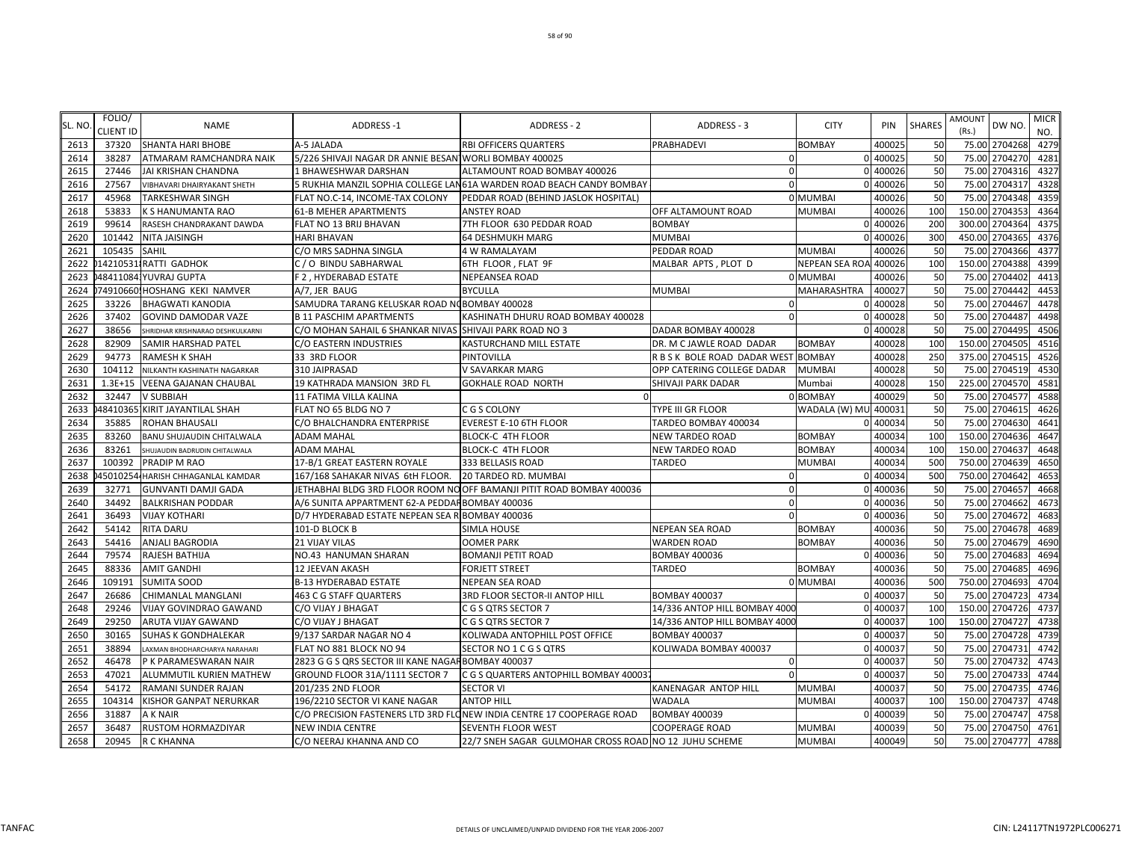| SL. NO | FOLIO/<br><b>CLIENT ID</b> | <b>NAME</b>                       | <b>ADDRESS-1</b>                                        | <b>ADDRESS - 2</b>                                                    | ADDRESS - 3                         | <b>CITY</b>           | PIN        | <b>SHARES</b> | <b>AMOUNT</b><br>(Rs.) | DW NO.         | <b>MICR</b><br>NO. |
|--------|----------------------------|-----------------------------------|---------------------------------------------------------|-----------------------------------------------------------------------|-------------------------------------|-----------------------|------------|---------------|------------------------|----------------|--------------------|
| 2613   | 37320                      | <b>SHANTA HARI BHOBE</b>          | A-5 JALADA                                              | <b>RBI OFFICERS QUARTERS</b>                                          | PRABHADEVI                          | <b>BOMBAY</b>         | 400025     | 50            |                        | 75.00 2704268  | 4279               |
| 2614   | 38287                      | ATMARAM RAMCHANDRA NAIK           | 5/226 SHIVAJI NAGAR DR ANNIE BESAN WORLI BOMBAY 400025  |                                                                       | $\Omega$                            |                       | 0 400025   | 50            |                        | 75.00 2704270  | 4281               |
| 2615   | 27446                      | <b>JAI KRISHAN CHANDNA</b>        | 1 BHAWESHWAR DARSHAN                                    | ALTAMOUNT ROAD BOMBAY 400026                                          | $\mathbf{0}$                        |                       | 0 400026   | 50            |                        | 75.00 2704316  | 4327               |
| 2616   | 27567                      | VIBHAVARI DHAIRYAKANT SHETH       |                                                         | 5 RUKHIA MANZIL SOPHIA COLLEGE LAN61A WARDEN ROAD BEACH CANDY BOMBAY  | $\Omega$                            |                       | 0 400026   | 50            | 75.00                  | 2704317        | 4328               |
| 2617   | 45968                      | <b>TARKESHWAR SINGH</b>           | FLAT NO.C-14, INCOME-TAX COLONY                         | PEDDAR ROAD (BEHIND JASLOK HOSPITAL)                                  |                                     | 0 MUMBAI              | 400026     | 50            | 75.00                  | 2704348        | 4359               |
| 2618   | 53833                      | <b>K S HANUMANTA RAO</b>          | <b>61-B MEHER APARTMENTS</b>                            | <b>ANSTEY ROAD</b>                                                    | OFF ALTAMOUNT ROAD                  | <b>MUMBAI</b>         | 400026     | 100           | 150.00                 | 2704353        | 4364               |
| 2619   | 99614                      | RASESH CHANDRAKANT DAWDA          | <b>FLAT NO 13 BRIJ BHAVAN</b>                           | 7TH FLOOR 630 PEDDAR ROAD                                             | <b>BOMBAY</b>                       |                       | $0$ 400026 | 200           | 300.00                 | 2704364        | 4375               |
| 2620   | 101442                     | NITA JAISINGH                     | <b>HARI BHAVAN</b>                                      | <b>64 DESHMUKH MARG</b>                                               | <b>MUMBAI</b>                       |                       | 0 400026   | 300           | 450.00                 | 2704365        | 4376               |
| 2621   | 105435                     | <b>SAHIL</b>                      | C/O MRS SADHNA SINGLA                                   | 4 W RAMALAYAM                                                         | PEDDAR ROAD                         | <b>MUMBAI</b>         | 400026     | 50            | 75.00                  | 2704366        | 4377               |
| 2622   |                            | 14210531 RATTI GADHOK             | C / O BINDU SABHARWAL                                   | 6TH FLOOR, FLAT 9F                                                    | MALBAR APTS, PLOT D                 | <b>NEPEAN SEA ROA</b> | 400026     | 100           |                        | 150.00 2704388 | 4399               |
| 2623   |                            | 484110841YUVRAJ GUPTA             | F 2, HYDERABAD ESTATE                                   | NEPEANSEA ROAD                                                        |                                     | 0 MUMBAI              | 400026     | 50            | 75.00                  | 2704402        | 4413               |
| 2624   |                            | 74910660.HOSHANG KEKI NAMVER      | A/7, JER BAUG                                           | <b>BYCULLA</b>                                                        | <b>MUMBAI</b>                       | <b>MAHARASHTRA</b>    | 400027     | 50            | 75.00                  | 2704442        | 4453               |
| 2625   | 33226                      | <b>BHAGWATI KANODIA</b>           | SAMUDRA TARANG KELUSKAR ROAD NOBOMBAY 400028            |                                                                       | $\Omega$                            | $\Omega$              | 400028     | 50            | 75.00                  | 2704467        | 4478               |
| 2626   | 37402                      | <b>GOVIND DAMODAR VAZE</b>        | <b>B 11 PASCHIM APARTMENTS</b>                          | KASHINATH DHURU ROAD BOMBAY 400028                                    | $\Omega$                            |                       | 0 400028   | 50            | 75.00                  | 2704487        | 4498               |
| 2627   | 38656                      | SHRIDHAR KRISHNARAO DESHKULKARNI  | C/O MOHAN SAHAIL 6 SHANKAR NIVAS SHIVAJI PARK ROAD NO 3 |                                                                       | DADAR BOMBAY 400028                 | $\Omega$              | 400028     | 50            | 75.00                  | 2704495        | 4506               |
| 2628   | 82909                      | SAMIR HARSHAD PATEL               | C/O EASTERN INDUSTRIES                                  | KASTURCHAND MILL ESTATE                                               | DR. M C JAWLE ROAD DADAR            | <b>BOMBAY</b>         | 400028     | 100           | 150.00                 | 2704505        | 4516               |
| 2629   | 94773                      | <b>RAMESH K SHAH</b>              | 33 3RD FLOOR                                            | PINTOVILLA                                                            | R B S K BOLE ROAD DADAR WEST BOMBAY |                       | 400028     | 250           |                        | 375.00 2704515 | 4526               |
| 2630   | 104112                     | NILKANTH KASHINATH NAGARKAR       | 310 JAIPRASAD                                           | V SAVARKAR MARG                                                       | OPP CATERING COLLEGE DADAR          | <b>MUMBAI</b>         | 400028     | 50            |                        | 75.00 2704519  | 4530               |
| 2631   |                            | 1.3E+15 VEENA GAJANAN CHAUBAL     | 19 KATHRADA MANSION 3RD FL                              | <b>GOKHALE ROAD NORTH</b>                                             | SHIVAJI PARK DADAR                  | Mumbai                | 400028     | 150           |                        | 225.00 2704570 | 4581               |
| 2632   | 32447                      | <b>V SUBBIAH</b>                  | 11 FATIMA VILLA KALINA                                  |                                                                       |                                     | 0 BOMBAY              | 400029     | 50            | 75.00                  | 2704577        | 4588               |
| 2633   |                            | 48410365 KIRIT JAYANTILAL SHAH    | FLAT NO 65 BLDG NO 7                                    | C G S COLONY                                                          | <b>TYPE III GR FLOOR</b>            | WADALA (W) MU 400031  |            | 50            | 75.00                  | 2704615        | 4626               |
| 2634   | 35885                      | <b>ROHAN BHAUSALI</b>             | C/O BHALCHANDRA ENTERPRISE                              | <b>EVEREST E-10 6TH FLOOR</b>                                         | TARDEO BOMBAY 400034                | $\Omega$              | 400034     | 50            | 75.00                  | 2704630        | 4641               |
| 2635   | 83260                      | <b>BANU SHUJAUDIN CHITALWALA</b>  | <b>ADAM MAHAL</b>                                       | <b>BLOCK-C 4TH FLOOR</b>                                              | <b>NEW TARDEO ROAD</b>              | <b>BOMBAY</b>         | 400034     | 100           | 150.00                 | 2704636        | 4647               |
| 2636   | 83261                      | SHUJAUDIN BADRUDIN CHITALWALA     | <b>ADAM MAHAL</b>                                       | <b>BLOCK-C 4TH FLOOR</b>                                              | <b>NEW TARDEO ROAD</b>              | <b>BOMBAY</b>         | 400034     | 100           | 150.00                 | 2704637        | 4648               |
| 2637   | 100392                     | PRADIP M RAO                      | 17-B/1 GREAT EASTERN ROYALE                             | 333 BELLASIS ROAD                                                     | <b>TARDEO</b>                       | MUMBAI                | 400034     | 500           | 750.00                 | 2704639        | 4650               |
| 2638   |                            | 45010254 HARISH CHHAGANLAL KAMDAR | 167/168 SAHAKAR NIVAS 6tH FLOOR.                        | 20 TARDEO RD. MUMBAI                                                  | $\Omega$                            |                       | 0 400034   | 500           |                        | 750.00 2704642 | 4653               |
| 2639   | 32771                      | <b>GUNVANTI DAMJI GADA</b>        |                                                         | JETHABHAI BLDG 3RD FLOOR ROOM NO OFF BAMANJI PITIT ROAD BOMBAY 400036 | $\Omega$                            |                       | 0 400036   | 50            | 75.00                  | 2704657        | 4668               |
| 2640   | 34492                      | <b>BALKRISHAN PODDAR</b>          | A/6 SUNITA APPARTMENT 62-A PEDDAF BOMBAY 400036         |                                                                       | $\Omega$                            |                       | 0 400036   | 50            | 75.00                  | 2704662        | 4673               |
| 2641   | 36493                      | <b>VIJAY KOTHARI</b>              | D/7 HYDERABAD ESTATE NEPEAN SEA R BOMBAY 400036         |                                                                       | $\Omega$                            |                       | 400036     | 50            | 75.00                  | 2704672        | 4683               |
| 2642   | 54142                      | <b>RITA DARU</b>                  | 101-D BLOCK B                                           | SIMLA HOUSE                                                           | <b>NEPEAN SEA ROAD</b>              | <b>BOMBAY</b>         | 400036     | 50            | 75.00                  | 2704678        | 4689               |
| 2643   | 54416                      | <b>ANJALI BAGRODIA</b>            | <b>21 VIJAY VILAS</b>                                   | <b>OOMER PARK</b>                                                     | <b>WARDEN ROAD</b>                  | <b>BOMBAY</b>         | 400036     | 50            | 75.00                  | 2704679        | 4690               |
| 2644   | 79574                      | RAJESH BATHIJA                    | NO.43 HANUMAN SHARAN                                    | <b>BOMANJI PETIT ROAD</b>                                             | <b>BOMBAY 400036</b>                |                       | 0 400036   | 50            | 75.00                  | 2704683        | 4694               |
| 2645   | 88336                      | <b>AMIT GANDHI</b>                | 12 JEEVAN AKASH                                         | FORJETT STREET                                                        | <b>TARDEO</b>                       | <b>BOMBAY</b>         | 400036     | 50            | 75.00                  | 2704685        | 4696               |
| 2646   | 109191                     | <b>SUMITA SOOD</b>                | <b>B-13 HYDERABAD ESTATE</b>                            | NEPEAN SEA ROAD                                                       |                                     | 0 MUMBAI              | 400036     | 500           |                        | 750.00 2704693 | 4704               |
| 2647   | 26686                      | CHIMANLAL MANGLANI                | 463 C G STAFF QUARTERS                                  | 3RD FLOOR SECTOR-II ANTOP HILL                                        | <b>BOMBAY 400037</b>                |                       | 0 400037   | 50            |                        | 75.00 2704723  | 4734               |
| 2648   | 29246                      | <b>VIJAY GOVINDRAO GAWAND</b>     | C/O VIJAY J BHAGAT                                      | C G S QTRS SECTOR 7                                                   | 14/336 ANTOP HILL BOMBAY 4000       |                       | 0 400037   | 100           | 150.00                 | 2704726        | 4737               |
| 2649   | 29250                      | ARUTA VIJAY GAWAND                | C/O VIJAY J BHAGAT                                      | C G S QTRS SECTOR 7                                                   | 14/336 ANTOP HILL BOMBAY 4000       |                       | 0 400037   | 100           | 150.00                 | 2704727        | 4738               |
| 2650   | 30165                      | <b>SUHAS K GONDHALEKAR</b>        | 9/137 SARDAR NAGAR NO 4                                 | KOLIWADA ANTOPHILL POST OFFICE                                        | <b>BOMBAY 400037</b>                |                       | 0 400037   | 50            | 75.00                  | 2704728        | 4739               |
| 2651   | 38894                      | LAXMAN BHODHARCHARYA NARAHARI     | FLAT NO 881 BLOCK NO 94                                 | SECTOR NO 1 C G S QTRS                                                | KOLIWADA BOMBAY 400037              |                       | 0 400037   | 50            | 75.00                  | 2704731        | 4742               |
| 2652   | 46478                      | P K PARAMESWARAN NAIR             | 2823 G G S QRS SECTOR III KANE NAGAF BOMBAY 400037      |                                                                       | $\Omega$                            |                       | 0 400037   | 50            | 75.00                  | 2704732        | 4743               |
| 2653   | 47021                      | ALUMMUTIL KURIEN MATHEW           | GROUND FLOOR 31A/1111 SECTOR 7                          | C G S QUARTERS ANTOPHILL BOMBAY 40003                                 |                                     |                       | 40003      | 50            | 75.00                  | 2704733        | 4744               |
| 2654   | 54172                      | RAMANI SUNDER RAJAN               | 201/235 2ND FLOOR                                       | <b>SECTOR VI</b>                                                      | KANENAGAR ANTOP HILL                | <b>MUMBAI</b>         | 400037     | 50            |                        | 75.00 2704735  | 4746               |
| 2655   | 104314                     | <b>KISHOR GANPAT NERURKAR</b>     | 196/2210 SECTOR VI KANE NAGAR                           | <b>ANTOP HILL</b>                                                     | <b>WADALA</b>                       | <b>MUMBAI</b>         | 400037     | 100           |                        | 150.00 2704737 | 4748               |
| 2656   | 31887                      | A K NAIR                          |                                                         | C/O PRECISION FASTENERS LTD 3RD FLONEW INDIA CENTRE 17 COOPERAGE ROAD | <b>BOMBAY 400039</b>                |                       | 0 400039   | 50            |                        | 75.00 2704747  | 4758               |
| 2657   | 36487                      | <b>RUSTOM HORMAZDIYAR</b>         | <b>NEW INDIA CENTRE</b>                                 | SEVENTH FLOOR WEST                                                    | <b>COOPERAGE ROAD</b>               | <b>MUMBAI</b>         | 400039     | 50            |                        | 75.00 2704750  | 4761               |
| 2658   | 20945                      | <b>R C KHANNA</b>                 | C/O NEERAJ KHANNA AND CO                                | 22/7 SNEH SAGAR GULMOHAR CROSS ROAD NO 12 JUHU SCHEME                 |                                     | <b>MUMBAI</b>         | 400049     | 50            |                        | 75.00 2704777  | 4788               |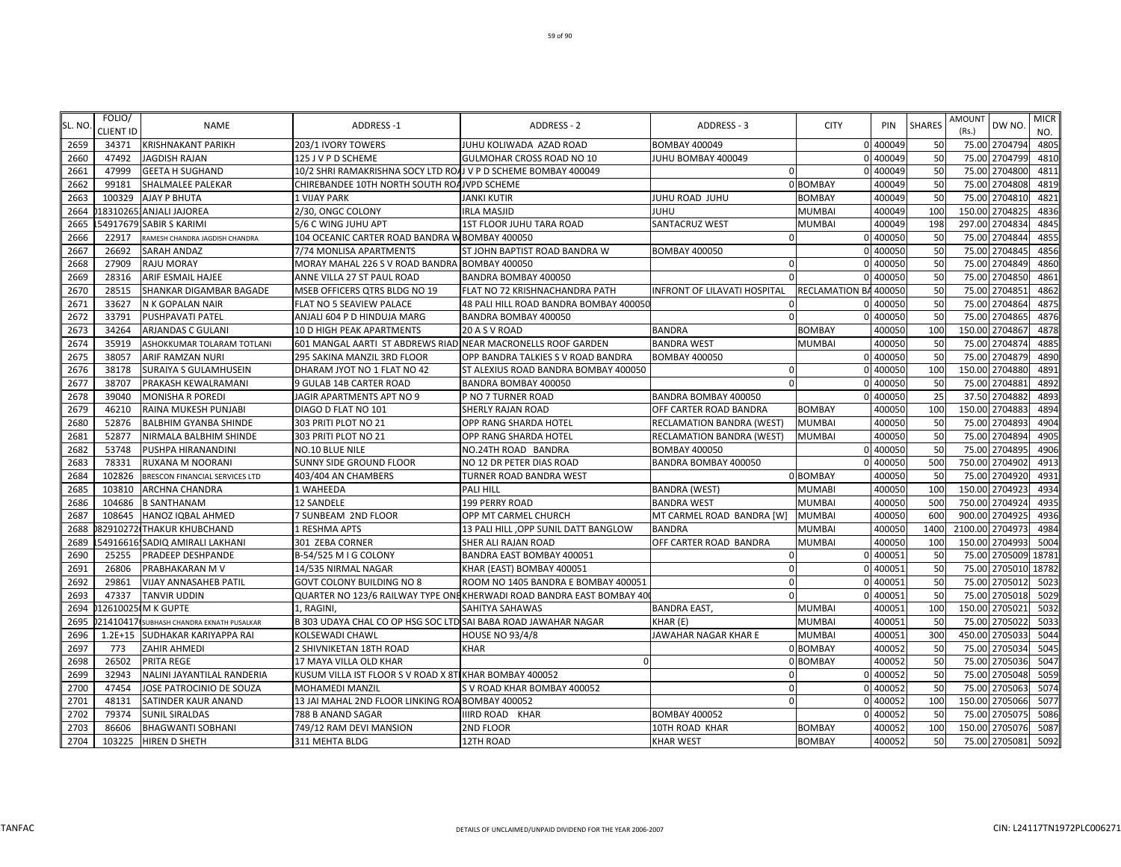| SL. NO. | FOLIO/<br><b>CLIENT ID</b> | <b>NAME</b>                     | <b>ADDRESS-1</b>                                               | <b>ADDRESS - 2</b>                                                   | ADDRESS - 3                  | <b>CITY</b>           | PIN      | <b>SHARES</b> | <b>AMOUNT</b><br>(Rs.) | DW NO.          | <b>MICR</b><br>NO. |
|---------|----------------------------|---------------------------------|----------------------------------------------------------------|----------------------------------------------------------------------|------------------------------|-----------------------|----------|---------------|------------------------|-----------------|--------------------|
| 2659    | 34371                      | <b>KRISHNAKANT PARIKH</b>       | 203/1 IVORY TOWERS                                             | JUHU KOLIWADA AZAD ROAD                                              | <b>BOMBAY 400049</b>         |                       | 0 400049 | 50            |                        | 75.00 2704794   | 4805               |
| 2660    | 47492                      | <b>JAGDISH RAJAN</b>            | 125 J V P D SCHEME                                             | <b>GULMOHAR CROSS ROAD NO 10</b>                                     | JUHU BOMBAY 400049           |                       | 0 400049 | 50            | 75.00                  | 2704799         | 4810               |
| 2661    | 47999                      | <b>GEETA H SUGHAND</b>          | 10/2 SHRI RAMAKRISHNA SOCY LTD ROAJ V P D SCHEME BOMBAY 400049 |                                                                      | $\Omega$                     |                       | 0 400049 | 50            | 75.00                  | 2704800         | 4811               |
| 2662    | 99181                      | <b>SHALMALEE PALEKAR</b>        | CHIREBANDEE 10TH NORTH SOUTH ROAJVPD SCHEME                    |                                                                      |                              | 0 BOMBAY              | 400049   | 50            | 75.00                  | 2704808         | 4819               |
| 2663    | 100329                     | <b>AJAY P BHUTA</b>             | 1 VIJAY PARK                                                   | <b>JANKI KUTIR</b>                                                   | JUHU ROAD JUHU               | <b>BOMBAY</b>         | 400049   | 50            | 75.00                  | 2704810         | 4821               |
| 2664    |                            | 183102651ANJALI JAJOREA         | 2/30, ONGC COLONY                                              | <b>IRLA MASJID</b>                                                   | JUHU                         | <b>MUMBAI</b>         | 400049   | 100           | 150.00                 | 2704825         | 4836               |
| 2665    |                            | 54917679: SABIR S KARIMI        | 5/6 C WING JUHU APT                                            | <b>1ST FLOOR JUHU TARA ROAD</b>                                      | <b>SANTACRUZ WEST</b>        | <b>MUMBAI</b>         | 400049   | 198           | 297.00                 | 2704834         | 4845               |
| 2666    | 22917                      | RAMESH CHANDRA JAGDISH CHANDRA  | 104 OCEANIC CARTER ROAD BANDRA W BOMBAY 400050                 |                                                                      |                              |                       | 0 400050 | 50            | 75.00                  | 2704844         | 4855               |
| 2667    | 26692                      | <b>SARAH ANDAZ</b>              | 7/74 MONLISA APARTMENTS                                        | ST JOHN BAPTIST ROAD BANDRA W                                        | <b>BOMBAY 400050</b>         |                       | 400050   | 50            | 75.00                  | 2704845         | 4856               |
| 2668    | 27909                      | <b>RAJU MORAY</b>               | MORAY MAHAL 226 S V ROAD BANDRA BOMBAY 400050                  |                                                                      | $\Omega$                     |                       | 400050   | 50            | 75.00                  | 2704849         | 4860               |
| 2669    | 28316                      | <b>ARIF ESMAIL HAJEE</b>        | ANNE VILLA 27 ST PAUL ROAD                                     | BANDRA BOMBAY 400050                                                 | $\Omega$                     |                       | 0 400050 | 50            | 75.00                  | 2704850         | 4861               |
| 2670    | 28515                      | SHANKAR DIGAMBAR BAGADE         | MSEB OFFICERS QTRS BLDG NO 19                                  | FLAT NO 72 KRISHNACHANDRA PATH                                       | INFRONT OF LILAVATI HOSPITAL | RECLAMATION BA 400050 |          | 50            | 75.00                  | 2704851         | 4862               |
| 2671    | 33627                      | N K GOPALAN NAIR                | FLAT NO 5 SEAVIEW PALACE                                       | 48 PALI HILL ROAD BANDRA BOMBAY 400050                               |                              |                       | 400050   | 50            | 75.00                  | 2704864         | 4875               |
| 2672    | 33791                      | <b>PUSHPAVATI PATEL</b>         | ANJALI 604 P D HINDUJA MARG                                    | BANDRA BOMBAY 400050                                                 | $\Omega$                     | $\Omega$              | 400050   | 50            | 75.00                  | 2704865         | 4876               |
| 2673    | 34264                      | ARJANDAS C GULANI               | 10 D HIGH PEAK APARTMENTS                                      | 20 A S V ROAD                                                        | <b>BANDRA</b>                | <b>BOMBAY</b>         | 400050   | 100           | 150.00                 | 2704867         | 4878               |
| 2674    | 35919                      | ASHOKKUMAR TOLARAM TOTLANI      | 601 MANGAL AARTI ST ABDREWS RIAD NEAR MACRONELLS ROOF GARDEN   |                                                                      | <b>BANDRA WEST</b>           | <b>MUMBAI</b>         | 400050   | 50            | 75.00                  | 2704874         | 4885               |
| 2675    | 38057                      | ARIF RAMZAN NURI                | 295 SAKINA MANZIL 3RD FLOOR                                    | OPP BANDRA TALKIES S V ROAD BANDRA                                   | <b>BOMBAY 400050</b>         | $\Omega$              | 400050   | 50            |                        | 75.00 2704879   | 4890               |
| 2676    | 38178                      | <b>SURAIYA S GULAMHUSEIN</b>    | DHARAM JYOT NO 1 FLAT NO 42                                    | ST ALEXIUS ROAD BANDRA BOMBAY 400050                                 | $\Omega$                     |                       | 0 400050 | 100           |                        | 150.00 2704880  | 4891               |
| 2677    | 38707                      | PRAKASH KEWALRAMANI             | 9 GULAB 14B CARTER ROAD                                        | BANDRA BOMBAY 400050                                                 | $\Omega$                     |                       | 0 400050 | 50            | 75.00                  | 2704881         | 4892               |
| 2678    | 39040                      | <b>MONISHA R POREDI</b>         | JAGIR APARTMENTS APT NO 9                                      | P NO 7 TURNER ROAD                                                   | BANDRA BOMBAY 400050         | $\Omega$              | 400050   | 25            | 37.50                  | 2704882         | 4893               |
| 2679    | 46210                      | RAINA MUKESH PUNJABI            | DIAGO D FLAT NO 101                                            | SHERLY RAJAN ROAD                                                    | OFF CARTER ROAD BANDRA       | <b>BOMBAY</b>         | 400050   | 100           | 150.00                 | 2704883         | 4894               |
| 2680    | 52876                      | <b>BALBHIM GYANBA SHINDE</b>    | 303 PRITI PLOT NO 21                                           | OPP RANG SHARDA HOTEL                                                | RECLAMATION BANDRA (WEST)    | <b>MUMBAI</b>         | 400050   | 50            | 75.00                  | 2704893         | 4904               |
| 2681    | 52877                      | NIRMALA BALBHIM SHINDE          | 303 PRITI PLOT NO 21                                           | OPP RANG SHARDA HOTEL                                                | RECLAMATION BANDRA (WEST)    | <b>MUMBAI</b>         | 400050   | 50            | 75.00                  | 2704894         | 4905               |
| 2682    | 53748                      | PUSHPA HIRANANDINI              | NO.10 BLUE NILE                                                | NO.24TH ROAD BANDRA                                                  | <b>BOMBAY 400050</b>         |                       | 0 400050 | 50            | 75.00                  | 2704895         | 4906               |
| 2683    | 78331                      | RUXANA M NOORANI                | SUNNY SIDE GROUND FLOOR                                        | NO 12 DR PETER DIAS ROAD                                             | BANDRA BOMBAY 400050         |                       | 400050   | 500           | 750.00                 | 2704902         | 4913               |
| 2684    | 102826                     | BRESCON FINANCIAL SERVICES LTD  | 403/404 AN CHAMBERS                                            | TURNER ROAD BANDRA WEST                                              |                              | 0 BOMBAY              | 400050   | 50            |                        | 75.00 2704920   | 493                |
| 2685    | 103810                     | <b>ARCHNA CHANDRA</b>           | 1 WAHEEDA                                                      | PALI HILL                                                            | <b>BANDRA (WEST)</b>         | <b>MUMABI</b>         | 400050   | 100           | 150.00                 | 2704923         | 4934               |
| 2686    | 104686                     | <b>B SANTHANAM</b>              | 12 SANDELE                                                     | 199 PERRY ROAD                                                       | <b>BANDRA WEST</b>           | <b>MUMBAI</b>         | 400050   | 500           | 750.00                 | 2704924         | 4935               |
| 2687    | 108645                     | HANOZ IQBAL AHMED               | 7 SUNBEAM 2ND FLOOR                                            | OPP MT CARMEL CHURCH                                                 | MT CARMEL ROAD BANDRA [W]    | <b>MUMBAI</b>         | 400050   | 600           | 900.00                 | 2704925         | 4936               |
| 2688    |                            | 82910272 THAKUR KHUBCHAND       | 1 RESHMA APTS                                                  | 13 PALI HILL , OPP SUNIL DATT BANGLOW                                | <b>BANDRA</b>                | <b>MUMBAI</b>         | 400050   | 1400          |                        | 2100.00 2704973 | 4984               |
| 2689    |                            | 54916616 SADIQ AMIRALI LAKHANI  | 301 ZEBA CORNER                                                | SHER ALI RAJAN ROAD                                                  | OFF CARTER ROAD BANDRA       | <b>MUMBAI</b>         | 400050   | 100           | 150.00                 | 2704993         | 5004               |
| 2690    | 25255                      | <b>PRADEEP DESHPANDE</b>        | B-54/525 M I G COLONY                                          | BANDRA EAST BOMBAY 400051                                            | $\Omega$                     |                       | 0 400051 | 50            | 75.00                  | 2705009         | 18781              |
| 2691    | 26806                      | PRABHAKARAN M V                 | 14/535 NIRMAL NAGAR                                            | KHAR (EAST) BOMBAY 400051                                            |                              |                       | 400051   | 50            | 75.00                  | 2705010         | 18782              |
| 2692    | 29861                      | <b>VIJAY ANNASAHEB PATIL</b>    | GOVT COLONY BUILDING NO 8                                      | ROOM NO 1405 BANDRA E BOMBAY 400051                                  | $\Omega$                     |                       | 40005    | 50            | 75.00                  | 2705012         | 5023               |
| 2693    | 47337                      | <b>TANVIR UDDIN</b>             |                                                                | QUARTER NO 123/6 RAILWAY TYPE ONEKHERWADI ROAD BANDRA EAST BOMBAY 40 |                              |                       | 400051   | 50            | 75.00                  | 2705018         | 5029               |
| 2694    |                            | 12610025(M K GUPTE              | 1. RAGINI                                                      | SAHITYA SAHAWAS                                                      | <b>BANDRA EAST</b>           | <b>MUMBAI</b>         | 400051   | 100           | 150.00                 | 2705021         | 5032               |
| 2695    | 21410417                   | SUBHASH CHANDRA EKNATH PUSALKAR | B 303 UDAYA CHAL CO OP HSG SOC LTD SAI BABA ROAD JAWAHAR NAGAR |                                                                      | KHAR (E)                     | <b>MUMBAI</b>         | 400051   | 50            | 75.00                  | 2705022         | 5033               |
| 2696    | $1.2E + 15$                | SUDHAKAR KARIYAPPA RAI          | KOLSEWADI CHAWL                                                | <b>HOUSE NO 93/4/8</b>                                               | JAWAHAR NAGAR KHAR E         | <b>MUMBAI</b>         | 400051   | 300           | 450.00                 | 2705033         | 5044               |
| 2697    | 773                        | ZAHIR AHMEDI                    | 2 SHIVNIKETAN 18TH ROAD                                        | KHAR                                                                 |                              | 0 BOMBAY              | 400052   | 50            | 75.00                  | 2705034         | 5045               |
| 2698    | 26502                      | PRITA REGE                      | 17 MAYA VILLA OLD KHAR                                         |                                                                      |                              | 0 BOMBAY              | 400052   | 50            | 75.00                  | 2705036         | 5047               |
| 2699    | 32943                      | NALINI JAYANTILAL RANDERIA      | KUSUM VILLA IST FLOOR S V ROAD X 8T KHAR BOMBAY 400052         |                                                                      |                              |                       | 400052   | 50            | 75.00                  | 2705048         | 5059               |
| 2700    | 47454                      | JOSE PATROCINIO DE SOUZA        | MOHAMEDI MANZIL                                                | S V ROAD KHAR BOMBAY 400052                                          |                              |                       | 400052   | 50            |                        | 75.00 2705063   | 5074               |
| 2701    | 48131                      | SATINDER KAUR ANAND             | 13 JAI MAHAL 2ND FLOOR LINKING ROA BOMBAY 400052               |                                                                      | $\Omega$                     |                       | 0 400052 | 100           | 150.00                 | 2705066         | 5077               |
| 2702    | 79374                      | <b>SUNIL SIRALDAS</b>           | 788 B ANAND SAGAR                                              | IIIRD ROAD KHAR                                                      | <b>BOMBAY 400052</b>         |                       | 0 400052 | 50            | 75.00                  | 2705075         | 5086               |
| 2703    | 86606                      | <b>BHAGWANTI SOBHANI</b>        | 749/12 RAM DEVI MANSION                                        | 2ND FLOOR                                                            | 10TH ROAD KHAR               | <b>BOMBAY</b>         | 400052   | 100           |                        | 150.00 2705076  | 5087               |
| 2704    | 103225                     | <b>HIREN D SHETH</b>            | 311 MEHTA BLDG                                                 | 12TH ROAD                                                            | <b>KHAR WEST</b>             | <b>BOMBAY</b>         | 400052   | 50            |                        | 75.00 2705081   | 5092               |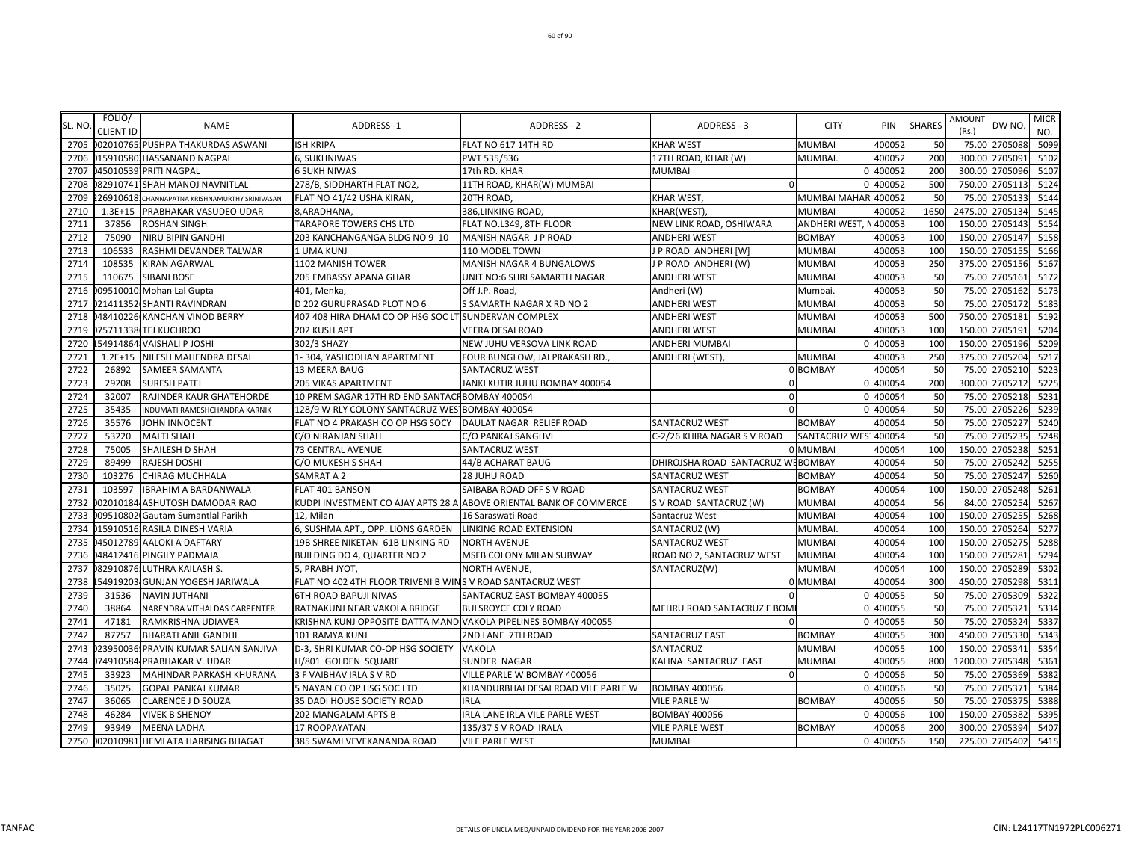|        | FOLIO/           |                                                |                                                                 |                                                                    |                                   |                      |          |                 | AMOUNT          |         | <b>MICR</b> |
|--------|------------------|------------------------------------------------|-----------------------------------------------------------------|--------------------------------------------------------------------|-----------------------------------|----------------------|----------|-----------------|-----------------|---------|-------------|
| SL. NO | <b>CLIENT ID</b> | <b>NAME</b>                                    | <b>ADDRESS-1</b>                                                | ADDRESS - 2                                                        | ADDRESS - 3                       | <b>CITY</b>          | PIN      | <b>SHARES</b>   | (Rs.)           | DW NO.  | NO.         |
| 2705   |                  | 002010765. PUSHPA THAKURDAS ASWANI             | <b>ISH KRIPA</b>                                                | FLAT NO 617 14TH RD                                                | <b>KHAR WEST</b>                  | <b>MUMBAI</b>        | 400052   | 50              | 75.00 2705088   |         | 5099        |
| 2706   |                  | 015910580: HASSANAND NAGPAL                    | 6, SUKHNIWAS                                                    | PWT 535/536                                                        | 17TH ROAD, KHAR (W)               | MUMBAI.              | 400052   | <b>200</b>      | 300.00 2705091  |         | 5102        |
| 2707   |                  | 45010539 PRITI NAGPAL                          | <b>6 SUKH NIWAS</b>                                             | 17th RD. KHAR                                                      | MUMBAI                            |                      | 0 400052 | <b>200</b>      | 300.00 2705096  |         | 5107        |
| 2708   |                  | 829107411SHAH MANOJ NAVNITLAL                  | 278/B, SIDDHARTH FLAT NO2,                                      | 11TH ROAD, KHAR(W) MUMBAI                                          | $\Omega$                          |                      | 0 40005  | 500             | 750.00          | 2705113 | 5124        |
| 2709   |                  | 269106181 CHANNAPATNA KRISHNAMURTHY SRINIVASAN | FLAT NO 41/42 USHA KIRAN,                                       | 20TH ROAD,                                                         | KHAR WEST,                        | MUMBAI MAHAR 400052  |          | 50              | 75.00 2705133   |         | 5144        |
| 2710   |                  | 1.3E+15 PRABHAKAR VASUDEO UDAR                 | 8, ARADHANA,                                                    | 386, LINKING ROAD,                                                 | KHAR(WEST),                       | <b>MUMBAI</b>        | 400052   | 1650            | 2475.00         | 2705134 | 5145        |
| 2711   | 37856            | <b>ROSHAN SINGH</b>                            | TARAPORE TOWERS CHS LTD                                         | FLAT NO.L349, 8TH FLOOR                                            | NEW LINK ROAD, OSHIWARA           | ANDHERI WEST,        | 40005    | 10 <sup>C</sup> | 150.00          | 2705143 | 5154        |
| 2712   | 75090            | <b>NIRU BIPIN GANDHI</b>                       | 203 KANCHANGANGA BLDG NO 9 10                                   | MANISH NAGAR J P ROAD                                              | ANDHERI WEST                      | <b>BOMBAY</b>        | 400053   | 100             | 150.00 2705147  |         | 5158        |
| 2713   | 106533           | RASHMI DEVANDER TALWAR                         | 1 UMA KUNJ                                                      | 110 MODEL TOWN                                                     | J P ROAD ANDHERI [W]              | <b>MUMBAI</b>        | 400053   | 100             | 150.00          | 2705155 | 5166        |
| 2714   | 108535           | <b>KIRAN AGARWAL</b>                           | 1102 MANISH TOWER                                               | MANISH NAGAR 4 BUNGALOWS                                           | J P ROAD ANDHERI (W)              | <b>MUMBAI</b>        | 400053   | 250             | 375.00 2705156  |         | 5167        |
| 2715   | 110675           | <b>SIBANI BOSE</b>                             | <b>205 EMBASSY APANA GHAR</b>                                   | UNIT NO:6 SHRI SAMARTH NAGAR                                       | <b>ANDHERI WEST</b>               | <b>MUMBAI</b>        | 400053   | 50              | 75.00           | 2705161 | 5172        |
| 2716   |                  | 09510010! Mohan Lal Gupta                      | 401, Menka,                                                     | Off J.P. Road,                                                     | Andheri (W)                       | Mumbai.              | 400053   | 50              | 75.00 2705162   |         | 5173        |
| 2717   |                  | 21411352 SHANTI RAVINDRAN                      | D 202 GURUPRASAD PLOT NO 6                                      | S SAMARTH NAGAR X RD NO 2                                          | ANDHERI WEST                      | <b>MUMBAI</b>        | 400053   | 50              | 75.00           | 2705172 | 5183        |
| 2718   |                  | 48410226 KANCHAN VINOD BERRY                   | 407 408 HIRA DHAM CO OP HSG SOC LT SUNDERVAN COMPLEX            |                                                                    | <b>ANDHERI WEST</b>               | <b>MUMBAI</b>        | 400053   | 500             | 750.00          | 2705181 | 5192        |
| 2719   |                  | 75711338 TEJ KUCHROO                           | 202 KUSH APT                                                    | <b>VEERA DESAI ROAD</b>                                            | ANDHERI WEST                      | <b>MUMBAI</b>        | 400053   | 100             | 150.00          | 2705191 | 5204        |
| 2720   |                  | 54914864 VAISHALI P JOSHI                      | 302/3 SHAZY                                                     | NEW JUHU VERSOVA LINK ROAD                                         | ANDHERI MUMBAI                    |                      | 0 400053 | 100             | 150.00 2705196  |         | 5209        |
| 2721   |                  | 1.2E+15 NILESH MAHENDRA DESAI                  | 1-304, YASHODHAN APARTMENT                                      | FOUR BUNGLOW, JAI PRAKASH RD.                                      | ANDHERI (WEST),                   | <b>MUMBAI</b>        | 40005    | 250             | 375.00 2705204  |         | 5217        |
| 2722   | 26892            | <b>SAMEER SAMANTA</b>                          | 13 MEERA BAUG                                                   | SANTACRUZ WEST                                                     |                                   | 0 BOMBAY             | 400054   | 50              | 75.00 2705210   |         | 5223        |
| 2723   | 29208            | <b>SURESH PATEL</b>                            | <b>205 VIKAS APARTMENT</b>                                      | JANKI KUTIR JUHU BOMBAY 400054                                     |                                   |                      | 0 400054 | <b>200</b>      | 300.00 2705212  |         | 5225        |
| 2724   | 32007            | RAJINDER KAUR GHATEHORDE                       | 10 PREM SAGAR 17TH RD END SANTACH BOMBAY 400054                 |                                                                    | $\Omega$                          |                      | 0 400054 | 50              | 75.00           | 2705218 | 5231        |
| 2725   | 35435            | INDUMATI RAMESHCHANDRA KARNIK                  | 128/9 W RLY COLONY SANTACRUZ WES BOMBAY 400054                  |                                                                    | $\Omega$                          |                      | 0 40005  | 50              | 75.00           | 2705226 | 5239        |
| 2726   | 35576            | <b>JOHN INNOCENT</b>                           | FLAT NO 4 PRAKASH CO OP HSG SOCY                                | DAULAT NAGAR RELIEF ROAD                                           | SANTACRUZ WEST                    | <b>BOMBAY</b>        | 40005    | 50              | 75.00           | 2705227 | 5240        |
| 2727   | 53220            | <b>MALTI SHAH</b>                              | C/O NIRANJAN SHAH                                               | C/O PANKAJ SANGHVI                                                 | C-2/26 KHIRA NAGAR S V ROAD       | <b>SANTACRUZ WES</b> | 400054   | 50              | 75.00           | 2705235 | 5248        |
| 2728   | 75005            | SHAILESH D SHAH                                | 73 CENTRAL AVENUE                                               | SANTACRUZ WEST                                                     |                                   | 0 MUMBAI             | 400054   | 100             | 150.00 2705238  |         | 5251        |
| 2729   | 89499            | <b>RAJESH DOSHI</b>                            | C/O MUKESH S SHAH                                               | 44/B ACHARAT BAUG                                                  | DHIROJSHA ROAD SANTACRUZ WEBOMBAY |                      | 400054   | 50              | 75.00           | 2705242 | 5255        |
| 2730   | 103276           | <b>CHIRAG MUCHHALA</b>                         | SAMRAT A 2                                                      | 28 JUHU ROAD                                                       | SANTACRUZ WEST                    | <b>BOMBAY</b>        | 400054   | 50              | 75.00 2705247   |         | 5260        |
| 2731   | 103597           | <b>IBRAHIM A BARDANWALA</b>                    | FLAT 401 BANSON                                                 | SAIBABA ROAD OFF S V ROAD                                          | SANTACRUZ WEST                    | <b>BOMBAY</b>        | 400054   | 100             | 150.00          | 2705248 | 5261        |
| 2732   |                  | 02010184 ASHUTOSH DAMODAR RAO                  |                                                                 | KUDPI INVESTMENT CO AJAY APTS 28 A ABOVE ORIENTAL BANK OF COMMERCE | S V ROAD SANTACRUZ (W)            | <b>MUMBAI</b>        | 400054   | 56              | 84.00           | 2705254 | 5267        |
| 2733   |                  | 09510802 Gautam Sumantlal Parikh               | 12. Milan                                                       | 16 Saraswati Road                                                  | Santacruz West                    | <b>MUMBAI</b>        | 400054   | <b>100</b>      | 150.00          | 2705255 | 5268        |
| 2734   |                  | 0159105161RASILA DINESH VARIA                  | 6, SUSHMA APT., OPP. LIONS GARDEN                               | LINKING ROAD EXTENSION                                             | SANTACRUZ (W)                     | <b>MUMBAI</b>        | 400054   | <b>100</b>      | 150.00          | 2705264 | 5277        |
| 2735   |                  | 45012789 AALOKI A DAFTARY                      | 19B SHREE NIKETAN 61B LINKING RD                                | <b>NORTH AVENUE</b>                                                | SANTACRUZ WEST                    | <b>MUMBA</b>         | 400054   | 100             | 150.00          | 2705275 | 5288        |
| 2736   |                  | 48412416 PINGILY PADMAJA                       | BUILDING DO 4, QUARTER NO 2                                     | MSEB COLONY MILAN SUBWAY                                           | ROAD NO 2, SANTACRUZ WEST         | <b>MUMBAI</b>        | 400054   | 100             | 150.00          | 2705281 | 5294        |
| 2737   |                  | 82910876. LUTHRA KAILASH S.                    | 5, PRABH JYOT,                                                  | <b>NORTH AVENUE,</b>                                               | SANTACRUZ(W)                      | <b>MUMBAI</b>        | 400054   | 10 <sub>C</sub> | 150.00 2705289  |         | 5302        |
| 2738   |                  | 54919203 GUNJAN YOGESH JARIWALA                | FLAT NO 402 4TH FLOOR TRIVENI B WINS V ROAD SANTACRUZ WEST      |                                                                    |                                   | 0 MUMBAI             | 400054   | 300             | 450.00 2705298  |         | 5311        |
| 2739   | 31536            | <b>NAVIN JUTHANI</b>                           | <b>6TH ROAD BAPUJI NIVAS</b>                                    | SANTACRUZ EAST BOMBAY 400055                                       |                                   |                      | 0 400055 | 50              | 75.00 2705309   |         | 5322        |
| 2740   | 38864            | NARENDRA VITHALDAS CARPENTER                   | RATNAKUNJ NEAR VAKOLA BRIDGE                                    | <b>BULSROYCE COLY ROAD</b>                                         | MEHRU ROAD SANTACRUZ E BOM        |                      | 0 40005  | 50              | 75.00           | 2705321 | 5334        |
| 2741   | 47181            | <b>RAMKRISHNA UDIAVER</b>                      | KRISHNA KUNJ OPPOSITE DATTA MANDIVAKOLA PIPELINES BOMBAY 400055 |                                                                    | $\Omega$                          |                      | 0 400055 | 50              | 75.00           | 2705324 | 5337        |
| 2742   | 87757            | <b>BHARATI ANIL GANDHI</b>                     | 101 RAMYA KUNJ                                                  | 2ND LANE 7TH ROAD                                                  | SANTACRUZ EAST                    | <b>BOMBAY</b>        | 40005    | 300             | 450.00          | 2705330 | 5343        |
| 2743   |                  | 23950036 PRAVIN KUMAR SALIAN SANJIVA           | D-3, SHRI KUMAR CO-OP HSG SOCIETY VAKOLA                        |                                                                    | SANTACRUZ                         | <b>MUMBAI</b>        | 400055   | 100             | 150.00 2705341  |         | 5354        |
| 2744   |                  | 74910584 PRABHAKAR V. UDAR                     | H/801 GOLDEN SQUARE                                             | SUNDER NAGAR                                                       | KALINA SANTACRUZ EAST             | <b>MUMBAI</b>        | 400055   | 800             | 1200.00 2705348 |         | 5361        |
| 2745   | 33923            | <b>MAHINDAR PARKASH KHURANA</b>                | 3 F VAIBHAV IRLA S V RD                                         | VILLE PARLE W BOMBAY 400056                                        | $\mathbf 0$                       |                      | 0 400056 | 50              | 75.00 2705369   |         | 5382        |
| 2746   | 35025            | <b>GOPAL PANKAJ KUMAR</b>                      | 5 NAYAN CO OP HSG SOC LTD                                       | KHANDURBHAI DESAI ROAD VILE PARLE W                                | <b>BOMBAY 400056</b>              |                      | 0 400056 | 50              | 75.00           | 2705371 | 5384        |
| 2747   | 36065            | <b>CLARENCE J D SOUZA</b>                      | 35 DADI HOUSE SOCIETY ROAD                                      | <b>IRLA</b>                                                        | <b>VILE PARLE W</b>               | <b>BOMBAY</b>        | 400056   | 50              | 75.00           | 2705375 | 5388        |
| 2748   | 46284            | <b>VIVEK B SHENOY</b>                          | 202 MANGALAM APTS B                                             | IRLA LANE IRLA VILE PARLE WEST                                     | <b>BOMBAY 400056</b>              |                      | 0 400056 | 100             | 150.00          | 2705382 | 5395        |
| 2749   | 93949            | <b>MEENA LADHA</b>                             | 17 ROOPAYATAN                                                   | 135/37 S V ROAD IRALA                                              | <b>VILE PARLE WEST</b>            | <b>BOMBAY</b>        | 400056   | 200             | 300.00 2705394  |         | 5407        |
| 2750   |                  | 0020109811HEMLATA HARISING BHAGAT              | 385 SWAMI VEVEKANANDA ROAD                                      | <b>VILE PARLE WEST</b>                                             | <b>MUMBAI</b>                     |                      | 0 400056 | 150             | 225.00 2705402  |         | 5415        |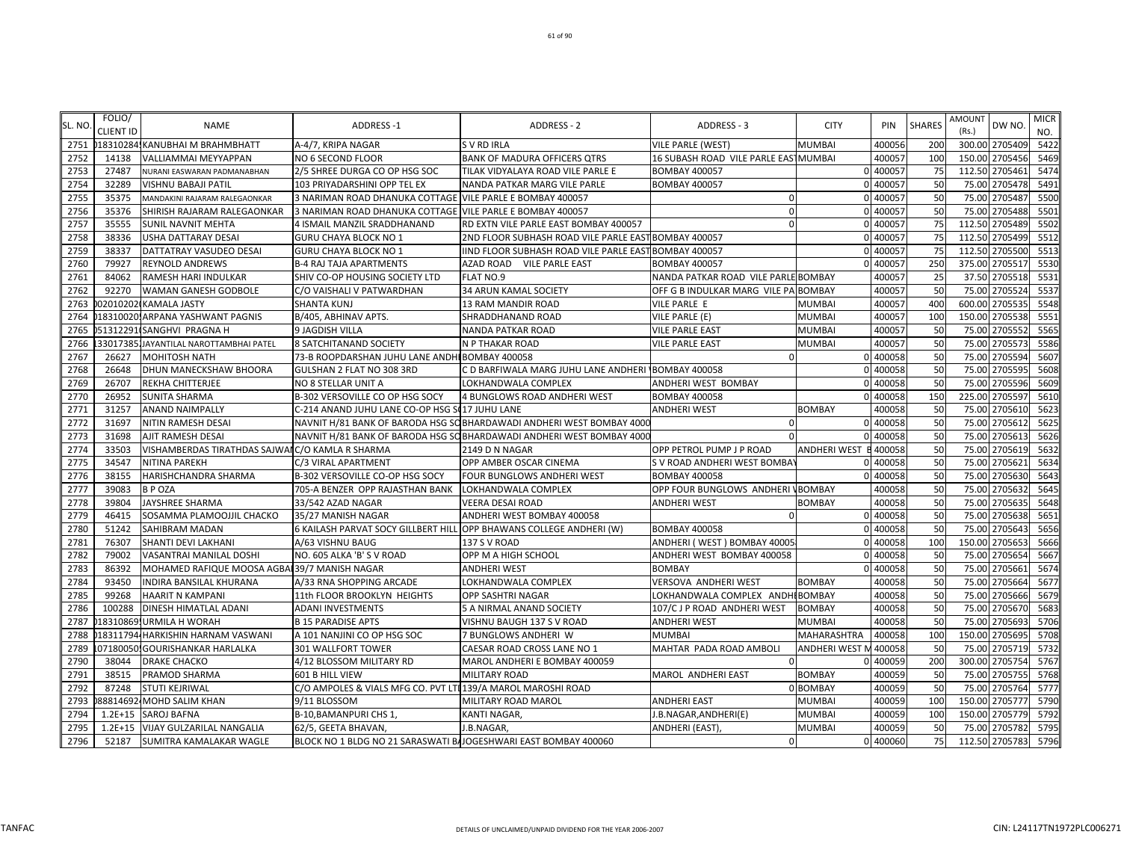| SL. NO. | FOLIO/<br><b>CLIENT ID</b> | <b>NAME</b>                                      | <b>ADDRESS-1</b>                                                | <b>ADDRESS - 2</b>                                                    | ADDRESS - 3                          | <b>CITY</b>           | PIN      | <b>SHARES</b> | <b>AMOUNT</b><br>(Rs.) | DW NO.         | <b>MICR</b><br>NO. |
|---------|----------------------------|--------------------------------------------------|-----------------------------------------------------------------|-----------------------------------------------------------------------|--------------------------------------|-----------------------|----------|---------------|------------------------|----------------|--------------------|
| 2751    |                            | 018310284, KANUBHAI M BRAHMBHATT                 | A-4/7, KRIPA NAGAR                                              | <b>SVRDIRLA</b>                                                       | <b>VILE PARLE (WEST)</b>             | <b>MUMBAI</b>         | 400056   | 200           |                        | 300.00 2705409 | 5422               |
| 2752    | 14138                      | VALLIAMMAI MEYYAPPAN                             | NO 6 SECOND FLOOR                                               | <b>BANK OF MADURA OFFICERS QTRS</b>                                   | 16 SUBASH ROAD VILE PARLE EASTMUMBAI |                       | 400057   | 100           |                        | 150.00 2705456 | 5469               |
| 2753    | 27487                      | NURANI EASWARAN PADMANABHAN                      | 2/5 SHREE DURGA CO OP HSG SOC                                   | TILAK VIDYALAYA ROAD VILE PARLE E                                     | <b>BOMBAY 400057</b>                 |                       | 0 400057 | 75            |                        | 112.50 2705461 | 5474               |
| 2754    | 32289                      | VISHNU BABAJI PATIL                              | 103 PRIYADARSHINI OPP TEL EX                                    | NANDA PATKAR MARG VILE PARLE                                          | <b>BOMBAY 400057</b>                 |                       | 0 400057 | 50            | 75.00                  | 2705478        | 5491               |
| 2755    | 35375                      | MANDAKINI RAJARAM RALEGAONKAR                    | 3 NARIMAN ROAD DHANUKA COTTAGE VILE PARLE E BOMBAY 400057       |                                                                       | $\Omega$                             |                       | 0 400057 | 50            | 75.00                  | 2705487        | 5500               |
| 2756    | 35376                      | SHIRISH RAJARAM RALEGAONKAR                      | 3 NARIMAN ROAD DHANUKA COTTAGE VILE PARLE E BOMBAY 400057       |                                                                       | $\Omega$                             |                       | 0 400057 | 50            | 75.00                  | 2705488        | 5501               |
| 2757    | 35555                      | <b>SUNIL NAVNIT MEHTA</b>                        | 4 ISMAIL MANZIL SRADDHANAND                                     | RD EXTN VILE PARLE EAST BOMBAY 400057                                 | $\Omega$                             |                       | 0 400057 | 75            | 112.50                 | 2705489        | 5502               |
| 2758    | 38336                      | <b>USHA DATTARAY DESAI</b>                       | GURU CHAYA BLOCK NO 1                                           | 2ND FLOOR SUBHASH ROAD VILE PARLE EAST BOMBAY 400057                  |                                      |                       | 400057   | 75            | 112.50                 | 2705499        | 5512               |
| 2759    | 38337                      | DATTATRAY VASUDEO DESAI                          | <b>GURU CHAYA BLOCK NO 1</b>                                    | IIND FLOOR SUBHASH ROAD VILE PARLE EAST BOMBAY 400057                 |                                      |                       | 400057   | 75            | 112.50                 | 2705500        | 5513               |
| 2760    | 79927                      | <b>REYNOLD ANDREWS</b>                           | <b>B-4 RAJ TAJA APARTMENTS</b>                                  | AZAD ROAD VILE PARLE EAST                                             | <b>BOMBAY 400057</b>                 |                       | 400057   | 250           | 375.00                 | 2705517        | 5530               |
| 2761    | 84062                      | RAMESH HARI INDULKAR                             | SHIV CO-OP HOUSING SOCIETY LTD                                  | FLAT NO.9                                                             | NANDA PATKAR ROAD VILE PARLE BOMBAY  |                       | 400057   | 25            | 37.50                  | 2705518        | 5531               |
| 2762    | 92270                      | WAMAN GANESH GODBOLE                             | C/O VAISHALI V PATWARDHAN                                       | 34 ARUN KAMAL SOCIETY                                                 | OFF G B INDULKAR MARG VILE PA BOMBAY |                       | 400057   | 50            | 75.00                  | 2705524        | 5537               |
| 2763    |                            | 020102020 KAMALA JASTY                           | <b>SHANTA KUNJ</b>                                              | 13 RAM MANDIR ROAD                                                    | VILE PARLE E                         | <b>MUMBAI</b>         | 400057   | 400           | 600.00                 | 2705535        | 5548               |
| 2764    | 18310020                   | <b>ARPANA YASHWANT PAGNIS</b>                    | B/405, ABHINAV APTS.                                            | SHRADDHANAND ROAD                                                     | VILE PARLE (E)                       | <b>MUMBAI</b>         | 400057   | 100           | 150.00                 | 2705538        | 5551               |
| 2765    |                            | 51312291 SANGHVI PRAGNA H                        | 9 JAGDISH VILLA                                                 | <b>NANDA PATKAR ROAD</b>                                              | VILE PARLE EAST                      | <b>MUMBAI</b>         | 400057   | 50            | 75.00                  | 2705552        | 5565               |
| 2766    |                            | 330173851JAYANTILAL NAROTTAMBHAI PATEL           | 8 SATCHITANAND SOCIETY                                          | N P THAKAR ROAD                                                       | <b>VILE PARLE EAST</b>               | MUMBAI                | 40005    | 50            | 75.00                  | 2705573        | 5586               |
| 2767    | 26627                      | <b>MOHITOSH NATH</b>                             | 73-B ROOPDARSHAN JUHU LANE ANDHI BOMBAY 400058                  |                                                                       |                                      |                       | 0 400058 | 50            |                        | 75.00 2705594  | 5607               |
| 2768    | 26648                      | DHUN MANECKSHAW BHOORA                           | GULSHAN 2 FLAT NO 308 3RD                                       | C D BARFIWALA MARG JUHU LANE ANDHERI                                  | <b>BOMBAY 400058</b>                 |                       | 0 400058 | 50            | 75.00                  | 2705595        | 5608               |
| 2769    | 26707                      | REKHA CHITTERJEE                                 | NO 8 STELLAR UNIT A                                             | LOKHANDWALA COMPLEX                                                   | ANDHERI WEST BOMBAY                  |                       | 0 400058 | 50            | 75.00                  | 2705596        | 5609               |
| 2770    | 26952                      | <b>SUNITA SHARMA</b>                             | B-302 VERSOVILLE CO OP HSG SOCY                                 | 4 BUNGLOWS ROAD ANDHERI WEST                                          | <b>BOMBAY 400058</b>                 |                       | 400058   | 150           | 225.00                 | 2705597        | 5610               |
| 2771    | 31257                      | <b>ANAND NAIMPALLY</b>                           | C-214 ANAND JUHU LANE CO-OP HSG S(17 JUHU LANE                  |                                                                       | ANDHERI WEST                         | <b>BOMBAY</b>         | 400058   | 50            | 75.00                  | 2705610        | 5623               |
| 2772    | 31697                      | NITIN RAMESH DESAI                               |                                                                 | NAVNIT H/81 BANK OF BARODA HSG SO BHARDAWADI ANDHERI WEST BOMBAY 4000 | $\Omega$                             | $\Omega$              | 400058   | 50            | 75.00                  | 2705612        | 5625               |
| 2773    | 31698                      | AJIT RAMESH DESAI                                |                                                                 | NAVNIT H/81 BANK OF BARODA HSG SO BHARDAWADI ANDHERI WEST BOMBAY 4000 |                                      |                       | 400058   | 50            | 75.00                  | 2705613        | 5626               |
| 2774    | 33503                      | VISHAMBERDAS TIRATHDAS SAJWAI C/O KAMLA R SHARMA |                                                                 | 2149 D N NAGAR                                                        | OPP PETROL PUMP J P ROAD             | ANDHERI WEST          | 400058   | 50            | 75.00                  | 2705619        | 5632               |
| 2775    | 34547                      | NITINA PAREKH                                    | C/3 VIRAL APARTMENT                                             | OPP AMBER OSCAR CINEMA                                                | S V ROAD ANDHERI WEST BOMBAY         |                       | 400058   | 50            | 75.00                  | 2705621        | 5634               |
| 2776    | 38155                      | HARISHCHANDRA SHARMA                             | B-302 VERSOVILLE CO-OP HSG SOCY                                 | FOUR BUNGLOWS ANDHERI WEST                                            | <b>BOMBAY 400058</b>                 | $\Omega$              | 400058   | 50            |                        | 75.00 2705630  | 5643               |
| 2777    | 39083                      | <b>BPOZA</b>                                     | 705-A BENZER OPP RAJASTHAN BANK                                 | LOKHANDWALA COMPLEX                                                   | OPP FOUR BUNGLOWS ANDHERI VBOMBAY    |                       | 400058   | 50            | 75.00                  | 2705632        | 5645               |
| 2778    | 39804                      | <b>JAYSHREE SHARMA</b>                           | 33/542 AZAD NAGAR                                               | VEERA DESAI ROAD                                                      | <b>ANDHERI WEST</b>                  | <b>BOMBAY</b>         | 400058   | 50            | 75.00                  | 2705635        | 5648               |
| 2779    | 46415                      | SOSAMMA PLAMOOJJIL CHACKO                        | 35/27 MANISH NAGAR                                              | ANDHERI WEST BOMBAY 400058                                            | $\Omega$                             |                       | 0 400058 | 50            | 75.00                  | 2705638        | 5651               |
| 2780    | 51242                      | <b>SAHIBRAM MADAN</b>                            | 6 KAILASH PARVAT SOCY GILLBERT HILL                             | OPP BHAWANS COLLEGE ANDHERI (W)                                       | <b>BOMBAY 400058</b>                 |                       | 0 400058 | 50            | 75.00                  | 2705643        | 5656               |
| 2781    | 76307                      | <b>SHANTI DEVI LAKHANI</b>                       | A/63 VISHNU BAUG                                                | 137 S V ROAD                                                          | ANDHERI (WEST) BOMBAY 40005          |                       | 400058   | 100           | 150.00                 | 2705653        | 5666               |
| 2782    | 79002                      | VASANTRAI MANILAL DOSHI                          | NO. 605 ALKA 'B' S V ROAD                                       | OPP M A HIGH SCHOOL                                                   | ANDHERI WEST BOMBAY 400058           |                       | 400058   | 50            | 75.00                  | 2705654        | 5667               |
| 2783    | 86392                      | MOHAMED RAFIQUE MOOSA AGBAI 39/7 MANISH NAGAR    |                                                                 | <b>ANDHERI WEST</b>                                                   | <b>BOMBAY</b>                        | $\Omega$              | 400058   | 50            |                        | 75.00 2705661  | 5674               |
| 2784    | 93450                      | INDIRA BANSILAL KHURANA                          | A/33 RNA SHOPPING ARCADE                                        | LOKHANDWALA COMPLEX                                                   | VERSOVA ANDHERI WEST                 | <b>BOMBAY</b>         | 400058   | 50            | 75.00                  | 2705664        | 5677               |
| 2785    | 99268                      | <b>HAARIT N KAMPANI</b>                          | 11th FLOOR BROOKLYN HEIGHTS                                     | OPP SASHTRI NAGAR                                                     | LOKHANDWALA COMPLEX ANDHIBOMBAY      |                       | 400058   | 50            | 75.00                  | 2705666        | 5679               |
| 2786    | 100288                     | <b>DINESH HIMATLAL ADANI</b>                     | <b>ADANI INVESTMENTS</b>                                        | 5 A NIRMAL ANAND SOCIETY                                              | 107/C J P ROAD ANDHERI WEST          | <b>BOMBAY</b>         | 400058   | 50            | 75.00                  | 2705670        | 5683               |
| 2787    |                            | 18310869 URMILA H WORAH                          | <b>B 15 PARADISE APTS</b>                                       | VISHNU BAUGH 137 S V ROAD                                             | ANDHERI WEST                         | <b>MUMBAI</b>         | 400058   | 50            | 75.00                  | 2705693        | 5706               |
| 2788    |                            | 18311794 HARKISHIN HARNAM VASWANI                | A 101 NANJINI CO OP HSG SOC                                     | 7 BUNGLOWS ANDHERI W                                                  | MUMBAI                               | MAHARASHTRA           | 400058   | 100           | 150.00                 | 2705695        | 5708               |
| 2789    | 07180050                   | <b>GOURISHANKAR HARLALKA</b>                     | 301 WALLFORT TOWER                                              | CAESAR ROAD CROSS LANE NO 1                                           | MAHTAR PADA ROAD AMBOLI              | <b>ANDHERI WEST I</b> | 400058   | 50            | 75.00                  | 2705719        | 5732               |
| 2790    | 38044                      | <b>DRAKE CHACKO</b>                              | 4/12 BLOSSOM MILITARY RD                                        | MAROL ANDHERI E BOMBAY 400059                                         |                                      |                       | 400059   | 200           |                        | 300.00 2705754 | 5767               |
| 2791    | 38515                      | PRAMOD SHARMA                                    | 601 B HILL VIEW                                                 | MILITARY ROAD                                                         | MAROL ANDHERI EAST                   | <b>BOMBAY</b>         | 400059   | 50            | 75.00                  | 2705755        | 5768               |
| 2792    | 87248                      | <b>STUTI KEJRIWAL</b>                            | C/O AMPOLES & VIALS MFG CO. PVT LTI 139/A MAROL MAROSHI ROAD    |                                                                       |                                      | 0 BOMBAY              | 400059   | 50            | 75.00                  | 2705764        | 5777               |
| 2793    |                            | 88814692 MOHD SALIM KHAN                         | 9/11 BLOSSOM                                                    | MILITARY ROAD MAROL                                                   | ANDHERI EAST                         | <b>MUMBAI</b>         | 400059   | 100           | 150.00                 | 2705777        | 5790               |
| 2794    |                            | 1.2E+15 SAROJ BAFNA                              | B-10, BAMANPURICHS 1,                                           | KANTI NAGAR,                                                          | I.B.NAGAR,ANDHERI(E)                 | <b>MUMBAI</b>         | 400059   | 100           | 150.00                 | 2705779        | 5792               |
| 2795    |                            | 1.2E+15 VIJAY GULZARILAL NANGALIA                | 62/5, GEETA BHAVAN,                                             | J.B.NAGAR,                                                            | ANDHERI (EAST),                      | <b>MUMBAI</b>         | 400059   | 50            |                        | 75.00 2705782  | 5795               |
| 2796    |                            | 52187 SUMITRA KAMALAKAR WAGLE                    | BLOCK NO 1 BLDG NO 21 SARASWATI BAJOGESHWARI EAST BOMBAY 400060 |                                                                       | $\Omega$                             |                       | 0 400060 | 75            |                        | 112.50 2705783 | 5796               |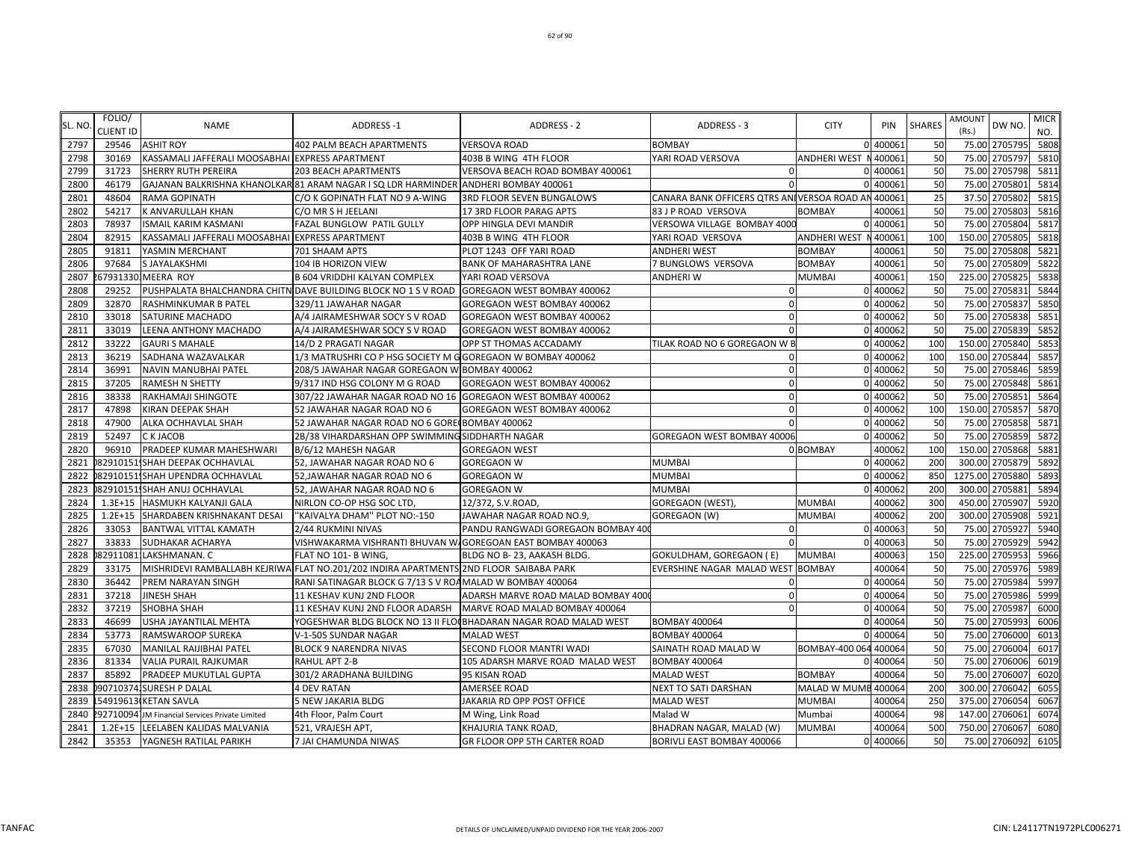|        | FOLIO/           |                                                 |                                                                                            |                                                                  |                                                    |                       |          |               | <b>AMOUNT</b>     | <b>MICR</b> |
|--------|------------------|-------------------------------------------------|--------------------------------------------------------------------------------------------|------------------------------------------------------------------|----------------------------------------------------|-----------------------|----------|---------------|-------------------|-------------|
| SL. NO | <b>CLIENT ID</b> | <b>NAME</b>                                     | <b>ADDRESS-1</b>                                                                           | ADDRESS - 2                                                      | ADDRESS - 3                                        | <b>CITY</b>           | PIN      | <b>SHARES</b> | DW NO<br>(Rs.)    | NO.         |
| 2797   | 29546            | <b>ASHIT ROY</b>                                | <b>402 PALM BEACH APARTMENTS</b>                                                           | <b>VERSOVA ROAD</b>                                              | <b>BOMBAY</b>                                      |                       | 0 40006  | 50            | 75.00 2705795     | 5808        |
| 2798   | 30169            | KASSAMALI JAFFERALI MOOSABHAI EXPRESS APARTMENT |                                                                                            | 403B B WING 4TH FLOOR                                            | YARI ROAD VERSOVA                                  | ANDHERI WEST N 400061 |          | 50            | 75.00<br>2705797  | 5810        |
| 2799   | 31723            | <b>SHERRY RUTH PEREIRA</b>                      | 203 BEACH APARTMENTS                                                                       | VERSOVA BEACH ROAD BOMBAY 400061                                 |                                                    |                       | 0 400061 | 50            | 75.00 2705798     | 5811        |
| 2800   | 46179            |                                                 | GAJANAN BALKRISHNA KHANOLKAR 81 ARAM NAGAR I SQ LDR HARMINDER ANDHERI BOMBAY 400061        |                                                                  |                                                    |                       | 0 400061 | 50            | 75.00<br>2705801  | 5814        |
| 2801   | 48604            | <b>RAMA GOPINATH</b>                            | C/O K GOPINATH FLAT NO 9 A-WING                                                            | 3RD FLOOR SEVEN BUNGALOWS                                        | CANARA BANK OFFICERS QTRS ANIVERSOA ROAD AN 400061 |                       |          | 25            | 37.50<br>2705802  | 5815        |
| 2802   | 54217            | K ANVARULLAH KHAN                               | C/O MR S H JEELANI                                                                         | 17 3RD FLOOR PARAG APTS                                          | 83 J P ROAD VERSOVA                                | <b>BOMBAY</b>         | 400061   | 50            | 75.00<br>2705803  | 5816        |
| 2803   | 78937            | <b>ISMAIL KARIM KASMANI</b>                     | FAZAL BUNGLOW PATIL GULLY                                                                  | OPP HINGLA DEVI MANDIR                                           | VERSOWA VILLAGE BOMBAY 4000                        |                       | 0 40006  | 50            | 75.00<br>2705804  | 5817        |
| 2804   | 82915            | KASSAMALI JAFFERALI MOOSABHAI EXPRESS APARTMENT |                                                                                            | 403B B WING 4TH FLOOR                                            | YARI ROAD VERSOVA                                  | ANDHERI WEST N 400061 |          | 100           | 150.00 2705805    | 5818        |
| 2805   | 91811            | YASMIN MERCHANT                                 | 701 SHAAM APTS                                                                             | PLOT 1243 OFF YARI ROAD                                          | ANDHERI WEST                                       | <b>BOMBAY</b>         | 400061   | 50            | 75.00 2705808     | 5821        |
| 2806   | 97684            | S JAYALAKSHMI                                   | 104 IB HORIZON VIEW                                                                        | BANK OF MAHARASHTRA LANE                                         | 7 BUNGLOWS VERSOVA                                 | <b>BOMBAY</b>         | 400061   | 50            | 75.00 2705809     | 5822        |
| 2807   |                  | 679313301MEERA ROY                              | <b>B 604 VRIDDHI KALYAN COMPLEX</b>                                                        | YARI ROAD VERSOVA                                                | ANDHERI W                                          | <b>MUMBAI</b>         | 400061   | 150           | 225.00<br>2705825 | 5838        |
| 2808   | 29252            |                                                 | PUSHPALATA BHALCHANDRA CHITN DAVE BUILDING BLOCK NO 1 S V ROAD GOREGAON WEST BOMBAY 400062 |                                                                  | 0                                                  |                       | 0 400062 | 50            | 2705831<br>75.00  | 5844        |
| 2809   | 32870            | RASHMINKUMAR B PATEL                            | 329/11 JAWAHAR NAGAR                                                                       | GOREGAON WEST BOMBAY 400062                                      | $\Omega$                                           |                       | 0 400062 | 50            | 2705837<br>75.00  | 5850        |
| 2810   | 33018            | <b>SATURINE MACHADO</b>                         | A/4 JAIRAMESHWAR SOCY S V ROAD                                                             | GOREGAON WEST BOMBAY 400062                                      | $\Omega$                                           |                       | 0 400062 | 50            | 75.00<br>2705838  | 5851        |
| 2811   | 33019            | LEENA ANTHONY MACHADO                           | A/4 JAIRAMESHWAR SOCY S V ROAD                                                             | GOREGAON WEST BOMBAY 400062                                      |                                                    |                       | 0 400062 | 50            | 2705839<br>75.00  | 5852        |
| 2812   | 33222            | <b>GAURI S MAHALE</b>                           | 14/D 2 PRAGATI NAGAR                                                                       | OPP ST THOMAS ACCADAMY                                           | TILAK ROAD NO 6 GOREGAON W B                       |                       | 0 400062 | <b>100</b>    | 150.00 2705840    | 5853        |
| 2813   | 36219            | SADHANA WAZAVALKAR                              | 1/3 MATRUSHRI CO P HSG SOCIETY M G GOREGAON W BOMBAY 400062                                |                                                                  | $\Omega$                                           |                       | 0 400062 | <b>100</b>    | 150.00 2705844    | 5857        |
| 2814   | 36991            | NAVIN MANUBHAI PATEL                            | 208/5 JAWAHAR NAGAR GOREGAON W BOMBAY 400062                                               |                                                                  | $\Omega$                                           |                       | 0 400062 | 50            | 2705846<br>75.00  | 5859        |
| 2815   | 37205            | <b>RAMESH N SHETTY</b>                          | 9/317 IND HSG COLONY M G ROAD                                                              | GOREGAON WEST BOMBAY 400062                                      | $\Omega$                                           |                       | 0 400062 | 50            | 2705848<br>75.00  | 5861        |
| 2816   | 38338            | RAKHAMAJI SHINGOTE                              | 307/22 JAWAHAR NAGAR ROAD NO 16 GOREGAON WEST BOMBAY 400062                                |                                                                  | $\Omega$                                           |                       | 0 400062 | 50            | 75.00<br>270585   | 5864        |
| 2817   | 47898            | KIRAN DEEPAK SHAH                               | 52 JAWAHAR NAGAR ROAD NO 6                                                                 | GOREGAON WEST BOMBAY 400062                                      | $\Omega$                                           |                       | 0 400062 | 100           | 150.00<br>2705857 | 5870        |
| 2818   | 47900            | ALKA OCHHAVLAL SHAH                             | 52 JAWAHAR NAGAR ROAD NO 6 GORE(BOMBAY 400062                                              |                                                                  |                                                    |                       | 0 400062 | 50            | 2705858<br>75.00  | 5871        |
| 2819   | 52497            | C K JACOB                                       | 2B/38 VIHARDARSHAN OPP SWIMMING SIDDHARTH NAGAR                                            |                                                                  | GOREGAON WEST BOMBAY 40006                         |                       | 0 400062 | 50            | 75.00<br>2705859  | 5872        |
| 2820   | 96910            | PRADEEP KUMAR MAHESHWARI                        | B/6/12 MAHESH NAGAR                                                                        | <b>GOREGAON WEST</b>                                             |                                                    | 0 BOMBAY              | 400062   | 100           | 150.00 2705868    | 5881        |
| 2821   |                  | 82910151, SHAH DEEPAK OCHHAVLAL                 | 52, JAWAHAR NAGAR ROAD NO 6                                                                | <b>GOREGAON W</b>                                                | <b>MUMBAI</b>                                      |                       | 0 400062 | 200           | 300.00 2705879    | 5892        |
| 2822   |                  | 829101511SHAH UPENDRA OCHHAVLAL                 | 52, JAWAHAR NAGAR ROAD NO 6                                                                | <b>GOREGAON W</b>                                                | MUMBAI                                             |                       | 0 400062 | 850           | 1275.00 2705880   | 5893        |
| 2823   |                  | 82910151, SHAH ANUJ OCHHAVLAL                   | 52, JAWAHAR NAGAR ROAD NO 6                                                                | <b>GOREGAON W</b>                                                | MUMBAI                                             |                       | 0 400062 | 200           | 300.00 2705881    | 5894        |
| 2824   |                  | 1.3E+15 HASMUKH KALYANJI GALA                   | NIRLON CO-OP HSG SOC LTD                                                                   | 12/372, S.V.ROAD                                                 | GOREGAON (WEST),                                   | <b>MUMBAI</b>         | 400062   | 300           | 450.00 2705907    | 5920        |
| 2825   |                  | 1.2E+15 SHARDABEN KRISHNAKANT DESAI             | "KAIVALYA DHAM" PLOT NO:-150                                                               | JAWAHAR NAGAR ROAD NO.9,                                         | GOREGAON (W)                                       | <b>MUMBAI</b>         | 400062   | 200           | 2705908<br>300.00 | 5921        |
| 2826   | 33053            | <b>BANTWAL VITTAL KAMATH</b>                    | 2/44 RUKMINI NIVAS                                                                         | PANDU RANGWADI GOREGAON BOMBAY 400                               | -0                                                 |                       | 0 400063 | 50            | 2705927<br>75.00  | 5940        |
| 2827   | 33833            | <b>SUDHAKAR ACHARYA</b>                         | VISHWAKARMA VISHRANTI BHUVAN W.GOREGOAN EAST BOMBAY 400063                                 |                                                                  |                                                    |                       | 0 400063 | 50            | 2705929<br>75.00  | 5942        |
| 2828   |                  | 82911081: LAKSHMANAN. C                         | FLAT NO 101- B WING,                                                                       | BLDG NO B-23, AAKASH BLDG.                                       | GOKULDHAM, GOREGAON (E)                            | <b>MUMBAI</b>         | 400063   | <b>150</b>    | 2705953<br>225.00 | 5966        |
| 2829   | 33175            |                                                 | MISHRIDEVI RAMBALLABH KEJRIWA FLAT NO.201/202 INDIRA APARTMENTS 2ND FLOOR SAIBABA PARK     |                                                                  | EVERSHINE NAGAR MALAD WEST BOMBAY                  |                       | 400064   | 50            | 75.00 2705976     | 5989        |
| 2830   | 36442            | <b>PREM NARAYAN SINGH</b>                       | RANI SATINAGAR BLOCK G 7/13 S V ROAMALAD W BOMBAY 400064                                   |                                                                  | $\Omega$                                           |                       | 0 400064 | 50            | 75.00<br>2705984  | 5997        |
| 2831   | 37218            | <b>JINESH SHAH</b>                              | 11 KESHAV KUNJ 2ND FLOOR                                                                   | ADARSH MARVE ROAD MALAD BOMBAY 400                               | $\Omega$                                           |                       | 0 400064 | 50            | 75.00 2705986     | 5999        |
| 2832   | 37219            | <b>SHOBHA SHAH</b>                              | 11 KESHAV KUNJ 2ND FLOOR ADARSH                                                            | MARVE ROAD MALAD BOMBAY 400064                                   | $\Omega$                                           |                       | 0 400064 | 50            | 75.00<br>2705987  | 6000        |
| 2833   | 46699            | USHA JAYANTILAL MEHTA                           |                                                                                            | YOGESHWAR BLDG BLOCK NO 13 II FLO(BHADARAN NAGAR ROAD MALAD WEST | <b>BOMBAY 400064</b>                               |                       | 0 40006  | 50            | 75.00<br>2705993  | 6006        |
| 2834   | 53773            | <b>RAMSWAROOP SUREKA</b>                        | V-1-505 SUNDAR NAGAR                                                                       | <b>MALAD WEST</b>                                                | <b>BOMBAY 400064</b>                               |                       | 0 40006  | 50            | 75.00<br>2706000  | 6013        |
| 2835   | 67030            | MANILAL RAIJIBHAI PATEL                         | <b>BLOCK 9 NARENDRA NIVAS</b>                                                              | SECOND FLOOR MANTRI WADI                                         | SAINATH ROAD MALAD W                               | BOMBAY-400 064 400064 |          | 50            | 75.00<br>2706004  | 6017        |
| 2836   | 81334            | <b>VALIA PURAIL RAJKUMAR</b>                    | RAHUL APT 2-B                                                                              | 105 ADARSH MARVE ROAD MALAD WEST                                 | <b>BOMBAY 400064</b>                               |                       | 0 400064 | 50            | 75.00 2706006     | 6019        |
| 2837   | 85892            | <b>PRADEEP MUKUTLAL GUPTA</b>                   | 301/2 ARADHANA BUILDING                                                                    | 95 KISAN ROAD                                                    | <b>MALAD WEST</b>                                  | <b>BOMBAY</b>         | 400064   | 50            | 75.00 2706007     | 6020        |
| 2838   |                  | 907103741SURESH P DALAL                         | <b>4 DEV RATAN</b>                                                                         | AMERSEE ROAD                                                     | NEXT TO SATI DARSHAN                               | MALAD W MUME 400064   |          | <b>200</b>    | 300.00 2706042    | 6055        |
| 2839   |                  | 54919613 KETAN SAVLA                            | 5 NEW JAKARIA BLDG                                                                         | JAKARIA RD OPP POST OFFICE                                       | <b>MALAD WEST</b>                                  | <b>MUMBAI</b>         | 400064   | <b>250</b>    | 375.00<br>2706054 | 6067        |
| 2840   |                  | 927100941JM Financial Services Private Limited  | 4th Floor, Palm Court                                                                      | M Wing, Link Road                                                | Malad W                                            | Mumbai                | 400064   | 98            | 2706061<br>147.00 | 6074        |
| 2841   |                  | 1.2E+15 LEELABEN KALIDAS MALVANIA               | 521, VRAJESH APT,                                                                          | KHAJURIA TANK ROAD,                                              | BHADRAN NAGAR, MALAD (W)                           | <b>MUMBAI</b>         | 400064   | 500           | 750.00 2706067    | 6080        |
| 2842   |                  | 35353 YAGNESH RATILAL PARIKH                    | 7 JAI CHAMUNDA NIWAS                                                                       | <b>GR FLOOR OPP 5TH CARTER ROAD</b>                              | BORIVLI EAST BOMBAY 400066                         |                       | 0 400066 | 50            | 75.00 2706092     | 6105        |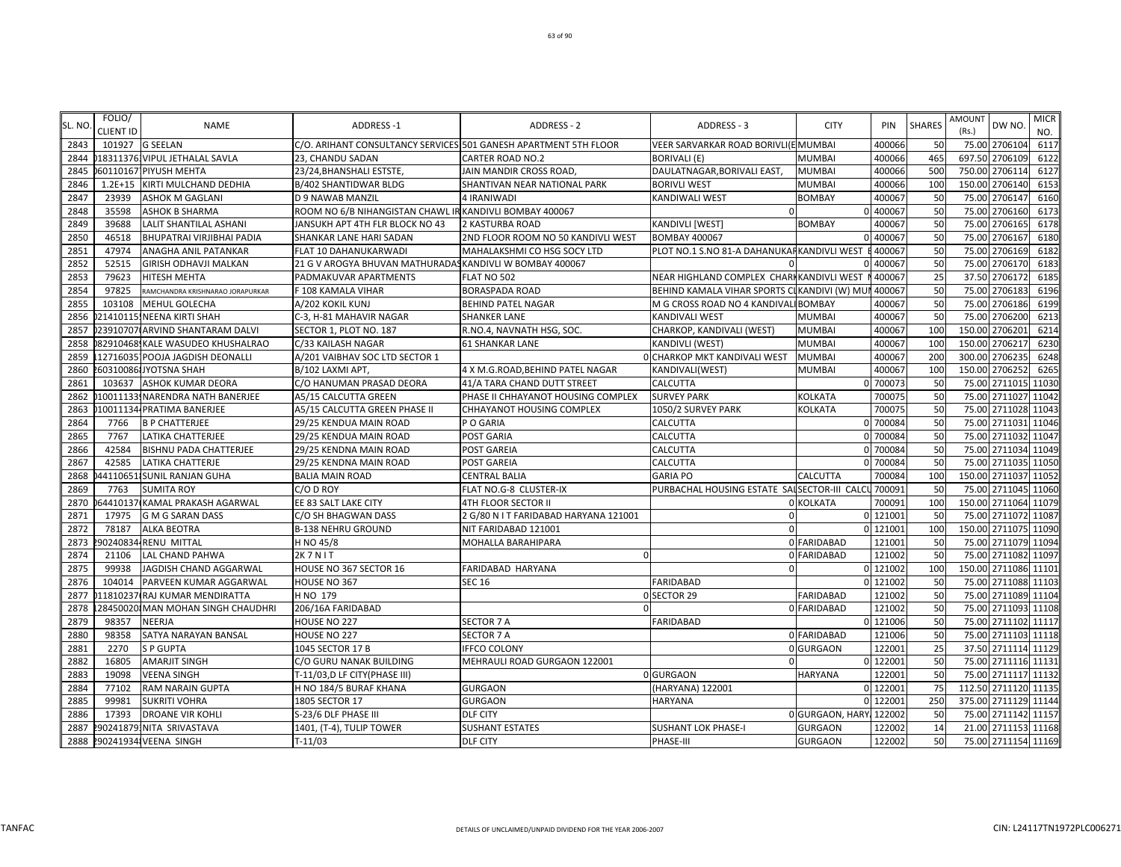| SL. NO. | FOLIO/<br><b>CLIENT ID</b> | <b>NAME</b>                       | <b>ADDRESS-1</b>                                         | ADDRESS - 2                                                      | ADDRESS - 3                                         | <b>CITY</b>            | <b>PIN</b> | <b>SHARES</b> | AMOUNT<br>DW NO.<br>(Rs.) | <b>MICR</b><br>NO. |
|---------|----------------------------|-----------------------------------|----------------------------------------------------------|------------------------------------------------------------------|-----------------------------------------------------|------------------------|------------|---------------|---------------------------|--------------------|
| 2843    |                            | 101927 G SEELAN                   |                                                          | C/O. ARIHANT CONSULTANCY SERVICES 501 GANESH APARTMENT 5TH FLOOR | VEER SARVARKAR ROAD BORIVLI(E MUMBAI                |                        | 400066     | 50            | 75.00 2706104             | 6117               |
| 2844    |                            | 018311376. VIPUL JETHALAL SAVLA   | 23, CHANDU SADAN                                         | <b>CARTER ROAD NO.2</b>                                          | <b>BORIVALI (E)</b>                                 | <b>MUMBAI</b>          | 400066     | 465           | 2706109<br>697.50         | 6122               |
| 2845    |                            | 60110167 PIYUSH MEHTA             | 23/24, BHANSHALI ESTSTE,                                 | JAIN MANDIR CROSS ROAD                                           | DAULATNAGAR, BORIVALI EAST,                         | <b>MUMBAI</b>          | 400066     | 500           | 750.00 2706114            | 6127               |
| 2846    |                            | 1.2E+15 KIRTI MULCHAND DEDHIA     | B/402 SHANTIDWAR BLDG                                    | SHANTIVAN NEAR NATIONAL PARK                                     | <b>BORIVLI WEST</b>                                 | <b>MUMBAI</b>          | 400066     | 100           | 2706140<br>150.00         | 6153               |
| 2847    | 23939                      | <b>ASHOK M GAGLANI</b>            | <b>D 9 NAWAB MANZIL</b>                                  | 4 IRANIWADI                                                      | KANDIWALI WEST                                      | <b>BOMBAY</b>          | 40006      | 50            | 2706147<br>75.00          | 6160               |
| 2848    | 35598                      | <b>ASHOK B SHARMA</b>             | ROOM NO 6/B NIHANGISTAN CHAWL IR KANDIVLI BOMBAY 400067  |                                                                  |                                                     |                        | 0 400067   | 50            | 75.00<br>2706160          | 6173               |
| 2849    | 39688                      | LALIT SHANTILAL ASHANI            | JANSUKH APT 4TH FLR BLOCK NO 43                          | 2 KASTURBA ROAD                                                  | KANDIVLI [WEST]                                     | BOMBAY                 | 40006      | 50            | 2706165<br>75.00          | 6178               |
| 2850    | 46518                      | BHUPATRAI VIRJIBHAI PADIA         | SHANKAR LANE HARI SADAN                                  | 2ND FLOOR ROOM NO 50 KANDIVLI WEST                               | <b>BOMBAY 400067</b>                                |                        | 0 400067   | 50            | 75.00 2706167             | 6180               |
| 2851    | 47974                      | ANAGHA ANIL PATANKAR              | FLAT 10 DAHANUKARWADI                                    | MAHALAKSHMI CO HSG SOCY LTD                                      | PLOT NO.1 S.NO 81-A DAHANUKARKANDIVLI WEST          |                        | 400067     | 50            | 75.00 2706169             | 6182               |
| 2852    | 52515                      | <b>GIRISH ODHAVJI MALKAN</b>      | 21 G V AROGYA BHUVAN MATHURADAS KANDIVLI W BOMBAY 400067 |                                                                  |                                                     |                        | 0 400067   | 50            | 75.00 2706170             | 6183               |
| 2853    | 79623                      | <b>HITESH MEHTA</b>               | PADMAKUVAR APARTMENTS                                    | FLAT NO 502                                                      | NEAR HIGHLAND COMPLEX CHARIKANDIVLI WEST            |                        | 400067     | 25            | 2706172<br>37.50          | 6185               |
| 2854    | 97825                      | RAMCHANDRA KRISHNARAO JORAPURKAR  | F 108 KAMALA VIHAR                                       | <b>BORASPADA ROAD</b>                                            | BEHIND KAMALA VIHAR SPORTS CIKANDIVI (W) MUI 400067 |                        |            | 50            | 2706183<br>75.00          | 6196               |
| 2855    | 103108                     | <b>MEHUL GOLECHA</b>              | A/202 KOKIL KUNJ                                         | <b>BEHIND PATEL NAGAR</b>                                        | M G CROSS ROAD NO 4 KANDIVALI BOMBAY                |                        | 400067     | 50            | 2706186<br>75.00          | 6199               |
| 2856    |                            | 21410115 NEENA KIRTI SHAH         | C-3, H-81 MAHAVIR NAGAR                                  | <b>SHANKER LANE</b>                                              | KANDIVALI WEST                                      | <b>MUMBAI</b>          | 400067     | 50            | 75.00<br>2706200          | 6213               |
| 2857    |                            | 23910707(ARVIND SHANTARAM DALVI   | SECTOR 1, PLOT NO. 187                                   | R.NO.4, NAVNATH HSG, SOC.                                        | CHARKOP, KANDIVALI (WEST)                           | <b>MUMBAI</b>          | 40006      | 100           | 150.00<br>2706201         | 6214               |
| 2858    |                            | 82910468. KALE WASUDEO KHUSHALRAO | C/33 KAILASH NAGAR                                       | <b>61 SHANKAR LANE</b>                                           | KANDIVLI (WEST)                                     | <b>MUMBAI</b>          | 400067     | 100           | 150.00 2706217            | 6230               |
| 2859    |                            | 12716035 POOJA JAGDISH DEONALLI   | A/201 VAIBHAV SOC LTD SECTOR 1                           |                                                                  | <b>OCHARKOP MKT KANDIVALI WEST</b>                  | <b>MUMBAI</b>          | 400067     | 200           | 300.00 2706235            | 6248               |
| 2860    |                            | 2603100861JYOTSNA SHAH            | B/102 LAXMI APT,                                         | 4 X M.G.ROAD, BEHIND PATEL NAGAR                                 | KANDIVALI(WEST)                                     | <b>MUMBAI</b>          | 400067     | 100           | 150.00 2706252            | 6265               |
| 2861    | 103637                     | <b>ASHOK KUMAR DEORA</b>          | C/O HANUMAN PRASAD DEORA                                 | 41/A TARA CHAND DUTT STREET                                      | CALCUTTA                                            |                        | 0 700073   | 50            | 75.00 2711015             | 11030              |
| 2862    |                            | 10011133 NARENDRA NATH BANERJEE   | A5/15 CALCUTTA GREEN                                     | PHASE II CHHAYANOT HOUSING COMPLEX                               | <b>SURVEY PARK</b>                                  | <b>KOLKATA</b>         | 700075     | 50            | 75.00 2711027             | 11042              |
| 2863    |                            | 10011134 PRATIMA BANERJEE         | A5/15 CALCUTTA GREEN PHASE II                            | CHHAYANOT HOUSING COMPLEX                                        | 1050/2 SURVEY PARK                                  | <b>KOLKATA</b>         | 700075     | 50            | 2711028<br>75.00          | 11043              |
| 2864    | 7766                       | <b>B P CHATTERJEE</b>             | 29/25 KENDUA MAIN ROAD                                   | P O GARIA                                                        | CALCUTTA                                            |                        | 0 70008    | 50            | 75.00 2711031             | 11046              |
| 2865    | 7767                       | <b>LATIKA CHATTERJEE</b>          | 29/25 KENDUA MAIN ROAD                                   | POST GARIA                                                       | CALCUTTA                                            |                        | 0 70008    | 50            | 75.00<br>2711032          | 11047              |
| 2866    | 42584                      | <b>BISHNU PADA CHATTERJEE</b>     | 29/25 KENDNA MAIN ROAD                                   | POST GAREIA                                                      | CALCUTTA                                            |                        | 0 700084   | 50            | 75.00 2711034 11049       |                    |
| 2867    | 42585                      | <b>LATIKA CHATTERJE</b>           | 29/25 KENDNA MAIN ROAD                                   | POST GAREIA                                                      | CALCUTTA                                            |                        | 0 70008    | 50            | 75.00 2711035             | 11050              |
| 2868    |                            | 44110651 SUNIL RANJAN GUHA        | <b>BALIA MAIN ROAD</b>                                   | <b>CENTRAL BALIA</b>                                             | <b>GARIA PO</b>                                     | <b>CALCUTTA</b>        | 700084     | 100           | 150.00 2711037            | 11052              |
| 2869    | 7763                       | <b>SUMITA ROY</b>                 | C/O D ROY                                                | FLAT NO.G-8 CLUSTER-IX                                           | PURBACHAL HOUSING ESTATE SALSECTOR-III CALCI        |                        | 700091     | 50            | 75.00 2711045             | 11060              |
| 2870    |                            | 64410137 KAMAL PRAKASH AGARWAL    | EE 83 SALT LAKE CITY                                     | 4TH FLOOR SECTOR II                                              |                                                     | 0 KOLKATA              | 700091     | 100           | 150.00 2711064            | 11079              |
| 2871    | 17975                      | <b>G M G SARAN DASS</b>           | C/O SH BHAGWAN DASS                                      | 2 G/80 N I T FARIDABAD HARYANA 121001                            | $\mathbf 0$                                         |                        | 0 121001   | 50            | 2711072<br>75.00          | 11087              |
| 2872    | 78187                      | <b>ALKA BEOTRA</b>                | <b>B-138 NEHRU GROUND</b>                                | NIT FARIDABAD 121001                                             | $\Omega$                                            |                        | 0 121001   | 100           | 150.00 2711075            | 11090              |
| 2873    |                            | 90240834 RENU MITTAL              | H NO 45/8                                                | MOHALLA BARAHIPARA                                               |                                                     | 0 FARIDABAD            | 121001     | 50            | 75.00 2711079             | 11094              |
| 2874    | 21106                      | LAL CHAND PAHWA                   | 2K7NIT                                                   |                                                                  |                                                     | 0 FARIDABAD            | 121002     | 50            | 75.00 2711082             | 11097              |
| 2875    | 99938                      | JAGDISH CHAND AGGARWAL            | HOUSE NO 367 SECTOR 16                                   | FARIDABAD HARYANA                                                | $\Omega$                                            |                        | 0 121002   | 100           | 150.00 2711086 11101      |                    |
| 2876    | 104014                     | PARVEEN KUMAR AGGARWAL            | HOUSE NO 367                                             | <b>SEC 16</b>                                                    | <b>FARIDABAD</b>                                    |                        | 0 121002   | 50            | 75.00 2711088             | 11103              |
| 2877    |                            | 011810237 RAJ KUMAR MENDIRATTA    | H NO 179                                                 |                                                                  | 0 SECTOR 29                                         | FARIDABAD              | 121002     | 50            | 75.00 2711089 11104       |                    |
| 2878    |                            | 28450020 MAN MOHAN SINGH CHAUDHRI | 206/16A FARIDABAD                                        |                                                                  |                                                     | 0 FARIDABAD            | 121002     | 50            | 75.00 2711093             | 11108              |
| 2879    | 98357                      | NEERJA                            | HOUSE NO 227                                             | SECTOR 7 A                                                       | FARIDABAD                                           |                        | 0 121006   | 50            | 75.00 2711102 11117       |                    |
| 2880    | 98358                      | SATYA NARAYAN BANSAL              | HOUSE NO 227                                             | <b>SECTOR 7 A</b>                                                |                                                     | 0 FARIDABAD            | 121006     | 50            | 75.00 2711103             | 11118              |
| 2881    | 2270                       | <b>SP GUPTA</b>                   | 1045 SECTOR 17 B                                         | <b>IFFCO COLONY</b>                                              |                                                     | 0 GURGAON              | 122001     | 25            | 37.50 2711114 11129       |                    |
| 2882    | 16805                      | <b>AMARJIT SINGH</b>              | C/O GURU NANAK BUILDING                                  | MEHRAULI ROAD GURGAON 122001                                     |                                                     |                        | 0 122001   | 50            | 75.00 2711116 11131       |                    |
| 2883    | 19098                      | <b>VEENA SINGH</b>                | T-11/03,D LF CITY(PHASE III)                             |                                                                  | 0 GURGAON                                           | <b>HARYANA</b>         | 122001     | 50            | 75.00 2711117 11132       |                    |
| 2884    | 77102                      | RAM NARAIN GUPTA                  | H NO 184/5 BURAF KHANA                                   | <b>GURGAON</b>                                                   | (HARYANA) 122001                                    |                        | 0 122001   | 75            | 112.50 2711120 11135      |                    |
| 2885    | 99981                      | <b>SUKRITI VOHRA</b>              | 1805 SECTOR 17                                           | <b>GURGAON</b>                                                   | <b>HARYANA</b>                                      |                        | 0 122001   | 250           | 375.00 2711129 11144      |                    |
| 2886    | 17393                      | <b>DROANE VIR KOHLI</b>           | S-23/6 DLF PHASE III                                     | DLF CITY                                                         |                                                     | 0 GURGAON, HARY 122002 |            | 50            | 75.00 2711142 11157       |                    |
| 2887    |                            | 290241879.NITA SRIVASTAVA         | 1401, (T-4), TULIP TOWER                                 | <b>SUSHANT ESTATES</b>                                           | <b>SUSHANT LOK PHASE-I</b>                          | <b>GURGAON</b>         | 122002     | 14            | 21.00 2711153 11168       |                    |
| 2888    |                            | 290241934 VEENA SINGH             | $T-11/03$                                                | <b>DLF CITY</b>                                                  | PHASE-III                                           | <b>GURGAON</b>         | 122002     | 50            | 75.00 2711154 11169       |                    |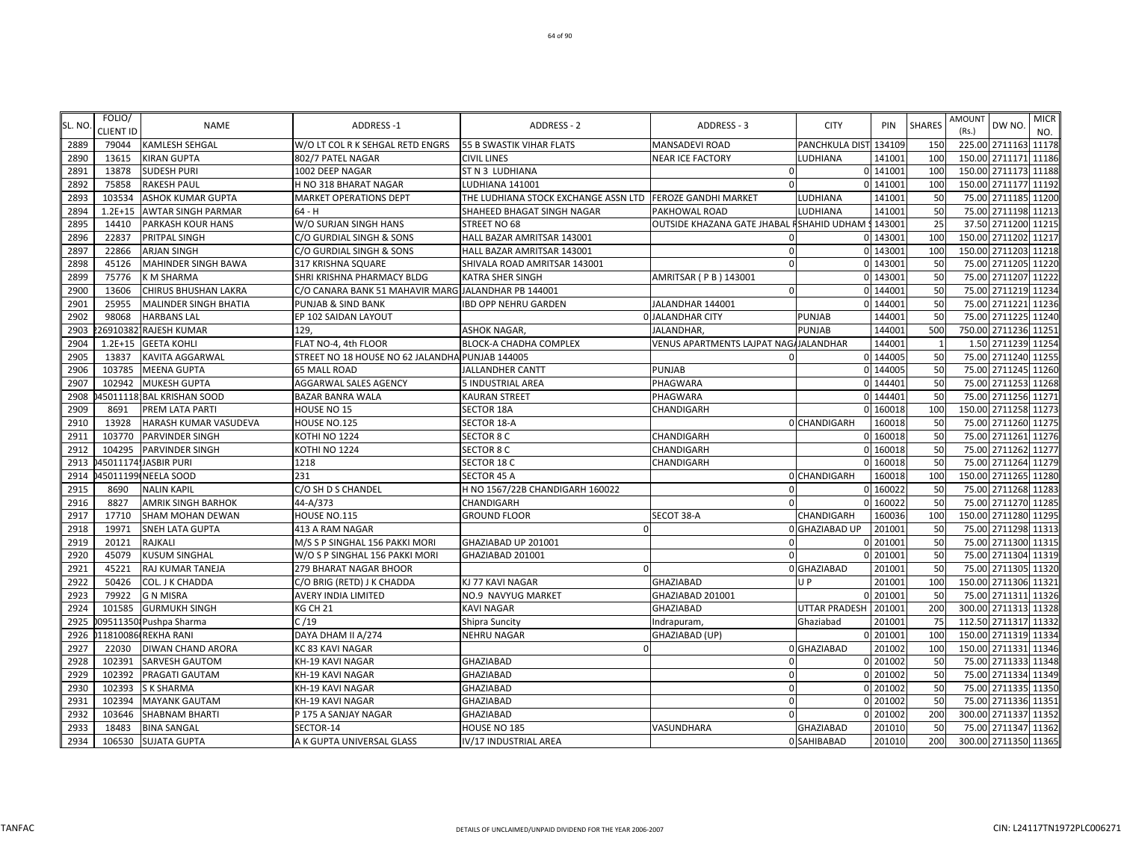|         | FOLIO/           |                              |                                                     |                                      |                                       |                       |          |               | AMOUNT                 | <b>MICR</b> |
|---------|------------------|------------------------------|-----------------------------------------------------|--------------------------------------|---------------------------------------|-----------------------|----------|---------------|------------------------|-------------|
| SL. NO. | <b>CLIENT ID</b> | <b>NAME</b>                  | <b>ADDRESS-1</b>                                    | <b>ADDRESS - 2</b>                   | ADDRESS - 3                           | <b>CITY</b>           | PIN      | <b>SHARES</b> | DW NO.<br>(Rs.)        | NO.         |
| 2889    | 79044            | <b>KAMLESH SEHGAL</b>        | W/O LT COL R K SEHGAL RETD ENGRS                    | <b>55 B SWASTIK VIHAR FLATS</b>      | <b>MANSADEVI ROAD</b>                 | PANCHKULA DIST 134109 |          | <b>150</b>    | 225.00 2711163         | 11178       |
| 2890    | 13615            | <b>KIRAN GUPTA</b>           | 802/7 PATEL NAGAR                                   | <b>CIVIL LINES</b>                   | <b>NEAR ICE FACTORY</b>               | LUDHIANA              | 141001   | <b>100</b>    | 150.00 2711171         | 11186       |
| 2891    | 13878            | <b>SUDESH PURI</b>           | 1002 DEEP NAGAR                                     | ST N 3 LUDHIANA                      | $\Omega$                              |                       | 0 141001 | <b>100</b>    | 150.00 2711173 11188   |             |
| 2892    | 75858            | <b>RAKESH PAUL</b>           | H NO 318 BHARAT NAGAR                               | LUDHIANA 141001                      | $\Omega$                              |                       | 0 14100  | <b>100</b>    | 150.00 2711177 11192   |             |
| 2893    | 103534           | <b>ASHOK KUMAR GUPTA</b>     | <b>MARKET OPERATIONS DEPT</b>                       | THE LUDHIANA STOCK EXCHANGE ASSN LTD | <b>FEROZE GANDHI MARKET</b>           | LUDHIANA              | 141001   | 50            | 2711185<br>75.00       | 11200       |
| 2894    | $1.2E + 15$      | <b>AWTAR SINGH PARMAR</b>    | $64 - H$                                            | SHAHEED BHAGAT SINGH NAGAR           | PAKHOWAL ROAD                         | LUDHIANA              | 141001   | 50            | 75.00 2711198 11213    |             |
| 2895    | 14410            | PARKASH KOUR HANS            | W/O SURJAN SINGH HANS                               | STREET NO 68                         | OUTSIDE KHAZANA GATE JHABAL           | SHAHID UDHAM :        | 143001   | 25            | 37.50 2711200 11215    |             |
| 2896    | 22837            | PRITPAL SINGH                | C/O GURDIAL SINGH & SONS                            | HALL BAZAR AMRITSAR 143001           | $\Omega$                              |                       | 0 143001 | 100           | 150.00 2711202 11217   |             |
| 2897    | 22866            | <b>ARJAN SINGH</b>           | C/O GURDIAL SINGH & SONS                            | HALL BAZAR AMRITSAR 143001           | $\mathbf 0$                           |                       | 0 143001 | <b>100</b>    | 150.00 2711203         | 11218       |
| 2898    | 45126            | <b>MAHINDER SINGH BAWA</b>   | 317 KRISHNA SQUARE                                  | SHIVALA ROAD AMRITSAR 143001         | $\Omega$                              |                       | 0 143001 | 50            | 75.00 2711205 11220    |             |
| 2899    | 75776            | <b>K M SHARMA</b>            | SHRI KRISHNA PHARMACY BLDG                          | KATRA SHER SINGH                     | AMRITSAR ( P B ) 143001               |                       | 0 143001 | 50            | 75.00 2711207          | 11222       |
| 2900    | 13606            | <b>CHIRUS BHUSHAN LAKRA</b>  | C/O CANARA BANK 51 MAHAVIR MARG JALANDHAR PB 144001 |                                      | $\Omega$                              |                       | 0 144001 | 50            | 75.00 2711219 11234    |             |
| 2901    | 25955            | <b>MALINDER SINGH BHATIA</b> | PUNJAB & SIND BANK                                  | <b>IBD OPP NEHRU GARDEN</b>          | JALANDHAR 144001                      |                       | 0 14400  | 50            | 75.00 2711221          | 11236       |
| 2902    | 98068            | <b>HARBANS LAL</b>           | EP 102 SAIDAN LAYOUT                                |                                      | <b>O JALANDHAR CITY</b>               | PUNJAB                | 144001   | 50            | 2711225 11240<br>75.00 |             |
| 2903    |                  | 26910382 RAJESH KUMAR        | 129,                                                | <b>ASHOK NAGAR,</b>                  | JALANDHAR,                            | <b>PUNJAB</b>         | 144001   | 500           | 750.00 2711236 11251   |             |
| 2904    | $1.2E + 15$      | <b>GEETA KOHLI</b>           | FLAT NO-4, 4th FLOOR                                | BLOCK-A CHADHA COMPLEX               | VENUS APARTMENTS LAJPAT NAG/JALANDHAR |                       | 144001   | - 1           | 1.50 2711239 11254     |             |
| 2905    | 13837            | <b>KAVITA AGGARWAL</b>       | STREET NO 18 HOUSE NO 62 JALANDHA PUNJAB 144005     |                                      | $\Omega$                              |                       | 0 144005 | 50            | 75.00 2711240 11255    |             |
| 2906    | 103785           | <b>MEENA GUPTA</b>           | <b>65 MALL ROAD</b>                                 | <b>JALLANDHER CANTT</b>              | <b>PUNJAB</b>                         |                       | 0 144005 | 50            | 75.00 2711245          | 11260       |
| 2907    | 102942           | <b>MUKESH GUPTA</b>          | AGGARWAL SALES AGENCY                               | 5 INDUSTRIAL AREA                    | PHAGWARA                              |                       | 0 144401 | 50            | 75.00 2711253 11268    |             |
| 2908    |                  | 45011118 BAL KRISHAN SOOD    | BAZAR BANRA WALA                                    | <b>KAURAN STREET</b>                 | PHAGWARA                              |                       | 0 144401 | 50            | 75.00 2711256 11271    |             |
| 2909    | 8691             | PREM LATA PARTI              | <b>HOUSE NO 15</b>                                  | <b>SECTOR 18A</b>                    | CHANDIGARH                            |                       | 0 160018 | 100           | 150.00 2711258 11273   |             |
| 2910    | 13928            | HARASH KUMAR VASUDEVA        | HOUSE NO.125                                        | SECTOR 18-A                          |                                       | <b>OCHANDIGARH</b>    | 160018   | 50            | 75.00 2711260 11275    |             |
| 2911    | 103770           | <b>PARVINDER SINGH</b>       | KOTHI NO 1224                                       | <b>SECTOR 8 C</b>                    | CHANDIGARH                            |                       | 0 160018 | 50            | 75.00<br>2711261       | 11276       |
| 2912    | 104295           | PARVINDER SINGH              | KOTHI NO 1224                                       | SECTOR 8 C                           | CHANDIGARH                            |                       | 0 160018 | 50            | 75.00 2711262 11277    |             |
| 2913    |                  | 45011174.JASBIR PURI         | 1218                                                | SECTOR 18 C                          | CHANDIGARH                            |                       | 0 160018 | 50            | 75.00 2711264 11279    |             |
| 2914    |                  | 45011199 NEELA SOOD          | 231                                                 | SECTOR 45 A                          |                                       | 0 CHANDIGARH          | 160018   | 100           | 150.00 2711265 11280   |             |
| 2915    | 8690             | <b>NALIN KAPIL</b>           | C/O SH D S CHANDEL                                  | H NO 1567/22B CHANDIGARH 160022      | $\Omega$                              |                       | 0 16002  | 50            | 75.00 2711268          | 11283       |
| 2916    | 8827             | <b>AMRIK SINGH BARHOK</b>    | 44-A/373                                            | CHANDIGARH                           | $\Omega$                              |                       | 0 16002  | 50            | 75.00 2711270 11285    |             |
| 2917    | 17710            | <b>SHAM MOHAN DEWAN</b>      | HOUSE NO.115                                        | <b>GROUND FLOOR</b>                  | SECOT 38-A                            | CHANDIGARH            | 16003    | 100           | 150.00 2711280 11295   |             |
| 2918    | 19971            | <b>SNEH LATA GUPTA</b>       | 413 A RAM NAGAR                                     |                                      |                                       | <b>O</b> GHAZIABAD UP | 201001   | 50            | 75.00 2711298 11313    |             |
| 2919    | 20121            | RAJKALI                      | M/S S P SINGHAL 156 PAKKI MORI                      | GHAZIABAD UP 201001                  |                                       |                       | 0 201001 | 50            | 75.00 2711300 11315    |             |
| 2920    | 45079            | <b>KUSUM SINGHAL</b>         | W/O S P SINGHAL 156 PAKKI MORI                      | GHAZIABAD 201001                     | $\Omega$                              |                       | 0 201001 | 50            | 75.00 2711304 11319    |             |
| 2921    | 45221            | RAJ KUMAR TANEJA             | 279 BHARAT NAGAR BHOOR                              | n                                    |                                       | 0 GHAZIABAD           | 201001   | 50            | 75.00 2711305 11320    |             |
| 2922    | 50426            | COL. J K CHADDA              | C/O BRIG (RETD) J K CHADDA                          | KJ 77 KAVI NAGAR                     | <b>GHAZIABAD</b>                      | U P                   | 201001   | 100           | 150.00 2711306         | 11321       |
| 2923    | 79922            | <b>G N MISRA</b>             | AVERY INDIA LIMITED                                 | NO.9 NAVYUG MARKET                   | GHAZIABAD 201001                      |                       | 0 201001 | 50            | 75.00 2711311 11326    |             |
| 2924    | 101585           | <b>GURMUKH SINGH</b>         | KG CH 21                                            | <b>KAVI NAGAR</b>                    | GHAZIABAD                             | <b>UTTAR PRADESH</b>  | 201001   | 200           | 300.00 2711313 11328   |             |
| 2925    |                  | 095113501 Pushpa Sharma      | C/19                                                | Shipra Suncity                       | Indrapuram                            | Ghaziabad             | 20100    | 75            | 112.50 2711317 11332   |             |
| 2926    |                  | 011810086 REKHA RANI         | DAYA DHAM II A/274                                  | <b>NEHRU NAGAR</b>                   | GHAZIABAD (UP)                        |                       | 0 201001 | 100           | 150.00 2711319 11334   |             |
| 2927    | 22030            | DIWAN CHAND ARORA            | KC 83 KAVI NAGAR                                    |                                      |                                       | 0 GHAZIABAD           | 201002   | 100           | 150.00 2711331 11346   |             |
| 2928    | 102391           | <b>SARVESH GAUTOM</b>        | KH-19 KAVI NAGAR                                    | GHAZIABAD                            | $\Omega$                              |                       | 0 201002 | 50            | 75.00 2711333 11348    |             |
| 2929    | 102392           | PRAGATI GAUTAM               | KH-19 KAVI NAGAR                                    | GHAZIABAD                            | $\Omega$                              |                       | 0 201002 | 50            | 75.00 2711334 11349    |             |
| 2930    | 102393           | <b>SK SHARMA</b>             | KH-19 KAVI NAGAR                                    | GHAZIABAD                            | 0                                     |                       | 0 201002 | 50            | 75.00 2711335 11350    |             |
| 2931    | 102394           | <b>MAYANK GAUTAM</b>         | KH-19 KAVI NAGAR                                    | GHAZIABAD                            | $\Omega$                              |                       | 0 201002 | 50            | 75.00 2711336          | 11351       |
| 2932    | 103646           | <b>SHABNAM BHARTI</b>        | P 175 A SANJAY NAGAR                                | GHAZIABAD                            | $\Omega$                              |                       | 0 201002 | <b>200</b>    | 300.00 2711337 11352   |             |
| 2933    | 18483            | <b>BINA SANGAL</b>           | SECTOR-14                                           | HOUSE NO 185                         | VASUNDHARA                            | <b>GHAZIABAD</b>      | 201010   | 50            | 75.00 2711347 11362    |             |
| 2934    |                  | 106530 SUJATA GUPTA          | A K GUPTA UNIVERSAL GLASS                           | IV/17 INDUSTRIAL AREA                |                                       | 0 SAHIBABAD           | 201010   | 200           | 300.00 2711350 11365   |             |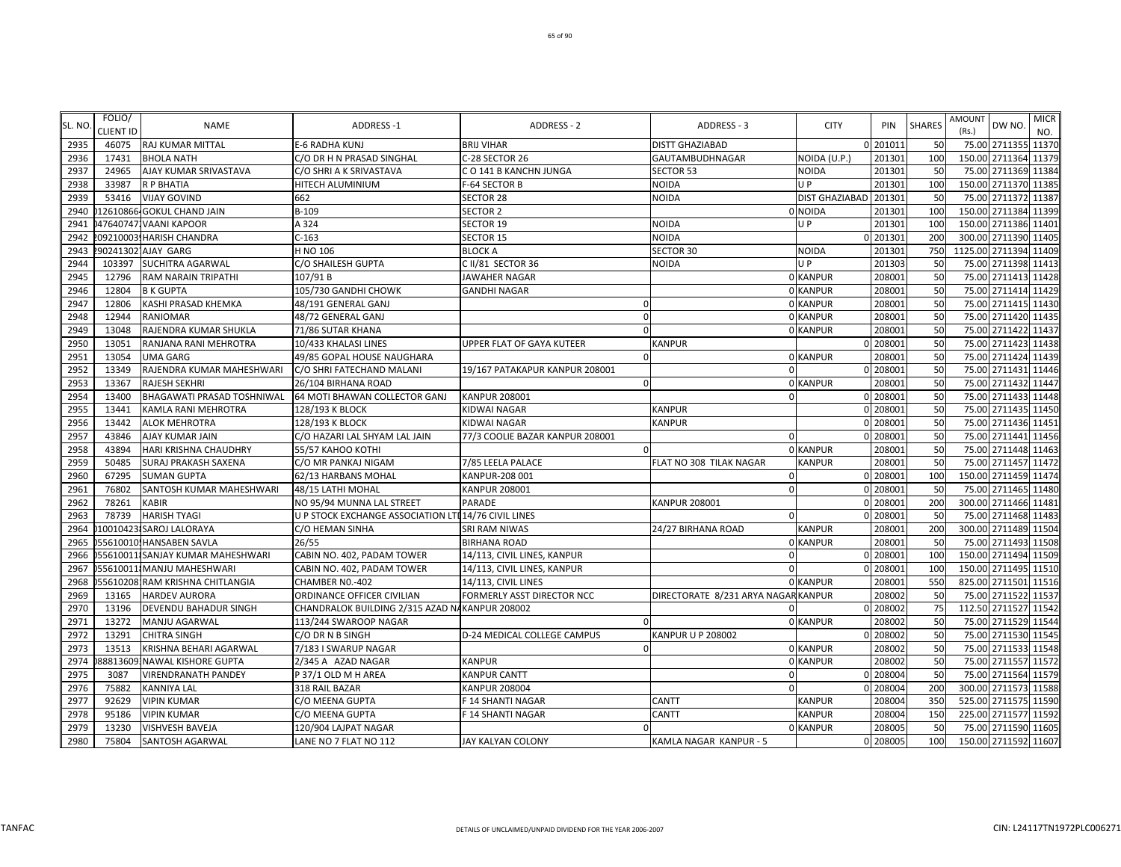NAME ADDRESS −1 ADDRESS −1 ADDRESS −2 ADDRESS −2 ADDRESS −3 CITY PIN SHARES AMOUNT DW NO. <mark>MICR</mark> NO.

KUNJ BRIJ VIHAR DISTT GHAZIABAD 0 201011 50 75.00 2711355 11370

C/O DR H N PRASAD SINGHAL C-28 SECTOR 26 GAUTAMBUDHNAGAR NOIDA (U.P.) 201301 100 150.00 2711364 11379

| 2937 | 24965  | AJAY KUMAR SRIVASTAVA             | C/O SHRI A K SRIVASTAVA                              | CO 141 B KANCHN JUNGA           | SECTOR 53                          | <b>NOIDA</b>          | 201301   | 50  |                       | 75.00 2711369 11384  |  |
|------|--------|-----------------------------------|------------------------------------------------------|---------------------------------|------------------------------------|-----------------------|----------|-----|-----------------------|----------------------|--|
| 2938 | 33987  | R P BHATIA                        | HITECH ALUMINIUM                                     | F-64 SECTOR B                   | <b>NOIDA</b>                       | U P                   | 201301   | 100 |                       | 150.00 2711370 11385 |  |
| 2939 | 53416  | <b>VIJAY GOVIND</b>               | 662                                                  | <b>SECTOR 28</b>                | NOIDA                              | <b>DIST GHAZIABAD</b> | 201301   | 50  |                       | 75.00 2711372 11387  |  |
| 2940 |        | 12610866-GOKUL CHAND JAIN         | B-109                                                | <b>SECTOR 2</b>                 |                                    | 0 NOIDA               | 201301   | 100 |                       | 150.00 2711384 11399 |  |
| 2941 |        | 047640747. VAANI KAPOOR           | A 324                                                | <b>SECTOR 19</b>                | NOIDA                              | UP.                   | 201301   | 100 |                       | 150.00 2711386 11401 |  |
| 2942 |        | 2092100031 HARISH CHANDRA         | $C-163$                                              | SECTOR 15                       | NOIDA                              |                       | 0 201301 | 200 |                       | 300.00 2711390 11405 |  |
| 2943 |        | 290241302 AJAY GARG               | H NO 106                                             | <b>BLOCK A</b>                  | SECTOR 30                          | <b>NOIDA</b>          | 201301   | 750 | 1125.00 2711394 11409 |                      |  |
| 2944 | 103397 | <b>SUCHITRA AGARWAL</b>           | C/O SHAILESH GUPTA                                   | C II/81 SECTOR 36               | NOIDA                              | UP                    | 201303   | 50  |                       | 75.00 2711398 11413  |  |
| 2945 | 12796  | RAM NARAIN TRIPATHI               | 107/91B                                              | JAWAHER NAGAR                   |                                    | 0 KANPUR              | 208001   | 50  |                       | 75.00 2711413 11428  |  |
| 2946 | 12804  | <b>B K GUPTA</b>                  | 105/730 GANDHI CHOWK                                 | <b>GANDHI NAGAR</b>             |                                    | 0 KANPUR              | 208001   | 50  |                       | 75.00 2711414 11429  |  |
| 2947 | 12806  | KASHI PRASAD KHEMKA               | 48/191 GENERAL GANJ                                  | $\Omega$                        |                                    | 0 KANPUR              | 208001   | 50  |                       | 75.00 2711415 11430  |  |
| 2948 | 12944  | RANIOMAR                          | 48/72 GENERAL GANJ                                   | $\Omega$                        |                                    | 0 KANPUR              | 208001   | 50  |                       | 75.00 2711420 11435  |  |
| 2949 | 13048  | RAJENDRA KUMAR SHUKLA             | 71/86 SUTAR KHANA                                    |                                 |                                    | 0 KANPUR              | 208001   | 50  |                       | 75.00 2711422 11437  |  |
| 2950 | 13051  | RANJANA RANI MEHROTRA             | 10/433 KHALASI LINES                                 | UPPER FLAT OF GAYA KUTEER       | KANPUR                             |                       | 0 208001 | 50  |                       | 75.00 2711423 11438  |  |
| 2951 | 13054  | <b>UMA GARG</b>                   | 49/85 GOPAL HOUSE NAUGHARA                           | $\Omega$                        |                                    | 0 KANPUR              | 208001   | 50  |                       | 75.00 2711424 11439  |  |
| 2952 | 13349  | RAJENDRA KUMAR MAHESHWARI         | C/O SHRI FATECHAND MALANI                            | 19/167 PATAKAPUR KANPUR 208001  |                                    |                       | 0 208001 | 50  |                       | 75.00 2711431 11446  |  |
| 2953 | 13367  | RAJESH SEKHRI                     | 26/104 BIRHANA ROAD                                  | $\Omega$                        |                                    | 0 KANPUR              | 208001   | 50  |                       | 75.00 2711432 11447  |  |
| 2954 | 13400  | BHAGAWATI PRASAD TOSHNIWAL        | 64 MOTI BHAWAN COLLECTOR GANJ                        | <b>KANPUR 208001</b>            |                                    |                       | 0 208001 | 50  |                       | 75.00 2711433 11448  |  |
| 2955 | 13441  | KAMLA RANI MEHROTRA               | 128/193 K BLOCK                                      | KIDWAI NAGAR                    | <b>KANPUR</b>                      |                       | 0 208001 | 50  |                       | 75.00 2711435 11450  |  |
| 2956 | 13442  | <b>ALOK MEHROTRA</b>              | 128/193 K BLOCK                                      | KIDWAI NAGAR                    | <b>KANPUR</b>                      |                       | 0 208001 | 50  |                       | 75.00 2711436 11451  |  |
| 2957 | 43846  | AJAY KUMAR JAIN                   | C/O HAZARI LAL SHYAM LAL JAIN                        | 77/3 COOLIE BAZAR KANPUR 208001 | $\Omega$                           |                       | 0 208001 | 50  |                       | 75.00 2711441 11456  |  |
| 2958 | 43894  | HARI KRISHNA CHAUDHRY             | 55/57 KAHOO KOTHI                                    |                                 |                                    | 0 KANPUR              | 208001   | 50  |                       | 75.00 2711448 11463  |  |
| 2959 | 50485  | <b>SURAJ PRAKASH SAXENA</b>       | C/O MR PANKAJ NIGAM                                  | 7/85 LEELA PALACE               | FLAT NO 308 TILAK NAGAR            | <b>KANPUR</b>         | 208001   | 50  |                       | 75.00 2711457 11472  |  |
| 2960 | 67295  | <b>SUMAN GUPTA</b>                | 62/13 HARBANS MOHAL                                  | KANPUR-208 001                  | $\Omega$                           |                       | 0 208001 | 100 |                       | 150.00 2711459 11474 |  |
| 2961 | 76802  | SANTOSH KUMAR MAHESHWARI          | 48/15 LATHI MOHAL                                    | <b>KANPUR 208001</b>            | $\Omega$                           |                       | 0 208001 | 50  |                       | 75.00 2711465 11480  |  |
| 2962 | 78261  | <b>KABIR</b>                      | NO 95/94 MUNNA LAL STREET                            | <b>PARADE</b>                   | KANPUR 208001                      |                       | 0 208001 | 200 |                       | 300.00 2711466 11481 |  |
| 2963 | 78739  | <b>HARISH TYAGI</b>               | U P STOCK EXCHANGE ASSOCIATION LTL 14/76 CIVIL LINES |                                 | $\Omega$                           |                       | 0 208001 | 50  |                       | 75.00 2711468 11483  |  |
| 2964 |        | 10010423 SAROJ LALORAYA           | C/O HEMAN SINHA                                      | SRI RAM NIWAS                   | 24/27 BIRHANA ROAD                 | <b>KANPUR</b>         | 208001   | 200 |                       | 300.00 2711489 11504 |  |
| 2965 |        | 055610010.HANSABEN SAVLA          | 26/55                                                | <b>BIRHANA ROAD</b>             |                                    | 0 KANPUR              | 208001   | 50  |                       | 75.00 2711493 11508  |  |
| 2966 |        | 055610011ISANJAY KUMAR MAHESHWARI | CABIN NO. 402, PADAM TOWER                           | 14/113, CIVIL LINES, KANPUR     | $\Omega$                           |                       | 0 208001 | 100 |                       | 150.00 2711494 11509 |  |
| 2967 |        | 0556100111MANJU MAHESHWARI        | CABIN NO. 402, PADAM TOWER                           | 14/113, CIVIL LINES, KANPUR     | $\Omega$                           |                       | 0 208001 | 100 |                       | 150.00 2711495 11510 |  |
| 2968 |        | 055610208 RAM KRISHNA CHITLANGIA  | CHAMBER NO.-402                                      | 14/113, CIVIL LINES             |                                    | 0 KANPUR              | 208001   | 550 |                       | 825.00 2711501 11516 |  |
| 2969 | 13165  | <b>HARDEV AURORA</b>              | ORDINANCE OFFICER CIVILIAN                           | FORMERLY ASST DIRECTOR NCC      | DIRECTORATE 8/231 ARYA NAGARKANPUR |                       | 208002   | 50  |                       | 75.00 2711522 11537  |  |
| 2970 | 13196  | <b>DEVENDU BAHADUR SINGH</b>      | CHANDRALOK BUILDING 2/315 AZAD NAKANPUR 208002       |                                 |                                    |                       | 0 208002 | 75  |                       | 112.50 2711527 11542 |  |
| 2971 | 13272  | <b>MANJU AGARWAL</b>              | 113/244 SWAROOP NAGAR                                | $\Omega$                        |                                    | 0 KANPUR              | 208002   | 50  |                       | 75.00 2711529 11544  |  |
| 2972 | 13291  | <b>CHITRA SINGH</b>               | C/O DR N B SINGH                                     | D-24 MEDICAL COLLEGE CAMPUS     | KANPUR U P 208002                  |                       | 0 208002 | 50  |                       | 75.00 2711530 11545  |  |
| 2973 | 13513  | KRISHNA BEHARI AGARWAL            | 7/183 I SWARUP NAGAR                                 |                                 |                                    | 0 KANPUR              | 208002   | 50  |                       | 75.00 2711533 11548  |  |
| 2974 |        | 888136091NAWAL KISHORE GUPTA      | 2/345 A AZAD NAGAR                                   | <b>KANPUR</b>                   |                                    | 0 KANPUR              | 208002   | 50  |                       | 75.00 2711557 11572  |  |
| 2975 | 3087   | <b>VIRENDRANATH PANDEY</b>        | P 37/1 OLD M H AREA                                  | <b>KANPUR CANTT</b>             | <sub>0</sub>                       |                       | 0 208004 | 50  |                       | 75.00 2711564 11579  |  |
| 2976 | 75882  | <b>KANNIYA LAL</b>                | 318 RAIL BAZAR                                       | <b>KANPUR 208004</b>            |                                    |                       | 0 208004 | 200 |                       | 300.00 2711573 11588 |  |
| 2977 | 92629  | <b>VIPIN KUMAR</b>                | C/O MEENA GUPTA                                      | F 14 SHANTI NAGAR               | CANTT                              | <b>KANPUR</b>         | 208004   | 350 |                       | 525.00 2711575 11590 |  |
| 2978 | 95186  | <b>VIPIN KUMAR</b>                | C/O MEENA GUPTA                                      | F 14 SHANTI NAGAR               | CANTT                              | <b>KANPUR</b>         | 208004   | 150 |                       | 225.00 2711577 11592 |  |
| 2979 | 13230  | <b>VISHVESH BAVEJA</b>            | 120/904 LAJPAT NAGAR                                 | $\Omega$                        |                                    | 0 KANPUR              | 208005   | 50  |                       | 75.00 2711590 11605  |  |
| 2980 | 75804  | <b>SANTOSH AGARWAL</b>            | LANE NO 7 FLAT NO 112                                | JAY KALYAN COLONY               | KAMLA NAGAR KANPUR - 5             |                       | 0 208005 | 100 |                       | 150.00 2711592 11607 |  |

SL. NO.

NO. FOLIO/<br>CLIENT ID

RAJ KUMAR MITTAL

**BHOLA NATH** 

E-6 RADHA KUNJ

2935 46075 RAJ

2936 17431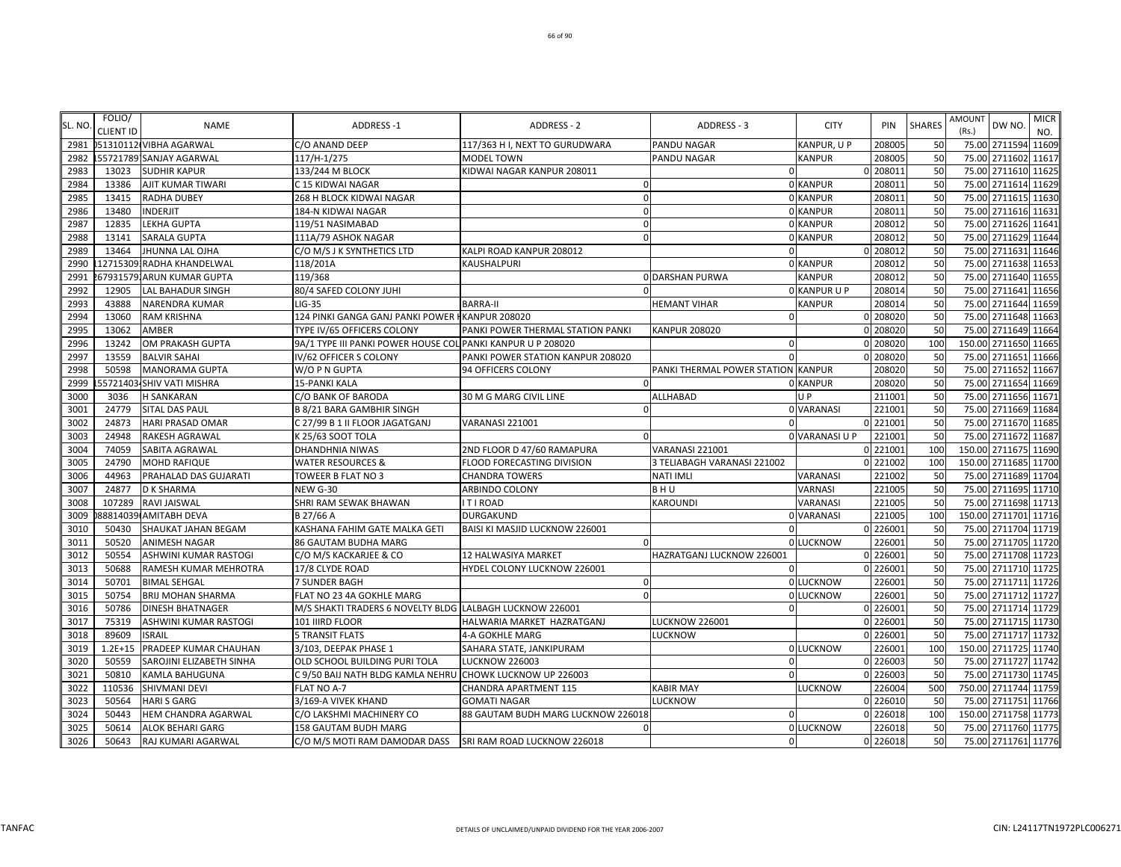| SL. NO       | FOLIO/           | <b>NAME</b>                    | <b>ADDRESS-1</b>                                            | ADDRESS - 2                                              | ADDRESS - 3                                    | <b>CITY</b>    | PIN                  | <b>SHARES</b> | <b>AMOUNT</b> | DW NO.                                | <b>MICR</b> |
|--------------|------------------|--------------------------------|-------------------------------------------------------------|----------------------------------------------------------|------------------------------------------------|----------------|----------------------|---------------|---------------|---------------------------------------|-------------|
| 2981         | <b>CLIENT ID</b> | 051310112 VIBHA AGARWAL        | C/O ANAND DEEP                                              | 117/363 H I, NEXT TO GURUDWARA                           | <b>PANDU NAGAR</b>                             | KANPUR, U P    | 20800                | 50            | (Rs.)         | 75.00 2711594 11609                   | NO.         |
| 2982         |                  | .557217891SANJAY AGARWAL       | 117/H-1/275                                                 | <b>MODEL TOWN</b>                                        | <b>PANDU NAGAR</b>                             | <b>KANPUR</b>  | 20800                | 50            | 75.00         | 2711602 11617                         |             |
| 2983         | 13023            | <b>SUDHIR KAPUR</b>            | 133/244 M BLOCK                                             | KIDWAI NAGAR KANPUR 208011                               | $\Omega$                                       |                | 0 20801:             | 50            |               | 75.00 2711610 11625                   |             |
| 2984         | 13386            | AJIT KUMAR TIWARI              | C 15 KIDWAI NAGAR                                           | $\cap$                                                   |                                                | 0 KANPUR       | 20801                | 50            | 75.00         | 2711614 11629                         |             |
| 2985         | 13415            | <b>RADHA DUBEY</b>             | 268 H BLOCK KIDWAI NAGAR                                    |                                                          |                                                | 0 KANPUR       | 20801                | 50            | 75.00         | 2711615 11630                         |             |
| 2986         | 13480            | INDERJIT                       | 184-N KIDWAI NAGAR                                          |                                                          |                                                | 0 KANPUR       | 208011               | 50            |               | 75.00 2711616 11631                   |             |
| 2987         | 12835            | LEKHA GUPTA                    | 119/51 NASIMABAD                                            |                                                          |                                                | 0 KANPUR       | 208012               | 50            |               | 75.00 2711626 11641                   |             |
| 2988         | 13141            | <b>SARALA GUPTA</b>            | 111A/79 ASHOK NAGAR                                         | $\Omega$                                                 |                                                | 0 KANPUR       | 208012               | 50            |               | 75.00 2711629 11644                   |             |
| 2989         | 13464            | <b>JHUNNA LAL OJHA</b>         | C/O M/S J K SYNTHETICS LTD                                  | KALPI ROAD KANPUR 208012                                 | $\Omega$                                       |                | 0 208012             | 50            |               | 75.00 2711631 11646                   |             |
| 2990         |                  | 12715309.RADHA KHANDELWAL      | 118/201A                                                    | KAUSHALPURI                                              |                                                | 0 KANPUR       | 208012               | 50            |               | 75.00 2711638 11653                   |             |
| 2991         |                  | 67931579. ARUN KUMAR GUPTA     | 119/368                                                     |                                                          | <b>ODARSHAN PURWA</b>                          | <b>KANPUR</b>  | 208012               | 50            | 75.00         | 2711640 11655                         |             |
| 2992         | 12905            | <b>LAL BAHADUR SINGH</b>       | 80/4 SAFED COLONY JUHI                                      |                                                          |                                                | O KANPUR U P   | 208014               | 50            | 75.00         | 2711641 11656                         |             |
| 2993         | 43888            | NARENDRA KUMAR                 | $LIG-35$                                                    | <b>BARRA-II</b>                                          | <b>HEMANT VIHAR</b>                            | <b>KANPUR</b>  | 208014               | 50            | 75.00         | 2711644 11659                         |             |
| 2994         | 13060            | RAM KRISHNA                    | 124 PINKI GANGA GANJ PANKI POWER I KANPUR 208020            |                                                          | $\mathbf{0}$                                   |                | 0 208020             | 50            | 75.00         | 2711648 11663                         |             |
| 2995         | 13062            | AMBER                          | TYPE IV/65 OFFICERS COLONY                                  | PANKI POWER THERMAL STATION PANKI                        | <b>KANPUR 208020</b>                           |                | 0 208020             | 50            |               | 75.00 2711649 11664                   |             |
| 2996         | 13242            | OM PRAKASH GUPTA               | 9A/1 TYPE III PANKI POWER HOUSE COL PANKI KANPUR U P 208020 |                                                          | $\Omega$                                       |                | 0 208020             | 100           |               | 150.00 2711650 11665                  |             |
| 2997         | 13559            | <b>BALVIR SAHAI</b>            | IV/62 OFFICER S COLONY                                      | PANKI POWER STATION KANPUR 208020                        | $\Omega$                                       |                | 0 208020             | 50            |               | 75.00 2711651 11666                   |             |
| 2998         | 50598            | <b>MANORAMA GUPTA</b>          | W/O P N GUPTA                                               | 94 OFFICERS COLONY                                       | PANKI THERMAL POWER STATION KANPUR             |                | 208020               | 50            |               | 75.00 2711652 11667                   |             |
| 2999         |                  | 55721403-SHIV VATI MISHRA      | <b>15-PANKI KALA</b>                                        |                                                          |                                                | 0 KANPUR       | 208020               | 50            |               | 75.00 2711654 11669                   |             |
| 3000         | 3036             | H SANKARAN                     | C/O BANK OF BARODA                                          | 30 M G MARG CIVIL LINE                                   | <b>ALLHABAD</b>                                | <b>UP</b>      | 21100                | 50            | 75.00         | 2711656 11671                         |             |
| 3001         | 24779            | SITAL DAS PAUL                 | <b>B 8/21 BARA GAMBHIR SINGH</b>                            |                                                          |                                                | 0 VARANASI     | 221001               | 50            | 75.00         | 2711669 11684                         |             |
| 3002         | 24873            | <b>HARI PRASAD OMAR</b>        | C 27/99 B 1 II FLOOR JAGATGANJ                              | VARANASI 221001                                          | $\Omega$                                       |                | 0 221001             | 50            |               | 75.00 2711670 1168                    |             |
| 3003         | 24948            | RAKESH AGRAWAL                 | K 25/63 SOOT TOLA                                           |                                                          |                                                | 0 VARANASI U P | 221001               | 50            | 75.00         | 2711672 11687<br>150.00 2711675 11690 |             |
| 3004<br>3005 | 74059<br>24790   | SABITA AGRAWAL<br>MOHD RAFIQUE | DHANDHNIA NIWAS<br><b>WATER RESOURCES &amp;</b>             | 2ND FLOOR D 47/60 RAMAPURA<br>FLOOD FORECASTING DIVISION | VARANASI 221001<br>3 TELIABAGH VARANASI 221002 |                | 0 221001<br>0 221002 | 100<br>100    |               | 150.00 2711685 11700                  |             |
| 3006         | 44963            | PRAHALAD DAS GUJARATI          |                                                             | <b>CHANDRA TOWERS</b>                                    | NATI IMLI                                      | VARANASI       | 221002               | 50            |               | 75.00 2711689 11704                   |             |
| 3007         | 24877            | D K SHARMA                     | TOWEER B FLAT NO 3<br><b>NEW G-30</b>                       | ARBINDO COLONY                                           | BHU                                            | VARNASI        | 22100                | 50            | 75.00         | 2711695 11710                         |             |
| 3008         | 107289           | RAVI JAISWAL                   | SHRI RAM SEWAK BHAWAN                                       | <b>ITIROAD</b>                                           | <b>KAROUNDI</b>                                | VARANASI       | 22100                | 50            |               | 75.00 2711698 11713                   |             |
| 3009         |                  | 88814039 AMITABH DEVA          | B 27/66 A                                                   | DURGAKUND                                                |                                                | 0 VARANASI     | 221005               | 100           |               | 150.00 2711701 11716                  |             |
| 3010         | 50430            | SHAUKAT JAHAN BEGAM            | KASHANA FAHIM GATE MALKA GETI                               | BAISI KI MASJID LUCKNOW 226001                           | $\Omega$                                       |                | 0 226001             | 50            | 75.00         | 2711704 11719                         |             |
| 3011         | 50520            | ANIMESH NAGAR                  | 86 GAUTAM BUDHA MARG                                        |                                                          |                                                | 0 LUCKNOW      | 22600                | 50            |               | 75.00 2711705 11720                   |             |
| 3012         | 50554            | ASHWINI KUMAR RASTOGI          | C/O M/S KACKARJEE & CO                                      | 12 HALWASIYA MARKET                                      | HAZRATGANJ LUCKNOW 226001                      |                | 0 226001             | 50            |               | 75.00 2711708 11723                   |             |
| 3013         | 50688            | RAMESH KUMAR MEHROTRA          | 17/8 CLYDE ROAD                                             | HYDEL COLONY LUCKNOW 226001                              | $\Omega$                                       |                | 0 226001             | 50            |               | 75.00 2711710 11725                   |             |
| 3014         | 50701            | <b>BIMAL SEHGAL</b>            | 7 SUNDER BAGH                                               | $\Omega$                                                 |                                                | 0 LUCKNOW      | 226001               | 50            |               | 75.00 2711711 11726                   |             |
| 3015         | 50754            | BRIJ MOHAN SHARMA              | FLAT NO 23 4A GOKHLE MARG                                   | $\Omega$                                                 |                                                | 0 LUCKNOW      | 226001               | 50            |               | 75.00 2711712 11727                   |             |
| 3016         | 50786            | <b>DINESH BHATNAGER</b>        | M/S SHAKTI TRADERS 6 NOVELTY BLDG LALBAGH LUCKNOW 226001    |                                                          | $\mathbf 0$                                    |                | 0 22600              | 50            |               | 75.00 2711714 11729                   |             |
| 3017         | 75319            | ASHWINI KUMAR RASTOGI          | 101 IIIRD FLOOR                                             | HALWARIA MARKET HAZRATGANJ                               | <b>LUCKNOW 226001</b>                          |                | 0 226001             | 50            | 75.00         | 2711715 11730                         |             |
| 3018         | 89609            | <b>ISRAIL</b>                  | <b>5 TRANSIT FLATS</b>                                      | 4-A GOKHLE MARG                                          | <b>LUCKNOW</b>                                 |                | 0 226001             | 50            |               | 75.00 2711717 11732                   |             |
| 3019         | $1.2E + 15$      | PRADEEP KUMAR CHAUHAN          | 3/103, DEEPAK PHASE 1                                       | SAHARA STATE, JANKIPURAM                                 |                                                | 0 LUCKNOW      | 226001               | 100           |               | 150.00 2711725 11740                  |             |
| 3020         | 50559            | SAROJINI ELIZABETH SINHA       | OLD SCHOOL BUILDING PURI TOLA                               | <b>LUCKNOW 226003</b>                                    | $\mathbf 0$                                    |                | 0 226003             | 50            |               | 75.00 2711727 11742                   |             |
| 3021         | 50810            | KAMLA BAHUGUNA                 | C 9/50 BAIJ NATH BLDG KAMLA NEHRU                           | CHOWK LUCKNOW UP 226003                                  | $\Omega$                                       |                | 0 226003             | 50            |               | 75.00 2711730 11745                   |             |
| 3022         | 110536           | SHIVMANI DEVI                  | FLAT NO A-7                                                 | CHANDRA APARTMENT 115                                    | <b>KABIR MAY</b>                               | <b>LUCKNOW</b> | 226004               | 500           |               | 750.00 2711744 11759                  |             |
| 3023         | 50564            | HARI S GARG                    | 3/169-A VIVEK KHAND                                         | <b>GOMATI NAGAR</b>                                      | LUCKNOW                                        |                | 0 226010             | 50            | 75.00         | 2711751 11766                         |             |
| 3024         | 50443            | HEM CHANDRA AGARWAL            | C/O LAKSHMI MACHINERY CO                                    | 88 GAUTAM BUDH MARG LUCKNOW 226018                       | $\mathbf 0$                                    |                | 0 226018             | 100           |               | 150.00 2711758 11773                  |             |
| 3025         | 50614            | <b>ALOK BEHARI GARG</b>        | 158 GAUTAM BUDH MARG                                        | $\Omega$                                                 |                                                | 0 LUCKNOW      | 226018               | 50            |               | 75.00 2711760 11775                   |             |
| 3026         | 50643            | RAJ KUMARI AGARWAL             | C/O M/S MOTI RAM DAMODAR DASS SRI RAM ROAD LUCKNOW 226018   |                                                          | $\Omega$                                       |                | 0 226018             | 50            |               | 75.00 2711761 11776                   |             |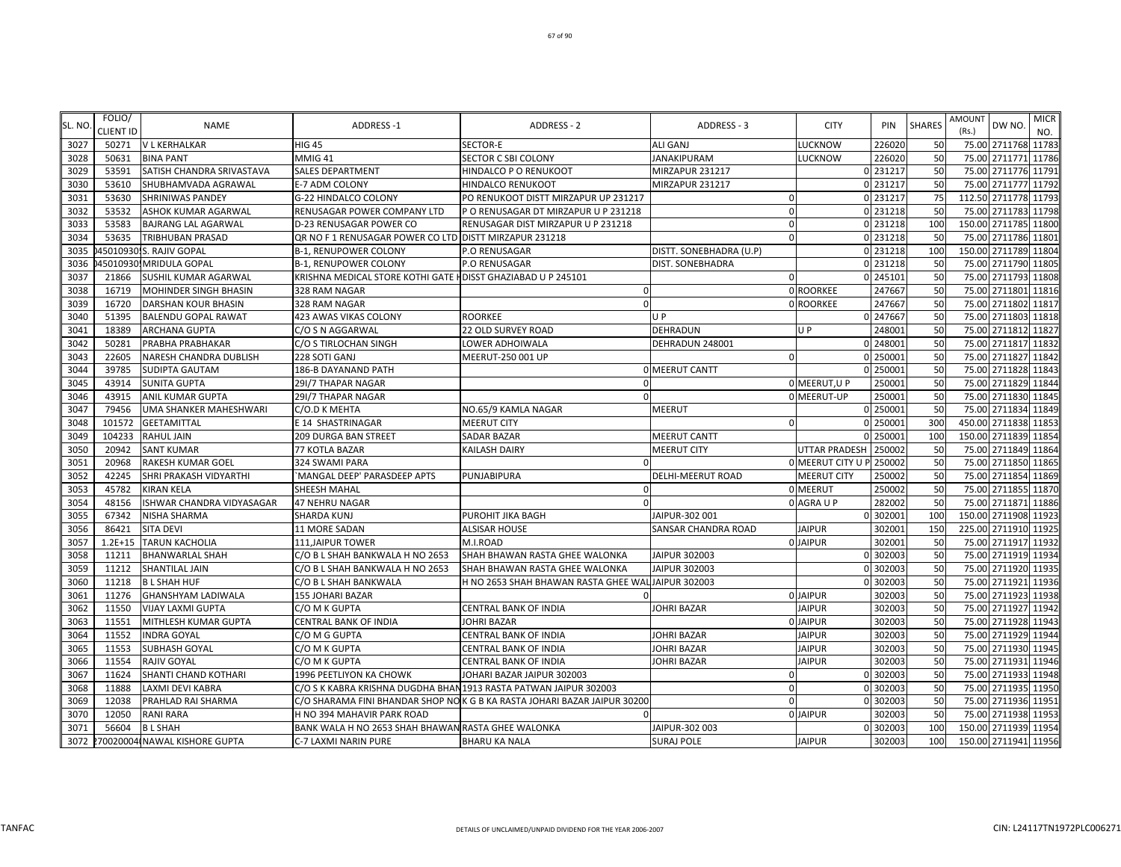| SL. NO. | FOLIO/<br><b>CLIENT ID</b> | <b>NAME</b>                   | <b>ADDRESS-1</b>                                                  | <b>ADDRESS - 2</b>                                                        | ADDRESS - 3             | <b>CITY</b>       | PIN      | <b>SHARES</b> | <b>AMOUNT</b><br>(Rs.) | DW NO.               | <b>MICR</b><br>NO. |
|---------|----------------------------|-------------------------------|-------------------------------------------------------------------|---------------------------------------------------------------------------|-------------------------|-------------------|----------|---------------|------------------------|----------------------|--------------------|
| 3027    | 50271                      | <b>V L KERHALKAR</b>          | <b>HIG 45</b>                                                     | SECTOR-E                                                                  | <b>ALI GANJ</b>         | LUCKNOW           | 226020   | 50            |                        | 75.00 2711768 11783  |                    |
| 3028    | 50631                      | <b>BINA PANT</b>              | MMIG 41                                                           | <b>SECTOR C SBI COLONY</b>                                                | <b>JANAKIPURAM</b>      | LUCKNOW           | 226020   | 50            |                        | 75.00 2711771 11786  |                    |
| 3029    | 53591                      | SATISH CHANDRA SRIVASTAVA     | SALES DEPARTMENT                                                  | HINDALCO P O RENUKOOT                                                     | MIRZAPUR 231217         |                   | 0 231217 | 50            |                        | 75.00 2711776 11791  |                    |
| 3030    | 53610                      | SHUBHAMVADA AGRAWAL           | E-7 ADM COLONY                                                    | HINDALCO RENUKOOT                                                         | MIRZAPUR 231217         |                   | 0 231217 | 50            |                        | 75.00 2711777 11792  |                    |
| 3031    | 53630                      | <b>SHRINIWAS PANDEY</b>       | G-22 HINDALCO COLONY                                              | PO RENUKOOT DISTT MIRZAPUR UP 231217                                      | $\Omega$                |                   | 0 231217 | 75            |                        | 112.50 2711778 11793 |                    |
| 3032    | 53532                      | ASHOK KUMAR AGARWAL           | RENUSAGAR POWER COMPANY LTD                                       | P O RENUSAGAR DT MIRZAPUR U P 231218                                      | $\Omega$                |                   | 0 231218 | 50            |                        | 75.00 2711783 11798  |                    |
| 3033    | 53583                      | <b>BAJRANG LAL AGARWAL</b>    | D-23 RENUSAGAR POWER CO                                           | RENUSAGAR DIST MIRZAPUR U P 231218                                        | $\Omega$                |                   | 0 231218 | 100           |                        | 150.00 2711785 11800 |                    |
| 3034    | 53635                      | TRIBHUBAN PRASAD              | QR NO F 1 RENUSAGAR POWER CO LTD DISTT MIRZAPUR 231218            |                                                                           | $\Omega$                |                   | 0 231218 | 50            |                        | 75.00 2711786 11801  |                    |
| 3035    |                            | 45010930.S. RAJIV GOPAL       | <b>B-1, RENUPOWER COLONY</b>                                      | P.O RENUSAGAR                                                             | DISTT. SONEBHADRA (U.P) |                   | 0 231218 | 100           |                        | 150.00 2711789 11804 |                    |
| 3036    | 45010930                   | <b>MRIDULA GOPAL</b>          | <b>B-1, RENUPOWER COLONY</b>                                      | <b>P.O RENUSAGAR</b>                                                      | DIST. SONEBHADRA        |                   | 0 231218 | 50            |                        | 75.00 2711790 11805  |                    |
| 3037    | 21866                      | SUSHIL KUMAR AGARWAL          | KRISHNA MEDICAL STORE KOTHI GATE HDISST GHAZIABAD U P 245101      |                                                                           | $\Omega$                |                   | 0 245101 | 50            |                        | 75.00 2711793 11808  |                    |
| 3038    | 16719                      | MOHINDER SINGH BHASIN         | 328 RAM NAGAR                                                     | $\Omega$                                                                  |                         | 0 ROORKEE         | 247667   | 50            |                        | 75.00 2711801 11816  |                    |
| 3039    | 16720                      | <b>DARSHAN KOUR BHASIN</b>    | 328 RAM NAGAR                                                     | $\Omega$                                                                  |                         | 0 ROORKEE         | 247667   | 50            |                        | 75.00 2711802 11817  |                    |
| 3040    | 51395                      | <b>BALENDU GOPAL RAWAT</b>    | 423 AWAS VIKAS COLONY                                             | <b>ROORKEE</b>                                                            | U P                     |                   | 0 247667 | 50            |                        | 75.00 2711803        | 11818              |
| 3041    | 18389                      | ARCHANA GUPTA                 | C/O S N AGGARWAL                                                  | 22 OLD SURVEY ROAD                                                        | DEHRADUN                | U P               | 248001   | 50            |                        | 75.00 2711812 11827  |                    |
| 3042    | 50281                      | PRABHA PRABHAKAR              | C/O S TIRLOCHAN SINGH                                             | LOWER ADHOIWALA                                                           | DEHRADUN 248001         |                   | 0 248001 | 50            |                        | 75.00 2711817        | 11832              |
| 3043    | 22605                      | NARESH CHANDRA DUBLISH        | 228 SOTI GANJ                                                     | MEERUT-250 001 UP                                                         | $\Omega$                |                   | 0 250001 | 50            |                        | 75.00 2711827 11842  |                    |
| 3044    | 39785                      | <b>SUDIPTA GAUTAM</b>         | 186-B DAYANAND PATH                                               |                                                                           | <b>0 MEERUT CANTT</b>   |                   | 0 250001 | 50            |                        | 75.00 2711828 11843  |                    |
| 3045    | 43914                      | <b>SUNITA GUPTA</b>           | 29I/7 THAPAR NAGAR                                                | $\Omega$                                                                  |                         | 0 MEERUT, U P     | 250001   | 50            |                        | 75.00 2711829 11844  |                    |
| 3046    | 43915                      | ANIL KUMAR GUPTA              | 29I/7 THAPAR NAGAR                                                |                                                                           |                         | 0 MEERUT-UP       | 250001   | 50            |                        | 75.00 2711830 11845  |                    |
| 3047    | 79456                      | UMA SHANKER MAHESHWARI        | C/O.D K MEHTA                                                     | NO.65/9 KAMLA NAGAR                                                       | MEERUT                  |                   | 0 250001 | 50            |                        | 75.00 2711834 11849  |                    |
| 3048    | 101572                     | <b>GEETAMITTAL</b>            | E 14 SHASTRINAGAR                                                 | <b>MEERUT CITY</b>                                                        | $\sqrt{ }$              |                   | 0 250001 | 300           |                        | 450.00 2711838 11853 |                    |
| 3049    | 104233                     | RAHUL JAIN                    | 209 DURGA BAN STREET                                              | <b>SADAR BAZAR</b>                                                        | <b>MEERUT CANTT</b>     |                   | 250001   | 100           |                        | 150.00 2711839 11854 |                    |
| 3050    | 20942                      | <b>SANT KUMAR</b>             | 77 KOTLA BAZAR                                                    | <b>KAILASH DAIRY</b>                                                      | <b>MEERUT CITY</b>      | UTTAR PRADESH     | 250002   | 50            |                        | 75.00 2711849 11864  |                    |
| 3051    | 20968                      | RAKESH KUMAR GOEL             | 324 SWAMI PARA                                                    |                                                                           |                         | 0 MEERUT CITY U P | 250002   | 50            |                        | 75.00 2711850 11865  |                    |
| 3052    | 42245                      | SHRI PRAKASH VIDYARTHI        | 'MANGAL DEEP' PARASDEEP APTS                                      | PUNJABIPURA                                                               | DELHI-MEERUT ROAD       | MEERUT CITY       | 250002   | 50            |                        | 75.00 2711854 11869  |                    |
| 3053    | 45782                      | KIRAN KELA                    | SHEESH MAHAL                                                      | $\cap$                                                                    |                         | 0 MEERUT          | 250002   | 50            |                        | 75.00 2711855 11870  |                    |
| 3054    | 48156                      | ISHWAR CHANDRA VIDYASAGAR     | 47 NEHRU NAGAR                                                    |                                                                           |                         | 0 AGRA U P        | 282002   | 50            |                        | 75.00 2711871 11886  |                    |
| 3055    | 67342                      | NISHA SHARMA                  | <b>SHARDA KUNJ</b>                                                | PUROHIT JIKA BAGH                                                         | JAIPUR-302 001          |                   | 0 302001 | 100           |                        | 150.00 2711908 11923 |                    |
| 3056    | 86421                      | SITA DEVI                     | 11 MORE SADAN                                                     | <b>ALSISAR HOUSE</b>                                                      | SANSAR CHANDRA ROAD     | <b>JAIPUR</b>     | 302001   | 150           |                        | 225.00 2711910 11925 |                    |
| 3057    | $1.2E + 15$                | <b>TARUN KACHOLIA</b>         | 111, JAIPUR TOWER                                                 | M.I.ROAD                                                                  |                         | 0 JAIPUR          | 302001   | 50            |                        | 75.00 2711917 11932  |                    |
| 3058    | 11211                      | <b>BHANWARLAL SHAH</b>        | C/O B L SHAH BANKWALA H NO 2653                                   | SHAH BHAWAN RASTA GHEE WALONKA                                            | JAIPUR 302003           |                   | 0 302003 | 50            |                        | 75.00 2711919 11934  |                    |
| 3059    | 11212                      | <b>SHANTILAL JAIN</b>         | C/O B L SHAH BANKWALA H NO 2653                                   | SHAH BHAWAN RASTA GHEE WALONKA                                            | JAIPUR 302003           |                   | 0 302003 | 50            |                        | 75.00 2711920 11935  |                    |
| 3060    | 11218                      | <b>BL SHAH HUF</b>            | C/O B L SHAH BANKWALA                                             | H NO 2653 SHAH BHAWAN RASTA GHEE WAL JAIPUR 302003                        |                         |                   | 0 302003 | 50            |                        | 75.00 2711921 11936  |                    |
| 3061    | 11276                      | GHANSHYAM LADIWALA            | 155 JOHARI BAZAR                                                  |                                                                           |                         | 0 JAIPUR          | 302003   | 50            |                        | 75.00 2711923 11938  |                    |
| 3062    | 11550                      | <b>VIJAY LAXMI GUPTA</b>      | C/O M K GUPTA                                                     | CENTRAL BANK OF INDIA                                                     | JOHRI BAZAR             | <b>JAIPUR</b>     | 302003   | 50            |                        | 75.00 2711927 11942  |                    |
| 3063    | 11551                      | MITHLESH KUMAR GUPTA          | CENTRAL BANK OF INDIA                                             | <b>JOHRI BAZAR</b>                                                        |                         | 0 JAIPUR          | 302003   | 50            |                        | 75.00 2711928 11943  |                    |
| 3064    | 11552                      | <b>INDRA GOYAL</b>            | C/O M G GUPTA                                                     | CENTRAL BANK OF INDIA                                                     | <b>JOHRI BAZAR</b>      | <b>JAIPUR</b>     | 302003   | 50            |                        | 75.00 2711929 11944  |                    |
| 3065    | 11553                      | SUBHASH GOYAL                 | C/O M K GUPTA                                                     | <b>CENTRAL BANK OF INDIA</b>                                              | JOHRI BAZAR             | <b>JAIPUR</b>     | 302003   | 50            |                        | 75.00 2711930 11945  |                    |
| 3066    | 11554                      | RAJIV GOYAL                   | C/O M K GUPTA                                                     | CENTRAL BANK OF INDIA                                                     | JOHRI BAZAR             | <b>JAIPUR</b>     | 302003   | 50            |                        | 75.00 2711931 11946  |                    |
| 3067    | 11624                      | SHANTI CHAND KOTHARI          | 1996 PEETLIYON KA CHOWK                                           | JOHARI BAZAR JAIPUR 302003                                                | $\mathbf 0$             |                   | 0 302003 | 50            |                        | 75.00 2711933 11948  |                    |
| 3068    | 11888                      | LAXMI DEVI KABRA              | C/O S K KABRA KRISHNA DUGDHA BHAN 1913 RASTA PATWAN JAIPUR 302003 |                                                                           | $\mathbf 0$             |                   | 0 302003 | 50            |                        | 75.00 2711935 11950  |                    |
| 3069    | 12038                      | PRAHLAD RAI SHARMA            |                                                                   | C/O SHARAMA FINI BHANDAR SHOP NO K G B KA RASTA JOHARI BAZAR JAIPUR 30200 | $\Omega$                |                   | 0 302003 | 50            |                        | 75.00 2711936 11951  |                    |
| 3070    | 12050                      | RANI RARA                     | H NO 394 MAHAVIR PARK ROAD                                        |                                                                           |                         | 0 JAIPUR          | 302003   | 50            |                        | 75.00 2711938 11953  |                    |
| 3071    | 56604                      | <b>BL SHAH</b>                | BANK WALA H NO 2653 SHAH BHAWAN RASTA GHEE WALONKA                |                                                                           | JAIPUR-302 003          |                   | 0 302003 | 100           |                        | 150.00 2711939 11954 |                    |
| 3072    |                            | 270020004 NAWAL KISHORE GUPTA | C-7 LAXMI NARIN PURE                                              | <b>BHARU KA NALA</b>                                                      | <b>SURAJ POLE</b>       | <b>JAIPUR</b>     | 302003   | 100           |                        | 150.00 2711941 11956 |                    |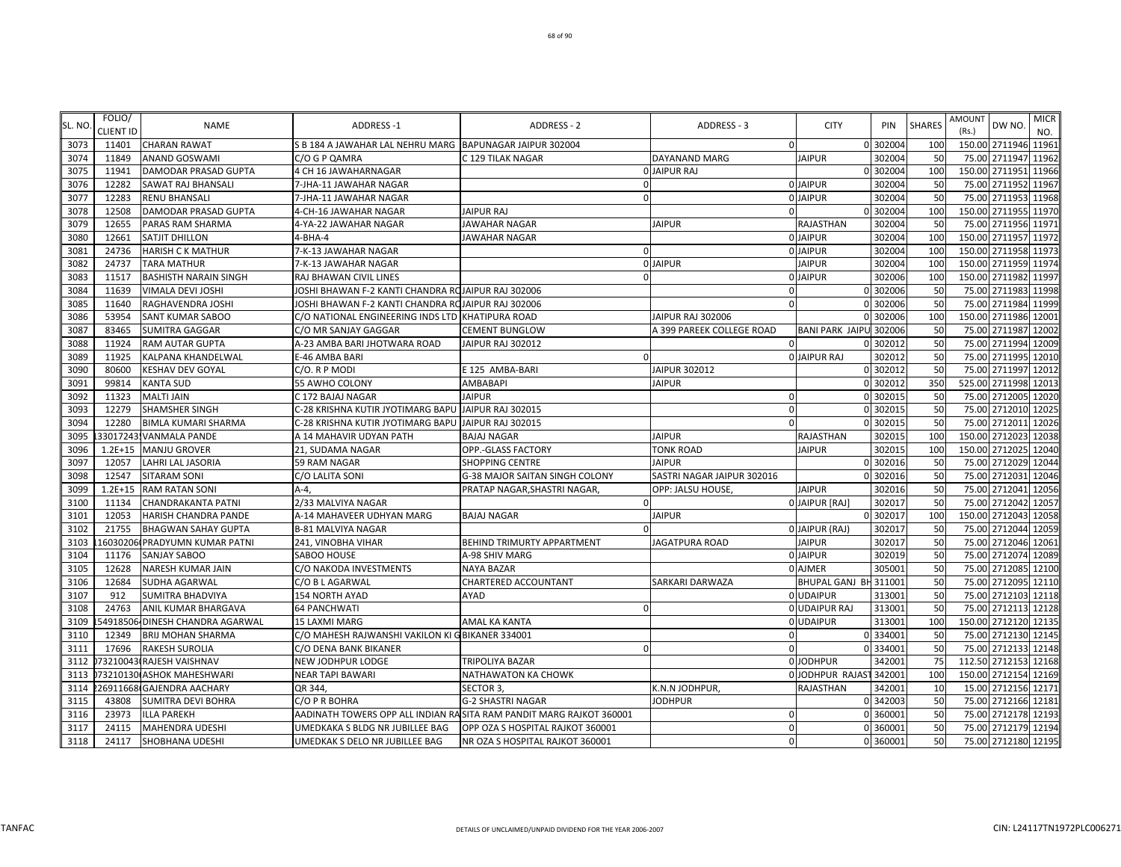| SL. NO | FOLIO/<br><b>CLIENT ID</b> | <b>NAME</b>                     | <b>ADDRESS-1</b>                                         | <b>ADDRESS - 2</b>                                                  | ADDRESS - 3                | <b>CITY</b>             | PIN      | <b>SHARES</b> | AMOUNT<br>(Rs.) | DW NO.               | <b>MICR</b><br>NO. |
|--------|----------------------------|---------------------------------|----------------------------------------------------------|---------------------------------------------------------------------|----------------------------|-------------------------|----------|---------------|-----------------|----------------------|--------------------|
| 3073   | 11401                      | <b>CHARAN RAWAT</b>             | S B 184 A JAWAHAR LAL NEHRU MARG BAPUNAGAR JAIPUR 302004 |                                                                     | $\Omega$                   |                         | 0 302004 | 100           |                 | 150.00 2711946 11961 |                    |
| 3074   | 11849                      | <b>ANAND GOSWAMI</b>            | C/O G P QAMRA                                            | C 129 TILAK NAGAR                                                   | DAYANAND MARG              | <b>JAIPUR</b>           | 302004   | 50            | 75.00           | 2711947 11962        |                    |
| 3075   | 11941                      | <b>DAMODAR PRASAD GUPTA</b>     | 4 CH 16 JAWAHARNAGAR                                     |                                                                     | <b>O JAIPUR RAJ</b>        |                         | 0 302004 | 100           |                 | 150.00 2711951 11966 |                    |
| 3076   | 12282                      | <b>SAWAT RAJ BHANSALI</b>       | 7-JHA-11 JAWAHAR NAGAR                                   |                                                                     |                            | 0 JAIPUR                | 302004   | 50            | 75.00           | 2711952 11967        |                    |
| 3077   | 12283                      | <b>RENU BHANSALI</b>            | 7-JHA-11 JAWAHAR NAGAR                                   |                                                                     |                            | 0 JAIPUR                | 302004   | 50            |                 | 75.00 2711953 11968  |                    |
| 3078   | 12508                      | <b>DAMODAR PRASAD GUPTA</b>     | 4-CH-16 JAWAHAR NAGAR                                    | <b>JAIPUR RAJ</b>                                                   | $\Omega$                   |                         | 0 302004 | 100           | 150.00          | 2711955 11970        |                    |
| 3079   | 12655                      | PARAS RAM SHARMA                | 4-YA-22 JAWAHAR NAGAR                                    | <b>JAWAHAR NAGAR</b>                                                | <b>JAIPUR</b>              | RAJASTHAN               | 302004   | 50            | 75.00           | 2711956 11971        |                    |
| 3080   | 12661                      | <b>SATJIT DHILLON</b>           | 4-BHA-4                                                  | JAWAHAR NAGAR                                                       |                            | 0 JAIPUR                | 302004   | 100           | 150.00          | 2711957 11972        |                    |
| 3081   | 24736                      | <b>HARISH C K MATHUR</b>        | 7-K-13 JAWAHAR NAGAR                                     |                                                                     |                            | 0 JAIPUR                | 302004   | 100           | 150.00          | 2711958 11973        |                    |
| 3082   | 24737                      | <b>TARA MATHUR</b>              | 7-K-13 JAWAHAR NAGAR                                     |                                                                     | 0 JAIPUR                   | <b>JAIPUR</b>           | 302004   | 100           | 150.00          | 2711959 11974        |                    |
| 3083   | 11517                      | <b>BASHISTH NARAIN SINGH</b>    | RAJ BHAWAN CIVIL LINES                                   |                                                                     |                            | <b>O</b> JAIPUR         | 302006   | 100           | 150.00          | 2711982 11997        |                    |
| 3084   | 11639                      | VIMALA DEVI JOSHI               | JOSHI BHAWAN F-2 KANTI CHANDRA ROJAIPUR RAJ 302006       |                                                                     | $\Omega$                   |                         | 0 302006 | 50            |                 | 75.00 2711983 11998  |                    |
| 3085   | 11640                      | RAGHAVENDRA JOSHI               | JOSHI BHAWAN F-2 KANTI CHANDRA ROJAIPUR RAJ 302006       |                                                                     | $\Omega$                   |                         | 0 302006 | 50            | 75.00           | 2711984 11999        |                    |
| 3086   | 53954                      | <b>SANT KUMAR SABOO</b>         | C/O NATIONAL ENGINEERING INDS LTD KHATIPURA ROAD         |                                                                     | JAIPUR RAJ 302006          |                         | 0 302006 | 100           | 150.00          | 2711986 12001        |                    |
| 3087   | 83465                      | <b>SUMITRA GAGGAR</b>           | C/O MR SANJAY GAGGAR                                     | <b>CEMENT BUNGLOW</b>                                               | A 399 PAREEK COLLEGE ROAD  | BANI PARK JAIPU 302006  |          | 50            |                 | 75.00 2711987 12002  |                    |
| 3088   | 11924                      | <b>RAM AUTAR GUPTA</b>          | A-23 AMBA BARI JHOTWARA ROAD                             | JAIPUR RAJ 302012                                                   | $\Omega$                   |                         | 302012   | 50            | 75.00           | 2711994 12009        |                    |
| 3089   | 11925                      | KALPANA KHANDELWAL              | E-46 AMBA BARI                                           |                                                                     |                            | <b>0 JAIPUR RAJ</b>     | 302012   | 50            | 75.00           | 2711995 12010        |                    |
| 3090   | 80600                      | <b>KESHAV DEV GOYAL</b>         | C/O. R P MODI                                            | E 125 AMBA-BARI                                                     | JAIPUR 302012              |                         | 0 302012 | 50            | 75.00           | 2711997 12012        |                    |
| 3091   | 99814                      | <b>KANTA SUD</b>                | 55 AWHO COLONY                                           | AMBABAPI                                                            | JAIPUR                     |                         | 0 302012 | 350           |                 | 525.00 2711998 12013 |                    |
| 3092   | 11323                      | <b>MALTI JAIN</b>               | C 172 BAJAJ NAGAR                                        | <b>JAIPUR</b>                                                       | $\Omega$                   |                         | 0 302015 | 50            |                 | 75.00 2712005 12020  |                    |
| 3093   | 12279                      | <b>SHAMSHER SINGH</b>           | C-28 KRISHNA KUTIR JYOTIMARG BAPU JAIPUR RAJ 302015      |                                                                     | $\mathbf 0$                |                         | 0 302015 | 50            | 75.00           | 2712010 12025        |                    |
| 3094   | 12280                      | <b>BIMLA KUMARI SHARMA</b>      | C-28 KRISHNA KUTIR JYOTIMARG BAPU JAIPUR RAJ 302015      |                                                                     | $\Omega$                   |                         | 0 302015 | 50            | 75.00           | 2712011 12026        |                    |
| 3095   |                            | 33017243 VANMALA PANDE          | A 14 MAHAVIR UDYAN PATH                                  | <b>BAJAJ NAGAR</b>                                                  | <b>JAIPUR</b>              | RAJASTHAN               | 302015   | 100           | 150.00          | 2712023 12038        |                    |
| 3096   | $1.2E + 15$                | <b>MANJU GROVER</b>             | 21, SUDAMA NAGAR                                         | OPP.-GLASS FACTORY                                                  | <b>TONK ROAD</b>           | <b>JAIPUR</b>           | 302015   | 100           |                 | 150.00 2712025 12040 |                    |
| 3097   | 12057                      | LAHRI LAL JASORIA               | 59 RAM NAGAR                                             | <b>SHOPPING CENTRE</b>                                              | <b>JAIPUR</b>              |                         | 0 302016 | 50            | 75.00           | 2712029 12044        |                    |
| 3098   | 12547                      | <b>SITARAM SONI</b>             | C/O LALITA SONI                                          | G-38 MAJOR SAITAN SINGH COLONY                                      | SASTRI NAGAR JAIPUR 302016 |                         | 0 302016 | 50            |                 | 75.00 2712031 12046  |                    |
| 3099   | $1.2E + 15$                | <b>RAM RATAN SONI</b>           | $A-4.$                                                   | PRATAP NAGAR, SHASTRI NAGAR,                                        | OPP: JALSU HOUSE.          | <b>JAIPUR</b>           | 302016   | 50            | 75.00           | 2712041 12056        |                    |
| 3100   | 11134                      | <b>CHANDRAKANTA PATNI</b>       | 2/33 MALVIYA NAGAR                                       |                                                                     |                            | 0 JAIPUR [RAJ]          | 302017   | 50            |                 | 75.00 2712042 12057  |                    |
| 3101   | 12053                      | <b>HARISH CHANDRA PANDE</b>     | A-14 MAHAVEER UDHYAN MARG                                | <b>BAJAJ NAGAR</b>                                                  | <b>JAIPUR</b>              |                         | 0 302017 | 100           | 150.00          | 2712043 12058        |                    |
| 3102   | 21755                      | <b>BHAGWAN SAHAY GUPTA</b>      | <b>B-81 MALVIYA NAGAR</b>                                |                                                                     |                            | 0 JAIPUR (RAJ)          | 302017   | 50            | 75.00           | 2712044 12059        |                    |
| 3103   |                            | 16030206 PRADYUMN KUMAR PATNI   | 241, VINOBHA VIHAR                                       | BEHIND TRIMURTY APPARTMENT                                          | JAGATPURA ROAD             | <b>JAIPUR</b>           | 302017   | 50            | 75.00           | 2712046 12061        |                    |
| 3104   | 11176                      | <b>SANJAY SABOO</b>             | SABOO HOUSE                                              | A-98 SHIV MARG                                                      |                            | 0 JAIPUR                | 302019   | 50            | 75.00           | 2712074 12089        |                    |
| 3105   | 12628                      | <b>NARESH KUMAR JAIN</b>        | C/O NAKODA INVESTMENTS                                   | NAYA BAZAR                                                          |                            | 0 AJMER                 | 305001   | 50            | 75.00           | 2712085 12100        |                    |
| 3106   | 12684                      | <b>SUDHA AGARWAL</b>            | C/O B L AGARWAL                                          | CHARTERED ACCOUNTANT                                                | SARKARI DARWAZA            | BHUPAL GANJ BI          | 311001   | 50            | 75.00           | 2712095 12110        |                    |
| 3107   | 912                        | <b>SUMITRA BHADVIYA</b>         | 154 NORTH AYAD                                           | AYAD                                                                |                            | 0 UDAIPUR               | 313001   | 50            |                 | 75.00 2712103 12118  |                    |
| 3108   | 24763                      | <b>ANIL KUMAR BHARGAVA</b>      | <b>64 PANCHWATI</b>                                      |                                                                     |                            | O UDAIPUR RAJ           | 313001   | 50            | 75.00           | 2712113 12128        |                    |
| 3109   |                            | 54918506 DINESH CHANDRA AGARWAL | <b>15 LAXMI MARG</b>                                     | AMAL KA KANTA                                                       |                            | <b>OUDAIPUR</b>         | 313001   | 100           | 150.00          | 2712120 12135        |                    |
| 3110   | 12349                      | <b>BRIJ MOHAN SHARMA</b>        | C/O MAHESH RAJWANSHI VAKILON KI G BIKANER 334001         |                                                                     | $\Omega$                   |                         | 0 334001 | 50            |                 | 75.00 2712130 12145  |                    |
| 3111   | 17696                      | <b>RAKESH SUROLIA</b>           | C/O DENA BANK BIKANER                                    |                                                                     | $\Omega$                   |                         | 0 334001 | 50            | 75.00           | 2712133 12148        |                    |
| 3112   |                            | 73210043 RAJESH VAISHNAV        | NEW JODHPUR LODGE                                        | TRIPOLIYA BAZAR                                                     |                            | 0 JODHPUR               | 342001   | 75            | 112.50          | 2712153 12168        |                    |
| 3113   |                            | 73210130 ASHOK MAHESHWARI       | <b>NEAR TAPI BAWARI</b>                                  | NATHAWATON KA CHOWK                                                 |                            | 0 JODHPUR RAJAST 342001 |          | 100           | 150.00          | 2712154 12169        |                    |
| 3114   |                            | 26911668 GAJENDRA AACHARY       | QR 344,                                                  | SECTOR 3,                                                           | K.N.N JODHPUR,             | RAJASTHAN               | 342001   | 10            |                 | 15.00 2712156 12171  |                    |
| 3115   | 43808                      | <b>SUMITRA DEVI BOHRA</b>       | C/O P R BOHRA                                            | <b>G-2 SHASTRI NAGAR</b>                                            | <b>JODHPUR</b>             |                         | 0 342003 | 50            |                 | 75.00 2712166 12181  |                    |
| 3116   | 23973                      | <b>ILLA PAREKH</b>              |                                                          | AADINATH TOWERS OPP ALL INDIAN RASITA RAM PANDIT MARG RAJKOT 360001 | $\mathbf 0$                |                         | 0 36000  | 50            | 75.00           | 2712178 12193        |                    |
| 3117   | 24115                      | <b>MAHENDRA UDESHI</b>          | UMEDKAKA S BLDG NR JUBILLEE BAG                          | OPP OZA S HOSPITAL RAJKOT 360001                                    | $\Omega$                   |                         | 0 360001 | 50            |                 | 75.00 2712179 12194  |                    |
| 3118   |                            | 24117 SHOBHANA UDESHI           | UMEDKAK S DELO NR JUBILLEE BAG                           | <b>INR OZA S HOSPITAL RAJKOT 360001</b>                             | $\Omega$                   |                         | 0 360001 | 50            |                 | 75.00 2712180 12195  |                    |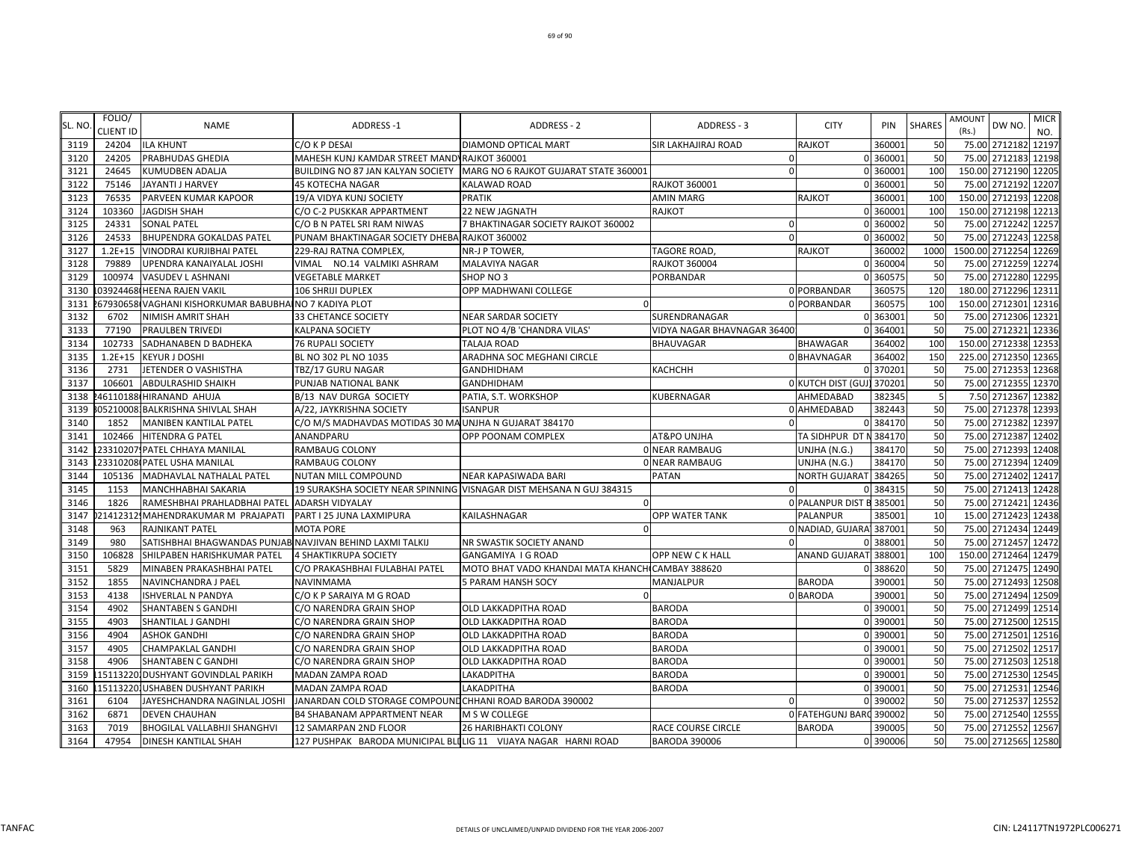| SL. NO | FOLIO/<br><b>CLIENT ID</b> | <b>NAME</b>                                               | <b>ADDRESS-1</b>                                               | ADDRESS - 2                                                          | ADDRESS - 3                 | <b>CITY</b>               | PIN      | <b>SHARES</b> | AMOUNT<br>DW NO.<br>(Rs.) | <b>MICR</b><br>NO. |
|--------|----------------------------|-----------------------------------------------------------|----------------------------------------------------------------|----------------------------------------------------------------------|-----------------------------|---------------------------|----------|---------------|---------------------------|--------------------|
| 3119   | 24204                      | <b>ILA KHUNT</b>                                          | C/O K P DESAI                                                  | <b>DIAMOND OPTICAL MART</b>                                          | <b>SIR LAKHAJIRAJ ROAD</b>  | <b>RAJKOT</b>             | 360001   | 50            | 75.00 2712182             | 12197              |
| 3120   | 24205                      | PRABHUDAS GHEDIA                                          | MAHESH KUNJ KAMDAR STREET MAND RAJKOT 360001                   |                                                                      | $\mathbf 0$                 |                           | 0 360001 | 50            | 75.00 2712183             | 12198              |
| 3121   | 24645                      | <b>KUMUDBEN ADALJA</b>                                    | BUILDING NO 87 JAN KALYAN SOCIETY                              | MARG NO 6 RAJKOT GUJARAT STATE 360001                                | $\Omega$                    |                           | 0 360001 | 100           | 150.00 2712190 12205      |                    |
| 3122   | 75146                      | JAYANTI J HARVEY                                          | <b>45 KOTECHA NAGAR</b>                                        | <b>KALAWAD ROAD</b>                                                  | <b>RAJKOT 360001</b>        |                           | 0 360001 | 50            | 75.00 2712192             | 12207              |
| 3123   | 76535                      | PARVEEN KUMAR KAPOOR                                      | 19/A VIDYA KUNJ SOCIETY                                        | <b>PRATIK</b>                                                        | AMIN MARG                   | <b>RAJKOT</b>             | 360001   | 100           | 150.00 2712193 12208      |                    |
| 3124   | 103360                     | <b>JAGDISH SHAH</b>                                       | C/O C-2 PUSKKAR APPARTMENT                                     | <b>22 NEW JAGNATH</b>                                                | RAJKOT                      |                           | 0 360001 | 100           | 150.00 2712198 12213      |                    |
| 3125   | 24331                      | <b>SONAL PATEL</b>                                        | C/O B N PATEL SRI RAM NIWAS                                    | 7 BHAKTINAGAR SOCIETY RAJKOT 360002                                  | $\Omega$                    |                           | 0 360002 | 50            | 75.00 2712242 12257       |                    |
| 3126   | 24533                      | <b>BHUPENDRA GOKALDAS PATEL</b>                           | PUNAM BHAKTINAGAR SOCIETY DHEBA RAJKOT 360002                  |                                                                      |                             |                           | 0 360002 | 50            | 75.00 2712243             | 12258              |
| 3127   | $1.2E + 15$                | VINODRAI KURJIBHAI PATEL                                  | 229-RAJ RATNA COMPLEX,                                         | NR-J P TOWER,                                                        | TAGORE ROAD,                | RAJKOT                    | 360002   | 1000          | 1500.00 2712254           | 12269              |
| 3128   | 79889                      | UPENDRA KANAIYALAL JOSHI                                  | VIMAL NO.14 VALMIKI ASHRAM                                     | MALAVIYA NAGAR                                                       | RAJKOT 360004               |                           | 0 360004 | 50            | 75.00 2712259             | 12274              |
| 3129   | 100974                     | <b>VASUDEV L ASHNANI</b>                                  | <b>VEGETABLE MARKET</b>                                        | SHOP NO 3                                                            | PORBANDAR                   |                           | 0 360575 | 50            | 75.00 2712280 12295       |                    |
| 3130   |                            | 03924468 HEENA RAJEN VAKIL                                | 106 SHRIJI DUPLEX                                              | OPP MADHWANI COLLEGE                                                 |                             | 0 PORBANDAR               | 360575   | 120           | 180.00 2712296 12311      |                    |
| 3131   |                            | 67930658 VAGHANI KISHORKUMAR BABUBHAINO 7 KADIYA PLOT     |                                                                |                                                                      |                             | 0 PORBANDAR               | 360575   | <b>100</b>    | 150.00 2712301            | 12316              |
| 3132   | 6702                       | <b>NIMISH AMRIT SHAH</b>                                  | 33 CHETANCE SOCIETY                                            | <b>NEAR SARDAR SOCIETY</b>                                           | SURENDRANAGAR               |                           | 0 363001 | 50            | 2712306<br>75.00          | 12321              |
| 3133   | 77190                      | <b>PRAULBEN TRIVEDI</b>                                   | <b>KALPANA SOCIETY</b>                                         | PLOT NO 4/B 'CHANDRA VILAS'                                          | VIDYA NAGAR BHAVNAGAR 36400 |                           | 0 364001 | 50            | 75.00 2712321             | 12336              |
| 3134   | 102733                     | SADHANABEN D BADHEKA                                      | <b>76 RUPALI SOCIETY</b>                                       | TALAJA ROAD                                                          | BHAUVAGAR                   | <b>BHAWAGAR</b>           | 364002   | 100           | 150.00 2712338            | 12353              |
| 3135   | $1.2E + 15$                | <b>KEYUR J DOSHI</b>                                      | BL NO 302 PL NO 1035                                           | ARADHNA SOC MEGHANI CIRCLE                                           |                             | 0 BHAVNAGAR               | 364002   | 150           | 225.00 2712350 12365      |                    |
| 3136   | 2731                       | JETENDER O VASHISTHA                                      | TBZ/17 GURU NAGAR                                              | <b>GANDHIDHAM</b>                                                    | КАСНСНН                     |                           | 0 370201 | 50            | 75.00 2712353             | 12368              |
| 3137   | 106601                     | <b>ABDULRASHID SHAIKH</b>                                 | PUNJAB NATIONAL BANK                                           | <b>GANDHIDHAM</b>                                                    |                             | 0 KUTCH DIST (GUJ) 370201 |          | 50            | 75.00 2712355 12370       |                    |
| 3138   |                            | 46110188 HIRANAND AHUJA                                   | B/13 NAV DURGA SOCIETY                                         | PATIA, S.T. WORKSHOP                                                 | KUBERNAGAR                  | AHMEDABAD                 | 382345   |               | 7.50 2712367 12382        |                    |
| 3139   |                            | 05210008 BALKRISHNA SHIVLAL SHAH                          | A/22, JAYKRISHNA SOCIETY                                       | <b>ISANPUR</b>                                                       |                             | 0 AHMEDABAD               | 382443   | 50            | 75.00                     | 2712378 12393      |
| 3140   | 1852                       | <b>MANIBEN KANTILAL PATEL</b>                             | C/O M/S MADHAVDAS MOTIDAS 30 MA UNJHA N GUJARAT 384170         |                                                                      |                             |                           | 0 384170 | 50            | 75.00 2712382             | 12397              |
| 3141   | 102466                     | HITENDRA G PATEL                                          | ANANDPARU                                                      | OPP POONAM COMPLEX                                                   | AT&PO UNJHA                 | TA SIDHPUR DT N           | 384170   | 50            | 75.00<br>2712387          | 12402              |
| 3142   |                            | 23310207 PATEL CHHAYA MANILAL                             | <b>RAMBAUG COLONY</b>                                          |                                                                      | <b>0 NEAR RAMBAUG</b>       | UNJHA (N.G.)              | 384170   | 50            | 75.00 2712393             | 12408              |
| 3143   |                            | 23310208 PATEL USHA MANILAL                               | <b>RAMBAUG COLONY</b>                                          |                                                                      | <b>0 NEAR RAMBAUG</b>       | UNJHA (N.G.)              | 384170   | 50            | 75.00 2712394             | 12409              |
| 3144   |                            | 105136 MADHAVLAL NATHALAL PATEL                           | <b>NUTAN MILL COMPOUND</b>                                     | <b>NEAR KAPASIWADA BARI</b>                                          | PATAN                       | NORTH GUJARAT 384265      |          | 50            | 75.00 2712402             | 12417              |
| 3145   | 1153                       | <b>MANCHHABHAI SAKARIA</b>                                |                                                                | 19 SURAKSHA SOCIETY NEAR SPINNING VISNAGAR DIST MEHSANA N GUJ 384315 | $\Omega$                    |                           | 0 384315 | 50            | 75.00 2712413             | 12428              |
| 3146   | 1826                       | RAMESHBHAI PRAHLADBHAI PATEL ADARSH VIDYALAY              |                                                                |                                                                      |                             | 0 PALANPUR DIST B 385001  |          | 50            | 75.00 2712421             | 12436              |
| 3147   |                            | 21412312 MAHENDRAKUMAR M PRAJAPATI                        | PART I 25 JUNA LAXMIPURA                                       | KAILASHNAGAR                                                         | OPP WATER TANK              | PALANPUR                  | 385001   | 10            | 2712423<br>15.00          | 12438              |
| 3148   | 963                        | <b>RAJNIKANT PATEL</b>                                    | <b>MOTA PORE</b>                                               |                                                                      |                             | 0 NADIAD, GUJARA 387001   |          | 50            | 75.00<br>2712434          | 12449              |
| 3149   | 980                        | SATISHBHAI BHAGWANDAS PUNJAB NAVJIVAN BEHIND LAXMI TALKIJ |                                                                | NR SWASTIK SOCIETY ANAND                                             |                             |                           | 0 38800  | 50            | 75.00 2712457             | 12472              |
| 3150   | 106828                     | SHILPABEN HARISHKUMAR PATEL                               | 4 SHAKTIKRUPA SOCIETY                                          | GANGAMIYA I G ROAD                                                   | OPP NEW CK HALL             | ANAND GUJARAT 388001      |          | 100           | 150.00 2712464            | 12479              |
| 3151   | 5829                       | MINABEN PRAKASHBHAI PATEL                                 | C/O PRAKASHBHAI FULABHAI PATEL                                 | MOTO BHAT VADO KHANDAI MATA KHANCH CAMBAY 388620                     |                             |                           | 0 388620 | 50            | 75.00 2712475             | 12490              |
| 3152   | 1855                       | NAVINCHANDRA J PAEL                                       | <b>NAVINMAMA</b>                                               | 5 PARAM HANSH SOCY                                                   | MANJALPUR                   | <b>BARODA</b>             | 390001   | 50            | 75.00 2712493             | 12508              |
| 3153   | 4138                       | <b>ISHVERLAL N PANDYA</b>                                 | C/O K P SARAIYA M G ROAD                                       |                                                                      |                             | 0 BARODA                  | 390001   | 50            | 75.00 2712494 12509       |                    |
| 3154   | 4902                       | <b>SHANTABEN S GANDHI</b>                                 | C/O NARENDRA GRAIN SHOP                                        | <b>OLD LAKKADPITHA ROAD</b>                                          | <b>BARODA</b>               |                           | 0 39000  | 50            | 75.00 2712499 12514       |                    |
| 3155   | 4903                       | <b>SHANTILAL J GANDHI</b>                                 | C/O NARENDRA GRAIN SHOP                                        | <b>OLD LAKKADPITHA ROAD</b>                                          | <b>BARODA</b>               |                           | 0 390001 | 50            | 2712500<br>75.00          | 12515              |
| 3156   | 4904                       | <b>ASHOK GANDHI</b>                                       | C/O NARENDRA GRAIN SHOP                                        | OLD LAKKADPITHA ROAD                                                 | <b>BARODA</b>               |                           | 0 390001 | 50            | 75.00 2712501             | 12516              |
| 3157   | 4905                       | <b>CHAMPAKLAL GANDHI</b>                                  | C/O NARENDRA GRAIN SHOP                                        | OLD LAKKADPITHA ROAD                                                 | <b>BARODA</b>               |                           | 0 390001 | 50            | 75.00 2712502             | 12517              |
| 3158   | 4906                       | <b>SHANTABEN C GANDHI</b>                                 | C/O NARENDRA GRAIN SHOP                                        | OLD LAKKADPITHA ROAD                                                 | <b>BARODA</b>               |                           | 0 390001 | 50            | 75.00 2712503             | 12518              |
| 3159   |                            | 151132201DUSHYANT GOVINDLAL PARIKH                        | <b>MADAN ZAMPA ROAD</b>                                        | LAKADPITHA                                                           | <b>BARODA</b>               |                           | 0 390001 | 50            | 75.00 2712530             | 12545              |
| 3160   |                            | 15113220JUSHABEN DUSHYANT PARIKH                          | <b>MADAN ZAMPA ROAD</b>                                        | <b>LAKADPITHA</b>                                                    | <b>BARODA</b>               |                           | 0 390001 | 50            | 75.00 2712531             | 12546              |
| 3161   | 6104                       | JAYESHCHANDRA NAGINLAL JOSHI                              | JANARDAN COLD STORAGE COMPOUND CHHANI ROAD BARODA 390002       |                                                                      |                             |                           | 0 390002 | 50            | 75.00 2712537 12552       |                    |
| 3162   | 6871                       | <b>DEVEN CHAUHAN</b>                                      | <b>B4 SHABANAM APPARTMENT NEAR</b>                             | M S W COLLEGE                                                        |                             | 0 FATEHGUNJ BARC 390002   |          | 50            | 75.00                     | 2712540 12555      |
| 3163   | 7019                       | <b>BHOGILAL VALLABHJI SHANGHVI</b>                        | 12 SAMARPAN 2ND FLOOR                                          | <b>26 HARIBHAKTI COLONY</b>                                          | RACE COURSE CIRCLE          | <b>BARODA</b>             | 390005   | 50            | 75.00 2712552 12567       |                    |
| 3164   | 47954                      | <b>DINESH KANTILAL SHAH</b>                               | 127 PUSHPAK BARODA MUNICIPAL BLILIG 11 VIJAYA NAGAR HARNI ROAD |                                                                      | <b>BARODA 390006</b>        |                           | 0 390006 | 50            | 75.00 2712565 12580       |                    |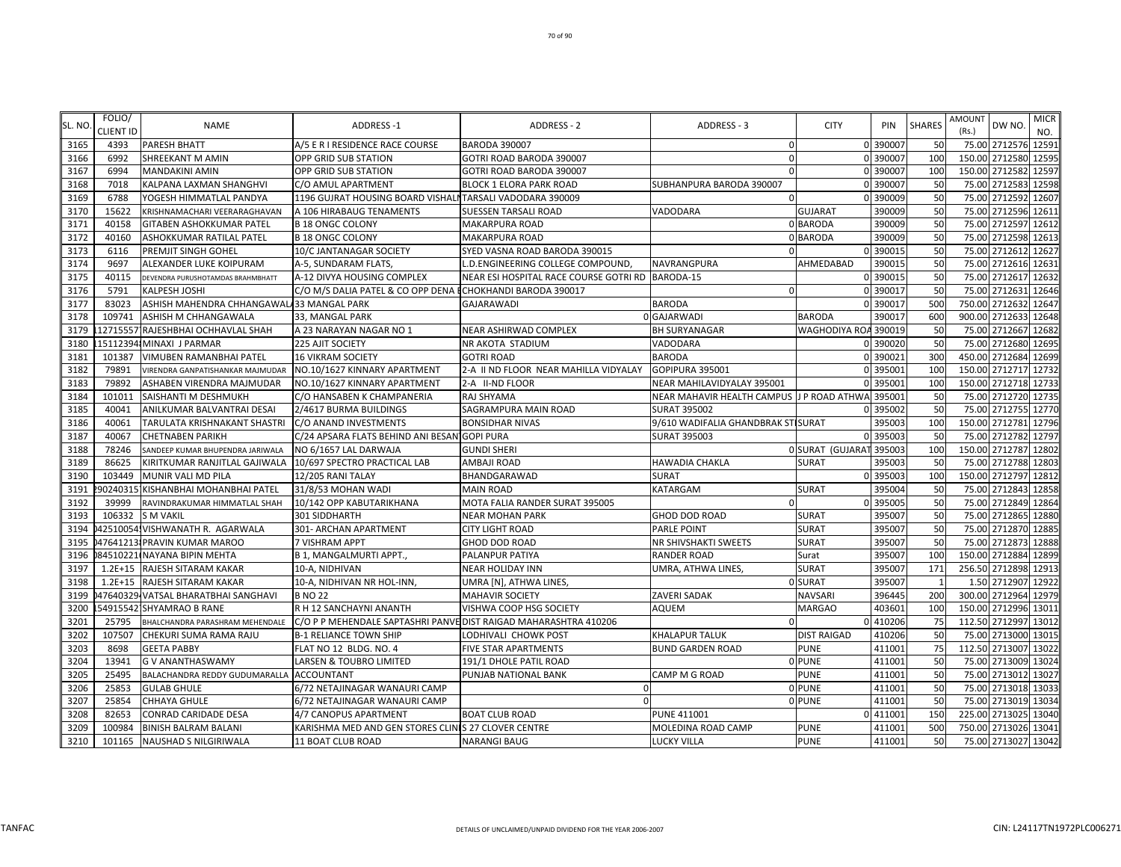| SL. NO | FOLIO/<br><b>CLIENT ID</b> | <b>NAME</b>                               | <b>ADDRESS-1</b>                                                 | ADDRESS - 2                                      | ADDRESS - 3                               | <b>CITY</b>          | PIN      | <b>SHARES</b>  | AMOUNT<br>(Rs.) | DW NO.               | <b>MICR</b><br>NO. |
|--------|----------------------------|-------------------------------------------|------------------------------------------------------------------|--------------------------------------------------|-------------------------------------------|----------------------|----------|----------------|-----------------|----------------------|--------------------|
| 3165   | 4393                       | <b>PARESH BHATT</b>                       | A/5 E R I RESIDENCE RACE COURSE                                  | <b>BARODA 390007</b>                             | $\mathbf 0$                               |                      | 0 390007 | 50             |                 | 75.00 2712576 12591  |                    |
| 3166   | 6992                       | SHREEKANT M AMIN                          | OPP GRID SUB STATION                                             | GOTRI ROAD BARODA 390007                         | $\mathbf{0}$                              |                      | 0 390007 | 100            |                 | 150.00 2712580 12595 |                    |
| 3167   | 6994                       | MANDAKINI AMIN                            | OPP GRID SUB STATION                                             | GOTRI ROAD BARODA 390007                         | $\mathbf 0$                               |                      | 0 390007 | 100            |                 | 150.00 2712582 12597 |                    |
| 3168   | 7018                       | KALPANA LAXMAN SHANGHVI                   | C/O AMUL APARTMENT                                               | BLOCK 1 ELORA PARK ROAD                          | SUBHANPURA BARODA 390007                  |                      | 0 390007 | 50             | 75.00           | 2712583              | 12598              |
| 3169   | 6788                       | YOGESH HIMMATLAL PANDYA                   | 1196 GUJRAT HOUSING BOARD VISHALI TARSALI VADODARA 390009        |                                                  | $\mathbf 0$                               |                      | 0 390009 | 50             |                 | 75.00 2712592 12607  |                    |
| 3170   | 15622                      | KRISHNAMACHARI VEERARAGHAVAN              | A 106 HIRABAUG TENAMENTS                                         | SUESSEN TARSALI ROAD                             | VADODARA                                  | <b>GUJARAT</b>       | 390009   | 50             | 75.00           | 2712596 12611        |                    |
| 3171   | 40158                      | GITABEN ASHOKKUMAR PATEL                  | <b>B 18 ONGC COLONY</b>                                          | MAKARPURA ROAD                                   |                                           | 0 BARODA             | 390009   | 50             | 75.00           | 2712597 12612        |                    |
| 3172   | 40160                      | ASHOKKUMAR RATILAL PATEL                  | <b>B 18 ONGC COLONY</b>                                          | MAKARPURA ROAD                                   |                                           | 0 BARODA             | 390009   | 50             |                 | 75.00 2712598 12613  |                    |
| 3173   | 6116                       | PREMJIT SINGH GOHEL                       | 10/C JANTANAGAR SOCIETY                                          | SYED VASNA ROAD BARODA 390015                    | $\Omega$                                  |                      | 0 390015 | 50             |                 | 75.00 2712612 12627  |                    |
| 3174   | 9697                       | ALEXANDER LUKE KOIPURAM                   | A-5, SUNDARAM FLATS,                                             | D.ENGINEERING COLLEGE COMPOUND,                  | NAVRANGPURA                               | AHMEDABAD            | 390015   | 50             |                 | 75.00 2712616 12631  |                    |
| 3175   | 40115                      | DEVENDRA PURUSHOTAMDAS BRAHMBHATT         | A-12 DIVYA HOUSING COMPLEX                                       | NEAR ESI HOSPITAL RACE COURSE GOTRI RD BARODA-15 |                                           |                      | 0 390015 | 50             |                 | 75.00 2712617 12632  |                    |
| 3176   | 5791                       | KALPESH JOSHI                             | C/O M/S DALIA PATEL & CO OPP DENA ECHOKHANDI BARODA 390017       |                                                  | $\mathbf 0$                               |                      | 0 390017 | 50             | 75.00           | 2712631 12646        |                    |
| 3177   | 83023                      | ASHISH MAHENDRA CHHANGAWALA33 MANGAL PARK |                                                                  | GAJARAWADI                                       | <b>BARODA</b>                             |                      | 0 390017 | 500            | 750.00          | 2712632 12647        |                    |
| 3178   | 109741                     | ASHISH M CHHANGAWALA                      | 33, MANGAL PARK                                                  |                                                  | 0 GAJARWADI                               | <b>BARODA</b>        | 390017   | 600            |                 | 900.00 2712633 12648 |                    |
| 3179   |                            | 12715557 RAJESHBHAI OCHHAVLAL SHAH        | A 23 NARAYAN NAGAR NO 1                                          | NEAR ASHIRWAD COMPLEX                            | <b>BH SURYANAGAR</b>                      | WAGHODIYA ROA 390019 |          | 50             |                 | 75.00 2712667 12682  |                    |
| 3180   |                            | 15112394: MINAXI J PARMAR                 | 225 AJIT SOCIETY                                                 | NR AKOTA STADIUM                                 | VADODARA                                  |                      | 0 390020 | 50             |                 | 75.00 2712680 12695  |                    |
| 3181   | 101387                     | VIMUBEN RAMANBHAI PATEL                   | <b>16 VIKRAM SOCIETY</b>                                         | <b>GOTRI ROAD</b>                                | <b>BARODA</b>                             |                      | 0 390021 | 300            |                 | 450.00 2712684 12699 |                    |
| 3182   | 79891                      | VIRENDRA GANPATISHANKAR MAJMUDAR          | NO.10/1627 KINNARY APARTMENT                                     | 2-A II ND FLOOR NEAR MAHILLA VIDYALAY            | GOPIPURA 395001                           |                      | 0 395001 | 100            |                 | 150.00 2712717 12732 |                    |
| 3183   | 79892                      | ASHABEN VIRENDRA MAJMUDAR                 | NO.10/1627 KINNARY APARTMENT                                     | 2-A II-ND FLOOR                                  | NEAR MAHILAVIDYALAY 395001                |                      | 0 395001 | 100            |                 | 150.00 2712718 12733 |                    |
| 3184   | 101011                     | SAISHANTI M DESHMUKH                      | C/O HANSABEN K CHAMPANERIA                                       | RAJ SHYAMA                                       | NEAR MAHAVIR HEALTH CAMPUS J P ROAD ATHWA |                      | 39500    | 50             |                 | 75.00 2712720 12735  |                    |
| 3185   | 40041                      | ANILKUMAR BALVANTRAI DESAI                | 2/4617 BURMA BUILDINGS                                           | SAGRAMPURA MAIN ROAD                             | <b>SURAT 395002</b>                       |                      | 0 39500  | 50             |                 | 75.00 2712755 12770  |                    |
| 3186   | 40061                      | TARULATA KRISHNAKANT SHASTRI              | C/O ANAND INVESTMENTS                                            | <b>BONSIDHAR NIVAS</b>                           | 9/610 WADIFALIA GHANDBRAK STISURAT        |                      | 395003   | 100            | 150.00          | 2712781 12796        |                    |
| 3187   | 40067                      | <b>CHETNABEN PARIKH</b>                   | C/24 APSARA FLATS BEHIND ANI BESAN GOPI PURA                     |                                                  | <b>SURAT 395003</b>                       |                      | 0 395003 | 50             | 75.00           | 2712782 12797        |                    |
| 3188   | 78246                      | SANDEEP KUMAR BHUPENDRA JARIWALA          | NO 6/1657 LAL DARWAJA                                            | <b>GUNDI SHERI</b>                               |                                           | 0 SURAT (GUJARA)     | 395003   | 100            |                 | 150.00 2712787 12802 |                    |
| 3189   | 86625                      | KIRITKUMAR RANJITLAL GAJIWALA             | 10/697 SPECTRO PRACTICAL LAB                                     | AMBAJI ROAD                                      | <b>HAWADIA CHAKLA</b>                     | <b>SURAT</b>         | 395003   | 50             |                 | 75.00 2712788 12803  |                    |
| 3190   | 103449                     | MUNIR VALI MD PILA                        | 12/205 RANI TALAY                                                | BHANDGARAWAD                                     | <b>SURAT</b>                              |                      | 0 395003 | 100            |                 | 150.00 2712797 12812 |                    |
| 3191   |                            | 90240315 KISHANBHAI MOHANBHAI PATEL       | 31/8/53 MOHAN WADI                                               | <b>MAIN ROAD</b>                                 | <b>KATARGAM</b>                           | <b>SURAT</b>         | 395004   | 50             |                 | 75.00 2712843 12858  |                    |
| 3192   | 39999                      | RAVINDRAKUMAR HIMMATLAL SHAH              | 10/142 OPP KABUTARIKHANA                                         | MOTA FALIA RANDER SURAT 395005                   | $\Omega$                                  |                      | 0 395005 | 50             |                 | 75.00 2712849        | 12864              |
| 3193   | 106332                     | <b>S M VAKIL</b>                          | 301 SIDDHARTH                                                    | <b>NEAR MOHAN PARK</b>                           | GHOD DOD ROAD                             | <b>SURAT</b>         | 395007   | 50             | 75.00           | 2712865              | 12880              |
| 3194   |                            | 42510054. VISHWANATH R. AGARWALA          | 301- ARCHAN APARTMENT                                            | <b>CITY LIGHT ROAD</b>                           | <b>PARLE POINT</b>                        | <b>SURAT</b>         | 395007   | 50             |                 | 75.00 2712870 12885  |                    |
| 3195   |                            | 0476412131PRAVIN KUMAR MAROO              | 7 VISHRAM APPT                                                   | GHOD DOD ROAD                                    | NR SHIVSHAKTI SWEETS                      | <b>SURAT</b>         | 395007   | 50             | 75.00           | 2712873 12888        |                    |
| 3196   |                            | 84510221 NAYANA BIPIN MEHTA               | <b>B 1, MANGALMURTI APPT.</b>                                    | PALANPUR PATIYA                                  | <b>RANDER ROAD</b>                        | Surat                | 395007   | 100            | 150.00          | 2712884              | 12899              |
| 3197   |                            | 1.2E+15 RAJESH SITARAM KAKAR              | 10-A, NIDHIVAN                                                   | NEAR HOLIDAY INN                                 | UMRA, ATHWA LINES,                        | <b>SURAT</b>         | 395007   | 171            |                 | 256.50 2712898 12913 |                    |
| 3198   |                            | 1.2E+15 RAJESH SITARAM KAKAR              | 10-A, NIDHIVAN NR HOL-INN,                                       | UMRA [N], ATHWA LINES,                           |                                           | 0 SURAT              | 395007   | $\overline{1}$ |                 | 1.50 2712907 12922   |                    |
| 3199   |                            | 47640329 VATSAL BHARATBHAI SANGHAVI       | <b>B NO 22</b>                                                   | MAHAVIR SOCIETY                                  | <b>ZAVERI SADAK</b>                       | <b>NAVSARI</b>       | 396445   | 200            |                 | 300.00 2712964 12979 |                    |
| 3200   |                            | 54915542 SHYAMRAO B RANE                  | R H 12 SANCHAYNI ANANTH                                          | VISHWA COOP HSG SOCIETY                          | <b>AQUEM</b>                              | <b>MARGAO</b>        | 40360    | 100            |                 | 150.00 2712996 1301: |                    |
| 3201   | 25795                      | BHALCHANDRA PARASHRAM MEHENDALE           | C/O P P MEHENDALE SAPTASHRI PANVE DIST RAIGAD MAHARASHTRA 410206 |                                                  | $\Omega$                                  |                      | 0 410206 | 75             |                 | 112.50 2712997 13012 |                    |
| 3202   | 107507                     | CHEKURI SUMA RAMA RAJU                    | <b>B-1 RELIANCE TOWN SHIP</b>                                    | LODHIVALI CHOWK POST                             | <b>KHALAPUR TALUK</b>                     | <b>DIST RAIGAD</b>   | 410206   | 50             | 75.00           | 2713000              | 13015              |
| 3203   | 8698                       | <b>GEETA PABBY</b>                        | FLAT NO 12 BLDG. NO. 4                                           | FIVE STAR APARTMENTS                             | <b>BUND GARDEN ROAD</b>                   | <b>PUNE</b>          | 411001   | 75             |                 | 112.50 2713007 13022 |                    |
| 3204   | 13941                      | <b>GV ANANTHASWAMY</b>                    | LARSEN & TOUBRO LIMITED                                          | 191/1 DHOLE PATIL ROAD                           |                                           | 0 PUNE               | 411001   | 50             |                 | 75.00 2713009 13024  |                    |
| 3205   | 25495                      | BALACHANDRA REDDY GUDUMARALLA             | <b>ACCOUNTANT</b>                                                | PUNJAB NATIONAL BANK                             | CAMP M G ROAD                             | PUNE                 | 411001   | 50             | 75.00           | 2713012 1302         |                    |
| 3206   | 25853                      | <b>GULAB GHULE</b>                        | 6/72 NETAJINAGAR WANAURI CAMP                                    |                                                  |                                           | 0 PUNE               | 411001   | 50             |                 | 75.00 2713018 13033  |                    |
| 3207   | 25854                      | CHHAYA GHULE                              | 6/72 NETAJINAGAR WANAURI CAMP                                    |                                                  |                                           | 0 PUNE               | 411001   | 50             |                 | 75.00 2713019 13034  |                    |
| 3208   | 82653                      | CONRAD CARIDADE DESA                      | 4/7 CANOPUS APARTMENT                                            | <b>BOAT CLUB ROAD</b>                            | <b>PUNE 411001</b>                        |                      | 0 411001 | 150            |                 | 225.00 2713025 13040 |                    |
| 3209   | 100984                     | BINISH BALRAM BALANI                      | KARISHMA MED AND GEN STORES CLINIS 27 CLOVER CENTRE              |                                                  | MOLEDINA ROAD CAMP                        | <b>PUNE</b>          | 411001   | 500            |                 | 750.00 2713026 13041 |                    |
| 3210   | 101165                     | NAUSHAD S NILGIRIWALA                     | 11 BOAT CLUB ROAD                                                | <b>NARANGI BAUG</b>                              | <b>LUCKY VILLA</b>                        | <b>PUNE</b>          | 411001   | 50             |                 | 75.00 2713027 13042  |                    |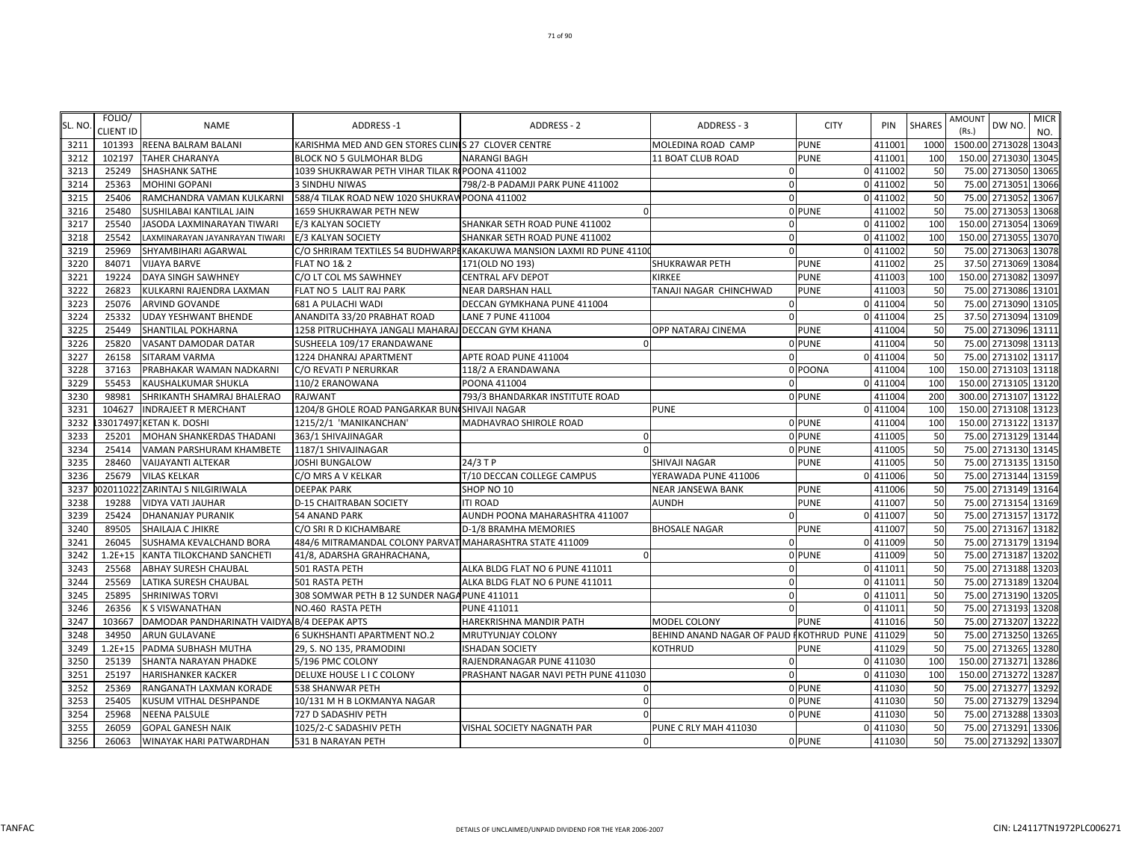| SL. NO | FOLIO/<br><b>CLIENT ID</b> | <b>NAME</b>                                 | <b>ADDRESS-1</b>                                         | <b>ADDRESS - 2</b>                                                     | ADDRESS - 3                              | <b>CITY</b>   | PIN      | <b>SHARES</b> | <b>AMOUNT</b><br>(Rs.) | DW NO.                | <b>MICR</b><br>NO. |
|--------|----------------------------|---------------------------------------------|----------------------------------------------------------|------------------------------------------------------------------------|------------------------------------------|---------------|----------|---------------|------------------------|-----------------------|--------------------|
| 3211   | 101393                     | REENA BALRAM BALANI                         | KARISHMA MED AND GEN STORES CLINIS 27 CLOVER CENTRE      |                                                                        | MOLEDINA ROAD CAMP                       | <b>PUNE</b>   | 411001   | 1000          |                        | 1500.00 2713028 13043 |                    |
| 3212   | 102197                     | <b>TAHER CHARANYA</b>                       | BLOCK NO 5 GULMOHAR BLDG                                 | <b>NARANGI BAGH</b>                                                    | 11 BOAT CLUB ROAD                        | PUNE          | 411001   | 100           |                        | 150.00 2713030 13045  |                    |
| 3213   | 25249                      | <b>SHASHANK SATHE</b>                       | 1039 SHUKRAWAR PETH VIHAR TILAK RI POONA 411002          |                                                                        | $\mathbf{0}$                             |               | 0 411002 | 50            |                        | 75.00 2713050 13065   |                    |
| 3214   | 25363                      | <b>MOHINI GOPANI</b>                        | 3 SINDHU NIWAS                                           | 798/2-B PADAMJI PARK PUNE 411002                                       | $\Omega$                                 |               | 0 411002 | 50            | 75.00                  | 2713051               | 13066              |
| 3215   | 25406                      | RAMCHANDRA VAMAN KULKARNI                   | 588/4 TILAK ROAD NEW 1020 SHUKRAW POONA 411002           |                                                                        | $\Omega$                                 |               | 0 411002 | 50            |                        | 75.00 2713052 13067   |                    |
| 3216   | 25480                      | SUSHILABAI KANTILAL JAIN                    | 1659 SHUKRAWAR PETH NEW                                  | $\Omega$                                                               |                                          | 0 PUNE        | 411002   | 50            | 75.00                  | 2713053               | 13068              |
| 3217   | 25540                      | JASODA LAXMINARAYAN TIWARI                  | E/3 KALYAN SOCIETY                                       | SHANKAR SETH ROAD PUNE 411002                                          | $\Omega$                                 |               | 0 411002 | 100           | 150.00                 | 2713054               | 13069              |
| 3218   | 25542                      | LAXMINARAYAN JAYANRAYAN TIWARI              | E/3 KALYAN SOCIETY                                       | SHANKAR SETH ROAD PUNE 411002                                          | $\Omega$                                 |               | 0 411002 | 100           |                        | 150.00 2713055        | 13070              |
| 3219   | 25969                      | SHYAMBIHARI AGARWAL                         |                                                          | C/O SHRIRAM TEXTILES 54 BUDHWARPI KAKAKUWA MANSION LAXMI RD PUNE 41100 | $\Omega$                                 |               | 0 411002 | 50            | 75.00                  | 2713063               | 13078              |
| 3220   | 84071                      | <b>VIJAYA BARVE</b>                         | <b>FLAT NO 1&amp; 2</b>                                  | 171(OLD NO 193)                                                        | SHUKRAWAR PETH                           | PUNE          | 411002   | 25            |                        | 37.50 2713069 13084   |                    |
| 3221   | 19224                      | <b>DAYA SINGH SAWHNEY</b>                   | C/O LT COL MS SAWHNEY                                    | <b>CENTRAL AFV DEPOT</b>                                               | <b>KIRKEE</b>                            | <b>PUNE</b>   | 411003   | 100           |                        | 150.00 2713082 13097  |                    |
| 3222   | 26823                      | KULKARNI RAJENDRA LAXMAN                    | FLAT NO 5 LALIT RAJ PARK                                 | NEAR DARSHAN HALL                                                      | TANAJI NAGAR CHINCHWAD                   | PUNE          | 411003   | 50            |                        | 75.00 2713086 13101   |                    |
| 3223   | 25076                      | <b>ARVIND GOVANDE</b>                       | 681 A PULACHI WADI                                       | DECCAN GYMKHANA PUNE 411004                                            | $\mathbf{0}$                             |               | 0 411004 | 50            |                        | 75.00 2713090 13105   |                    |
| 3224   | 25332                      | <b>UDAY YESHWANT BHENDE</b>                 | ANANDITA 33/20 PRABHAT ROAD                              | LANE 7 PUNE 411004                                                     | $\mathbf{0}$                             |               | 0 411004 | 25            |                        | 37.50 2713094         | 13109              |
| 3225   | 25449                      | <b>SHANTILAL POKHARNA</b>                   | 1258 PITRUCHHAYA JANGALI MAHARAJ DECCAN GYM KHANA        |                                                                        | OPP NATARAJ CINEMA                       | PUNE          | 411004   | 50            |                        | 75.00 2713096 13111   |                    |
| 3226   | 25820                      | VASANT DAMODAR DATAR                        | SUSHEELA 109/17 ERANDAWANE                               |                                                                        |                                          | <b>O</b> PUNE | 411004   | 50            |                        | 75.00 2713098 13113   |                    |
| 3227   | 26158                      | SITARAM VARMA                               | 1224 DHANRAJ APARTMENT                                   | APTE ROAD PUNE 411004                                                  | $\Omega$                                 |               | 0 411004 | 50            |                        | 75.00 2713102 13117   |                    |
| 3228   | 37163                      | PRABHAKAR WAMAN NADKARNI                    | C/O REVATI P NERURKAR                                    | 118/2 A ERANDAWANA                                                     |                                          | 0 POONA       | 411004   | 100           |                        | 150.00 2713103 13118  |                    |
| 3229   | 55453                      | <b>KAUSHALKUMAR SHUKLA</b>                  | 110/2 ERANOWANA                                          | POONA 411004                                                           | $\Omega$                                 |               | 0 411004 | 100           |                        | 150.00 2713105 13120  |                    |
| 3230   | 98981                      | SHRIKANTH SHAMRAJ BHALERAO                  | RAJWANT                                                  | 793/3 BHANDARKAR INSTITUTE ROAD                                        |                                          | 0 PUNE        | 411004   | 200           |                        | 300.00 2713107 13122  |                    |
| 3231   | 104627                     | <b>INDRAJEET R MERCHANT</b>                 | 1204/8 GHOLE ROAD PANGARKAR BUN SHIVAJI NAGAR            |                                                                        | <b>PUNE</b>                              |               | 0 411004 | 100           |                        | 150.00 2713108 13123  |                    |
| 3232   |                            | 33017497.KETAN K. DOSHI                     | 1215/2/1 'MANIKANCHAN'                                   | MADHAVRAO SHIROLE ROAD                                                 |                                          | 0 PUNE        | 411004   | 100           |                        | 150.00 2713122 13137  |                    |
| 3233   | 25201                      | <b>MOHAN SHANKERDAS THADANI</b>             | 363/1 SHIVAJINAGAR                                       | $\Omega$                                                               |                                          | 0 PUNE        | 411005   | 50            |                        | 75.00 2713129 13144   |                    |
| 3234   | 25414                      | VAMAN PARSHURAM KHAMBETE                    | 1187/1 SHIVAJINAGAR                                      |                                                                        |                                          | 0 PUNE        | 411005   | 50            |                        | 75.00 2713130 13145   |                    |
| 3235   | 28460                      | <b>VAIJAYANTI ALTEKAR</b>                   | JOSHI BUNGALOW                                           | 24/3 T P                                                               | SHIVAJI NAGAR                            | <b>PUNE</b>   | 411005   | 50            |                        | 75.00 2713135 13150   |                    |
| 3236   | 25679                      | <b>VILAS KELKAR</b>                         | C/O MRS A V KELKAR                                       | T/10 DECCAN COLLEGE CAMPUS                                             | YERAWADA PUNE 411006                     |               | 0 411006 | 50            |                        | 75.00 2713144 13159   |                    |
| 3237   |                            | 020110221ZARINTAJ S NILGIRIWALA             | <b>DEEPAK PARK</b>                                       | SHOP NO 10                                                             | <b>NEAR JANSEWA BANK</b>                 | <b>PUNE</b>   | 411006   | 50            |                        | 75.00 2713149 13164   |                    |
| 3238   | 19288                      | <b>VIDYA VATI JAUHAR</b>                    | <b>D-15 CHAITRABAN SOCIETY</b>                           | <b>ITI ROAD</b>                                                        | <b>AUNDH</b>                             | <b>PUNE</b>   | 411007   | 50            |                        | 75.00 2713154 13169   |                    |
| 3239   | 25424                      | <b>DHANANJAY PURANIK</b>                    | <b>54 ANAND PARK</b>                                     | AUNDH POONA MAHARASHTRA 411007                                         | $\Omega$                                 |               | 0 411007 | 50            |                        | 75.00 2713157 13172   |                    |
| 3240   | 89505                      | SHAILAJA C JHIKRE                           | C/O SRI R D KICHAMBARE                                   | D-1/8 BRAMHA MEMORIES                                                  | <b>BHOSALE NAGAR</b>                     | PUNE          | 411007   | 50            |                        | 75.00 2713167 13182   |                    |
| 3241   | 26045                      | <b>SUSHAMA KEVALCHAND BORA</b>              | 484/6 MITRAMANDAL COLONY PARVAT MAHARASHTRA STATE 411009 |                                                                        | $\Omega$                                 |               | 0 411009 | 50            |                        | 75.00 2713179 13194   |                    |
| 3242   | $1.2E + 15$                | KANTA TILOKCHAND SANCHETI                   | 41/8, ADARSHA GRAHRACHANA,                               |                                                                        |                                          | 0 PUNE        | 411009   | 50            |                        | 75.00 2713187         | 13202              |
| 3243   | 25568                      | <b>ABHAY SURESH CHAUBAL</b>                 | 501 RASTA PETH                                           | ALKA BLDG FLAT NO 6 PUNE 411011                                        | $\Omega$                                 |               | 0 411011 | 50            |                        | 75.00 2713188 13203   |                    |
| 3244   | 25569                      | LATIKA SURESH CHAUBAL                       | 501 RASTA PETH                                           | ALKA BLDG FLAT NO 6 PUNE 411011                                        | $\mathbf{0}$                             |               | 0 411011 | 50            |                        | 75.00 2713189 13204   |                    |
| 3245   | 25895                      | <b>SHRINIWAS TORVI</b>                      | 308 SOMWAR PETH B 12 SUNDER NAGA PUNE 411011             |                                                                        | $\mathbf{0}$                             |               | 0 411011 | 50            |                        | 75.00 2713190 13205   |                    |
| 3246   | 26356                      | <b>K S VISWANATHAN</b>                      | NO.460 RASTA PETH                                        | <b>PUNE 411011</b>                                                     | $\Omega$                                 |               | 0 411011 | 50            |                        | 75.00 2713193 13208   |                    |
| 3247   | 103667                     | DAMODAR PANDHARINATH VAIDYA B/4 DEEPAK APTS |                                                          | HAREKRISHNA MANDIR PATH                                                | MODEL COLONY                             | <b>PUNE</b>   | 411016   | 50            |                        | 75.00 2713207 13222   |                    |
| 3248   | 34950                      | <b>ARUN GULAVANE</b>                        | 6 SUKHSHANTI APARTMENT NO.2                              | MRUTYUNJAY COLONY                                                      | BEHIND ANAND NAGAR OF PAUD FKOTHRUD PUNE |               | 411029   | 50            |                        | 75.00 2713250 13265   |                    |
| 3249   | $1.2E + 15$                | PADMA SUBHASH MUTHA                         | 29, S. NO 135, PRAMODINI                                 | <b>ISHADAN SOCIETY</b>                                                 | KOTHRUD                                  | PUNE          | 411029   | 50            | 75.00                  | 2713265               | 13280              |
| 3250   | 25139                      | <b>SHANTA NARAYAN PHADKE</b>                | 5/196 PMC COLONY                                         | RAJENDRANAGAR PUNE 411030                                              | O                                        |               | 0 411030 | 100           |                        | 150.00 2713271 13286  |                    |
| 3251   | 25197                      | <b>HARISHANKER KACKER</b>                   | DELUXE HOUSE L I C COLONY                                | PRASHANT NAGAR NAVI PETH PUNE 411030                                   | $\Omega$                                 |               | 0 411030 | 100           |                        | 150.00 2713272 13287  |                    |
| 3252   | 25369                      | RANGANATH LAXMAN KORADE                     | 538 SHANWAR PETH                                         | $\Omega$                                                               |                                          | 0 PUNE        | 411030   | 50            |                        | 75.00 2713277 13292   |                    |
| 3253   | 25405                      | KUSUM VITHAL DESHPANDE                      | 10/131 M H B LOKMANYA NAGAR                              | $\Omega$                                                               |                                          | 0 PUNE        | 411030   | 50            |                        | 75.00 2713279 13294   |                    |
| 3254   | 25968                      | <b>NEENA PALSULE</b>                        | 727 D SADASHIV PETH                                      |                                                                        |                                          | 0 PUNE        | 411030   | 50            |                        | 75.00 2713288 13303   |                    |
| 3255   | 26059                      | <b>GOPAL GANESH NAIK</b>                    | 1025/2-C SADASHIV PETH                                   | VISHAL SOCIETY NAGNATH PAR                                             | PUNE C RLY MAH 411030                    |               | 0 411030 | 50            |                        | 75.00 2713291 13306   |                    |
| 3256   | 26063                      | <b>WINAYAK HARI PATWARDHAN</b>              | 531 B NARAYAN PETH                                       | $\Omega$                                                               |                                          | 0 PUNE        | 411030   | 50            |                        | 75.00 2713292 13307   |                    |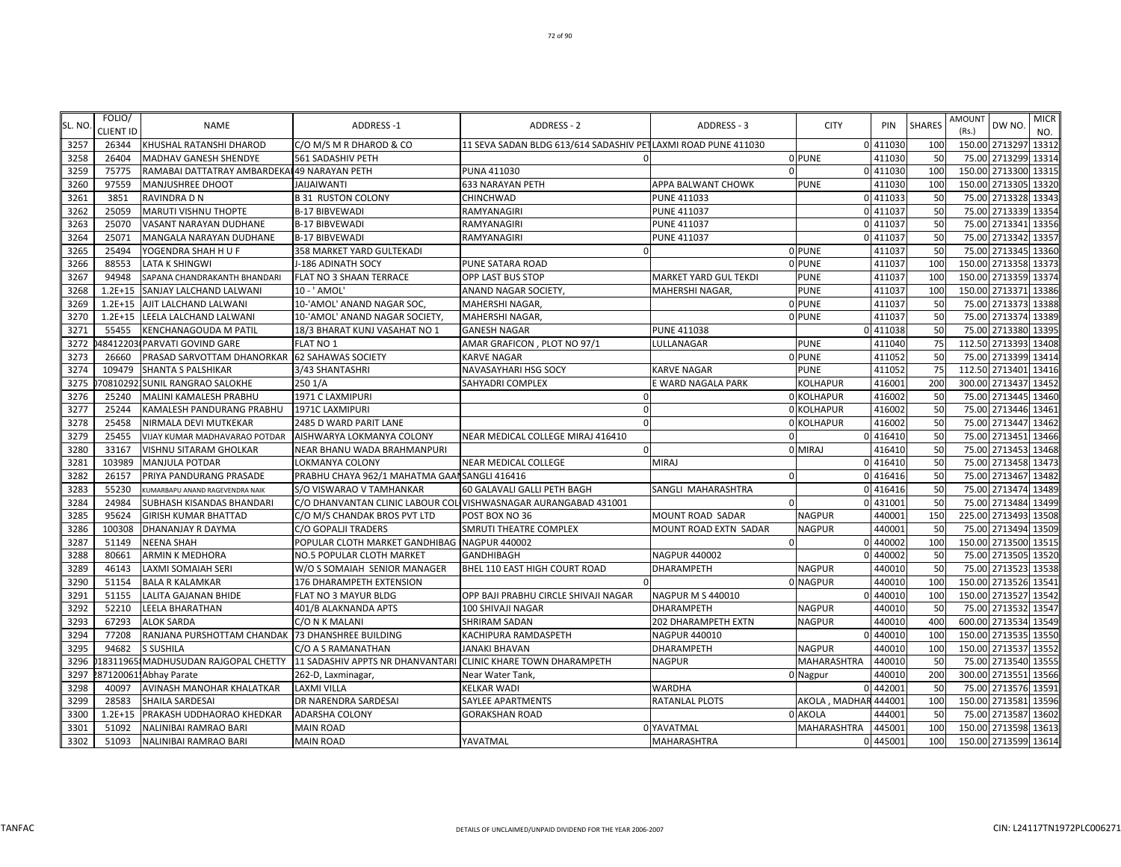| SL. NO | FOLIO/<br><b>CLIENT ID</b> | <b>NAME</b>                                      | <b>ADDRESS-1</b>                                              | ADDRESS - 2                                                     | ADDRESS - 3              | <b>CITY</b>           | PIN      | <b>SHARES</b> | <b>AMOUNT</b><br>(Rs.) | DW NO.               | <b>MICR</b><br>NO. |
|--------|----------------------------|--------------------------------------------------|---------------------------------------------------------------|-----------------------------------------------------------------|--------------------------|-----------------------|----------|---------------|------------------------|----------------------|--------------------|
| 3257   | 26344                      | KHUSHAL RATANSHI DHAROD                          | C/O M/S M R DHAROD & CO                                       | 11 SEVA SADAN BLDG 613/614 SADASHIV PETLAXMI ROAD PUNE 411030   |                          |                       | 0 411030 | 100           |                        | 150.00 2713297       | 13312              |
| 3258   | 26404                      | <b>MADHAV GANESH SHENDYE</b>                     | 561 SADASHIV PETH                                             |                                                                 |                          | 0 PUNE                | 411030   | 50            |                        | 75.00 2713299 13314  |                    |
| 3259   | 75775                      | RAMABAI DATTATRAY AMBARDEKAI 49 NARAYAN PETH     |                                                               | PUNA 411030                                                     |                          | $\Omega$              | 411030   | 100           |                        | 150.00 2713300       | 13315              |
| 3260   | 97559                      | MANJUSHREE DHOOT                                 | <b>JAIJAIWANTI</b>                                            | 633 NARAYAN PETH                                                | APPA BALWANT CHOWK       | <b>PUNE</b>           | 411030   | 100           |                        | 150.00 2713305       | 13320              |
| 3261   | 3851                       | RAVINDRA D N                                     | <b>B 31 RUSTON COLONY</b>                                     | CHINCHWAD                                                       | <b>PUNE 411033</b>       |                       | 0 411033 | 50            |                        | 75.00 2713328 13343  |                    |
| 3262   | 25059                      | MARUTI VISHNU THOPTE                             | <b>B-17 BIBVEWADI</b>                                         | RAMYANAGIRI                                                     | PUNE 411037              |                       | 0 411037 | 50            |                        | 75.00 2713339        | 13354              |
| 3263   | 25070                      | VASANT NARAYAN DUDHANE                           | <b>B-17 BIBVEWADI</b>                                         | RAMYANAGIRI                                                     | PUNE 411037              |                       | 0 411037 | 50            |                        | 75.00 2713341        | 13356              |
| 3264   | 25071                      | MANGALA NARAYAN DUDHANE                          | <b>B-17 BIBVEWADI</b>                                         | RAMYANAGIRI                                                     | PUNE 411037              |                       | 0 411037 | 50            |                        | 75.00 2713342        | 13357              |
| 3265   | 25494                      | YOGENDRA SHAH H U F                              | 358 MARKET YARD GULTEKADI                                     |                                                                 |                          | 0 PUNE                | 411037   | 50            |                        | 75.00 2713345 13360  |                    |
| 3266   | 88553                      | LATA K SHINGWI                                   | J-186 ADINATH SOCY                                            | PUNE SATARA ROAD                                                |                          | 0 PUNE                | 411037   | 100           |                        | 150.00 2713358 13373 |                    |
| 3267   | 94948                      | SAPANA CHANDRAKANTH BHANDARI                     | FLAT NO 3 SHAAN TERRACE                                       | OPP LAST BUS STOP                                               | MARKET YARD GUL TEKDI    | <b>PUNE</b>           | 411037   | 100           |                        | 150.00 2713359       | 13374              |
| 3268   | $1.2E + 15$                | SANJAY LALCHAND LALWANI                          | 10 - ' AMOL'                                                  | ANAND NAGAR SOCIETY,                                            | MAHERSHI NAGAR,          | <b>PUNE</b>           | 411037   | 100           |                        | 150.00 2713371       | 13386              |
| 3269   | $1.2E + 15$                | AJIT LALCHAND LALWANI                            | 10-'AMOL' ANAND NAGAR SOC,                                    | MAHERSHI NAGAR,                                                 |                          | 0 PUNE                | 411037   | 50            |                        | 75.00 2713373        | 13388              |
| 3270   | $1.2E + 15$                | LEELA LALCHAND LALWANI                           | 10-'AMOL' ANAND NAGAR SOCIETY,                                | MAHERSHI NAGAR,                                                 |                          | 0 PUNE                | 411037   | 50            |                        | 75.00 2713374        | 13389              |
| 3271   | 55455                      | KENCHANAGOUDA M PATIL                            | 18/3 BHARAT KUNJ VASAHAT NO 1                                 | <b>GANESH NAGAR</b>                                             | <b>PUNE 411038</b>       |                       | 0 411038 | 50            |                        | 75.00 2713380        | 13395              |
| 3272   |                            | 48412203 PARVATI GOVIND GARE                     | <b>FLAT NO 1</b>                                              | AMAR GRAFICON, PLOT NO 97/1                                     | LULLANAGAR               | PUNE                  | 411040   | 75            |                        | 112.50 2713393       | 13408              |
| 3273   | 26660                      | PRASAD SARVOTTAM DHANORKAR 62 SAHAWAS SOCIETY    |                                                               | KARVE NAGAR                                                     |                          | 0 PUNE                | 411052   | 50            |                        | 75.00 2713399 13414  |                    |
| 3274   | 109479                     | SHANTA S PALSHIKAR                               | 3/43 SHANTASHRI                                               | NAVASAYHARI HSG SOCY                                            | <b>KARVE NAGAR</b>       | <b>PUNE</b>           | 411052   | 75            |                        | 112.50 2713401       | 13416              |
| 3275   |                            | 708102921SUNIL RANGRAO SALOKHE                   | 2501/A                                                        | SAHYADRI COMPLEX                                                | E WARD NAGALA PARK       | KOLHAPUR              | 416001   | 200           |                        | 300.00 2713437 13452 |                    |
| 3276   | 25240                      | MALINI KAMALESH PRABHU                           | 1971 C LAXMIPURI                                              | ſ                                                               |                          | 0 KOLHAPUR            | 416002   | 50            |                        | 75.00 2713445        | 13460              |
| 3277   | 25244                      | KAMALESH PANDURANG PRABHU                        | 1971C LAXMIPURI                                               | $\Omega$                                                        |                          | 0 KOLHAPUR            | 416002   | 50            |                        | 75.00 2713446 13461  |                    |
| 3278   | 25458                      | NIRMALA DEVI MUTKEKAR                            | 2485 D WARD PARIT LANE                                        |                                                                 |                          | 0 KOLHAPUR            | 416002   | 50            |                        | 75.00 2713447        | 13462              |
| 3279   | 25455                      | VIJAY KUMAR MADHAVARAO POTDAR                    | AISHWARYA LOKMANYA COLONY                                     | NEAR MEDICAL COLLEGE MIRAJ 416410                               |                          |                       | 0 416410 | 50            |                        | 75.00 2713451        | 13466              |
| 3280   | 33167                      | VISHNU SITARAM GHOLKAR                           | <b>NEAR BHANU WADA BRAHMANPURI</b>                            |                                                                 |                          | 0 MIRAJ               | 416410   | 50            |                        | 75.00 2713453        | 13468              |
| 3281   | 103989                     | MANJULA POTDAR                                   | LOKMANYA COLONY                                               | NEAR MEDICAL COLLEGE                                            | <b>MIRAJ</b>             |                       | 0 416410 | 50            |                        | 75.00 2713458        | 13473              |
| 3282   | 26157                      | PRIYA PANDURANG PRASADE                          | PRABHU CHAYA 962/1 MAHATMA GAAI SANGLI 416416                 |                                                                 | $\Omega$                 |                       | 0 416416 | 50            |                        | 75.00 2713467 13482  |                    |
| 3283   | 55230                      | KUMARBAPU ANAND RAGEVENDRA NAIK                  | S/O VISWARAO V TAMHANKAR                                      | 60 GALAVALI GALLI PETH BAGH                                     | SANGLI MAHARASHTRA       |                       | 0 416416 | 50            |                        | 75.00 2713474 13489  |                    |
| 3284   | 24984                      | SUBHASH KISANDAS BHANDARI                        |                                                               | C/O DHANVANTAN CLINIC LABOUR COL VISHWASNAGAR AURANGABAD 431001 |                          | 0                     | 431001   | 50            |                        | 75.00 2713484        | 13499              |
| 3285   | 95624                      | GIRISH KUMAR BHATTAD                             | C/O M/S CHANDAK BROS PVT LTD                                  | POST BOX NO 36                                                  | MOUNT ROAD SADAR         | <b>NAGPUR</b>         | 440001   | 150           |                        | 225.00 2713493       | 13508              |
| 3286   | 100308                     | DHANANJAY R DAYMA                                | C/O GOPALJI TRADERS                                           | SMRUTI THEATRE COMPLEX                                          | MOUNT ROAD EXTN SADAR    | NAGPUR                | 440001   | 50            |                        | 75.00 2713494        | 13509              |
| 3287   | 51149                      | <b>NEENA SHAH</b>                                | POPULAR CLOTH MARKET GANDHIBAG NAGPUR 440002                  |                                                                 | $\Omega$                 |                       | 0 440002 | 100           |                        | 150.00 2713500       | 13515              |
| 3288   | 80661                      | ARMIN K MEDHORA                                  | NO.5 POPULAR CLOTH MARKET                                     | GANDHIBAGH                                                      | <b>NAGPUR 440002</b>     |                       | 0 440002 | 50            |                        | 75.00 2713505        | 13520              |
| 3289   | 46143                      | LAXMI SOMAIAH SERI                               | W/OSSOMAIAH SENIOR MANAGER                                    | BHEL 110 EAST HIGH COURT ROAD                                   | DHARAMPETH               | <b>NAGPUR</b>         | 440010   | 50            |                        | 75.00 2713523        | 13538              |
| 3290   | 51154                      | <b>BALA R KALAMKAR</b>                           | 176 DHARAMPETH EXTENSION                                      |                                                                 |                          | 0 NAGPUR              | 440010   | 100           |                        | 150.00 2713526 13541 |                    |
| 3291   | 51155                      | LALITA GAJANAN BHIDE                             | FLAT NO 3 MAYUR BLDG                                          | OPP BAJI PRABHU CIRCLE SHIVAJI NAGAR                            | <b>NAGPUR M S 440010</b> |                       | 0 440010 | 100           |                        | 150.00 2713527       | 13542              |
| 3292   | 52210                      | LEELA BHARATHAN                                  | 401/B ALAKNANDA APTS                                          | 100 SHIVAJI NAGAR                                               | <b>DHARAMPETH</b>        | <b>NAGPUR</b>         | 440010   | 50            |                        | 75.00 2713532        | 13547              |
| 3293   | 67293                      | ALOK SARDA                                       | C/O N K MALANI                                                | SHRIRAM SADAN                                                   | 202 DHARAMPETH EXTN      | <b>NAGPUR</b>         | 440010   | 400           |                        | 600.00 2713534       | 13549              |
| 3294   | 77208                      | RANJANA PURSHOTTAM CHANDAK 73 DHANSHREE BUILDING |                                                               | KACHIPURA RAMDASPETH                                            | <b>NAGPUR 440010</b>     |                       | 0 440010 | 100           |                        | 150.00 2713535       | 13550              |
| 3295   | 94682                      | S SUSHILA                                        | C/O A S RAMANATHAN                                            | <b>JANAKI BHAVAN</b>                                            | <b>DHARAMPETH</b>        | <b>NAGPUR</b>         | 440010   | 100           |                        | 150.00 2713537       | 13552              |
| 3296   |                            | 18311965 MADHUSUDAN RAJGOPAL CHETTY              | 11 SADASHIV APPTS NR DHANVANTARI CLINIC KHARE TOWN DHARAMPETH |                                                                 | <b>NAGPUR</b>            | MAHARASHTRA           | 440010   | 50            |                        | 75.00 2713540        | 13555              |
| 3297   |                            | 87120061 Abhay Parate                            | 262-D, Laxminagar,                                            | Near Water Tank,                                                |                          | 0 Nagpur              | 440010   | 200           |                        | 300.00 2713551       | 13566              |
| 3298   | 40097                      | AVINASH MANOHAR KHALATKAR                        | <b>LAXMI VILLA</b>                                            | <b>KELKAR WADI</b>                                              | <b>WARDHA</b>            |                       | 0 442001 | 50            |                        | 75.00 2713576 13591  |                    |
| 3299   | 28583                      | SHAILA SARDESAI                                  | DR NARENDRA SARDESAI                                          | SAYLEE APARTMENTS                                               | RATANLAL PLOTS           | AKOLA , MADHAR 444001 |          | 100           |                        | 150.00 2713581       | 13596              |
| 3300   | $1.2E + 15$                | PRAKASH UDDHAORAO KHEDKAR                        | ADARSHA COLONY                                                | GORAKSHAN ROAD                                                  |                          | 0 AKOLA               | 444001   | 50            |                        | 75.00 2713587        | 13602              |
| 3301   | 51092                      | NALINIBAI RAMRAO BARI                            | <b>MAIN ROAD</b>                                              |                                                                 | 0 YAVATMAL               | MAHARASHTRA           | 445001   | 100           |                        | 150.00 2713598       | 13613              |
| 3302   | 51093                      | NALINIBAI RAMRAO BARI                            | <b>MAIN ROAD</b>                                              | YAVATMAL                                                        | <b>MAHARASHTRA</b>       |                       | 0 445001 | 100           |                        | 150.00 2713599 13614 |                    |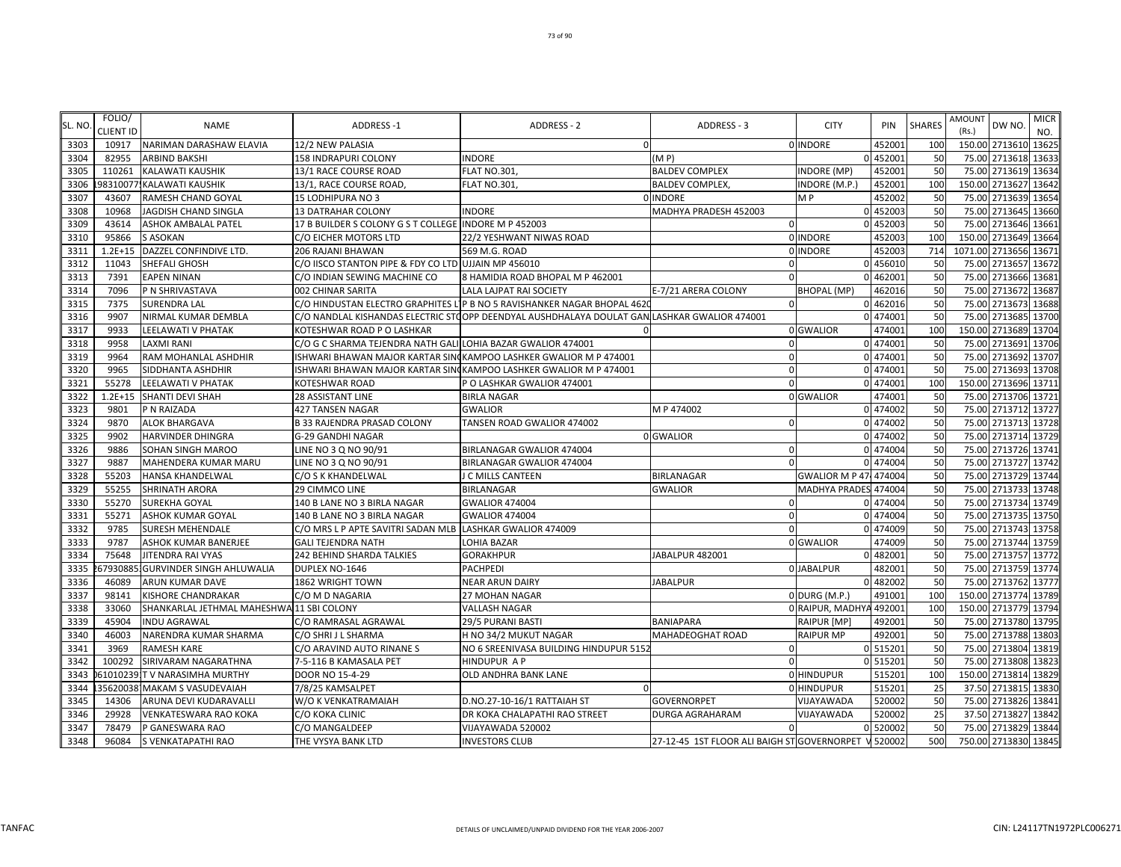| SL. NO | FOLIO/<br><b>CLIENT ID</b> | <b>NAME</b>                               | ADDRESS-1                                                    | <b>ADDRESS - 2</b>                                                                           | ADDRESS - 3                                          | <b>CITY</b>           | PIN      | <b>SHARES</b> | AMOUNT<br>(Rs.) | DW NO.                | <b>MICR</b><br>NO. |
|--------|----------------------------|-------------------------------------------|--------------------------------------------------------------|----------------------------------------------------------------------------------------------|------------------------------------------------------|-----------------------|----------|---------------|-----------------|-----------------------|--------------------|
| 3303   | 10917                      | NARIMAN DARASHAW ELAVIA                   | 12/2 NEW PALASIA                                             |                                                                                              |                                                      | 0 INDORE              | 452001   | 100           |                 | 150.00 2713610 13625  |                    |
| 3304   | 82955                      | <b>ARBIND BAKSHI</b>                      | 158 INDRAPURI COLONY                                         | <b>INDORE</b>                                                                                | (M P)                                                | O                     | 452001   | 50            |                 | 75.00 2713618 13633   |                    |
| 3305   | 110261                     | <b>KALAWATI KAUSHIK</b>                   | 13/1 RACE COURSE ROAD                                        | <b>FLAT NO.301</b>                                                                           | <b>BALDEV COMPLEX</b>                                | <b>INDORE (MP)</b>    | 452001   | 50            |                 | 75.00 2713619 13634   |                    |
| 3306   |                            | 98310077 KALAWATI KAUSHIK                 | 13/1, RACE COURSE ROAD,                                      | <b>FLAT NO.301</b>                                                                           | <b>BALDEV COMPLEX</b>                                | INDORE (M.P.)         | 452001   | 100           |                 | 150.00 2713627 13642  |                    |
| 3307   | 43607                      | RAMESH CHAND GOYAL                        | 15 LODHIPURA NO 3                                            |                                                                                              | 0 INDORE                                             | M P                   | 452002   | 50            |                 | 75.00 2713639 13654   |                    |
| 3308   | 10968                      | JAGDISH CHAND SINGLA                      | 13 DATRAHAR COLONY                                           | <b>INDORE</b>                                                                                | MADHYA PRADESH 452003                                | n                     | 452003   | 50            |                 | 75.00 2713645 13660   |                    |
| 3309   | 43614                      | <b>ASHOK AMBALAL PATEL</b>                | 17 B BUILDER S COLONY G S T COLLEGE INDORE M P 452003        |                                                                                              | $\mathbf 0$                                          |                       | 452003   | 50            |                 | 75.00 2713646 13661   |                    |
| 3310   | 95866                      | <b>S ASOKAN</b>                           | C/O EICHER MOTORS LTD                                        | 22/2 YESHWANT NIWAS ROAD                                                                     |                                                      | 0 INDORE              | 452003   | 100           |                 | 150.00 2713649 13664  |                    |
| 3311   | $1.2E + 15$                | DAZZEL CONFINDIVE LTD.                    | 206 RAJANI BHAWAN                                            | 569 M.G. ROAD                                                                                |                                                      | 0 INDORE              | 452003   | 714           |                 | 1071.00 2713656 13671 |                    |
| 3312   | 11043                      | SHEFALI GHOSH                             | C/O IISCO STANTON PIPE & FDY CO LTD UJJAIN MP 456010         |                                                                                              | $\Omega$                                             |                       | 456010   | 50            |                 | 75.00 2713657         | 13672              |
| 3313   | 7391                       | <b>EAPEN NINAN</b>                        | C/O INDIAN SEWING MACHINE CO                                 | 8 HAMIDIA ROAD BHOPAL M P 462001                                                             | $\Omega$                                             |                       | 462001   | 50            |                 | 75.00 2713666 13681   |                    |
| 3314   | 7096                       | P N SHRIVASTAVA                           | 002 CHINAR SARITA                                            | LALA LAJPAT RAI SOCIETY                                                                      | E-7/21 ARERA COLONY                                  | <b>BHOPAL (MP)</b>    | 462016   | 50            |                 | 75.00 2713672 13687   |                    |
| 3315   | 7375                       | <b>SURENDRA LAL</b>                       |                                                              | C/O HINDUSTAN ELECTRO GRAPHITES L1P B NO 5 RAVISHANKER NAGAR BHOPAL 462(                     | $\Omega$                                             |                       | 462016   | 50            |                 | 75.00 2713673 13688   |                    |
| 3316   | 9907                       | NIRMAL KUMAR DEMBLA                       |                                                              | C/O NANDLAL KISHANDAS ELECTRIC STOOPP DEENDYAL AUSHDHALAYA DOULAT GAN LASHKAR GWALIOR 474001 |                                                      |                       | 474001   | 50            |                 | 75.00 2713685         | 13700              |
| 3317   | 9933                       | LEELAWATI V PHATAK                        | KOTESHWAR ROAD P O LASHKAR                                   |                                                                                              |                                                      | 0 GWALIOR             | 474001   | 100           |                 | 150.00 2713689 13704  |                    |
| 3318   | 9958                       | <b>LAXMI RANI</b>                         | C/O G C SHARMA TEJENDRA NATH GALI LOHIA BAZAR GWALIOR 474001 |                                                                                              | $\Omega$                                             |                       | 0 474001 | 50            |                 | 75.00 2713691         | 13706              |
| 3319   | 9964                       | RAM MOHANLAL ASHDHIR                      |                                                              | ISHWARI BHAWAN MAJOR KARTAR SIN(KAMPOO LASHKER GWALIOR M P 474001                            | $\mathbf 0$                                          |                       | 0 474001 | 50            |                 | 75.00 2713692 13707   |                    |
| 3320   | 9965                       | SIDDHANTA ASHDHIR                         |                                                              | ISHWARI BHAWAN MAJOR KARTAR SIN(KAMPOO LASHKER GWALIOR M P 474001                            | $\Omega$                                             |                       | 0 474001 | 50            |                 | 75.00 2713693 13708   |                    |
| 3321   | 55278                      | LEELAWATI V PHATAK                        | KOTESHWAR ROAD                                               | P O LASHKAR GWALIOR 474001                                                                   | $\Omega$                                             |                       | 474001   | 100           |                 | 150.00 2713696 13711  |                    |
| 3322   | $1.2E + 15$                | <b>SHANTI DEVI SHAH</b>                   | <b>28 ASSISTANT LINE</b>                                     | <b>BIRLA NAGAR</b>                                                                           |                                                      | 0 GWALIOR             | 474001   | 50            |                 | 75.00 2713706 13721   |                    |
| 3323   | 9801                       | P N RAIZADA                               | 427 TANSEN NAGAR                                             | <b>GWALIOR</b>                                                                               | M P 474002                                           |                       | 0 474002 | 50            |                 | 75.00 2713712 13727   |                    |
| 3324   | 9870                       | <b>ALOK BHARGAVA</b>                      | <b>B 33 RAJENDRA PRASAD COLONY</b>                           | TANSEN ROAD GWALIOR 474002                                                                   | $\Omega$                                             |                       | 0 474002 | 50            |                 | 75.00 2713713 13728   |                    |
| 3325   | 9902                       | HARVINDER DHINGRA                         | G-29 GANDHI NAGAR                                            |                                                                                              | 0 GWALIOR                                            |                       | 0 474002 | 50            |                 | 75.00 2713714 13729   |                    |
| 3326   | 9886                       | SOHAN SINGH MAROO                         | LINE NO 3 Q NO 90/91                                         | <b>BIRLANAGAR GWALIOR 474004</b>                                                             | $\Omega$                                             |                       | 0 474004 | 50            |                 | 75.00 2713726 13741   |                    |
| 3327   | 9887                       | MAHENDERA KUMAR MARU                      | LINE NO 3 Q NO 90/91                                         | <b>BIRLANAGAR GWALIOR 474004</b>                                                             | $\Omega$                                             |                       | 474004   | 50            |                 | 75.00 2713727 13742   |                    |
| 3328   | 55203                      | <b>HANSA KHANDELWAL</b>                   | C/O S K KHANDELWAL                                           | J C MILLS CANTEEN                                                                            | <b>BIRLANAGAR</b>                                    | GWALIOR M P 47-474004 |          | 50            |                 | 75.00 2713729 13744   |                    |
| 3329   | 55255                      | SHRINATH ARORA                            | 29 CIMMCO LINE                                               | BIRLANAGAR                                                                                   | <b>GWALIOR</b>                                       | MADHYA PRADES 474004  |          | 50            |                 | 75.00 2713733 13748   |                    |
| 3330   | 55270                      | <b>SUREKHA GOYAL</b>                      | 140 B LANE NO 3 BIRLA NAGAR                                  | <b>GWALIOR 474004</b>                                                                        | 0                                                    |                       | 0 474004 | 50            |                 | 75.00 2713734 13749   |                    |
| 3331   | 55271                      | <b>ASHOK KUMAR GOYAL</b>                  | 140 B LANE NO 3 BIRLA NAGAR                                  | <b>GWALIOR 474004</b>                                                                        | $\mathbf 0$                                          |                       | 0 474004 | 50            |                 | 75.00 2713735 13750   |                    |
| 3332   | 9785                       | <b>SURESH MEHENDALE</b>                   | C/O MRS L P APTE SAVITRI SADAN MLB LASHKAR GWALIOR 474009    |                                                                                              | $\Omega$                                             |                       | 0 474009 | 50            |                 | 75.00 2713743 13758   |                    |
| 3333   | 9787                       | ASHOK KUMAR BANERJEE                      | GALI TEJENDRA NATH                                           | LOHIA BAZAR                                                                                  |                                                      | 0 GWALIOR             | 474009   | 50            |                 | 75.00 2713744 13759   |                    |
| 3334   | 75648                      | JITENDRA RAI VYAS                         | 242 BEHIND SHARDA TALKIES                                    | <b>GORAKHPUR</b>                                                                             | JABALPUR 482001                                      | ŋ                     | 482001   | 50            |                 | 75.00 2713757 13772   |                    |
| 3335   | 57930885                   | <b>GURVINDER SINGH AHLUWALIA</b>          | DUPLEX NO-1646                                               | PACHPEDI                                                                                     |                                                      | 0 JABALPUR            | 482001   | 50            |                 | 75.00 2713759 13774   |                    |
| 3336   | 46089                      | <b>ARUN KUMAR DAVE</b>                    | 1862 WRIGHT TOWN                                             | <b>NEAR ARUN DAIRY</b>                                                                       | <b>JABALPUR</b>                                      |                       | 482002   | 50            |                 | 75.00 2713762 13777   |                    |
| 3337   | 98141                      | KISHORE CHANDRAKAR                        | C/O M D NAGARIA                                              | 27 MOHAN NAGAR                                                                               |                                                      | 0 DURG (M.P.)         | 491001   | 100           |                 | 150.00 2713774 13789  |                    |
| 3338   | 33060                      | SHANKARLAL JETHMAL MAHESHWA 11 SBI COLONY |                                                              | <b>VALLASH NAGAR</b>                                                                         |                                                      | 0 RAIPUR, MADHYA      | 492001   | 100           |                 | 150.00 2713779 13794  |                    |
| 3339   | 45904                      | <b>INDU AGRAWAL</b>                       | C/O RAMRASAL AGRAWAL                                         | 29/5 PURANI BASTI                                                                            | <b>BANIAPARA</b>                                     | RAIPUR [MP]           | 492001   | 50            |                 | 75.00 2713780 13795   |                    |
| 3340   | 46003                      | NARENDRA KUMAR SHARMA                     | C/O SHRIJ L SHARMA                                           | H NO 34/2 MUKUT NAGAR                                                                        | <b>MAHADEOGHAT ROAD</b>                              | <b>RAIPUR MP</b>      | 492001   | 50            |                 | 75.00 2713788 13803   |                    |
| 3341   | 3969                       | <b>RAMESH KARE</b>                        | C/O ARAVIND AUTO RINANE S                                    | NO 6 SREENIVASA BUILDING HINDUPUR 5152                                                       | $\mathbf 0$                                          |                       | 0 515201 | 50            |                 | 75.00 2713804 13819   |                    |
| 3342   | 100292                     | SIRIVARAM NAGARATHNA                      | 7-5-116 B KAMASALA PET                                       | HINDUPUR A P                                                                                 | $\Omega$                                             |                       | 0 515201 | 50            |                 | 75.00 2713808 13823   |                    |
| 3343   |                            | 610102391T V NARASIMHA MURTHY             | DOOR NO 15-4-29                                              | OLD ANDHRA BANK LANE                                                                         |                                                      | 0 HINDUPUR            | 515201   | 100           |                 | 150.00 2713814 13829  |                    |
| 3344   |                            | 356200381MAKAM S VASUDEVAIAH              | 7/8/25 KAMSALPET                                             | $\Omega$                                                                                     |                                                      | 0 HINDUPUR            | 515201   | 25            |                 | 37.50 2713815         | 13830              |
| 3345   | 14306                      | ARUNA DEVI KUDARAVALLI                    | W/O K VENKATRAMAIAH                                          | D.NO.27-10-16/1 RATTAIAH ST                                                                  | <b>GOVERNORPET</b>                                   | VIJAYAWADA            | 520002   | 50            |                 | 75.00 2713826 13841   |                    |
| 3346   | 29928                      | VENKATESWARA RAO KOKA                     | C/O KOKA CLINIC                                              | DR KOKA CHALAPATHI RAO STREET                                                                | DURGA AGRAHARAM                                      | VIJAYAWADA            | 520002   | 25            |                 | 37.50 2713827         | 13842              |
| 3347   | 78479                      | P GANESWARA RAO                           | C/O MANGALDEEP                                               | VIJAYAWADA 520002                                                                            | $\overline{0}$                                       |                       | 0 520002 | 50            |                 | 75.00 2713829 13844   |                    |
| 3348   | 96084                      | <b>S VENKATAPATHI RAO</b>                 | THE VYSYA BANK LTD                                           | <b>INVESTORS CLUB</b>                                                                        | 27-12-45 1ST FLOOR ALI BAIGH STIGOVERNORPET V 520002 |                       |          | 500           |                 | 750.00 2713830 13845  |                    |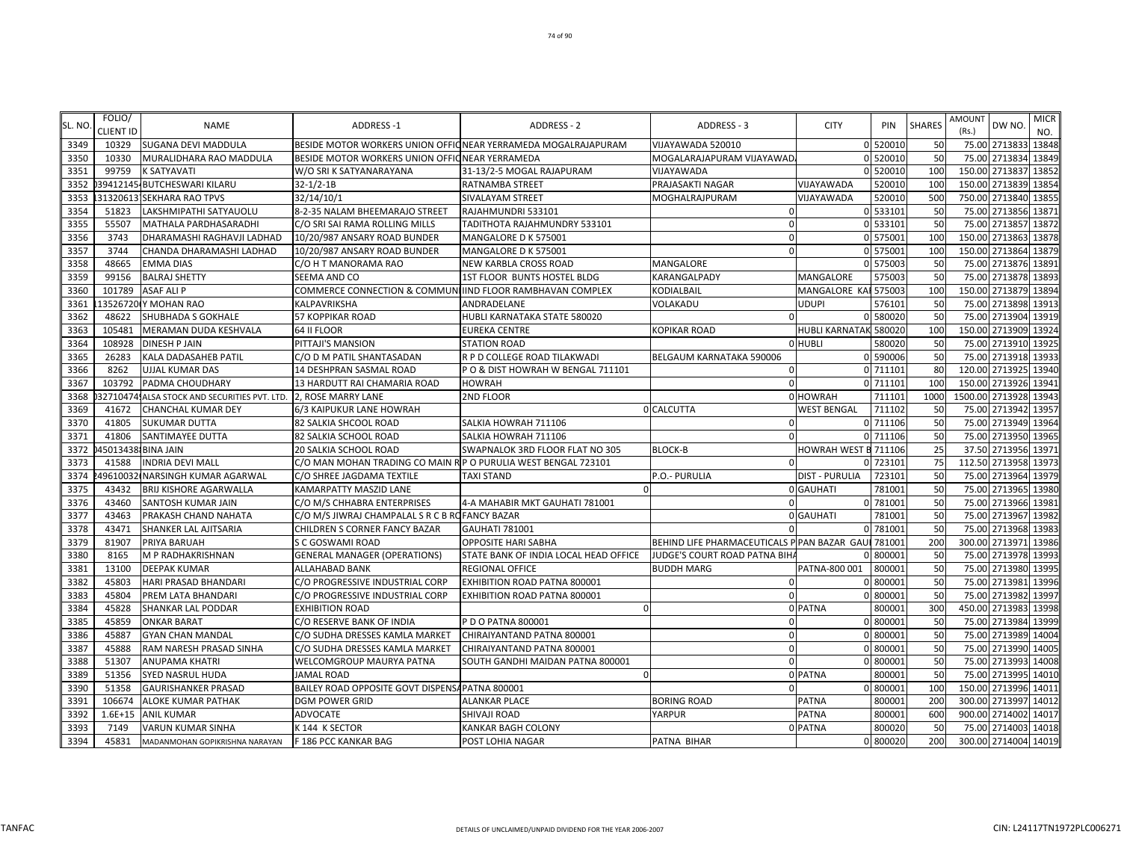|         | FOLIO/           |                                                                 |                                                                |                                                               |                                                     |                       |          |               | AMOUNT |                       | <b>MICR</b> |
|---------|------------------|-----------------------------------------------------------------|----------------------------------------------------------------|---------------------------------------------------------------|-----------------------------------------------------|-----------------------|----------|---------------|--------|-----------------------|-------------|
| SL. NO. | <b>CLIENT ID</b> | <b>NAME</b>                                                     | <b>ADDRESS-1</b>                                               | <b>ADDRESS - 2</b>                                            | ADDRESS - 3                                         | <b>CITY</b>           | PIN      | <b>SHARES</b> | (Rs.)  | DW NO.                | NO.         |
| 3349    | 10329            | <b>SUGANA DEVI MADDULA</b>                                      |                                                                | BESIDE MOTOR WORKERS UNION OFFICNEAR YERRAMEDA MOGALRAJAPURAM | VIJAYAWADA 520010                                   |                       | 0 520010 | 50            |        | 75.00 2713833 13848   |             |
| 3350    | 10330            | MURALIDHARA RAO MADDULA                                         | BESIDE MOTOR WORKERS UNION OFFIC NEAR YERRAMEDA                |                                                               | MOGALARAJAPURAM VIJAYAWAD,                          |                       | 0 520010 | 50            | 75.00  | 2713834               | 13849       |
| 3351    | 99759            | <b>K SATYAVATI</b>                                              | W/O SRI K SATYANARAYANA                                        | 31-13/2-5 MOGAL RAJAPURAM                                     | VIJAYAWADA                                          |                       | 0 520010 | 100           |        | 150.00 2713837 13852  |             |
| 3352    |                  | 39412145-BUTCHESWARI KILARU                                     | $32 - 1/2 - 1B$                                                | RATNAMBA STREET                                               | PRAJASAKTI NAGAR                                    | VIJAYAWADA            | 520010   | 100           | 150.00 | 2713839 13854         |             |
| 3353    |                  | 31320613 SEKHARA RAO TPVS                                       | 32/14/10/1                                                     | SIVALAYAM STREET                                              | MOGHALRAJPURAM                                      | VIJAYAWADA            | 520010   | 500           | 750.00 | 2713840 1385          |             |
| 3354    | 51823            | LAKSHMIPATHI SATYAUOLU                                          | 8-2-35 NALAM BHEEMARAJO STREET                                 | RAJAHMUNDRI 533101                                            |                                                     |                       | 0 533101 | 50            | 75.00  | 2713856 1387          |             |
| 3355    | 55507            | MATHALA PARDHASARADHI                                           | C/O SRI SAI RAMA ROLLING MILLS                                 | TADITHOTA RAJAHMUNDRY 533101                                  |                                                     |                       | 0 533101 | 50            | 75.00  | 2713857 13872         |             |
| 3356    | 3743             | DHARAMASHI RAGHAVJI LADHAD                                      | 10/20/987 ANSARY ROAD BUNDER                                   | MANGALORE D K 575001                                          | $\Omega$                                            |                       | 0 575001 | 100           |        | 150.00 2713863 13878  |             |
| 3357    | 3744             | CHANDA DHARAMASHI LADHAD                                        | 10/20/987 ANSARY ROAD BUNDER                                   | MANGALORE D K 575001                                          | $\Omega$                                            |                       | 0 575001 | 100           |        | 150.00 2713864 13879  |             |
| 3358    | 48665            | <b>EMMA DIAS</b>                                                | C/O H T MANORAMA RAO                                           | NEW KARBLA CROSS ROAD                                         | MANGALORE                                           |                       | 0 575003 | 50            |        | 75.00 2713876 13891   |             |
| 3359    | 99156            | <b>BALRAJ SHETTY</b>                                            | SEEMA AND CO                                                   | 1ST FLOOR BUNTS HOSTEL BLDG                                   | KARANGALPADY                                        | MANGALORE             | 57500    | 50            | 75.00  | 2713878               | 13893       |
| 3360    | 101789           | <b>ASAF ALI P</b>                                               | COMMERCE CONNECTION & COMMUNITIND FLOOR RAMBHAVAN COMPLEX      |                                                               | KODIALBAIL                                          | MANGALORE KAI         | 575003   | 100           |        | 150.00 2713879 13894  |             |
| 3361    |                  | 13526720 Y MOHAN RAO                                            | KALPAVRIKSHA                                                   | ANDRADELANE                                                   | VOLAKADU                                            | UDUPI                 | 576101   | 50            | 75.00  | 2713898 13913         |             |
| 3362    | 48622            | <b>SHUBHADA S GOKHALE</b>                                       | 57 KOPPIKAR ROAD                                               | HUBLI KARNATAKA STATE 580020                                  | $\Omega$                                            |                       | 0 580020 | 50            | 75.00  | 2713904 13919         |             |
| 3363    | 105481           | MERAMAN DUDA KESHVALA                                           | 64 II FLOOR                                                    | EUREKA CENTRE                                                 | KOPIKAR ROAD                                        | <b>HUBLI KARNATAK</b> | 580020   | 100           |        | 150.00 2713909 13924  |             |
| 3364    | 108928           | <b>DINESH P JAIN</b>                                            | PITTAJI'S MANSION                                              | <b>STATION ROAD</b>                                           |                                                     | 0 HUBLI               | 580020   | 50            |        | 75.00 2713910 13925   |             |
| 3365    | 26283            | KALA DADASAHEB PATIL                                            | C/O D M PATIL SHANTASADAN                                      | R P D COLLEGE ROAD TILAKWADI                                  | BELGAUM KARNATAKA 590006                            |                       | 0 590006 | 50            |        | 75.00 2713918 13933   |             |
| 3366    | 8262             | UJJAL KUMAR DAS                                                 | 14 DESHPRAN SASMAL ROAD                                        | PO & DIST HOWRAH W BENGAL 711101                              | $\Omega$                                            |                       | 0 711101 | 80            |        | 120.00 2713925 13940  |             |
| 3367    | 103792           | PADMA CHOUDHARY                                                 | 13 HARDUTT RAI CHAMARIA ROAD                                   | HOWRAH                                                        |                                                     |                       | 0 711101 | 100           | 150.00 | 2713926               | 1394        |
| 3368    |                  | 327104741ALSA STOCK AND SECURITIES PVT. LTD. 2, ROSE MARRY LANE |                                                                | 2ND FLOOR                                                     |                                                     | 0 HOWRAH              | 711101   | 1000          |        | 1500.00 2713928 13943 |             |
| 3369    | 41672            | <b>CHANCHAL KUMAR DEY</b>                                       | 6/3 KAIPUKUR LANE HOWRAH                                       |                                                               | 0 CALCUTTA                                          | <b>WEST BENGAL</b>    | 711102   | 50            | 75.00  | 2713942 13957         |             |
| 3370    | 41805            | <b>SUKUMAR DUTTA</b>                                            | 82 SALKIA SHCOOL ROAD                                          | SALKIA HOWRAH 711106                                          | $\Omega$                                            |                       | 0 711106 | 50            | 75.00  | 2713949 13964         |             |
| 3371    | 41806            | SANTIMAYEE DUTTA                                                | 82 SALKIA SCHOOL ROAD                                          | SALKIA HOWRAH 711106                                          |                                                     |                       | 0 711106 | 50            | 75.00  | 2713950 1396          |             |
| 3372    |                  | 45013438 BINA JAIN                                              | 20 SALKIA SCHOOL ROAD                                          | SWAPNALOK 3RD FLOOR FLAT NO 305                               | <b>BLOCK-B</b>                                      | OWRAH WEST B 711106   |          | 25            |        | 37.50 2713956 1397    |             |
| 3373    | 41588            | <b>INDRIA DEVI MALL</b>                                         | C/O MAN MOHAN TRADING CO MAIN R P O PURULIA WEST BENGAL 723101 |                                                               | $\Omega$                                            |                       | 723101   | 75            |        | 112.50 2713958 13973  |             |
| 3374    |                  | 49610032 NARSINGH KUMAR AGARWAL                                 | C/O SHREE JAGDAMA TEXTILE                                      | <b>TAXI STAND</b>                                             | P.O.- PURULIA                                       | <b>DIST - PURULIA</b> | 723101   | 50            |        | 75.00 2713964 13979   |             |
| 3375    | 43432            | <b>BRIJ KISHORE AGARWALLA</b>                                   | KAMARPATTY MASZID LANE                                         |                                                               |                                                     | 0 GAUHATI             | 781001   | 50            | 75.00  | 2713965 13980         |             |
| 3376    | 43460            | SANTOSH KUMAR JAIN                                              | C/O M/S CHHABRA ENTERPRISES                                    | 4-A MAHABIR MKT GAUHATI 781001                                |                                                     |                       | 0 781001 | 50            | 75.00  | 2713966 13981         |             |
| 3377    | 43463            | PRAKASH CHAND NAHATA                                            | C/O M/S JIWRAJ CHAMPALAL S R C B ROFANCY BAZAR                 |                                                               |                                                     | 0 GAUHATI             | 78100    | 50            | 75.00  | 2713967 13982         |             |
| 3378    | 43471            | SHANKER LAL AJITSARIA                                           | CHILDREN S CORNER FANCY BAZAR                                  | <b>GAUHATI 781001</b>                                         |                                                     |                       | 0 78100  | 50            | 75.00  | 2713968 13983         |             |
| 3379    | 81907            | PRIYA BARUAH                                                    | S C GOSWAMI ROAD                                               | <b>OPPOSITE HARI SABHA</b>                                    | BEHIND LIFE PHARMACEUTICALS P PAN BAZAR GAUL 781001 |                       |          | 200           | 300.00 | 2713971 1398          |             |
| 3380    | 8165             | M P RADHAKRISHNAN                                               | <b>GENERAL MANAGER (OPERATIONS)</b>                            | STATE BANK OF INDIA LOCAL HEAD OFFICE                         | JUDGE'S COURT ROAD PATNA BIH.                       |                       | 80000    | 50            | 75.00  | 2713978 1399          |             |
| 3381    | 13100            | <b>DEEPAK KUMAR</b>                                             | ALLAHABAD BANK                                                 | REGIONAL OFFICE                                               | <b>BUDDH MARG</b>                                   | PATNA-800 001         | 800001   | 50            |        | 75.00 2713980 13995   |             |
| 3382    | 45803            | <b>HARI PRASAD BHANDARI</b>                                     | C/O PROGRESSIVE INDUSTRIAL CORP                                | EXHIBITION ROAD PATNA 800001                                  | $\Omega$                                            |                       | 0 800001 | 50            |        | 75.00 2713981 13996   |             |
| 3383    | 45804            | PREM LATA BHANDARI                                              | C/O PROGRESSIVE INDUSTRIAL CORP                                | EXHIBITION ROAD PATNA 800001                                  | $\Omega$                                            |                       | 0 800001 | 50            |        | 75.00 2713982 1399    |             |
| 3384    | 45828            | <b>SHANKAR LAL PODDAR</b>                                       | <b>EXHIBITION ROAD</b>                                         | ſ                                                             |                                                     | 0 PATNA               | 800001   | 300           | 450.00 | 2713983 13998         |             |
| 3385    | 45859            | <b>ONKAR BARAT</b>                                              | C/O RESERVE BANK OF INDIA                                      | P D O PATNA 800001                                            | $\Omega$                                            |                       | 0 800001 | 50            | 75.00  | 2713984 13999         |             |
| 3386    | 45887            | <b>GYAN CHAN MANDAL</b>                                         | C/O SUDHA DRESSES KAMLA MARKET                                 | CHIRAIYANTAND PATNA 800001                                    | $\Omega$                                            |                       | 0 80000  | 50            | 75.00  | 2713989               | 14004       |
| 3387    | 45888            | RAM NARESH PRASAD SINHA                                         | C/O SUDHA DRESSES KAMLA MARKET                                 | CHIRAIYANTAND PATNA 800001                                    | $\Omega$                                            |                       | 0 80000  | 50            | 75.00  | 2713990               | 14005       |
| 3388    | 51307            | <b>ANUPAMA KHATRI</b>                                           | WELCOMGROUP MAURYA PATNA                                       | SOUTH GANDHI MAIDAN PATNA 800001                              |                                                     |                       | 0 800001 | 50            | 75.00  | 2713993               | 14008       |
| 3389    | 51356            | <b>SYED NASRUL HUDA</b>                                         | <b>JAMAL ROAD</b>                                              |                                                               |                                                     | 0 PATNA               | 80000    | 50            | 75.00  | 2713995               | 14010       |
| 3390    | 51358            | <b>GAURISHANKER PRASAD</b>                                      | BAILEY ROAD OPPOSITE GOVT DISPENSA PATNA 800001                |                                                               |                                                     |                       | 0 800001 | 100           |        | 150.00 2713996 14011  |             |
| 3391    | 106674           | <b>ALOKE KUMAR PATHAK</b>                                       | <b>DGM POWER GRID</b>                                          | <b>ALANKAR PLACE</b>                                          | <b>BORING ROAD</b>                                  | <b>PATNA</b>          | 800001   | 200           |        | 300.00 2713997        | 14012       |
| 3392    | $1.6E + 15$      | <b>ANIL KUMAR</b>                                               | <b>ADVOCATE</b>                                                | SHIVAJI ROAD                                                  | YARPUR                                              | <b>PATNA</b>          | 800001   | 600           |        | 900.00 2714002 14017  |             |
| 3393    | 7149             | <b>VARUN KUMAR SINHA</b>                                        | K 144 K SECTOR                                                 | <b>KANKAR BAGH COLONY</b>                                     |                                                     | 0 PATNA               | 800020   | 50            |        | 75.00 2714003 14018   |             |
| 3394    | 45831            | MADANMOHAN GOPIKRISHNA NARAYAN                                  | F 186 PCC KANKAR BAG                                           | POST LOHIA NAGAR                                              | PATNA BIHAR                                         |                       | 0 800020 | 200           |        | 300.00 2714004 14019  |             |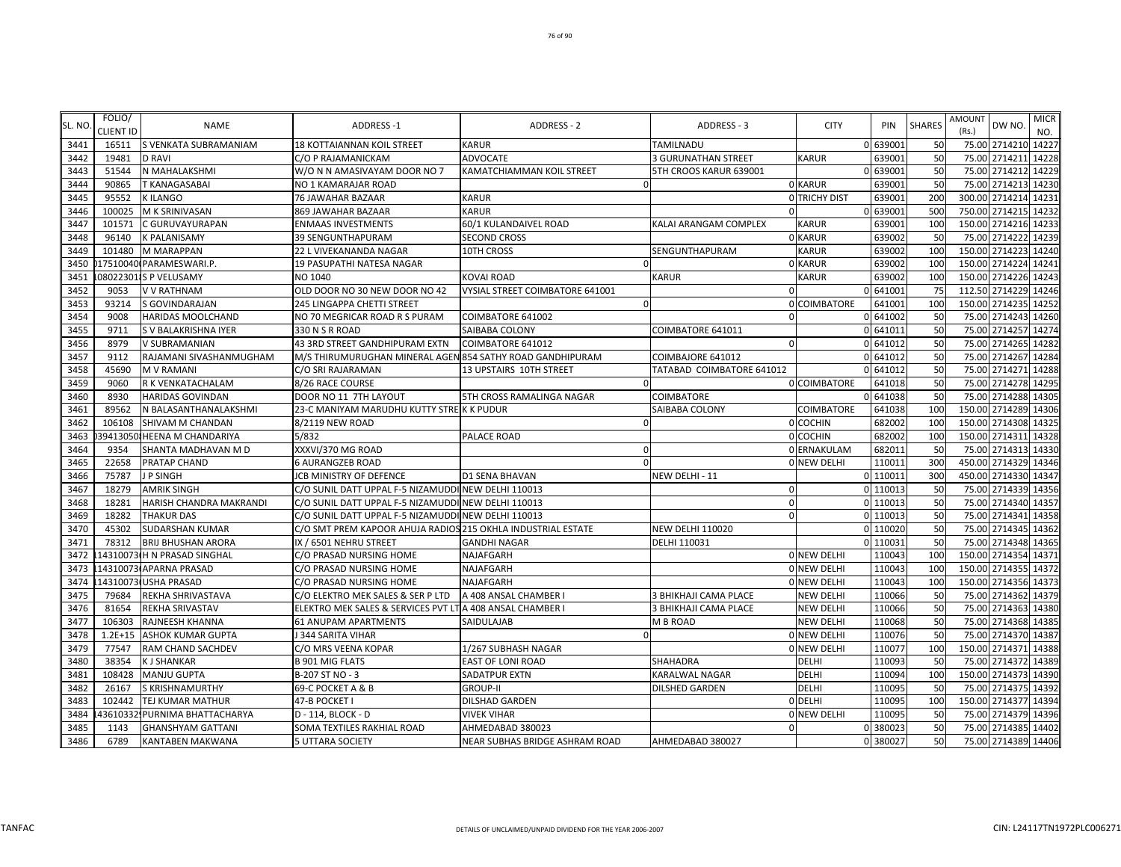| SL. NO       | FOLIO/           | <b>NAME</b>                    | <b>ADDRESS-1</b>                                             | <b>ADDRESS - 2</b>               | <b>ADDRESS - 3</b>         | <b>CITY</b>              | PIN               | <b>SHARES</b>    | <b>AMOUNT</b>   | DW NO.                         | <b>MICR</b> |
|--------------|------------------|--------------------------------|--------------------------------------------------------------|----------------------------------|----------------------------|--------------------------|-------------------|------------------|-----------------|--------------------------------|-------------|
|              | <b>CLIENT ID</b> |                                |                                                              |                                  |                            |                          |                   |                  | (Rs.)           |                                | NO.         |
| 3441         | 16511            | S VENKATA SUBRAMANIAM          | <b>18 KOTTAIANNAN KOIL STREET</b>                            | <b>KARUR</b>                     | <b>TAMILNADU</b>           |                          | 0 639001          | 50               |                 | 75.00 2714210 14227            |             |
| 3442         | 19481            | <b>D RAVI</b>                  | C/O P RAJAMANICKAM                                           | <b>ADVOCATE</b>                  | <b>3 GURUNATHAN STREET</b> | <b>KARUR</b>             | 63900             | 50               | 75.00           | 2714211 14228                  |             |
| 3443         | 51544            | N MAHALAKSHMI                  | W/O N N AMASIVAYAM DOOR NO 7                                 | <b>KAMATCHIAMMAN KOIL STREET</b> | 5TH CROOS KARUR 639001     |                          | 0 639001          | 50               |                 | 75.00 2714212 14229            |             |
| 3444<br>3445 | 90865            | T KANAGASABAI<br>K ILANGO      | NO 1 KAMARAJAR ROAD                                          |                                  |                            | 0 KARUR<br>O TRICHY DIST | 63900             | 50<br><b>200</b> | 75.00<br>300.00 | 2714213 14230<br>2714214 14231 |             |
| 3446         | 95552<br>100025  | M K SRINIVASAN                 | <b>76 JAWAHAR BAZAAR</b><br>869 JAWAHAR BAZAAR               | <b>KARUR</b><br>KARUR            | $\Omega$                   |                          | 63900<br>0 639001 | 500              |                 | 750.00 2714215 14232           |             |
| 3447         | 101571           | C GURUVAYURAPAN                | <b>ENMAAS INVESTMENTS</b>                                    | 60/1 KULANDAIVEL ROAD            | KALAI ARANGAM COMPLEX      | KARUR                    | 639001            | <b>100</b>       |                 | 150.00 2714216 14233           |             |
| 3448         | 96140            | K PALANISAMY                   | 39 SENGUNTHAPURAM                                            | <b>SECOND CROSS</b>              |                            | 0 KARUR                  | 639002            | 50               |                 | 75.00 2714222 14239            |             |
| 3449         | 101480           | M MARAPPAN                     | 22 L VIVEKANANDA NAGAR                                       | 10TH CROSS                       | SENGUNTHAPURAM             | <b>KARUR</b>             | 639002            | 100              |                 | 150.00 2714223 14240           |             |
| 3450         |                  | 17510040 PARAMESWARI.P.        | 19 PASUPATHI NATESA NAGAR                                    |                                  |                            | 0 KARUR                  | 639002            | 100              |                 | 150.00 2714224 1424:           |             |
| 3451         |                  | 080223011S P VELUSAMY          | NO 1040                                                      | KOVAI ROAD                       | <b>KARUR</b>               | <b>KARUR</b>             | 639002            | 100              |                 | 150.00 2714226 14243           |             |
| 3452         | 9053             | V V RATHNAM                    | OLD DOOR NO 30 NEW DOOR NO 42                                | VYSIAL STREET COIMBATORE 641001  | $\Omega$                   |                          | 0 64100           | 75               |                 | 112.50 2714229 14246           |             |
| 3453         | 93214            | S GOVINDARAJAN                 | 245 LINGAPPA CHETTI STREET                                   | $\Omega$                         |                            | 0 COIMBATORE             | 64100             | 100              | 150.00          | 2714235 1425                   |             |
| 3454         | 9008             | HARIDAS MOOLCHAND              | NO 70 MEGRICAR ROAD R S PURAM                                | COIMBATORE 641002                | $\Omega$                   |                          | 0 641002          | 50               | 75.00           | 2714243 14260                  |             |
| 3455         | 9711             | S V BALAKRISHNA IYER           | 330 N S R ROAD                                               | SAIBABA COLONY                   | COIMBATORE 641011          |                          | 0 641011          | 50               |                 | 75.00 2714257 14274            |             |
| 3456         | 8979             | V SUBRAMANIAN                  | 43 3RD STREET GANDHIPURAM EXTN                               | COIMBATORE 641012                | $\mathbf{0}$               |                          | 0 641012          | 50               |                 | 75.00 2714265 14282            |             |
| 3457         | 9112             | RAJAMANI SIVASHANMUGHAM        | M/S THIRUMURUGHAN MINERAL AGEN 854 SATHY ROAD GANDHIPURAM    |                                  | COIMBAJORE 641012          |                          | 0 641012          | 50               |                 | 75.00 2714267 14284            |             |
| 3458         | 45690            | <b>M V RAMANI</b>              | C/O SRI RAJARAMAN                                            | 13 UPSTAIRS 10TH STREET          | TATABAD COIMBATORE 641012  |                          | 0 641012          | 50               |                 | 75.00 2714271 14288            |             |
| 3459         | 9060             | R K VENKATACHALAM              | 8/26 RACE COURSE                                             |                                  |                            | 0 COIMBATORE             | 641018            | 50               | 75.00           | 2714278 14295                  |             |
| 3460         | 8930             | <b>HARIDAS GOVINDAN</b>        | DOOR NO 11 7TH LAYOUT                                        | 5TH CROSS RAMALINGA NAGAR        | <b>COIMBATORE</b>          |                          | 0 641038          | 50               | 75.00           | 2714288 14305                  |             |
| 3461         | 89562            | N BALASANTHANALAKSHMI          | 23-C MANIYAM MARUDHU KUTTY STREK K PUDUR                     |                                  | SAIBABA COLONY             | COIMBATORE               | 641038            | <b>100</b>       | 150.00          | 2714289                        | 14306       |
| 3462         | 106108           | SHIVAM M CHANDAN               | 8/2119 NEW ROAD                                              |                                  |                            | 0 COCHIN                 | 682002            | 100              |                 | 150.00 2714308 14325           |             |
| 3463         |                  | 394130501HEENA M CHANDARIYA    | 5/832                                                        | PALACE ROAD                      |                            | 0 COCHIN                 | 682002            | 100              |                 | 150.00 2714311 14328           |             |
| 3464         | 9354             | SHANTA MADHAVAN M D            | XXXVI/370 MG ROAD                                            |                                  |                            | 0 ERNAKULAM              | 682011            | 50               |                 | 75.00 2714313 14330            |             |
| 3465         | 22658            | PRATAP CHAND                   | <b>6 AURANGZEB ROAD</b>                                      | $\Omega$                         |                            | 0 NEW DELHI              | 110011            | 300              |                 | 450.00 2714329 14346           |             |
| 3466         | 75787            | J P SINGH                      | JCB MINISTRY OF DEFENCE                                      | D1 SENA BHAVAN                   | NEW DELHI - 11             |                          | 0 110011          | 300              |                 | 450.00 2714330 14347           |             |
| 3467         | 18279            | AMRIK SINGH                    | C/O SUNIL DATT UPPAL F-5 NIZAMUDDI NEW DELHI 110013          |                                  | $\Omega$                   |                          | 0 11001           | 50               | 75.00           | 2714339 14356                  |             |
| 3468         | 18281            | HARISH CHANDRA MAKRANDI        | C/O SUNIL DATT UPPAL F-5 NIZAMUDDI NEW DELHI 110013          |                                  | $\mathbf{0}$               |                          | 0 11001           | 50               | 75.00           | 2714340 14357                  |             |
| 3469         | 18282            | <b>THAKUR DAS</b>              | C/O SUNIL DATT UPPAL F-5 NIZAMUDDI NEW DELHI 110013          |                                  | $\Omega$                   |                          | $0$ 11001         | 50               | 75.00           | 2714341 14358                  |             |
| 3470         | 45302            | SUDARSHAN KUMAR                | C/O SMT PREM KAPOOR AHUJA RADIOS 215 OKHLA INDUSTRIAL ESTATE |                                  | <b>NEW DELHI 110020</b>    |                          | 0 110020          | 50               | 75.00           | 2714345 14362                  |             |
| 3471         | 78312            | <b>BRIJ BHUSHAN ARORA</b>      | IX / 6501 NEHRU STREET                                       | <b>GANDHI NAGAR</b>              | DELHI 110031               |                          | 0 11003           | 50               | 75.00           | 2714348 14365                  |             |
| 3472         |                  | 14310073 H N PRASAD SINGHAL    | C/O PRASAD NURSING HOME                                      | NAJAFGARH                        |                            | 0 NEW DELHI              | 110043            | 100              |                 | 150.00 2714354 1437            |             |
| 3473         |                  | 14310073 APARNA PRASAD         | C/O PRASAD NURSING HOME                                      | NAJAFGARH                        |                            | 0 NEW DELHI              | 110043            | 100              |                 | 150.00 2714355 1437            |             |
| 3474         |                  | 14310073 USHA PRASAD           | C/O PRASAD NURSING HOME                                      | <b>NAJAFGARH</b>                 |                            | 0 NEW DELHI              | 110043            | 100              |                 | 150.00 2714356 14373           |             |
| 3475         | 79684            | REKHA SHRIVASTAVA              | C/O ELEKTRO MEK SALES & SER P LTD                            | A 408 ANSAL CHAMBER I            | 3 BHIKHAJI CAMA PLACE      | <b>NEW DELHI</b>         | 110066            | 50               | 75.00           | 2714362 14379                  |             |
| 3476         | 81654            | REKHA SRIVASTAV                | ELEKTRO MEK SALES & SERVICES PVT LT A 408 ANSAL CHAMBER I    |                                  | 3 BHIKHAJI CAMA PLACE      | <b>NEW DELHI</b>         | 110066            | 50               | 75.00           | 2714363 14380                  |             |
| 3477         | 106303           | RAJNEESH KHANNA                | <b>61 ANUPAM APARTMENTS</b>                                  | SAIDULAJAB                       | M B ROAD                   | <b>NEW DELHI</b>         | 110068            | 50               | 75.00           | 2714368 14385                  |             |
| 3478         | $1.2E + 15$      | <b>ASHOK KUMAR GUPTA</b>       | J 344 SARITA VIHAR                                           |                                  |                            | 0 NEW DELHI              | 110076            | 50               |                 | 75.00 2714370 14387            |             |
| 3479         | 77547            | RAM CHAND SACHDEV              | C/O MRS VEENA KOPAR                                          | 1/267 SUBHASH NAGAR              |                            | 0 NEW DELHI              | 110077            | 100              |                 | 150.00 2714371 14388           |             |
| 3480         | 38354            | K J SHANKAR                    | <b>B 901 MIG FLATS</b>                                       | EAST OF LONI ROAD                | <b>SHAHADRA</b>            | <b>DELHI</b>             | 110093            | 50               |                 | 75.00 2714372 14389            |             |
| 3481         | 108428           | <b>MANJU GUPTA</b>             | B-207 ST NO - 3                                              | SADATPUR EXTN                    | <b>KARALWAL NAGAR</b>      | <b>DELHI</b>             | 110094            | 100              |                 | 150.00 2714373 14390           |             |
| 3482         | 26167            | S KRISHNAMURTHY                | 69-C POCKET A & B                                            | <b>GROUP-II</b>                  | <b>DILSHED GARDEN</b>      | <b>DELHI</b>             | 110095            | 50               |                 | 75.00 2714375 14392            |             |
| 3483         | 102442           | TEJ KUMAR MATHUR               | 47-B POCKET I                                                | DILSHAD GARDEN                   |                            | 0 DELHI                  | 11009             | 100              | 150.00          | 2714377 14394                  |             |
| 3484         |                  | 436103321 PURNIMA BHATTACHARYA | D - 114, BLOCK - D                                           | <b>VIVEK VIHAR</b>               |                            | 0 NEW DELHI              | 110095            | 50               | 75.00           | 2714379 14396                  |             |
| 3485         | 1143             | <b>GHANSHYAM GATTANI</b>       | SOMA TEXTILES RAKHIAL ROAD                                   | AHMEDABAD 380023                 | $\overline{0}$             |                          | 0 380023          | 50               |                 | 75.00 2714385 14402            |             |
| 3486         | 6789             | KANTABEN MAKWANA               | <b>5 UTTARA SOCIETY</b>                                      | NEAR SUBHAS BRIDGE ASHRAM ROAD   | AHMEDABAD 380027           |                          | 0 380027          | 50               |                 | 75.00 2714389 14406            |             |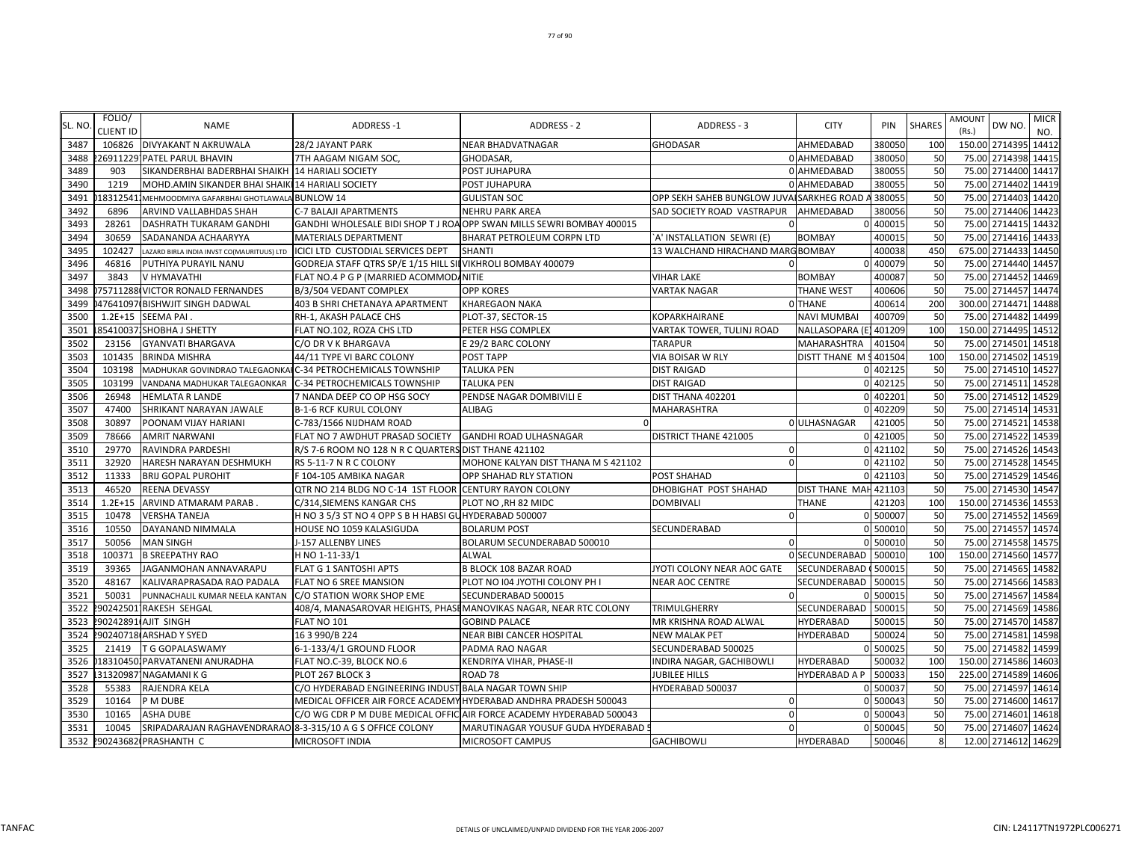| SL. NO | FOLIO/           | <b>NAME</b>                                                 | <b>ADDRESS-1</b>                                             | <b>ADDRESS - 2</b>                                                    | ADDRESS - 3                               | <b>CITY</b>            | PIN      | <b>SHARES</b> | AMOUNT | DW NO.               | <b>MICR</b> |
|--------|------------------|-------------------------------------------------------------|--------------------------------------------------------------|-----------------------------------------------------------------------|-------------------------------------------|------------------------|----------|---------------|--------|----------------------|-------------|
|        | <b>CLIENT ID</b> |                                                             |                                                              |                                                                       |                                           |                        |          |               | (Rs.)  |                      | NO.         |
| 3487   |                  | 106826 DIVYAKANT N AKRUWALA                                 | 28/2 JAYANT PARK                                             | NEAR BHADVATNAGAR                                                     | <b>GHODASAR</b>                           | AHMEDABAD              | 380050   | 100           |        | 150.00 2714395       | 14412       |
| 3488   |                  | 26911229 PATEL PARUL BHAVIN                                 | 7TH AAGAM NIGAM SOC,                                         | GHODASAR,                                                             |                                           | 0 AHMEDABAD            | 380050   | 50            |        | 75.00 2714398 14415  |             |
| 3489   | 903              | SIKANDERBHAI BADERBHAI SHAIKH 14 HARIALI SOCIETY            |                                                              | POST JUHAPURA                                                         |                                           | 0 AHMEDABAD            | 380055   | 50            |        | 75.00 2714400 14417  |             |
| 3490   | 1219             | MOHD.AMIN SIKANDER BHAI SHAIKI 14 HARIALI SOCIETY           |                                                              | POST JUHAPURA                                                         |                                           | 0 AHMEDABAD            | 380055   | 50            |        | 75.00 2714402        | 14419       |
| 3491   | 18312541.        | MEHMOODMIYA GAFARBHAI GHOTLAWALA BUNLOW 14                  |                                                              | <b>GULISTAN SOC</b>                                                   | OPP SEKH SAHEB BUNGLOW JUVAI SARKHEG ROAD |                        | 380055   | 50            |        | 75.00 2714403 14420  |             |
| 3492   | 6896             | ARVIND VALLABHDAS SHAH                                      | <b>C-7 BALAJI APARTMENTS</b>                                 | <b>NEHRU PARK AREA</b>                                                | SAD SOCIETY ROAD VASTRAPUR                | AHMEDABAD              | 380056   | 50            |        | 75.00 2714406        | 14423       |
| 3493   | 28261            | DASHRATH TUKARAM GANDHI                                     |                                                              | GANDHI WHOLESALE BIDI SHOP T J ROA OPP SWAN MILLS SEWRI BOMBAY 400015 | $\Omega$                                  |                        | 0 40001  | 50            |        | 75.00 2714415        | 14432       |
| 3494   | 30659            | SADANANDA ACHAARYYA                                         | MATERIALS DEPARTMENT                                         | BHARAT PETROLEUM CORPN LTD                                            | `A' INSTALLATION SEWRI (E)                | <b>BOMBAY</b>          | 40001    | 50            |        | 75.00 2714416 14433  |             |
| 3495   | 102427           | LAZARD BIRLA INDIA INVST CO(MAURITUUS) LTD                  | ICICI LTD CUSTODIAL SERVICES DEPT                            | <b>SHANTI</b>                                                         | 13 WALCHAND HIRACHAND MARG BOMBAY         |                        | 400038   | 45C           |        | 675.00 2714433       | 14450       |
| 3496   | 46816            | PUTHIYA PURAYIL NANU                                        | GODREJA STAFF QTRS SP/E 1/15 HILL SII VIKHROLI BOMBAY 400079 |                                                                       | $\Omega$                                  |                        | 0 400079 | 50            |        | 75.00 2714440 14457  |             |
| 3497   | 3843             | V HYMAVATHI                                                 | FLAT NO.4 P G P (MARRIED ACOMMODANITIE                       |                                                                       | <b>VIHAR LAKE</b>                         | <b>BOMBAY</b>          | 400087   | 50            |        | 75.00 2714452        | 14469       |
| 3498   |                  | 75711288 VICTOR RONALD FERNANDES                            | B/3/504 VEDANT COMPLEX                                       | <b>OPP KORES</b>                                                      | <b>VARTAK NAGAR</b>                       | <b>THANE WEST</b>      | 400606   | 50            |        | 75.00 2714457 14474  |             |
| 3499   |                  | 47641097 BISHWJIT SINGH DADWAL                              | 403 B SHRI CHETANAYA APARTMENT                               | <b>KHAREGAON NAKA</b>                                                 |                                           | 0 THANE                | 400614   | 200           |        | 300.00 2714471       | 14488       |
| 3500   | $1.2E + 15$      | SEEMA PAI                                                   | RH-1, AKASH PALACE CHS                                       | PLOT-37, SECTOR-15                                                    | KOPARKHAIRANE                             | <b>NAVI MUMBAI</b>     | 400709   | 50            | 75.00  | 2714482              | 14499       |
| 3501   |                  | 854100371SHOBHA J SHETTY                                    | FLAT NO.102, ROZA CHS LTD                                    | PETER HSG COMPLEX                                                     | VARTAK TOWER, TULINJ ROAD                 | <b>NALLASOPARA (I</b>  | 401209   | 100           |        | 150.00 2714495       | 14512       |
| 3502   | 23156            | <b>GYANVATI BHARGAVA</b>                                    | C/O DR V K BHARGAVA                                          | E 29/2 BARC COLONY                                                    | TARAPUR                                   | MAHARASHTRA            | 401504   | 50            |        | 75.00 2714501        | 14518       |
| 3503   | 101435           | <b>BRINDA MISHRA</b>                                        | 44/11 TYPE VI BARC COLONY                                    | POST TAPP                                                             | VIA BOISAR W RLY                          | DISTT THANE M \$401504 |          | 100           |        | 150.00 2714502 14519 |             |
| 3504   | 103198           | MADHUKAR GOVINDRAO TALEGAONKAI C-34 PETROCHEMICALS TOWNSHIP |                                                              | TALUKA PEN                                                            | <b>DIST RAIGAD</b>                        |                        | 0 402125 | 50            |        | 75.00 2714510 14527  |             |
| 3505   | 103199           | VANDANA MADHUKAR TALEGAONKAR                                | C-34 PETROCHEMICALS TOWNSHIP                                 | <b>TALUKA PEN</b>                                                     | DIST RAIGAD                               |                        | 0 402125 | 50            |        | 75.00 2714511        | 14528       |
| 3506   | 26948            | <b>HEMLATA R LANDE</b>                                      | 7 NANDA DEEP CO OP HSG SOCY                                  | PENDSE NAGAR DOMBIVILI E                                              | DIST THANA 402201                         |                        | 0 402201 | 50            |        | 75.00 2714512 14529  |             |
| 3507   | 47400            | SHRIKANT NARAYAN JAWALE                                     | B-1-6 RCF KURUL COLONY                                       | ALIBAG                                                                | MAHARASHTRA                               |                        | 0 402209 | 50            |        | 75.00 2714514 14531  |             |
| 3508   | 30897            | POONAM VIJAY HARIANI                                        | C-783/1566 NIJDHAM ROAD                                      |                                                                       |                                           | 0 ULHASNAGAR           | 421005   | 50            |        | 75.00 2714521        | 14538       |
| 3509   | 78666            | <b>AMRIT NARWANI</b>                                        | FLAT NO 7 AWDHUT PRASAD SOCIETY                              | <b>GANDHI ROAD ULHASNAGAR</b>                                         | DISTRICT THANE 421005                     |                        | 0 421005 | 50            | 75.00  | 2714522 14539        |             |
| 3510   | 29770            | RAVINDRA PARDESHI                                           | R/S 7-6 ROOM NO 128 N R C QUARTERS DIST THANE 421102         |                                                                       | 0                                         |                        | 0 421102 | 50            |        | 75.00 2714526 14543  |             |
| 3511   | 32920            | HARESH NARAYAN DESHMUKH                                     | RS 5-11-7 N R C COLONY                                       | MOHONE KALYAN DIST THANA M S 421102                                   | $\Omega$                                  |                        | 0 421102 | 50            |        | 75.00 2714528 14545  |             |
| 3512   | 11333            | <b>BRIJ GOPAL PUROHIT</b>                                   | F 104-105 AMBIKA NAGAR                                       | OPP SHAHAD RLY STATION                                                | POST SHAHAD                               |                        | 0 421103 | 50            |        | 75.00 2714529 14546  |             |
| 3513   | 46520            | REENA DEVASSY                                               | QTR NO 214 BLDG NO C-14 1ST FLOOR CENTURY RAYON COLONY       |                                                                       | DHOBIGHAT POST SHAHAD                     | DIST THANE MAH         | 421103   | 50            |        | 75.00 2714530 14547  |             |
| 3514   | $1.2E + 15$      | ARVIND ATMARAM PARAB.                                       | C/314, SIEMENS KANGAR CHS                                    | PLOT NO, RH 82 MIDC                                                   | <b>DOMBIVALI</b>                          | <b>THANE</b>           | 421203   | 100           |        | 150.00 2714536 14553 |             |
| 3515   | 10478            | VERSHA TANEJA                                               | H NO 3 5/3 ST NO 4 OPP S B H HABSI GUHYDERABAD 500007        |                                                                       | $\Omega$                                  |                        | 0 50000  | 50            |        | 75.00 2714552 14569  |             |
| 3516   | 10550            | DAYANAND NIMMALA                                            | HOUSE NO 1059 KALASIGUDA                                     | <b>BOLARUM POST</b>                                                   | SECUNDERABAD                              |                        | 0 500010 | 50            |        | 75.00 2714557 14574  |             |
| 3517   | 50056            | <b>MAN SINGH</b>                                            | J-157 ALLENBY LINES                                          | BOLARUM SECUNDERABAD 500010                                           |                                           |                        | 0 50001  | 50            |        | 75.00 2714558 14575  |             |
| 3518   | 100371           | <b>B SREEPATHY RAO</b>                                      | H NO 1-11-33/1                                               | <b>ALWAL</b>                                                          |                                           | 0 SECUNDERABAD         | 500010   | 100           |        | 150.00 2714560 14577 |             |
| 3519   | 39365            | JAGANMOHAN ANNAVARAPU                                       | FLAT G 1 SANTOSHI APTS                                       | <b>B BLOCK 108 BAZAR ROAD</b>                                         | JYOTI COLONY NEAR AOC GATE                | SECUNDERABAD (500015   |          | 50            |        | 75.00 2714565        | 14582       |
| 3520   | 48167            | KALIVARAPRASADA RAO PADALA                                  | FLAT NO 6 SREE MANSION                                       | PLOT NO 104 JYOTHI COLONY PH I                                        | <b>NEAR AOC CENTRE</b>                    | SECUNDERABAD           | 500015   | 50            |        | 75.00 2714566 14583  |             |
| 3521   | 50031            | PUNNACHALIL KUMAR NEELA KANTAN                              | C/O STATION WORK SHOP EME                                    | SECUNDERABAD 500015                                                   |                                           |                        | 500015   | 50            |        | 75.00 2714567 14584  |             |
| 3522   |                  | 90242501 RAKESH SEHGAL                                      |                                                              | 408/4, MANASAROVAR HEIGHTS, PHASI MANOVIKAS NAGAR, NEAR RTC COLONY    | TRIMULGHERRY                              | SECUNDERABAD           | 500015   | 50            |        | 75.00 2714569 14586  |             |
| 3523   |                  | 90242891(AJIT SINGH                                         | FLAT NO 101                                                  | <b>GOBIND PALACE</b>                                                  | MR KRISHNA ROAD ALWAL                     | <b>HYDERABAD</b>       | 50001    | 50            |        | 75.00 2714570 14587  |             |
| 3524   |                  | 90240718 ARSHAD Y SYED                                      | 16 3 990/B 224                                               | <b>NEAR BIBI CANCER HOSPITAL</b>                                      | <b>NEW MALAK PET</b>                      | <b>HYDERABAD</b>       | 500024   | 50            |        | 75.00 2714581        | 14598       |
| 3525   | 21419            | T G GOPALASWAMY                                             | 6-1-133/4/1 GROUND FLOOR                                     | PADMA RAO NAGAR                                                       | SECUNDERABAD 500025                       |                        | 0 500025 | 50            |        | 75.00 2714582        | 14599       |
| 3526   |                  | 183104501PARVATANENI ANURADHA                               | FLAT NO.C-39, BLOCK NO.6                                     | KENDRIYA VIHAR, PHASE-II                                              | INDIRA NAGAR, GACHIBOWLI                  | <b>HYDERABAD</b>       | 500032   | 100           |        | 150.00 2714586       | 14603       |
| 3527   |                  | 31320987 NAGAMANIK G                                        | PLOT 267 BLOCK 3                                             | ROAD <sub>78</sub>                                                    | <b>JUBILEE HILLS</b>                      | <b>HYDERABAD A P</b>   | 500033   | 150           |        | 225.00 2714589       | 14606       |
| 3528   | 55383            | RAJENDRA KELA                                               | C/O HYDERABAD ENGINEERING INDUST BALA NAGAR TOWN SHIP        |                                                                       | HYDERABAD 500037                          |                        | 0 500037 | 50            |        | 75.00 2714597 14614  |             |
| 3529   | 10164            | P M DUBE                                                    |                                                              | MEDICAL OFFICER AIR FORCE ACADEMY HYDERABAD ANDHRA PRADESH 500043     | 0                                         |                        | 0 500043 | 50            |        | 75.00 2714600 14617  |             |
| 3530   | 10165            | <b>ASHA DUBE</b>                                            |                                                              | C/O WG CDR P M DUBE MEDICAL OFFIC AIR FORCE ACADEMY HYDERABAD 500043  | $\mathbf 0$                               |                        | 0 500043 | 50            |        | 75.00 2714601        | 14618       |
| 3531   | 10045            | SRIPADARAJAN RAGHAVENDRARAO 8-3-315/10 A G S OFFICE COLONY  |                                                              | MARUTINAGAR YOUSUF GUDA HYDERABAD                                     | $\mathbf 0$                               |                        | 0 500045 | 50            |        | 75.00 2714607 14624  |             |
| 3532   |                  | 290243682 PRASHANTH C                                       | MICROSOFT INDIA                                              | <b>MICROSOFT CAMPUS</b>                                               | <b>GACHIBOWLI</b>                         | <b>HYDERABAD</b>       | 500046   |               |        | 12.00 2714612 14629  |             |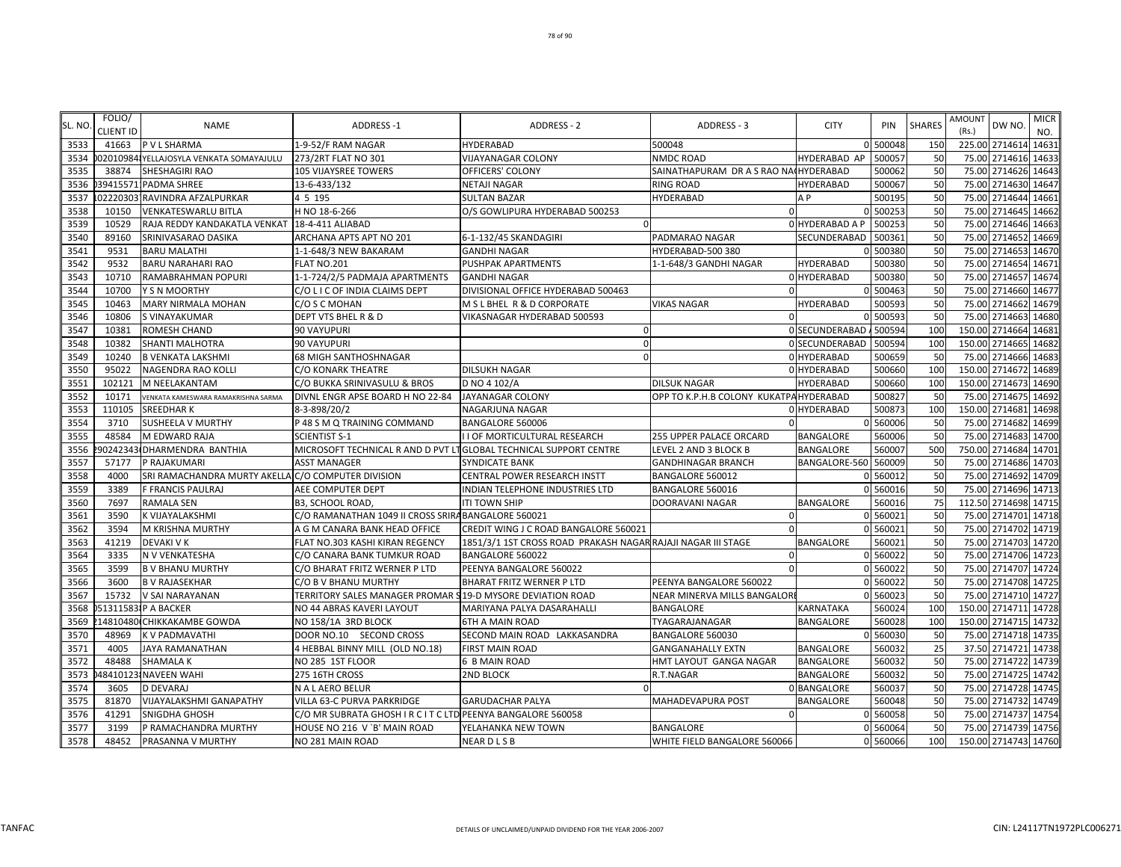| SL. NO | FOLIO/<br><b>CLIENT ID</b> | <b>NAME</b>                                        | ADDRESS-1                                                         | <b>ADDRESS - 2</b>                                           | ADDRESS - 3                             | <b>CITY</b>      | PIN      | <b>SHARES</b> | <b>AMOUNT</b><br>(Rs.) | DW NO.               | <b>MICR</b><br>NO. |
|--------|----------------------------|----------------------------------------------------|-------------------------------------------------------------------|--------------------------------------------------------------|-----------------------------------------|------------------|----------|---------------|------------------------|----------------------|--------------------|
| 3533   | 41663                      | P V L SHARMA                                       | 1-9-52/F RAM NAGAR                                                | <b>HYDERABAD</b>                                             | 500048                                  |                  | 0 500048 | 150           |                        | 225.00 2714614 14631 |                    |
| 3534   |                            | 02010984 YELLAJOSYLA VENKATA SOMAYAJULU            | 273/2RT FLAT NO 301                                               | <b>VIJAYANAGAR COLONY</b>                                    | <b>NMDC ROAD</b>                        | HYDERABAD AP     | 50005    | 50            | 75.00                  | 2714616 14633        |                    |
| 3535   | 38874                      | <b>SHESHAGIRI RAO</b>                              | 105 VIJAYSREE TOWERS                                              | OFFICERS' COLONY                                             | SAINATHAPURAM DR A S RAO NA(HYDERABAD   |                  | 500062   | 50            |                        | 75.00 2714626 14643  |                    |
| 3536   |                            | 39415571 PADMA SHREE                               | 13-6-433/132                                                      | <b>NETAJI NAGAR</b>                                          | <b>RING ROAD</b>                        | <b>HYDERABAD</b> | 500067   | 50            | 75.00                  | 2714630 14647        |                    |
| 3537   |                            | 02220303 RAVINDRA AFZALPURKAR                      | 4 5 195                                                           | <b>SULTAN BAZAR</b>                                          | HYDERABAD                               | A P              | 500195   | 50            |                        | 75.00 2714644 14661  |                    |
| 3538   | 10150                      | <b>VENKATESWARLU BITLA</b>                         | H NO 18-6-266                                                     | O/S GOWLIPURA HYDERABAD 500253                               | $\Omega$                                |                  | 500253   | 50            | 75.00                  | 2714645 14662        |                    |
| 3539   | 10529                      | RAJA REDDY KANDAKATLA VENKAT   18-4-411 ALIABAD    |                                                                   | $\Omega$                                                     |                                         | 0 HYDERABAD A P  | 500253   | 50            |                        | 75.00 2714646 14663  |                    |
| 3540   | 89160                      | SRINIVASARAO DASIKA                                | ARCHANA APTS APT NO 201                                           | 6-1-132/45 SKANDAGIRI                                        | PADMARAO NAGAR                          | SECUNDERABAD     | 500361   | 50            | 75.00                  | 2714652 14669        |                    |
| 3541   | 9531                       | <b>BARU MALATHI</b>                                | 1-1-648/3 NEW BAKARAM                                             | <b>GANDHI NAGAR</b>                                          | HYDERABAD-500 380                       |                  | 500380   | 50            | 75.00                  | 2714653 14670        |                    |
| 3542   | 9532                       | <b>BARU NARAHARI RAO</b>                           | <b>FLAT NO.201</b>                                                | PUSHPAK APARTMENTS                                           | 1-1-648/3 GANDHI NAGAR                  | HYDERABAD        | 500380   | 50            | 75.00                  | 2714654 14671        |                    |
| 3543   | 10710                      | RAMABRAHMAN POPURI                                 | 1-1-724/2/5 PADMAJA APARTMENTS                                    | <b>GANDHI NAGAR</b>                                          |                                         | 0 HYDERABAD      | 500380   | 50            | 75.00                  | 2714657 14674        |                    |
| 3544   | 10700                      | Y S N MOORTHY                                      | C/O L I C OF INDIA CLAIMS DEPT                                    | DIVISIONAL OFFICE HYDERABAD 500463                           | $\Omega$                                |                  | 0 500463 | 50            | 75.00                  | 2714660 14677        |                    |
| 3545   | 10463                      | MARY NIRMALA MOHAN                                 | C/O S C MOHAN                                                     | M S L BHEL R & D CORPORATE                                   | <b>VIKAS NAGAR</b>                      | <b>HYDERABAD</b> | 500593   | 50            | 75.00                  | 2714662 14679        |                    |
| 3546   | 10806                      | S VINAYAKUMAR                                      | DEPT VTS BHEL R & D                                               | VIKASNAGAR HYDERABAD 500593                                  |                                         |                  | 500593   | 50            |                        | 75.00 2714663 14680  |                    |
| 3547   | 10381                      | <b>ROMESH CHAND</b>                                | 90 VAYUPURI                                                       | $\Omega$                                                     |                                         | 0 SECUNDERABAD   | 500594   | 100           | 150.00                 | 2714664 14681        |                    |
| 3548   | 10382                      | SHANTI MALHOTRA                                    | 90 VAYUPURI                                                       |                                                              |                                         | 0 SECUNDERABAD   | 500594   | 100           | 150.00                 | 2714665 14682        |                    |
| 3549   | 10240                      | <b>B VENKATA LAKSHMI</b>                           | 68 MIGH SANTHOSHNAGAR                                             |                                                              |                                         | 0 HYDERABAD      | 500659   | 50            | 75.00                  | 2714666 14683        |                    |
| 3550   | 95022                      | <b>NAGENDRA RAO KOLLI</b>                          | C/O KONARK THEATRE                                                | <b>DILSUKH NAGAR</b>                                         |                                         | 0 HYDERABAD      | 500660   | 100           |                        | 150.00 2714672 14689 |                    |
| 3551   | 102121                     | M NEELAKANTAM                                      | C/O BUKKA SRINIVASULU & BROS                                      | D NO 4 102/A                                                 | <b>DILSUK NAGAR</b>                     | HYDERABAD        | 500660   | 100           |                        | 150.00 2714673 14690 |                    |
| 3552   | 10171                      | VENKATA KAMESWARA RAMAKRISHNA SARMA                | DIVNL ENGR APSE BOARD H NO 22-84                                  | <b>JAYANAGAR COLONY</b>                                      | OPP TO K.P.H.B COLONY KUKATPA HYDERABAD |                  | 500827   | 50            | 75.00                  | 2714675 14692        |                    |
| 3553   | 110105                     | <b>SREEDHARK</b>                                   | 8-3-898/20/2                                                      | NAGARJUNA NAGAR                                              |                                         | 0 HYDERABAD      | 500873   | 100           |                        | 150.00 2714681 14698 |                    |
| 3554   | 3710                       | <b>SUSHEELA V MURTHY</b>                           | P 48 S M Q TRAINING COMMAND                                       | BANGALORE 560006                                             | $\Omega$                                |                  | 560006   | 50            | 75.00                  | 2714682 14699        |                    |
| 3555   | 48584                      | M EDWARD RAJA                                      | <b>SCIENTIST S-1</b>                                              | I I OF MORTICULTURAL RESEARCH                                | 255 UPPER PALACE ORCARD                 | <b>BANGALORE</b> | 560006   | 50            | 75.00                  | 2714683 14700        |                    |
| 3556   |                            | 90242343 DHARMENDRA BANTHIA                        | MICROSOFT TECHNICAL R AND D PVT LTGLOBAL TECHNICAL SUPPORT CENTRE |                                                              | LEVEL 2 AND 3 BLOCK B                   | <b>BANGALORE</b> | 56000    | 500           |                        | 750.00 2714684 14701 |                    |
| 3557   | 57177                      | P RAJAKUMARI                                       | <b>ASST MANAGER</b>                                               | <b>SYNDICATE BANK</b>                                        | <b>GANDHINAGAR BRANCH</b>               | BANGALORE-560    | 560009   | 50            | 75.00                  | 2714686 14703        |                    |
| 3558   | 4000                       | SRI RAMACHANDRA MURTY AKELLA C/O COMPUTER DIVISION |                                                                   | CENTRAL POWER RESEARCH INSTT                                 | BANGALORE 560012                        |                  | 0 560012 | 50            |                        | 75.00 2714692 14709  |                    |
| 3559   | 3389                       | F FRANCIS PAULRAJ                                  | AEE COMPUTER DEPT                                                 | INDIAN TELEPHONE INDUSTRIES LTD                              | BANGALORE 560016                        |                  | 0 560016 | 50            | 75.00                  | 2714696 14713        |                    |
| 3560   | 7697                       | <b>RAMALA SEN</b>                                  | <b>B3, SCHOOL ROAD</b>                                            | <b>ITI TOWN SHIP</b>                                         | DOORAVANI NAGAR                         | BANGALORE        | 560016   | 75            |                        | 112.50 2714698 14715 |                    |
| 3561   | 3590                       | K VIJAYALAKSHMI                                    | C/O RAMANATHAN 1049 II CROSS SRIRA BANGALORE 560021               |                                                              | $\Omega$                                |                  | 0 560021 | 50            | 75.00                  | 2714701 14718        |                    |
| 3562   | 3594                       | M KRISHNA MURTHY                                   | A G M CANARA BANK HEAD OFFICE                                     | CREDIT WING J C ROAD BANGALORE 560021                        | $\Omega$                                | C                | 560021   | 50            |                        | 75.00 2714702 14719  |                    |
| 3563   | 41219                      | <b>DEVAKI V K</b>                                  | FLAT NO.303 KASHI KIRAN REGENCY                                   | 1851/3/1 1ST CROSS ROAD PRAKASH NAGAR RAJAJI NAGAR III STAGE |                                         | BANGALORE        | 560021   | 50            | 75.00                  | 2714703 14720        |                    |
| 3564   | 3335                       | N V VENKATESHA                                     | C/O CANARA BANK TUMKUR ROAD                                       | BANGALORE 560022                                             | $\Omega$                                |                  | 0 560022 | 50            | 75.00                  | 2714706 14723        |                    |
| 3565   | 3599                       | <b>B V BHANU MURTHY</b>                            | C/O BHARAT FRITZ WERNER P LTD                                     | PEENYA BANGALORE 560022                                      |                                         |                  | 560022   | 50            | 75.00                  | 2714707 14724        |                    |
| 3566   | 3600                       | <b>B V RAJASEKHAR</b>                              | C/O B V BHANU MURTHY                                              | BHARAT FRITZ WERNER P LTD                                    | PEENYA BANGALORE 560022                 |                  | 0 560022 | 50            | 75.00                  | 2714708 14725        |                    |
| 3567   | 15732                      | V SAI NARAYANAN                                    | TERRITORY SALES MANAGER PROMAR S19-D MYSORE DEVIATION ROAD        |                                                              | NEAR MINERVA MILLS BANGALORI            |                  | 0 560023 | 50            |                        | 75.00 2714710 14727  |                    |
| 3568   |                            | 513115831P A BACKER                                | NO 44 ABRAS KAVERI LAYOUT                                         | MARIYANA PALYA DASARAHALLI                                   | <b>BANGALORE</b>                        | KARNATAKA        | 560024   | 100           |                        | 150.00 2714711 14728 |                    |
| 3569   |                            | 14810480 CHIKKAKAMBE GOWDA                         | NO 158/1A 3RD BLOCK                                               | <b>6TH A MAIN ROAD</b>                                       | TYAGARAJANAGAR                          | <b>BANGALORE</b> | 560028   | 100           |                        | 150.00 2714715 14732 |                    |
| 3570   | 48969                      | <b>KV PADMAVATHI</b>                               | DOOR NO.10 SECOND CROSS                                           | SECOND MAIN ROAD LAKKASANDRA                                 | BANGALORE 560030                        |                  | 0 560030 | 50            |                        | 75.00 2714718 14735  |                    |
| 3571   | 4005                       | <b>JAYA RAMANATHAN</b>                             | 4 HEBBAL BINNY MILL (OLD NO.18)                                   | <b>FIRST MAIN ROAD</b>                                       | <b>GANGANAHALLY EXTN</b>                | <b>BANGALORE</b> | 560032   | 25            | 37.50                  | 2714721 14738        |                    |
| 3572   | 48488                      | <b>SHAMALA K</b>                                   | NO 285 1ST FLOOR                                                  | 6 B MAIN ROAD                                                | HMT LAYOUT GANGA NAGAR                  | <b>BANGALORE</b> | 560032   | 50            | 75.00                  | 2714722 14739        |                    |
| 3573   |                            | 484101231NAVEEN WAHI                               | 275 16TH CROSS                                                    | <b>2ND BLOCK</b>                                             | R.T.NAGAR                               | <b>BANGALORE</b> | 560032   | 50            | 75.00                  | 2714725 14742        |                    |
| 3574   | 3605                       | <b>D DEVARAJ</b>                                   | N A L AERO BELUR                                                  | $\Omega$                                                     |                                         | 0 BANGALORE      | 560037   | 50            |                        | 75.00 2714728 14745  |                    |
| 3575   | 81870                      | VIJAYALAKSHMI GANAPATHY                            | VILLA 63-C PURVA PARKRIDGE                                        | <b>GARUDACHAR PALYA</b>                                      | MAHADEVAPURA POST                       | BANGALORE        | 560048   | 50            | 75.00                  | 2714732 14749        |                    |
| 3576   | 41291                      | SNIGDHA GHOSH                                      | C/O MR SUBRATA GHOSH I R C I T C LTD PEENYA BANGALORE 560058      |                                                              | $\Omega$                                |                  | 0 560058 | 50            | 75.00                  | 2714737 14754        |                    |
| 3577   | 3199                       | P RAMACHANDRA MURTHY                               | HOUSE NO 216 V `B' MAIN ROAD                                      | YELAHANKA NEW TOWN                                           | BANGALORE                               | $\Omega$         | 560064   | 50            |                        | 75.00 2714739 14756  |                    |
| 3578   | 48452                      | PRASANNA V MURTHY                                  | NO 281 MAIN ROAD                                                  | <b>NEARDLSB</b>                                              | WHITE FIELD BANGALORE 560066            |                  | 0 560066 | 100           |                        | 150.00 2714743 14760 |                    |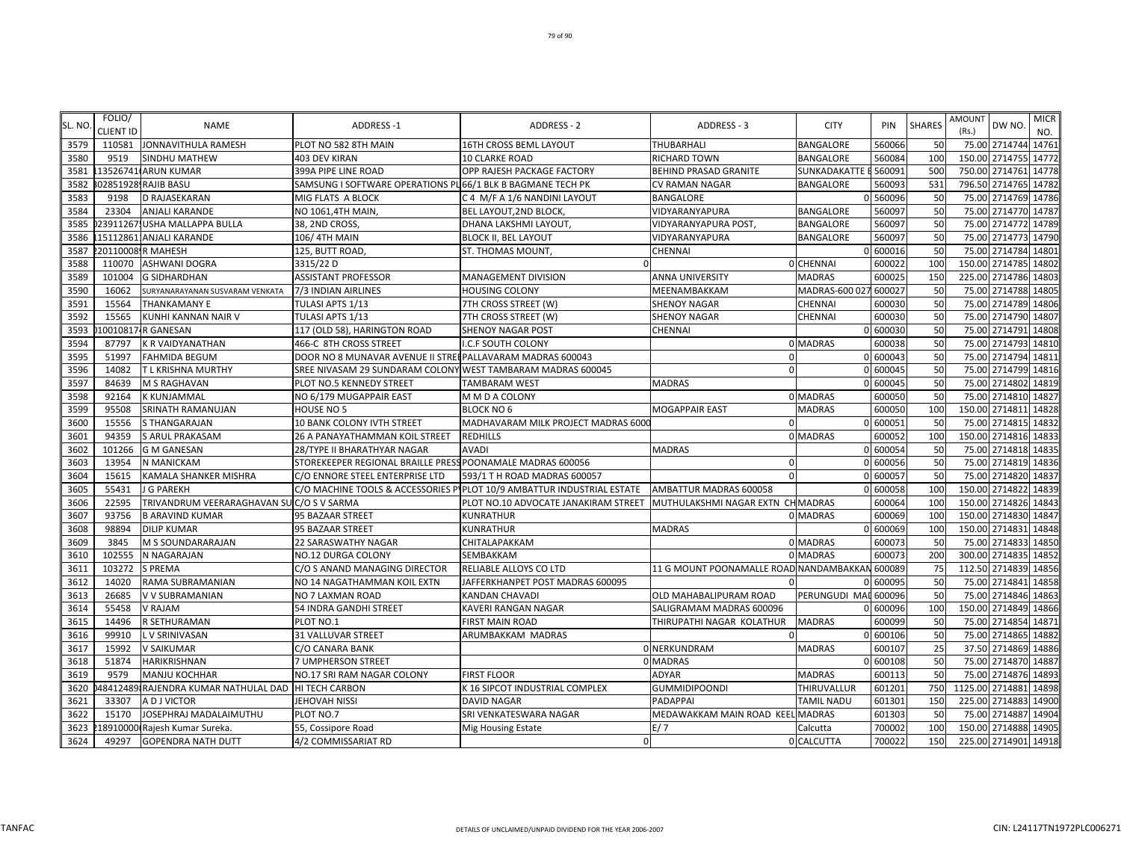| SL. NO | FOLIO/<br><b>CLIENT ID</b> | <b>NAME</b>                                         | <b>ADDRESS-1</b>                                            | <b>ADDRESS - 2</b>                                                     | ADDRESS - 3                                    | <b>CITY</b>          | PIN      | <b>SHARES</b> | <b>AMOUNT</b><br>DW NO.<br>(Rs.) | <b>MICR</b><br>NO.  |
|--------|----------------------------|-----------------------------------------------------|-------------------------------------------------------------|------------------------------------------------------------------------|------------------------------------------------|----------------------|----------|---------------|----------------------------------|---------------------|
| 3579   | 110581                     | JONNAVITHULA RAMESH                                 | PLOT NO 582 8TH MAIN                                        | <b>16TH CROSS BEML LAYOUT</b>                                          | THUBARHALI                                     | <b>BANGALORE</b>     | 560066   | 50            |                                  | 75.00 2714744 14761 |
| 3580   | 9519                       | <b>SINDHU MATHEW</b>                                | 403 DEV KIRAN                                               | <b>10 CLARKE ROAD</b>                                                  | RICHARD TOWN                                   | <b>BANGALORE</b>     | 560084   | <b>100</b>    | 150.00 2714755                   | 14772               |
| 3581   |                            | 13526741 ARUN KUMAR                                 | 399A PIPE LINE ROAD                                         | OPP RAJESH PACKAGE FACTORY                                             | <b>BEHIND PRASAD GRANITE</b>                   | SUNKADAKATTE B       | 560091   | <b>500</b>    | 750.00 2714761                   | 14778               |
| 3582   |                            | 02851928 RAJIB BASU                                 | SAMSUNG I SOFTWARE OPERATIONS PL 66/1 BLK B BAGMANE TECH PK |                                                                        | <b>CV RAMAN NAGAR</b>                          | <b>BANGALORE</b>     | 560093   | 531           | 796.50 2714765                   | 14782               |
| 3583   | 9198                       | D RAJASEKARAN                                       | MIG FLATS A BLOCK                                           | C 4 M/F A 1/6 NANDINI LAYOUT                                           | <b>BANGALORE</b>                               |                      | 0 560096 | 50            |                                  | 75.00 2714769 14786 |
| 3584   | 23304                      | <b>ANJALI KARANDE</b>                               | NO 1061,4TH MAIN,                                           | BEL LAYOUT, 2ND BLOCK                                                  | VIDYARANYAPURA                                 | <b>BANGALORE</b>     | 560097   | 50            | 75.00                            | 2714770 14787       |
| 3585   | 23911267                   | <b>USHA MALLAPPA BULLA</b>                          | 38, 2ND CROSS,                                              | DHANA LAKSHMI LAYOUT,                                                  | VIDYARANYAPURA POST.                           | <b>BANGALORE</b>     | 560097   | 50            | 75.00                            | 2714772 14789       |
| 3586   |                            | 151128611ANJALI KARANDE                             | 106/4TH MAIN                                                | <b>BLOCK II, BEL LAYOUT</b>                                            | VIDYARANYAPURA                                 | BANGALORE            | 56009    | 50            | 75.00 2714773                    | 14790               |
| 3587   |                            | 20110008 R MAHESH                                   | 125, BUTT ROAD,                                             | ST. THOMAS MOUNT,                                                      | <b>CHENNAI</b>                                 |                      | 0 600016 | 50            | 75.00 2714784                    | 14801               |
| 3588   | 110070                     | ASHWANI DOGRA                                       | 3315/22 D                                                   | $\Omega$                                                               |                                                | 0 CHENNAI            | 600022   | <b>100</b>    | 150.00 2714785                   | 14802               |
| 3589   | 101004                     | <b>G SIDHARDHAN</b>                                 | <b>ASSISTANT PROFESSOR</b>                                  | MANAGEMENT DIVISION                                                    | <b>ANNA UNIVERSITY</b>                         | <b>MADRAS</b>        | 600025   | <b>150</b>    | 225.00 2714786                   | 14803               |
| 3590   | 16062                      | SURYANARAYANAN SUSVARAM VENKATA                     | 7/3 INDIAN AIRLINES                                         | <b>HOUSING COLONY</b>                                                  | MEENAMBAKKAM                                   | MADRAS-600 027       | 600027   | 50            |                                  | 75.00 2714788 14805 |
| 3591   | 15564                      | THANKAMANY E                                        | TULASI APTS 1/13                                            | 7TH CROSS STREET (W)                                                   | <b>SHENOY NAGAR</b>                            | <b>CHENNAI</b>       | 600030   | 50            | 75.00                            | 2714789<br>14806    |
| 3592   | 15565                      | KUNHI KANNAN NAIR V                                 | TULASI APTS 1/13                                            | 7TH CROSS STREET (W)                                                   | <b>SHENOY NAGAR</b>                            | CHENNAI              | 60003    | 50            | 75.00                            | 2714790<br>14807    |
| 3593   |                            | 10010817-R GANESAN                                  | 117 (OLD 58), HARINGTON ROAD                                | <b>SHENOY NAGAR POST</b>                                               | <b>CHENNAI</b>                                 |                      | 0 60003  | 50            | 75.00 2714791                    | 14808               |
| 3594   | 87797                      | K R VAIDYANATHAN                                    | 466-C 8TH CROSS STREET                                      | I.C.F SOUTH COLONY                                                     |                                                | 0 MADRAS             | 600038   | 50            | 75.00 2714793                    | 14810               |
| 3595   | 51997                      | <b>FAHMIDA BEGUM</b>                                | DOOR NO 8 MUNAVAR AVENUE II STREEPALLAVARAM MADRAS 600043   |                                                                        | $\Omega$                                       |                      | 0 600043 | 50            | 75.00 2714794                    | 14811               |
| 3596   | 14082                      | T L KRISHNA MURTHY                                  | SREE NIVASAM 29 SUNDARAM COLONY WEST TAMBARAM MADRAS 600045 |                                                                        | $\Omega$                                       |                      | 0 600045 | 50            | 75.00 2714799                    | 14816               |
| 3597   | 84639                      | M S RAGHAVAN                                        | PLOT NO.5 KENNEDY STREET                                    | TAMBARAM WEST                                                          | <b>MADRAS</b>                                  |                      | 0 600045 | 50            | 75.00 2714802                    | 14819               |
| 3598   | 92164                      | K KUNJAMMAL                                         | NO 6/179 MUGAPPAIR EAST                                     | M M D A COLONY                                                         |                                                | 0 MADRAS             | 600050   | 50            | 75.00 2714810                    | 14827               |
| 3599   | 95508                      | SRINATH RAMANUJAN                                   | HOUSE NO 5                                                  | <b>BLOCK NO 6</b>                                                      | <b>MOGAPPAIR EAST</b>                          | <b>MADRAS</b>        | 600050   | 100           | 150.00 2714811                   | 14828               |
| 3600   | 15556                      | <b>S THANGARAJAN</b>                                | 10 BANK COLONY IVTH STREET                                  | MADHAVARAM MILK PROJECT MADRAS 6000                                    | $\Omega$                                       |                      | 0 60005  | 50            | 75.00 2714815                    | 14832               |
| 3601   | 94359                      | <b>S ARUL PRAKASAM</b>                              | 26 A PANAYATHAMMAN KOIL STREET                              | <b>REDHILLS</b>                                                        |                                                | 0 MADRAS             | 600052   | 100           | 150.00                           | 2714816<br>14833    |
| 3602   | 101266                     | <b>G M GANESAN</b>                                  | 28/TYPE II BHARATHYAR NAGAR                                 | <b>AVADI</b>                                                           | <b>MADRAS</b>                                  |                      | 0 60005  | 50            | 75.00 2714818                    | 14835               |
| 3603   | 13954                      | N MANICKAM                                          | STOREKEEPER REGIONAL BRAILLE PRESS POONAMALE MADRAS 600056  |                                                                        | 0                                              |                      | 0 600056 | 50            |                                  | 75.00 2714819 14836 |
| 3604   | 15615                      | KAMALA SHANKER MISHRA                               | C/O ENNORE STEEL ENTERPRISE LTD                             | 593/1 T H ROAD MADRAS 600057                                           | $\Omega$                                       |                      | 0 600057 | 50            | 75.00 2714820 14837              |                     |
| 3605   | 55431                      | J G PAREKH                                          |                                                             | C/O MACHINE TOOLS & ACCESSORIES PIPLOT 10/9 AMBATTUR INDUSTRIAL ESTATE | AMBATTUR MADRAS 600058                         |                      | 0 600058 | <b>100</b>    | 150.00 2714822                   | 14839               |
| 3606   | 22595                      | TRIVANDRUM VEERARAGHAVAN SU C/O S V SARMA           |                                                             | PLOT NO.10 ADVOCATE JANAKIRAM STREET                                   | MUTHULAKSHMI NAGAR EXTN CH MADRAS              |                      | 600064   | 100           | 150.00 2714826                   | 14843               |
| 3607   | 93756                      | <b>B ARAVIND KUMAR</b>                              | 95 BAZAAR STREET                                            | <b>KUNRATHUR</b>                                                       |                                                | 0 MADRAS             | 600069   | 100           | 150.00 2714830                   | 14847               |
| 3608   | 98894                      | <b>DILIP KUMAR</b>                                  | 95 BAZAAR STREET                                            | <b>KUNRATHUR</b>                                                       | <b>MADRAS</b>                                  |                      | 0 600069 | 100           | 150.00 2714831                   | 14848               |
| 3609   | 3845                       | M S SOUNDARARAJAN                                   | <b>22 SARASWATHY NAGAR</b>                                  | CHITALAPAKKAM                                                          |                                                | 0 MADRAS             | 600073   | 50            | 75.00<br>2714833                 | 14850               |
| 3610   | 102555                     | N NAGARAJAN                                         | <b>NO.12 DURGA COLONY</b>                                   | SEMBAKKAM                                                              |                                                | 0 MADRAS             | 60007    | 200           | 300.00                           | 2714835<br>14852    |
| 3611   | 103272                     | <b>S PREMA</b>                                      | C/O S ANAND MANAGING DIRECTOR                               | RELIABLE ALLOYS CO LTD                                                 | 11 G MOUNT POONAMALLE ROAD NANDAMBAKKAN 600089 |                      |          | 75            | 112.50 2714839                   | 14856               |
| 3612   | 14020                      | RAMA SUBRAMANIAN                                    | NO 14 NAGATHAMMAN KOIL EXTN                                 | JAFFERKHANPET POST MADRAS 600095                                       | $\cap$                                         |                      | 0 60009  | 50            | 75.00 2714841                    | 14858               |
| 3613   | 26685                      | V V SUBRAMANIAN                                     | NO 7 LAXMAN ROAD                                            | KANDAN CHAVADI                                                         | OLD MAHABALIPURAM ROAD                         | PERUNGUDI MAI 600096 |          | 50            | 75.00 2714846                    | 14863               |
| 3614   | 55458                      | V RAJAM                                             | 54 INDRA GANDHI STREET                                      | KAVERI RANGAN NAGAR                                                    | SALIGRAMAM MADRAS 600096                       |                      | 0 600096 | 100           | 150.00 2714849                   | 14866               |
| 3615   | 14496                      | R SETHURAMAN                                        | PLOT NO.1                                                   | <b>FIRST MAIN ROAD</b>                                                 | THIRUPATHI NAGAR KOLATHUR                      | <b>MADRAS</b>        | 600099   | 50            | 75.00 2714854                    | 14871               |
| 3616   | 99910                      | L V SRINIVASAN                                      | <b>31 VALLUVAR STREET</b>                                   | ARUMBAKKAM MADRAS                                                      |                                                |                      | 0 600106 | 50            | 2714865<br>75.00                 | 14882               |
| 3617   | 15992                      | V SAIKUMAR                                          | C/O CANARA BANK                                             |                                                                        | 0 NERKUNDRAM                                   | <b>MADRAS</b>        | 600107   | 25            | 37.50 2714869                    | 14886               |
| 3618   | 51874                      | HARIKRISHNAN                                        | 7 UMPHERSON STREET                                          |                                                                        | 0 MADRAS                                       |                      | 0 600108 | 50            |                                  | 75.00 2714870 14887 |
| 3619   | 9579                       | MANJU KOCHHAR                                       | NO.17 SRI RAM NAGAR COLONY                                  | <b>FIRST FLOOR</b>                                                     | ADYAR                                          | <b>MADRAS</b>        | 600113   | 50            | 75.00 2714876                    | 14893               |
| 3620   |                            | 48412489 RAJENDRA KUMAR NATHULAL DAD HI TECH CARBON |                                                             | K 16 SIPCOT INDUSTRIAL COMPLEX                                         | <b>GUMMIDIPOONDI</b>                           | THIRUVALLUR          | 601201   | 750           | 1125.00 2714881                  | 14898               |
| 3621   | 33307                      | A D J VICTOR                                        | JEHOVAH NISSI                                               | <b>DAVID NAGAR</b>                                                     | PADAPPAI                                       | <b>TAMIL NADU</b>    | 601301   | 150           | 225.00 2714883                   | 14900               |
| 3622   | 15170                      | JOSEPHRAJ MADALAIMUTHU                              | PLOT NO.7                                                   | SRI VENKATESWARA NAGAR                                                 | MEDAWAKKAM MAIN ROAD KEEL MADRAS               |                      | 601303   | 50            | 75.00 2714887                    | 14904               |
| 3623   |                            | 18910000 Rajesh Kumar Sureka.                       | 55, Cossipore Road                                          | <b>Mig Housing Estate</b>                                              | E/ 7                                           | Calcutta             | 700002   | 100           | 150.00 2714888 14905             |                     |
| 3624   | 49297                      | <b>GOPENDRA NATH DUTT</b>                           | 4/2 COMMISSARIAT RD                                         | $\Omega$                                                               |                                                | 0 CALCUTTA           | 700022   | 150           | 225.00 2714901 14918             |                     |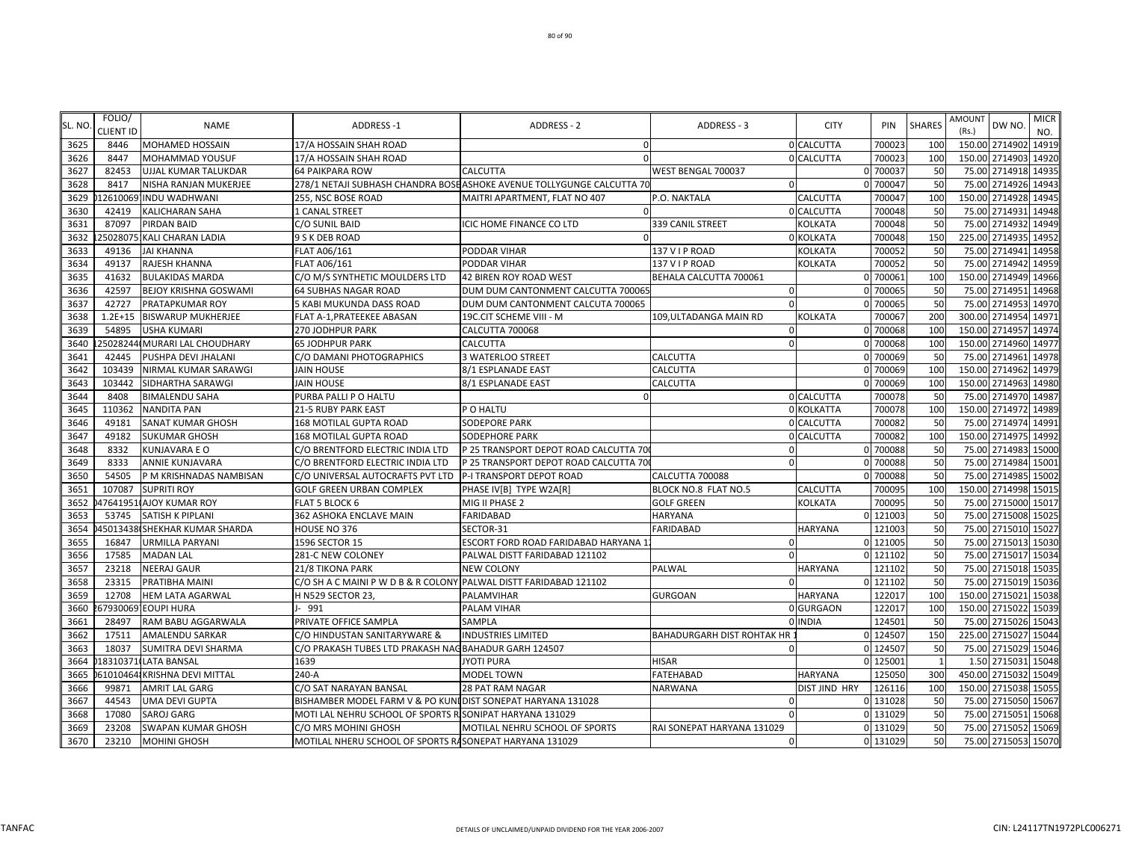| SL. NO | FOLIO/<br>CLIENT ID | <b>NAME</b>                   | <b>ADDRESS-1</b>                                                  | <b>ADDRESS - 2</b>                                                     | ADDRESS - 3                       | <b>CITY</b>    | PIN      | <b>SHARES</b> | <b>AMOUNT</b><br>(Rs.) | DW NO.               | <b>MICR</b><br>NO. |
|--------|---------------------|-------------------------------|-------------------------------------------------------------------|------------------------------------------------------------------------|-----------------------------------|----------------|----------|---------------|------------------------|----------------------|--------------------|
| 3625   | 8446                | <b>MOHAMED HOSSAIN</b>        | 17/A HOSSAIN SHAH ROAD                                            | $\Omega$                                                               |                                   | 0 CALCUTTA     | 700023   | 100           |                        | 150.00 2714902       | 14919              |
| 3626   | 8447                | MOHAMMAD YOUSUF               | 17/A HOSSAIN SHAH ROAD                                            | C                                                                      |                                   | 0 CALCUTTA     | 700023   | 100           |                        | 150.00 2714903       | 14920              |
| 3627   | 82453               | UJJAL KUMAR TALUKDAR          | <b>64 PAIKPARA ROW</b>                                            | CALCUTTA                                                               | WEST BENGAL 700037                |                | 0 700037 | 50            |                        | 75.00 2714918 14935  |                    |
| 3628   | 8417                | NISHA RANJAN MUKERJEE         |                                                                   | 278/1 NETAJI SUBHASH CHANDRA BOSE ASHOKE AVENUE TOLLYGUNGE CALCUTTA 70 | $\Omega$                          |                | 0 700047 | 50            | 75.00                  | 2714926 14943        |                    |
| 3629   | 12610069            | <b>INDU WADHWANI</b>          | 255, NSC BOSE ROAD                                                | MAITRI APARTMENT, FLAT NO 407                                          | P.O. NAKTALA                      | CALCUTTA       | 700047   | 100           |                        | 150.00 2714928 14945 |                    |
| 3630   | 42419               | <b>KALICHARAN SAHA</b>        | 1 CANAL STREET                                                    |                                                                        |                                   | 0 CALCUTTA     | 700048   | 50            |                        | 75.00 2714931        | 14948              |
| 3631   | 87097               | PIRDAN BAID                   | C/O SUNIL BAID                                                    | ICIC HOME FINANCE CO LTD                                               | <b>339 CANIL STREET</b>           | KOLKATA        | 700048   | 50            |                        | 75.00 2714932        | 14949              |
| 3632   |                     | 25028075 KALI CHARAN LADIA    | 9 S K DEB ROAD                                                    |                                                                        |                                   | 0 KOLKATA      | 700048   | 150           |                        | 225.00 2714935 14952 |                    |
| 3633   | 49136               | <b>JAI KHANNA</b>             | FLAT A06/161                                                      | PODDAR VIHAR                                                           | 137 V I P ROAD                    | KOLKATA        | 700052   | 50            |                        | 75.00 2714941 14958  |                    |
| 3634   | 49137               | RAJESH KHANNA                 | <b>FLAT A06/161</b>                                               | PODDAR VIHAR                                                           | 137 V I P ROAD                    | KOLKATA        | 700052   | 50            |                        | 75.00 2714942 14959  |                    |
| 3635   | 41632               | <b>BULAKIDAS MARDA</b>        | C/O M/S SYNTHETIC MOULDERS LTD                                    | 42 BIREN ROY ROAD WEST                                                 | BEHALA CALCUTTA 700061            |                | 0 700061 | 100           |                        | 150.00 2714949 14966 |                    |
| 3636   | 42597               | <b>BEJOY KRISHNA GOSWAMI</b>  | <b>64 SUBHAS NAGAR ROAD</b>                                       | DUM DUM CANTONMENT CALCUTTA 700065                                     | $\overline{0}$                    |                | 0 700065 | 50            |                        | 75.00 2714951        | 14968              |
| 3637   | 42727               | PRATAPKUMAR ROY               | 5 KABI MUKUNDA DASS ROAD                                          | DUM DUM CANTONMENT CALCUTA 700065                                      | $\Omega$                          |                | 0 700065 | 50            |                        | 75.00 2714953        | 14970              |
| 3638   | $1.2E + 15$         | <b>BISWARUP MUKHERJEE</b>     | FLAT A-1, PRATEEKEE ABASAN                                        | 19C.CIT SCHEME VIII - M                                                | 109, ULTADANGA MAIN RD            | KOLKATA        | 700067   | 200           | 300.00                 | 2714954              | 14971              |
| 3639   | 54895               | USHA KUMARI                   | 270 JODHPUR PARK                                                  | CALCUTTA 700068                                                        | $\Omega$                          |                | 0 700068 | 100           |                        | 150.00 2714957       | 14974              |
| 3640   |                     | 25028244 MURARI LAL CHOUDHARY | <b>65 JODHPUR PARK</b>                                            | CALCUTTA                                                               | $\Omega$                          |                | 0 700068 | 100           |                        | 150.00 2714960 14977 |                    |
| 3641   | 42445               | PUSHPA DEVI JHALANI           | C/O DAMANI PHOTOGRAPHICS                                          | 3 WATERLOO STREET                                                      | CALCUTTA                          |                | 0 700069 | 50            |                        | 75.00 2714961 14978  |                    |
| 3642   | 103439              | NIRMAL KUMAR SARAWGI          | <b>JAIN HOUSE</b>                                                 | 8/1 ESPLANADE EAST                                                     | CALCUTTA                          |                | 0 700069 | 100           |                        | 150.00 2714962       | 14979              |
| 3643   | 103442              | SIDHARTHA SARAWGI             | <b>JAIN HOUSE</b>                                                 | 8/1 ESPLANADE EAST                                                     | CALCUTTA                          |                | 0 700069 | 100           |                        | 150.00 2714963       | 14980              |
| 3644   | 8408                | <b>BIMALENDU SAHA</b>         | PURBA PALLI P O HALTU                                             |                                                                        |                                   | 0 CALCUTTA     | 700078   | 50            |                        | 75.00 2714970 14987  |                    |
| 3645   | 110362              | <b>NANDITA PAN</b>            | 21-5 RUBY PARK EAST                                               | P O HALTU                                                              |                                   | 0 KOLKATTA     | 700078   | 100           |                        | 150.00 2714972 14989 |                    |
| 3646   | 49181               | <b>SANAT KUMAR GHOSH</b>      | <b>168 MOTILAL GUPTA ROAD</b>                                     | <b>SODEPORE PARK</b>                                                   |                                   | 0 CALCUTTA     | 700082   | 50            |                        | 75.00 2714974 14991  |                    |
| 3647   | 49182               | <b>SUKUMAR GHOSH</b>          | 168 MOTILAL GUPTA ROAD                                            | SODEPHORE PARK                                                         |                                   | 0 CALCUTTA     | 700082   | 100           | 150.00                 | 2714975              | 14992              |
| 3648   | 8332                | KUNJAVARA E O                 | C/O BRENTFORD ELECTRIC INDIA LTD                                  | P 25 TRANSPORT DEPOT ROAD CALCUTTA 70                                  |                                   |                | 0 700088 | 50            |                        | 75.00 2714983        | 15000              |
| 3649   | 8333                | <b>ANNIE KUNJAVARA</b>        | C/O BRENTFORD ELECTRIC INDIA LTD                                  | P 25 TRANSPORT DEPOT ROAD CALCUTTA 70                                  | $\Omega$                          |                | 0 700088 | 50            |                        | 75.00 2714984 15001  |                    |
| 3650   | 54505               | P M KRISHNADAS NAMBISAN       | C/O UNIVERSAL AUTOCRAFTS PVT LTD                                  | P-I TRANSPORT DEPOT ROAD                                               | CALCUTTA 700088                   |                | 0 700088 | 50            |                        | 75.00 2714985 15002  |                    |
| 3651   | 107087              | <b>SUPRITI ROY</b>            | <b>GOLF GREEN URBAN COMPLEX</b>                                   | PHASE IV[B] TYPE W2A[R]                                                | BLOCK NO.8 FLAT NO.5              | CALCUTTA       | 700095   | 100           |                        | 150.00 2714998 15015 |                    |
| 3652   |                     | 47641951 AJOY KUMAR ROY       | FLAT 5 BLOCK 6                                                    | MIG II PHASE 2                                                         | <b>GOLF GREEN</b>                 | <b>KOLKATA</b> | 700095   | 50            |                        | 75.00 2715000 15017  |                    |
| 3653   | 53745               | SATISH K PIPLANI              | 362 ASHOKA ENCLAVE MAIN                                           | <b>FARIDABAD</b>                                                       | <b>HARYANA</b>                    |                | 0 121003 | 50            | 75.00                  | 2715008 15025        |                    |
| 3654   |                     | 15013438 SHEKHAR KUMAR SHARDA | HOUSE NO 376                                                      | SECTOR-31                                                              | <b>FARIDABAD</b>                  | HARYANA        | 121003   | 50            | 75.00                  | 2715010 15027        |                    |
| 3655   | 16847               | <b>URMILLA PARYANI</b>        | 1596 SECTOR 15                                                    | ESCORT FORD ROAD FARIDABAD HARYANA 1                                   | $\Omega$                          |                | 0 121005 | 50            |                        | 75.00 2715013 15030  |                    |
| 3656   | 17585               | <b>MADAN LAL</b>              | 281-C NEW COLONEY                                                 | PALWAL DISTT FARIDABAD 121102                                          | $\Omega$                          |                | 0 121102 | 50            | 75.00                  | 2715017              | 15034              |
| 3657   | 23218               | <b>NEERAJ GAUR</b>            | 21/8 TIKONA PARK                                                  | <b>NEW COLONY</b>                                                      | PALWAL                            | HARYANA        | 121102   | 50            |                        | 75.00 2715018 15035  |                    |
| 3658   | 23315               | PRATIBHA MAINI                | C/O SH A C MAINI P W D B & R COLONY PALWAL DISTT FARIDABAD 121102 |                                                                        | $\Omega$                          |                | 0 121102 | 50            | 75.00                  | 2715019 15036        |                    |
| 3659   | 12708               | <b>HEM LATA AGARWAL</b>       | H N529 SECTOR 23,                                                 | PALAMVIHAR                                                             | GURGOAN                           | HARYANA        | 122017   | 100           |                        | 150.00 2715021 15038 |                    |
| 3660   | 67930069            | <b>EOUPI HURA</b>             | 991                                                               | PALAM VIHAR                                                            |                                   | 0 GURGAON      | 122017   | 100           | 150.00                 | 2715022              | 15039              |
| 3661   | 28497               | RAM BABU AGGARWALA            | PRIVATE OFFICE SAMPLA                                             | SAMPLA                                                                 |                                   | 0 INDIA        | 124501   | 50            |                        | 75.00 2715026 15043  |                    |
| 3662   | 17511               | AMALENDU SARKAR               | C/O HINDUSTAN SANITARYWARE &                                      | <b>INDUSTRIES LIMITED</b>                                              | <b>BAHADURGARH DIST ROHTAK HR</b> |                | 0 124507 | 150           |                        | 225.00 2715027 15044 |                    |
| 3663   | 18037               | SUMITRA DEVI SHARMA           | C/O PRAKASH TUBES LTD PRAKASH NAGBAHADUR GARH 124507              |                                                                        | $\Omega$                          |                | 0 124507 | 50            | 75.00                  | 2715029 15046        |                    |
| 3664   |                     | 18310371 LATA BANSAL          | 1639                                                              | JYOTI PURA                                                             | HISAR                             |                | 0 125001 |               |                        | 1.50 2715031         | 15048              |
| 3665   |                     | 61010464 KRISHNA DEVI MITTAL  | 240-A                                                             | MODEL TOWN                                                             | FATEHABAD                         | HARYANA        | 125050   | 300           |                        | 450.00 2715032 15049 |                    |
| 3666   | 99871               | AMRIT LAL GARG                | C/O SAT NARAYAN BANSAL                                            | 28 PAT RAM NAGAR                                                       | NARWANA                           | DIST JIND HRY  | 126116   | 100           |                        | 150.00 2715038 15055 |                    |
| 3667   | 44543               | UMA DEVI GUPTA                | BISHAMBER MODEL FARM V & PO KUNI DIST SONEPAT HARYANA 131028      |                                                                        | $\Omega$                          |                | 0 131028 | 50            | 75.00                  | 2715050 15067        |                    |
| 3668   | 17080               | SAROJ GARG                    | MOTI LAL NEHRU SCHOOL OF SPORTS RISONIPAT HARYANA 131029          |                                                                        | $\Omega$                          |                | 0 131029 | 50            | 75.00                  | 2715051              | 15068              |
| 3669   | 23208               | <b>SWAPAN KUMAR GHOSH</b>     | C/O MRS MOHINI GHOSH                                              | MOTILAL NEHRU SCHOOL OF SPORTS                                         | RAI SONEPAT HARYANA 131029        |                | 0 131029 | 50            |                        | 75.00 2715052 15069  |                    |
| 3670   | 23210               | <b>MOHINI GHOSH</b>           | MOTILAL NHERU SCHOOL OF SPORTS RASONEPAT HARYANA 131029           |                                                                        | $\mathbf{0}$                      |                | 0 131029 | 50            |                        | 75.00 2715053 15070  |                    |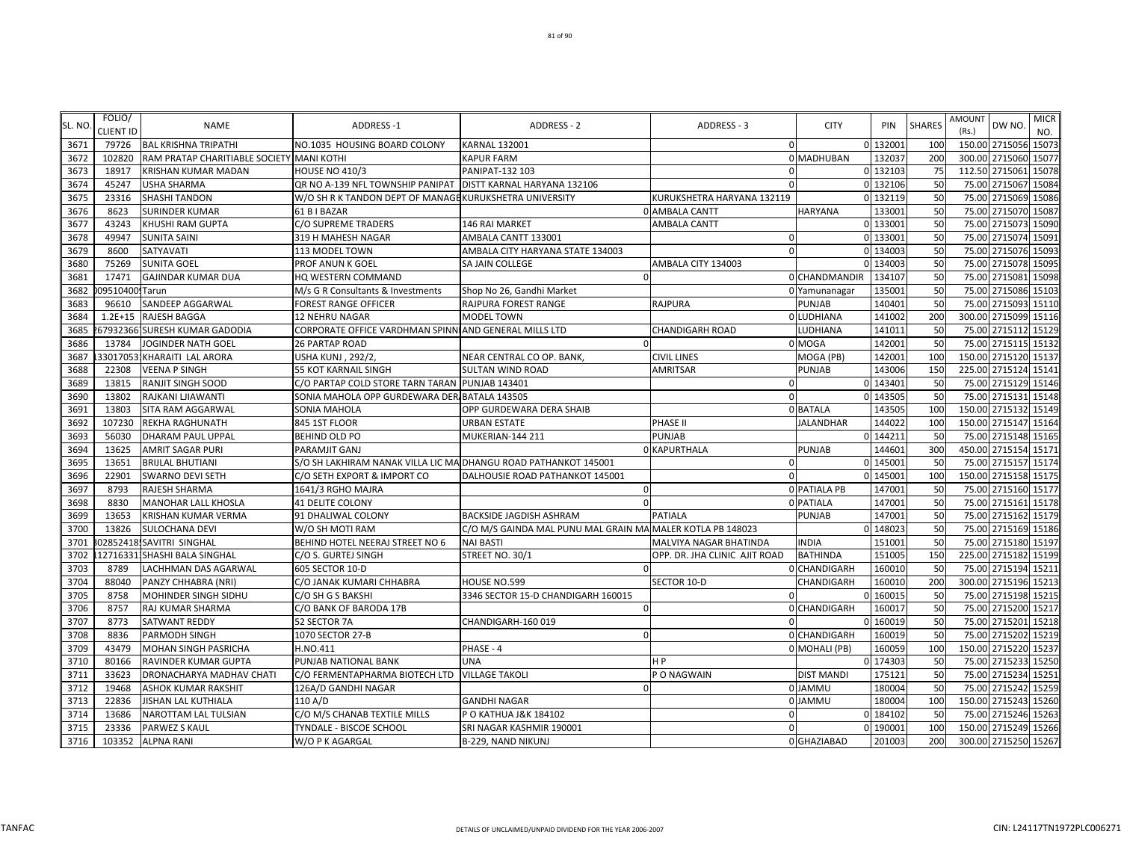| SL. NO. | FOLIO/<br><b>CLIENT ID</b> | <b>NAME</b>                               | <b>ADDRESS-1</b>                                                | <b>ADDRESS - 2</b>                                         | ADDRESS - 3                   | <b>CITY</b>         | PIN      | <b>SHARES</b> | <b>AMOUNT</b><br>DW NO.<br>(Rs.) | <b>MICR</b><br>NO.  |
|---------|----------------------------|-------------------------------------------|-----------------------------------------------------------------|------------------------------------------------------------|-------------------------------|---------------------|----------|---------------|----------------------------------|---------------------|
| 3671    | 79726                      | <b>BAL KRISHNA TRIPATHI</b>               | NO.1035 HOUSING BOARD COLONY                                    | <b>KARNAL 132001</b>                                       | 0                             |                     | 0 132001 | <b>100</b>    | 150.00 2715056 15073             |                     |
| 3672    | 102820                     | RAM PRATAP CHARITIABLE SOCIETY MANI KOTHI |                                                                 | <b>KAPUR FARM</b>                                          |                               | 0 MADHUBAN          | 132037   | <b>200</b>    | 300.00 2715060 15077             |                     |
| 3673    | 18917                      | <b>KRISHAN KUMAR MADAN</b>                | <b>HOUSE NO 410/3</b>                                           | PANIPAT-132 103                                            | $\Omega$                      |                     | 0 132103 | 75            | 112.50 2715061                   | 15078               |
| 3674    | 45247                      | <b>USHA SHARMA</b>                        | QR NO A-139 NFL TOWNSHIP PANIPAT                                | DISTT KARNAL HARYANA 132106                                |                               |                     | 0 132106 | 50            | 75.00 2715067                    | 15084               |
| 3675    | 23316                      | <b>SHASHI TANDON</b>                      | W/O SH R K TANDON DEPT OF MANAGE KURUKSHETRA UNIVERSITY         |                                                            | KURUKSHETRA HARYANA 132119    |                     | 0 132119 | 50            |                                  | 75.00 2715069 15086 |
| 3676    | 8623                       | <b>SURINDER KUMAR</b>                     | 61 B I BAZAR                                                    |                                                            | 0 AMBALA CANTT                | <b>HARYANA</b>      | 133001   | 50            | 75.00 2715070 15087              |                     |
| 3677    | 43243                      | <b>KHUSHI RAM GUPTA</b>                   | C/O SUPREME TRADERS                                             | 146 RAI MARKET                                             | <b>AMBALA CANTT</b>           |                     | 0 133001 | 50            | 75.00 2715073                    | 15090               |
| 3678    | 49947                      | <b>SUNITA SAINI</b>                       | 319 H MAHESH NAGAR                                              | AMBALA CANTT 133001                                        | 0                             |                     | 0 133001 | 50            | 75.00 2715074 15091              |                     |
| 3679    | 8600                       | SATYAVATI                                 | 113 MODEL TOWN                                                  | AMBALA CITY HARYANA STATE 134003                           | $\Omega$                      |                     | 0 134003 | 50            |                                  | 75.00 2715076 15093 |
| 3680    | 75269                      | <b>SUNITA GOEL</b>                        | PROF ANUN K GOEL                                                | SA JAIN COLLEGE                                            | AMBALA CITY 134003            |                     | 0 134003 | 50            | 75.00 2715078                    | 15095               |
| 3681    | 17471                      | <b>GAJINDAR KUMAR DUA</b>                 | HQ WESTERN COMMAND                                              | $\Omega$                                                   |                               | 0 CHANDMANDIR       | 134107   | 50            | 75.00 2715081                    | 15098               |
| 3682    | 09510400 Tarun             |                                           | M/s G R Consultants & Investments                               | Shop No 26, Gandhi Market                                  |                               | 0 Yamunanagar       | 135001   | 50            | 75.00 2715086 15103              |                     |
| 3683    | 96610                      | SANDEEP AGGARWAL                          | <b>FOREST RANGE OFFICER</b>                                     | RAJPURA FOREST RANGE                                       | <b>RAJPURA</b>                | <b>PUNJAB</b>       | 140401   | 50            | 75.00 2715093                    | 15110               |
| 3684    | $1.2E + 15$                | <b>RAJESH BAGGA</b>                       | 12 NEHRU NAGAR                                                  | MODEL TOWN                                                 |                               | 0 LUDHIANA          | 141002   | 200           | 300.00 2715099 15116             |                     |
| 3685    |                            | 679323661SURESH KUMAR GADODIA!            | CORPORATE OFFICE VARDHMAN SPINN AND GENERAL MILLS LTD           |                                                            | <b>CHANDIGARH ROAD</b>        | LUDHIANA            | 141011   | 50            |                                  | 75.00 2715112 15129 |
| 3686    | 13784                      | <b>JOGINDER NATH GOEL</b>                 | 26 PARTAP ROAD                                                  |                                                            |                               | 0 MOGA              | 142001   | 50            |                                  | 75.00 2715115 15132 |
| 3687    |                            | 33017053 KHARAITI LAL ARORA               | <b>USHA KUNJ, 292/2,</b>                                        | NEAR CENTRAL CO OP. BANK,                                  | <b>CIVIL LINES</b>            | MOGA (PB)           | 142001   | 100           | 150.00 2715120 15137             |                     |
| 3688    | 22308                      | <b>VEENA P SINGH</b>                      | 55 KOT KARNAIL SINGH                                            | <b>SULTAN WIND ROAD</b>                                    | AMRITSAR                      | <b>PUNJAB</b>       | 143006   | <b>150</b>    | 225.00 2715124 15141             |                     |
| 3689    | 13815                      | <b>RANJIT SINGH SOOD</b>                  | C/O PARTAP COLD STORE TARN TARAN PUNJAB 143401                  |                                                            | $\Omega$                      |                     | 0 143401 | 50            |                                  | 75.00 2715129 15146 |
| 3690    | 13802                      | RAJKANI LJIAWANTI                         | SONIA MAHOLA OPP GURDEWARA DER BATALA 143505                    |                                                            | $\Omega$                      |                     | 0 143505 | 50            | 75.00 2715131                    | 15148               |
| 3691    | 13803                      | SITA RAM AGGARWAL                         | SONIA MAHOLA                                                    | OPP GURDEWARA DERA SHAIB                                   |                               | 0 BATALA            | 143505   | <b>100</b>    | 150.00 2715132 15149             |                     |
| 3692    | 107230                     | REKHA RAGHUNATH                           | 845 1ST FLOOR                                                   | <b>URBAN ESTATE</b>                                        | PHASE II                      | <b>JALANDHAR</b>    | 144022   | 100           | 150.00 2715147 15164             |                     |
| 3693    | 56030                      | <b>DHARAM PAUL UPPAL</b>                  | <b>BEHIND OLD PO</b>                                            | MUKERIAN-144 211                                           | PUNJAB                        |                     | 0 144211 | 50            | 75.00                            | 2715148 15165       |
| 3694    | 13625                      | <b>AMRIT SAGAR PURI</b>                   | PARAMJIT GANJ                                                   |                                                            | 0 KAPURTHALA                  | PUNJAB              | 144601   | 300           | 450.00 2715154 15171             |                     |
| 3695    | 13651                      | <b>BRIJLAL BHUTIANI</b>                   | S/O SH LAKHIRAM NANAK VILLA LIC MA DHANGU ROAD PATHANKOT 145001 |                                                            | $\Omega$                      |                     | 0 145001 | 50            |                                  | 75.00 2715157 15174 |
| 3696    | 22901                      | <b>SWARNO DEVI SETH</b>                   | C/O SETH EXPORT & IMPORT CO                                     | DALHOUSIE ROAD PATHANKOT 145001                            | 0                             |                     | 0 145001 | 100           | 150.00 2715158 15175             |                     |
| 3697    | 8793                       | <b>RAJESH SHARMA</b>                      | 1641/3 RGHO MAJRA                                               | $\Omega$                                                   |                               | <b>0 PATIALA PB</b> | 147001   | 50            |                                  | 75.00 2715160 15177 |
| 3698    | 8830                       | <b>MANOHAR LALL KHOSLA</b>                | <b>41 DELITE COLONY</b>                                         | $\Omega$                                                   |                               | 0 PATIALA           | 147001   | 50            |                                  | 75.00 2715161 15178 |
| 3699    | 13653                      | <b>KRISHAN KUMAR VERMA</b>                | 91 DHALIWAL COLONY                                              | <b>BACKSIDE JAGDISH ASHRAM</b>                             | <b>PATIALA</b>                | PUNJAB              | 147001   | 50            |                                  | 75.00 2715162 15179 |
| 3700    | 13826                      | <b>SULOCHANA DEVI</b>                     | W/O SH MOTI RAM                                                 | C/O M/S GAINDA MAL PUNU MAL GRAIN MA MALER KOTLA PB 148023 |                               |                     | 0 148023 | 50            |                                  | 75.00 2715169 15186 |
| 3701    |                            | 02852418.SAVITRI SINGHAL                  | BEHIND HOTEL NEERAJ STREET NO 6                                 | <b>NAI BASTI</b>                                           | MALVIYA NAGAR BHATINDA        | <b>INDIA</b>        | 151001   | 50            | 75.00 2715180 15197              |                     |
| 3702    |                            | 127163311SHASHI BALA SINGHAL              | C/O S. GURTEJ SINGH                                             | STREET NO. 30/1                                            | OPP. DR. JHA CLINIC AJIT ROAD | <b>BATHINDA</b>     | 151005   | 150           | 225.00 2715182 15199             |                     |
| 3703    | 8789                       | LACHHMAN DAS AGARWAL                      | 605 SECTOR 10-D                                                 |                                                            |                               | 0 CHANDIGARH        | 160010   | 50            | 75.00 2715194 15211              |                     |
| 3704    | 88040                      | PANZY CHHABRA (NRI)                       | C/O JANAK KUMARI CHHABRA                                        | HOUSE NO.599                                               | SECTOR 10-D                   | CHANDIGARH          | 160010   | <b>200</b>    | 300.00 2715196                   | 15213               |
| 3705    | 8758                       | MOHINDER SINGH SIDHU                      | C/O SH G S BAKSHI                                               | 3346 SECTOR 15-D CHANDIGARH 160015                         | $\Omega$                      |                     | 0 160015 | 50            | 75.00 2715198 15215              |                     |
| 3706    | 8757                       | RAJ KUMAR SHARMA                          | C/O BANK OF BARODA 17B                                          | $\Omega$                                                   |                               | 0 CHANDIGARH        | 160017   | 50            | 75.00 2715200 15217              |                     |
| 3707    | 8773                       | <b>SATWANT REDDY</b>                      | 52 SECTOR 7A                                                    | CHANDIGARH-160 019                                         | $\Omega$                      |                     | 0 160019 | 50            | 75.00 2715201                    | 15218               |
| 3708    | 8836                       | <b>PARMODH SINGH</b>                      | 1070 SECTOR 27-B                                                | $\Omega$                                                   |                               | 0 CHANDIGARH        | 160019   | 50            | 75.00 2715202                    | 15219               |
| 3709    | 43479                      | <b>MOHAN SINGH PASRICHA</b>               | H.NO.411                                                        | PHASE - 4                                                  |                               | 0 MOHALI (PB)       | 160059   | 100           | 150.00 2715220 15237             |                     |
| 3710    | 80166                      | RAVINDER KUMAR GUPTA                      | PUNJAB NATIONAL BANK                                            | <b>UNA</b>                                                 | H <sub>P</sub>                |                     | 0 174303 | 50            | 75.00 2715233                    | 15250               |
| 3711    | 33623                      | DRONACHARYA MADHAV CHATI                  | C/O FERMENTAPHARMA BIOTECH LTD                                  | <b>VILLAGE TAKOLI</b>                                      | P O NAGWAIN                   | <b>DIST MANDI</b>   | 175121   | 50            | 75.00 2715234                    | 15251               |
| 3712    | 19468                      | <b>ASHOK KUMAR RAKSHIT</b>                | 126A/D GANDHI NAGAR                                             | $\Omega$                                                   |                               | 0 JAMMU             | 180004   | 50            | 75.00 2715242 15259              |                     |
| 3713    | 22836                      | JISHAN LAL KUTHIALA                       | 110 A/D                                                         | <b>GANDHI NAGAR</b>                                        |                               | 0 JAMMU             | 180004   | 100           | 150.00 2715243                   | 15260               |
| 3714    | 13686                      | NAROTTAM LAL TULSIAN                      | C/O M/S CHANAB TEXTILE MILLS                                    | P O KATHUA J&K 184102                                      | $\Omega$                      |                     | 0 184102 | 50            |                                  | 75.00 2715246 15263 |
| 3715    | 23336                      | PARWEZ S KAUL                             | TYNDALE - BISCOE SCHOOL                                         | SRI NAGAR KASHMIR 190001                                   | $\mathbf 0$                   |                     | 0 190001 | 100           | 150.00 2715249 15266             |                     |
| 3716    |                            | 103352 ALPNA RANI                         | W/O P K AGARGAL                                                 | B-229, NAND NIKUNJ                                         |                               | 0 GHAZIABAD         | 201003   | 200           | 300.00 2715250 15267             |                     |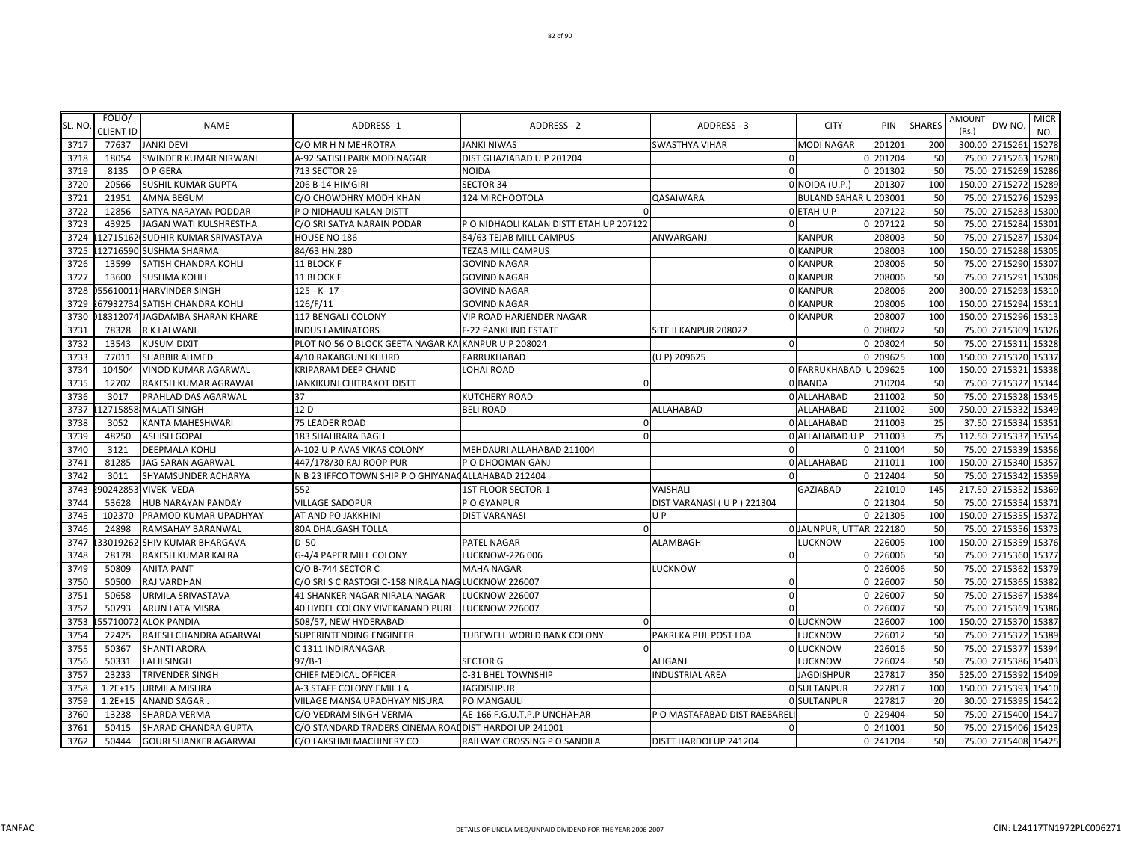| SL. NO | FOLIO/<br><b>CLIENT ID</b> | <b>NAME</b>                      | <b>ADDRESS-1</b>                                       | <b>ADDRESS - 2</b>                      | ADDRESS - 3                  | <b>CITY</b>            | PIN      | <b>SHARES</b> | <b>AMOUNT</b><br>(Rs.) | DW NO                | <b>MICR</b><br>NO. |
|--------|----------------------------|----------------------------------|--------------------------------------------------------|-----------------------------------------|------------------------------|------------------------|----------|---------------|------------------------|----------------------|--------------------|
| 3717   | 77637                      | <b>JANKI DEVI</b>                | C/O MR H N MEHROTRA                                    | <b>JANKI NIWAS</b>                      | <b>SWASTHYA VIHAR</b>        | <b>MODI NAGAR</b>      | 201201   | 200           |                        | 300.00 2715261       | 15278              |
| 3718   | 18054                      | SWINDER KUMAR NIRWANI            | A-92 SATISH PARK MODINAGAR                             | DIST GHAZIABAD U P 201204               |                              |                        | 201204   | 50            |                        | 75.00 2715263        | 15280              |
| 3719   | 8135                       | O P GERA                         | 713 SECTOR 29                                          | <b>NOIDA</b>                            | $\Omega$                     |                        | 201302   | 50            |                        | 75.00 2715269 15286  |                    |
| 3720   | 20566                      | <b>SUSHIL KUMAR GUPTA</b>        | 206 B-14 HIMGIRI                                       | <b>SECTOR 34</b>                        |                              | 0 NOIDA (U.P.)         | 201307   | 100           |                        | 150.00 2715272 15289 |                    |
| 3721   | 21951                      | <b>AMNA BEGUM</b>                | C/O CHOWDHRY MODH KHAN                                 | 124 MIRCHOOTOLA                         | <b>QASAIWARA</b>             | <b>BULAND SAHAR</b>    | 203001   | 50            | 75.00                  | 2715276              | 15293              |
| 3722   | 12856                      | SATYA NARAYAN PODDAR             | P O NIDHAULI KALAN DISTT                               |                                         |                              | O ETAH U P             | 207122   | 50            |                        | 75.00 2715283        | 15300              |
| 3723   | 43925                      | JAGAN WATI KULSHRESTHA           | C/O SRI SATYA NARAIN PODAR                             | P O NIDHAOLI KALAN DISTT ETAH UP 207122 |                              |                        | 0 207122 | 50            |                        | 75.00 2715284 15301  |                    |
| 3724   |                            | 127151621SUDHIR KUMAR SRIVASTAVA | HOUSE NO 186                                           | 84/63 TEJAB MILL CAMPUS                 | ANWARGANJ                    | <b>KANPUR</b>          | 208003   | 50            |                        | 75.00 2715287 15304  |                    |
| 3725   |                            | 12716590:SUSHMA SHARMA           | 84/63 HN.280                                           | <b>TEZAB MILL CAMPUS</b>                |                              | 0 KANPUR               | 208003   | 100           |                        | 150.00 2715288 15305 |                    |
| 3726   | 13599                      | SATISH CHANDRA KOHLI             | 11 BLOCK F                                             | <b>GOVIND NAGAR</b>                     |                              | 0 KANPUR               | 208006   | 50            |                        | 75.00 2715290 15307  |                    |
| 3727   | 13600                      | <b>SUSHMA KOHLI</b>              | 11 BLOCK F                                             | <b>GOVIND NAGAR</b>                     |                              | 0 KANPUR               | 208006   | 50            |                        | 75.00 2715291 15308  |                    |
| 3728   |                            | 55610011 HARVINDER SINGH         | 125 - K-17 -                                           | <b>GOVIND NAGAR</b>                     |                              | 0 KANPUR               | 208006   | 200           |                        | 300.00 2715293 15310 |                    |
| 3729   |                            | 67932734 SATISH CHANDRA KOHLI!   | 126/F/11                                               | <b>GOVIND NAGAR</b>                     |                              | 0 KANPUR               | 208006   | <b>100</b>    |                        | 150.00 2715294 15311 |                    |
| 3730   |                            | 183120741JAGDAMBA SHARAN KHARE   | 117 BENGALI COLONY                                     | VIP ROAD HARJENDER NAGAR                |                              | 0 KANPUR               | 208007   | 100           |                        | 150.00 2715296 15313 |                    |
| 3731   | 78328                      | R K LALWANI                      | <b>INDUS LAMINATORS</b>                                | F-22 PANKI IND ESTATE                   | SITE II KANPUR 208022        |                        | 0 208022 | 50            |                        | 75.00 2715309 15326  |                    |
| 3732   | 13543                      | <b>KUSUM DIXIT</b>               | PLOT NO 56 O BLOCK GEETA NAGAR KAI KANPUR U P 208024   |                                         | $\Omega$                     |                        | 0 208024 | 50            |                        | 75.00 2715311 15328  |                    |
| 3733   | 77011                      | SHABBIR AHMED                    | 4/10 RAKABGUNJ KHURD                                   | FARRUKHABAD                             | (U P) 209625                 |                        | 209625   | 100           |                        | 150.00 2715320 15337 |                    |
| 3734   | 104504                     | VINOD KUMAR AGARWAL              | KRIPARAM DEEP CHAND                                    | <b>LOHAI ROAD</b>                       |                              | 0 FARRUKHABAD          | 209625   | 100           |                        | 150.00 2715321       | 15338              |
| 3735   | 12702                      | RAKESH KUMAR AGRAWAL             | JANKIKUNJ CHITRAKOT DISTT                              | $\Omega$                                |                              | 0 BANDA                | 210204   | 50            |                        | 75.00 2715327 15344  |                    |
| 3736   | 3017                       | PRAHLAD DAS AGARWAL              | 37                                                     | <b>KUTCHERY ROAD</b>                    |                              | 0 ALLAHABAD            | 211002   | 50            |                        | 75.00 2715328 15345  |                    |
| 3737   | 12715858                   | <b>MALATI SINGH</b>              | 12 D                                                   | <b>BELI ROAD</b>                        | ALLAHABAD                    | <b>ALLAHABAD</b>       | 211002   | 500           |                        | 750.00 2715332 15349 |                    |
| 3738   | 3052                       | KANTA MAHESHWARI                 | 75 LEADER ROAD                                         |                                         |                              | 0 ALLAHABAD            | 211003   | 25            |                        | 37.50 2715334        | 15351              |
| 3739   | 48250                      | <b>ASHISH GOPAL</b>              | 183 SHAHRARA BAGH                                      |                                         |                              | 0 ALLAHABAD U P        | 211003   | 75            |                        | 112.50 2715337 15354 |                    |
| 3740   | 3121                       | <b>DEEPMALA KOHLI</b>            | A-102 U P AVAS VIKAS COLONY                            | MEHDAURI ALLAHABAD 211004               | $\Omega$                     |                        | 0 211004 | 50            |                        | 75.00 2715339 15356  |                    |
| 3741   | 81285                      | JAG SARAN AGARWAL                | 447/178/30 RAJ ROOP PUR                                | P O DHOOMAN GANJ                        |                              | 0 ALLAHABAD            | 211011   | 100           |                        | 150.00 2715340 15357 |                    |
| 3742   | 3011                       | SHYAMSUNDER ACHARYA              | N B 23 IFFCO TOWN SHIP P O GHIYANA ALLAHABAD 212404    |                                         |                              |                        | 0 212404 | 50            |                        | 75.00 2715342 15359  |                    |
| 3743   | 902428531                  | <b>VIVEK VEDA</b>                | 552                                                    | 1ST FLOOR SECTOR-1                      | VAISHALI                     | <b>GAZIABAD</b>        | 221010   | 145           |                        | 217.50 2715352 15369 |                    |
| 3744   | 53628                      | HUB NARAYAN PANDAY               | <b>VILLAGE SADOPUR</b>                                 | P O GYANPUR                             | DIST VARANASI (UP) 221304    |                        | 0 221304 | 50            |                        | 75.00 2715354 15371  |                    |
| 3745   | 102370                     | PRAMOD KUMAR UPADHYAY            | AT AND PO JAKKHINI                                     | <b>DIST VARANASI</b>                    | U P                          |                        | 0 221305 | 100           |                        | 150.00 2715355       | 15372              |
| 3746   | 24898                      | RAMSAHAY BARANWAL                | 80A DHALGASH TOLLA                                     |                                         |                              | 0JAUNPUR, UTTAR 222180 |          | 50            |                        | 75.00 2715356        | 15373              |
| 3747   |                            | 330192621SHIV KUMAR BHARGAVA     | D 50                                                   | PATEL NAGAR                             | ALAMBAGH                     | LUCKNOW                | 226005   | 100           |                        | 150.00 2715359 15376 |                    |
| 3748   | 28178                      | RAKESH KUMAR KALRA               | G-4/4 PAPER MILL COLONY                                | <b>LUCKNOW-226 006</b>                  | 0                            |                        | 0 226006 | 50            |                        | 75.00 2715360 15377  |                    |
| 3749   | 50809                      | <b>ANITA PANT</b>                | C/O B-744 SECTOR C                                     | <b>MAHA NAGAR</b>                       | LUCKNOW                      |                        | 0 226006 | 50            |                        | 75.00 2715362 15379  |                    |
| 3750   | 50500                      | RAJ VARDHAN                      | C/O SRI S C RASTOGI C-158 NIRALA NAG LUCKNOW 226007    |                                         | $\Omega$                     |                        | 0 226007 | 50            |                        | 75.00 2715365 15382  |                    |
| 3751   | 50658                      | URMILA SRIVASTAVA                | 41 SHANKER NAGAR NIRALA NAGAR                          | <b>LUCKNOW 226007</b>                   | $\Omega$                     |                        | 226007   | 50            |                        | 75.00 2715367 15384  |                    |
| 3752   | 50793                      | ARUN LATA MISRA                  | 40 HYDEL COLONY VIVEKANAND PURI                        | LUCKNOW 226007                          | $\Omega$                     |                        | 226007   | 50            |                        | 75.00 2715369 15386  |                    |
| 3753   | 55710072                   | <b>ALOK PANDIA</b>               | 508/57, NEW HYDERABAD                                  |                                         |                              | 0 LUCKNOW              | 226007   | 100           |                        | 150.00 2715370 15387 |                    |
| 3754   | 22425                      | RAJESH CHANDRA AGARWAL           | SUPERINTENDING ENGINEER                                | TUBEWELL WORLD BANK COLONY              | PAKRI KA PUL POST LDA        | <b>LUCKNOW</b>         | 226012   | 50            |                        | 75.00 2715372 15389  |                    |
| 3755   | 50367                      | <b>SHANTI ARORA</b>              | C 1311 INDIRANAGAR                                     |                                         |                              | 0 LUCKNOW              | 226016   | 50            |                        | 75.00 2715377 15394  |                    |
| 3756   | 50331                      | LALJI SINGH                      | $97/B-1$                                               | <b>SECTOR G</b>                         | ALIGANJ                      | <b>LUCKNOW</b>         | 226024   | 50            |                        | 75.00 2715386 15403  |                    |
| 3757   | 23233                      | TRIVENDER SINGH                  | CHIEF MEDICAL OFFICER                                  | C-31 BHEL TOWNSHIP                      | <b>INDUSTRIAL AREA</b>       | <b>JAGDISHPUR</b>      | 227817   | 350           |                        | 525.00 2715392       | 15409              |
| 3758   | $1.2E + 15$                | URMILA MISHRA                    | A-3 STAFF COLONY EMIL I A                              | <b>JAGDISHPUR</b>                       |                              | 0 SULTANPUR            | 227817   | 100           |                        | 150.00 2715393 15410 |                    |
| 3759   | $1.2E + 15$                | ANAND SAGAR                      | VIILAGE MANSA UPADHYAY NISURA                          | PO MANGAULI                             |                              | <b>0 SULTANPUR</b>     | 227817   | 20            |                        | 30.00 2715395 15412  |                    |
| 3760   | 13238                      | SHARDA VERMA                     | C/O VEDRAM SINGH VERMA                                 | AE-166 F.G.U.T.P.P UNCHAHAR             | P O MASTAFABAD DIST RAEBAREL |                        | 0 229404 | 50            |                        | 75.00 2715400 15417  |                    |
| 3761   | 50415                      | SHARAD CHANDRA GUPTA             | C/O STANDARD TRADERS CINEMA ROAL DIST HARDOI UP 241001 |                                         | $\Omega$                     |                        | 0 241001 | 50            |                        | 75.00 2715406 15423  |                    |
| 3762   | 50444                      | <b>GOURI SHANKER AGARWAL</b>     | C/O LAKSHMI MACHINERY CO                               | RAILWAY CROSSING P O SANDILA            | DISTT HARDOI UP 241204       |                        | 0 241204 | 50            |                        | 75.00 2715408 15425  |                    |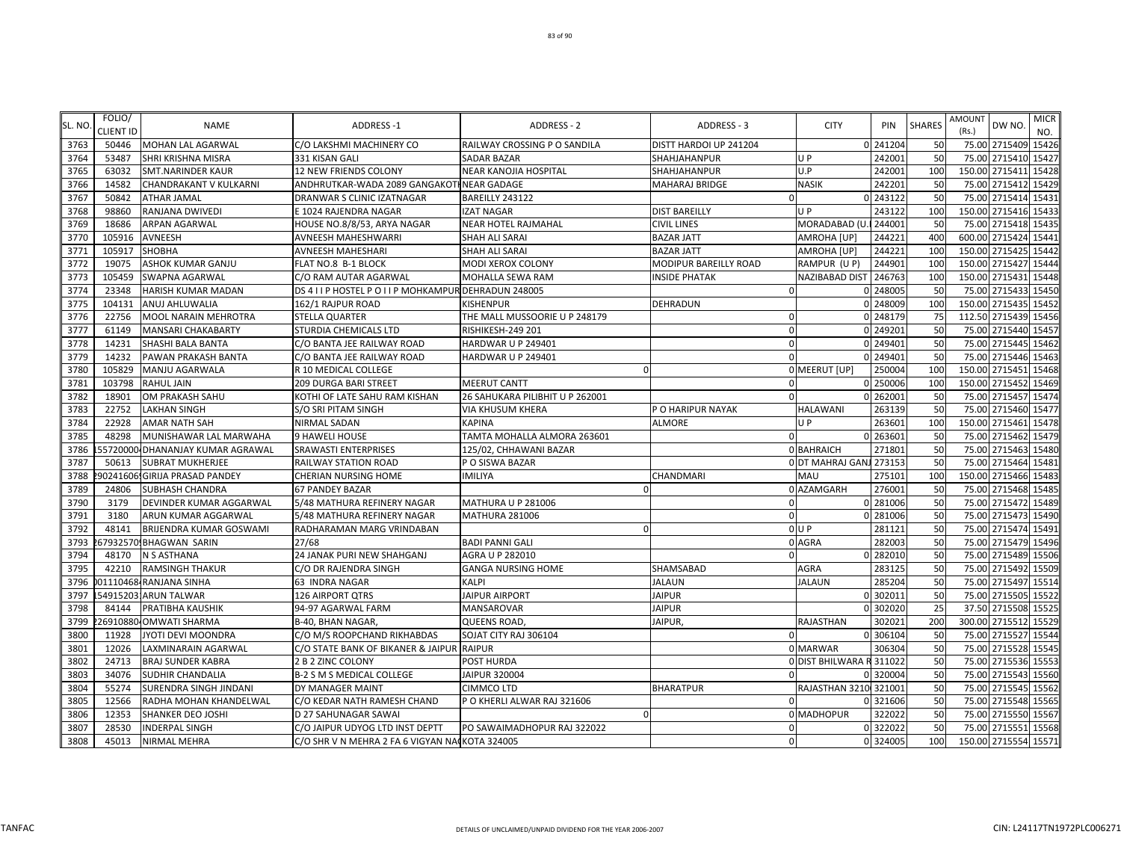|         | FOLIO/           |                               |                                                       |                                 |                        |                          |          |               | AMOUNT |                      | <b>MICR</b> |
|---------|------------------|-------------------------------|-------------------------------------------------------|---------------------------------|------------------------|--------------------------|----------|---------------|--------|----------------------|-------------|
| SL. NO. | <b>CLIENT ID</b> | <b>NAME</b>                   | <b>ADDRESS-1</b>                                      | ADDRESS - 2                     | ADDRESS - 3            | <b>CITY</b>              | PIN      | <b>SHARES</b> | (Rs.)  | DW NO.               | NO.         |
| 3763    | 50446            | <b>MOHAN LAL AGARWAL</b>      | C/O LAKSHMI MACHINERY CO                              | RAILWAY CROSSING P O SANDILA    | DISTT HARDOI UP 241204 |                          | 0 241204 | 50            |        | 75.00 2715409 15426  |             |
| 3764    | 53487            | SHRI KRISHNA MISRA            | 331 KISAN GALI                                        | <b>SADAR BAZAR</b>              | SHAHJAHANPUR           | U P                      | 242001   | 50            | 75.00  | 2715410              | 15427       |
| 3765    | 63032            | SMT.NARINDER KAUR             | 12 NEW FRIENDS COLONY                                 | NEAR KANOJIA HOSPITAL           | SHAHJAHANPUR           | U.P                      | 242001   | 100           |        | 150.00 2715411 15428 |             |
| 3766    | 14582            | <b>CHANDRAKANT V KULKARNI</b> | ANDHRUTKAR-WADA 2089 GANGAKOTI NEAR GADAGE            |                                 | <b>MAHARAJ BRIDGE</b>  | <b>NASIK</b>             | 242201   | 50            | 75.00  | 2715412 15429        |             |
| 3767    | 50842            | ATHAR JAMAL                   | DRANWAR S CLINIC IZATNAGAR                            | BAREILLY 243122                 | $\Omega$               |                          | 0 243122 | 50            | 75.00  | 2715414 15431        |             |
| 3768    | 98860            | RANJANA DWIVEDI               | E 1024 RAJENDRA NAGAR                                 | <b>IZAT NAGAR</b>               | <b>DIST BAREILLY</b>   | U P                      | 243122   | 100           |        | 150.00 2715416 15433 |             |
| 3769    | 18686            | ARPAN AGARWAL                 | HOUSE NO.8/8/53, ARYA NAGAR                           | NEAR HOTEL RAJMAHAL             | CIVIL LINES            | MORADABAD (U             | 24400    | 50            | 75.00  | 2715418 15435        |             |
| 3770    | 105916           | AVNEESH                       | AVNEESH MAHESHWARRI                                   | SHAH ALI SARAI                  | <b>BAZAR JATT</b>      | AMROHA [UP]              | 244221   | 400           |        | 600.00 2715424 15441 |             |
| 3771    | 105917           | <b>SHOBHA</b>                 | AVNEESH MAHESHARI                                     | SHAH ALI SARAI                  | <b>BAZAR JATT</b>      | AMROHA [UP]              | 244221   | 100           |        | 150.00 2715425 15442 |             |
| 3772    | 19075            | ASHOK KUMAR GANJU             | FLAT NO.8 B-1 BLOCK                                   | MODI XEROX COLONY               | MODIPUR BAREILLY ROAD  | RAMPUR (UP)              | 244901   | 100           |        | 150.00 2715427 15444 |             |
| 3773    | 105459           | <b>SWAPNA AGARWAL</b>         | C/O RAM AUTAR AGARWAL                                 | MOHALLA SEWA RAM                | INSIDE PHATAK          | NAZIBABAD DIST           | 246763   | 100           | 150.00 | 2715431 15448        |             |
| 3774    | 23348            | HARISH KUMAR MADAN            | DS 4 I I P HOSTEL P O I I P MOHKAMPUR DEHRADUN 248005 |                                 | $\Omega$               |                          | 0 248005 | 50            | 75.00  | 2715433 15450        |             |
| 3775    | 104131           | ANUJ AHLUWALIA                | 162/1 RAJPUR ROAD                                     | <b>KISHENPUR</b>                | DEHRADUN               |                          | 0 248009 | 100           | 150.00 | 2715435 15452        |             |
| 3776    | 22756            | MOOL NARAIN MEHROTRA          | STELLA QUARTER                                        | THE MALL MUSSOORIE U P 248179   | $\Omega$               |                          | 0 248179 | 75            | 112.50 | 2715439 15456        |             |
| 3777    | 61149            | <b>MANSARI CHAKABARTY</b>     | STURDIA CHEMICALS LTD                                 | RISHIKESH-249 201               | $\Omega$               |                          | 0 249201 | 50            |        | 75.00 2715440 15457  |             |
| 3778    | 14231            | SHASHI BALA BANTA             | C/O BANTA JEE RAILWAY ROAD                            | HARDWAR U P 249401              | $\Omega$               |                          | 0 249401 | 50            |        | 75.00 2715445 15462  |             |
| 3779    | 14232            | PAWAN PRAKASH BANTA           | C/O BANTA JEE RAILWAY ROAD                            | HARDWAR U P 249401              | $\Omega$               |                          | 0 249401 | 50            |        | 75.00 2715446 15463  |             |
| 3780    | 105829           | MANJU AGARWALA                | R 10 MEDICAL COLLEGE                                  | $\sqrt{ }$                      |                        | 0 MEERUT [UP]            | 250004   | 100           | 150.00 | 2715451 15468        |             |
| 3781    | 103798           | <b>RAHUL JAIN</b>             | 209 DURGA BARI STREET                                 | <b>MEERUT CANTT</b>             |                        |                          | 0 250006 | 100           | 150.00 | 2715452 15469        |             |
| 3782    | 18901            | OM PRAKASH SAHU               | KOTHI OF LATE SAHU RAM KISHAN                         | 26 SAHUKARA PILIBHIT U P 262001 |                        |                          | 0 262001 | 50            | 75.00  | 2715457 15474        |             |
| 3783    | 22752            | <b>LAKHAN SINGH</b>           | S/O SRI PITAM SINGH                                   | VIA KHUSUM KHERA                | P O HARIPUR NAYAK      | <b>HALAWANI</b>          | 263139   | 50            | 75.00  | 2715460 15477        |             |
| 3784    | 22928            | AMAR NATH SAH                 | NIRMAL SADAN                                          | <b>KAPINA</b>                   | ALMORE                 | U P                      | 263601   | 100           | 150.00 | 2715461 15478        |             |
| 3785    | 48298            | MUNISHAWAR LAL MARWAHA        | <b>9 HAWELI HOUSE</b>                                 | TAMTA MOHALLA ALMORA 263601     |                        |                          | 0 26360  | 50            | 75.00  | 2715462 15479        |             |
| 3786    | 55720000         | DHANANJAY KUMAR AGRAWAL       | SRAWASTI ENTERPRISES                                  | 125/02, CHHAWANI BAZAR          |                        | 0 BAHRAICH               | 271801   | 50            |        | 75.00 2715463 15480  |             |
| 3787    | 50613            | <b>SUBRAT MUKHERJEE</b>       | RAILWAY STATION ROAD                                  | PO SISWA BAZAR                  |                        | 0 DT MAHRAJ GANJ 273153  |          | 50            |        | 75.00 2715464 15481  |             |
| 3788    |                  | 90241606 GIRIJA PRASAD PANDEY | CHERIAN NURSING HOME                                  | IMILIYA                         | CHANDMARI              | MAU                      | 275101   | 100           |        | 150.00 2715466 15483 |             |
| 3789    | 24806            | <b>SUBHASH CHANDRA</b>        | 67 PANDEY BAZAR                                       |                                 |                        | 0 AZAMGARH               | 27600    | 50            | 75.00  | 2715468 15485        |             |
| 3790    | 3179             | DEVINDER KUMAR AGGARWAL       | 5/48 MATHURA REFINERY NAGAR                           | <b>MATHURA U P 281006</b>       |                        |                          | 0 281006 | 50            | 75.00  | 2715472 15489        |             |
| 3791    | 3180             | <b>ARUN KUMAR AGGARWAL</b>    | 5/48 MATHURA REFINERY NAGAR                           | <b>MATHURA 281006</b>           |                        |                          | 0 281006 | 50            | 75.00  | 2715473 15490        |             |
| 3792    | 48141            | BRIJENDRA KUMAR GOSWAMI       | RADHARAMAN MARG VRINDABAN                             |                                 |                        | $0U$ P                   | 281121   | 50            | 75.00  | 2715474 15491        |             |
| 3793    |                  | 67932570 BHAGWAN SARIN        | 27/68                                                 | <b>BADI PANNI GALI</b>          |                        | 0 AGRA                   | 282003   | 50            | 75.00  | 2715479 15496        |             |
| 3794    | 48170            | N S ASTHANA                   | 24 JANAK PURI NEW SHAHGANJ                            | AGRA U P 282010                 |                        |                          | 282010   | 50            | 75.00  | 2715489 15506        |             |
| 3795    | 42210            | <b>RAMSINGH THAKUR</b>        | C/O DR RAJENDRA SINGH                                 | <b>GANGA NURSING HOME</b>       | SHAMSABAD              | AGRA                     | 283125   | 50            |        | 75.00 2715492 15509  |             |
| 3796    |                  | 01110468 RANJANA SINHA        | 63 INDRA NAGAR                                        | KALPI                           | JALAUN                 | <b>JALAUN</b>            | 285204   | 50            |        | 75.00 2715497 15514  |             |
| 3797    |                  | 54915203: ARUN TALWAR         | <b>126 AIRPORT QTRS</b>                               | <b>JAIPUR AIRPORT</b>           | <b>JAIPUR</b>          |                          | 0 302011 | 50            |        | 75.00 2715505 15522  |             |
| 3798    | 84144            | PRATIBHA KAUSHIK              | 94-97 AGARWAL FARM                                    | MANSAROVAR                      | JAIPUR                 |                          | 0 302020 | 25            | 37.50  | 2715508 15525        |             |
| 3799    | 26910880         | <b>OMWATI SHARMA</b>          | B-40, BHAN NAGAR,                                     | QUEENS ROAD,                    | JAIPUR,                | RAJASTHAN                | 302021   | 200           |        | 300.00 2715512 15529 |             |
| 3800    | 11928            | JYOTI DEVI MOONDRA            | C/O M/S ROOPCHAND RIKHABDAS                           | SOJAT CITY RAJ 306104           | $\Omega$               |                          | 0 306104 | 50            | 75.00  | 2715527 15544        |             |
| 3801    | 12026            | LAXMINARAIN AGARWAL           | C/O STATE BANK OF BIKANER & JAIPUR RAIPUR             |                                 |                        | 0 MARWAR                 | 306304   | 50            | 75.00  | 2715528 15545        |             |
| 3802    | 24713            | <b>BRAJ SUNDER KABRA</b>      | 2 B 2 ZINC COLONY                                     | POST HURDA                      |                        | 0 DIST BHILWARA R 311022 |          | 50            | 75.00  | 2715536 1555         |             |
| 3803    | 34076            | <b>SUDHIR CHANDALIA</b>       | B-2 S M S MEDICAL COLLEGE                             | JAIPUR 320004                   |                        |                          | 0 320004 | 50            |        | 75.00 2715543 15560  |             |
| 3804    | 55274            | <b>SURENDRA SINGH JINDANI</b> | DY MANAGER MAINT                                      | CIMMCO LTD                      | <b>BHARATPUR</b>       | RAJASTHAN 3210 321001    |          | 50            |        | 75.00 2715545 15562  |             |
| 3805    | 12566            | RADHA MOHAN KHANDELWAL        | C/O KEDAR NATH RAMESH CHAND                           | P O KHERLI ALWAR RAJ 321606     | $\Omega$               |                          | 0 321606 | 50            | 75.00  | 2715548 15565        |             |
| 3806    | 12353            | SHANKER DEO JOSHI             | D 27 SAHUNAGAR SAWAI                                  |                                 |                        | 0 MADHOPUR               | 322022   | 50            | 75.00  | 2715550 15567        |             |
| 3807    | 28530            | <b>INDERPAL SINGH</b>         | C/O JAIPUR UDYOG LTD INST DEPTT                       | PO SAWAIMADHOPUR RAJ 322022     | $\Omega$               |                          | 0 322022 | 50            |        | 75.00 2715551 15568  |             |
| 3808    | 45013            | <b>NIRMAL MEHRA</b>           | C/O SHR V N MEHRA 2 FA 6 VIGYAN NACKOTA 324005        |                                 | $\mathbf{0}$           |                          | 0 324005 | 100           |        | 150.00 2715554 15571 |             |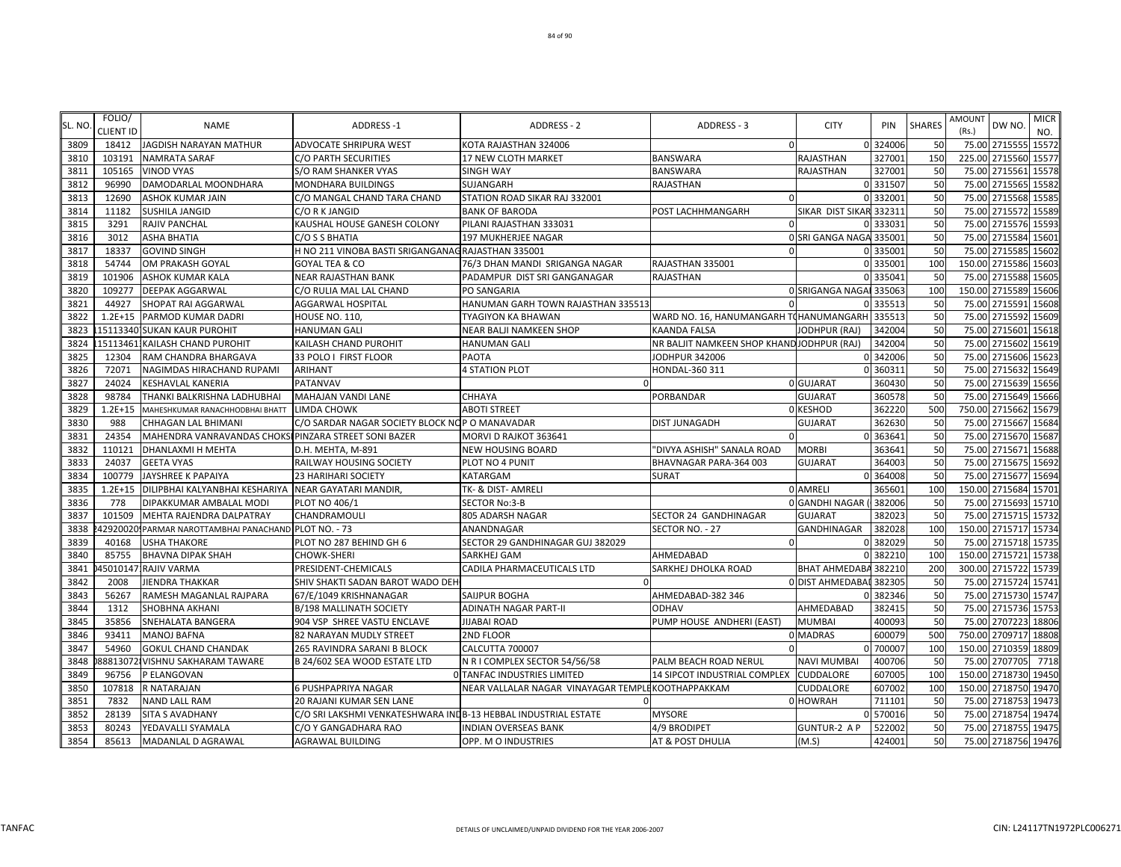| SL. NO | FOLIO/<br><b>CLIENT ID</b> | <b>NAME</b>                                           | <b>ADDRESS-1</b>                                               | <b>ADDRESS - 2</b>                                 | ADDRESS - 3                                   | <b>CITY</b>             | PIN      | <b>SHARES</b> | AMOUNT<br>(Rs.) | DW NO.               | <b>MICR</b>  |
|--------|----------------------------|-------------------------------------------------------|----------------------------------------------------------------|----------------------------------------------------|-----------------------------------------------|-------------------------|----------|---------------|-----------------|----------------------|--------------|
| 3809   | 18412                      | <b>JAGDISH NARAYAN MATHUR</b>                         | <b>ADVOCATE SHRIPURA WEST</b>                                  | KOTA RAJASTHAN 324006                              | $\Omega$                                      |                         | 0 324006 | 50            |                 | 75.00 2715555        | NO.<br>15572 |
| 3810   | 103191                     | <b>NAMRATA SARAF</b>                                  | C/O PARTH SECURITIES                                           | 17 NEW CLOTH MARKET                                | <b>BANSWARA</b>                               | RAJASTHAN               | 327001   | <b>150</b>    |                 | 225.00 2715560 15577 |              |
| 3811   | 105165                     | <b>VINOD VYAS</b>                                     | <b>S/O RAM SHANKER VYAS</b>                                    | <b>SINGH WAY</b>                                   | <b>BANSWARA</b>                               | <b>RAJASTHAN</b>        | 327001   | 50            |                 | 75.00 2715561        | 15578        |
| 3812   | 96990                      | DAMODARLAL MOONDHARA                                  | <b>MONDHARA BUILDINGS</b>                                      | SUJANGARH                                          | RAJASTHAN                                     |                         | 0 331507 | 50            | 75.00           | 2715565              | 15582        |
| 3813   | 12690                      | ASHOK KUMAR JAIN                                      | C/O MANGAL CHAND TARA CHAND                                    | STATION ROAD SIKAR RAJ 332001                      | $\Omega$                                      |                         | 0 33200  | 50            |                 | 75.00 2715568 15585  |              |
| 3814   | 11182                      | SUSHILA JANGID                                        | C/O R K JANGID                                                 | <b>BANK OF BARODA</b>                              | POST LACHHMANGARH                             | SIKAR DIST SIKAR 33231: |          | 50            | 75.00           | 2715572              | 15589        |
| 3815   | 3291                       | RAJIV PANCHAL                                         | KAUSHAL HOUSE GANESH COLONY                                    | PILANI RAJASTHAN 333031                            | $\Omega$                                      |                         | 0 33303  | 50            |                 | 75.00 2715576 15593  |              |
| 3816   | 3012                       | <b>ASHA BHATIA</b>                                    | C/O S S BHATIA                                                 | <b>197 MUKHERJEE NAGAR</b>                         |                                               | 0 SRI GANGA NAGA 335001 |          | 50            |                 | 75.00 2715584        | 15601        |
| 3817   | 18337                      | <b>GOVIND SINGH</b>                                   | H NO 211 VINOBA BASTI SRIGANGANAG RAJASTHAN 335001             |                                                    | $\Omega$                                      |                         | 0 335001 | 50            | 75.00           | 2715585              | 15602        |
| 3818   | 54744                      | OM PRAKASH GOYAL                                      | GOYAL TEA & CO                                                 | 76/3 DHAN MANDI SRIGANGA NAGAR                     | RAJASTHAN 335001                              |                         | 0 33500  | 100           | 150.00 2715586  |                      | 15603        |
| 3819   | 101906                     | ASHOK KUMAR KALA                                      | <b>NEAR RAJASTHAN BANK</b>                                     | PADAMPUR DIST SRI GANGANAGAR                       | RAJASTHAN                                     |                         | 0 335041 | 50            |                 | 75.00 2715588        | 15605        |
| 3820   | 109277                     | DEEPAK AGGARWAL                                       | C/O RULIA MAL LAL CHAND                                        | PO SANGARIA                                        |                                               | 0 SRIGANGA NAGAI 335063 |          | 100           |                 | 150.00 2715589 15606 |              |
| 3821   | 44927                      | SHOPAT RAI AGGARWAL                                   | <b>AGGARWAL HOSPITAL</b>                                       | HANUMAN GARH TOWN RAJASTHAN 335513                 |                                               |                         | 335513   | 50            |                 | 75.00 2715591        | 15608        |
| 3822   | $1.2E + 15$                | PARMOD KUMAR DADRI                                    | <b>HOUSE NO. 110,</b>                                          | <b>TYAGIYON KA BHAWAN</b>                          | WARD NO. 16, HANUMANGARH TOHANUMANGARH 335513 |                         |          | 50            | 75.00           | 2715592              | 15609        |
| 3823   |                            | 15113340 SUKAN KAUR PUROHIT                           | <b>HANUMAN GALI</b>                                            | NEAR BALJI NAMKEEN SHOP                            | <b>KAANDA FALSA</b>                           | JODHPUR (RAJ)           | 342004   | 50            |                 | 75.00 2715601        | 15618        |
| 3824   | 15113461                   | KAILASH CHAND PUROHIT                                 | KAILASH CHAND PUROHIT                                          | <b>HANUMAN GALI</b>                                | NR BALJIT NAMKEEN SHOP KHANDJODHPUR (RAJ)     |                         | 342004   | 50            | 75.00           | 2715602              | 15619        |
| 3825   | 12304                      | RAM CHANDRA BHARGAVA                                  | 33 POLO I FIRST FLOOR                                          | PAOTA                                              | JODHPUR 342006                                |                         | 0 342006 | 50            |                 | 75.00 2715606        | 15623        |
| 3826   | 72071                      | NAGIMDAS HIRACHAND RUPAMI                             | <b>ARIHANT</b>                                                 | <b>4 STATION PLOT</b>                              | HONDAL-360 311                                |                         | 0 36031  | 50            |                 | 75.00 2715632        | 15649        |
| 3827   | 24024                      | KESHAVLAL KANERIA                                     | PATANVAV                                                       | n                                                  |                                               | 0 GUJARAT               | 360430   | 50            |                 | 75.00 2715639 15656  |              |
| 3828   | 98784                      | THANKI BALKRISHNA LADHUBHAI                           | MAHAJAN VANDI LANE                                             | CHHAYA                                             | PORBANDAR                                     | <b>GUJARAT</b>          | 360578   | 50            |                 | 75.00 2715649        | 15666        |
| 3829   | $1.2E + 15$                | MAHESHKUMAR RANACHHODBHAI BHATT                       | LIMDA CHOWK                                                    | <b>ABOTI STREET</b>                                |                                               | 0 KESHOD                | 362220   | 500           | 750.00 2715662  |                      | 15679        |
| 3830   | 988                        | CHHAGAN LAL BHIMANI                                   | C/O SARDAR NAGAR SOCIETY BLOCK NOP O MANAVADAR                 |                                                    | DIST JUNAGADH                                 | <b>GUJARAT</b>          | 362630   | 50            | 75.00           | 2715667              | 15684        |
| 3831   | 24354                      | MAHENDRA VANRAVANDAS CHOKSI PINZARA STREET SONI BAZER |                                                                | MORVI D RAJKOT 363641                              |                                               |                         | 0 36364  | 50            | 75.00           | 2715670 15687        |              |
| 3832   | 110121                     | DHANLAXMI H MEHTA                                     | D.H. MEHTA, M-891                                              | <b>NEW HOUSING BOARD</b>                           | "DIVYA ASHISH" SANALA ROAD                    | <b>MORBI</b>            | 36364    | 50            |                 | 75.00 2715671        | 15688        |
| 3833   | 24037                      | <b>GEETA VYAS</b>                                     | RAILWAY HOUSING SOCIETY                                        | PLOT NO 4 PUNIT                                    | BHAVNAGAR PARA-364 003                        | <b>GUJARAT</b>          | 364003   | 50            |                 | 75.00 2715675        | 15692        |
| 3834   | 100779                     | JAYSHREE K PAPAIYA                                    | <b>23 HARIHARI SOCIETY</b>                                     | KATARGAM                                           | <b>SURAT</b>                                  |                         | 0 364008 | 50            |                 | 75.00 2715677 15694  |              |
| 3835   | $1.2E + 15$                | DILIPBHAI KALYANBHAI KESHARIYA                        | NEAR GAYATARI MANDIR,                                          | TK- & DIST- AMRELI                                 |                                               | 0 AMRELI                | 365601   | <b>100</b>    |                 | 150.00 2715684 15701 |              |
| 3836   | 778                        | DIPAKKUMAR AMBALAL MODI                               | PLOT NO 406/1                                                  | <b>SECTOR No:3-B</b>                               |                                               | 0 GANDHI NAGAR          | 382006   | 50            |                 | 75.00 2715693 15710  |              |
| 3837   | 101509                     | MEHTA RAJENDRA DALPATRAY                              | CHANDRAMOULI                                                   | 805 ADARSH NAGAR                                   | SECTOR 24 GANDHINAGAR                         | <b>GUJARAT</b>          | 382023   | 50            |                 | 75.00 2715715        | 15732        |
| 3838   |                            | 429200201PARMAR NAROTTAMBHAI PANACHAND PLOT NO. - 73  |                                                                | ANANDNAGAR                                         | SECTOR NO. - 27                               | <b>GANDHINAGAR</b>      | 382028   | 100           |                 | 150.00 2715717 15734 |              |
| 3839   | 40168                      | <b>USHA THAKORE</b>                                   | PLOT NO 287 BEHIND GH 6                                        | SECTOR 29 GANDHINAGAR GUJ 382029                   | $\Omega$                                      |                         | 0 382029 | 50            | 75.00           | 2715718 15735        |              |
| 3840   | 85755                      | <b>BHAVNA DIPAK SHAH</b>                              | <b>CHOWK-SHERI</b>                                             | SARKHEJ GAM                                        | AHMEDABAD                                     |                         | 0 382210 | 100           | 150.00          | 2715721              | 15738        |
| 3841   |                            | 45010147 RAJIV VARMA                                  | PRESIDENT-CHEMICALS                                            | CADILA PHARMACEUTICALS LTD                         | SARKHEJ DHOLKA ROAD                           | <b>BHAT AHMEDABA</b>    | 382210   | 200           |                 | 300.00 2715722 15739 |              |
| 3842   | 2008                       | JIENDRA THAKKAR                                       | SHIV SHAKTI SADAN BAROT WADO DEH                               |                                                    |                                               | 0 DIST AHMEDABAI        | 382305   | 50            |                 | 75.00 2715724 15741  |              |
| 3843   | 56267                      | RAMESH MAGANLAL RAJPARA                               | 67/E/1049 KRISHNANAGAR                                         | SAIJPUR BOGHA                                      | AHMEDABAD-382 346                             |                         | 0 382346 | 50            |                 | 75.00 2715730 15747  |              |
| 3844   | 1312                       | SHOBHNA AKHANI                                        | <b>B/198 MALLINATH SOCIETY</b>                                 | ADINATH NAGAR PART-II                              | <b>ODHAV</b>                                  | AHMEDABAD               | 382415   | 50            |                 | 75.00 2715736        | 15753        |
| 3845   | 35856                      | SNEHALATA BANGERA                                     | 904 VSP SHREE VASTU ENCLAVE                                    | <b>JIJABAI ROAD</b>                                | PUMP HOUSE ANDHERI (EAST)                     | <b>MUMBAI</b>           | 400093   | 50            | 75.00           | 2707223 18806        |              |
| 3846   | 93411                      | <b>MANOJ BAFNA</b>                                    | 82 NARAYAN MUDLY STREET                                        | 2ND FLOOR                                          |                                               | 0 MADRAS                | 600079   | 500           | 750.00          | 2709717 18808        |              |
| 3847   | 54960                      | <b>GOKUL CHAND CHANDAK</b>                            | 265 RAVINDRA SARANI B BLOCK                                    | CALCUTTA 700007                                    | $\Omega$                                      |                         | 0 70000  | 100           | 150.00          | 2710359              | 18809        |
| 3848   |                            | 88813072 VISHNU SAKHARAM TAWARE                       | B 24/602 SEA WOOD ESTATE LTD                                   | N R I COMPLEX SECTOR 54/56/58                      | PALM BEACH ROAD NERUL                         | <b>NAVI MUMBAI</b>      | 400706   | 50            |                 | 75.00 2707705        | 7718         |
| 3849   | 96756                      | P ELANGOVAN                                           |                                                                | O TANFAC INDUSTRIES LIMITED                        | 14 SIPCOT INDUSTRIAL COMPLEX                  | <b>CUDDALORE</b>        | 607005   | 100           | 150.00 2718730  |                      | 19450        |
| 3850   | 107818                     | R NATARAJAN                                           | <b>6 PUSHPAPRIYA NAGAR</b>                                     | NEAR VALLALAR NAGAR VINAYAGAR TEMPLE KOOTHAPPAKKAM |                                               | CUDDALORE               | 607002   | 100           | 150.00 2718750  |                      | 19470        |
| 3851   | 7832                       | <b>NAND LALL RAM</b>                                  | <b>20 RAJANI KUMAR SEN LANE</b>                                |                                                    |                                               | 0 HOWRAH                | 711101   | 50            |                 | 75.00 2718753        | 19473        |
| 3852   | 28139                      | <b>SITA S AVADHANY</b>                                | C/O SRI LAKSHMI VENKATESHWARA INDB-13 HEBBAL INDUSTRIAL ESTATE |                                                    | MYSORE                                        |                         | 0 570016 | 50            |                 | 75.00 2718754 19474  |              |
| 3853   | 80243                      | YEDAVALLI SYAMALA                                     | C/O Y GANGADHARA RAO                                           | <b>INDIAN OVERSEAS BANK</b>                        | 4/9 BRODIPET                                  | <b>GUNTUR-2 A P</b>     | 522002   | 50            |                 | 75.00 2718755 19475  |              |
| 3854   | 85613                      | MADANLAL D AGRAWAL                                    | <b>AGRAWAL BUILDING</b>                                        | OPP. M O INDUSTRIES                                | AT & POST DHULIA                              | (M.S)                   | 424001   | 50            |                 | 75.00 2718756 19476  |              |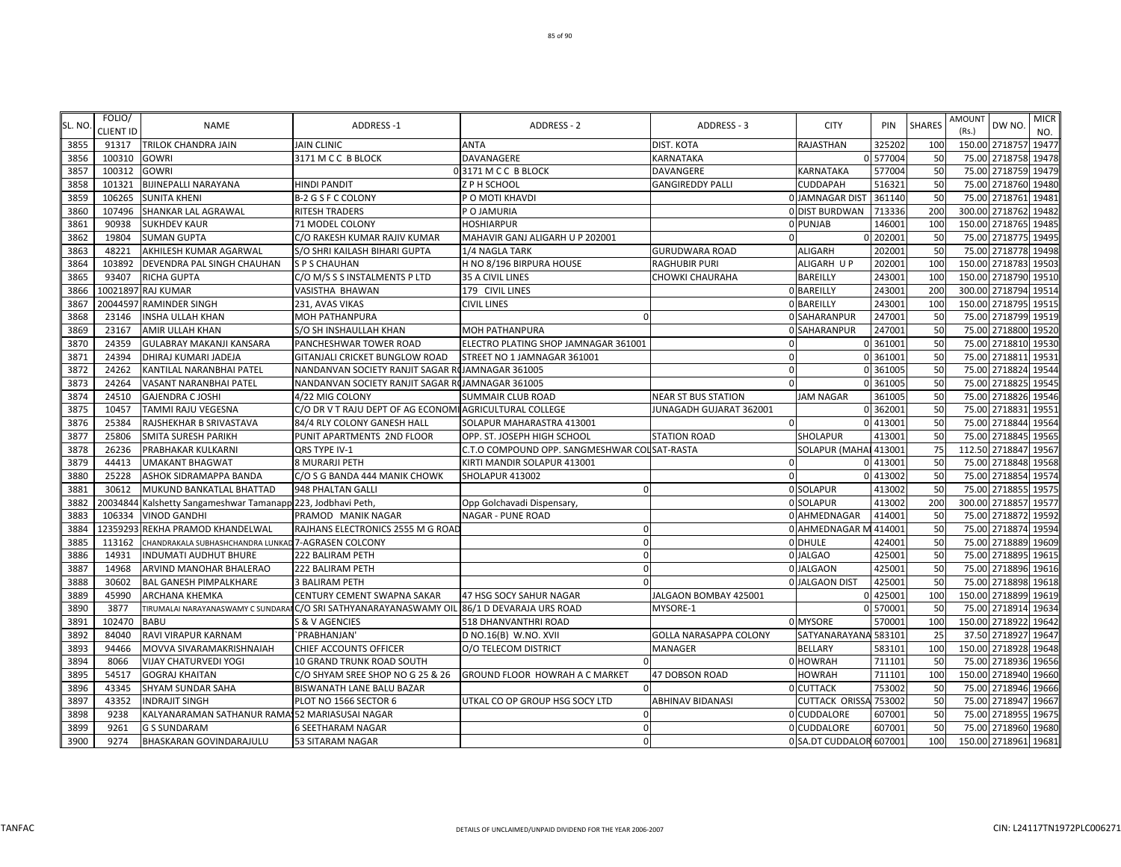| SL. NO | FOLIO/<br><b>CLIENT ID</b> | <b>NAME</b>                                                  | <b>ADDRESS-1</b>                                                                            | ADDRESS - 2                                  | ADDRESS - 3                | <b>CITY</b>             | PIN      | <b>SHARES</b> | AMOUNT<br>(Rs.)      | DW NO.  | <b>MICR</b><br>NO. |
|--------|----------------------------|--------------------------------------------------------------|---------------------------------------------------------------------------------------------|----------------------------------------------|----------------------------|-------------------------|----------|---------------|----------------------|---------|--------------------|
| 3855   | 91317                      | <b>TRILOK CHANDRA JAIN</b>                                   | <b>JAIN CLINIC</b>                                                                          | <b>ANTA</b>                                  | DIST. KOTA                 | <b>RAJASTHAN</b>        | 325202   | 100           | 150.00 2718757       |         | 19477              |
| 3856   | 100310                     | <b>GOWRI</b>                                                 | 3171 M C C B BLOCK                                                                          | DAVANAGERE                                   | KARNATAKA                  |                         | 0 577004 | 50            | 75.00 2718758        |         | 19478              |
| 3857   | 100312                     | <b>GOWRI</b>                                                 |                                                                                             | 03171 M CC B BLOCK                           | DAVANGERE                  | KARNATAKA               | 577004   | 50            | 75.00 2718759 19479  |         |                    |
| 3858   | 101321                     | <b>BIJINEPALLI NARAYANA</b>                                  | <b>HINDI PANDIT</b>                                                                         | Z P H SCHOOL                                 | <b>GANGIREDDY PALLI</b>    | <b>CUDDAPAH</b>         | 51632    | 50            | 75.00 2718760 19480  |         |                    |
| 3859   | 106265                     | <b>SUNITA KHENI</b>                                          | B-2 G S F C COLONY                                                                          | P O MOTI KHAVDI                              |                            | 0 JAMNAGAR DIST         | 361140   | 50            | 75.00 2718761        |         | 19481              |
| 3860   | 107496                     | SHANKAR LAL AGRAWAL                                          | <b>RITESH TRADERS</b>                                                                       | P O JAMURIA                                  |                            | 0 DIST BURDWAN          | 713336   | <b>200</b>    | 300.00 2718762       |         | 19482              |
| 3861   | 90938                      | <b>SUKHDEV KAUR</b>                                          | 71 MODEL COLONY                                                                             | <b>HOSHIARPUR</b>                            |                            | 0 PUNJAB                | 146001   | 100           | 150.00 2718765       |         | 19485              |
| 3862   | 19804                      | <b>SUMAN GUPTA</b>                                           | C/O RAKESH KUMAR RAJIV KUMAR                                                                | MAHAVIR GANJ ALIGARH U P 202001              |                            |                         | 0 202001 | 50            | 75.00 2718775        |         | 19495              |
| 3863   | 48221                      | AKHILESH KUMAR AGARWAL                                       | S/O SHRI KAILASH BIHARI GUPTA                                                               | 1/4 NAGLA TARK                               | GURUDWARA ROAD             | <b>ALIGARH</b>          | 202001   | 50            | 75.00 2718778        |         | 19498              |
| 3864   | 103892                     | DEVENDRA PAL SINGH CHAUHAN                                   | <b>S P S CHAUHAN</b>                                                                        | H NO 8/196 BIRPURA HOUSE                     | RAGHUBIR PURI              | ALIGARH U P             | 202001   | 100           | 150.00 2718783       |         | 19503              |
| 3865   | 93407                      | <b>RICHA GUPTA</b>                                           | C/O M/S S S INSTALMENTS P LTD                                                               | 35 A CIVIL LINES                             | CHOWKI CHAURAHA            | BAREILLY                | 243001   | 100           | 150.00 2718790       |         | 19510              |
| 3866   |                            | 10021897 RAJ KUMAR                                           | VASISTHA BHAWAN                                                                             | 179 CIVIL LINES                              |                            | 0 BAREILLY              | 243001   | 200           | 300.00 2718794       |         | 19514              |
| 3867   |                            | 20044597 RAMINDER SINGH                                      | 231, AVAS VIKAS                                                                             | <b>CIVIL LINES</b>                           |                            | 0 BAREILLY              | 243001   | 100           | 150.00 2718795       |         | 19515              |
| 3868   | 23146                      | <b>INSHA ULLAH KHAN</b>                                      | <b>MOH PATHANPURA</b>                                                                       | $\Omega$                                     |                            | 0 SAHARANPUR            | 24700    | 50            | 75.00                | 2718799 | 19519              |
| 3869   | 23167                      | <b>AMIR ULLAH KHAN</b>                                       | S/O SH INSHAULLAH KHAN                                                                      | <b>MOH PATHANPURA</b>                        |                            | 0 SAHARANPUR            | 247001   | 50            | 75.00 2718800 19520  |         |                    |
| 3870   | 24359                      | <b>GULABRAY MAKANJI KANSARA</b>                              | PANCHESHWAR TOWER ROAD                                                                      | ELECTRO PLATING SHOP JAMNAGAR 361001         |                            |                         | 0 361001 | 50            | 75.00 2718810        |         | 19530              |
| 3871   | 24394                      | DHIRAJ KUMARI JADEJA                                         | GITANJALI CRICKET BUNGLOW ROAD                                                              | STREET NO 1 JAMNAGAR 361001                  | $\Omega$                   |                         | 0 361001 | 50            | 75.00 2718811        |         | 19531              |
| 3872   | 24262                      | KANTILAL NARANBHAI PATEL                                     | NANDANVAN SOCIETY RANJIT SAGAR ROJAMNAGAR 361005                                            |                                              | $\Omega$                   |                         | 0 361005 | 50            | 75.00 2718824        |         | 19544              |
| 3873   | 24264                      | VASANT NARANBHAI PATEL                                       | NANDANVAN SOCIETY RANJIT SAGAR ROJAMNAGAR 361005                                            |                                              | $\Omega$                   |                         | 0 361005 | 50            | 75.00 2718825        |         | 19545              |
| 3874   | 24510                      | <b>GAJENDRA C JOSHI</b>                                      | 4/22 MIG COLONY                                                                             | <b>SUMMAIR CLUB ROAD</b>                     | <b>NEAR ST BUS STATION</b> | <b>JAM NAGAR</b>        | 361005   | 50            | 75.00 2718826        |         | 19546              |
| 3875   | 10457                      | <b>TAMMI RAJU VEGESNA</b>                                    | C/O DR V T RAJU DEPT OF AG ECONOMI AGRICULTURAL COLLEGE                                     |                                              | JUNAGADH GUJARAT 362001    |                         | 0 362001 | 50            | 75.00                | 2718831 | 19551              |
| 3876   | 25384                      | RAJSHEKHAR B SRIVASTAVA                                      | 84/4 RLY COLONY GANESH HALL                                                                 | SOLAPUR MAHARASTRA 413001                    | $\Omega$                   |                         | 0 413001 | 50            | 75.00                | 2718844 | 19564              |
| 3877   | 25806                      | SMITA SURESH PARIKH                                          | PUNIT APARTMENTS 2ND FLOOR                                                                  | OPP. ST. JOSEPH HIGH SCHOOL                  | <b>STATION ROAD</b>        | <b>SHOLAPUR</b>         | 413001   | 50            | 75.00                | 2718845 | 19565              |
| 3878   | 26236                      | PRABHAKAR KULKARNI                                           | QRS TYPE IV-1                                                                               | C.T.O COMPOUND OPP. SANGMESHWAR COLSAT-RASTA |                            | SOLAPUR (MAHAI 413001   |          | 75            | 112.50 2718847 19567 |         |                    |
| 3879   | 44413                      | <b>UMAKANT BHAGWAT</b>                                       | <b>8 MURARJI PETH</b>                                                                       | KIRTI MANDIR SOLAPUR 413001                  | -0                         |                         | 0 413001 | 50            | 75.00 2718848        |         | 19568              |
| 3880   | 25228                      | <b>ASHOK SIDRAMAPPA BANDA</b>                                | C/O S G BANDA 444 MANIK CHOWK                                                               | SHOLAPUR 413002                              | $\mathbf 0$                |                         | 0 413002 | 50            | 75.00 2718854        |         | 19574              |
| 3881   | 30612                      | MUKUND BANKATLAL BHATTAD                                     | 948 PHALTAN GALLI                                                                           | ſ                                            |                            | 0 SOLAPUR               | 413002   | 50            | 75.00 2718855        |         | 19575              |
| 3882   |                            | 20034844 Kalshetty Sangameshwar Tamanapp 223, Jodbhavi Peth, |                                                                                             | Opp Golchavadi Dispensary,                   |                            | 0 SOLAPUR               | 413002   | 200           | 300.00 2718857       |         | 19577              |
| 3883   | 106334                     | <b>VINOD GANDHI</b>                                          | PRAMOD MANIK NAGAR                                                                          | <b>NAGAR - PUNE ROAD</b>                     |                            | 0 AHMEDNAGAR            | 414001   | 50            | 75.00                | 2718872 | 19592              |
| 3884   |                            | 12359293 REKHA PRAMOD KHANDELWAL                             | RAJHANS ELECTRONICS 2555 M G ROAD                                                           | $\sqrt{ }$                                   |                            | 0 AHMEDNAGAR M          | 414001   | 50            | 75.00                | 2718874 | 19594              |
| 3885   | 113162                     | CHANDRAKALA SUBHASHCHANDRA LUNKAD 7-AGRASEN COLCONY          |                                                                                             |                                              |                            | <b>ODHULE</b>           | 424001   | 50            | 75.00 2718889        |         | 19609              |
| 3886   | 14931                      | <b>INDUMATI AUDHUT BHURE</b>                                 | 222 BALIRAM PETH                                                                            |                                              |                            | 0 JALGAO                | 425001   | 50            | 75.00 2718895        |         | 19615              |
| 3887   | 14968                      | ARVIND MANOHAR BHALERAO                                      | 222 BALIRAM PETH                                                                            | $\Omega$                                     |                            | 0 JALGAON               | 425001   | 50            | 75.00 2718896 19616  |         |                    |
| 3888   | 30602                      | <b>BAL GANESH PIMPALKHARE</b>                                | <b>3 BALIRAM PETH</b>                                                                       |                                              |                            | <b>O JALGAON DIST</b>   | 425001   | 50            | 75.00 2718898        |         | 19618              |
| 3889   | 45990                      | <b>ARCHANA KHEMKA</b>                                        | CENTURY CEMENT SWAPNA SAKAR                                                                 | 47 HSG SOCY SAHUR NAGAR                      | JALGAON BOMBAY 425001      |                         | 0 425001 | 100           | 150.00 2718899 19619 |         |                    |
| 3890   | 3877                       |                                                              | TIRUMALAI NARAYANASWAMY C SUNDARAI C/O SRI SATHYANARAYANASWAMY OIL 86/1 D DEVARAJA URS ROAD |                                              | MYSORE-1                   |                         | 0 57000  | 50            | 75.00 2718914        |         | 19634              |
| 3891   | 102470                     | <b>BABU</b>                                                  | S & V AGENCIES                                                                              | 518 DHANVANTHRI ROAD                         |                            | 0 MYSORE                | 570001   | 100           | 150.00 2718922       |         | 19642              |
| 3892   | 84040                      | RAVI VIRAPUR KARNAM                                          | `PRABHANJAN'                                                                                | D NO.16(B) W.NO. XVII                        | GOLLA NARASAPPA COLONY     | SATYANARAYANA 583101    |          | 25            | 37.50 2718927        |         | 19647              |
| 3893   | 94466                      | MOVVA SIVARAMAKRISHNAIAH                                     | CHIEF ACCOUNTS OFFICER                                                                      | O/O TELECOM DISTRICT                         | MANAGER                    | <b>BELLARY</b>          | 583101   | 100           | 150.00 2718928 19648 |         |                    |
| 3894   | 8066                       | VIJAY CHATURVEDI YOGI                                        | 10 GRAND TRUNK ROAD SOUTH                                                                   |                                              |                            | 0 HOWRAH                | 711101   | 50            | 75.00 2718936        |         | 19656              |
| 3895   | 54517                      | <b>GOGRAJ KHAITAN</b>                                        | C/O SHYAM SREE SHOP NO G 25 & 26                                                            | GROUND FLOOR HOWRAH A C MARKET               | 47 DOBSON ROAD             | <b>HOWRAH</b>           | 711101   | 100           | 150.00 2718940       |         | 19660              |
| 3896   | 43345                      | SHYAM SUNDAR SAHA                                            | BISWANATH LANE BALU BAZAR                                                                   | $\Omega$                                     |                            | 0 CUTTACK               | 753002   | 50            | 75.00 2718946        |         | 19666              |
| 3897   | 43352                      | <b>INDRAJIT SINGH</b>                                        | PLOT NO 1566 SECTOR 6                                                                       | UTKAL CO OP GROUP HSG SOCY LTD               | ABHINAV BIDANASI           | CUTTACK ORISSA 753002   |          | 50            | 75.00 2718947        |         | 19667              |
| 3898   | 9238                       | KALYANARAMAN SATHANUR RAMA: 52 MARIASUSAI NAGAR              |                                                                                             | $\Omega$                                     |                            | 0 CUDDALORE             | 607001   | 50            | 75.00 2718955        |         | 19675              |
| 3899   | 9261                       | <b>G S SUNDARAM</b>                                          | <b>6 SEETHARAM NAGAR</b>                                                                    | $\Omega$                                     |                            | 0 CUDDALORE             | 607001   | 50            | 75.00 2718960 19680  |         |                    |
| 3900   | 9274                       | <b>BHASKARAN GOVINDARAJULU</b>                               | 53 SITARAM NAGAR                                                                            | $\Omega$                                     |                            | 0 SA.DT CUDDALOR 607001 |          | 100           | 150.00 2718961 19681 |         |                    |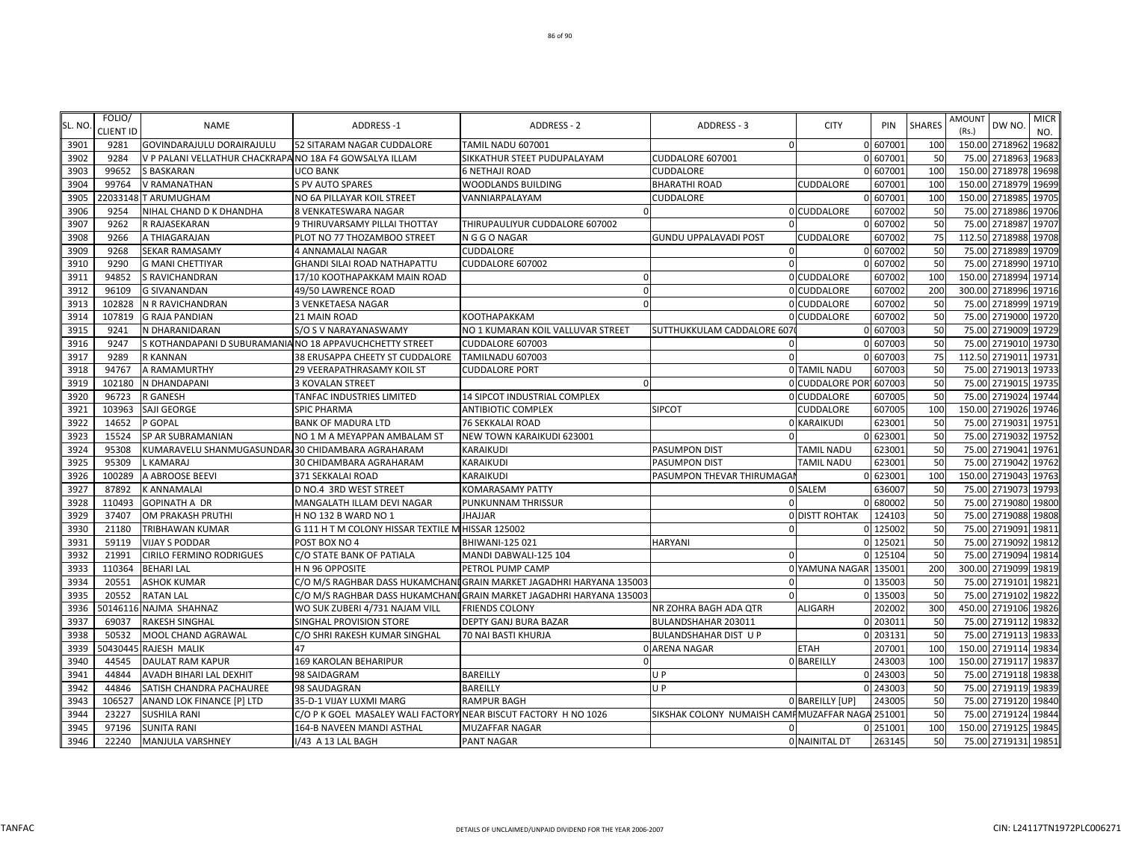| SL. NO | FOLIO/<br><b>CLIENT ID</b> | <b>NAME</b>                                              | <b>ADDRESS-1</b>                                                | <b>ADDRESS - 2</b>                                                   | <b>ADDRESS - 3</b>                              | <b>CITY</b>           | PIN      | <b>SHARES</b> | AMOUNT<br>(Rs.) | DW NO.               | <b>MICR</b><br>NO. |
|--------|----------------------------|----------------------------------------------------------|-----------------------------------------------------------------|----------------------------------------------------------------------|-------------------------------------------------|-----------------------|----------|---------------|-----------------|----------------------|--------------------|
| 3901   | 9281                       | GOVINDARAJULU DORAIRAJULU                                | 52 SITARAM NAGAR CUDDALORE                                      | <b>TAMIL NADU 607001</b>                                             | $\Omega$                                        |                       | 0 607001 | 100           |                 | 150.00 2718962       | 19682              |
| 3902   | 9284                       | V P PALANI VELLATHUR CHACKRAPA NO 18A F4 GOWSALYA ILLAM  |                                                                 | SIKKATHUR STEET PUDUPALAYAM                                          | CUDDALORE 607001                                |                       | 0 607001 | 50            |                 | 75.00 2718963 19683  |                    |
| 3903   | 99652                      | <b>S BASKARAN</b>                                        | <b>UCO BANK</b>                                                 | <b>6 NETHAJI ROAD</b>                                                | <b>CUDDALORE</b>                                |                       | 0 607001 | 100           |                 | 150.00 2718978 19698 |                    |
| 3904   | 99764                      | V RAMANATHAN                                             | S PV AUTO SPARES                                                | WOODLANDS BUILDING                                                   | <b>BHARATHI ROAD</b>                            | <b>CUDDALORE</b>      | 607001   | 100           |                 | 150.00 2718979       | 19699              |
| 3905   |                            | 22033148 T ARUMUGHAM                                     | NO 6A PILLAYAR KOIL STREET                                      | VANNIARPALAYAM                                                       | CUDDALORE                                       |                       | 607001   | 100           |                 | 150.00 2718985       | 19705              |
| 3906   | 9254                       | NIHAL CHAND D K DHANDHA                                  | 8 VENKATESWARA NAGAR                                            |                                                                      |                                                 | 0 CUDDALORE           | 607002   | 50            |                 | 75.00 2718986        | 19706              |
| 3907   | 9262                       | R RAJASEKARAN                                            | 9 THIRUVARSAMY PILLAI THOTTAY                                   | THIRUPAULIYUR CUDDALORE 607002                                       | $\Omega$                                        |                       | 607002   | 50            |                 | 75.00 2718987        | 19707              |
| 3908   | 9266                       | A THIAGARAJAN                                            | PLOT NO 77 THOZAMBOO STREET                                     | N G G O NAGAR                                                        | <b>GUNDU UPPALAVADI POST</b>                    | <b>CUDDALORE</b>      | 607002   | 75            |                 | 112.50 2718988       | 19708              |
| 3909   | 9268                       | <b>SEKAR RAMASAMY</b>                                    | 4 ANNAMALAI NAGAR                                               | CUDDALORE                                                            | $\mathbf 0$                                     |                       | 607002   | 50            | 75.00           | 2718989              | 19709              |
| 3910   | 9290                       | <b>G MANI CHETTIYAR</b>                                  | <b>GHANDI SILAI ROAD NATHAPATTU</b>                             | CUDDALORE 607002                                                     | $\Omega$                                        |                       | 607002   | 50            |                 | 75.00 2718990 19710  |                    |
| 3911   | 94852                      | <b>S RAVICHANDRAN</b>                                    | 17/10 KOOTHAPAKKAM MAIN ROAD                                    | $\Omega$                                                             |                                                 | 0 CUDDALORE           | 607002   | 100           |                 | 150.00 2718994       | 19714              |
| 3912   | 96109                      | <b>G SIVANANDAN</b>                                      | 49/50 LAWRENCE ROAD                                             | $\Omega$                                                             |                                                 | 0 CUDDALORE           | 607002   | 200           |                 | 300.00 2718996 19716 |                    |
| 3913   | 102828                     | N R RAVICHANDRAN                                         | 3 VENKETAESA NAGAR                                              |                                                                      |                                                 | 0 CUDDALORE           | 607002   | 50            |                 | 75.00 2718999 19719  |                    |
| 3914   | 107819                     | <b>G RAJA PANDIAN</b>                                    | 21 MAIN ROAD                                                    | KOOTHAPAKKAM                                                         |                                                 | 0 CUDDALORE           | 607002   | 50            |                 | 75.00 2719000        | 19720              |
| 3915   | 9241                       | N DHARANIDARAN                                           | S/O S V NARAYANASWAMY                                           | NO 1 KUMARAN KOIL VALLUVAR STREET                                    | SUTTHUKKULAM CADDALORE 607                      |                       | 607003   | 50            |                 | 75.00 2719009        | 19729              |
| 3916   | 9247                       | S KOTHANDAPANI D SUBURAMANIA NO 18 APPAVUCHCHETTY STREET |                                                                 | CUDDALORE 607003                                                     | $\Omega$                                        |                       | 607003   | 50            |                 | 75.00 2719010        | 19730              |
| 3917   | 9289                       | <b>R KANNAN</b>                                          | 38 ERUSAPPA CHEETY ST CUDDALORE                                 | TAMILNADU 607003                                                     | $\Omega$                                        |                       | 607003   | 75            |                 | 112.50 2719011       | 19731              |
| 3918   | 94767                      | A RAMAMURTHY                                             | 29 VEERAPATHRASAMY KOIL ST                                      | <b>CUDDALORE PORT</b>                                                |                                                 | 0 TAMIL NADU          | 607003   | 50            |                 | 75.00 2719013        | 19733              |
| 3919   | 102180                     | N DHANDAPANI                                             | 3 KOVALAN STREET                                                | $\Omega$                                                             |                                                 | O CUDDALORE POR       | 607003   | 50            |                 | 75.00 2719015        | 19735              |
| 3920   | 96723                      | <b>R GANESH</b>                                          | TANFAC INDUSTRIES LIMITED                                       | 14 SIPCOT INDUSTRIAL COMPLEX                                         |                                                 | 0 CUDDALORE           | 607005   | 50            |                 | 75.00 2719024        | 19744              |
| 3921   | 103963                     | SAJI GEORGE                                              | <b>SPIC PHARMA</b>                                              | ANTIBIOTIC COMPLEX                                                   | <b>SIPCOT</b>                                   | CUDDALORE             | 607005   | 100           |                 | 150.00 2719026 19746 |                    |
| 3922   | 14652                      | P GOPAL                                                  | <b>BANK OF MADURA LTD</b>                                       | 76 SEKKALAI ROAD                                                     |                                                 | 0 KARAIKUDI           | 623001   | 50            |                 | 75.00 2719031        | 19751              |
| 3923   | 15524                      | SP AR SUBRAMANIAN                                        | NO 1 M A MEYAPPAN AMBALAM ST                                    | NEW TOWN KARAIKUDI 623001                                            | $\Omega$                                        |                       | 0 623001 | 50            |                 | 75.00 2719032        | 19752              |
| 3924   | 95308                      | KUMARAVELU SHANMUGASUNDAR/30 CHIDAMBARA AGRAHARAM        |                                                                 | KARAIKUDI                                                            | <b>PASUMPON DIST</b>                            | <b>TAMIL NADU</b>     | 623001   | 50            |                 | 75.00 2719041        | 19761              |
| 3925   | 95309                      | L KAMARAJ                                                | 30 CHIDAMBARA AGRAHARAM                                         | KARAIKUDI                                                            | <b>PASUMPON DIST</b>                            | <b>TAMIL NADU</b>     | 623001   | 50            |                 | 75.00 2719042        | 19762              |
| 3926   | 100289                     | A ABROOSE BEEVI                                          | 371 SEKKALAI ROAD                                               | KARAIKUDI                                                            | PASUMPON THEVAR THIRUMAGAI                      | O                     | 623001   | 100           |                 | 150.00 2719043 19763 |                    |
| 3927   | 87892                      | <b>K ANNAMALAI</b>                                       | D NO.4 3RD WEST STREET                                          | KOMARASAMY PATTY                                                     |                                                 | 0 SALEM               | 636007   | 50            |                 | 75.00 2719073        | 19793              |
| 3928   | 110493                     | <b>GOPINATH A DR</b>                                     | MANGALATH ILLAM DEVI NAGAR                                      | PUNKUNNAM THRISSUR                                                   | $\Omega$                                        |                       | 680002   | 50            |                 | 75.00 2719080        | 19800              |
| 3929   | 37407                      | OM PRAKASH PRUTHI                                        | H NO 132 B WARD NO 1                                            | <b>JHAJJAR</b>                                                       |                                                 | <b>O DISTT ROHTAK</b> | 124103   | 50            |                 | 75.00 2719088        | 19808              |
| 3930   | 21180                      | <b>TRIBHAWAN KUMAR</b>                                   | G 111 H T M COLONY HISSAR TEXTILE M HISSAR 125002               |                                                                      | $\Omega$                                        |                       | 0 125002 | 50            |                 | 75.00 2719091        | 19811              |
| 3931   | 59119                      | <b>VIJAY S PODDAR</b>                                    | POST BOX NO 4                                                   | BHIWANI-125 021                                                      | <b>HARYANI</b>                                  |                       | 0 125021 | 50            |                 | 75.00 2719092        | 19812              |
| 3932   | 21991                      | <b>CIRILO FERMINO RODRIGUES</b>                          | C/O STATE BANK OF PATIALA                                       | MANDI DABWALI-125 104                                                | $\Omega$                                        |                       | 0 125104 | 50            |                 | 75.00 2719094        | 19814              |
| 3933   | 110364                     | <b>BEHARI LAL</b>                                        | H N 96 OPPOSITE                                                 | PETROL PUMP CAMP                                                     |                                                 | 0 YAMUNA NAGAR        | 135001   | 200           | 300.00          | 2719099              | 19819              |
| 3934   | 20551                      | <b>ASHOK KUMAR</b>                                       |                                                                 | C/O M/S RAGHBAR DASS HUKAMCHANI GRAIN MARKET JAGADHRI HARYANA 135003 | $\Omega$                                        |                       | 135003   | 50            |                 | 75.00 2719101        | 19821              |
| 3935   | 20552                      | <b>RATAN LAL</b>                                         |                                                                 | C/O M/S RAGHBAR DASS HUKAMCHANI GRAIN MARKET JAGADHRI HARYANA 135003 | $\Omega$                                        |                       | 135003   | 50            |                 | 75.00 2719102        | 19822              |
| 3936   |                            | 50146116 NAJMA SHAHNAZ                                   | WO SUK ZUBERI 4/731 NAJAM VILL                                  | <b>FRIENDS COLONY</b>                                                | NR ZOHRA BAGH ADA QTR                           | <b>ALIGARH</b>        | 202002   | 300           |                 | 450.00 2719106       | 19826              |
| 3937   | 69037                      | <b>RAKESH SINGHAL</b>                                    | SINGHAL PROVISION STORE                                         | DEPTY GANJ BURA BAZAR                                                | BULANDSHAHAR 203011                             | ŋ                     | 203011   | 50            |                 | 75.00 2719112        | 19832              |
| 3938   | 50532                      | MOOL CHAND AGRAWAL                                       | C/O SHRI RAKESH KUMAR SINGHAL                                   | 70 NAI BASTI KHURJA                                                  | BULANDSHAHAR DIST U P                           |                       | 203131   | 50            |                 | 75.00 2719113        | 19833              |
| 393S   |                            | 50430445 RAJESH MALIK                                    | 47                                                              |                                                                      | <b>0 ARENA NAGAR</b>                            | ETAH                  | 207001   | 100           |                 | 150.00 2719114       | 19834              |
| 3940   | 44545                      | <b>DAULAT RAM KAPUR</b>                                  | 169 KAROLAN BEHARIPUR                                           |                                                                      |                                                 | 0 BAREILLY            | 243003   | 100           |                 | 150.00 2719117       | 19837              |
| 3941   | 44844                      | AVADH BIHARI LAL DEXHIT                                  | 98 SAIDAGRAM                                                    | BAREILLY                                                             | UP                                              |                       | 243003   | 50            | 75.00           | 2719118              | 19838              |
| 3942   | 44846                      | SATISH CHANDRA PACHAUREE                                 | 98 SAUDAGRAN                                                    | BAREILLY                                                             | U P                                             |                       | 0 243003 | 50            |                 | 75.00 2719119 19839  |                    |
| 3943   | 106527                     | ANAND LOK FINANCE [P] LTD                                | 35-D-1 VIJAY LUXMI MARG                                         | <b>RAMPUR BAGH</b>                                                   |                                                 | 0 BAREILLY [UP]       | 243005   | 50            |                 | 75.00 2719120        | 19840              |
| 3944   | 23227                      | <b>SUSHILA RANI</b>                                      | C/O P K GOEL MASALEY WALI FACTORY NEAR BISCUT FACTORY H NO 1026 |                                                                      | SIKSHAK COLONY NUMAISH CAMHMUZAFFAR NAGA 251001 |                       |          | 50            |                 | 75.00 2719124        | 19844              |
| 3945   | 97196                      | <b>SUNITA RANI</b>                                       | 164-B NAVEEN MANDI ASTHAL                                       | MUZAFFAR NAGAR                                                       | <sup>0</sup>                                    |                       | 251001   | 100           |                 | 150.00 2719125 19845 |                    |
| 3946   | 22240                      | MANJULA VARSHNEY                                         | I/43 A 13 LAL BAGH                                              | <b>PANT NAGAR</b>                                                    |                                                 | 0 NAINITAL DT         | 263145   | 50            |                 | 75.00 2719131 19851  |                    |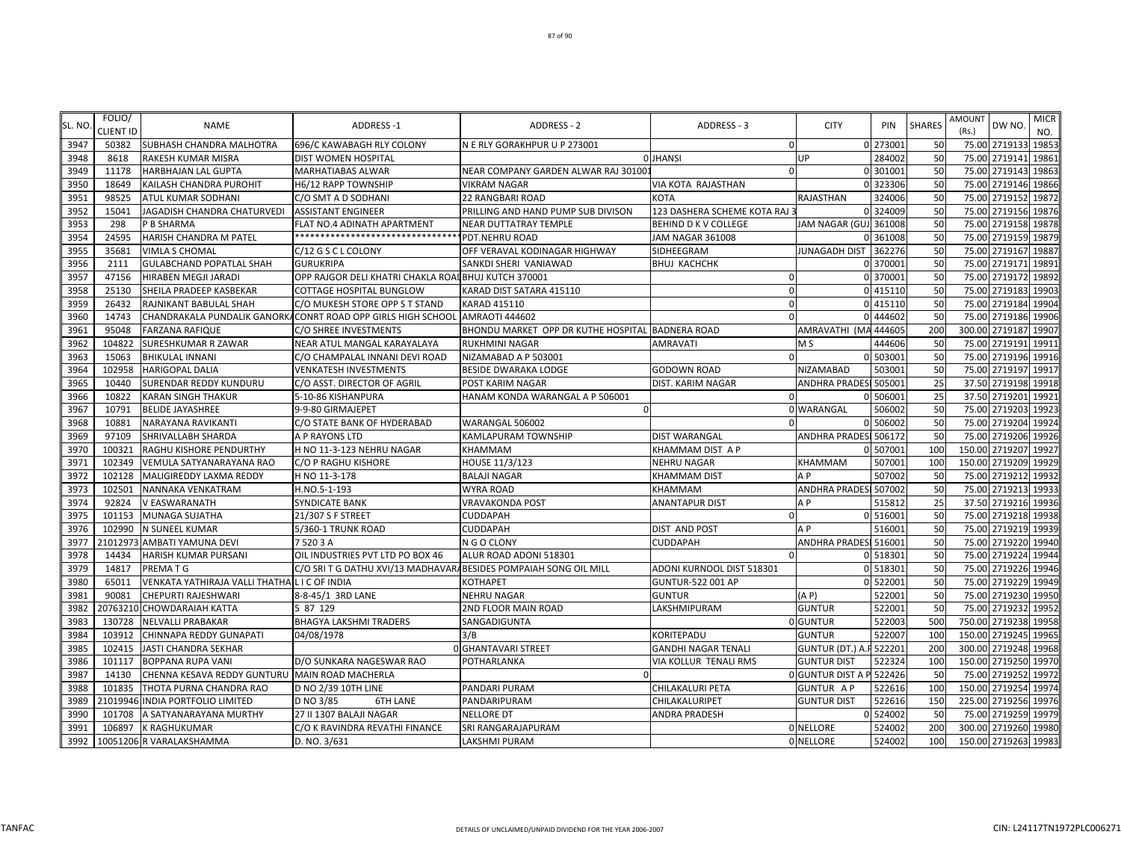| SL. NO | FOLIO/<br>CLIENT ID | <b>NAME</b>                                    | <b>ADDRESS-1</b>                                                            | ADDRESS - 2                                      | ADDRESS - 3                   | <b>CITY</b>                    | PIN      | <b>SHARES</b> | <b>AMOUNT</b><br>(Rs.) | DW NO.               | <b>MICR</b><br>NO. |
|--------|---------------------|------------------------------------------------|-----------------------------------------------------------------------------|--------------------------------------------------|-------------------------------|--------------------------------|----------|---------------|------------------------|----------------------|--------------------|
| 3947   | 50382               | <b>SUBHASH CHANDRA MALHOTRA</b>                | 696/C KAWABAGH RLY COLONY                                                   | N E RLY GORAKHPUR U P 273001                     | $\overline{0}$                |                                | 0 273001 | 50            |                        | 75.00 2719133 19853  |                    |
| 3948   | 8618                | RAKESH KUMAR MISRA                             | DIST WOMEN HOSPITAL                                                         |                                                  | <b>O</b> JHANSI               | UP                             | 284002   | 50            |                        | 75.00 2719141 19861  |                    |
| 3949   | 11178               | <b>HARBHAJAN LAL GUPTA</b>                     | MARHATIABAS ALWAR                                                           | NEAR COMPANY GARDEN ALWAR RAJ 30100:             | $\Omega$                      |                                | 0 301001 | 50            |                        | 75.00 2719143 19863  |                    |
| 3950   | 18649               | KAILASH CHANDRA PUROHIT                        | H6/12 RAPP TOWNSHIP                                                         | <b>VIKRAM NAGAR</b>                              | VIA KOTA RAJASTHAN            |                                | 0 323306 | 50            | 75.00                  | 2719146 19866        |                    |
| 3951   | 98525               | ATUL KUMAR SODHANI                             | C/O SMT A D SODHANI                                                         | 22 RANGBARI ROAD                                 | <b>KOTA</b>                   | RAJASTHAN                      | 324006   | 50            | 75.00                  | 2719152 1987         |                    |
| 3952   | 15041               | JAGADISH CHANDRA CHATURVEDI                    | <b>ASSISTANT ENGINEER</b>                                                   | PRILLING AND HAND PUMP SUB DIVISON               | 123 DASHERA SCHEME KOTA RAJ 3 |                                | 0 324009 | 50            | 75.00                  | 2719156              | 19876              |
| 3953   | 298                 | P B SHARMA                                     | FLAT NO.4 ADINATH APARTMENT                                                 | NEAR DUTTATRAY TEMPLE                            | <b>BEHIND D K V COLLEGE</b>   | JAM NAGAR (GUJ 361008          |          | 50            | 75.00                  | 2719158              | 19878              |
| 3954   | 24595               | HARISH CHANDRA M PATEL                         | *******************************                                             | PDT.NEHRU ROAD                                   | JAM NAGAR 361008              |                                | 361008   | 50            |                        | 75.00 2719159        | 19879              |
| 3955   | 35681               | <b>VIMLA S CHOMAL</b>                          | C/12 G S C L COLONY                                                         | OFF VERAVAL KODINAGAR HIGHWAY                    | SIDHEEGRAM                    | <b>JUNAGADH DIST</b>           | 362276   | 50            |                        | 75.00 2719167 1988   |                    |
| 3956   | 2111                | <b>GULABCHAND POPATLAL SHAH</b>                | <b>GURUKRIPA</b>                                                            | SANKDI SHERI VANIAWAD                            | <b>BHUJ KACHCHK</b>           |                                | 0 370001 | 50            |                        | 75.00 2719171 19891  |                    |
| 3957   | 47156               | HIRABEN MEGJI JARADI                           | OPP RAJGOR DELI KHATRI CHAKLA ROADBHUJ KUTCH 370001                         |                                                  | $\Omega$                      |                                | 0 370001 | 50            | 75.00                  | 2719172 19892        |                    |
| 3958   | 25130               | SHEILA PRADEEP KASBEKAR                        | COTTAGE HOSPITAL BUNGLOW                                                    | KARAD DIST SATARA 415110                         | $\mathbf{0}$                  |                                | 0 415110 | 50            |                        | 75.00 2719183        | 19903              |
| 3959   | 26432               | RAJNIKANT BABULAL SHAH                         | C/O MUKESH STORE OPP S T STAND                                              | KARAD 415110                                     | $\Omega$                      |                                | 0 415110 | 50            | 75.00                  | 2719184 19904        |                    |
| 3960   | 14743               |                                                | CHANDRAKALA PUNDALIK GANORKACONRT ROAD OPP GIRLS HIGH SCHOOL AMRAOTI 444602 |                                                  | $\Omega$                      |                                | 0 444602 | 50            | 75.00                  | 2719186              | 19906              |
| 3961   | 95048               | <b>FARZANA RAFIQUE</b>                         | C/O SHREE INVESTMENTS                                                       | BHONDU MARKET OPP DR KUTHE HOSPITAL BADNERA ROAD |                               | AMRAVATHI (MA                  | 444605   | 200           |                        | 300.00 2719187 1990  |                    |
| 3962   | 104822              | SURESHKUMAR R ZAWAR                            | NEAR ATUL MANGAL KARAYALAYA                                                 | <b>RUKHMINI NAGAR</b>                            | <b>AMRAVATI</b>               | M S                            | 444606   | 50            | 75.00                  | 2719191 1991:        |                    |
| 3963   | 15063               | <b>BHIKULAL INNANI</b>                         | C/O CHAMPALAL INNANI DEVI ROAD                                              | NIZAMABAD A P 503001                             | $\Omega$                      |                                | 0 503001 | 50            |                        | 75.00 2719196 1991   |                    |
| 3964   | 102958              | <b>HARIGOPAL DALIA</b>                         | <b>VENKATESH INVESTMENTS</b>                                                | <b>BESIDE DWARAKA LODGE</b>                      | <b>GODOWN ROAD</b>            | <b>NIZAMABAD</b>               | 503001   | 50            |                        | 75.00 2719197 19917  |                    |
| 3965   | 10440               | SURENDAR REDDY KUNDURU                         | C/O ASST. DIRECTOR OF AGRIL                                                 | POST KARIM NAGAR                                 | DIST. KARIM NAGAR             | ANDHRA PRADESI 505001          |          | 25            |                        | 37.50 2719198 19918  |                    |
| 3966   | 10822               | <b>KARAN SINGH THAKUR</b>                      | 5-10-86 KISHANPURA                                                          | HANAM KONDA WARANGAL A P 506001                  | $\Omega$                      |                                | 0 506001 | 25            |                        | 37.50 2719201 19921  |                    |
| 3967   | 10791               | <b>BELIDE JAYASHREE</b>                        | 9-9-80 GIRMAJEPET                                                           | $\Omega$                                         |                               | 0 WARANGAL                     | 506002   | 50            | 75.00                  | 2719203              | 19923              |
| 3968   | 10881               | NARAYANA RAVIKANTI                             | C/O STATE BANK OF HYDERABAD                                                 | WARANGAL 506002                                  | $\Omega$                      |                                | 0 506002 | 50            | 75.00                  | 2719204              | 19924              |
| 3969   | 97109               | SHRIVALLABH SHARDA                             | A P RAYONS LTD                                                              | <b>KAMLAPURAM TOWNSHIP</b>                       | <b>DIST WARANGAL</b>          | ANDHRA PRADESI 506172          |          | 50            | 75.00                  | 2719206              | 19926              |
| 3970   | 100321              | RAGHU KISHORE PENDURTHY                        | H NO 11-3-123 NEHRU NAGAR                                                   | KHAMMAM                                          | KHAMMAM DIST A P              |                                | 0 507001 | 100           |                        | 150.00 2719207       | 19927              |
| 3971   | 102349              | VEMULA SATYANARAYANA RAO                       | C/O P RAGHU KISHORE                                                         | HOUSE 11/3/123                                   | <b>NEHRU NAGAR</b>            | KHAMMAM                        | 507001   | 100           |                        | 150.00 2719209       | 19929              |
| 3972   | 102128              | MALIGIREDDY LAXMA REDDY                        | H NO 11-3-178                                                               | <b>BALAJI NAGAR</b>                              | <b>KHAMMAM DIST</b>           | A <sub>P</sub>                 | 507002   | 50            |                        | 75.00 2719212 19932  |                    |
| 3973   | 102501              | NANNAKA VENKATRAM                              | H.NO.5-1-193                                                                | <b>WYRA ROAD</b>                                 | KHAMMAM                       | <b>ANDHRA PRADES</b>           | 507002   | 50            |                        | 75.00 2719213 19933  |                    |
| 3974   | 92824               | <b>V EASWARANATH</b>                           | <b>SYNDICATE BANK</b>                                                       | <b>VRAVAKONDA POST</b>                           | <b>ANANTAPUR DIST</b>         | A <sub>P</sub>                 | 515812   | 25            |                        | 37.50 2719216 19936  |                    |
| 3975   | 101153              | MUNAGA SUJATHA                                 | 21/307 S F STREET                                                           | <b>CUDDAPAH</b>                                  | $\Omega$                      |                                | 0 51600  | 50            | 75.00                  | 2719218 19938        |                    |
| 3976   | 102990              | N SUNEEL KUMAR                                 | 5/360-1 TRUNK ROAD                                                          | <b>CUDDAPAH</b>                                  | DIST AND POST                 | A <sub>P</sub>                 | 51600    | 50            |                        | 75.00 2719219        | 19939              |
| 3977   | 21012973            | AMBATI YAMUNA DEVI                             | 75203A                                                                      | N G O CLONY                                      | <b>CUDDAPAH</b>               | ANDHRA PRADESI 516001          |          | 50            |                        | 75.00 2719220        | 19940              |
| 3978   | 14434               | HARISH KUMAR PURSANI                           | OIL INDUSTRIES PVT LTD PO BOX 46                                            | ALUR ROAD ADONI 518301                           | $\Omega$                      |                                | 0 518301 | 50            | 75.00                  | 2719224              | 19944              |
| 3979   | 14817               | PREMA T G                                      | C/O SRI T G DATHU XVI/13 MADHAVARA BESIDES POMPAIAH SONG OIL MILL           |                                                  | ADONI KURNOOL DIST 518301     |                                | 0 518301 | 50            |                        | 75.00 2719226        | 19946              |
| 3980   | 65011               | VENKATA YATHIRAJA VALLI THATHA L I C OF INDIA  |                                                                             | KOTHAPET                                         | GUNTUR-522 001 AP             |                                | 0 522001 | 50            |                        | 75.00 2719229        | 19949              |
| 3981   | 90081               | CHEPURTI RAJESHWARI                            | 8-8-45/1 3RD LANE                                                           | <b>NEHRU NAGAR</b>                               | <b>GUNTUR</b>                 | (A P)                          | 522001   | 50            |                        | 75.00 2719230 19950  |                    |
| 3982   |                     | 20763210 CHOWDARAIAH KATTA                     | 5 87 129                                                                    | 2ND FLOOR MAIN ROAD                              | LAKSHMIPURAM                  | <b>GUNTUR</b>                  | 52200    | 50            | 75.00                  | 2719232              | 19952              |
| 3983   | 130728              | <b>NELVALLI PRABAKAR</b>                       | <b>BHAGYA LAKSHMI TRADERS</b>                                               | SANGADIGUNTA                                     |                               | 0 GUNTUR                       | 522003   | 500           |                        | 750.00 2719238 19958 |                    |
| 3984   | 103912              | CHINNAPA REDDY GUNAPATI                        | 04/08/1978                                                                  | 3/B                                              | KORITEPADU                    | <b>GUNTUR</b>                  | 522007   | 100           |                        | 150.00 2719245       | 19965              |
| 3985   | 102415              | <b>JASTI CHANDRA SEKHAR</b>                    |                                                                             | <b>O</b> GHANTAVARI STREET                       | <b>GANDHI NAGAR TENALI</b>    | <b>GUNTUR (DT.) A.F 522201</b> |          | 200           | 300.00                 | 2719248 19968        |                    |
| 3986   | 101117              | <b>BOPPANA RUPA VANI</b>                       | D/O SUNKARA NAGESWAR RAO                                                    | POTHARLANKA                                      | VIA KOLLUR TENALI RMS         | <b>GUNTUR DIST</b>             | 522324   | 100           |                        | 150.00 2719250       | 19970              |
| 3987   | 14130               | CHENNA KESAVA REDDY GUNTURU MAIN ROAD MACHERLA |                                                                             |                                                  |                               | 0 GUNTUR DIST A P 522426       |          | 50            |                        | 75.00 2719252 19972  |                    |
| 3988   | 101835              | THOTA PURNA CHANDRA RAO                        | D NO 2/39 10TH LINE                                                         | PANDARI PURAM                                    | CHILAKALURI PETA              | <b>GUNTUR AP</b>               | 522616   | 100           |                        | 150.00 2719254 19974 |                    |
| 3989   |                     | 21019946 INDIA PORTFOLIO LIMITED               | D NO 3/85<br><b>6TH LANE</b>                                                | PANDARIPURAM                                     | CHILAKALURIPET                | <b>GUNTUR DIST</b>             | 522616   | 150           |                        | 225.00 2719256       | 19976              |
| 3990   | 101708              | A SATYANARAYANA MURTHY                         | 27 II 1307 BALAJI NAGAR                                                     | <b>NELLORE DT</b>                                | ANDRA PRADESH                 |                                | 0 524002 | 50            | 75.00                  | 2719259              | 19979              |
| 3991   | 106897              | <b>K RAGHUKUMAR</b>                            | C/O K RAVINDRA REVATHI FINANCE                                              | SRI RANGARAJAPURAM                               |                               | 0 NELLORE                      | 524002   | 200           |                        | 300.00 2719260 19980 |                    |
| 3992   |                     | 10051206 R VARALAKSHAMMA                       | D. NO. 3/631                                                                | <b>LAKSHMI PURAM</b>                             |                               | 0 NELLORE                      | 524002   | 100           |                        | 150.00 2719263 19983 |                    |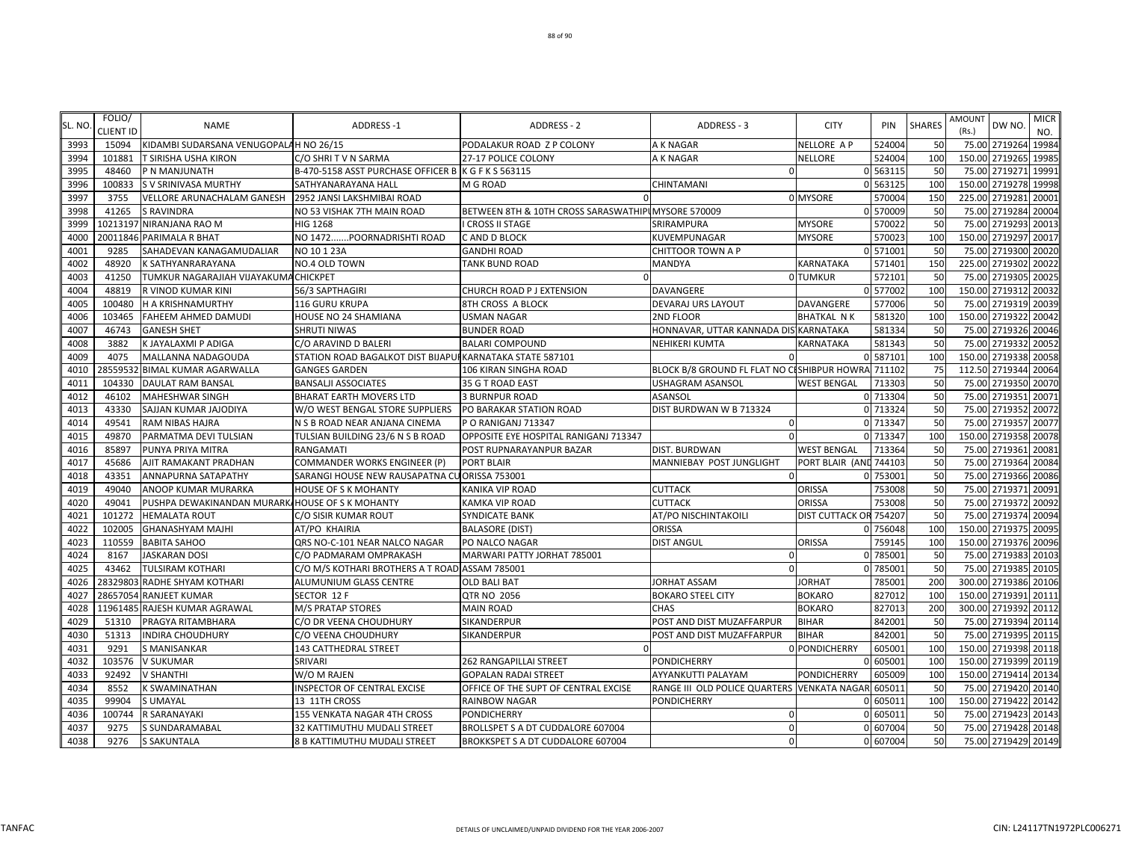| SL. NO           | FOLIO/<br><b>CLIENT ID</b> | <b>NAME</b>                                     | <b>ADDRESS-1</b>                                          | ADDRESS - 2                                         | ADDRESS - 3                                        | <b>CITY</b>            | PIN      | <b>SHARES</b> | AMOUNT<br>(Rs.)      | DW NO.        | <b>MICR</b><br>NO. |
|------------------|----------------------------|-------------------------------------------------|-----------------------------------------------------------|-----------------------------------------------------|----------------------------------------------------|------------------------|----------|---------------|----------------------|---------------|--------------------|
| 3993             | 15094                      | KIDAMBI SUDARSANA VENUGOPALAH NO 26/15          |                                                           | PODALAKUR ROAD Z P COLONY                           | A K NAGAR                                          | <b>NELLORE AP</b>      | 524004   | 50            | 75.00 2719264        |               | 19984              |
| 3994             | 101881                     | T SIRISHA USHA KIRON                            | C/O SHRIT V N SARMA                                       | 27-17 POLICE COLONY                                 | A K NAGAR                                          | <b>NELLORE</b>         | 524004   | <b>100</b>    | 150.00 2719265       |               | 19985              |
| 3995             | 48460                      | P N MANJUNATH                                   | B-470-5158 ASST PURCHASE OFFICER B K G F K S 563115       |                                                     | $\Omega$                                           |                        | 0 563115 | 50            | 75.00 2719271        |               | 19991              |
| 3996             | 100833                     | S V SRINIVASA MURTHY                            | SATHYANARAYANA HALL                                       | M G ROAD                                            | CHINTAMANI                                         |                        | 0 563125 | 100           | 150.00 2719278       |               | 19998              |
| 3997             | 3755                       | VELLORE ARUNACHALAM GANESH                      | 2952 JANSI LAKSHMIBAI ROAD                                |                                                     |                                                    | 0 MYSORE               | 570004   | 150           | 225.00 2719281       |               | 20001              |
| 3998             | 41265                      | <b>S RAVINDRA</b>                               | NO 53 VISHAK 7TH MAIN ROAD                                | BETWEEN 8TH & 10TH CROSS SARASWATHIPI MYSORE 570009 |                                                    |                        | 0 570009 | 50            | 75.00 2719284        |               | 20004              |
| 399 <sup>c</sup> |                            | 10213197 NIRANJANA RAO M                        | <b>HIG 1268</b>                                           | <b>I CROSS II STAGE</b>                             | SRIRAMPURA                                         | <b>MYSORE</b>          | 570022   | 50            | 75.00 2719293        |               | 20013              |
| 4000             |                            | 20011846 PARIMALA R BHAT                        | NO 1472POORNADRISHTI ROAD                                 | C AND D BLOCK                                       | KUVEMPUNAGAR                                       | <b>MYSORE</b>          | 570023   | 100           | 150.00 2719297       |               | 20017              |
| 4001             | 9285                       | SAHADEVAN KANAGAMUDALIAR                        | NO 10 1 23A                                               | <b>GANDHI ROAD</b>                                  | CHITTOOR TOWN A P                                  |                        | 0 571001 | 50            | 75.00                | 2719300 20020 |                    |
| 4002             | 48920                      | <b>K SATHYANRARAYANA</b>                        | NO.4 OLD TOWN                                             | TANK BUND ROAD                                      | MANDYA                                             | KARNATAKA              | 571401   | 150           | 225.00 2719302       |               | 20022              |
| 4003             | 41250                      | TUMKUR NAGARAJIAH VIJAYAKUMACHICKPET            |                                                           |                                                     |                                                    | 0 TUMKUR               | 572101   | 50            | 75.00 2719305        |               | 20025              |
| 4004             | 48819                      | R VINOD KUMAR KINI                              | 56/3 SAPTHAGIRI                                           | CHURCH ROAD P J EXTENSION                           | DAVANGERE                                          |                        | 0 577002 | 100           | 150.00 2719312 20032 |               |                    |
| 4005             | 100480                     | H A KRISHNAMURTHY                               | 116 GURU KRUPA                                            | 8TH CROSS A BLOCK                                   | DEVARAJ URS LAYOUT                                 | DAVANGERE              | 577006   | 50            | 75.00 2719319 20039  |               |                    |
| 4006             | 103465                     | <b>FAHEEM AHMED DAMUDI</b>                      | HOUSE NO 24 SHAMIANA                                      | <b>USMAN NAGAR</b>                                  | 2ND FLOOR                                          | <b>BHATKAL NK</b>      | 581320   | 100           | 150.00 2719322       |               | 20042              |
| 4007             | 46743                      | <b>GANESH SHET</b>                              | <b>SHRUTI NIWAS</b>                                       | <b>BUNDER ROAD</b>                                  | HONNAVAR, UTTAR KANNADA DIS KARNATAKA              |                        | 581334   | 50            | 75.00 2719326        |               | 20046              |
| 4008             | 3882                       | K JAYALAXMI P ADIGA                             | C/O ARAVIND D BALERI                                      | <b>BALARI COMPOUND</b>                              | NEHIKERI KUMTA                                     | KARNATAKA              | 581343   | 50            | 75.00 2719332        |               | 20052              |
| 4009             | 4075                       | MALLANNA NADAGOUDA                              | STATION ROAD BAGALKOT DIST BIJAPUI KARNATAKA STATE 587101 |                                                     |                                                    |                        | 0 587101 | 100           | 150.00 2719338       |               | 20058              |
| 4010             |                            | 28559532 BIMAL KUMAR AGARWALLA                  | <b>GANGES GARDEN</b>                                      | 106 KIRAN SINGHA ROAD                               | BLOCK B/8 GROUND FL FLAT NO CISHIBPUR HOWRA 711102 |                        |          | 75            | 112.50 2719344 20064 |               |                    |
| 4011             | 104330                     | <b>DAULAT RAM BANSAL</b>                        | <b>BANSALJI ASSOCIATES</b>                                | 35 G T ROAD EAST                                    | USHAGRAM ASANSOL                                   | <b>WEST BENGAL</b>     | 713303   | 50            | 75.00 2719350 20070  |               |                    |
| 4012             | 46102                      | <b>MAHESHWAR SINGH</b>                          | <b>BHARAT EARTH MOVERS LTD</b>                            | <b>3 BURNPUR ROAD</b>                               | ASANSOL                                            |                        | 0 713304 | 50            | 75.00 2719351        |               | 20071              |
| 4013             | 43330                      | SAJJAN KUMAR JAJODIYA                           | W/O WEST BENGAL STORE SUPPLIERS                           | PO BARAKAR STATION ROAD                             | DIST BURDWAN W B 713324                            |                        | 0 713324 | 50            | 75.00 2719352        |               | 20072              |
| 4014             | 49541                      | <b>RAM NIBAS HAJRA</b>                          | N S B ROAD NEAR ANJANA CINEMA                             | PO RANIGANJ 713347                                  | -0                                                 |                        | 0 713347 | 50            | 75.00                | 2719357       | 20077              |
| 4015             | 49870                      | PARMATMA DEVI TULSIAN                           | TULSIAN BUILDING 23/6 N S B ROAD                          | OPPOSITE EYE HOSPITAL RANIGANJ 713347               |                                                    |                        | 0 713347 | 100           | 150.00               | 2719358       | 20078              |
| 4016             | 85897                      | PUNYA PRIYA MITRA                               | <b>RANGAMATI</b>                                          | POST RUPNARAYANPUR BAZAR                            | DIST. BURDWAN                                      | <b>WEST BENGAL</b>     | 713364   | 50            | 75.00 2719361        |               | 20081              |
| 4017             | 45686                      | AJIT RAMAKANT PRADHAN                           | COMMANDER WORKS ENGINEER (P)                              | <b>PORT BLAIR</b>                                   | MANNIEBAY POST JUNGLIGHT                           | PORT BLAIR (AND 744103 |          | 50            | 75.00 2719364        |               | 20084              |
| 4018             | 43351                      | <b>ANNAPURNA SATAPATHY</b>                      | SARANGI HOUSE NEW RAUSAPATNA CU ORISSA 753001             |                                                     | $\Omega$                                           |                        | 0 753001 | 50            | 75.00 2719366 20086  |               |                    |
| 4019             | 49040                      | ANOOP KUMAR MURARKA                             | <b>HOUSE OF S K MOHANTY</b>                               | KANIKA VIP ROAD                                     | <b>CUTTACK</b>                                     | <b>ORISSA</b>          | 753008   | 50            | 75.00 2719371        |               | 20091              |
| 4020             | 49041                      | PUSHPA DEWAKINANDAN MURARK/HOUSE OF S K MOHANTY |                                                           | KAMKA VIP ROAD                                      | <b>CUTTACK</b>                                     | <b>ORISSA</b>          | 753008   | 50            | 75.00 2719372 20092  |               |                    |
| 4021             | 101272                     | <b>HEMALATA ROUT</b>                            | C/O SISIR KUMAR ROUT                                      | <b>SYNDICATE BANK</b>                               | AT/PO NISCHINTAKOILI                               | DIST CUTTACK OR 754207 |          | 50            | 75.00                | 2719374       | 20094              |
| 4022             | 102005                     | <b>GHANASHYAM MAJHI</b>                         | AT/PO KHAIRIA                                             | <b>BALASORE (DIST)</b>                              | ORISSA                                             |                        | 0 756048 | 100           | 150.00 2719375 20095 |               |                    |
| 4023             | 110559                     | <b>BABITA SAHOO</b>                             | QRS NO-C-101 NEAR NALCO NAGAR                             | PO NALCO NAGAR                                      | <b>DIST ANGUL</b>                                  | <b>ORISSA</b>          | 759145   | 100           | 150.00               | 2719376       | 20096              |
| 4024             | 8167                       | <b>JASKARAN DOSI</b>                            | C/O PADMARAM OMPRAKASH                                    | MARWARI PATTY JORHAT 785001                         | 0                                                  |                        | 0 785001 | 50            | 75.00                | 2719383       | 20103              |
| 4025             | 43462                      | <b>TULSIRAM KOTHARI</b>                         | C/O M/S KOTHARI BROTHERS A T ROAD ASSAM 785001            |                                                     | $\Omega$                                           |                        | 0 785001 | 50            | 75.00 2719385        |               | 20105              |
| 4026             |                            | 28329803 RADHE SHYAM KOTHARI                    | ALUMUNIUM GLASS CENTRE                                    | <b>OLD BALI BAT</b>                                 | JORHAT ASSAM                                       | <b>JORHAT</b>          | 785001   | <b>200</b>    | 300.00 2719386       |               | 20106              |
| 4027             |                            | 28657054 RANJEET KUMAR                          | SECTOR 12 F                                               | QTR NO 2056                                         | <b>BOKARO STEEL CITY</b>                           | <b>BOKARO</b>          | 827012   | <b>100</b>    | 150.00 2719391       |               | 20111              |
| 4028             |                            | 11961485 RAJESH KUMAR AGRAWAL                   | M/S PRATAP STORES                                         | <b>MAIN ROAD</b>                                    | CHAS                                               | <b>BOKARO</b>          | 82701    | 200           | 300.00 2719392       |               | 20112              |
| 4029             | 51310                      | PRAGYA RITAMBHARA                               | C/O DR VEENA CHOUDHURY                                    | SIKANDERPUR                                         | POST AND DIST MUZAFFARPUR                          | <b>BIHAR</b>           | 842001   | 50            | 75.00 2719394        |               | 20114              |
| 4030             | 51313                      | <b>INDIRA CHOUDHURY</b>                         | C/O VEENA CHOUDHURY                                       | SIKANDERPUR                                         | POST AND DIST MUZAFFARPUR                          | <b>BIHAR</b>           | 842001   | 50            | 75.00 2719395        |               | 20115              |
| 4031             | 9291                       | <b>S MANISANKAR</b>                             | 143 CATTHEDRAL STREET                                     |                                                     |                                                    | 0 PONDICHERRY          | 60500    | 100           | 150.00 2719398       |               | 20118              |
| 4032             | 103576                     | <b>V SUKUMAR</b>                                | SRIVARI                                                   | 262 RANGAPILLAI STREET                              | PONDICHERRY                                        |                        | 60500    | 100           | 150.00 2719399       |               | 20119              |
| 4033             | 92492                      | <b>V SHANTHI</b>                                | W/O M RAJEN                                               | <b>GOPALAN RADAI STREET</b>                         | AYYANKUTTI PALAYAM                                 | <b>PONDICHERRY</b>     | 605009   | 100           | 150.00 2719414       |               | 20134              |
| 4034             | 8552                       | <b>K SWAMINATHAN</b>                            | INSPECTOR OF CENTRAL EXCISE                               | OFFICE OF THE SUPT OF CENTRAL EXCISE                | RANGE III OLD POLICE QUARTERS VENKATA NAGAR 605011 |                        |          | 50            | 75.00 2719420        |               | 20140              |
| 4035             | 99904                      | <b>SUMAYAL</b>                                  | 13 11TH CROSS                                             | RAINBOW NAGAR                                       | <b>PONDICHERRY</b>                                 |                        | 0 60501  | 100           | 150.00 2719422       |               | 20142              |
| 4036             | 100744                     | R SARANAYAKI                                    | 155 VENKATA NAGAR 4TH CROSS                               | <b>PONDICHERRY</b>                                  | -0                                                 |                        | 0 60501  | 50            | 75.00 2719423 20143  |               |                    |
| 4037             | 9275                       | <b>S SUNDARAMABAL</b>                           | 32 KATTIMUTHU MUDALI STREET                               | BROLLSPET S A DT CUDDALORE 607004                   | $\mathbf 0$                                        |                        | 0 607004 | 50            | 75.00 2719428 20148  |               |                    |
| 4038             | 9276                       | <b>S SAKUNTALA</b>                              | 8 B KATTIMUTHU MUDALI STREET                              | BROKKSPET S A DT CUDDALORE 607004                   | $\mathbf 0$                                        |                        | 0 607004 | 50            | 75.00 2719429 20149  |               |                    |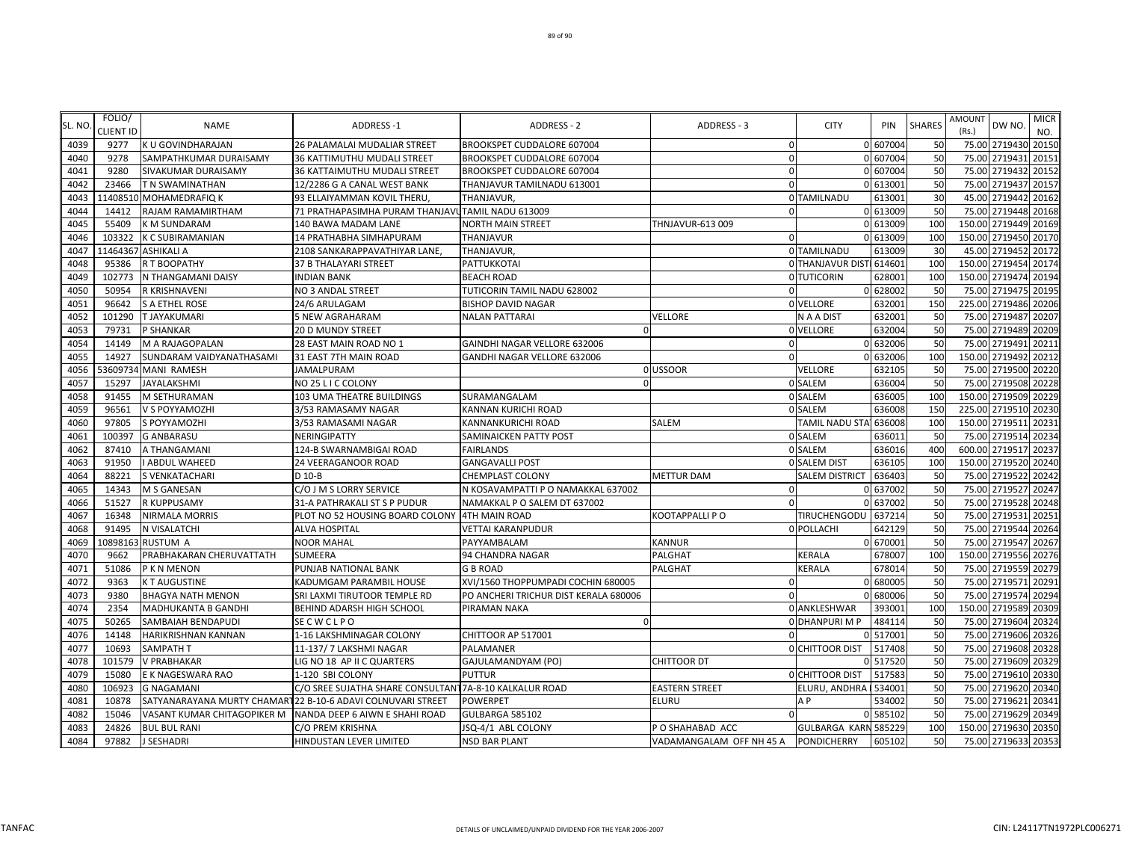| SL. NO       | FOLIO/           | <b>NAME</b>                            | ADDRESS-1                                                    | <b>ADDRESS - 2</b>                                       | ADDRESS - 3                | <b>CITY</b>              | PIN                  | <b>SHARES</b> | <b>AMOUNT</b>  | DW NO.                               | <b>MICR</b> |
|--------------|------------------|----------------------------------------|--------------------------------------------------------------|----------------------------------------------------------|----------------------------|--------------------------|----------------------|---------------|----------------|--------------------------------------|-------------|
|              | <b>CLIENT ID</b> |                                        |                                                              |                                                          |                            |                          |                      |               | (Rs.)          |                                      | NO.         |
| 4039         | 9277             | K U GOVINDHARAJAN                      | 26 PALAMALAI MUDALIAR STREET                                 | BROOKSPET CUDDALORE 607004                               | $\mathbf 0$                |                          | 0 607004             | 50            |                | 75.00 2719430 20150                  |             |
| 4040         | 9278             | SAMPATHKUMAR DURAISAMY                 | 36 KATTIMUTHU MUDALI STREET                                  | BROOKSPET CUDDALORE 607004                               | $\mathbf{0}$               |                          | 0 607004<br>0 607004 | 50            | 75.00          | 2719431 20151<br>75.00 2719432 20152 |             |
| 4041<br>4042 | 9280<br>23466    | SIVAKUMAR DURAISAMY<br>T N SWAMINATHAN | 36 KATTAIMUTHU MUDALI STREET<br>12/2286 G A CANAL WEST BANK  | BROOKSPET CUDDALORE 607004<br>THANJAVUR TAMILNADU 613001 | $\mathbf 0$<br>$\mathbf 0$ |                          | 0 61300              | 50<br>50      | 75.00          | 2719437 20157                        |             |
| 4043         | 11408510         | MOHAMEDRAFIQ K                         | 93 ELLAIYAMMAN KOVIL THERU,                                  | THANJAVUR,                                               |                            | 0 TAMILNADU              | 613001               | 30            | 45.00          | 2719442                              | 20162       |
| 4044         | 14412            | RAJAM RAMAMIRTHAM                      | 71 PRATHAPASIMHA PURAM THANJAVU TAMIL NADU 613009            |                                                          | $\Omega$                   |                          | 0 613009             | 50            | 75.00          | 2719448 20168                        |             |
| 4045         | 55409            | K M SUNDARAM                           | 140 BAWA MADAM LANE                                          | NORTH MAIN STREET                                        | THNJAVUR-613 009           |                          | 0 613009             | 100           |                | 150.00 2719449                       | 20169       |
| 4046         | 103322           | <b>K C SUBIRAMANIAN</b>                | 14 PRATHABHA SIMHAPURAM                                      | THANJAVUR                                                | $\mathbf 0$                |                          | 0 613009             | 100           |                | 150.00 2719450 20170                 |             |
| 4047         |                  | 11464367 ASHIKALI A                    | 2108 SANKARAPPAVATHIYAR LANE,                                | THANJAVUR,                                               |                            | 0 TAMILNADU              | 613009               | 30            |                | 45.00 2719452 2017                   |             |
| 4048         | 95386            | R T BOOPATHY                           | 37 B THALAYARI STREET                                        | PATTUKKOTAI                                              |                            | 0 THANJAVUR DISTI 614601 |                      | 100           |                | 150.00 2719454 20174                 |             |
| 4049         | 102773           | N THANGAMANI DAISY                     | <b>INDIAN BANK</b>                                           | <b>BEACH ROAD</b>                                        |                            | 0 TUTICORIN              | 62800                | 100           | 150.00         | 2719474 2019                         |             |
| 4050         | 50954            | R KRISHNAVENI                          | NO 3 ANDAL STREET                                            | TUTICORIN TAMIL NADU 628002                              | $\mathbf 0$                |                          | 0 628002             | 50            | 75.00          | 2719475 2019                         |             |
| 4051         | 96642            | <b>S A ETHEL ROSE</b>                  | 24/6 ARULAGAM                                                | <b>BISHOP DAVID NAGAR</b>                                |                            | 0 VELLORE                | 63200                | 150           |                | 225.00 2719486 2020                  |             |
| 4052         | 101290           | T JAYAKUMARI                           | 5 NEW AGRAHARAM                                              | <b>NALAN PATTARAI</b>                                    | VELLORE                    | N A A DIST               | 63200                | 50            | 75.00          | 2719487 20207                        |             |
| 4053         | 79731            | P SHANKAR                              | <b>20 D MUNDY STREET</b>                                     |                                                          |                            | 0 VELLORE                | 632004               | 50            |                | 75.00 2719489                        | 20209       |
| 4054         | 14149            | M A RAJAGOPALAN                        | 28 EAST MAIN ROAD NO 1                                       | GAINDHI NAGAR VELLORE 632006                             | $\mathbf 0$                |                          | 0 632006             | 50            |                | 75.00 2719491 2021                   |             |
| 4055         | 14927            | SUNDARAM VAIDYANATHASAMI               | 31 EAST 7TH MAIN ROAD                                        | GANDHI NAGAR VELLORE 632006                              | $\mathbf{0}$               |                          | 0 632006             | 100           |                | 150.00 2719492 2021                  |             |
| 4056         | 53609734         | MANI RAMESH                            | <b>JAMALPURAM</b>                                            |                                                          | 0 USSOOR                   | VELLORE                  | 632105               | 50            |                | 75.00 2719500 20220                  |             |
| 4057         | 15297            | JAYALAKSHMI                            | NO 25 L I C COLONY                                           |                                                          |                            | 0 SALEM                  | 636004               | 50            |                | 75.00 2719508 20228                  |             |
| 4058         | 91455            | M SETHURAMAN                           | 103 UMA THEATRE BUILDINGS                                    | SURAMANGALAM                                             |                            | 0 SALEM                  | 636005               | 100           |                | 150.00 2719509 20229                 |             |
| 4059         | 96561            | V S POYYAMOZHI                         | 3/53 RAMASAMY NAGAR                                          | KANNAN KURICHI ROAD                                      |                            | 0 SALEM                  | 636008               | <b>150</b>    | 225.00         | 2719510 20230                        |             |
| 4060         | 97805            | S POYYAMOZHI                           | 3/53 RAMASAMI NAGAR                                          | KANNANKURICHI ROAD                                       | <b>SALEM</b>               | TAMIL NADU STA 636008    |                      | 100           | 150.00         | 2719511 2023:                        |             |
| 4061         | 100397           | <b>G ANBARASU</b>                      | NERINGIPATTY                                                 | SAMINAICKEN PATTY POST                                   |                            | 0 SALEM                  | 636011               | 50            | 75.00          | 2719514 2023                         |             |
| 4062         | 87410            | A THANGAMANI                           | 124-B SWARNAMBIGAI ROAD                                      | <b>FAIRLANDS</b>                                         |                            | 0 SALEM                  | 636016               | 400           |                | 600.00 2719517 2023                  |             |
| 4063         | 91950            | I ABDUL WAHEED                         | 24 VEERAGANOOR ROAD                                          | <b>GANGAVALLI POST</b>                                   |                            | <b>0 SALEM DIST</b>      | 636105               | 100           |                | 150.00 2719520 20240                 |             |
| 4064         | 88221            | <b>S VENKATACHARI</b>                  | D 10-B                                                       | CHEMPLAST COLONY                                         | <b>METTUR DAM</b>          | SALEM DISTRICT           | 636403               | 50            |                | 75.00 2719522 20242                  |             |
| 4065         | 14343            | M S GANESAN                            | C/O J M S LORRY SERVICE                                      | N KOSAVAMPATTI P O NAMAKKAL 637002                       | $\mathbf 0$                |                          | 0 637002             | 50            | 75.00          | 2719527 20247                        |             |
| 4066         | 51527            | R KUPPUSAMY<br><b>NIRMALA MORRIS</b>   | 31-A PATHRAKALI ST S P PUDUR                                 | NAMAKKAL P O SALEM DT 637002                             | $\Omega$                   | <b>TIRUCHENGODU</b>      | 0 637002             | 50<br>50      | 75.00          | 2719528 20248<br>2719531 20251       |             |
| 4067<br>4068 | 16348<br>91495   | N VISALATCHI                           | PLOT NO 52 HOUSING BOARD COLONY<br><b>ALVA HOSPITAL</b>      | 4TH MAIN ROAD                                            | <b>KOOTAPPALLI P O</b>     | 0 POLLACHI               | 637214               | 50            | 75.00<br>75.00 | 2719544 20264                        |             |
| 4069         | 10898163         | RUSTUM A                               | <b>NOOR MAHAL</b>                                            | VETTAI KARANPUDUR<br>PAYYAMBALAM                         | <b>KANNUR</b>              |                          | 642129<br>0 670001   | 50            |                | 75.00 2719547 20267                  |             |
| 4070         | 9662             | PRABHAKARAN CHERUVATTATH               | SUMEERA                                                      | 94 CHANDRA NAGAR                                         | PALGHAT                    | KERALA                   | 678007               | 100           |                | 150.00 2719556 20276                 |             |
| 4071         | 51086            | P K N MENON                            | PUNJAB NATIONAL BANK                                         | G B ROAD                                                 | PALGHAT                    | KERALA                   | 678014               | 50            |                | 75.00 2719559 20279                  |             |
| 4072         | 9363             | <b>KT AUGUSTINE</b>                    | KADUMGAM PARAMBIL HOUSE                                      | XVI/1560 THOPPUMPADI COCHIN 680005                       | $\mathbf{0}$               |                          | 0 680005             | 50            |                | 75.00 2719571 2029:                  |             |
| 4073         | 9380             | BHAGYA NATH MENON                      | SRI LAXMI TIRUTOOR TEMPLE RD                                 | PO ANCHERI TRICHUR DIST KERALA 680006                    | $\mathbf{0}$               |                          | 0 680006             | 50            |                | 75.00 2719574 20294                  |             |
| 4074         | 2354             | MADHUKANTA B GANDHI                    | BEHIND ADARSH HIGH SCHOOL                                    | PIRAMAN NAKA                                             |                            | 0 ANKLESHWAR             | 39300                | 100           |                | 150.00 2719589                       | 20309       |
| 4075         | 50265            | SAMBAIAH BENDAPUDI                     | <b>SECWCLPO</b>                                              | O                                                        |                            | <b>ODHANPURIMP</b>       | 484114               | 50            | 75.00          | 2719604 20324                        |             |
| 4076         | 14148            | HARIKRISHNAN KANNAN                    | 1-16 LAKSHMINAGAR COLONY                                     | CHITTOOR AP 517001                                       | $\mathbf{0}$               |                          | 0 517001             | 50            | 75.00          | 2719606                              | 20326       |
| 4077         | 10693            | SAMPATH T                              | 11-137/ 7 LAKSHMI NAGAR                                      | PALAMANER                                                |                            | 0 CHITTOOR DIST          | 517408               | 50            | 75.00          | 2719608                              | 20328       |
| 4078         | 101579           | V PRABHAKAR                            | LIG NO 18 AP II C QUARTERS                                   | GAJULAMANDYAM (PO)                                       | <b>CHITTOOR DT</b>         |                          | 0 517520             | 50            |                | 75.00 2719609                        | 20329       |
| 4079         | 15080            | E K NAGESWARA RAO                      | 1-120 SBI COLONY                                             | <b>PUTTUR</b>                                            |                            | <b>OCHITTOOR DIST</b>    | 517583               | 50            |                | 75.00 2719610 20330                  |             |
| 4080         | 106923           | <b>G NAGAMANI</b>                      | C/O SREE SUJATHA SHARE CONSULTANT 7A-8-10 KALKALUR ROAD      |                                                          | <b>EASTERN STREET</b>      | ELURU, ANDHRA            | 534001               | 50            |                | 75.00 2719620 20340                  |             |
| 4081         | 10878            |                                        | SATYANARAYANA MURTY CHAMART 22 B-10-6 ADAVI COLNUVARI STREET | <b>POWERPET</b>                                          | <b>ELURU</b>               | A P                      | 534002               | 50            |                | 75.00 2719621 20341                  |             |
| 4082         | 15046            | VASANT KUMAR CHITAGOPIKER M            | NANDA DEEP 6 AIWN E SHAHI ROAD                               | GULBARGA 585102                                          | $\Omega$                   |                          | 0 585102             | 50            | 75.00          | 2719629                              | 20349       |
| 4083         | 24826            | <b>BUL BUL RANI</b>                    | C/O PREM KRISHNA                                             | JSQ-4/1 ABL COLONY                                       | P O SHAHABAD ACC           | GULBARGA KARN 585229     |                      | 100           |                | 150.00 2719630 20350                 |             |
| 4084         | 97882            | <b>J SESHADRI</b>                      | <b>HINDUSTAN LEVER LIMITED</b>                               | <b>NSD BAR PLANT</b>                                     | VADAMANGALAM OFF NH 45 A   | <b>PONDICHERRY</b>       | 605102               | 50            |                | 75.00 2719633 20353                  |             |